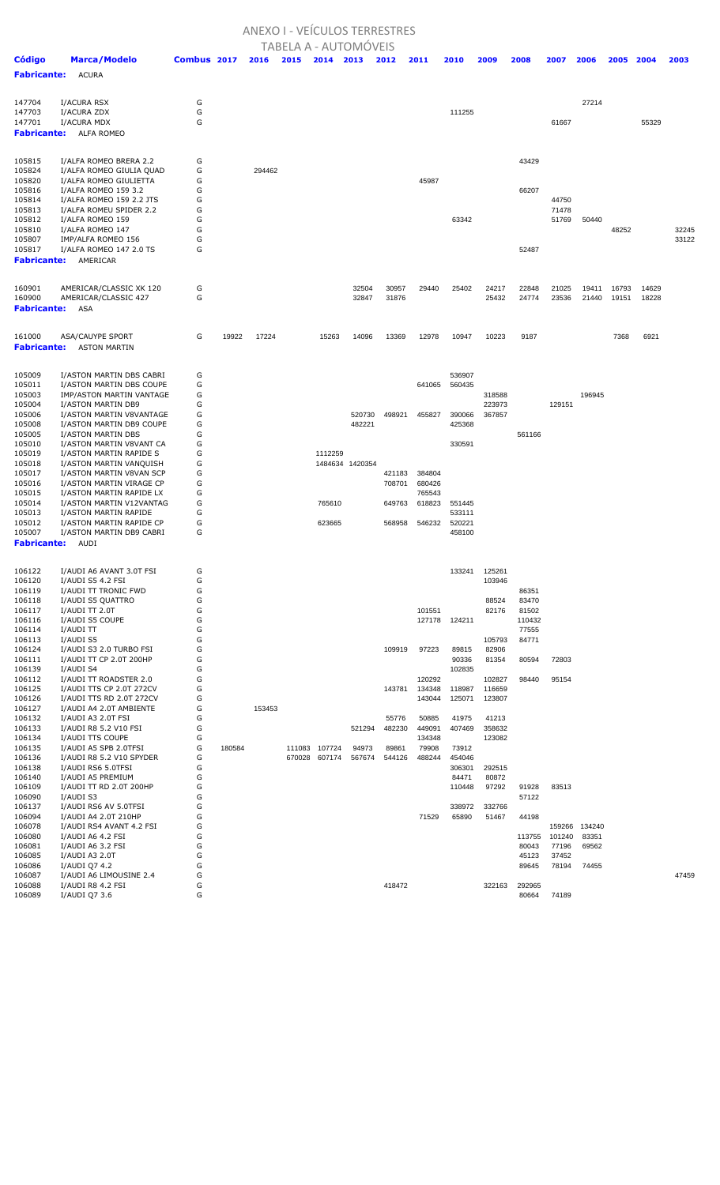## ANEXO I - VEÍCULOS TERRESTRES

|                              |                                                   |             |        |        |        | <b>TABELA A - AUTOMÓVEIS</b> |                 |                 |                 |                  |                 |                |                |        |       |       |       |
|------------------------------|---------------------------------------------------|-------------|--------|--------|--------|------------------------------|-----------------|-----------------|-----------------|------------------|-----------------|----------------|----------------|--------|-------|-------|-------|
| <b>Código</b>                | <b>Marca/Modelo</b>                               | Combus 2017 |        | 2016   | 2015   | 2014                         | 2013            | 2012            | 2011            | 2010             | 2009            | 2008           | 2007           | 2006   | 2005  | 2004  | 2003  |
| <b>Fabricante:</b>           | <b>ACURA</b>                                      |             |        |        |        |                              |                 |                 |                 |                  |                 |                |                |        |       |       |       |
|                              |                                                   |             |        |        |        |                              |                 |                 |                 |                  |                 |                |                |        |       |       |       |
|                              |                                                   | G           |        |        |        |                              |                 |                 |                 |                  |                 |                |                | 27214  |       |       |       |
| 147704<br>147703             | I/ACURA RSX<br>I/ACURA ZDX                        | G           |        |        |        |                              |                 |                 |                 | 111255           |                 |                |                |        |       |       |       |
| 147701                       | I/ACURA MDX                                       | G           |        |        |        |                              |                 |                 |                 |                  |                 |                | 61667          |        |       | 55329 |       |
| <b>Fabricante:</b>           | ALFA ROMEO                                        |             |        |        |        |                              |                 |                 |                 |                  |                 |                |                |        |       |       |       |
|                              |                                                   |             |        |        |        |                              |                 |                 |                 |                  |                 |                |                |        |       |       |       |
| 105815                       | I/ALFA ROMEO BRERA 2.2                            | G           |        |        |        |                              |                 |                 |                 |                  |                 | 43429          |                |        |       |       |       |
| 105824                       | I/ALFA ROMEO GIULIA QUAD                          | G           |        | 294462 |        |                              |                 |                 |                 |                  |                 |                |                |        |       |       |       |
| 105820                       | I/ALFA ROMEO GIULIETTA                            | G           |        |        |        |                              |                 |                 | 45987           |                  |                 |                |                |        |       |       |       |
| 105816                       | I/ALFA ROMEO 159 3.2                              | G           |        |        |        |                              |                 |                 |                 |                  |                 | 66207          |                |        |       |       |       |
| 105814                       | I/ALFA ROMEO 159 2.2 JTS                          | G           |        |        |        |                              |                 |                 |                 |                  |                 |                | 44750          |        |       |       |       |
| 105813<br>105812             | I/ALFA ROMEU SPIDER 2.2<br>I/ALFA ROMEO 159       | G<br>G      |        |        |        |                              |                 |                 |                 | 63342            |                 |                | 71478<br>51769 | 50440  |       |       |       |
| 105810                       | I/ALFA ROMEO 147                                  | G           |        |        |        |                              |                 |                 |                 |                  |                 |                |                |        | 48252 |       | 32245 |
| 105807                       | IMP/ALFA ROMEO 156                                | G           |        |        |        |                              |                 |                 |                 |                  |                 |                |                |        |       |       | 33122 |
| 105817                       | I/ALFA ROMEO 147 2.0 TS                           | G           |        |        |        |                              |                 |                 |                 |                  |                 | 52487          |                |        |       |       |       |
| <b>Fabricante:</b>           | AMERICAR                                          |             |        |        |        |                              |                 |                 |                 |                  |                 |                |                |        |       |       |       |
|                              |                                                   |             |        |        |        |                              |                 |                 |                 |                  |                 |                |                |        |       |       |       |
| 160901                       | AMERICAR/CLASSIC XK 120                           | G           |        |        |        |                              | 32504           | 30957           | 29440           | 25402            | 24217           | 22848          | 21025          | 19411  | 16793 | 14629 |       |
| 160900                       | AMERICAR/CLASSIC 427                              | G           |        |        |        |                              | 32847           | 31876           |                 |                  | 25432           | 24774          | 23536          | 21440  | 19151 | 18228 |       |
| <b>Fabricante:</b>           | ASA                                               |             |        |        |        |                              |                 |                 |                 |                  |                 |                |                |        |       |       |       |
|                              |                                                   |             |        |        |        |                              |                 |                 |                 |                  |                 |                |                |        |       |       |       |
| 161000<br><b>Fabricante:</b> | <b>ASA/CAUYPE SPORT</b><br><b>ASTON MARTIN</b>    | G           | 19922  | 17224  |        | 15263                        | 14096           | 13369           | 12978           | 10947            | 10223           | 9187           |                |        | 7368  | 6921  |       |
|                              |                                                   |             |        |        |        |                              |                 |                 |                 |                  |                 |                |                |        |       |       |       |
| 105009                       | I/ASTON MARTIN DBS CABRI                          | G           |        |        |        |                              |                 |                 |                 | 536907           |                 |                |                |        |       |       |       |
| 105011                       | I/ASTON MARTIN DBS COUPE                          | G           |        |        |        |                              |                 |                 | 641065          | 560435           |                 |                |                |        |       |       |       |
| 105003                       | IMP/ASTON MARTIN VANTAGE                          | G           |        |        |        |                              |                 |                 |                 |                  | 318588          |                |                | 196945 |       |       |       |
| 105004                       | I/ASTON MARTIN DB9                                | G           |        |        |        |                              |                 |                 |                 |                  | 223973          |                | 129151         |        |       |       |       |
| 105006                       | I/ASTON MARTIN V8VANTAGE                          | G           |        |        |        |                              | 520730          | 498921          | 455827          | 390066           | 367857          |                |                |        |       |       |       |
| 105008                       | I/ASTON MARTIN DB9 COUPE                          | G           |        |        |        |                              | 482221          |                 |                 | 425368           |                 |                |                |        |       |       |       |
| 105005<br>105010             | I/ASTON MARTIN DBS<br>I/ASTON MARTIN V8VANT CA    | G<br>G      |        |        |        |                              |                 |                 |                 | 330591           |                 | 561166         |                |        |       |       |       |
| 105019                       | I/ASTON MARTIN RAPIDE S                           | G           |        |        |        | 1112259                      |                 |                 |                 |                  |                 |                |                |        |       |       |       |
| 105018                       | I/ASTON MARTIN VANQUISH                           | G           |        |        |        |                              | 1484634 1420354 |                 |                 |                  |                 |                |                |        |       |       |       |
| 105017                       | I/ASTON MARTIN V8VAN SCP                          | G           |        |        |        |                              |                 | 421183          | 384804          |                  |                 |                |                |        |       |       |       |
| 105016                       | I/ASTON MARTIN VIRAGE CP                          | G           |        |        |        |                              |                 | 708701          | 680426          |                  |                 |                |                |        |       |       |       |
| 105015                       | I/ASTON MARTIN RAPIDE LX                          | G           |        |        |        |                              |                 |                 | 765543          |                  |                 |                |                |        |       |       |       |
| 105014<br>105013             | I/ASTON MARTIN V12VANTAG<br>I/ASTON MARTIN RAPIDE | G<br>G      |        |        |        | 765610                       |                 | 649763          | 618823          | 551445<br>533111 |                 |                |                |        |       |       |       |
| 105012                       | I/ASTON MARTIN RAPIDE CP                          | G           |        |        |        | 623665                       |                 | 568958          | 546232          | 520221           |                 |                |                |        |       |       |       |
| 105007                       | I/ASTON MARTIN DB9 CABRI                          | G           |        |        |        |                              |                 |                 |                 | 458100           |                 |                |                |        |       |       |       |
| <b>Fabricante:</b>           | AUDI                                              |             |        |        |        |                              |                 |                 |                 |                  |                 |                |                |        |       |       |       |
|                              |                                                   |             |        |        |        |                              |                 |                 |                 |                  |                 |                |                |        |       |       |       |
| 106122                       | I/AUDI A6 AVANT 3.0T FSI                          | G           |        |        |        |                              |                 |                 |                 | 133241           | 125261          |                |                |        |       |       |       |
| 106120                       | I/AUDI S5 4.2 FSI                                 | G           |        |        |        |                              |                 |                 |                 |                  | 103946          |                |                |        |       |       |       |
| 106119                       | I/AUDI TT TRONIC FWD                              | G           |        |        |        |                              |                 |                 |                 |                  |                 | 86351          |                |        |       |       |       |
| 106118<br>106117             | I/AUDI S5 QUATTRO<br>I/AUDI $TT$ 2.0T             | G<br>G      |        |        |        |                              |                 |                 | 101551          |                  | 88524<br>82176  | 83470<br>81502 |                |        |       |       |       |
| 106116                       | I/AUDI S5 COUPE                                   | G           |        |        |        |                              |                 |                 | 127178          | 124211           |                 | 110432         |                |        |       |       |       |
| 106114                       | I/AUDI TT                                         | G           |        |        |        |                              |                 |                 |                 |                  |                 | 77555          |                |        |       |       |       |
| 106113                       | I/AUDI S5                                         | G           |        |        |        |                              |                 |                 |                 |                  | 105793          | 84771          |                |        |       |       |       |
| 106124                       | I/AUDI S3 2.0 TURBO FSI                           | G<br>G      |        |        |        |                              |                 | 109919          | 97223           | 89815            | 82906           |                | 72803          |        |       |       |       |
| 106111<br>106139             | I/AUDI TT CP 2.0T 200HP<br>I/AUDI S4              | G           |        |        |        |                              |                 |                 |                 | 90336<br>102835  | 81354           | 80594          |                |        |       |       |       |
| 106112                       | I/AUDI TT ROADSTER 2.0                            | G           |        |        |        |                              |                 |                 | 120292          |                  | 102827          | 98440          | 95154          |        |       |       |       |
| 106125                       | I/AUDI TTS CP 2.0T 272CV                          | G           |        |        |        |                              |                 | 143781          | 134348          | 118987           | 116659          |                |                |        |       |       |       |
| 106126                       | I/AUDI TTS RD 2.0T 272CV                          | G           |        |        |        |                              |                 |                 | 143044          | 125071           | 123807          |                |                |        |       |       |       |
| 106127                       | I/AUDI A4 2.0T AMBIENTE                           | G           |        | 153453 |        |                              |                 |                 |                 |                  |                 |                |                |        |       |       |       |
| 106132<br>106133             | I/AUDI A3 2.0T FSI<br>I/AUDI R8 5.2 V10 FSI       | G<br>G      |        |        |        |                              | 521294          | 55776<br>482230 | 50885<br>449091 | 41975<br>407469  | 41213<br>358632 |                |                |        |       |       |       |
| 106134                       | I/AUDI TTS COUPE                                  | G           |        |        |        |                              |                 |                 | 134348          |                  | 123082          |                |                |        |       |       |       |
| 106135                       | I/AUDI A5 SPB 2.0TFSI                             | G           | 180584 |        | 111083 | 107724                       | 94973           | 89861           | 79908           | 73912            |                 |                |                |        |       |       |       |
| 106136                       | I/AUDI R8 5.2 V10 SPYDER                          | G           |        |        | 670028 | 607174                       | 567674          | 544126          | 488244          | 454046           |                 |                |                |        |       |       |       |
| 106138                       | I/AUDI RS6 5.0TFSI                                | G           |        |        |        |                              |                 |                 |                 | 306301           | 292515          |                |                |        |       |       |       |
| 106140                       | I/AUDI A5 PREMIUM                                 | G           |        |        |        |                              |                 |                 |                 | 84471            | 80872           |                |                |        |       |       |       |
| 106109<br>106090             | I/AUDI TT RD 2.0T 200HP<br>I/AUDI S3              | G<br>G      |        |        |        |                              |                 |                 |                 | 110448           | 97292           | 91928<br>57122 | 83513          |        |       |       |       |
| 106137                       | I/AUDI RS6 AV 5.0TFSI                             | G           |        |        |        |                              |                 |                 |                 | 338972           | 332766          |                |                |        |       |       |       |
| 106094                       | I/AUDI A4 2.0T 210HP                              | G           |        |        |        |                              |                 |                 | 71529           | 65890            | 51467           | 44198          |                |        |       |       |       |
| 106078                       | I/AUDI RS4 AVANT 4.2 FSI                          | G           |        |        |        |                              |                 |                 |                 |                  |                 |                | 159266         | 134240 |       |       |       |
| 106080                       | I/AUDI A6 4.2 FSI                                 | G           |        |        |        |                              |                 |                 |                 |                  |                 | 113755         | 101240         | 83351  |       |       |       |
| 106081<br>106085             | I/AUDI A6 3.2 FSI                                 | G<br>G      |        |        |        |                              |                 |                 |                 |                  |                 | 80043          | 77196          | 69562  |       |       |       |
| 106086                       | I/AUDI A3 2.0T<br>I/AUDI Q7 4.2                   | G           |        |        |        |                              |                 |                 |                 |                  |                 | 45123<br>89645 | 37452<br>78194 | 74455  |       |       |       |
| 106087                       | I/AUDI A6 LIMOUSINE 2.4                           | G           |        |        |        |                              |                 |                 |                 |                  |                 |                |                |        |       |       | 47459 |
| 106088                       | I/AUDI R8 4.2 FSI                                 | G           |        |        |        |                              |                 | 418472          |                 |                  | 322163          | 292965         |                |        |       |       |       |
| 106089                       | I/AUDI Q7 3.6                                     | G           |        |        |        |                              |                 |                 |                 |                  |                 | 80664          | 74189          |        |       |       |       |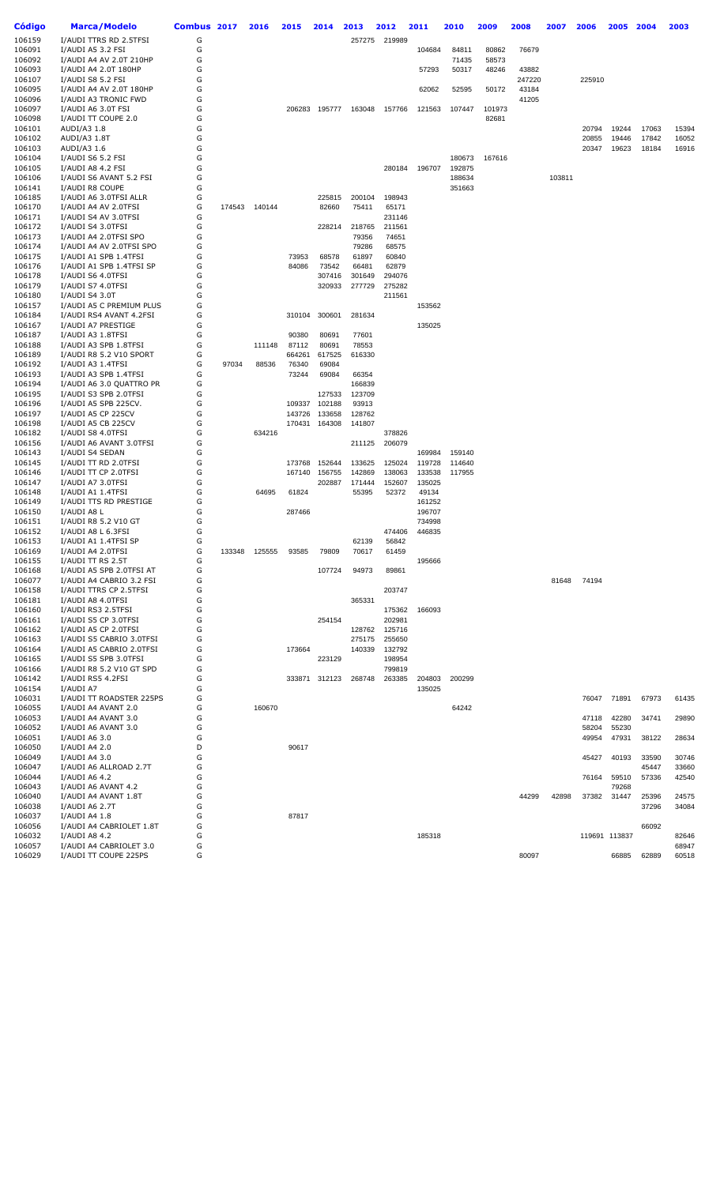| Código           | <b>Marca/Modelo</b>                               | Combus 2017 |        | 2016   | 2015            | 2014            | 2013           | 2012             | 2011             | 2010             | 2009   | 2008            | 2007   | 2006   | 2005           | 2004  | 2003  |
|------------------|---------------------------------------------------|-------------|--------|--------|-----------------|-----------------|----------------|------------------|------------------|------------------|--------|-----------------|--------|--------|----------------|-------|-------|
| 106159           | I/AUDI TTRS RD 2.5TFSI                            | G           |        |        |                 |                 | 257275         | 219989           |                  |                  |        |                 |        |        |                |       |       |
| 106091           | I/AUDI A5 3.2 FSI                                 | G           |        |        |                 |                 |                |                  | 104684           | 84811            | 80862  | 76679           |        |        |                |       |       |
| 106092           | I/AUDI A4 AV 2.0T 210HP                           | G           |        |        |                 |                 |                |                  |                  | 71435            | 58573  |                 |        |        |                |       |       |
| 106093<br>106107 | I/AUDI A4 2.0T 180HP<br>I/AUDI S8 5.2 FSI         | G<br>G      |        |        |                 |                 |                |                  | 57293            | 50317            | 48246  | 43882<br>247220 |        | 225910 |                |       |       |
| 106095           | I/AUDI A4 AV 2.0T 180HP                           | G           |        |        |                 |                 |                |                  | 62062            | 52595            | 50172  | 43184           |        |        |                |       |       |
| 106096           | I/AUDI A3 TRONIC FWD                              | G           |        |        |                 |                 |                |                  |                  |                  |        | 41205           |        |        |                |       |       |
| 106097           | I/AUDI A6 3.0T FSI                                | G           |        |        | 206283          | 195777          | 163048         | 157766           | 121563           | 107447           | 101973 |                 |        |        |                |       |       |
| 106098           | I/AUDI TT COUPE 2.0                               | G           |        |        |                 |                 |                |                  |                  |                  | 82681  |                 |        |        |                |       |       |
| 106101           | AUDI/A3 1.8                                       | G           |        |        |                 |                 |                |                  |                  |                  |        |                 |        | 20794  | 19244          | 17063 | 15394 |
| 106102           | AUDI/A3 1.8T                                      | G           |        |        |                 |                 |                |                  |                  |                  |        |                 |        | 20855  | 19446          | 17842 | 16052 |
| 106103           | AUDI/A3 1.6                                       | G           |        |        |                 |                 |                |                  |                  |                  |        |                 |        | 20347  | 19623          | 18184 | 16916 |
| 106104           | I/AUDI S6 5.2 FSI<br>I/AUDI A8 4.2 FSI            | G<br>G      |        |        |                 |                 |                |                  |                  | 180673           | 167616 |                 |        |        |                |       |       |
| 106105<br>106106 | I/AUDI S6 AVANT 5.2 FSI                           | G           |        |        |                 |                 |                | 280184           | 196707           | 192875<br>188634 |        |                 | 103811 |        |                |       |       |
| 106141           | I/AUDI R8 COUPE                                   | G           |        |        |                 |                 |                |                  |                  | 351663           |        |                 |        |        |                |       |       |
| 106185           | I/AUDI A6 3.0TFSI ALLR                            | G           |        |        |                 | 225815          | 200104         | 198943           |                  |                  |        |                 |        |        |                |       |       |
| 106170           | I/AUDI A4 AV 2.0TFSI                              | G           | 174543 | 140144 |                 | 82660           | 75411          | 65171            |                  |                  |        |                 |        |        |                |       |       |
| 106171           | I/AUDI S4 AV 3.0TFSI                              | G           |        |        |                 |                 |                | 231146           |                  |                  |        |                 |        |        |                |       |       |
| 106172           | I/AUDI S4 3.0TFSI                                 | G           |        |        |                 | 228214          | 218765         | 211561           |                  |                  |        |                 |        |        |                |       |       |
| 106173           | I/AUDI A4 2.0TFSI SPO                             | G           |        |        |                 |                 | 79356          | 74651            |                  |                  |        |                 |        |        |                |       |       |
| 106174           | I/AUDI A4 AV 2.0TFSI SPO                          | G           |        |        |                 |                 | 79286          | 68575            |                  |                  |        |                 |        |        |                |       |       |
| 106175<br>106176 | I/AUDI A1 SPB 1.4TFSI<br>I/AUDI A1 SPB 1.4TFSI SP | G<br>G      |        |        | 73953<br>84086  | 68578<br>73542  | 61897<br>66481 | 60840<br>62879   |                  |                  |        |                 |        |        |                |       |       |
| 106178           | I/AUDI S6 4.0TFSI                                 | G           |        |        |                 | 307416          | 301649         | 294076           |                  |                  |        |                 |        |        |                |       |       |
| 106179           | I/AUDI S7 4.0TFSI                                 | G           |        |        |                 | 320933          | 277729         | 275282           |                  |                  |        |                 |        |        |                |       |       |
| 106180           | I/AUDI S4 3.0T                                    | G           |        |        |                 |                 |                | 211561           |                  |                  |        |                 |        |        |                |       |       |
| 106157           | I/AUDI A5 C PREMIUM PLUS                          | G           |        |        |                 |                 |                |                  | 153562           |                  |        |                 |        |        |                |       |       |
| 106184           | I/AUDI RS4 AVANT 4.2FSI                           | G           |        |        | 310104          | 300601          | 281634         |                  |                  |                  |        |                 |        |        |                |       |       |
| 106167           | I/AUDI A7 PRESTIGE                                | G           |        |        |                 |                 |                |                  | 135025           |                  |        |                 |        |        |                |       |       |
| 106187           | I/AUDI A3 1.8TFSI                                 | G           |        |        | 90380           | 80691           | 77601          |                  |                  |                  |        |                 |        |        |                |       |       |
| 106188           | I/AUDI A3 SPB 1.8TFSI                             | G           |        | 111148 | 87112           | 80691           | 78553          |                  |                  |                  |        |                 |        |        |                |       |       |
| 106189<br>106192 | I/AUDI R8 5.2 V10 SPORT<br>I/AUDI A3 1.4TFSI      | G<br>G      | 97034  | 88536  | 664261<br>76340 | 617525<br>69084 | 616330         |                  |                  |                  |        |                 |        |        |                |       |       |
| 106193           | I/AUDI A3 SPB 1.4TFSI                             | G           |        |        | 73244           | 69084           | 66354          |                  |                  |                  |        |                 |        |        |                |       |       |
| 106194           | I/AUDI A6 3.0 QUATTRO PR                          | G           |        |        |                 |                 | 166839         |                  |                  |                  |        |                 |        |        |                |       |       |
| 106195           | I/AUDI S3 SPB 2.0TFSI                             | G           |        |        |                 | 127533          | 123709         |                  |                  |                  |        |                 |        |        |                |       |       |
| 106196           | I/AUDI A5 SPB 225CV.                              | G           |        |        | 109337          | 102188          | 93913          |                  |                  |                  |        |                 |        |        |                |       |       |
| 106197           | I/AUDI A5 CP 225CV                                | G           |        |        | 143726          | 133658          | 128762         |                  |                  |                  |        |                 |        |        |                |       |       |
| 106198           | I/AUDI A5 CB 225CV                                | G           |        |        | 170431          | 164308          | 141807         |                  |                  |                  |        |                 |        |        |                |       |       |
| 106182           | I/AUDI S8 4.0TFSI                                 | G<br>G      |        | 634216 |                 |                 |                | 378826<br>206079 |                  |                  |        |                 |        |        |                |       |       |
| 106156<br>106143 | I/AUDI A6 AVANT 3.0TFSI<br>I/AUDI S4 SEDAN        | G           |        |        |                 |                 | 211125         |                  | 169984           | 159140           |        |                 |        |        |                |       |       |
| 106145           | I/AUDI TT RD 2.0TFSI                              | G           |        |        | 173768          | 152644          | 133625         | 125024           | 119728           | 114640           |        |                 |        |        |                |       |       |
| 106146           | I/AUDI TT CP 2.0TFSI                              | G           |        |        | 167140          | 156755          | 142869         | 138063           | 133538           | 117955           |        |                 |        |        |                |       |       |
| 106147           | I/AUDI A7 3.0TFSI                                 | G           |        |        |                 | 202887          | 171444         | 152607           | 135025           |                  |        |                 |        |        |                |       |       |
| 106148           | I/AUDI A1 1.4TFSI                                 | G           |        | 64695  | 61824           |                 | 55395          | 52372            | 49134            |                  |        |                 |        |        |                |       |       |
| 106149           | I/AUDI TTS RD PRESTIGE                            | G           |        |        |                 |                 |                |                  | 161252           |                  |        |                 |        |        |                |       |       |
| 106150           | I/AUDI A8 L                                       | G           |        |        | 287466          |                 |                |                  | 196707           |                  |        |                 |        |        |                |       |       |
| 106151<br>106152 | I/AUDI R8 5.2 V10 GT<br>I/AUDI A8 L 6.3FSI        | G<br>G      |        |        |                 |                 |                | 474406           | 734998<br>446835 |                  |        |                 |        |        |                |       |       |
| 106153           | I/AUDI A1 1.4TFSI SP                              | G           |        |        |                 |                 | 62139          | 56842            |                  |                  |        |                 |        |        |                |       |       |
| 106169           | I/AUDI A4 2.0TFSI                                 | G           | 133348 | 125555 | 93585           | 79809           | 70617          | 61459            |                  |                  |        |                 |        |        |                |       |       |
| 106155           | I/AUDI TT RS 2.5T                                 | G           |        |        |                 |                 |                |                  | 195666           |                  |        |                 |        |        |                |       |       |
| 106168           | I/AUDI A5 SPB 2.0TFSI AT                          | G           |        |        |                 | 107724          | 94973          | 89861            |                  |                  |        |                 |        |        |                |       |       |
| 106077           | I/AUDI A4 CABRIO 3.2 FSI                          | G           |        |        |                 |                 |                |                  |                  |                  |        |                 | 81648  | 74194  |                |       |       |
| 106158           | I/AUDI TTRS CP 2.5TFSI                            | G           |        |        |                 |                 |                | 203747           |                  |                  |        |                 |        |        |                |       |       |
| 106181           | I/AUDI A8 4.0TFSI                                 | G<br>G      |        |        |                 |                 | 365331         |                  |                  |                  |        |                 |        |        |                |       |       |
| 106160<br>106161 | I/AUDI RS3 2.5TFSI<br>I/AUDI S5 CP 3.0TFSI        | G           |        |        |                 | 254154          |                | 175362<br>202981 | 166093           |                  |        |                 |        |        |                |       |       |
| 106162           | I/AUDI A5 CP 2.0TFSI                              | G           |        |        |                 |                 | 128762         | 125716           |                  |                  |        |                 |        |        |                |       |       |
| 106163           | I/AUDI S5 CABRIO 3.0TFSI                          | G           |        |        |                 |                 | 275175         | 255650           |                  |                  |        |                 |        |        |                |       |       |
| 106164           | I/AUDI A5 CABRIO 2.0TFSI                          | G           |        |        | 173664          |                 | 140339         | 132792           |                  |                  |        |                 |        |        |                |       |       |
| 106165           | I/AUDI S5 SPB 3.0TFSI                             | G           |        |        |                 | 223129          |                | 198954           |                  |                  |        |                 |        |        |                |       |       |
| 106166           | I/AUDI R8 5.2 V10 GT SPD                          | G           |        |        |                 |                 |                | 799819           |                  |                  |        |                 |        |        |                |       |       |
| 106142           | I/AUDI RS5 4.2FSI                                 | G           |        |        |                 | 333871 312123   | 268748         | 263385           | 204803           | 200299           |        |                 |        |        |                |       |       |
| 106154           | I/AUDI A7                                         | G           |        |        |                 |                 |                |                  | 135025           |                  |        |                 |        |        |                |       |       |
| 106031<br>106055 | I/AUDI TT ROADSTER 225PS<br>I/AUDI A4 AVANT 2.0   | G<br>G      |        | 160670 |                 |                 |                |                  |                  | 64242            |        |                 |        | 76047  | 71891          | 67973 | 61435 |
| 106053           | I/AUDI A4 AVANT 3.0                               | G           |        |        |                 |                 |                |                  |                  |                  |        |                 |        | 47118  | 42280          | 34741 | 29890 |
| 106052           | I/AUDI A6 AVANT 3.0                               | G           |        |        |                 |                 |                |                  |                  |                  |        |                 |        | 58204  | 55230          |       |       |
| 106051           | I/AUDI A6 3.0                                     | G           |        |        |                 |                 |                |                  |                  |                  |        |                 |        | 49954  | 47931          | 38122 | 28634 |
| 106050           | I/AUDI A4 2.0                                     | D           |        |        | 90617           |                 |                |                  |                  |                  |        |                 |        |        |                |       |       |
| 106049           | I/AUDI A4 3.0                                     | G           |        |        |                 |                 |                |                  |                  |                  |        |                 |        | 45427  | 40193          | 33590 | 30746 |
| 106047           | I/AUDI A6 ALLROAD 2.7T                            | G           |        |        |                 |                 |                |                  |                  |                  |        |                 |        |        |                | 45447 | 33660 |
| 106044           | I/AUDI A6 4.2                                     | G           |        |        |                 |                 |                |                  |                  |                  |        |                 |        | 76164  | 59510          | 57336 | 42540 |
| 106043<br>106040 | I/AUDI A6 AVANT 4.2<br>I/AUDI A4 AVANT 1.8T       | G<br>G      |        |        |                 |                 |                |                  |                  |                  |        | 44299           | 42898  | 37382  | 79268<br>31447 | 25396 | 24575 |
| 106038           | I/AUDI A6 2.7T                                    | G           |        |        |                 |                 |                |                  |                  |                  |        |                 |        |        |                | 37296 | 34084 |
| 106037           | I/AUDI A4 1.8                                     | G           |        |        | 87817           |                 |                |                  |                  |                  |        |                 |        |        |                |       |       |
| 106056           | I/AUDI A4 CABRIOLET 1.8T                          | G           |        |        |                 |                 |                |                  |                  |                  |        |                 |        |        |                | 66092 |       |
| 106032           | I/AUDI A8 4.2                                     | G           |        |        |                 |                 |                |                  | 185318           |                  |        |                 |        |        | 119691 113837  |       | 82646 |
| 106057           | I/AUDI A4 CABRIOLET 3.0                           | G           |        |        |                 |                 |                |                  |                  |                  |        |                 |        |        |                |       | 68947 |
| 106029           | I/AUDI TT COUPE 225PS                             | G           |        |        |                 |                 |                |                  |                  |                  |        | 80097           |        |        | 66885          | 62889 | 60518 |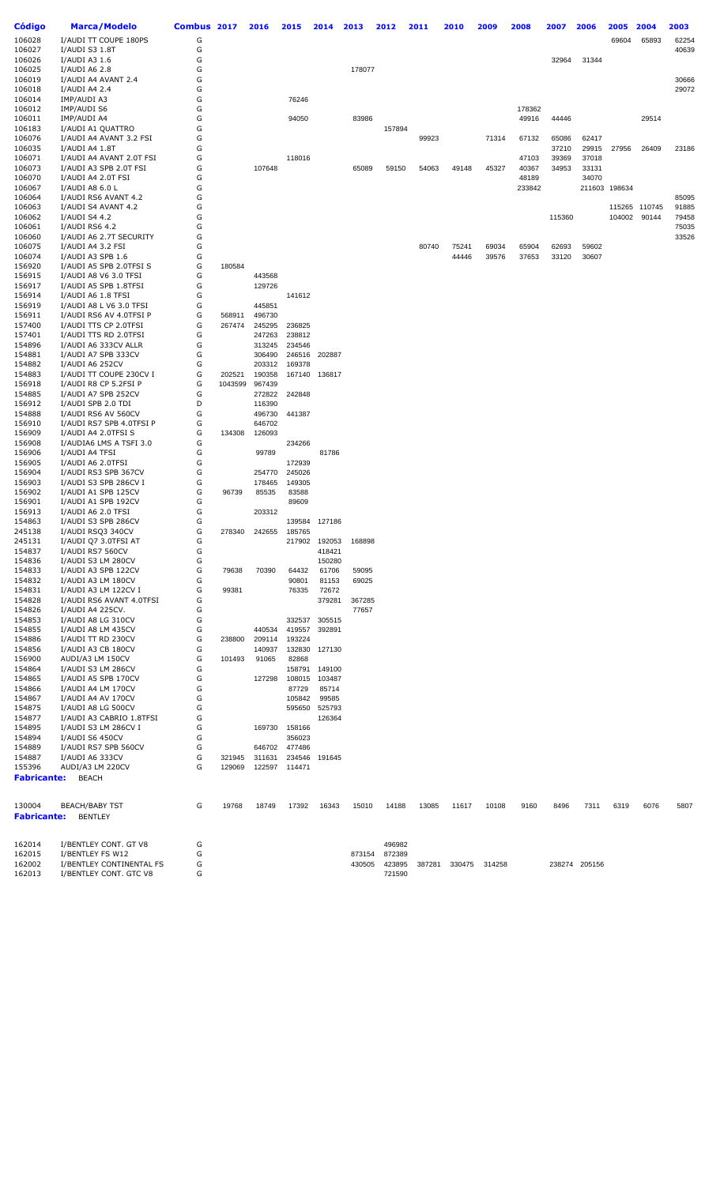| Código                       | <b>Marca/Modelo</b>                                | Combus 2017 |                   | 2016             | 2015             | 2014            | 2013           | 2012             | 2011   | 2010   | 2009   | 2008   | 2007   | 2006          | 2005          | 2004          | 2003           |
|------------------------------|----------------------------------------------------|-------------|-------------------|------------------|------------------|-----------------|----------------|------------------|--------|--------|--------|--------|--------|---------------|---------------|---------------|----------------|
| 106028                       | I/AUDI TT COUPE 180PS                              | G           |                   |                  |                  |                 |                |                  |        |        |        |        |        |               | 69604         | 65893         | 62254          |
| 106027                       | I/AUDI S3 1.8T                                     | G           |                   |                  |                  |                 |                |                  |        |        |        |        |        |               |               |               | 40639          |
| 106026                       | I/AUDI A3 1.6                                      | G           |                   |                  |                  |                 |                |                  |        |        |        |        | 32964  | 31344         |               |               |                |
| 106025                       | I/AUDI A6 2.8                                      | G           |                   |                  |                  |                 | 178077         |                  |        |        |        |        |        |               |               |               |                |
| 106019<br>106018             | I/AUDI A4 AVANT 2.4<br>I/AUDI A4 2.4               | G<br>G      |                   |                  |                  |                 |                |                  |        |        |        |        |        |               |               |               | 30666<br>29072 |
| 106014                       | IMP/AUDI A3                                        | G           |                   |                  | 76246            |                 |                |                  |        |        |        |        |        |               |               |               |                |
| 106012                       | IMP/AUDI S6                                        | G           |                   |                  |                  |                 |                |                  |        |        |        | 178362 |        |               |               |               |                |
| 106011                       | IMP/AUDI A4                                        | G           |                   |                  | 94050            |                 | 83986          |                  |        |        |        | 49916  | 44446  |               |               | 29514         |                |
| 106183                       | I/AUDI A1 QUATTRO                                  | G           |                   |                  |                  |                 |                | 157894           |        |        |        |        |        |               |               |               |                |
| 106076                       | I/AUDI A4 AVANT 3.2 FSI                            | G           |                   |                  |                  |                 |                |                  | 99923  |        | 71314  | 67132  | 65086  | 62417         |               |               |                |
| 106035                       | I/AUDI A4 1.8T                                     | G           |                   |                  |                  |                 |                |                  |        |        |        |        | 37210  | 29915         | 27956         | 26409         | 23186          |
| 106071                       | I/AUDI A4 AVANT 2.0T FSI                           | G           |                   |                  | 118016           |                 |                |                  |        |        |        | 47103  | 39369  | 37018         |               |               |                |
| 106073                       | I/AUDI A3 SPB 2.0T FSI                             | G           |                   | 107648           |                  |                 | 65089          | 59150            | 54063  | 49148  | 45327  | 40367  | 34953  | 33131         |               |               |                |
| 106070                       | I/AUDI A4 2.0T FSI                                 | G           |                   |                  |                  |                 |                |                  |        |        |        | 48189  |        | 34070         |               |               |                |
| 106067<br>106064             | I/AUDI A8 6.0 L<br>I/AUDI RS6 AVANT 4.2            | G<br>G      |                   |                  |                  |                 |                |                  |        |        |        | 233842 |        |               | 211603 198634 |               | 85095          |
| 106063                       | I/AUDI S4 AVANT 4.2                                | G           |                   |                  |                  |                 |                |                  |        |        |        |        |        |               |               | 115265 110745 | 91885          |
| 106062                       | I/AUDI S4 4.2                                      | G           |                   |                  |                  |                 |                |                  |        |        |        |        | 115360 |               | 104002        | 90144         | 79458          |
| 106061                       | I/AUDI RS6 4.2                                     | G           |                   |                  |                  |                 |                |                  |        |        |        |        |        |               |               |               | 75035          |
| 106060                       | I/AUDI A6 2.7T SECURITY                            | G           |                   |                  |                  |                 |                |                  |        |        |        |        |        |               |               |               | 33526          |
| 106075                       | I/AUDI A4 3.2 FSI                                  | G           |                   |                  |                  |                 |                |                  | 80740  | 75241  | 69034  | 65904  | 62693  | 59602         |               |               |                |
| 106074                       | I/AUDI A3 SPB 1.6                                  | G           |                   |                  |                  |                 |                |                  |        | 44446  | 39576  | 37653  | 33120  | 30607         |               |               |                |
| 156920                       | I/AUDI A5 SPB 2.0TFSI S                            | G           | 180584            |                  |                  |                 |                |                  |        |        |        |        |        |               |               |               |                |
| 156915<br>156917             | I/AUDI A8 V6 3.0 TFSI<br>I/AUDI A5 SPB 1.8TFSI     | G<br>G      |                   | 443568<br>129726 |                  |                 |                |                  |        |        |        |        |        |               |               |               |                |
| 156914                       | I/AUDI A6 1.8 TFSI                                 | G           |                   |                  | 141612           |                 |                |                  |        |        |        |        |        |               |               |               |                |
| 156919                       | I/AUDI A8 L V6 3.0 TFSI                            | G           |                   | 445851           |                  |                 |                |                  |        |        |        |        |        |               |               |               |                |
| 156911                       | I/AUDI RS6 AV 4.0TFSI P                            | G           | 568911            | 496730           |                  |                 |                |                  |        |        |        |        |        |               |               |               |                |
| 157400                       | I/AUDI TTS CP 2.0TFSI                              | G           | 267474            | 245295           | 236825           |                 |                |                  |        |        |        |        |        |               |               |               |                |
| 157401                       | I/AUDI TTS RD 2.0TFSI                              | G           |                   | 247263           | 238812           |                 |                |                  |        |        |        |        |        |               |               |               |                |
| 154896                       | I/AUDI A6 333CV ALLR                               | G           |                   | 313245           | 234546           |                 |                |                  |        |        |        |        |        |               |               |               |                |
| 154881                       | I/AUDI A7 SPB 333CV                                | G           |                   | 306490           | 246516           | 202887          |                |                  |        |        |        |        |        |               |               |               |                |
| 154882                       | I/AUDI A6 252CV                                    | G           |                   | 203312           | 169378           |                 |                |                  |        |        |        |        |        |               |               |               |                |
| 154883<br>156918             | I/AUDI TT COUPE 230CV I<br>I/AUDI R8 CP 5.2FSI P   | G<br>G      | 202521<br>1043599 | 190358<br>967439 | 167140           | 136817          |                |                  |        |        |        |        |        |               |               |               |                |
| 154885                       | I/AUDI A7 SPB 252CV                                | G           |                   | 272822           | 242848           |                 |                |                  |        |        |        |        |        |               |               |               |                |
| 156912                       | I/AUDI SPB 2.0 TDI                                 | D           |                   | 116390           |                  |                 |                |                  |        |        |        |        |        |               |               |               |                |
| 154888                       | I/AUDI RS6 AV 560CV                                | G           |                   | 496730           | 441387           |                 |                |                  |        |        |        |        |        |               |               |               |                |
| 156910                       | I/AUDI RS7 SPB 4.0TFSI P                           | G           |                   | 646702           |                  |                 |                |                  |        |        |        |        |        |               |               |               |                |
| 156909                       | I/AUDI A4 2.0TFSI S                                | G           | 134308            | 126093           |                  |                 |                |                  |        |        |        |        |        |               |               |               |                |
| 156908                       | I/AUDIA6 LMS A TSFI 3.0                            | G           |                   |                  | 234266           |                 |                |                  |        |        |        |        |        |               |               |               |                |
| 156906                       | I/AUDI A4 TFSI                                     | G           |                   | 99789            |                  | 81786           |                |                  |        |        |        |        |        |               |               |               |                |
| 156905                       | I/AUDI A6 2.0TFSI                                  | G           |                   |                  | 172939           |                 |                |                  |        |        |        |        |        |               |               |               |                |
| 156904<br>156903             | I/AUDI RS3 SPB 367CV<br>I/AUDI S3 SPB 286CV I      | G<br>G      |                   | 254770<br>178465 | 245026<br>149305 |                 |                |                  |        |        |        |        |        |               |               |               |                |
| 156902                       | I/AUDI A1 SPB 125CV                                | G           | 96739             | 85535            | 83588            |                 |                |                  |        |        |        |        |        |               |               |               |                |
| 156901                       | I/AUDI A1 SPB 192CV                                | G           |                   |                  | 89609            |                 |                |                  |        |        |        |        |        |               |               |               |                |
| 156913                       | I/AUDI A6 2.0 TFSI                                 | G           |                   | 203312           |                  |                 |                |                  |        |        |        |        |        |               |               |               |                |
| 154863                       | I/AUDI S3 SPB 286CV                                | G           |                   |                  | 139584           | 127186          |                |                  |        |        |        |        |        |               |               |               |                |
| 245138                       | I/AUDI RSQ3 340CV                                  | G           | 278340            | 242655           | 185765           |                 |                |                  |        |        |        |        |        |               |               |               |                |
| 245131                       | I/AUDI Q7 3.0TFSI AT                               | G           |                   |                  | 217902           | 192053          | 168898         |                  |        |        |        |        |        |               |               |               |                |
| 154837                       | I/AUDI RS7 560CV                                   | G           |                   |                  |                  | 418421          |                |                  |        |        |        |        |        |               |               |               |                |
| 154836                       | I/AUDI S3 LM 280CV                                 | G           |                   |                  |                  | 150280          |                |                  |        |        |        |        |        |               |               |               |                |
| 154833<br>154832             | I/AUDI A3 SPB 122CV<br>I/AUDI A3 LM 180CV          | G<br>G      | 79638             | 70390            | 64432<br>90801   | 61706<br>81153  | 59095<br>69025 |                  |        |        |        |        |        |               |               |               |                |
| 154831                       | I/AUDI A3 LM 122CV I                               | G           | 99381             |                  | 76335            | 72672           |                |                  |        |        |        |        |        |               |               |               |                |
| 154828                       | I/AUDI RS6 AVANT 4.0TFSI                           | G           |                   |                  |                  | 379281          | 367285         |                  |        |        |        |        |        |               |               |               |                |
| 154826                       | I/AUDI A4 225CV.                                   | G           |                   |                  |                  |                 | 77657          |                  |        |        |        |        |        |               |               |               |                |
| 154853                       | I/AUDI A8 LG 310CV                                 | G           |                   |                  | 332537           | 305515          |                |                  |        |        |        |        |        |               |               |               |                |
| 154855                       | I/AUDI A8 LM 435CV                                 | G           |                   | 440534           | 419557           | 392891          |                |                  |        |        |        |        |        |               |               |               |                |
| 154886                       | I/AUDI TT RD 230CV                                 | G           | 238800            | 209114           | 193224           |                 |                |                  |        |        |        |        |        |               |               |               |                |
| 154856                       | I/AUDI A3 CB 180CV                                 | G           |                   | 140937           | 132830           | 127130          |                |                  |        |        |        |        |        |               |               |               |                |
| 156900                       | AUDI/A3 LM 150CV                                   | G           | 101493            | 91065            | 82868            |                 |                |                  |        |        |        |        |        |               |               |               |                |
| 154864                       | I/AUDI S3 LM 286CV                                 | G           |                   |                  | 158791           | 149100          |                |                  |        |        |        |        |        |               |               |               |                |
| 154865<br>154866             | I/AUDI A5 SPB 170CV<br>I/AUDI A4 LM 170CV          | G<br>G      |                   | 127298           | 108015<br>87729  | 103487<br>85714 |                |                  |        |        |        |        |        |               |               |               |                |
| 154867                       | I/AUDI A4 AV 170CV                                 | G           |                   |                  | 105842           | 99585           |                |                  |        |        |        |        |        |               |               |               |                |
| 154875                       | I/AUDI A8 LG 500CV                                 | G           |                   |                  | 595650           | 525793          |                |                  |        |        |        |        |        |               |               |               |                |
| 154877                       | I/AUDI A3 CABRIO 1.8TFSI                           | G           |                   |                  |                  | 126364          |                |                  |        |        |        |        |        |               |               |               |                |
| 154895                       | I/AUDI S3 LM 286CV I                               | G           |                   | 169730           | 158166           |                 |                |                  |        |        |        |        |        |               |               |               |                |
| 154894                       | I/AUDI S6 450CV                                    | G           |                   |                  | 356023           |                 |                |                  |        |        |        |        |        |               |               |               |                |
| 154889                       | I/AUDI RS7 SPB 560CV                               | G           |                   | 646702           | 477486           |                 |                |                  |        |        |        |        |        |               |               |               |                |
| 154887                       | I/AUDI A6 333CV                                    | G           | 321945            | 311631           | 234546           | 191645          |                |                  |        |        |        |        |        |               |               |               |                |
| 155396                       | AUDI/A3 LM 220CV                                   | G           | 129069            | 122597           | 114471           |                 |                |                  |        |        |        |        |        |               |               |               |                |
| <b>Fabricante:</b>           | <b>BEACH</b>                                       |             |                   |                  |                  |                 |                |                  |        |        |        |        |        |               |               |               |                |
|                              |                                                    |             |                   |                  |                  |                 |                |                  |        |        |        |        |        |               |               |               |                |
| 130004<br><b>Fabricante:</b> | <b>BEACH/BABY TST</b><br><b>BENTLEY</b>            | G           | 19768             | 18749            | 17392            | 16343           | 15010          | 14188            | 13085  | 11617  | 10108  | 9160   | 8496   | 7311          | 6319          | 6076          | 5807           |
|                              |                                                    |             |                   |                  |                  |                 |                |                  |        |        |        |        |        |               |               |               |                |
| 162014                       | I/BENTLEY CONT. GT V8                              | G           |                   |                  |                  |                 |                | 496982           |        |        |        |        |        |               |               |               |                |
| 162015                       | I/BENTLEY FS W12                                   | G           |                   |                  |                  |                 | 873154         | 872389           |        |        |        |        |        |               |               |               |                |
| 162002<br>162013             | I/BENTLEY CONTINENTAL FS<br>I/BENTLEY CONT. GTC V8 | G<br>G      |                   |                  |                  |                 | 430505         | 423895<br>721590 | 387281 | 330475 | 314258 |        |        | 238274 205156 |               |               |                |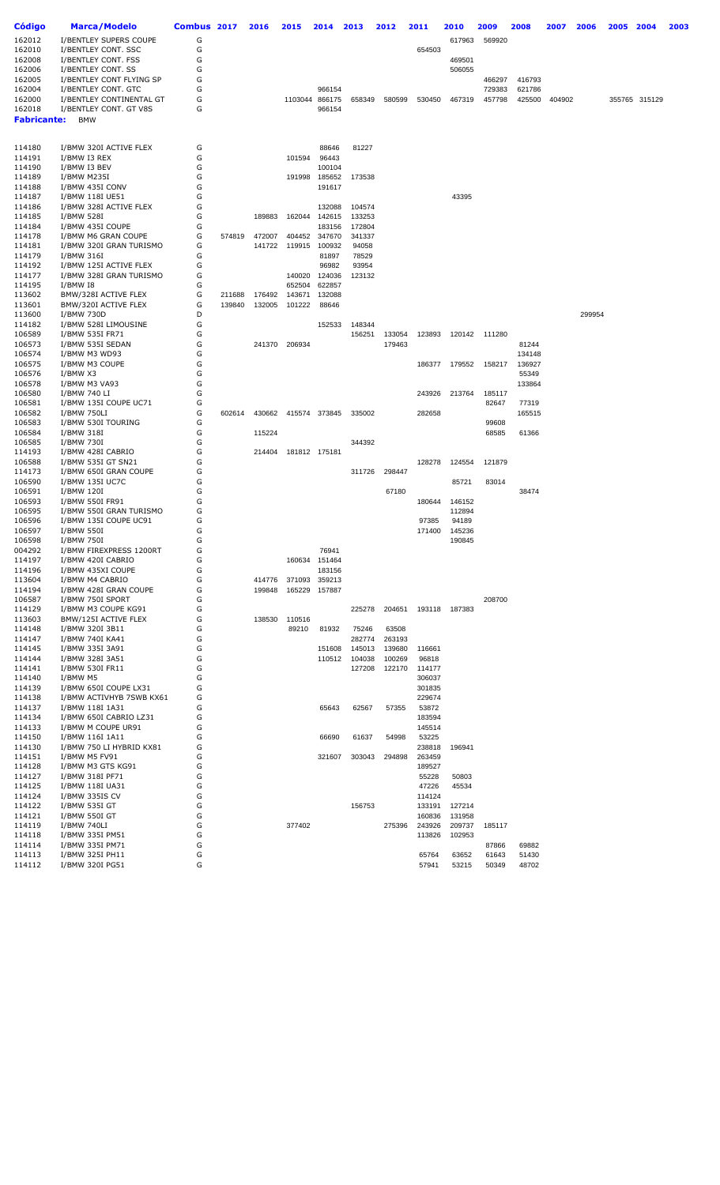| Código           | <b>Marca/Modelo</b>                             | Combus 2017 |        | 2016   | 2015          | 2014             | 2013             | 2012             | 2011             | 2010            | 2009             | 2008             | 2007   | 2006   | 2005 | 2004          | 2003 |
|------------------|-------------------------------------------------|-------------|--------|--------|---------------|------------------|------------------|------------------|------------------|-----------------|------------------|------------------|--------|--------|------|---------------|------|
| 162012           | I/BENTLEY SUPERS COUPE                          | G           |        |        |               |                  |                  |                  |                  | 617963          | 569920           |                  |        |        |      |               |      |
| 162010           | I/BENTLEY CONT. SSC                             | G           |        |        |               |                  |                  |                  | 654503           |                 |                  |                  |        |        |      |               |      |
| 162008           | I/BENTLEY CONT. FSS                             | G           |        |        |               |                  |                  |                  |                  | 469501          |                  |                  |        |        |      |               |      |
| 162006           | I/BENTLEY CONT. SS                              | G           |        |        |               |                  |                  |                  |                  | 506055          |                  |                  |        |        |      |               |      |
| 162005           | I/BENTLEY CONT FLYING SP                        | G<br>G      |        |        |               | 966154           |                  |                  |                  |                 | 466297<br>729383 | 416793<br>621786 |        |        |      |               |      |
| 162004<br>162000 | I/BENTLEY CONT. GTC<br>I/BENTLEY CONTINENTAL GT | G           |        |        |               | 1103044 866175   | 658349           | 580599           | 530450           | 467319          | 457798           | 425500           | 404902 |        |      | 355765 315129 |      |
| 162018           | I/BENTLEY CONT. GT V8S                          | G           |        |        |               | 966154           |                  |                  |                  |                 |                  |                  |        |        |      |               |      |
| Fabricante:      | <b>BMW</b>                                      |             |        |        |               |                  |                  |                  |                  |                 |                  |                  |        |        |      |               |      |
|                  |                                                 |             |        |        |               |                  |                  |                  |                  |                 |                  |                  |        |        |      |               |      |
| 114180           | I/BMW 320I ACTIVE FLEX                          | G           |        |        |               | 88646            | 81227            |                  |                  |                 |                  |                  |        |        |      |               |      |
| 114191           | I/BMW I3 REX                                    | G           |        |        | 101594        | 96443            |                  |                  |                  |                 |                  |                  |        |        |      |               |      |
| 114190           | I/BMW I3 BEV                                    | G           |        |        |               | 100104           |                  |                  |                  |                 |                  |                  |        |        |      |               |      |
| 114189           | I/BMW M235I                                     | G           |        |        | 191998        | 185652           | 173538           |                  |                  |                 |                  |                  |        |        |      |               |      |
| 114188<br>114187 | I/BMW 435I CONV<br>I/BMW 118I UE51              | G<br>G      |        |        |               | 191617           |                  |                  |                  | 43395           |                  |                  |        |        |      |               |      |
| 114186           | I/BMW 328I ACTIVE FLEX                          | G           |        |        |               | 132088           | 104574           |                  |                  |                 |                  |                  |        |        |      |               |      |
| 114185           | I/BMW 528I                                      | G           |        | 189883 | 162044        | 142615           | 133253           |                  |                  |                 |                  |                  |        |        |      |               |      |
| 114184           | I/BMW 435I COUPE                                | G           |        |        |               | 183156           | 172804           |                  |                  |                 |                  |                  |        |        |      |               |      |
| 114178           | I/BMW M6 GRAN COUPE                             | G           | 574819 | 472007 | 404452        | 347670           | 341337           |                  |                  |                 |                  |                  |        |        |      |               |      |
| 114181           | I/BMW 320I GRAN TURISMO                         | G           |        | 141722 | 119915        | 100932           | 94058            |                  |                  |                 |                  |                  |        |        |      |               |      |
| 114179<br>114192 | I/BMW 316I<br>I/BMW 125I ACTIVE FLEX            | G<br>G      |        |        |               | 81897<br>96982   | 78529<br>93954   |                  |                  |                 |                  |                  |        |        |      |               |      |
| 114177           | I/BMW 328I GRAN TURISMO                         | G           |        |        | 140020        | 124036           | 123132           |                  |                  |                 |                  |                  |        |        |      |               |      |
| 114195           | I/BMW I8                                        | G           |        |        | 652504        | 622857           |                  |                  |                  |                 |                  |                  |        |        |      |               |      |
| 113602           | BMW/328I ACTIVE FLEX                            | G           | 211688 | 176492 | 143671        | 132088           |                  |                  |                  |                 |                  |                  |        |        |      |               |      |
| 113601           | BMW/320I ACTIVE FLEX                            | G           | 139840 | 132005 | 101222        | 88646            |                  |                  |                  |                 |                  |                  |        |        |      |               |      |
| 113600<br>114182 | I/BMW 730D                                      | D           |        |        |               |                  |                  |                  |                  |                 |                  |                  |        | 299954 |      |               |      |
| 106589           | I/BMW 528I LIMOUSINE<br>I/BMW 535I FR71         | G<br>G      |        |        |               | 152533           | 148344<br>156251 | 133054           | 123893           | 120142          | 111280           |                  |        |        |      |               |      |
| 106573           | I/BMW 535I SEDAN                                | G           |        | 241370 | 206934        |                  |                  | 179463           |                  |                 |                  | 81244            |        |        |      |               |      |
| 106574           | I/BMW M3 WD93                                   | G           |        |        |               |                  |                  |                  |                  |                 |                  | 134148           |        |        |      |               |      |
| 106575           | I/BMW M3 COUPE                                  | G           |        |        |               |                  |                  |                  | 186377           | 179552          | 158217           | 136927           |        |        |      |               |      |
| 106576           | I/BMW X3                                        | G           |        |        |               |                  |                  |                  |                  |                 |                  | 55349            |        |        |      |               |      |
| 106578           | I/BMW M3 VA93                                   | G           |        |        |               |                  |                  |                  |                  |                 |                  | 133864           |        |        |      |               |      |
| 106580<br>106581 | I/BMW 740 LI<br>I/BMW 135I COUPE UC71           | G<br>G      |        |        |               |                  |                  |                  | 243926           | 213764          | 185117<br>82647  | 77319            |        |        |      |               |      |
| 106582           | I/BMW 750LI                                     | G           | 602614 | 430662 |               | 415574 373845    | 335002           |                  | 282658           |                 |                  | 165515           |        |        |      |               |      |
| 106583           | I/BMW 530I TOURING                              | G           |        |        |               |                  |                  |                  |                  |                 | 99608            |                  |        |        |      |               |      |
| 106584           | I/BMW 318I                                      | G           |        | 115224 |               |                  |                  |                  |                  |                 | 68585            | 61366            |        |        |      |               |      |
| 106585           | I/BMW 730I                                      | G           |        |        |               |                  | 344392           |                  |                  |                 |                  |                  |        |        |      |               |      |
| 114193           | I/BMW 428I CABRIO                               | G           |        | 214404 | 181812 175181 |                  |                  |                  |                  |                 |                  |                  |        |        |      |               |      |
| 106588<br>114173 | I/BMW 535I GT SN21<br>I/BMW 650I GRAN COUPE     | G<br>G      |        |        |               |                  | 311726           | 298447           | 128278           | 124554          | 121879           |                  |        |        |      |               |      |
| 106590           | I/BMW 135I UC7C                                 | G           |        |        |               |                  |                  |                  |                  | 85721           | 83014            |                  |        |        |      |               |      |
| 106591           | I/BMW 120I                                      | G           |        |        |               |                  |                  | 67180            |                  |                 |                  | 38474            |        |        |      |               |      |
| 106593           | I/BMW 550I FR91                                 | G           |        |        |               |                  |                  |                  | 180644           | 146152          |                  |                  |        |        |      |               |      |
| 106595           | I/BMW 550I GRAN TURISMO                         | G           |        |        |               |                  |                  |                  |                  | 112894          |                  |                  |        |        |      |               |      |
| 106596<br>106597 | I/BMW 135I COUPE UC91<br>I/BMW 550I             | G<br>G      |        |        |               |                  |                  |                  | 97385<br>171400  | 94189<br>145236 |                  |                  |        |        |      |               |      |
| 106598           | I/BMW 750I                                      | G           |        |        |               |                  |                  |                  |                  | 190845          |                  |                  |        |        |      |               |      |
| 004292           | I/BMW FIREXPRESS 1200RT                         | G           |        |        |               | 76941            |                  |                  |                  |                 |                  |                  |        |        |      |               |      |
| 114197           | I/BMW 420I CABRIO                               | G           |        |        |               | 160634 151464    |                  |                  |                  |                 |                  |                  |        |        |      |               |      |
| 114196           | I/BMW 435XI COUPE                               | G           |        |        |               | 183156           |                  |                  |                  |                 |                  |                  |        |        |      |               |      |
| 113604           | I/BMW M4 CABRIO                                 | G           |        | 414776 | 371093        | 359213           |                  |                  |                  |                 |                  |                  |        |        |      |               |      |
| 114194<br>106587 | I/BMW 428I GRAN COUPE<br>I/BMW 750I SPORT       | G<br>G      |        | 199848 | 165229        | 157887           |                  |                  |                  |                 | 208700           |                  |        |        |      |               |      |
| 114129           | I/BMW M3 COUPE KG91                             | G           |        |        |               |                  | 225278           | 204651           |                  | 193118 187383   |                  |                  |        |        |      |               |      |
| 113603           | BMW/125I ACTIVE FLEX                            | G           |        | 138530 | 110516        |                  |                  |                  |                  |                 |                  |                  |        |        |      |               |      |
| 114148           | I/BMW 320I 3B11                                 | G           |        |        | 89210         | 81932            | 75246            | 63508            |                  |                 |                  |                  |        |        |      |               |      |
| 114147           | I/BMW 740I KA41                                 | G           |        |        |               |                  | 282774           | 263193           |                  |                 |                  |                  |        |        |      |               |      |
| 114145<br>114144 | I/BMW 335I 3A91<br>I/BMW 328I 3A51              | G<br>G      |        |        |               | 151608<br>110512 | 145013<br>104038 | 139680<br>100269 | 116661<br>96818  |                 |                  |                  |        |        |      |               |      |
| 114141           | I/BMW 530I FR11                                 | G           |        |        |               |                  | 127208           | 122170           | 114177           |                 |                  |                  |        |        |      |               |      |
| 114140           | I/BMW M5                                        | G           |        |        |               |                  |                  |                  | 306037           |                 |                  |                  |        |        |      |               |      |
| 114139           | I/BMW 650I COUPE LX31                           | G           |        |        |               |                  |                  |                  | 301835           |                 |                  |                  |        |        |      |               |      |
| 114138           | I/BMW ACTIVHYB 7SWB KX61                        | G           |        |        |               |                  |                  |                  | 229674           |                 |                  |                  |        |        |      |               |      |
| 114137           | I/BMW 118I 1A31                                 | G           |        |        |               | 65643            | 62567            | 57355            | 53872            |                 |                  |                  |        |        |      |               |      |
| 114134<br>114133 | I/BMW 650I CABRIO LZ31<br>I/BMW M COUPE UR91    | G<br>G      |        |        |               |                  |                  |                  | 183594<br>145514 |                 |                  |                  |        |        |      |               |      |
| 114150           | I/BMW 116I 1A11                                 | G           |        |        |               | 66690            | 61637            | 54998            | 53225            |                 |                  |                  |        |        |      |               |      |
| 114130           | I/BMW 750 LI HYBRID KX81                        | G           |        |        |               |                  |                  |                  | 238818           | 196941          |                  |                  |        |        |      |               |      |
| 114151           | I/BMW M5 FV91                                   | G           |        |        |               | 321607           | 303043           | 294898           | 263459           |                 |                  |                  |        |        |      |               |      |
| 114128           | I/BMW M3 GTS KG91                               | G           |        |        |               |                  |                  |                  | 189527           |                 |                  |                  |        |        |      |               |      |
| 114127           | I/BMW 318I PF71                                 | G           |        |        |               |                  |                  |                  | 55228            | 50803           |                  |                  |        |        |      |               |      |
| 114125<br>114124 | I/BMW 118I UA31<br>I/BMW 335IS CV               | G<br>G      |        |        |               |                  |                  |                  | 47226<br>114124  | 45534           |                  |                  |        |        |      |               |      |
| 114122           | I/BMW 535I GT                                   | G           |        |        |               |                  | 156753           |                  | 133191           | 127214          |                  |                  |        |        |      |               |      |
| 114121           | I/BMW 550I GT                                   | G           |        |        |               |                  |                  |                  | 160836           | 131958          |                  |                  |        |        |      |               |      |
| 114119           | I/BMW 740LI                                     | G           |        |        | 377402        |                  |                  | 275396           | 243926           | 209737          | 185117           |                  |        |        |      |               |      |
| 114118           | I/BMW 335I PM51                                 | G           |        |        |               |                  |                  |                  | 113826           | 102953          |                  |                  |        |        |      |               |      |
| 114114           | I/BMW 335I PM71                                 | G           |        |        |               |                  |                  |                  |                  |                 | 87866            | 69882            |        |        |      |               |      |
| 114113<br>114112 | I/BMW 325I PH11<br>I/BMW 320I PG51              | G<br>G      |        |        |               |                  |                  |                  | 65764<br>57941   | 63652<br>53215  | 61643<br>50349   | 51430<br>48702   |        |        |      |               |      |
|                  |                                                 |             |        |        |               |                  |                  |                  |                  |                 |                  |                  |        |        |      |               |      |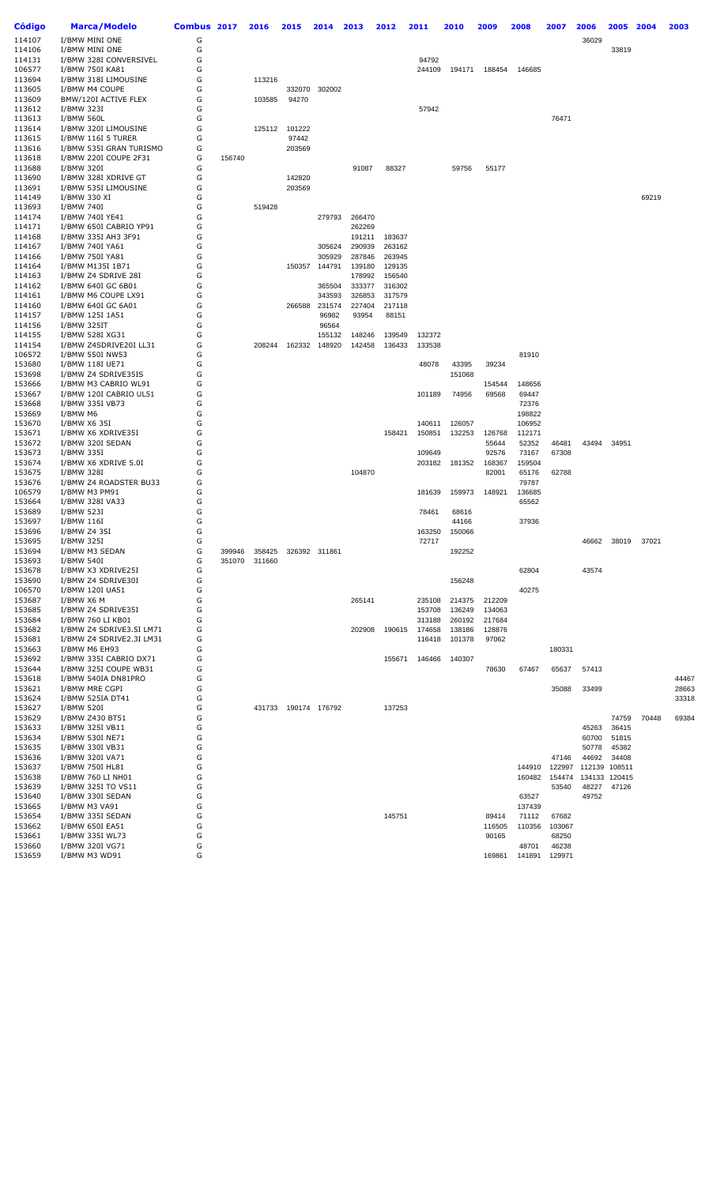| <b>Código</b>    | <b>Marca/Modelo</b>                     | Combus 2017 |        | 2016   | 2015          | 2014             | 2013             | 2012             | 2011             | 2010             | 2009             | 2008            | 2007           | 2006   | 2005          | 2004  | 2003  |
|------------------|-----------------------------------------|-------------|--------|--------|---------------|------------------|------------------|------------------|------------------|------------------|------------------|-----------------|----------------|--------|---------------|-------|-------|
| 114107           | I/BMW MINI ONE                          | G           |        |        |               |                  |                  |                  |                  |                  |                  |                 |                | 36029  |               |       |       |
| 114106           | I/BMW MINI ONE                          | G           |        |        |               |                  |                  |                  |                  |                  |                  |                 |                |        | 33819         |       |       |
| 114131           | I/BMW 328I CONVERSIVEL                  | G           |        |        |               |                  |                  |                  | 94792            |                  |                  |                 |                |        |               |       |       |
| 106577           | I/BMW 750I KA81                         | G           |        |        |               |                  |                  |                  | 244109           | 194171           | 188454           | 146685          |                |        |               |       |       |
| 113694<br>113605 | I/BMW 318I LIMOUSINE<br>I/BMW M4 COUPE  | G<br>G      |        | 113216 | 332070        | 302002           |                  |                  |                  |                  |                  |                 |                |        |               |       |       |
| 113609           | BMW/120I ACTIVE FLEX                    | G           |        | 103585 | 94270         |                  |                  |                  |                  |                  |                  |                 |                |        |               |       |       |
| 113612           | I/BMW 323I                              | G           |        |        |               |                  |                  |                  | 57942            |                  |                  |                 |                |        |               |       |       |
| 113613           | <b>I/BMW 560L</b>                       | G           |        |        |               |                  |                  |                  |                  |                  |                  |                 | 76471          |        |               |       |       |
| 113614           | I/BMW 320I LIMOUSINE                    | G           |        | 125112 | 101222        |                  |                  |                  |                  |                  |                  |                 |                |        |               |       |       |
| 113615           | I/BMW 116I 5 TURER                      | G           |        |        | 97442         |                  |                  |                  |                  |                  |                  |                 |                |        |               |       |       |
| 113616           | I/BMW 535I GRAN TURISMO                 | G           |        |        | 203569        |                  |                  |                  |                  |                  |                  |                 |                |        |               |       |       |
| 113618           | I/BMW 220I COUPE 2F31                   | G           | 156740 |        |               |                  |                  |                  |                  |                  |                  |                 |                |        |               |       |       |
| 113688<br>113690 | I/BMW 320I<br>I/BMW 328I XDRIVE GT      | G<br>G      |        |        | 142820        |                  | 91087            | 88327            |                  | 59756            | 55177            |                 |                |        |               |       |       |
| 113691           | I/BMW 535I LIMOUSINE                    | G           |        |        | 203569        |                  |                  |                  |                  |                  |                  |                 |                |        |               |       |       |
| 114149           | I/BMW 330 XI                            | G           |        |        |               |                  |                  |                  |                  |                  |                  |                 |                |        |               | 69219 |       |
| 113693           | I/BMW 740I                              | G           |        | 519428 |               |                  |                  |                  |                  |                  |                  |                 |                |        |               |       |       |
| 114174           | I/BMW 740I YE41                         | G           |        |        |               | 279793           | 266470           |                  |                  |                  |                  |                 |                |        |               |       |       |
| 114171           | I/BMW 650I CABRIO YP91                  | G           |        |        |               |                  | 262269           |                  |                  |                  |                  |                 |                |        |               |       |       |
| 114168           | I/BMW 335I AH3 3F91                     | G           |        |        |               |                  | 191211           | 183637           |                  |                  |                  |                 |                |        |               |       |       |
| 114167           | I/BMW 740I YA61                         | G           |        |        |               | 305624           | 290939           | 263162           |                  |                  |                  |                 |                |        |               |       |       |
| 114166<br>114164 | I/BMW 750I YA81<br>I/BMW M135I 1B71     | G<br>G      |        |        | 150357        | 305929<br>144791 | 287846<br>139180 | 263945<br>129135 |                  |                  |                  |                 |                |        |               |       |       |
| 114163           | I/BMW Z4 SDRIVE 28I                     | G           |        |        |               |                  | 178992           | 156540           |                  |                  |                  |                 |                |        |               |       |       |
| 114162           | I/BMW 640I GC 6B01                      | G           |        |        |               | 365504           | 333377           | 316302           |                  |                  |                  |                 |                |        |               |       |       |
| 114161           | I/BMW M6 COUPE LX91                     | G           |        |        |               | 343593           | 326853           | 317579           |                  |                  |                  |                 |                |        |               |       |       |
| 114160           | I/BMW 640I GC 6A01                      | G           |        |        | 266588        | 231574           | 227404           | 217118           |                  |                  |                  |                 |                |        |               |       |       |
| 114157           | I/BMW 125I 1A51                         | G           |        |        |               | 96982            | 93954            | 88151            |                  |                  |                  |                 |                |        |               |       |       |
| 114156           | I/BMW 325IT                             | G           |        |        |               | 96564            |                  |                  |                  |                  |                  |                 |                |        |               |       |       |
| 114155           | I/BMW 528I XG31                         | G           |        |        |               | 155132           | 148246           | 139549           | 132372           |                  |                  |                 |                |        |               |       |       |
| 114154           | I/BMW Z4SDRIVE20I LL31                  | G           |        | 208244 | 162332        | 148920           | 142458           | 136433           | 133538           |                  |                  |                 |                |        |               |       |       |
| 106572<br>153680 | I/BMW 550I NW53<br>I/BMW 118I UE71      | G<br>G      |        |        |               |                  |                  |                  | 48078            | 43395            | 39234            | 81910           |                |        |               |       |       |
| 153698           | I/BMW Z4 SDRIVE35IS                     | G           |        |        |               |                  |                  |                  |                  | 151068           |                  |                 |                |        |               |       |       |
| 153666           | I/BMW M3 CABRIO WL91                    | G           |        |        |               |                  |                  |                  |                  |                  | 154544           | 148656          |                |        |               |       |       |
| 153667           | I/BMW 120I CABRIO UL51                  | G           |        |        |               |                  |                  |                  | 101189           | 74956            | 69568            | 69447           |                |        |               |       |       |
| 153668           | I/BMW 335I VB73                         | G           |        |        |               |                  |                  |                  |                  |                  |                  | 72376           |                |        |               |       |       |
| 153669           | I/BMW M6                                | G           |        |        |               |                  |                  |                  |                  |                  |                  | 198822          |                |        |               |       |       |
| 153670           | I/BMW X6 35I                            | G           |        |        |               |                  |                  |                  | 140611           | 126057           |                  | 106952          |                |        |               |       |       |
| 153671           | I/BMW X6 XDRIVE35I                      | G<br>G      |        |        |               |                  |                  | 158421           | 150851           | 132253           | 126768           | 112171          |                |        |               |       |       |
| 153672<br>153673 | I/BMW 320I SEDAN<br>I/BMW 335I          | G           |        |        |               |                  |                  |                  | 109649           |                  | 55644<br>92576   | 52352<br>73167  | 46481<br>67308 | 43494  | 34951         |       |       |
| 153674           | I/BMW X6 XDRIVE 5.0I                    | G           |        |        |               |                  |                  |                  | 203182           | 181352           | 168367           | 159504          |                |        |               |       |       |
| 153675           | I/BMW 328I                              | G           |        |        |               |                  | 104870           |                  |                  |                  | 82001            | 65176           | 62788          |        |               |       |       |
| 153676           | I/BMW Z4 ROADSTER BU33                  | G           |        |        |               |                  |                  |                  |                  |                  |                  | 79787           |                |        |               |       |       |
| 106579           | I/BMW M3 PM91                           | G           |        |        |               |                  |                  |                  | 181639           | 159973           | 148921           | 136685          |                |        |               |       |       |
| 153664           | I/BMW 328I VA33                         | G           |        |        |               |                  |                  |                  |                  |                  |                  | 65562           |                |        |               |       |       |
| 153689           | I/BMW 523I                              | G           |        |        |               |                  |                  |                  | 78461            | 68616            |                  |                 |                |        |               |       |       |
| 153697           | I/BMW 116I                              | G<br>G      |        |        |               |                  |                  |                  |                  | 44166            |                  | 37936           |                |        |               |       |       |
| 153696<br>153695 | I/BMW Z4 35I<br>I/BMW 325I              | G           |        |        |               |                  |                  |                  | 163250<br>72717  | 150066           |                  |                 |                | 46662  | 38019         | 37021 |       |
| 153694           | I/BMW M3 SEDAN                          | G           | 399946 | 358425 |               | 326392 311861    |                  |                  |                  | 192252           |                  |                 |                |        |               |       |       |
| 153693           | I/BMW 540I                              | G           | 351070 | 311660 |               |                  |                  |                  |                  |                  |                  |                 |                |        |               |       |       |
| 153678           | I/BMW X3 XDRIVE25I                      | G           |        |        |               |                  |                  |                  |                  |                  |                  | 62804           |                | 43574  |               |       |       |
| 153690           | I/BMW Z4 SDRIVE30I                      | G           |        |        |               |                  |                  |                  |                  | 156248           |                  |                 |                |        |               |       |       |
| 106570           | I/BMW 120I UA51                         | G           |        |        |               |                  |                  |                  |                  |                  |                  | 40275           |                |        |               |       |       |
| 153687           | I/BMW X6 M                              | G           |        |        |               |                  | 265141           |                  | 235108           | 214375           | 212209<br>134063 |                 |                |        |               |       |       |
| 153685<br>153684 | I/BMW Z4 SDRIVE35I<br>I/BMW 760 LI KB01 | G<br>G      |        |        |               |                  |                  |                  | 153708<br>313188 | 136249<br>260192 | 217684           |                 |                |        |               |       |       |
| 153682           | I/BMW Z4 SDRIVE3.5I LM71                | G           |        |        |               |                  | 202908           | 190615           | 174658           | 138186           | 128876           |                 |                |        |               |       |       |
| 153681           | I/BMW Z4 SDRIVE2.3I LM31                | G           |        |        |               |                  |                  |                  | 116418           | 101378           | 97062            |                 |                |        |               |       |       |
| 153663           | I/BMW M6 EH93                           | G           |        |        |               |                  |                  |                  |                  |                  |                  |                 | 180331         |        |               |       |       |
| 153692           | I/BMW 335I CABRIO DX71                  | G           |        |        |               |                  |                  | 155671           | 146466           | 140307           |                  |                 |                |        |               |       |       |
| 153644           | I/BMW 325I COUPE WB31                   | G           |        |        |               |                  |                  |                  |                  |                  | 78630            | 67467           | 65637          | 57413  |               |       |       |
| 153618           | I/BMW 540IA DN81PRO                     | G           |        |        |               |                  |                  |                  |                  |                  |                  |                 |                |        |               |       | 44467 |
| 153621           | I/BMW MRE CGPI                          | G           |        |        |               |                  |                  |                  |                  |                  |                  |                 | 35088          | 33499  |               |       | 28663 |
| 153624           | I/BMW 525IA DT41                        | G           |        |        |               |                  |                  |                  |                  |                  |                  |                 |                |        |               |       | 33318 |
| 153627<br>153629 | I/BMW 520I<br>I/BMW Z430 BT51           | G<br>G      |        | 431733 | 190174 176792 |                  |                  | 137253           |                  |                  |                  |                 |                |        | 74759         | 70448 | 69384 |
| 153633           | I/BMW 325I VB11                         | G           |        |        |               |                  |                  |                  |                  |                  |                  |                 |                | 45263  | 36415         |       |       |
| 153634           | I/BMW 530I NE71                         | G           |        |        |               |                  |                  |                  |                  |                  |                  |                 |                | 60700  | 51815         |       |       |
| 153635           | I/BMW 330I VB31                         | G           |        |        |               |                  |                  |                  |                  |                  |                  |                 |                | 50778  | 45382         |       |       |
| 153636           | I/BMW 320I VA71                         | G           |        |        |               |                  |                  |                  |                  |                  |                  |                 | 47146          | 44692  | 34408         |       |       |
| 153637           | I/BMW 750I HL81                         | G           |        |        |               |                  |                  |                  |                  |                  |                  | 144910          | 122997         | 112139 | 108511        |       |       |
| 153638           | I/BMW 760 LI NH01                       | G           |        |        |               |                  |                  |                  |                  |                  |                  | 160482          | 154474         |        | 134133 120415 |       |       |
| 153639           | I/BMW 325I TO VS11                      | G           |        |        |               |                  |                  |                  |                  |                  |                  |                 | 53540          | 48227  | 47126         |       |       |
| 153640<br>153665 | I/BMW 330I SEDAN<br>I/BMW M3 VA91       | G<br>G      |        |        |               |                  |                  |                  |                  |                  |                  | 63527<br>137439 |                | 49752  |               |       |       |
| 153654           | I/BMW 335I SEDAN                        | G           |        |        |               |                  |                  | 145751           |                  |                  | 89414            | 71112           | 67682          |        |               |       |       |
| 153662           | I/BMW 650I EA51                         | G           |        |        |               |                  |                  |                  |                  |                  | 116505           | 110356          | 103067         |        |               |       |       |
| 153661           | I/BMW 335I WL73                         | G           |        |        |               |                  |                  |                  |                  |                  | 90165            |                 | 68250          |        |               |       |       |
| 153660           | I/BMW 320I VG71                         | G           |        |        |               |                  |                  |                  |                  |                  |                  | 48701           | 46238          |        |               |       |       |
| 153659           | I/BMW M3 WD91                           | G           |        |        |               |                  |                  |                  |                  |                  | 169861           | 141891          | 129971         |        |               |       |       |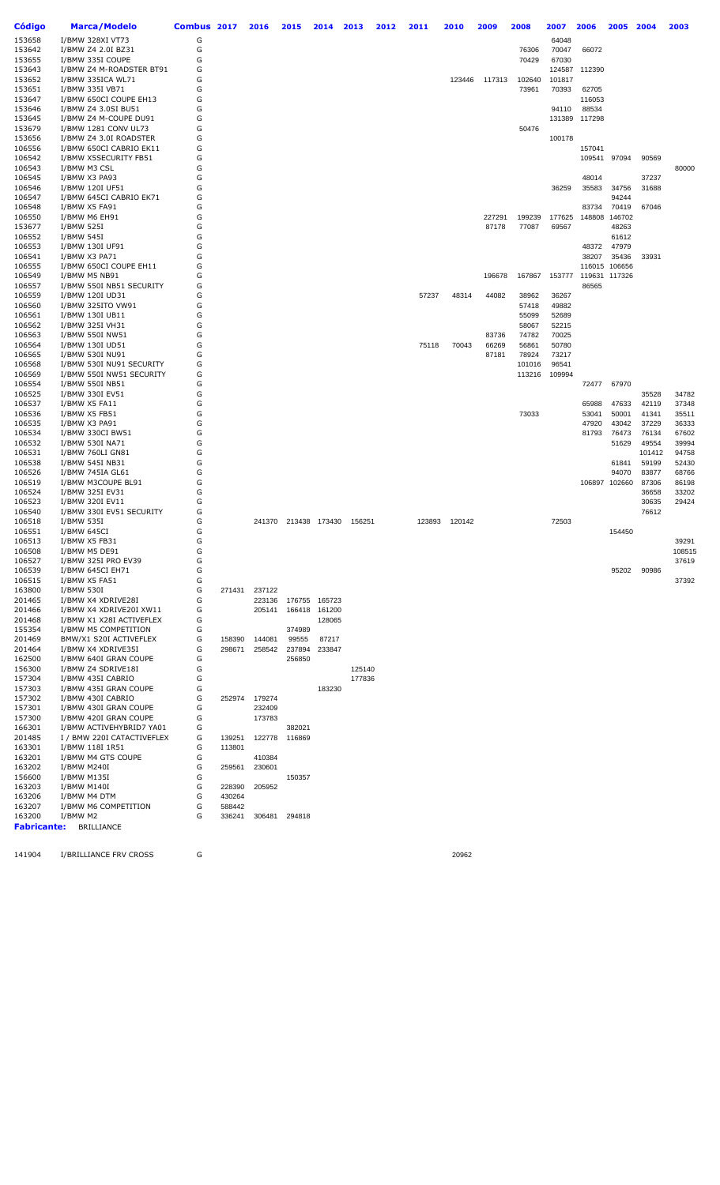| Código             | <b>Marca/Modelo</b>                               | Combus 2017 |                  | 2016   | 2015                 | 2014   | 2013   | 2012 | 2011   | 2010   | 2009   | 2008            | 2007            | 2006          | 2005           | 2004            | 2003           |
|--------------------|---------------------------------------------------|-------------|------------------|--------|----------------------|--------|--------|------|--------|--------|--------|-----------------|-----------------|---------------|----------------|-----------------|----------------|
| 153658             | I/BMW 328XI VT73                                  | G           |                  |        |                      |        |        |      |        |        |        |                 | 64048           |               |                |                 |                |
| 153642             | I/BMW Z4 2.0I BZ31                                | G           |                  |        |                      |        |        |      |        |        |        | 76306           | 70047           | 66072         |                |                 |                |
| 153655             | I/BMW 335I COUPE                                  | G           |                  |        |                      |        |        |      |        |        |        | 70429           | 67030           |               |                |                 |                |
| 153643             | I/BMW Z4 M-ROADSTER BT91                          | G           |                  |        |                      |        |        |      |        |        |        |                 |                 | 124587 112390 |                |                 |                |
| 153652<br>153651   | I/BMW 335ICA WL71<br>I/BMW 335I VB71              | G<br>G      |                  |        |                      |        |        |      |        | 123446 | 117313 | 102640<br>73961 | 101817<br>70393 | 62705         |                |                 |                |
| 153647             | I/BMW 650CI COUPE EH13                            | G           |                  |        |                      |        |        |      |        |        |        |                 |                 | 116053        |                |                 |                |
| 153646             | I/BMW Z4 3.0SI BU51                               | G           |                  |        |                      |        |        |      |        |        |        |                 | 94110           | 88534         |                |                 |                |
| 153645             | I/BMW Z4 M-COUPE DU91                             | G           |                  |        |                      |        |        |      |        |        |        |                 |                 | 131389 117298 |                |                 |                |
| 153679             | I/BMW 1281 CONV UL73                              | G           |                  |        |                      |        |        |      |        |        |        | 50476           |                 |               |                |                 |                |
| 153656             | I/BMW Z4 3.0I ROADSTER                            | G           |                  |        |                      |        |        |      |        |        |        |                 | 100178          |               |                |                 |                |
| 106556             | I/BMW 650CI CABRIO EK11                           | G           |                  |        |                      |        |        |      |        |        |        |                 |                 | 157041        |                |                 |                |
| 106542<br>106543   | I/BMW X5SECURITY FB51<br>I/BMW M3 CSL             | G<br>G      |                  |        |                      |        |        |      |        |        |        |                 |                 | 109541        | 97094          | 90569           | 80000          |
| 106545             | I/BMW X3 PA93                                     | G           |                  |        |                      |        |        |      |        |        |        |                 |                 | 48014         |                | 37237           |                |
| 106546             | I/BMW 120I UF51                                   | G           |                  |        |                      |        |        |      |        |        |        |                 | 36259           | 35583         | 34756          | 31688           |                |
| 106547             | I/BMW 645CI CABRIO EK71                           | G           |                  |        |                      |        |        |      |        |        |        |                 |                 |               | 94244          |                 |                |
| 106548             | I/BMW X5 FA91                                     | G           |                  |        |                      |        |        |      |        |        |        |                 |                 | 83734         | 70419          | 67046           |                |
| 106550             | I/BMW M6 EH91                                     | G           |                  |        |                      |        |        |      |        |        | 227291 | 199239          | 177625          | 148808        | 146702         |                 |                |
| 153677<br>106552   | I/BMW 525I<br>I/BMW 545I                          | G<br>G      |                  |        |                      |        |        |      |        |        | 87178  | 77087           | 69567           |               | 48263<br>61612 |                 |                |
| 106553             | I/BMW 130I UF91                                   | G           |                  |        |                      |        |        |      |        |        |        |                 |                 | 48372         | 47979          |                 |                |
| 106541             | I/BMW X3 PA71                                     | G           |                  |        |                      |        |        |      |        |        |        |                 |                 | 38207         | 35436          | 33931           |                |
| 106555             | I/BMW 650CI COUPE EH11                            | G           |                  |        |                      |        |        |      |        |        |        |                 |                 | 116015 106656 |                |                 |                |
| 106549             | I/BMW M5 NB91                                     | G           |                  |        |                      |        |        |      |        |        | 196678 | 167867          | 153777          | 119631        | 117326         |                 |                |
| 106557             | I/BMW 550I NB51 SECURITY                          | G           |                  |        |                      |        |        |      |        |        |        |                 |                 | 86565         |                |                 |                |
| 106559<br>106560   | I/BMW 120I UD31<br>I/BMW 325ITO VW91              | G<br>G      |                  |        |                      |        |        |      | 57237  | 48314  | 44082  | 38962<br>57418  | 36267<br>49882  |               |                |                 |                |
| 106561             | I/BMW 130I UB11                                   | G           |                  |        |                      |        |        |      |        |        |        | 55099           | 52689           |               |                |                 |                |
| 106562             | I/BMW 325I VH31                                   | G           |                  |        |                      |        |        |      |        |        |        | 58067           | 52215           |               |                |                 |                |
| 106563             | I/BMW 550I NW51                                   | G           |                  |        |                      |        |        |      |        |        | 83736  | 74782           | 70025           |               |                |                 |                |
| 106564             | I/BMW 130I UD51                                   | G           |                  |        |                      |        |        |      | 75118  | 70043  | 66269  | 56861           | 50780           |               |                |                 |                |
| 106565             | I/BMW 530I NU91                                   | G           |                  |        |                      |        |        |      |        |        | 87181  | 78924           | 73217           |               |                |                 |                |
| 106568             | I/BMW 530I NU91 SECURITY                          | G           |                  |        |                      |        |        |      |        |        |        | 101016          | 96541           |               |                |                 |                |
| 106569<br>106554   | I/BMW 550I NW51 SECURITY<br>I/BMW 550I NB51       | G<br>G      |                  |        |                      |        |        |      |        |        |        | 113216          | 109994          | 72477         | 67970          |                 |                |
| 106525             | I/BMW 330I EV51                                   | G           |                  |        |                      |        |        |      |        |        |        |                 |                 |               |                | 35528           | 34782          |
| 106537             | I/BMW X5 FA11                                     | G           |                  |        |                      |        |        |      |        |        |        |                 |                 | 65988         | 47633          | 42119           | 37348          |
| 106536             | I/BMW X5 FB51                                     | G           |                  |        |                      |        |        |      |        |        |        | 73033           |                 | 53041         | 50001          | 41341           | 35511          |
| 106535             | I/BMW X3 PA91                                     | G           |                  |        |                      |        |        |      |        |        |        |                 |                 | 47920         | 43042          | 37229           | 36333          |
| 106534             | I/BMW 330CI BW51                                  | G           |                  |        |                      |        |        |      |        |        |        |                 |                 | 81793         | 76473          | 76134           | 67602          |
| 106532<br>106531   | I/BMW 530I NA71<br>I/BMW 760LI GN81               | G<br>G      |                  |        |                      |        |        |      |        |        |        |                 |                 |               | 51629          | 49554<br>101412 | 39994<br>94758 |
| 106538             | I/BMW 545I NB31                                   | G           |                  |        |                      |        |        |      |        |        |        |                 |                 |               | 61841          | 59199           | 52430          |
| 106526             | I/BMW 745IA GL61                                  | G           |                  |        |                      |        |        |      |        |        |        |                 |                 |               | 94070          | 83877           | 68766          |
| 106519             | I/BMW M3COUPE BL91                                | G           |                  |        |                      |        |        |      |        |        |        |                 |                 | 106897 102660 |                | 87306           | 86198          |
| 106524             | I/BMW 325I EV31                                   | G           |                  |        |                      |        |        |      |        |        |        |                 |                 |               |                | 36658           | 33202          |
| 106523             | I/BMW 320I EV11                                   | G           |                  |        |                      |        |        |      |        |        |        |                 |                 |               |                | 30635           | 29424          |
| 106540<br>106518   | I/BMW 330I EV51 SECURITY<br>I/BMW 535I            | G<br>G      |                  |        | 241370 213438 173430 |        | 156251 |      | 123893 | 120142 |        |                 | 72503           |               |                | 76612           |                |
| 106551             | I/BMW 645CI                                       | G           |                  |        |                      |        |        |      |        |        |        |                 |                 |               | 154450         |                 |                |
| 106513             | I/BMW X5 FB31                                     | G           |                  |        |                      |        |        |      |        |        |        |                 |                 |               |                |                 | 39291          |
| 106508             | I/BMW M5 DE91                                     | G           |                  |        |                      |        |        |      |        |        |        |                 |                 |               |                |                 | 108515         |
| 106527             | I/BMW 325I PRO EV39                               | G           |                  |        |                      |        |        |      |        |        |        |                 |                 |               |                |                 | 37619          |
| 106539             | I/BMW 645CI EH71<br>I/BMW X5 FA51                 | G           |                  |        |                      |        |        |      |        |        |        |                 |                 |               | 95202          | 90986           |                |
| 106515<br>163800   | I/BMW 530I                                        | G<br>G      | 271431           | 237122 |                      |        |        |      |        |        |        |                 |                 |               |                |                 | 37392          |
| 201465             | I/BMW X4 XDRIVE28I                                | G           |                  | 223136 | 176755 165723        |        |        |      |        |        |        |                 |                 |               |                |                 |                |
| 201466             | I/BMW X4 XDRIVE20I XW11                           | G           |                  | 205141 | 166418               | 161200 |        |      |        |        |        |                 |                 |               |                |                 |                |
| 201468             | I/BMW X1 X28I ACTIVEFLEX                          | G           |                  |        |                      | 128065 |        |      |        |        |        |                 |                 |               |                |                 |                |
| 155354             | I/BMW M5 COMPETITION                              | G           |                  |        | 374989               |        |        |      |        |        |        |                 |                 |               |                |                 |                |
| 201469             | BMW/X1 S20I ACTIVEFLEX                            | G           | 158390           | 144081 | 99555                | 87217  |        |      |        |        |        |                 |                 |               |                |                 |                |
| 201464<br>162500   | I/BMW X4 XDRIVE35I<br>I/BMW 640I GRAN COUPE       | G<br>G      | 298671           | 258542 | 237894<br>256850     | 233847 |        |      |        |        |        |                 |                 |               |                |                 |                |
| 156300             | I/BMW Z4 SDRIVE18I                                | G           |                  |        |                      |        | 125140 |      |        |        |        |                 |                 |               |                |                 |                |
| 157304             | I/BMW 435I CABRIO                                 | G           |                  |        |                      |        | 177836 |      |        |        |        |                 |                 |               |                |                 |                |
| 157303             | I/BMW 435I GRAN COUPE                             | G           |                  |        |                      | 183230 |        |      |        |        |        |                 |                 |               |                |                 |                |
| 157302             | I/BMW 430I CABRIO                                 | G           | 252974           | 179274 |                      |        |        |      |        |        |        |                 |                 |               |                |                 |                |
| 157301             | I/BMW 430I GRAN COUPE                             | G           |                  | 232409 |                      |        |        |      |        |        |        |                 |                 |               |                |                 |                |
| 157300<br>166301   | I/BMW 420I GRAN COUPE<br>I/BMW ACTIVEHYBRID7 YA01 | G<br>G      |                  | 173783 | 382021               |        |        |      |        |        |        |                 |                 |               |                |                 |                |
| 201485             | I / BMW 220I CATACTIVEFLEX                        | G           | 139251           | 122778 | 116869               |        |        |      |        |        |        |                 |                 |               |                |                 |                |
| 163301             | I/BMW 118I 1R51                                   | G           | 113801           |        |                      |        |        |      |        |        |        |                 |                 |               |                |                 |                |
| 163201             | I/BMW M4 GTS COUPE                                | G           |                  | 410384 |                      |        |        |      |        |        |        |                 |                 |               |                |                 |                |
| 163202             | I/BMW M240I                                       | G           | 259561           | 230601 |                      |        |        |      |        |        |        |                 |                 |               |                |                 |                |
| 156600             | I/BMW M135I                                       | G           |                  |        | 150357               |        |        |      |        |        |        |                 |                 |               |                |                 |                |
| 163203             | I/BMW M140I                                       | G<br>G      | 228390           | 205952 |                      |        |        |      |        |        |        |                 |                 |               |                |                 |                |
| 163206<br>163207   | I/BMW M4 DTM<br>I/BMW M6 COMPETITION              | G           | 430264<br>588442 |        |                      |        |        |      |        |        |        |                 |                 |               |                |                 |                |
| 163200             | I/BMW M2                                          | G           | 336241           | 306481 | 294818               |        |        |      |        |        |        |                 |                 |               |                |                 |                |
| <b>Fabricante:</b> | <b>BRILLIANCE</b>                                 |             |                  |        |                      |        |        |      |        |        |        |                 |                 |               |                |                 |                |

141904 I/BRILLIANCE FRV CROSS G CONTROL CONSERVED A 20962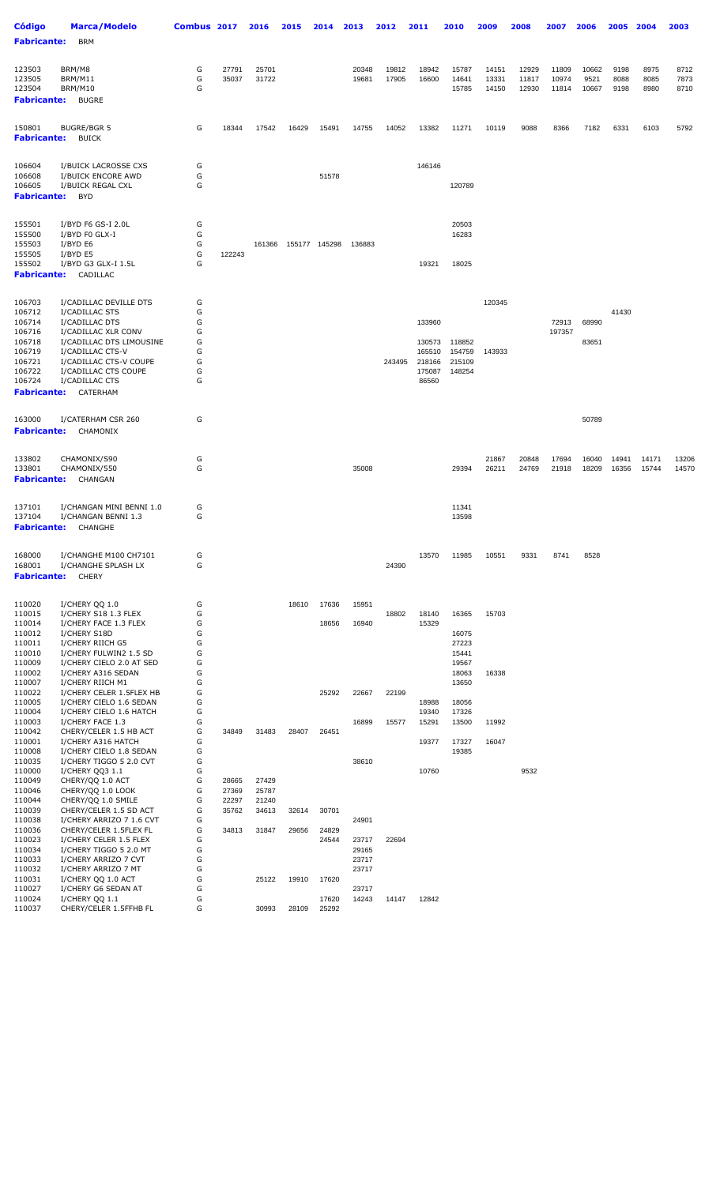| <b>Código</b><br><b>Fabricante:</b>              | <b>Marca/Modelo</b><br><b>BRM</b>                  | Combus 2017 |                | 2016           | 2015  | 2014          | 2013           | 2012           | 2011             | 2010                    | 2009                    | 2008                    | 2007                    | 2006                   | 2005                 | 2004                 | 2003                 |
|--------------------------------------------------|----------------------------------------------------|-------------|----------------|----------------|-------|---------------|----------------|----------------|------------------|-------------------------|-------------------------|-------------------------|-------------------------|------------------------|----------------------|----------------------|----------------------|
|                                                  |                                                    |             |                |                |       |               |                |                |                  |                         |                         |                         |                         |                        |                      |                      |                      |
| 123503<br>123505<br>123504<br><b>Fabricante:</b> | BRM/M8<br>BRM/M11<br>BRM/M10<br><b>BUGRE</b>       | G<br>G<br>G | 27791<br>35037 | 25701<br>31722 |       |               | 20348<br>19681 | 19812<br>17905 | 18942<br>16600   | 15787<br>14641<br>15785 | 14151<br>13331<br>14150 | 12929<br>11817<br>12930 | 11809<br>10974<br>11814 | 10662<br>9521<br>10667 | 9198<br>8088<br>9198 | 8975<br>8085<br>8980 | 8712<br>7873<br>8710 |
| 150801<br><b>Fabricante:</b>                     | <b>BUGRE/BGR 5</b><br><b>BUICK</b>                 | G           | 18344          | 17542          | 16429 | 15491         | 14755          | 14052          | 13382            | 11271                   | 10119                   | 9088                    | 8366                    | 7182                   | 6331                 | 6103                 | 5792                 |
|                                                  |                                                    |             |                |                |       |               |                |                |                  |                         |                         |                         |                         |                        |                      |                      |                      |
| 106604                                           | I/BUICK LACROSSE CXS                               | G           |                |                |       |               |                |                | 146146           |                         |                         |                         |                         |                        |                      |                      |                      |
| 106608<br>106605                                 | I/BUICK ENCORE AWD<br>I/BUICK REGAL CXL            | G<br>G      |                |                |       | 51578         |                |                |                  | 120789                  |                         |                         |                         |                        |                      |                      |                      |
| <b>Fabricante:</b>                               | <b>BYD</b>                                         |             |                |                |       |               |                |                |                  |                         |                         |                         |                         |                        |                      |                      |                      |
|                                                  |                                                    |             |                |                |       |               |                |                |                  |                         |                         |                         |                         |                        |                      |                      |                      |
| 155501<br>155500                                 | I/BYD F6 GS-I 2.0L<br>I/BYD FO GLX-I               | G<br>G      |                |                |       |               |                |                |                  | 20503<br>16283          |                         |                         |                         |                        |                      |                      |                      |
| 155503                                           | I/BYD E6                                           | G           |                | 161366         |       | 155177 145298 | 136883         |                |                  |                         |                         |                         |                         |                        |                      |                      |                      |
| 155505                                           | I/BYD E5                                           | G           | 122243         |                |       |               |                |                |                  |                         |                         |                         |                         |                        |                      |                      |                      |
| 155502<br><b>Fabricante:</b>                     | I/BYD G3 GLX-I 1.5L<br>CADILLAC                    | G           |                |                |       |               |                |                | 19321            | 18025                   |                         |                         |                         |                        |                      |                      |                      |
|                                                  |                                                    |             |                |                |       |               |                |                |                  |                         |                         |                         |                         |                        |                      |                      |                      |
| 106703<br>106712                                 | I/CADILLAC DEVILLE DTS<br>I/CADILLAC STS           | G<br>G      |                |                |       |               |                |                |                  |                         | 120345                  |                         |                         |                        | 41430                |                      |                      |
| 106714                                           | I/CADILLAC DTS                                     | G           |                |                |       |               |                |                | 133960           |                         |                         |                         | 72913                   | 68990                  |                      |                      |                      |
| 106716<br>106718                                 | I/CADILLAC XLR CONV<br>I/CADILLAC DTS LIMOUSINE    | G<br>G      |                |                |       |               |                |                | 130573           | 118852                  |                         |                         | 197357                  | 83651                  |                      |                      |                      |
| 106719                                           | I/CADILLAC CTS-V                                   | G           |                |                |       |               |                |                | 165510           | 154759                  | 143933                  |                         |                         |                        |                      |                      |                      |
| 106721<br>106722                                 | I/CADILLAC CTS-V COUPE<br>I/CADILLAC CTS COUPE     | G<br>G      |                |                |       |               |                | 243495         | 218166<br>175087 | 215109<br>148254        |                         |                         |                         |                        |                      |                      |                      |
| 106724                                           | I/CADILLAC CTS                                     | G           |                |                |       |               |                |                | 86560            |                         |                         |                         |                         |                        |                      |                      |                      |
| <b>Fabricante:</b>                               | CATERHAM                                           |             |                |                |       |               |                |                |                  |                         |                         |                         |                         |                        |                      |                      |                      |
| 163000                                           | I/CATERHAM CSR 260                                 | G           |                |                |       |               |                |                |                  |                         |                         |                         |                         | 50789                  |                      |                      |                      |
| <b>Fabricante:</b>                               | CHAMONIX                                           |             |                |                |       |               |                |                |                  |                         |                         |                         |                         |                        |                      |                      |                      |
|                                                  |                                                    |             |                |                |       |               |                |                |                  |                         |                         |                         |                         |                        |                      |                      |                      |
| 133802<br>133801                                 | CHAMONIX/S90<br>CHAMONIX/550                       | G<br>G      |                |                |       |               | 35008          |                |                  | 29394                   | 21867<br>26211          | 20848<br>24769          | 17694<br>21918          | 16040<br>18209         | 14941<br>16356       | 14171<br>15744       | 13206<br>14570       |
| <b>Fabricante:</b>                               | CHANGAN                                            |             |                |                |       |               |                |                |                  |                         |                         |                         |                         |                        |                      |                      |                      |
|                                                  |                                                    |             |                |                |       |               |                |                |                  |                         |                         |                         |                         |                        |                      |                      |                      |
| 137101<br>137104                                 | I/CHANGAN MINI BENNI 1.0<br>I/CHANGAN BENNI 1.3    | G<br>G      |                |                |       |               |                |                |                  | 11341<br>13598          |                         |                         |                         |                        |                      |                      |                      |
| <b>Fabricante:</b>                               | CHANGHE                                            |             |                |                |       |               |                |                |                  |                         |                         |                         |                         |                        |                      |                      |                      |
|                                                  |                                                    |             |                |                |       |               |                |                |                  |                         |                         |                         |                         |                        |                      |                      |                      |
| 168000                                           | I/CHANGHE M100 CH7101                              | G           |                |                |       |               |                |                | 13570            | 11985                   | 10551                   | 9331                    | 8741                    | 8528                   |                      |                      |                      |
| 168001<br><b>Fabricante:</b>                     | I/CHANGHE SPLASH LX<br><b>CHERY</b>                | G           |                |                |       |               |                | 24390          |                  |                         |                         |                         |                         |                        |                      |                      |                      |
|                                                  |                                                    |             |                |                |       |               |                |                |                  |                         |                         |                         |                         |                        |                      |                      |                      |
| 110020<br>110015                                 | I/CHERY QO 1.0<br>I/CHERY S18 1.3 FLEX             | G<br>G      |                |                | 18610 | 17636         | 15951          | 18802          | 18140            | 16365                   | 15703                   |                         |                         |                        |                      |                      |                      |
| 110014                                           | I/CHERY FACE 1.3 FLEX                              | G           |                |                |       | 18656         | 16940          |                | 15329            |                         |                         |                         |                         |                        |                      |                      |                      |
| 110012                                           | I/CHERY S18D                                       | G           |                |                |       |               |                |                |                  | 16075                   |                         |                         |                         |                        |                      |                      |                      |
| 110011<br>110010                                 | I/CHERY RIICH G5<br>I/CHERY FULWIN2 1.5 SD         | G<br>G      |                |                |       |               |                |                |                  | 27223<br>15441          |                         |                         |                         |                        |                      |                      |                      |
| 110009                                           | I/CHERY CIELO 2.0 AT SED                           | G           |                |                |       |               |                |                |                  | 19567                   |                         |                         |                         |                        |                      |                      |                      |
| 110002<br>110007                                 | I/CHERY A316 SEDAN<br>I/CHERY RIICH M1             | G<br>G      |                |                |       |               |                |                |                  | 18063                   | 16338                   |                         |                         |                        |                      |                      |                      |
| 110022                                           | I/CHERY CELER 1.5FLEX HB                           | G           |                |                |       | 25292         | 22667          | 22199          |                  | 13650                   |                         |                         |                         |                        |                      |                      |                      |
| 110005                                           | I/CHERY CIELO 1.6 SEDAN                            | G           |                |                |       |               |                |                | 18988            | 18056                   |                         |                         |                         |                        |                      |                      |                      |
| 110004<br>110003                                 | I/CHERY CIELO 1.6 HATCH<br>I/CHERY FACE 1.3        | G<br>G      |                |                |       |               | 16899          | 15577          | 19340<br>15291   | 17326<br>13500          | 11992                   |                         |                         |                        |                      |                      |                      |
| 110042                                           | CHERY/CELER 1.5 HB ACT                             | G           | 34849          | 31483          | 28407 | 26451         |                |                |                  |                         |                         |                         |                         |                        |                      |                      |                      |
| 110001                                           | I/CHERY A316 HATCH                                 | G           |                |                |       |               |                |                | 19377            | 17327                   | 16047                   |                         |                         |                        |                      |                      |                      |
| 110008<br>110035                                 | I/CHERY CIELO 1.8 SEDAN<br>I/CHERY TIGGO 5 2.0 CVT | G<br>G      |                |                |       |               | 38610          |                |                  | 19385                   |                         |                         |                         |                        |                      |                      |                      |
| 110000                                           | I/CHERY QQ3 1.1                                    | G           |                |                |       |               |                |                | 10760            |                         |                         | 9532                    |                         |                        |                      |                      |                      |
| 110049<br>110046                                 | CHERY/QQ 1.0 ACT<br>CHERY/QQ 1.0 LOOK              | G<br>G      | 28665<br>27369 | 27429<br>25787 |       |               |                |                |                  |                         |                         |                         |                         |                        |                      |                      |                      |
| 110044                                           | CHERY/QQ 1.0 SMILE                                 | G           | 22297          | 21240          |       |               |                |                |                  |                         |                         |                         |                         |                        |                      |                      |                      |
| 110039                                           | CHERY/CELER 1.5 SD ACT                             | G           | 35762          | 34613          | 32614 | 30701         |                |                |                  |                         |                         |                         |                         |                        |                      |                      |                      |
| 110038<br>110036                                 | I/CHERY ARRIZO 7 1.6 CVT<br>CHERY/CELER 1.5FLEX FL | G<br>G      | 34813          | 31847          | 29656 | 24829         | 24901          |                |                  |                         |                         |                         |                         |                        |                      |                      |                      |
| 110023                                           | I/CHERY CELER 1.5 FLEX                             | G           |                |                |       | 24544         | 23717          | 22694          |                  |                         |                         |                         |                         |                        |                      |                      |                      |
| 110034<br>110033                                 | I/CHERY TIGGO 5 2.0 MT<br>I/CHERY ARRIZO 7 CVT     | G<br>G      |                |                |       |               | 29165<br>23717 |                |                  |                         |                         |                         |                         |                        |                      |                      |                      |
| 110032                                           | I/CHERY ARRIZO 7 MT                                | G           |                |                |       |               | 23717          |                |                  |                         |                         |                         |                         |                        |                      |                      |                      |
| 110031                                           | I/CHERY QQ 1.0 ACT                                 | G           |                | 25122          | 19910 | 17620         |                |                |                  |                         |                         |                         |                         |                        |                      |                      |                      |
| 110027<br>110024                                 | I/CHERY G6 SEDAN AT<br>I/CHERY QQ 1.1              | G<br>G      |                |                |       | 17620         | 23717<br>14243 | 14147          | 12842            |                         |                         |                         |                         |                        |                      |                      |                      |
| 110037                                           | CHERY/CELER 1.5FFHB FL                             | G           |                | 30993          | 28109 | 25292         |                |                |                  |                         |                         |                         |                         |                        |                      |                      |                      |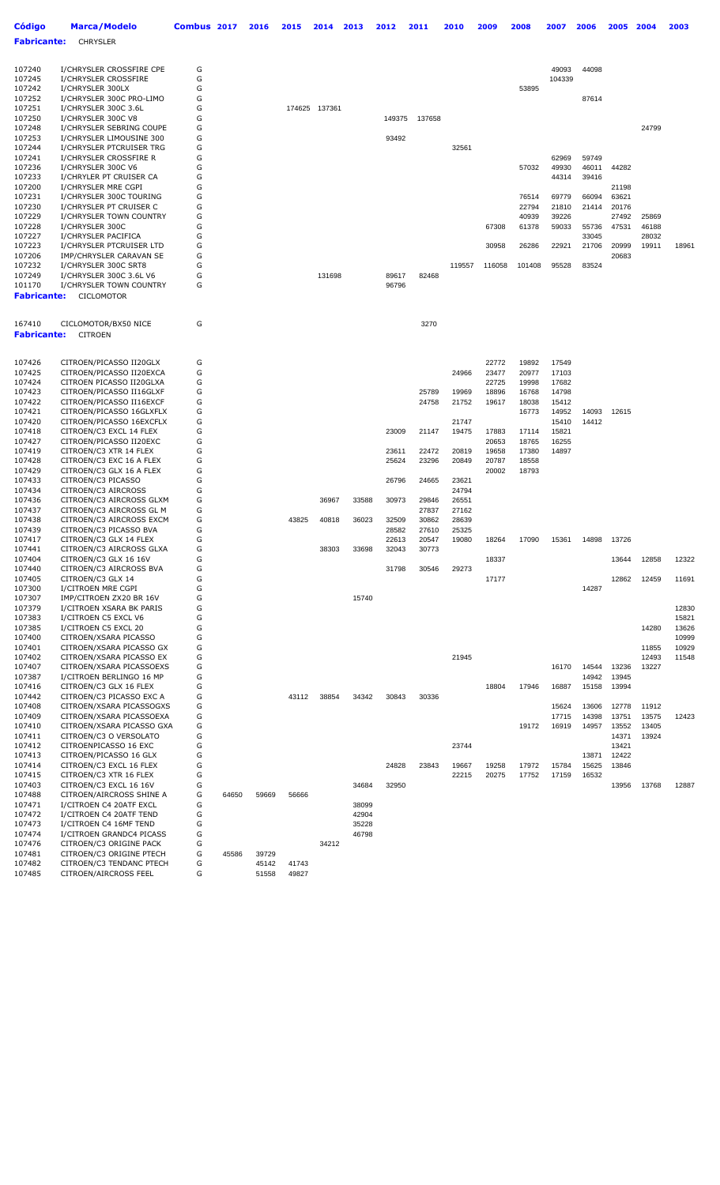| <b>CHRYSLER</b><br>Fabricante:<br>107240<br>I/CHRYSLER CROSSFIRE CPE<br>G<br>49093<br>44098<br>107245<br>G<br>104339<br>I/CHRYSLER CROSSFIRE<br>G<br>107242<br>I/CHRYSLER 300LX<br>53895<br>107252<br>I/CHRYSLER 300C PRO-LIMO<br>G<br>87614<br>G<br>107251<br>I/CHRYSLER 300C 3.6L<br>174625 137361<br>107250<br>G<br>I/CHRYSLER 300C V8<br>149375<br>137658<br>G<br>107248<br>I/CHRYSLER SEBRING COUPE<br>107253<br>G<br>93492<br>I/CHRYSLER LIMOUSINE 300<br>G<br>107244<br>I/CHRYSLER PTCRUISER TRG<br>32561<br>G<br>107241<br>I/CHRYSLER CROSSFIRE R<br>62969<br>59749<br>107236<br>G<br>I/CHRYSLER 300C V6<br>57032<br>49930<br>46011<br>107233<br>G<br>I/CHRYLER PT CRUISER CA<br>44314<br>39416<br>107200<br>G<br>I/CHRYSLER MRE CGPI<br>G<br>107231<br>I/CHRYSLER 300C TOURING<br>76514<br>69779<br>66094<br>63621<br>107230<br>G<br>I/CHRYSLER PT CRUISER C<br>22794<br>21810<br>20176<br>21414<br>G<br>107229<br>I/CHRYSLER TOWN COUNTRY<br>40939<br>39226<br>G<br>107228<br>I/CHRYSLER 300C<br>67308<br>59033<br>61378<br>55736<br>G<br>107227<br>I/CHRYSLER PACIFICA<br>33045<br>G<br>107223<br>I/CHRYSLER PTCRUISER LTD<br>30958<br>26286<br>22921<br>21706<br>107206<br>G<br>IMP/CHRYSLER CARAVAN SE<br>G<br>107232<br>I/CHRYSLER 300C SRT8<br>119557<br>116058<br>101408<br>95528<br>83524<br>107249<br>G<br>I/CHRYSLER 300C 3.6L V6<br>131698<br>89617<br>82468<br>G<br>101170<br>I/CHRYSLER TOWN COUNTRY<br>96796<br><b>Fabricante:</b><br><b>CICLOMOTOR</b><br>167410<br>CICLOMOTOR/BX50 NICE<br>G<br>3270<br><b>CITROEN</b><br>CITROEN/PICASSO II20GLX<br>G<br>22772<br>17549<br>19892<br>G<br>CITROEN/PICASSO II20EXCA<br>24966<br>23477<br>20977<br>17103<br>G<br>CITROEN PICASSO II20GLXA<br>22725<br>19998<br>17682<br>G<br>CITROEN/PICASSO II16GLXF<br>25789<br>19969<br>18896<br>16768<br>14798<br>G<br>CITROEN/PICASSO II16EXCF<br>24758<br>21752<br>19617<br>18038<br>15412<br>G<br>CITROEN/PICASSO 16GLXFLX<br>16773<br>14952<br>14093<br>12615<br>G<br>CITROEN/PICASSO 16EXCFLX<br>21747<br>14412<br>15410<br>G<br>CITROEN/C3 EXCL 14 FLEX<br>23009<br>19475<br>15821<br>21147<br>17883<br>17114<br>G<br>CITROEN/PICASSO II20EXC<br>20653<br>18765<br>16255<br>G<br>CITROEN/C3 XTR 14 FLEX<br>23611<br>22472<br>20819<br>19658<br>17380<br>14897<br>G<br>CITROEN/C3 EXC 16 A FLEX<br>25624<br>23296<br>20849<br>20787<br>18558<br>G<br>CITROEN/C3 GLX 16 A FLEX<br>20002<br>18793<br>G<br>CITROEN/C3 PICASSO<br>26796<br>24665<br>23621<br>CITROEN/C3 AIRCROSS<br>G<br>24794<br>G<br>CITROEN/C3 AIRCROSS GLXM<br>33588<br>30973<br>29846<br>26551<br>36967<br>G<br>CITROEN/C3 AIRCROSS GL M<br>27837<br>27162<br>G<br>CITROEN/C3 AIRCROSS EXCM<br>43825<br>40818<br>36023<br>32509<br>30862<br>28639<br>G<br>CITROEN/C3 PICASSO BVA<br>28582<br>25325<br>27610<br>G<br>CITROEN/C3 GLX 14 FLEX<br>22613<br>20547<br>19080<br>18264<br>17090<br>14898<br>15361<br>G<br>CITROEN/C3 AIRCROSS GLXA<br>38303<br>33698<br>32043<br>30773<br>CITROEN/C3 GLX 16 16V<br>G<br>18337<br>CITROEN/C3 AIRCROSS BVA<br>G<br>31798<br>30546<br>29273<br>G<br>CITROEN/C3 GLX 14<br>17177<br>G<br>I/CITROEN MRE CGPI<br>14287<br>G<br>IMP/CITROEN ZX20 BR 16V<br>15740<br>G<br>I/CITROEN XSARA BK PARIS<br>G<br>I/CITROEN C5 EXCL V6<br>G<br>I/CITROEN C5 EXCL 20<br>G<br>CITROEN/XSARA PICASSO<br>G<br>CITROEN/XSARA PICASSO GX<br>G<br>CITROEN/XSARA PICASSO EX<br>21945<br>G<br>CITROEN/XSARA PICASSOEXS<br>16170<br>14544<br>I/CITROEN BERLINGO 16 MP<br>G<br>14942<br>13945<br>G<br>CITROEN/C3 GLX 16 FLEX<br>18804<br>13994<br>17946<br>16887<br>15158<br>G<br>CITROEN/C3 PICASSO EXC A<br>43112<br>38854<br>34342<br>30843<br>30336<br>G<br>CITROEN/XSARA PICASSOGXS<br>13606<br>15624<br>G<br>14398<br>CITROEN/XSARA PICASSOEXA<br>17715<br>G<br>CITROEN/XSARA PICASSO GXA<br>19172<br>16919<br>14957<br>G<br>CITROEN/C3 O VERSOLATO<br>CITROENPICASSO 16 EXC<br>G<br>23744<br>G<br>CITROEN/PICASSO 16 GLX<br>13871<br>G<br>CITROEN/C3 EXCL 16 FLEX<br>24828<br>23843<br>19667<br>19258<br>17972<br>15784<br>15625<br>G<br>CITROEN/C3 XTR 16 FLEX<br>22215<br>20275<br>17752<br>17159<br>16532<br>G<br>CITROEN/C3 EXCL 16 16V<br>34684<br>32950<br>G<br>CITROEN/AIRCROSS SHINE A<br>64650<br>59669<br>56666<br>G<br>I/CITROEN C4 20ATF EXCL<br>38099<br>G<br>I/CITROEN C4 20ATF TEND<br>42904<br>G<br>I/CITROEN C4 16MF TEND<br>35228<br>I/CITROEN GRANDC4 PICASS<br>G<br>46798 | Código | Marca/Modelo            | Combus 2017 | 2016 | 2015 | 2014  | 2013 | 2012 | 2011 | 2010 | 2009 | 2008 | 2007 | 2006 | 2005  | 2004  | 2003  |
|----------------------------------------------------------------------------------------------------------------------------------------------------------------------------------------------------------------------------------------------------------------------------------------------------------------------------------------------------------------------------------------------------------------------------------------------------------------------------------------------------------------------------------------------------------------------------------------------------------------------------------------------------------------------------------------------------------------------------------------------------------------------------------------------------------------------------------------------------------------------------------------------------------------------------------------------------------------------------------------------------------------------------------------------------------------------------------------------------------------------------------------------------------------------------------------------------------------------------------------------------------------------------------------------------------------------------------------------------------------------------------------------------------------------------------------------------------------------------------------------------------------------------------------------------------------------------------------------------------------------------------------------------------------------------------------------------------------------------------------------------------------------------------------------------------------------------------------------------------------------------------------------------------------------------------------------------------------------------------------------------------------------------------------------------------------------------------------------------------------------------------------------------------------------------------------------------------------------------------------------------------------------------------------------------------------------------------------------------------------------------------------------------------------------------------------------------------------------------------------------------------------------------------------------------------------------------------------------------------------------------------------------------------------------------------------------------------------------------------------------------------------------------------------------------------------------------------------------------------------------------------------------------------------------------------------------------------------------------------------------------------------------------------------------------------------------------------------------------------------------------------------------------------------------------------------------------------------------------------------------------------------------------------------------------------------------------------------------------------------------------------------------------------------------------------------------------------------------------------------------------------------------------------------------------------------------------------------------------------------------------------------------------------------------------------------------------------------------------------------------------------------------------------------------------------------------------------------------------------------------------------------------------------------------------------------------------------------------------------------------------------------------------------------------------------------------------------------------------------------------------------------------------------------------------------------------------------------------------------------------------------------------------------------------------------------------------------------------------------------------------------------------------|--------|-------------------------|-------------|------|------|-------|------|------|------|------|------|------|------|------|-------|-------|-------|
|                                                                                                                                                                                                                                                                                                                                                                                                                                                                                                                                                                                                                                                                                                                                                                                                                                                                                                                                                                                                                                                                                                                                                                                                                                                                                                                                                                                                                                                                                                                                                                                                                                                                                                                                                                                                                                                                                                                                                                                                                                                                                                                                                                                                                                                                                                                                                                                                                                                                                                                                                                                                                                                                                                                                                                                                                                                                                                                                                                                                                                                                                                                                                                                                                                                                                                                                                                                                                                                                                                                                                                                                                                                                                                                                                                                                                                                                                                                                                                                                                                                                                                                                                                                                                                                                                                                                                                                                    |        |                         |             |      |      |       |      |      |      |      |      |      |      |      |       |       |       |
|                                                                                                                                                                                                                                                                                                                                                                                                                                                                                                                                                                                                                                                                                                                                                                                                                                                                                                                                                                                                                                                                                                                                                                                                                                                                                                                                                                                                                                                                                                                                                                                                                                                                                                                                                                                                                                                                                                                                                                                                                                                                                                                                                                                                                                                                                                                                                                                                                                                                                                                                                                                                                                                                                                                                                                                                                                                                                                                                                                                                                                                                                                                                                                                                                                                                                                                                                                                                                                                                                                                                                                                                                                                                                                                                                                                                                                                                                                                                                                                                                                                                                                                                                                                                                                                                                                                                                                                                    |        |                         |             |      |      |       |      |      |      |      |      |      |      |      |       |       |       |
|                                                                                                                                                                                                                                                                                                                                                                                                                                                                                                                                                                                                                                                                                                                                                                                                                                                                                                                                                                                                                                                                                                                                                                                                                                                                                                                                                                                                                                                                                                                                                                                                                                                                                                                                                                                                                                                                                                                                                                                                                                                                                                                                                                                                                                                                                                                                                                                                                                                                                                                                                                                                                                                                                                                                                                                                                                                                                                                                                                                                                                                                                                                                                                                                                                                                                                                                                                                                                                                                                                                                                                                                                                                                                                                                                                                                                                                                                                                                                                                                                                                                                                                                                                                                                                                                                                                                                                                                    |        |                         |             |      |      |       |      |      |      |      |      |      |      |      |       |       |       |
|                                                                                                                                                                                                                                                                                                                                                                                                                                                                                                                                                                                                                                                                                                                                                                                                                                                                                                                                                                                                                                                                                                                                                                                                                                                                                                                                                                                                                                                                                                                                                                                                                                                                                                                                                                                                                                                                                                                                                                                                                                                                                                                                                                                                                                                                                                                                                                                                                                                                                                                                                                                                                                                                                                                                                                                                                                                                                                                                                                                                                                                                                                                                                                                                                                                                                                                                                                                                                                                                                                                                                                                                                                                                                                                                                                                                                                                                                                                                                                                                                                                                                                                                                                                                                                                                                                                                                                                                    |        |                         |             |      |      |       |      |      |      |      |      |      |      |      |       |       |       |
|                                                                                                                                                                                                                                                                                                                                                                                                                                                                                                                                                                                                                                                                                                                                                                                                                                                                                                                                                                                                                                                                                                                                                                                                                                                                                                                                                                                                                                                                                                                                                                                                                                                                                                                                                                                                                                                                                                                                                                                                                                                                                                                                                                                                                                                                                                                                                                                                                                                                                                                                                                                                                                                                                                                                                                                                                                                                                                                                                                                                                                                                                                                                                                                                                                                                                                                                                                                                                                                                                                                                                                                                                                                                                                                                                                                                                                                                                                                                                                                                                                                                                                                                                                                                                                                                                                                                                                                                    |        |                         |             |      |      |       |      |      |      |      |      |      |      |      |       |       |       |
|                                                                                                                                                                                                                                                                                                                                                                                                                                                                                                                                                                                                                                                                                                                                                                                                                                                                                                                                                                                                                                                                                                                                                                                                                                                                                                                                                                                                                                                                                                                                                                                                                                                                                                                                                                                                                                                                                                                                                                                                                                                                                                                                                                                                                                                                                                                                                                                                                                                                                                                                                                                                                                                                                                                                                                                                                                                                                                                                                                                                                                                                                                                                                                                                                                                                                                                                                                                                                                                                                                                                                                                                                                                                                                                                                                                                                                                                                                                                                                                                                                                                                                                                                                                                                                                                                                                                                                                                    |        |                         |             |      |      |       |      |      |      |      |      |      |      |      |       |       |       |
|                                                                                                                                                                                                                                                                                                                                                                                                                                                                                                                                                                                                                                                                                                                                                                                                                                                                                                                                                                                                                                                                                                                                                                                                                                                                                                                                                                                                                                                                                                                                                                                                                                                                                                                                                                                                                                                                                                                                                                                                                                                                                                                                                                                                                                                                                                                                                                                                                                                                                                                                                                                                                                                                                                                                                                                                                                                                                                                                                                                                                                                                                                                                                                                                                                                                                                                                                                                                                                                                                                                                                                                                                                                                                                                                                                                                                                                                                                                                                                                                                                                                                                                                                                                                                                                                                                                                                                                                    |        |                         |             |      |      |       |      |      |      |      |      |      |      |      |       |       |       |
|                                                                                                                                                                                                                                                                                                                                                                                                                                                                                                                                                                                                                                                                                                                                                                                                                                                                                                                                                                                                                                                                                                                                                                                                                                                                                                                                                                                                                                                                                                                                                                                                                                                                                                                                                                                                                                                                                                                                                                                                                                                                                                                                                                                                                                                                                                                                                                                                                                                                                                                                                                                                                                                                                                                                                                                                                                                                                                                                                                                                                                                                                                                                                                                                                                                                                                                                                                                                                                                                                                                                                                                                                                                                                                                                                                                                                                                                                                                                                                                                                                                                                                                                                                                                                                                                                                                                                                                                    |        |                         |             |      |      |       |      |      |      |      |      |      |      |      |       | 24799 |       |
|                                                                                                                                                                                                                                                                                                                                                                                                                                                                                                                                                                                                                                                                                                                                                                                                                                                                                                                                                                                                                                                                                                                                                                                                                                                                                                                                                                                                                                                                                                                                                                                                                                                                                                                                                                                                                                                                                                                                                                                                                                                                                                                                                                                                                                                                                                                                                                                                                                                                                                                                                                                                                                                                                                                                                                                                                                                                                                                                                                                                                                                                                                                                                                                                                                                                                                                                                                                                                                                                                                                                                                                                                                                                                                                                                                                                                                                                                                                                                                                                                                                                                                                                                                                                                                                                                                                                                                                                    |        |                         |             |      |      |       |      |      |      |      |      |      |      |      |       |       |       |
|                                                                                                                                                                                                                                                                                                                                                                                                                                                                                                                                                                                                                                                                                                                                                                                                                                                                                                                                                                                                                                                                                                                                                                                                                                                                                                                                                                                                                                                                                                                                                                                                                                                                                                                                                                                                                                                                                                                                                                                                                                                                                                                                                                                                                                                                                                                                                                                                                                                                                                                                                                                                                                                                                                                                                                                                                                                                                                                                                                                                                                                                                                                                                                                                                                                                                                                                                                                                                                                                                                                                                                                                                                                                                                                                                                                                                                                                                                                                                                                                                                                                                                                                                                                                                                                                                                                                                                                                    |        |                         |             |      |      |       |      |      |      |      |      |      |      |      |       |       |       |
|                                                                                                                                                                                                                                                                                                                                                                                                                                                                                                                                                                                                                                                                                                                                                                                                                                                                                                                                                                                                                                                                                                                                                                                                                                                                                                                                                                                                                                                                                                                                                                                                                                                                                                                                                                                                                                                                                                                                                                                                                                                                                                                                                                                                                                                                                                                                                                                                                                                                                                                                                                                                                                                                                                                                                                                                                                                                                                                                                                                                                                                                                                                                                                                                                                                                                                                                                                                                                                                                                                                                                                                                                                                                                                                                                                                                                                                                                                                                                                                                                                                                                                                                                                                                                                                                                                                                                                                                    |        |                         |             |      |      |       |      |      |      |      |      |      |      |      |       |       |       |
|                                                                                                                                                                                                                                                                                                                                                                                                                                                                                                                                                                                                                                                                                                                                                                                                                                                                                                                                                                                                                                                                                                                                                                                                                                                                                                                                                                                                                                                                                                                                                                                                                                                                                                                                                                                                                                                                                                                                                                                                                                                                                                                                                                                                                                                                                                                                                                                                                                                                                                                                                                                                                                                                                                                                                                                                                                                                                                                                                                                                                                                                                                                                                                                                                                                                                                                                                                                                                                                                                                                                                                                                                                                                                                                                                                                                                                                                                                                                                                                                                                                                                                                                                                                                                                                                                                                                                                                                    |        |                         |             |      |      |       |      |      |      |      |      |      |      |      | 44282 |       |       |
|                                                                                                                                                                                                                                                                                                                                                                                                                                                                                                                                                                                                                                                                                                                                                                                                                                                                                                                                                                                                                                                                                                                                                                                                                                                                                                                                                                                                                                                                                                                                                                                                                                                                                                                                                                                                                                                                                                                                                                                                                                                                                                                                                                                                                                                                                                                                                                                                                                                                                                                                                                                                                                                                                                                                                                                                                                                                                                                                                                                                                                                                                                                                                                                                                                                                                                                                                                                                                                                                                                                                                                                                                                                                                                                                                                                                                                                                                                                                                                                                                                                                                                                                                                                                                                                                                                                                                                                                    |        |                         |             |      |      |       |      |      |      |      |      |      |      |      |       |       |       |
|                                                                                                                                                                                                                                                                                                                                                                                                                                                                                                                                                                                                                                                                                                                                                                                                                                                                                                                                                                                                                                                                                                                                                                                                                                                                                                                                                                                                                                                                                                                                                                                                                                                                                                                                                                                                                                                                                                                                                                                                                                                                                                                                                                                                                                                                                                                                                                                                                                                                                                                                                                                                                                                                                                                                                                                                                                                                                                                                                                                                                                                                                                                                                                                                                                                                                                                                                                                                                                                                                                                                                                                                                                                                                                                                                                                                                                                                                                                                                                                                                                                                                                                                                                                                                                                                                                                                                                                                    |        |                         |             |      |      |       |      |      |      |      |      |      |      |      | 21198 |       |       |
|                                                                                                                                                                                                                                                                                                                                                                                                                                                                                                                                                                                                                                                                                                                                                                                                                                                                                                                                                                                                                                                                                                                                                                                                                                                                                                                                                                                                                                                                                                                                                                                                                                                                                                                                                                                                                                                                                                                                                                                                                                                                                                                                                                                                                                                                                                                                                                                                                                                                                                                                                                                                                                                                                                                                                                                                                                                                                                                                                                                                                                                                                                                                                                                                                                                                                                                                                                                                                                                                                                                                                                                                                                                                                                                                                                                                                                                                                                                                                                                                                                                                                                                                                                                                                                                                                                                                                                                                    |        |                         |             |      |      |       |      |      |      |      |      |      |      |      |       |       |       |
|                                                                                                                                                                                                                                                                                                                                                                                                                                                                                                                                                                                                                                                                                                                                                                                                                                                                                                                                                                                                                                                                                                                                                                                                                                                                                                                                                                                                                                                                                                                                                                                                                                                                                                                                                                                                                                                                                                                                                                                                                                                                                                                                                                                                                                                                                                                                                                                                                                                                                                                                                                                                                                                                                                                                                                                                                                                                                                                                                                                                                                                                                                                                                                                                                                                                                                                                                                                                                                                                                                                                                                                                                                                                                                                                                                                                                                                                                                                                                                                                                                                                                                                                                                                                                                                                                                                                                                                                    |        |                         |             |      |      |       |      |      |      |      |      |      |      |      | 27492 | 25869 |       |
|                                                                                                                                                                                                                                                                                                                                                                                                                                                                                                                                                                                                                                                                                                                                                                                                                                                                                                                                                                                                                                                                                                                                                                                                                                                                                                                                                                                                                                                                                                                                                                                                                                                                                                                                                                                                                                                                                                                                                                                                                                                                                                                                                                                                                                                                                                                                                                                                                                                                                                                                                                                                                                                                                                                                                                                                                                                                                                                                                                                                                                                                                                                                                                                                                                                                                                                                                                                                                                                                                                                                                                                                                                                                                                                                                                                                                                                                                                                                                                                                                                                                                                                                                                                                                                                                                                                                                                                                    |        |                         |             |      |      |       |      |      |      |      |      |      |      |      | 47531 | 46188 |       |
|                                                                                                                                                                                                                                                                                                                                                                                                                                                                                                                                                                                                                                                                                                                                                                                                                                                                                                                                                                                                                                                                                                                                                                                                                                                                                                                                                                                                                                                                                                                                                                                                                                                                                                                                                                                                                                                                                                                                                                                                                                                                                                                                                                                                                                                                                                                                                                                                                                                                                                                                                                                                                                                                                                                                                                                                                                                                                                                                                                                                                                                                                                                                                                                                                                                                                                                                                                                                                                                                                                                                                                                                                                                                                                                                                                                                                                                                                                                                                                                                                                                                                                                                                                                                                                                                                                                                                                                                    |        |                         |             |      |      |       |      |      |      |      |      |      |      |      |       | 28032 |       |
|                                                                                                                                                                                                                                                                                                                                                                                                                                                                                                                                                                                                                                                                                                                                                                                                                                                                                                                                                                                                                                                                                                                                                                                                                                                                                                                                                                                                                                                                                                                                                                                                                                                                                                                                                                                                                                                                                                                                                                                                                                                                                                                                                                                                                                                                                                                                                                                                                                                                                                                                                                                                                                                                                                                                                                                                                                                                                                                                                                                                                                                                                                                                                                                                                                                                                                                                                                                                                                                                                                                                                                                                                                                                                                                                                                                                                                                                                                                                                                                                                                                                                                                                                                                                                                                                                                                                                                                                    |        |                         |             |      |      |       |      |      |      |      |      |      |      |      | 20999 | 19911 | 18961 |
|                                                                                                                                                                                                                                                                                                                                                                                                                                                                                                                                                                                                                                                                                                                                                                                                                                                                                                                                                                                                                                                                                                                                                                                                                                                                                                                                                                                                                                                                                                                                                                                                                                                                                                                                                                                                                                                                                                                                                                                                                                                                                                                                                                                                                                                                                                                                                                                                                                                                                                                                                                                                                                                                                                                                                                                                                                                                                                                                                                                                                                                                                                                                                                                                                                                                                                                                                                                                                                                                                                                                                                                                                                                                                                                                                                                                                                                                                                                                                                                                                                                                                                                                                                                                                                                                                                                                                                                                    |        |                         |             |      |      |       |      |      |      |      |      |      |      |      | 20683 |       |       |
|                                                                                                                                                                                                                                                                                                                                                                                                                                                                                                                                                                                                                                                                                                                                                                                                                                                                                                                                                                                                                                                                                                                                                                                                                                                                                                                                                                                                                                                                                                                                                                                                                                                                                                                                                                                                                                                                                                                                                                                                                                                                                                                                                                                                                                                                                                                                                                                                                                                                                                                                                                                                                                                                                                                                                                                                                                                                                                                                                                                                                                                                                                                                                                                                                                                                                                                                                                                                                                                                                                                                                                                                                                                                                                                                                                                                                                                                                                                                                                                                                                                                                                                                                                                                                                                                                                                                                                                                    |        |                         |             |      |      |       |      |      |      |      |      |      |      |      |       |       |       |
|                                                                                                                                                                                                                                                                                                                                                                                                                                                                                                                                                                                                                                                                                                                                                                                                                                                                                                                                                                                                                                                                                                                                                                                                                                                                                                                                                                                                                                                                                                                                                                                                                                                                                                                                                                                                                                                                                                                                                                                                                                                                                                                                                                                                                                                                                                                                                                                                                                                                                                                                                                                                                                                                                                                                                                                                                                                                                                                                                                                                                                                                                                                                                                                                                                                                                                                                                                                                                                                                                                                                                                                                                                                                                                                                                                                                                                                                                                                                                                                                                                                                                                                                                                                                                                                                                                                                                                                                    |        |                         |             |      |      |       |      |      |      |      |      |      |      |      |       |       |       |
|                                                                                                                                                                                                                                                                                                                                                                                                                                                                                                                                                                                                                                                                                                                                                                                                                                                                                                                                                                                                                                                                                                                                                                                                                                                                                                                                                                                                                                                                                                                                                                                                                                                                                                                                                                                                                                                                                                                                                                                                                                                                                                                                                                                                                                                                                                                                                                                                                                                                                                                                                                                                                                                                                                                                                                                                                                                                                                                                                                                                                                                                                                                                                                                                                                                                                                                                                                                                                                                                                                                                                                                                                                                                                                                                                                                                                                                                                                                                                                                                                                                                                                                                                                                                                                                                                                                                                                                                    |        |                         |             |      |      |       |      |      |      |      |      |      |      |      |       |       |       |
|                                                                                                                                                                                                                                                                                                                                                                                                                                                                                                                                                                                                                                                                                                                                                                                                                                                                                                                                                                                                                                                                                                                                                                                                                                                                                                                                                                                                                                                                                                                                                                                                                                                                                                                                                                                                                                                                                                                                                                                                                                                                                                                                                                                                                                                                                                                                                                                                                                                                                                                                                                                                                                                                                                                                                                                                                                                                                                                                                                                                                                                                                                                                                                                                                                                                                                                                                                                                                                                                                                                                                                                                                                                                                                                                                                                                                                                                                                                                                                                                                                                                                                                                                                                                                                                                                                                                                                                                    |        |                         |             |      |      |       |      |      |      |      |      |      |      |      |       |       |       |
| <b>Fabricante:</b><br>107426<br>107425<br>107424<br>107423<br>107422<br>107421<br>107420<br>107418<br>107427<br>107419<br>107428<br>107429<br>107433<br>107434<br>107436<br>107437<br>107438<br>107439<br>107417<br>107441<br>107404<br>107440<br>107405<br>107300<br>107307<br>107379<br>107383<br>107385<br>107400<br>107401<br>107402<br>107407<br>107387<br>107416<br>107442<br>107408<br>107409<br>107410<br>107411<br>107412<br>107413<br>107414<br>107415<br>107403<br>107488<br>107471<br>107472<br>107473<br>107474                                                                                                                                                                                                                                                                                                                                                                                                                                                                                                                                                                                                                                                                                                                                                                                                                                                                                                                                                                                                                                                                                                                                                                                                                                                                                                                                                                                                                                                                                                                                                                                                                                                                                                                                                                                                                                                                                                                                                                                                                                                                                                                                                                                                                                                                                                                                                                                                                                                                                                                                                                                                                                                                                                                                                                                                                                                                                                                                                                                                                                                                                                                                                                                                                                                                                                                                                                                                                                                                                                                                                                                                                                                                                                                                                                                                                                                                       |        |                         |             |      |      |       |      |      |      |      |      |      |      |      |       |       |       |
|                                                                                                                                                                                                                                                                                                                                                                                                                                                                                                                                                                                                                                                                                                                                                                                                                                                                                                                                                                                                                                                                                                                                                                                                                                                                                                                                                                                                                                                                                                                                                                                                                                                                                                                                                                                                                                                                                                                                                                                                                                                                                                                                                                                                                                                                                                                                                                                                                                                                                                                                                                                                                                                                                                                                                                                                                                                                                                                                                                                                                                                                                                                                                                                                                                                                                                                                                                                                                                                                                                                                                                                                                                                                                                                                                                                                                                                                                                                                                                                                                                                                                                                                                                                                                                                                                                                                                                                                    |        |                         |             |      |      |       |      |      |      |      |      |      |      |      |       |       |       |
|                                                                                                                                                                                                                                                                                                                                                                                                                                                                                                                                                                                                                                                                                                                                                                                                                                                                                                                                                                                                                                                                                                                                                                                                                                                                                                                                                                                                                                                                                                                                                                                                                                                                                                                                                                                                                                                                                                                                                                                                                                                                                                                                                                                                                                                                                                                                                                                                                                                                                                                                                                                                                                                                                                                                                                                                                                                                                                                                                                                                                                                                                                                                                                                                                                                                                                                                                                                                                                                                                                                                                                                                                                                                                                                                                                                                                                                                                                                                                                                                                                                                                                                                                                                                                                                                                                                                                                                                    |        |                         |             |      |      |       |      |      |      |      |      |      |      |      |       |       |       |
|                                                                                                                                                                                                                                                                                                                                                                                                                                                                                                                                                                                                                                                                                                                                                                                                                                                                                                                                                                                                                                                                                                                                                                                                                                                                                                                                                                                                                                                                                                                                                                                                                                                                                                                                                                                                                                                                                                                                                                                                                                                                                                                                                                                                                                                                                                                                                                                                                                                                                                                                                                                                                                                                                                                                                                                                                                                                                                                                                                                                                                                                                                                                                                                                                                                                                                                                                                                                                                                                                                                                                                                                                                                                                                                                                                                                                                                                                                                                                                                                                                                                                                                                                                                                                                                                                                                                                                                                    |        |                         |             |      |      |       |      |      |      |      |      |      |      |      |       |       |       |
|                                                                                                                                                                                                                                                                                                                                                                                                                                                                                                                                                                                                                                                                                                                                                                                                                                                                                                                                                                                                                                                                                                                                                                                                                                                                                                                                                                                                                                                                                                                                                                                                                                                                                                                                                                                                                                                                                                                                                                                                                                                                                                                                                                                                                                                                                                                                                                                                                                                                                                                                                                                                                                                                                                                                                                                                                                                                                                                                                                                                                                                                                                                                                                                                                                                                                                                                                                                                                                                                                                                                                                                                                                                                                                                                                                                                                                                                                                                                                                                                                                                                                                                                                                                                                                                                                                                                                                                                    |        |                         |             |      |      |       |      |      |      |      |      |      |      |      |       |       |       |
|                                                                                                                                                                                                                                                                                                                                                                                                                                                                                                                                                                                                                                                                                                                                                                                                                                                                                                                                                                                                                                                                                                                                                                                                                                                                                                                                                                                                                                                                                                                                                                                                                                                                                                                                                                                                                                                                                                                                                                                                                                                                                                                                                                                                                                                                                                                                                                                                                                                                                                                                                                                                                                                                                                                                                                                                                                                                                                                                                                                                                                                                                                                                                                                                                                                                                                                                                                                                                                                                                                                                                                                                                                                                                                                                                                                                                                                                                                                                                                                                                                                                                                                                                                                                                                                                                                                                                                                                    |        |                         |             |      |      |       |      |      |      |      |      |      |      |      |       |       |       |
|                                                                                                                                                                                                                                                                                                                                                                                                                                                                                                                                                                                                                                                                                                                                                                                                                                                                                                                                                                                                                                                                                                                                                                                                                                                                                                                                                                                                                                                                                                                                                                                                                                                                                                                                                                                                                                                                                                                                                                                                                                                                                                                                                                                                                                                                                                                                                                                                                                                                                                                                                                                                                                                                                                                                                                                                                                                                                                                                                                                                                                                                                                                                                                                                                                                                                                                                                                                                                                                                                                                                                                                                                                                                                                                                                                                                                                                                                                                                                                                                                                                                                                                                                                                                                                                                                                                                                                                                    |        |                         |             |      |      |       |      |      |      |      |      |      |      |      |       |       |       |
|                                                                                                                                                                                                                                                                                                                                                                                                                                                                                                                                                                                                                                                                                                                                                                                                                                                                                                                                                                                                                                                                                                                                                                                                                                                                                                                                                                                                                                                                                                                                                                                                                                                                                                                                                                                                                                                                                                                                                                                                                                                                                                                                                                                                                                                                                                                                                                                                                                                                                                                                                                                                                                                                                                                                                                                                                                                                                                                                                                                                                                                                                                                                                                                                                                                                                                                                                                                                                                                                                                                                                                                                                                                                                                                                                                                                                                                                                                                                                                                                                                                                                                                                                                                                                                                                                                                                                                                                    |        |                         |             |      |      |       |      |      |      |      |      |      |      |      |       |       |       |
|                                                                                                                                                                                                                                                                                                                                                                                                                                                                                                                                                                                                                                                                                                                                                                                                                                                                                                                                                                                                                                                                                                                                                                                                                                                                                                                                                                                                                                                                                                                                                                                                                                                                                                                                                                                                                                                                                                                                                                                                                                                                                                                                                                                                                                                                                                                                                                                                                                                                                                                                                                                                                                                                                                                                                                                                                                                                                                                                                                                                                                                                                                                                                                                                                                                                                                                                                                                                                                                                                                                                                                                                                                                                                                                                                                                                                                                                                                                                                                                                                                                                                                                                                                                                                                                                                                                                                                                                    |        |                         |             |      |      |       |      |      |      |      |      |      |      |      |       |       |       |
|                                                                                                                                                                                                                                                                                                                                                                                                                                                                                                                                                                                                                                                                                                                                                                                                                                                                                                                                                                                                                                                                                                                                                                                                                                                                                                                                                                                                                                                                                                                                                                                                                                                                                                                                                                                                                                                                                                                                                                                                                                                                                                                                                                                                                                                                                                                                                                                                                                                                                                                                                                                                                                                                                                                                                                                                                                                                                                                                                                                                                                                                                                                                                                                                                                                                                                                                                                                                                                                                                                                                                                                                                                                                                                                                                                                                                                                                                                                                                                                                                                                                                                                                                                                                                                                                                                                                                                                                    |        |                         |             |      |      |       |      |      |      |      |      |      |      |      |       |       |       |
|                                                                                                                                                                                                                                                                                                                                                                                                                                                                                                                                                                                                                                                                                                                                                                                                                                                                                                                                                                                                                                                                                                                                                                                                                                                                                                                                                                                                                                                                                                                                                                                                                                                                                                                                                                                                                                                                                                                                                                                                                                                                                                                                                                                                                                                                                                                                                                                                                                                                                                                                                                                                                                                                                                                                                                                                                                                                                                                                                                                                                                                                                                                                                                                                                                                                                                                                                                                                                                                                                                                                                                                                                                                                                                                                                                                                                                                                                                                                                                                                                                                                                                                                                                                                                                                                                                                                                                                                    |        |                         |             |      |      |       |      |      |      |      |      |      |      |      |       |       |       |
|                                                                                                                                                                                                                                                                                                                                                                                                                                                                                                                                                                                                                                                                                                                                                                                                                                                                                                                                                                                                                                                                                                                                                                                                                                                                                                                                                                                                                                                                                                                                                                                                                                                                                                                                                                                                                                                                                                                                                                                                                                                                                                                                                                                                                                                                                                                                                                                                                                                                                                                                                                                                                                                                                                                                                                                                                                                                                                                                                                                                                                                                                                                                                                                                                                                                                                                                                                                                                                                                                                                                                                                                                                                                                                                                                                                                                                                                                                                                                                                                                                                                                                                                                                                                                                                                                                                                                                                                    |        |                         |             |      |      |       |      |      |      |      |      |      |      |      |       |       |       |
|                                                                                                                                                                                                                                                                                                                                                                                                                                                                                                                                                                                                                                                                                                                                                                                                                                                                                                                                                                                                                                                                                                                                                                                                                                                                                                                                                                                                                                                                                                                                                                                                                                                                                                                                                                                                                                                                                                                                                                                                                                                                                                                                                                                                                                                                                                                                                                                                                                                                                                                                                                                                                                                                                                                                                                                                                                                                                                                                                                                                                                                                                                                                                                                                                                                                                                                                                                                                                                                                                                                                                                                                                                                                                                                                                                                                                                                                                                                                                                                                                                                                                                                                                                                                                                                                                                                                                                                                    |        |                         |             |      |      |       |      |      |      |      |      |      |      |      |       |       |       |
|                                                                                                                                                                                                                                                                                                                                                                                                                                                                                                                                                                                                                                                                                                                                                                                                                                                                                                                                                                                                                                                                                                                                                                                                                                                                                                                                                                                                                                                                                                                                                                                                                                                                                                                                                                                                                                                                                                                                                                                                                                                                                                                                                                                                                                                                                                                                                                                                                                                                                                                                                                                                                                                                                                                                                                                                                                                                                                                                                                                                                                                                                                                                                                                                                                                                                                                                                                                                                                                                                                                                                                                                                                                                                                                                                                                                                                                                                                                                                                                                                                                                                                                                                                                                                                                                                                                                                                                                    |        |                         |             |      |      |       |      |      |      |      |      |      |      |      |       |       |       |
|                                                                                                                                                                                                                                                                                                                                                                                                                                                                                                                                                                                                                                                                                                                                                                                                                                                                                                                                                                                                                                                                                                                                                                                                                                                                                                                                                                                                                                                                                                                                                                                                                                                                                                                                                                                                                                                                                                                                                                                                                                                                                                                                                                                                                                                                                                                                                                                                                                                                                                                                                                                                                                                                                                                                                                                                                                                                                                                                                                                                                                                                                                                                                                                                                                                                                                                                                                                                                                                                                                                                                                                                                                                                                                                                                                                                                                                                                                                                                                                                                                                                                                                                                                                                                                                                                                                                                                                                    |        |                         |             |      |      |       |      |      |      |      |      |      |      |      |       |       |       |
|                                                                                                                                                                                                                                                                                                                                                                                                                                                                                                                                                                                                                                                                                                                                                                                                                                                                                                                                                                                                                                                                                                                                                                                                                                                                                                                                                                                                                                                                                                                                                                                                                                                                                                                                                                                                                                                                                                                                                                                                                                                                                                                                                                                                                                                                                                                                                                                                                                                                                                                                                                                                                                                                                                                                                                                                                                                                                                                                                                                                                                                                                                                                                                                                                                                                                                                                                                                                                                                                                                                                                                                                                                                                                                                                                                                                                                                                                                                                                                                                                                                                                                                                                                                                                                                                                                                                                                                                    |        |                         |             |      |      |       |      |      |      |      |      |      |      |      |       |       |       |
|                                                                                                                                                                                                                                                                                                                                                                                                                                                                                                                                                                                                                                                                                                                                                                                                                                                                                                                                                                                                                                                                                                                                                                                                                                                                                                                                                                                                                                                                                                                                                                                                                                                                                                                                                                                                                                                                                                                                                                                                                                                                                                                                                                                                                                                                                                                                                                                                                                                                                                                                                                                                                                                                                                                                                                                                                                                                                                                                                                                                                                                                                                                                                                                                                                                                                                                                                                                                                                                                                                                                                                                                                                                                                                                                                                                                                                                                                                                                                                                                                                                                                                                                                                                                                                                                                                                                                                                                    |        |                         |             |      |      |       |      |      |      |      |      |      |      |      |       |       |       |
|                                                                                                                                                                                                                                                                                                                                                                                                                                                                                                                                                                                                                                                                                                                                                                                                                                                                                                                                                                                                                                                                                                                                                                                                                                                                                                                                                                                                                                                                                                                                                                                                                                                                                                                                                                                                                                                                                                                                                                                                                                                                                                                                                                                                                                                                                                                                                                                                                                                                                                                                                                                                                                                                                                                                                                                                                                                                                                                                                                                                                                                                                                                                                                                                                                                                                                                                                                                                                                                                                                                                                                                                                                                                                                                                                                                                                                                                                                                                                                                                                                                                                                                                                                                                                                                                                                                                                                                                    |        |                         |             |      |      |       |      |      |      |      |      |      |      |      |       |       |       |
|                                                                                                                                                                                                                                                                                                                                                                                                                                                                                                                                                                                                                                                                                                                                                                                                                                                                                                                                                                                                                                                                                                                                                                                                                                                                                                                                                                                                                                                                                                                                                                                                                                                                                                                                                                                                                                                                                                                                                                                                                                                                                                                                                                                                                                                                                                                                                                                                                                                                                                                                                                                                                                                                                                                                                                                                                                                                                                                                                                                                                                                                                                                                                                                                                                                                                                                                                                                                                                                                                                                                                                                                                                                                                                                                                                                                                                                                                                                                                                                                                                                                                                                                                                                                                                                                                                                                                                                                    |        |                         |             |      |      |       |      |      |      |      |      |      |      |      |       |       |       |
|                                                                                                                                                                                                                                                                                                                                                                                                                                                                                                                                                                                                                                                                                                                                                                                                                                                                                                                                                                                                                                                                                                                                                                                                                                                                                                                                                                                                                                                                                                                                                                                                                                                                                                                                                                                                                                                                                                                                                                                                                                                                                                                                                                                                                                                                                                                                                                                                                                                                                                                                                                                                                                                                                                                                                                                                                                                                                                                                                                                                                                                                                                                                                                                                                                                                                                                                                                                                                                                                                                                                                                                                                                                                                                                                                                                                                                                                                                                                                                                                                                                                                                                                                                                                                                                                                                                                                                                                    |        |                         |             |      |      |       |      |      |      |      |      |      |      |      |       |       |       |
|                                                                                                                                                                                                                                                                                                                                                                                                                                                                                                                                                                                                                                                                                                                                                                                                                                                                                                                                                                                                                                                                                                                                                                                                                                                                                                                                                                                                                                                                                                                                                                                                                                                                                                                                                                                                                                                                                                                                                                                                                                                                                                                                                                                                                                                                                                                                                                                                                                                                                                                                                                                                                                                                                                                                                                                                                                                                                                                                                                                                                                                                                                                                                                                                                                                                                                                                                                                                                                                                                                                                                                                                                                                                                                                                                                                                                                                                                                                                                                                                                                                                                                                                                                                                                                                                                                                                                                                                    |        |                         |             |      |      |       |      |      |      |      |      |      |      |      | 13726 |       |       |
|                                                                                                                                                                                                                                                                                                                                                                                                                                                                                                                                                                                                                                                                                                                                                                                                                                                                                                                                                                                                                                                                                                                                                                                                                                                                                                                                                                                                                                                                                                                                                                                                                                                                                                                                                                                                                                                                                                                                                                                                                                                                                                                                                                                                                                                                                                                                                                                                                                                                                                                                                                                                                                                                                                                                                                                                                                                                                                                                                                                                                                                                                                                                                                                                                                                                                                                                                                                                                                                                                                                                                                                                                                                                                                                                                                                                                                                                                                                                                                                                                                                                                                                                                                                                                                                                                                                                                                                                    |        |                         |             |      |      |       |      |      |      |      |      |      |      |      |       |       |       |
|                                                                                                                                                                                                                                                                                                                                                                                                                                                                                                                                                                                                                                                                                                                                                                                                                                                                                                                                                                                                                                                                                                                                                                                                                                                                                                                                                                                                                                                                                                                                                                                                                                                                                                                                                                                                                                                                                                                                                                                                                                                                                                                                                                                                                                                                                                                                                                                                                                                                                                                                                                                                                                                                                                                                                                                                                                                                                                                                                                                                                                                                                                                                                                                                                                                                                                                                                                                                                                                                                                                                                                                                                                                                                                                                                                                                                                                                                                                                                                                                                                                                                                                                                                                                                                                                                                                                                                                                    |        |                         |             |      |      |       |      |      |      |      |      |      |      |      | 13644 | 12858 | 12322 |
|                                                                                                                                                                                                                                                                                                                                                                                                                                                                                                                                                                                                                                                                                                                                                                                                                                                                                                                                                                                                                                                                                                                                                                                                                                                                                                                                                                                                                                                                                                                                                                                                                                                                                                                                                                                                                                                                                                                                                                                                                                                                                                                                                                                                                                                                                                                                                                                                                                                                                                                                                                                                                                                                                                                                                                                                                                                                                                                                                                                                                                                                                                                                                                                                                                                                                                                                                                                                                                                                                                                                                                                                                                                                                                                                                                                                                                                                                                                                                                                                                                                                                                                                                                                                                                                                                                                                                                                                    |        |                         |             |      |      |       |      |      |      |      |      |      |      |      |       |       |       |
|                                                                                                                                                                                                                                                                                                                                                                                                                                                                                                                                                                                                                                                                                                                                                                                                                                                                                                                                                                                                                                                                                                                                                                                                                                                                                                                                                                                                                                                                                                                                                                                                                                                                                                                                                                                                                                                                                                                                                                                                                                                                                                                                                                                                                                                                                                                                                                                                                                                                                                                                                                                                                                                                                                                                                                                                                                                                                                                                                                                                                                                                                                                                                                                                                                                                                                                                                                                                                                                                                                                                                                                                                                                                                                                                                                                                                                                                                                                                                                                                                                                                                                                                                                                                                                                                                                                                                                                                    |        |                         |             |      |      |       |      |      |      |      |      |      |      |      | 12862 | 12459 | 11691 |
|                                                                                                                                                                                                                                                                                                                                                                                                                                                                                                                                                                                                                                                                                                                                                                                                                                                                                                                                                                                                                                                                                                                                                                                                                                                                                                                                                                                                                                                                                                                                                                                                                                                                                                                                                                                                                                                                                                                                                                                                                                                                                                                                                                                                                                                                                                                                                                                                                                                                                                                                                                                                                                                                                                                                                                                                                                                                                                                                                                                                                                                                                                                                                                                                                                                                                                                                                                                                                                                                                                                                                                                                                                                                                                                                                                                                                                                                                                                                                                                                                                                                                                                                                                                                                                                                                                                                                                                                    |        |                         |             |      |      |       |      |      |      |      |      |      |      |      |       |       |       |
|                                                                                                                                                                                                                                                                                                                                                                                                                                                                                                                                                                                                                                                                                                                                                                                                                                                                                                                                                                                                                                                                                                                                                                                                                                                                                                                                                                                                                                                                                                                                                                                                                                                                                                                                                                                                                                                                                                                                                                                                                                                                                                                                                                                                                                                                                                                                                                                                                                                                                                                                                                                                                                                                                                                                                                                                                                                                                                                                                                                                                                                                                                                                                                                                                                                                                                                                                                                                                                                                                                                                                                                                                                                                                                                                                                                                                                                                                                                                                                                                                                                                                                                                                                                                                                                                                                                                                                                                    |        |                         |             |      |      |       |      |      |      |      |      |      |      |      |       |       | 12830 |
|                                                                                                                                                                                                                                                                                                                                                                                                                                                                                                                                                                                                                                                                                                                                                                                                                                                                                                                                                                                                                                                                                                                                                                                                                                                                                                                                                                                                                                                                                                                                                                                                                                                                                                                                                                                                                                                                                                                                                                                                                                                                                                                                                                                                                                                                                                                                                                                                                                                                                                                                                                                                                                                                                                                                                                                                                                                                                                                                                                                                                                                                                                                                                                                                                                                                                                                                                                                                                                                                                                                                                                                                                                                                                                                                                                                                                                                                                                                                                                                                                                                                                                                                                                                                                                                                                                                                                                                                    |        |                         |             |      |      |       |      |      |      |      |      |      |      |      |       |       | 15821 |
|                                                                                                                                                                                                                                                                                                                                                                                                                                                                                                                                                                                                                                                                                                                                                                                                                                                                                                                                                                                                                                                                                                                                                                                                                                                                                                                                                                                                                                                                                                                                                                                                                                                                                                                                                                                                                                                                                                                                                                                                                                                                                                                                                                                                                                                                                                                                                                                                                                                                                                                                                                                                                                                                                                                                                                                                                                                                                                                                                                                                                                                                                                                                                                                                                                                                                                                                                                                                                                                                                                                                                                                                                                                                                                                                                                                                                                                                                                                                                                                                                                                                                                                                                                                                                                                                                                                                                                                                    |        |                         |             |      |      |       |      |      |      |      |      |      |      |      |       | 14280 | 13626 |
|                                                                                                                                                                                                                                                                                                                                                                                                                                                                                                                                                                                                                                                                                                                                                                                                                                                                                                                                                                                                                                                                                                                                                                                                                                                                                                                                                                                                                                                                                                                                                                                                                                                                                                                                                                                                                                                                                                                                                                                                                                                                                                                                                                                                                                                                                                                                                                                                                                                                                                                                                                                                                                                                                                                                                                                                                                                                                                                                                                                                                                                                                                                                                                                                                                                                                                                                                                                                                                                                                                                                                                                                                                                                                                                                                                                                                                                                                                                                                                                                                                                                                                                                                                                                                                                                                                                                                                                                    |        |                         |             |      |      |       |      |      |      |      |      |      |      |      |       |       | 10999 |
|                                                                                                                                                                                                                                                                                                                                                                                                                                                                                                                                                                                                                                                                                                                                                                                                                                                                                                                                                                                                                                                                                                                                                                                                                                                                                                                                                                                                                                                                                                                                                                                                                                                                                                                                                                                                                                                                                                                                                                                                                                                                                                                                                                                                                                                                                                                                                                                                                                                                                                                                                                                                                                                                                                                                                                                                                                                                                                                                                                                                                                                                                                                                                                                                                                                                                                                                                                                                                                                                                                                                                                                                                                                                                                                                                                                                                                                                                                                                                                                                                                                                                                                                                                                                                                                                                                                                                                                                    |        |                         |             |      |      |       |      |      |      |      |      |      |      |      |       | 11855 | 10929 |
|                                                                                                                                                                                                                                                                                                                                                                                                                                                                                                                                                                                                                                                                                                                                                                                                                                                                                                                                                                                                                                                                                                                                                                                                                                                                                                                                                                                                                                                                                                                                                                                                                                                                                                                                                                                                                                                                                                                                                                                                                                                                                                                                                                                                                                                                                                                                                                                                                                                                                                                                                                                                                                                                                                                                                                                                                                                                                                                                                                                                                                                                                                                                                                                                                                                                                                                                                                                                                                                                                                                                                                                                                                                                                                                                                                                                                                                                                                                                                                                                                                                                                                                                                                                                                                                                                                                                                                                                    |        |                         |             |      |      |       |      |      |      |      |      |      |      |      |       | 12493 | 11548 |
|                                                                                                                                                                                                                                                                                                                                                                                                                                                                                                                                                                                                                                                                                                                                                                                                                                                                                                                                                                                                                                                                                                                                                                                                                                                                                                                                                                                                                                                                                                                                                                                                                                                                                                                                                                                                                                                                                                                                                                                                                                                                                                                                                                                                                                                                                                                                                                                                                                                                                                                                                                                                                                                                                                                                                                                                                                                                                                                                                                                                                                                                                                                                                                                                                                                                                                                                                                                                                                                                                                                                                                                                                                                                                                                                                                                                                                                                                                                                                                                                                                                                                                                                                                                                                                                                                                                                                                                                    |        |                         |             |      |      |       |      |      |      |      |      |      |      |      | 13236 | 13227 |       |
|                                                                                                                                                                                                                                                                                                                                                                                                                                                                                                                                                                                                                                                                                                                                                                                                                                                                                                                                                                                                                                                                                                                                                                                                                                                                                                                                                                                                                                                                                                                                                                                                                                                                                                                                                                                                                                                                                                                                                                                                                                                                                                                                                                                                                                                                                                                                                                                                                                                                                                                                                                                                                                                                                                                                                                                                                                                                                                                                                                                                                                                                                                                                                                                                                                                                                                                                                                                                                                                                                                                                                                                                                                                                                                                                                                                                                                                                                                                                                                                                                                                                                                                                                                                                                                                                                                                                                                                                    |        |                         |             |      |      |       |      |      |      |      |      |      |      |      |       |       |       |
|                                                                                                                                                                                                                                                                                                                                                                                                                                                                                                                                                                                                                                                                                                                                                                                                                                                                                                                                                                                                                                                                                                                                                                                                                                                                                                                                                                                                                                                                                                                                                                                                                                                                                                                                                                                                                                                                                                                                                                                                                                                                                                                                                                                                                                                                                                                                                                                                                                                                                                                                                                                                                                                                                                                                                                                                                                                                                                                                                                                                                                                                                                                                                                                                                                                                                                                                                                                                                                                                                                                                                                                                                                                                                                                                                                                                                                                                                                                                                                                                                                                                                                                                                                                                                                                                                                                                                                                                    |        |                         |             |      |      |       |      |      |      |      |      |      |      |      |       |       |       |
|                                                                                                                                                                                                                                                                                                                                                                                                                                                                                                                                                                                                                                                                                                                                                                                                                                                                                                                                                                                                                                                                                                                                                                                                                                                                                                                                                                                                                                                                                                                                                                                                                                                                                                                                                                                                                                                                                                                                                                                                                                                                                                                                                                                                                                                                                                                                                                                                                                                                                                                                                                                                                                                                                                                                                                                                                                                                                                                                                                                                                                                                                                                                                                                                                                                                                                                                                                                                                                                                                                                                                                                                                                                                                                                                                                                                                                                                                                                                                                                                                                                                                                                                                                                                                                                                                                                                                                                                    |        |                         |             |      |      |       |      |      |      |      |      |      |      |      | 12778 | 11912 |       |
|                                                                                                                                                                                                                                                                                                                                                                                                                                                                                                                                                                                                                                                                                                                                                                                                                                                                                                                                                                                                                                                                                                                                                                                                                                                                                                                                                                                                                                                                                                                                                                                                                                                                                                                                                                                                                                                                                                                                                                                                                                                                                                                                                                                                                                                                                                                                                                                                                                                                                                                                                                                                                                                                                                                                                                                                                                                                                                                                                                                                                                                                                                                                                                                                                                                                                                                                                                                                                                                                                                                                                                                                                                                                                                                                                                                                                                                                                                                                                                                                                                                                                                                                                                                                                                                                                                                                                                                                    |        |                         |             |      |      |       |      |      |      |      |      |      |      |      | 13751 | 13575 | 12423 |
|                                                                                                                                                                                                                                                                                                                                                                                                                                                                                                                                                                                                                                                                                                                                                                                                                                                                                                                                                                                                                                                                                                                                                                                                                                                                                                                                                                                                                                                                                                                                                                                                                                                                                                                                                                                                                                                                                                                                                                                                                                                                                                                                                                                                                                                                                                                                                                                                                                                                                                                                                                                                                                                                                                                                                                                                                                                                                                                                                                                                                                                                                                                                                                                                                                                                                                                                                                                                                                                                                                                                                                                                                                                                                                                                                                                                                                                                                                                                                                                                                                                                                                                                                                                                                                                                                                                                                                                                    |        |                         |             |      |      |       |      |      |      |      |      |      |      |      | 13552 | 13405 |       |
|                                                                                                                                                                                                                                                                                                                                                                                                                                                                                                                                                                                                                                                                                                                                                                                                                                                                                                                                                                                                                                                                                                                                                                                                                                                                                                                                                                                                                                                                                                                                                                                                                                                                                                                                                                                                                                                                                                                                                                                                                                                                                                                                                                                                                                                                                                                                                                                                                                                                                                                                                                                                                                                                                                                                                                                                                                                                                                                                                                                                                                                                                                                                                                                                                                                                                                                                                                                                                                                                                                                                                                                                                                                                                                                                                                                                                                                                                                                                                                                                                                                                                                                                                                                                                                                                                                                                                                                                    |        |                         |             |      |      |       |      |      |      |      |      |      |      |      | 14371 | 13924 |       |
|                                                                                                                                                                                                                                                                                                                                                                                                                                                                                                                                                                                                                                                                                                                                                                                                                                                                                                                                                                                                                                                                                                                                                                                                                                                                                                                                                                                                                                                                                                                                                                                                                                                                                                                                                                                                                                                                                                                                                                                                                                                                                                                                                                                                                                                                                                                                                                                                                                                                                                                                                                                                                                                                                                                                                                                                                                                                                                                                                                                                                                                                                                                                                                                                                                                                                                                                                                                                                                                                                                                                                                                                                                                                                                                                                                                                                                                                                                                                                                                                                                                                                                                                                                                                                                                                                                                                                                                                    |        |                         |             |      |      |       |      |      |      |      |      |      |      |      | 13421 |       |       |
|                                                                                                                                                                                                                                                                                                                                                                                                                                                                                                                                                                                                                                                                                                                                                                                                                                                                                                                                                                                                                                                                                                                                                                                                                                                                                                                                                                                                                                                                                                                                                                                                                                                                                                                                                                                                                                                                                                                                                                                                                                                                                                                                                                                                                                                                                                                                                                                                                                                                                                                                                                                                                                                                                                                                                                                                                                                                                                                                                                                                                                                                                                                                                                                                                                                                                                                                                                                                                                                                                                                                                                                                                                                                                                                                                                                                                                                                                                                                                                                                                                                                                                                                                                                                                                                                                                                                                                                                    |        |                         |             |      |      |       |      |      |      |      |      |      |      |      | 12422 |       |       |
|                                                                                                                                                                                                                                                                                                                                                                                                                                                                                                                                                                                                                                                                                                                                                                                                                                                                                                                                                                                                                                                                                                                                                                                                                                                                                                                                                                                                                                                                                                                                                                                                                                                                                                                                                                                                                                                                                                                                                                                                                                                                                                                                                                                                                                                                                                                                                                                                                                                                                                                                                                                                                                                                                                                                                                                                                                                                                                                                                                                                                                                                                                                                                                                                                                                                                                                                                                                                                                                                                                                                                                                                                                                                                                                                                                                                                                                                                                                                                                                                                                                                                                                                                                                                                                                                                                                                                                                                    |        |                         |             |      |      |       |      |      |      |      |      |      |      |      | 13846 |       |       |
|                                                                                                                                                                                                                                                                                                                                                                                                                                                                                                                                                                                                                                                                                                                                                                                                                                                                                                                                                                                                                                                                                                                                                                                                                                                                                                                                                                                                                                                                                                                                                                                                                                                                                                                                                                                                                                                                                                                                                                                                                                                                                                                                                                                                                                                                                                                                                                                                                                                                                                                                                                                                                                                                                                                                                                                                                                                                                                                                                                                                                                                                                                                                                                                                                                                                                                                                                                                                                                                                                                                                                                                                                                                                                                                                                                                                                                                                                                                                                                                                                                                                                                                                                                                                                                                                                                                                                                                                    |        |                         |             |      |      |       |      |      |      |      |      |      |      |      |       |       |       |
|                                                                                                                                                                                                                                                                                                                                                                                                                                                                                                                                                                                                                                                                                                                                                                                                                                                                                                                                                                                                                                                                                                                                                                                                                                                                                                                                                                                                                                                                                                                                                                                                                                                                                                                                                                                                                                                                                                                                                                                                                                                                                                                                                                                                                                                                                                                                                                                                                                                                                                                                                                                                                                                                                                                                                                                                                                                                                                                                                                                                                                                                                                                                                                                                                                                                                                                                                                                                                                                                                                                                                                                                                                                                                                                                                                                                                                                                                                                                                                                                                                                                                                                                                                                                                                                                                                                                                                                                    |        |                         |             |      |      |       |      |      |      |      |      |      |      |      | 13956 | 13768 | 12887 |
|                                                                                                                                                                                                                                                                                                                                                                                                                                                                                                                                                                                                                                                                                                                                                                                                                                                                                                                                                                                                                                                                                                                                                                                                                                                                                                                                                                                                                                                                                                                                                                                                                                                                                                                                                                                                                                                                                                                                                                                                                                                                                                                                                                                                                                                                                                                                                                                                                                                                                                                                                                                                                                                                                                                                                                                                                                                                                                                                                                                                                                                                                                                                                                                                                                                                                                                                                                                                                                                                                                                                                                                                                                                                                                                                                                                                                                                                                                                                                                                                                                                                                                                                                                                                                                                                                                                                                                                                    |        |                         |             |      |      |       |      |      |      |      |      |      |      |      |       |       |       |
|                                                                                                                                                                                                                                                                                                                                                                                                                                                                                                                                                                                                                                                                                                                                                                                                                                                                                                                                                                                                                                                                                                                                                                                                                                                                                                                                                                                                                                                                                                                                                                                                                                                                                                                                                                                                                                                                                                                                                                                                                                                                                                                                                                                                                                                                                                                                                                                                                                                                                                                                                                                                                                                                                                                                                                                                                                                                                                                                                                                                                                                                                                                                                                                                                                                                                                                                                                                                                                                                                                                                                                                                                                                                                                                                                                                                                                                                                                                                                                                                                                                                                                                                                                                                                                                                                                                                                                                                    |        |                         |             |      |      |       |      |      |      |      |      |      |      |      |       |       |       |
|                                                                                                                                                                                                                                                                                                                                                                                                                                                                                                                                                                                                                                                                                                                                                                                                                                                                                                                                                                                                                                                                                                                                                                                                                                                                                                                                                                                                                                                                                                                                                                                                                                                                                                                                                                                                                                                                                                                                                                                                                                                                                                                                                                                                                                                                                                                                                                                                                                                                                                                                                                                                                                                                                                                                                                                                                                                                                                                                                                                                                                                                                                                                                                                                                                                                                                                                                                                                                                                                                                                                                                                                                                                                                                                                                                                                                                                                                                                                                                                                                                                                                                                                                                                                                                                                                                                                                                                                    |        |                         |             |      |      |       |      |      |      |      |      |      |      |      |       |       |       |
|                                                                                                                                                                                                                                                                                                                                                                                                                                                                                                                                                                                                                                                                                                                                                                                                                                                                                                                                                                                                                                                                                                                                                                                                                                                                                                                                                                                                                                                                                                                                                                                                                                                                                                                                                                                                                                                                                                                                                                                                                                                                                                                                                                                                                                                                                                                                                                                                                                                                                                                                                                                                                                                                                                                                                                                                                                                                                                                                                                                                                                                                                                                                                                                                                                                                                                                                                                                                                                                                                                                                                                                                                                                                                                                                                                                                                                                                                                                                                                                                                                                                                                                                                                                                                                                                                                                                                                                                    |        |                         |             |      |      |       |      |      |      |      |      |      |      |      |       |       |       |
|                                                                                                                                                                                                                                                                                                                                                                                                                                                                                                                                                                                                                                                                                                                                                                                                                                                                                                                                                                                                                                                                                                                                                                                                                                                                                                                                                                                                                                                                                                                                                                                                                                                                                                                                                                                                                                                                                                                                                                                                                                                                                                                                                                                                                                                                                                                                                                                                                                                                                                                                                                                                                                                                                                                                                                                                                                                                                                                                                                                                                                                                                                                                                                                                                                                                                                                                                                                                                                                                                                                                                                                                                                                                                                                                                                                                                                                                                                                                                                                                                                                                                                                                                                                                                                                                                                                                                                                                    | 107476 | CITROEN/C3 ORIGINE PACK | G           |      |      | 34212 |      |      |      |      |      |      |      |      |       |       |       |
| 107481<br>CITROEN/C3 ORIGINE PTECH<br>G<br>45586<br>39729                                                                                                                                                                                                                                                                                                                                                                                                                                                                                                                                                                                                                                                                                                                                                                                                                                                                                                                                                                                                                                                                                                                                                                                                                                                                                                                                                                                                                                                                                                                                                                                                                                                                                                                                                                                                                                                                                                                                                                                                                                                                                                                                                                                                                                                                                                                                                                                                                                                                                                                                                                                                                                                                                                                                                                                                                                                                                                                                                                                                                                                                                                                                                                                                                                                                                                                                                                                                                                                                                                                                                                                                                                                                                                                                                                                                                                                                                                                                                                                                                                                                                                                                                                                                                                                                                                                                          |        |                         |             |      |      |       |      |      |      |      |      |      |      |      |       |       |       |
| G<br>107482<br>CITROEN/C3 TENDANC PTECH<br>45142<br>41743                                                                                                                                                                                                                                                                                                                                                                                                                                                                                                                                                                                                                                                                                                                                                                                                                                                                                                                                                                                                                                                                                                                                                                                                                                                                                                                                                                                                                                                                                                                                                                                                                                                                                                                                                                                                                                                                                                                                                                                                                                                                                                                                                                                                                                                                                                                                                                                                                                                                                                                                                                                                                                                                                                                                                                                                                                                                                                                                                                                                                                                                                                                                                                                                                                                                                                                                                                                                                                                                                                                                                                                                                                                                                                                                                                                                                                                                                                                                                                                                                                                                                                                                                                                                                                                                                                                                          |        |                         |             |      |      |       |      |      |      |      |      |      |      |      |       |       |       |
| 107485<br>G<br>CITROEN/AIRCROSS FEEL<br>51558<br>49827                                                                                                                                                                                                                                                                                                                                                                                                                                                                                                                                                                                                                                                                                                                                                                                                                                                                                                                                                                                                                                                                                                                                                                                                                                                                                                                                                                                                                                                                                                                                                                                                                                                                                                                                                                                                                                                                                                                                                                                                                                                                                                                                                                                                                                                                                                                                                                                                                                                                                                                                                                                                                                                                                                                                                                                                                                                                                                                                                                                                                                                                                                                                                                                                                                                                                                                                                                                                                                                                                                                                                                                                                                                                                                                                                                                                                                                                                                                                                                                                                                                                                                                                                                                                                                                                                                                                             |        |                         |             |      |      |       |      |      |      |      |      |      |      |      |       |       |       |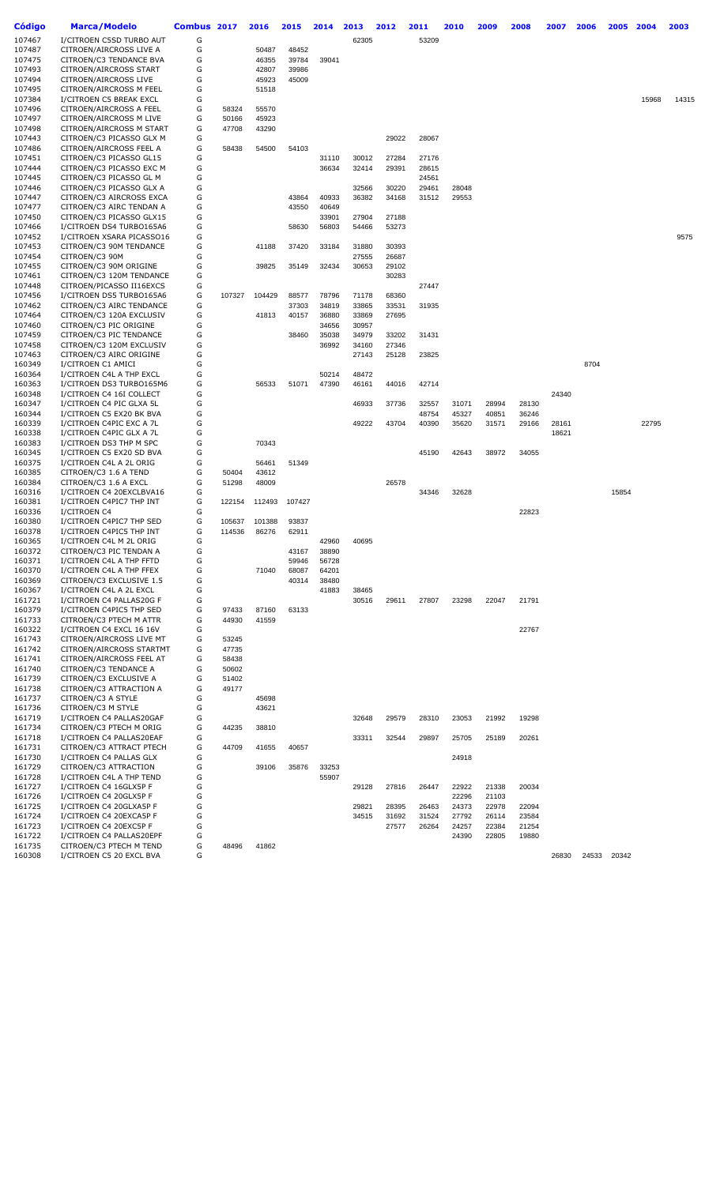| <b>Código</b> | Marca/Modelo              | Combus 2017 |        | 2016   | 2015   | 2014  | 2013  | 2012  | 2011  | 2010  | 2009  | 2008  | 2007  | 2006 | 2005        | 2004  | 2003  |
|---------------|---------------------------|-------------|--------|--------|--------|-------|-------|-------|-------|-------|-------|-------|-------|------|-------------|-------|-------|
| 107467        | I/CITROEN C5SD TURBO AUT  | G           |        |        |        |       | 62305 |       | 53209 |       |       |       |       |      |             |       |       |
| 107487        | CITROEN/AIRCROSS LIVE A   | G           |        | 50487  | 48452  |       |       |       |       |       |       |       |       |      |             |       |       |
| 107475        | CITROEN/C3 TENDANCE BVA   | G           |        | 46355  | 39784  | 39041 |       |       |       |       |       |       |       |      |             |       |       |
| 107493        | CITROEN/AIRCROSS START    | G           |        | 42807  | 39986  |       |       |       |       |       |       |       |       |      |             |       |       |
| 107494        | CITROEN/AIRCROSS LIVE     | G           |        | 45923  | 45009  |       |       |       |       |       |       |       |       |      |             |       |       |
| 107495        | CITROEN/AIRCROSS M FEEL   | G           |        | 51518  |        |       |       |       |       |       |       |       |       |      |             |       |       |
| 107384        | I/CITROEN C5 BREAK EXCL   | G           |        |        |        |       |       |       |       |       |       |       |       |      |             | 15968 | 14315 |
| 107496        | CITROEN/AIRCROSS A FEEL   | G           | 58324  | 55570  |        |       |       |       |       |       |       |       |       |      |             |       |       |
| 107497        | CITROEN/AIRCROSS M LIVE   | G           | 50166  | 45923  |        |       |       |       |       |       |       |       |       |      |             |       |       |
| 107498        | CITROEN/AIRCROSS M START  | G           | 47708  | 43290  |        |       |       |       |       |       |       |       |       |      |             |       |       |
| 107443        | CITROEN/C3 PICASSO GLX M  | G           |        |        |        |       |       | 29022 | 28067 |       |       |       |       |      |             |       |       |
| 107486        | CITROEN/AIRCROSS FEEL A   | G           | 58438  | 54500  | 54103  |       |       |       |       |       |       |       |       |      |             |       |       |
| 107451        | CITROEN/C3 PICASSO GL15   | G           |        |        |        | 31110 | 30012 | 27284 | 27176 |       |       |       |       |      |             |       |       |
| 107444        | CITROEN/C3 PICASSO EXC M  | G           |        |        |        | 36634 | 32414 | 29391 | 28615 |       |       |       |       |      |             |       |       |
| 107445        | CITROEN/C3 PICASSO GL M   | G           |        |        |        |       |       |       | 24561 |       |       |       |       |      |             |       |       |
| 107446        | CITROEN/C3 PICASSO GLX A  | G           |        |        |        |       | 32566 | 30220 | 29461 | 28048 |       |       |       |      |             |       |       |
| 107447        | CITROEN/C3 AIRCROSS EXCA  | G           |        |        | 43864  | 40933 | 36382 | 34168 | 31512 | 29553 |       |       |       |      |             |       |       |
| 107477        | CITROEN/C3 AIRC TENDAN A  | G           |        |        | 43550  | 40649 |       |       |       |       |       |       |       |      |             |       |       |
| 107450        | CITROEN/C3 PICASSO GLX15  | G           |        |        |        | 33901 | 27904 | 27188 |       |       |       |       |       |      |             |       |       |
| 107466        | I/CITROEN DS4 TURBO165A6  | G           |        |        | 58630  | 56803 | 54466 | 53273 |       |       |       |       |       |      |             |       |       |
| 107452        | I/CITROEN XSARA PICASSO16 | G           |        |        |        |       |       |       |       |       |       |       |       |      |             |       | 9575  |
| 107453        | CITROEN/C3 90M TENDANCE   | G           |        | 41188  | 37420  | 33184 | 31880 | 30393 |       |       |       |       |       |      |             |       |       |
| 107454        | CITROEN/C3 90M            | G           |        |        |        |       | 27555 | 26687 |       |       |       |       |       |      |             |       |       |
| 107455        | CITROEN/C3 90M ORIGINE    | G           |        | 39825  | 35149  | 32434 | 30653 | 29102 |       |       |       |       |       |      |             |       |       |
| 107461        | CITROEN/C3 120M TENDANCE  | G           |        |        |        |       |       | 30283 |       |       |       |       |       |      |             |       |       |
| 107448        | CITROEN/PICASSO II16EXCS  | G           |        |        |        |       |       |       | 27447 |       |       |       |       |      |             |       |       |
| 107456        | I/CITROEN DS5 TURBO165A6  | G           | 107327 | 104429 | 88577  | 78796 | 71178 | 68360 |       |       |       |       |       |      |             |       |       |
| 107462        | CITROEN/C3 AIRC TENDANCE  | G           |        |        | 37303  | 34819 | 33865 | 33531 | 31935 |       |       |       |       |      |             |       |       |
| 107464        | CITROEN/C3 120A EXCLUSIV  | G           |        | 41813  | 40157  | 36880 | 33869 | 27695 |       |       |       |       |       |      |             |       |       |
| 107460        | CITROEN/C3 PIC ORIGINE    | G           |        |        |        | 34656 | 30957 |       |       |       |       |       |       |      |             |       |       |
| 107459        | CITROEN/C3 PIC TENDANCE   | G           |        |        | 38460  | 35038 | 34979 | 33202 | 31431 |       |       |       |       |      |             |       |       |
| 107458        | CITROEN/C3 120M EXCLUSIV  | G           |        |        |        | 36992 | 34160 | 27346 |       |       |       |       |       |      |             |       |       |
| 107463        | CITROEN/C3 AIRC ORIGINE   | G           |        |        |        |       | 27143 | 25128 | 23825 |       |       |       |       |      |             |       |       |
| 160349        | I/CITROEN C1 AMICI        | G           |        |        |        |       |       |       |       |       |       |       |       | 8704 |             |       |       |
| 160364        | I/CITROEN C4L A THP EXCL  | G           |        |        |        | 50214 | 48472 |       |       |       |       |       |       |      |             |       |       |
| 160363        | I/CITROEN DS3 TURB0165M6  | G           |        | 56533  | 51071  | 47390 | 46161 | 44016 | 42714 |       |       |       |       |      |             |       |       |
| 160348        | I/CITROEN C4 16I COLLECT  | G           |        |        |        |       |       |       |       |       |       |       | 24340 |      |             |       |       |
| 160347        | I/CITROEN C4 PIC GLXA 5L  | G           |        |        |        |       | 46933 | 37736 | 32557 | 31071 | 28994 | 28130 |       |      |             |       |       |
| 160344        | I/CITROEN C5 EX20 BK BVA  | G           |        |        |        |       |       |       | 48754 | 45327 | 40851 | 36246 |       |      |             |       |       |
| 160339        | I/CITROEN C4PIC EXC A 7L  | G           |        |        |        |       | 49222 | 43704 | 40390 | 35620 | 31571 | 29166 | 28161 |      |             | 22795 |       |
| 160338        | I/CITROEN C4PIC GLX A 7L  | G           |        |        |        |       |       |       |       |       |       |       | 18621 |      |             |       |       |
| 160383        | I/CITROEN DS3 THP M SPC   | G           |        | 70343  |        |       |       |       |       |       |       |       |       |      |             |       |       |
| 160345        | I/CITROEN C5 EX20 SD BVA  | G           |        |        |        |       |       |       | 45190 | 42643 | 38972 | 34055 |       |      |             |       |       |
| 160375        | I/CITROEN C4L A 2L ORIG   | G           |        | 56461  | 51349  |       |       |       |       |       |       |       |       |      |             |       |       |
| 160385        | CITROEN/C3 1.6 A TEND     | G           | 50404  | 43612  |        |       |       |       |       |       |       |       |       |      |             |       |       |
| 160384        | CITROEN/C3 1.6 A EXCL     | G           | 51298  | 48009  |        |       |       | 26578 |       |       |       |       |       |      |             |       |       |
| 160316        | I/CITROEN C4 20EXCLBVA16  | G           |        |        |        |       |       |       | 34346 | 32628 |       |       |       |      | 15854       |       |       |
| 160381        | I/CITROEN C4PIC7 THP INT  | G           | 122154 | 112493 | 107427 |       |       |       |       |       |       |       |       |      |             |       |       |
| 160336        | I/CITROEN C4              | G           |        |        |        |       |       |       |       |       |       | 22823 |       |      |             |       |       |
| 160380        | I/CITROEN C4PIC7 THP SED  | G           | 105637 | 101388 | 93837  |       |       |       |       |       |       |       |       |      |             |       |       |
| 160378        | I/CITROEN C4PIC5 THP INT  | G           | 114536 | 86276  | 62911  |       |       |       |       |       |       |       |       |      |             |       |       |
| 160365        | I/CITROEN C4L M 2L ORIG   | G           |        |        |        | 42960 | 40695 |       |       |       |       |       |       |      |             |       |       |
| 160372        | CITROEN/C3 PIC TENDAN A   | G           |        |        | 43167  | 38890 |       |       |       |       |       |       |       |      |             |       |       |
| 160371        | I/CITROEN C4L A THP FFTD  | G           |        |        | 59946  | 56728 |       |       |       |       |       |       |       |      |             |       |       |
| 160370        | I/CITROEN C4L A THP FFEX  | G           |        | 71040  | 68087  | 64201 |       |       |       |       |       |       |       |      |             |       |       |
| 160369        | CITROEN/C3 EXCLUSIVE 1.5  | G           |        |        | 40314  | 38480 |       |       |       |       |       |       |       |      |             |       |       |
| 160367        | I/CITROEN C4L A 2L EXCL   | G           |        |        |        | 41883 | 38465 |       |       |       |       |       |       |      |             |       |       |
| 161721        | I/CITROEN C4 PALLAS20G F  | G           |        |        |        |       | 30516 | 29611 | 27807 | 23298 | 22047 | 21791 |       |      |             |       |       |
| 160379        | I/CITROEN C4PIC5 THP SED  | G           | 97433  | 87160  | 63133  |       |       |       |       |       |       |       |       |      |             |       |       |
| 161733        | CITROEN/C3 PTECH M ATTR   | G           | 44930  | 41559  |        |       |       |       |       |       |       |       |       |      |             |       |       |
| 160322        | I/CITROEN C4 EXCL 16 16V  | G           |        |        |        |       |       |       |       |       |       | 22767 |       |      |             |       |       |
| 161743        | CITROEN/AIRCROSS LIVE MT  | G           | 53245  |        |        |       |       |       |       |       |       |       |       |      |             |       |       |
| 161742        | CITROEN/AIRCROSS STARTMT  | G           | 47735  |        |        |       |       |       |       |       |       |       |       |      |             |       |       |
| 161741        | CITROEN/AIRCROSS FEEL AT  | G           | 58438  |        |        |       |       |       |       |       |       |       |       |      |             |       |       |
| 161740        | CITROEN/C3 TENDANCE A     | G           | 50602  |        |        |       |       |       |       |       |       |       |       |      |             |       |       |
| 161739        | CITROEN/C3 EXCLUSIVE A    | G           | 51402  |        |        |       |       |       |       |       |       |       |       |      |             |       |       |
| 161738        | CITROEN/C3 ATTRACTION A   | G           | 49177  |        |        |       |       |       |       |       |       |       |       |      |             |       |       |
| 161737        | CITROEN/C3 A STYLE        | G           |        | 45698  |        |       |       |       |       |       |       |       |       |      |             |       |       |
| 161736        | CITROEN/C3 M STYLE        | G           |        | 43621  |        |       |       |       |       |       |       |       |       |      |             |       |       |
| 161719        | I/CITROEN C4 PALLAS20GAF  | G           |        |        |        |       | 32648 | 29579 | 28310 | 23053 | 21992 | 19298 |       |      |             |       |       |
| 161734        | CITROEN/C3 PTECH M ORIG   | G           | 44235  | 38810  |        |       |       |       |       |       |       |       |       |      |             |       |       |
| 161718        | I/CITROEN C4 PALLAS20EAF  | G           |        |        |        |       | 33311 | 32544 | 29897 | 25705 | 25189 | 20261 |       |      |             |       |       |
| 161731        | CITROEN/C3 ATTRACT PTECH  | G           | 44709  | 41655  | 40657  |       |       |       |       |       |       |       |       |      |             |       |       |
| 161730        | I/CITROEN C4 PALLAS GLX   | G           |        |        |        |       |       |       |       | 24918 |       |       |       |      |             |       |       |
| 161729        | CITROEN/C3 ATTRACTION     | G           |        | 39106  | 35876  | 33253 |       |       |       |       |       |       |       |      |             |       |       |
| 161728        | I/CITROEN C4L A THP TEND  | G           |        |        |        | 55907 |       |       |       |       |       |       |       |      |             |       |       |
| 161727        | I/CITROEN C4 16GLX5P F    | G           |        |        |        |       | 29128 | 27816 | 26447 | 22922 | 21338 | 20034 |       |      |             |       |       |
| 161726        | I/CITROEN C4 20GLX5P F    | G           |        |        |        |       |       |       |       | 22296 | 21103 |       |       |      |             |       |       |
| 161725        | I/CITROEN C4 20GLXA5P F   | G           |        |        |        |       | 29821 | 28395 | 26463 | 24373 | 22978 | 22094 |       |      |             |       |       |
| 161724        | I/CITROEN C4 20EXCA5P F   | G           |        |        |        |       | 34515 | 31692 | 31524 | 27792 | 26114 | 23584 |       |      |             |       |       |
| 161723        | I/CITROEN C4 20EXC5P F    | G           |        |        |        |       |       | 27577 | 26264 | 24257 | 22384 | 21254 |       |      |             |       |       |
| 161722        | I/CITROEN C4 PALLAS20EPF  | G           |        |        |        |       |       |       |       | 24390 | 22805 | 19880 |       |      |             |       |       |
| 161735        | CITROEN/C3 PTECH M TEND   | G           | 48496  | 41862  |        |       |       |       |       |       |       |       |       |      |             |       |       |
| 160308        | I/CITROEN C5 20 EXCL BVA  | G           |        |        |        |       |       |       |       |       |       |       | 26830 |      | 24533 20342 |       |       |
|               |                           |             |        |        |        |       |       |       |       |       |       |       |       |      |             |       |       |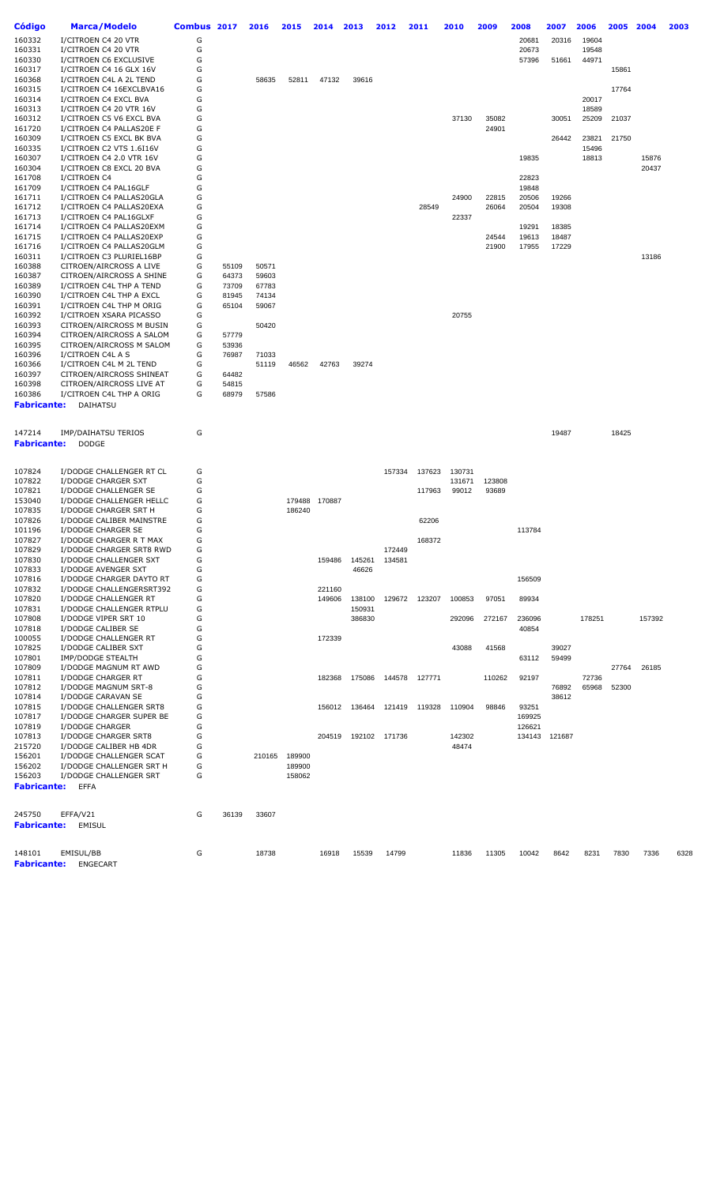| Código             | Marca/Modelo                                         | Combus 2017 |       | 2016   | 2015   | 2014          | 2013   | 2012          | 2011          | 2010   | 2009   | 2008   | 2007          | 2006   | 2005  | 2004   | 2003 |
|--------------------|------------------------------------------------------|-------------|-------|--------|--------|---------------|--------|---------------|---------------|--------|--------|--------|---------------|--------|-------|--------|------|
| 160332             | I/CITROEN C4 20 VTR                                  | G           |       |        |        |               |        |               |               |        |        | 20681  | 20316         | 19604  |       |        |      |
| 160331             | I/CITROEN C4 20 VTR                                  | G           |       |        |        |               |        |               |               |        |        | 20673  |               | 19548  |       |        |      |
| 160330             | I/CITROEN C6 EXCLUSIVE                               | G           |       |        |        |               |        |               |               |        |        | 57396  | 51661         | 44971  |       |        |      |
| 160317             | I/CITROEN C4 16 GLX 16V                              | G           |       |        |        |               |        |               |               |        |        |        |               |        | 15861 |        |      |
| 160368             | I/CITROEN C4L A 2L TEND                              | G           |       | 58635  | 52811  | 47132         | 39616  |               |               |        |        |        |               |        |       |        |      |
| 160315             | I/CITROEN C4 16EXCLBVA16                             | G           |       |        |        |               |        |               |               |        |        |        |               |        | 17764 |        |      |
| 160314             | I/CITROEN C4 EXCL BVA                                | G           |       |        |        |               |        |               |               |        |        |        |               | 20017  |       |        |      |
| 160313             | I/CITROEN C4 20 VTR 16V                              | G           |       |        |        |               |        |               |               |        |        |        |               | 18589  |       |        |      |
| 160312             | I/CITROEN C5 V6 EXCL BVA                             | G           |       |        |        |               |        |               |               | 37130  | 35082  |        | 30051         | 25209  | 21037 |        |      |
| 161720             | I/CITROEN C4 PALLAS20E F                             | G           |       |        |        |               |        |               |               |        | 24901  |        |               |        |       |        |      |
| 160309             | I/CITROEN C5 EXCL BK BVA                             | G           |       |        |        |               |        |               |               |        |        |        |               |        |       |        |      |
|                    |                                                      | G           |       |        |        |               |        |               |               |        |        |        | 26442         | 23821  | 21750 |        |      |
| 160335<br>160307   | I/CITROEN C2 VTS 1.6I16V<br>I/CITROEN C4 2.0 VTR 16V |             |       |        |        |               |        |               |               |        |        |        |               | 15496  |       |        |      |
|                    |                                                      | G           |       |        |        |               |        |               |               |        |        | 19835  |               | 18813  |       | 15876  |      |
| 160304             | I/CITROEN C8 EXCL 20 BVA                             | G           |       |        |        |               |        |               |               |        |        |        |               |        |       | 20437  |      |
| 161708             | I/CITROEN C4                                         | G           |       |        |        |               |        |               |               |        |        | 22823  |               |        |       |        |      |
| 161709             | I/CITROEN C4 PAL16GLF                                | G           |       |        |        |               |        |               |               |        |        | 19848  |               |        |       |        |      |
| 161711             | I/CITROEN C4 PALLAS20GLA                             | G           |       |        |        |               |        |               |               | 24900  | 22815  | 20506  | 19266         |        |       |        |      |
| 161712             | I/CITROEN C4 PALLAS20EXA                             | G           |       |        |        |               |        |               | 28549         |        | 26064  | 20504  | 19308         |        |       |        |      |
| 161713             | I/CITROEN C4 PAL16GLXF                               | G           |       |        |        |               |        |               |               | 22337  |        |        |               |        |       |        |      |
| 161714             | I/CITROEN C4 PALLAS20EXM                             | G           |       |        |        |               |        |               |               |        |        | 19291  | 18385         |        |       |        |      |
| 161715             | I/CITROEN C4 PALLAS20EXP                             | G           |       |        |        |               |        |               |               |        | 24544  | 19613  | 18487         |        |       |        |      |
| 161716             | I/CITROEN C4 PALLAS20GLM                             | G           |       |        |        |               |        |               |               |        | 21900  | 17955  | 17229         |        |       |        |      |
| 160311             | I/CITROEN C3 PLURIEL16BP                             | G           |       |        |        |               |        |               |               |        |        |        |               |        |       | 13186  |      |
| 160388             | CITROEN/AIRCROSS A LIVE                              | G           | 55109 | 50571  |        |               |        |               |               |        |        |        |               |        |       |        |      |
| 160387             | CITROEN/AIRCROSS A SHINE                             | G           | 64373 | 59603  |        |               |        |               |               |        |        |        |               |        |       |        |      |
| 160389             | I/CITROEN C4L THP A TEND                             | G           | 73709 | 67783  |        |               |        |               |               |        |        |        |               |        |       |        |      |
| 160390             | I/CITROEN C4L THP A EXCL                             | G           | 81945 | 74134  |        |               |        |               |               |        |        |        |               |        |       |        |      |
| 160391             | I/CITROEN C4L THP M ORIG                             | G           | 65104 | 59067  |        |               |        |               |               |        |        |        |               |        |       |        |      |
| 160392             | I/CITROEN XSARA PICASSO                              | G           |       |        |        |               |        |               |               | 20755  |        |        |               |        |       |        |      |
| 160393             | CITROEN/AIRCROSS M BUSIN                             | G           |       | 50420  |        |               |        |               |               |        |        |        |               |        |       |        |      |
| 160394             | CITROEN/AIRCROSS A SALOM                             | G           | 57779 |        |        |               |        |               |               |        |        |        |               |        |       |        |      |
| 160395             | CITROEN/AIRCROSS M SALOM                             | G           | 53936 |        |        |               |        |               |               |        |        |        |               |        |       |        |      |
| 160396             | I/CITROEN C4L A S                                    | G           | 76987 | 71033  |        |               |        |               |               |        |        |        |               |        |       |        |      |
| 160366             | I/CITROEN C4L M 2L TEND                              | G           |       | 51119  | 46562  | 42763         | 39274  |               |               |        |        |        |               |        |       |        |      |
| 160397             | CITROEN/AIRCROSS SHINEAT                             | G           | 64482 |        |        |               |        |               |               |        |        |        |               |        |       |        |      |
| 160398             | CITROEN/AIRCROSS LIVE AT                             | G           | 54815 |        |        |               |        |               |               |        |        |        |               |        |       |        |      |
| 160386             | I/CITROEN C4L THP A ORIG                             | G           | 68979 | 57586  |        |               |        |               |               |        |        |        |               |        |       |        |      |
| <b>Fabricante:</b> | DAIHATSU                                             |             |       |        |        |               |        |               |               |        |        |        |               |        |       |        |      |
|                    |                                                      |             |       |        |        |               |        |               |               |        |        |        |               |        |       |        |      |
| 147214             | <b>IMP/DAIHATSU TERIOS</b>                           | G           |       |        |        |               |        |               |               |        |        |        | 19487         |        | 18425 |        |      |
| <b>Fabricante:</b> | <b>DODGE</b>                                         |             |       |        |        |               |        |               |               |        |        |        |               |        |       |        |      |
|                    |                                                      |             |       |        |        |               |        |               |               |        |        |        |               |        |       |        |      |
|                    |                                                      |             |       |        |        |               |        |               |               |        |        |        |               |        |       |        |      |
| 107824             | I/DODGE CHALLENGER RT CL                             | G           |       |        |        |               |        | 157334        | 137623        | 130731 |        |        |               |        |       |        |      |
| 107822             | I/DODGE CHARGER SXT                                  | G           |       |        |        |               |        |               |               | 131671 | 123808 |        |               |        |       |        |      |
| 107821             | I/DODGE CHALLENGER SE                                | G           |       |        |        |               |        |               | 117963        | 99012  | 93689  |        |               |        |       |        |      |
| 153040             | I/DODGE CHALLENGER HELLC                             | G           |       |        |        | 179488 170887 |        |               |               |        |        |        |               |        |       |        |      |
| 107835             | I/DODGE CHARGER SRT H                                | G           |       |        | 186240 |               |        |               |               |        |        |        |               |        |       |        |      |
| 107826             | I/DODGE CALIBER MAINSTRE                             | G           |       |        |        |               |        |               | 62206         |        |        |        |               |        |       |        |      |
| 101196             | I/DODGE CHARGER SE                                   | G           |       |        |        |               |        |               |               |        |        | 113784 |               |        |       |        |      |
| 107827             | I/DODGE CHARGER R T MAX                              | G           |       |        |        |               |        |               | 168372        |        |        |        |               |        |       |        |      |
| 107829             | I/DODGE CHARGER SRT8 RWD                             | G           |       |        |        |               |        | 172449        |               |        |        |        |               |        |       |        |      |
| 107830             | I/DODGE CHALLENGER SXT                               | G           |       |        |        | 159486        | 145261 | 134581        |               |        |        |        |               |        |       |        |      |
| 107833             | I/DODGE AVENGER SXT                                  | G           |       |        |        |               | 46626  |               |               |        |        |        |               |        |       |        |      |
| 107816             | I/DODGE CHARGER DAYTO RT                             | G           |       |        |        |               |        |               |               |        |        | 156509 |               |        |       |        |      |
| 107832             | I/DODGE CHALLENGERSRT392                             | G           |       |        |        | 221160        |        |               |               |        |        |        |               |        |       |        |      |
| 107820             | I/DODGE CHALLENGER RT                                | G           |       |        |        | 149606        | 138100 | 129672        | 123207        | 100853 | 97051  | 89934  |               |        |       |        |      |
| 107831             | I/DODGE CHALLENGER RTPLU                             | G           |       |        |        |               | 150931 |               |               |        |        |        |               |        |       |        |      |
| 107808             | I/DODGE VIPER SRT 10                                 | G           |       |        |        |               | 386830 |               |               | 292096 | 272167 | 236096 |               | 178251 |       | 157392 |      |
| 107818             | I/DODGE CALIBER SE                                   | G           |       |        |        |               |        |               |               |        |        | 40854  |               |        |       |        |      |
| 100055             | I/DODGE CHALLENGER RT                                | G           |       |        |        | 172339        |        |               |               |        |        |        |               |        |       |        |      |
| 107825             | I/DODGE CALIBER SXT                                  | G           |       |        |        |               |        |               |               | 43088  | 41568  |        | 39027         |        |       |        |      |
| 107801             | IMP/DODGE STEALTH                                    | G           |       |        |        |               |        |               |               |        |        | 63112  | 59499         |        |       |        |      |
| 107809             | I/DODGE MAGNUM RT AWD                                | G           |       |        |        |               |        |               |               |        |        |        |               |        | 27764 | 26185  |      |
| 107811             | I/DODGE CHARGER RT                                   | G           |       |        |        | 182368        | 175086 |               | 144578 127771 |        | 110262 | 92197  |               | 72736  |       |        |      |
| 107812             | I/DODGE MAGNUM SRT-8                                 | G           |       |        |        |               |        |               |               |        |        |        | 76892         | 65968  | 52300 |        |      |
| 107814             | I/DODGE CARAVAN SE                                   | G           |       |        |        |               |        |               |               |        |        |        | 38612         |        |       |        |      |
| 107815             | I/DODGE CHALLENGER SRT8                              | G           |       |        |        | 156012        | 136464 | 121419        | 119328        | 110904 | 98846  | 93251  |               |        |       |        |      |
| 107817             | I/DODGE CHARGER SUPER BE                             | G           |       |        |        |               |        |               |               |        |        | 169925 |               |        |       |        |      |
| 107819             | I/DODGE CHARGER                                      | G           |       |        |        |               |        |               |               |        |        | 126621 |               |        |       |        |      |
| 107813             | I/DODGE CHARGER SRT8                                 | G           |       |        |        | 204519        |        | 192102 171736 |               | 142302 |        |        | 134143 121687 |        |       |        |      |
| 215720             | I/DODGE CALIBER HB 4DR                               | G           |       |        |        |               |        |               |               | 48474  |        |        |               |        |       |        |      |
| 156201             | I/DODGE CHALLENGER SCAT                              | G           |       | 210165 | 189900 |               |        |               |               |        |        |        |               |        |       |        |      |
| 156202             | I/DODGE CHALLENGER SRT H                             | G           |       |        | 189900 |               |        |               |               |        |        |        |               |        |       |        |      |
| 156203             | I/DODGE CHALLENGER SRT                               | G           |       |        | 158062 |               |        |               |               |        |        |        |               |        |       |        |      |
| Fabricante:        | <b>EFFA</b>                                          |             |       |        |        |               |        |               |               |        |        |        |               |        |       |        |      |
|                    |                                                      |             |       |        |        |               |        |               |               |        |        |        |               |        |       |        |      |
|                    |                                                      |             |       |        |        |               |        |               |               |        |        |        |               |        |       |        |      |
| 245750             | EFFA/V21                                             | G           | 36139 | 33607  |        |               |        |               |               |        |        |        |               |        |       |        |      |
| Fabricante:        | <b>EMISUL</b>                                        |             |       |        |        |               |        |               |               |        |        |        |               |        |       |        |      |
|                    |                                                      |             |       |        |        |               |        |               |               |        |        |        |               |        |       |        |      |
| 148101             | EMISUL/BB                                            | G           |       | 18738  |        | 16918         | 15539  | 14799         |               | 11836  | 11305  | 10042  | 8642          | 8231   | 7830  | 7336   | 6328 |
| <b>Fabricante:</b> | ENGECART                                             |             |       |        |        |               |        |               |               |        |        |        |               |        |       |        |      |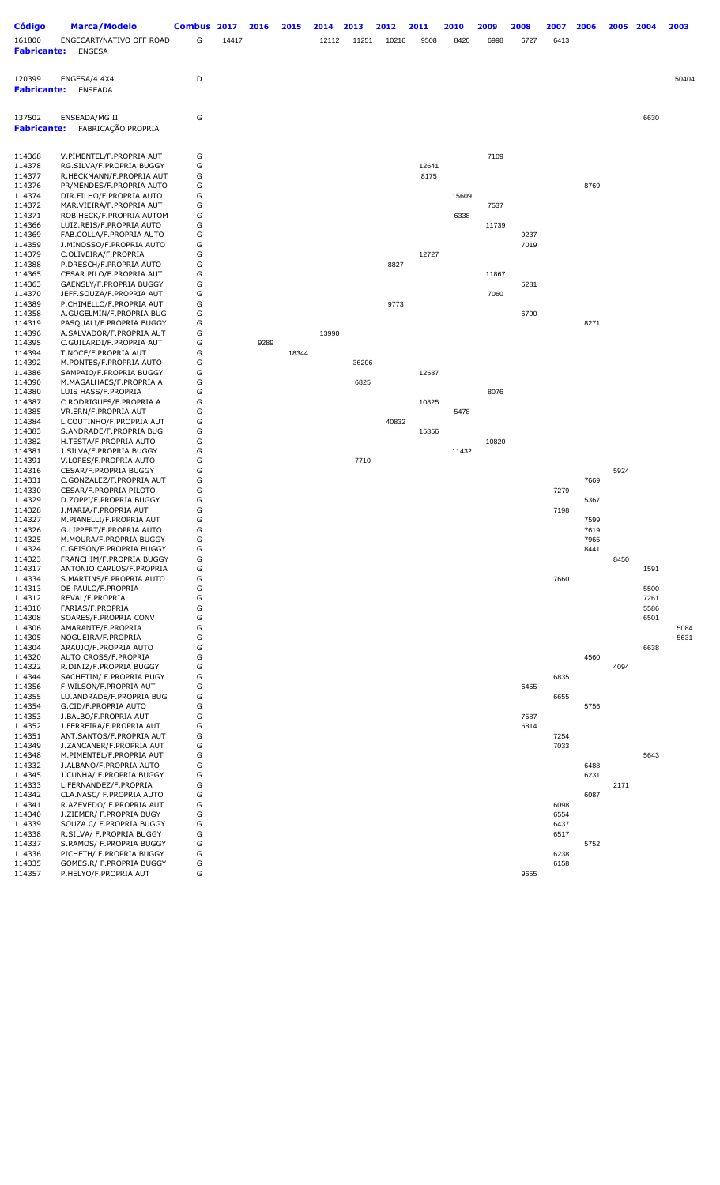| <b>Código</b><br>161800<br><b>Fabricante:</b> | <b>Marca/Modelo</b><br>ENGECART/NATIVO OFF ROAD<br><b>ENGESA</b> | Combus 2017<br>G | 14417 | 2016 | 2015  | 2014<br>12112 | 2013<br>11251 | 2012<br>10216 | 2011<br>9508 | 2010<br>8420 | 2009<br>6998 | 2008<br>6727 | 2007<br>6413 | 2006         | 2005 | 2004         | 2003  |
|-----------------------------------------------|------------------------------------------------------------------|------------------|-------|------|-------|---------------|---------------|---------------|--------------|--------------|--------------|--------------|--------------|--------------|------|--------------|-------|
| 120399<br><b>Fabricante:</b>                  | ENGESA/4 4X4<br><b>ENSEADA</b>                                   | D                |       |      |       |               |               |               |              |              |              |              |              |              |      |              | 50404 |
| 137502<br><b>Fabricante:</b>                  | ENSEADA/MG II<br>FABRICAÇÃO PROPRIA                              | G                |       |      |       |               |               |               |              |              |              |              |              |              |      | 6630         |       |
| 114368<br>114378                              | V.PIMENTEL/F.PROPRIA AUT<br>RG.SILVA/F.PROPRIA BUGGY             | G<br>G           |       |      |       |               |               |               | 12641        |              | 7109         |              |              |              |      |              |       |
| 114377                                        | R.HECKMANN/F.PROPRIA AUT                                         | G                |       |      |       |               |               |               | 8175         |              |              |              |              |              |      |              |       |
| 114376                                        | PR/MENDES/F.PROPRIA AUTO                                         | G                |       |      |       |               |               |               |              |              |              |              |              | 8769         |      |              |       |
| 114374<br>114372                              | DIR.FILHO/F.PROPRIA AUTO                                         | G<br>G           |       |      |       |               |               |               |              | 15609        |              |              |              |              |      |              |       |
| 114371                                        | MAR.VIEIRA/F.PROPRIA AUT<br>ROB.HECK/F.PROPRIA AUTOM             | G                |       |      |       |               |               |               |              | 6338         | 7537         |              |              |              |      |              |       |
| 114366                                        | LUIZ.REIS/F.PROPRIA AUTO                                         | G                |       |      |       |               |               |               |              |              | 11739        |              |              |              |      |              |       |
| 114369                                        | FAB.COLLA/F.PROPRIA AUTO                                         | G                |       |      |       |               |               |               |              |              |              | 9237         |              |              |      |              |       |
| 114359                                        | J.MINOSSO/F.PROPRIA AUTO                                         | G                |       |      |       |               |               |               |              |              |              | 7019         |              |              |      |              |       |
| 114379<br>114388                              | C.OLIVEIRA/F.PROPRIA                                             | G<br>G           |       |      |       |               |               |               | 12727        |              |              |              |              |              |      |              |       |
| 114365                                        | P.DRESCH/F.PROPRIA AUTO<br>CESAR PILO/F.PROPRIA AUT              | G                |       |      |       |               |               | 8827          |              |              | 11867        |              |              |              |      |              |       |
| 114363                                        | GAENSLY/F.PROPRIA BUGGY                                          | G                |       |      |       |               |               |               |              |              |              | 5281         |              |              |      |              |       |
| 114370                                        | JEFF.SOUZA/F.PROPRIA AUT                                         | G                |       |      |       |               |               |               |              |              | 7060         |              |              |              |      |              |       |
| 114389                                        | P.CHIMELLO/F.PROPRIA AUT                                         | G                |       |      |       |               |               | 9773          |              |              |              |              |              |              |      |              |       |
| 114358<br>114319                              | A.GUGELMIN/F.PROPRIA BUG<br>PASQUALI/F.PROPRIA BUGGY             | G<br>G           |       |      |       |               |               |               |              |              |              | 6790         |              | 8271         |      |              |       |
| 114396                                        | A.SALVADOR/F.PROPRIA AUT                                         | G                |       |      |       | 13990         |               |               |              |              |              |              |              |              |      |              |       |
| 114395                                        | C.GUILARDI/F.PROPRIA AUT                                         | G                |       | 9289 |       |               |               |               |              |              |              |              |              |              |      |              |       |
| 114394                                        | T.NOCE/F.PROPRIA AUT                                             | G                |       |      | 18344 |               |               |               |              |              |              |              |              |              |      |              |       |
| 114392                                        | M.PONTES/F.PROPRIA AUTO                                          | G<br>G           |       |      |       |               | 36206         |               |              |              |              |              |              |              |      |              |       |
| 114386<br>114390                              | SAMPAIO/F.PROPRIA BUGGY<br>M.MAGALHAES/F.PROPRIA A               | G                |       |      |       |               | 6825          |               | 12587        |              |              |              |              |              |      |              |       |
| 114380                                        | LUIS HASS/F.PROPRIA                                              | G                |       |      |       |               |               |               |              |              | 8076         |              |              |              |      |              |       |
| 114387                                        | C RODRIGUES/F.PROPRIA A                                          | G                |       |      |       |               |               |               | 10825        |              |              |              |              |              |      |              |       |
| 114385                                        | VR.ERN/F.PROPRIA AUT                                             | G                |       |      |       |               |               |               |              | 5478         |              |              |              |              |      |              |       |
| 114384<br>114383                              | L.COUTINHO/F.PROPRIA AUT<br>S.ANDRADE/F.PROPRIA BUG              | G<br>G           |       |      |       |               |               | 40832         | 15856        |              |              |              |              |              |      |              |       |
| 114382                                        | H.TESTA/F.PROPRIA AUTO                                           | G                |       |      |       |               |               |               |              |              | 10820        |              |              |              |      |              |       |
| 114381                                        | J.SILVA/F.PROPRIA BUGGY                                          | G                |       |      |       |               |               |               |              | 11432        |              |              |              |              |      |              |       |
| 114391                                        | V.LOPES/F.PROPRIA AUTO                                           | G                |       |      |       |               | 7710          |               |              |              |              |              |              |              |      |              |       |
| 114316<br>114331                              | CESAR/F.PROPRIA BUGGY<br>C.GONZALEZ/F.PROPRIA AUT                | G<br>G           |       |      |       |               |               |               |              |              |              |              |              | 7669         | 5924 |              |       |
| 114330                                        | CESAR/F.PROPRIA PILOTO                                           | G                |       |      |       |               |               |               |              |              |              |              | 7279         |              |      |              |       |
| 114329                                        | D.ZOPPI/F.PROPRIA BUGGY                                          | G                |       |      |       |               |               |               |              |              |              |              |              | 5367         |      |              |       |
| 114328                                        | J.MARIA/F.PROPRIA AUT                                            | G                |       |      |       |               |               |               |              |              |              |              | 7198         |              |      |              |       |
| 114327                                        | M.PIANELLI/F.PROPRIA AUT                                         | G                |       |      |       |               |               |               |              |              |              |              |              | 7599         |      |              |       |
| 114326<br>114325                              | G.LIPPERT/F.PROPRIA AUTO<br>M.MOURA/F.PROPRIA BUGGY              | G<br>G           |       |      |       |               |               |               |              |              |              |              |              | 7619<br>7965 |      |              |       |
| 114324                                        | C.GEISON/F.PROPRIA BUGGY                                         | G                |       |      |       |               |               |               |              |              |              |              |              | 8441         |      |              |       |
| 114323                                        | FRANCHIM/F.PROPRIA BUGGY                                         | G                |       |      |       |               |               |               |              |              |              |              |              |              | 8450 |              |       |
| 114317                                        | ANTONIO CARLOS/F.PROPRIA                                         | G                |       |      |       |               |               |               |              |              |              |              |              |              |      | 1591         |       |
| 114334                                        | S.MARTINS/F.PROPRIA AUTO                                         | G<br>G           |       |      |       |               |               |               |              |              |              |              | 7660         |              |      |              |       |
| 114313<br>114312                              | DE PAULO/F.PROPRIA<br>REVAL/F.PROPRIA                            | G                |       |      |       |               |               |               |              |              |              |              |              |              |      | 5500<br>7261 |       |
| 114310                                        | FARIAS/F.PROPRIA                                                 | G                |       |      |       |               |               |               |              |              |              |              |              |              |      | 5586         |       |
| 114308                                        | SOARES/F.PROPRIA CONV                                            | G                |       |      |       |               |               |               |              |              |              |              |              |              |      | 6501         |       |
| 114306                                        | AMARANTE/F.PROPRIA                                               | G                |       |      |       |               |               |               |              |              |              |              |              |              |      |              | 5084  |
| 114305<br>114304                              | NOGUEIRA/F.PROPRIA<br>ARAUJO/F.PROPRIA AUTO                      | G<br>G           |       |      |       |               |               |               |              |              |              |              |              |              |      | 6638         | 5631  |
| 114320                                        | AUTO CROSS/F.PROPRIA                                             | G                |       |      |       |               |               |               |              |              |              |              |              | 4560         |      |              |       |
| 114322                                        | R.DINIZ/F.PROPRIA BUGGY                                          | G                |       |      |       |               |               |               |              |              |              |              |              |              | 4094 |              |       |
| 114344                                        | SACHETIM/ F.PROPRIA BUGY                                         | G                |       |      |       |               |               |               |              |              |              |              | 6835         |              |      |              |       |
| 114356<br>114355                              | F.WILSON/F.PROPRIA AUT<br>LU.ANDRADE/F.PROPRIA BUG               | G<br>G           |       |      |       |               |               |               |              |              |              | 6455         | 6655         |              |      |              |       |
| 114354                                        | G.CID/F.PROPRIA AUTO                                             | G                |       |      |       |               |               |               |              |              |              |              |              | 5756         |      |              |       |
| 114353                                        | J.BALBO/F.PROPRIA AUT                                            | G                |       |      |       |               |               |               |              |              |              | 7587         |              |              |      |              |       |
| 114352                                        | J.FERREIRA/F.PROPRIA AUT                                         | G                |       |      |       |               |               |               |              |              |              | 6814         |              |              |      |              |       |
| 114351                                        | ANT.SANTOS/F.PROPRIA AUT                                         | G                |       |      |       |               |               |               |              |              |              |              | 7254         |              |      |              |       |
| 114349<br>114348                              | J.ZANCANER/F.PROPRIA AUT<br>M.PIMENTEL/F.PROPRIA AUT             | G<br>G           |       |      |       |               |               |               |              |              |              |              | 7033         |              |      | 5643         |       |
| 114332                                        | J.ALBANO/F.PROPRIA AUTO                                          | G                |       |      |       |               |               |               |              |              |              |              |              | 6488         |      |              |       |
| 114345                                        | J.CUNHA/ F.PROPRIA BUGGY                                         | G                |       |      |       |               |               |               |              |              |              |              |              | 6231         |      |              |       |
| 114333                                        | L.FERNANDEZ/F.PROPRIA                                            | G                |       |      |       |               |               |               |              |              |              |              |              |              | 2171 |              |       |
| 114342                                        | CLA.NASC/ F.PROPRIA AUTO                                         | G                |       |      |       |               |               |               |              |              |              |              |              | 6087         |      |              |       |
| 114341<br>114340                              | R.AZEVEDO/ F.PROPRIA AUT<br>J.ZIEMER/ F.PROPRIA BUGY             | G<br>G           |       |      |       |               |               |               |              |              |              |              | 6098<br>6554 |              |      |              |       |
| 114339                                        | SOUZA.C/ F.PROPRIA BUGGY                                         | G                |       |      |       |               |               |               |              |              |              |              | 6437         |              |      |              |       |
| 114338                                        | R.SILVA/ F.PROPRIA BUGGY                                         | G                |       |      |       |               |               |               |              |              |              |              | 6517         |              |      |              |       |
| 114337                                        | S.RAMOS/ F.PROPRIA BUGGY                                         | G                |       |      |       |               |               |               |              |              |              |              |              | 5752         |      |              |       |
| 114336<br>114335                              | PICHETH/ F.PROPRIA BUGGY<br>GOMES.R/ F.PROPRIA BUGGY             | G<br>G           |       |      |       |               |               |               |              |              |              |              | 6238<br>6158 |              |      |              |       |
| 114357                                        | P.HELYO/F.PROPRIA AUT                                            | G                |       |      |       |               |               |               |              |              |              | 9655         |              |              |      |              |       |
|                                               |                                                                  |                  |       |      |       |               |               |               |              |              |              |              |              |              |      |              |       |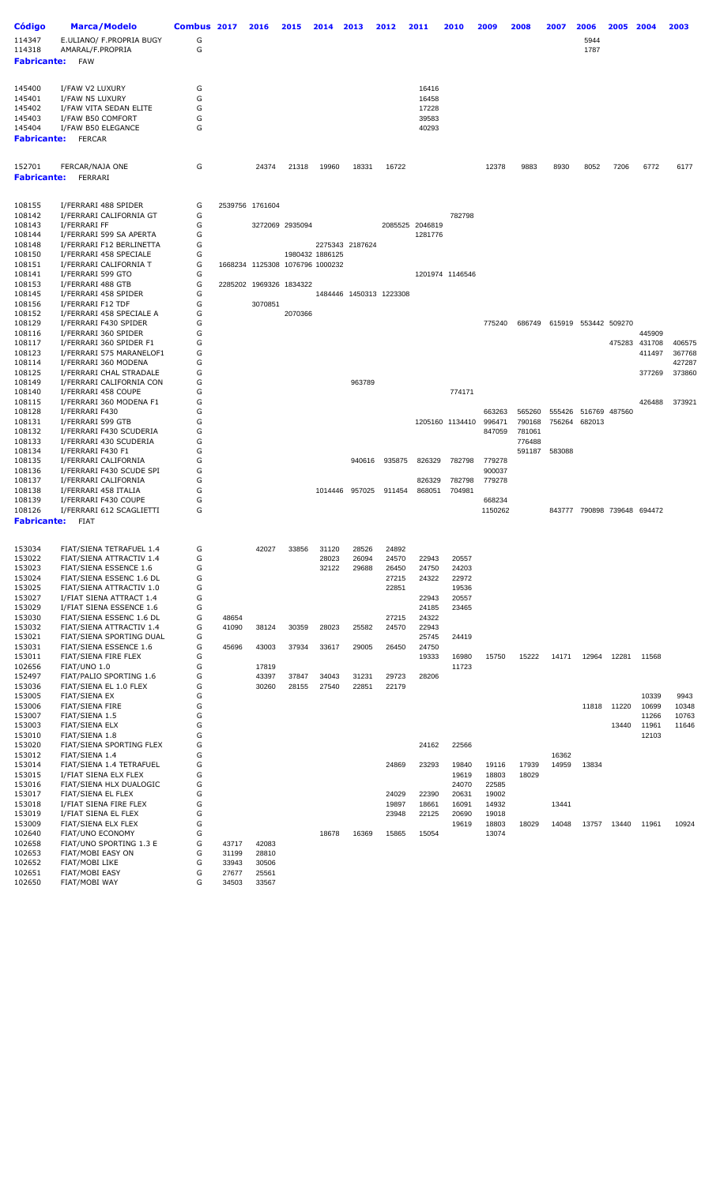| <b>Código</b>      | <b>Marca/Modelo</b>                                  | Combus 2017 |         | 2016                            | 2015            | 2014            | 2013            | 2012                    | 2011            | 2010            | 2009           | 2008           | 2007   | 2006                        | 2005          | 2004             | 2003             |
|--------------------|------------------------------------------------------|-------------|---------|---------------------------------|-----------------|-----------------|-----------------|-------------------------|-----------------|-----------------|----------------|----------------|--------|-----------------------------|---------------|------------------|------------------|
| 114347             | E.ULIANO/ F.PROPRIA BUGY                             | G           |         |                                 |                 |                 |                 |                         |                 |                 |                |                |        | 5944                        |               |                  |                  |
| 114318             | AMARAL/F.PROPRIA                                     | G           |         |                                 |                 |                 |                 |                         |                 |                 |                |                |        | 1787                        |               |                  |                  |
| <b>Fabricante:</b> | <b>FAW</b>                                           |             |         |                                 |                 |                 |                 |                         |                 |                 |                |                |        |                             |               |                  |                  |
|                    |                                                      |             |         |                                 |                 |                 |                 |                         |                 |                 |                |                |        |                             |               |                  |                  |
| 145400             | I/FAW V2 LUXURY                                      | G           |         |                                 |                 |                 |                 |                         | 16416           |                 |                |                |        |                             |               |                  |                  |
| 145401             | I/FAW N5 LUXURY                                      | G           |         |                                 |                 |                 |                 |                         | 16458           |                 |                |                |        |                             |               |                  |                  |
| 145402             | I/FAW VITA SEDAN ELITE                               | G           |         |                                 |                 |                 |                 |                         | 17228           |                 |                |                |        |                             |               |                  |                  |
| 145403             | I/FAW B50 COMFORT                                    | G           |         |                                 |                 |                 |                 |                         | 39583           |                 |                |                |        |                             |               |                  |                  |
| 145404             | I/FAW B50 ELEGANCE                                   | G           |         |                                 |                 |                 |                 |                         | 40293           |                 |                |                |        |                             |               |                  |                  |
| <b>Fabricante:</b> | <b>FERCAR</b>                                        |             |         |                                 |                 |                 |                 |                         |                 |                 |                |                |        |                             |               |                  |                  |
|                    |                                                      |             |         |                                 |                 |                 |                 |                         |                 |                 |                |                |        |                             |               |                  |                  |
| 152701             | FERCAR/NAJA ONE                                      | G           |         | 24374                           | 21318           | 19960           | 18331           | 16722                   |                 |                 | 12378          | 9883           | 8930   | 8052                        | 7206          | 6772             | 6177             |
| <b>Fabricante:</b> | FERRARI                                              |             |         |                                 |                 |                 |                 |                         |                 |                 |                |                |        |                             |               |                  |                  |
|                    |                                                      |             |         |                                 |                 |                 |                 |                         |                 |                 |                |                |        |                             |               |                  |                  |
| 108155             | I/FERRARI 488 SPIDER                                 | G           |         | 2539756 1761604                 |                 |                 |                 |                         |                 |                 |                |                |        |                             |               |                  |                  |
| 108142             | I/FERRARI CALIFORNIA GT                              | G           |         |                                 |                 |                 |                 |                         |                 | 782798          |                |                |        |                             |               |                  |                  |
| 108143             | I/FERRARI FF                                         | G           |         |                                 | 3272069 2935094 |                 |                 |                         | 2085525 2046819 |                 |                |                |        |                             |               |                  |                  |
| 108144<br>108148   | I/FERRARI 599 SA APERTA<br>I/FERRARI F12 BERLINETTA  | G<br>G      |         |                                 |                 |                 | 2275343 2187624 |                         | 1281776         |                 |                |                |        |                             |               |                  |                  |
| 108150             | I/FERRARI 458 SPECIALE                               | G           |         |                                 |                 | 1980432 1886125 |                 |                         |                 |                 |                |                |        |                             |               |                  |                  |
| 108151             | I/FERRARI CALIFORNIA T                               | G           |         | 1668234 1125308 1076796 1000232 |                 |                 |                 |                         |                 |                 |                |                |        |                             |               |                  |                  |
| 108141             | I/FERRARI 599 GTO                                    | G           |         |                                 |                 |                 |                 |                         |                 | 1201974 1146546 |                |                |        |                             |               |                  |                  |
| 108153<br>108145   | I/FERRARI 488 GTB<br>I/FERRARI 458 SPIDER            | G<br>G      | 2285202 |                                 | 1969326 1834322 |                 |                 | 1484446 1450313 1223308 |                 |                 |                |                |        |                             |               |                  |                  |
| 108156             | I/FERRARI F12 TDF                                    | G           |         | 3070851                         |                 |                 |                 |                         |                 |                 |                |                |        |                             |               |                  |                  |
| 108152             | I/FERRARI 458 SPECIALE A                             | G           |         |                                 | 2070366         |                 |                 |                         |                 |                 |                |                |        |                             |               |                  |                  |
| 108129             | I/FERRARI F430 SPIDER                                | G           |         |                                 |                 |                 |                 |                         |                 |                 | 775240         | 686749         |        | 615919 553442 509270        |               |                  |                  |
| 108116             | I/FERRARI 360 SPIDER                                 | G           |         |                                 |                 |                 |                 |                         |                 |                 |                |                |        |                             |               | 445909           |                  |
| 108117<br>108123   | I/FERRARI 360 SPIDER F1<br>I/FERRARI 575 MARANELOF1  | G<br>G      |         |                                 |                 |                 |                 |                         |                 |                 |                |                |        |                             | 475283        | 431708<br>411497 | 406575<br>367768 |
| 108114             | I/FERRARI 360 MODENA                                 | G           |         |                                 |                 |                 |                 |                         |                 |                 |                |                |        |                             |               |                  | 427287           |
| 108125             | I/FERRARI CHAL STRADALE                              | G           |         |                                 |                 |                 |                 |                         |                 |                 |                |                |        |                             |               | 377269           | 373860           |
| 108149             | I/FERRARI CALIFORNIA CON                             | G           |         |                                 |                 |                 | 963789          |                         |                 |                 |                |                |        |                             |               |                  |                  |
| 108140             | I/FERRARI 458 COUPE                                  | G           |         |                                 |                 |                 |                 |                         |                 | 774171          |                |                |        |                             |               |                  |                  |
| 108115<br>108128   | I/FERRARI 360 MODENA F1<br>I/FERRARI F430            | G<br>G      |         |                                 |                 |                 |                 |                         |                 |                 | 663263         | 565260         | 555426 |                             | 516769 487560 | 426488           | 373921           |
| 108131             | I/FERRARI 599 GTB                                    | G           |         |                                 |                 |                 |                 |                         |                 | 1205160 1134410 | 996471         | 790168         | 756264 | 682013                      |               |                  |                  |
| 108132             | I/FERRARI F430 SCUDERIA                              | G           |         |                                 |                 |                 |                 |                         |                 |                 | 847059         | 781061         |        |                             |               |                  |                  |
| 108133             | I/FERRARI 430 SCUDERIA                               | G           |         |                                 |                 |                 |                 |                         |                 |                 |                | 776488         |        |                             |               |                  |                  |
| 108134<br>108135   | I/FERRARI F430 F1<br>I/FERRARI CALIFORNIA            | G<br>G      |         |                                 |                 |                 | 940616          | 935875                  | 826329          | 782798          | 779278         | 591187         | 583088 |                             |               |                  |                  |
| 108136             | I/FERRARI F430 SCUDE SPI                             | G           |         |                                 |                 |                 |                 |                         |                 |                 | 900037         |                |        |                             |               |                  |                  |
| 108137             | I/FERRARI CALIFORNIA                                 | G           |         |                                 |                 |                 |                 |                         | 826329          | 782798          | 779278         |                |        |                             |               |                  |                  |
| 108138             | I/FERRARI 458 ITALIA                                 | G           |         |                                 |                 |                 | 1014446 957025  | 911454                  | 868051          | 704981          |                |                |        |                             |               |                  |                  |
| 108139<br>108126   | I/FERRARI F430 COUPE                                 | G<br>G      |         |                                 |                 |                 |                 |                         |                 |                 | 668234         |                |        |                             |               |                  |                  |
| <b>Fabricante:</b> | I/FERRARI 612 SCAGLIETTI<br><b>FIAT</b>              |             |         |                                 |                 |                 |                 |                         |                 |                 | 1150262        |                |        | 843777 790898 739648 694472 |               |                  |                  |
|                    |                                                      |             |         |                                 |                 |                 |                 |                         |                 |                 |                |                |        |                             |               |                  |                  |
|                    |                                                      |             |         |                                 |                 |                 |                 |                         |                 |                 |                |                |        |                             |               |                  |                  |
| 153034<br>153022   | FIAT/SIENA TETRAFUEL 1.4<br>FIAT/SIENA ATTRACTIV 1.4 | G<br>G      |         | 42027                           | 33856           | 31120<br>28023  | 28526<br>26094  | 24892<br>24570          | 22943           | 20557           |                |                |        |                             |               |                  |                  |
| 153023             | FIAT/SIENA ESSENCE 1.6                               | G           |         |                                 |                 | 32122           | 29688           | 26450                   | 24750           | 24203           |                |                |        |                             |               |                  |                  |
| 153024             | FIAT/SIENA ESSENC 1.6 DL                             | G           |         |                                 |                 |                 |                 | 27215                   | 24322           | 22972           |                |                |        |                             |               |                  |                  |
| 153025             | FIAT/SIENA ATTRACTIV 1.0                             | G           |         |                                 |                 |                 |                 | 22851                   |                 | 19536           |                |                |        |                             |               |                  |                  |
| 153027<br>153029   | I/FIAT SIENA ATTRACT 1.4<br>I/FIAT SIENA ESSENCE 1.6 | G<br>G      |         |                                 |                 |                 |                 |                         | 22943<br>24185  | 20557<br>23465  |                |                |        |                             |               |                  |                  |
| 153030             | FIAT/SIENA ESSENC 1.6 DL                             | G           | 48654   |                                 |                 |                 |                 | 27215                   | 24322           |                 |                |                |        |                             |               |                  |                  |
| 153032             | FIAT/SIENA ATTRACTIV 1.4                             | G           | 41090   | 38124                           | 30359           | 28023           | 25582           | 24570                   | 22943           |                 |                |                |        |                             |               |                  |                  |
| 153021             | FIAT/SIENA SPORTING DUAL                             | G           |         |                                 |                 |                 |                 |                         | 25745           | 24419           |                |                |        |                             |               |                  |                  |
| 153031             | FIAT/SIENA ESSENCE 1.6                               | G           | 45696   | 43003                           | 37934           | 33617           | 29005           | 26450                   | 24750           |                 |                |                |        |                             |               |                  |                  |
| 153011<br>102656   | FIAT/SIENA FIRE FLEX<br>FIAT/UNO 1.0                 | G<br>G      |         | 17819                           |                 |                 |                 |                         | 19333           | 16980<br>11723  | 15750          | 15222          | 14171  | 12964                       | 12281         | 11568            |                  |
| 152497             | FIAT/PALIO SPORTING 1.6                              | G           |         | 43397                           | 37847           | 34043           | 31231           | 29723                   | 28206           |                 |                |                |        |                             |               |                  |                  |
| 153036             | FIAT/SIENA EL 1.0 FLEX                               | G           |         | 30260                           | 28155           | 27540           | 22851           | 22179                   |                 |                 |                |                |        |                             |               |                  |                  |
| 153005             | FIAT/SIENA EX                                        | G           |         |                                 |                 |                 |                 |                         |                 |                 |                |                |        |                             |               | 10339            | 9943             |
| 153006             | <b>FIAT/SIENA FIRE</b>                               | G<br>G      |         |                                 |                 |                 |                 |                         |                 |                 |                |                |        | 11818                       | 11220         | 10699            | 10348            |
| 153007<br>153003   | FIAT/SIENA 1.5<br><b>FIAT/SIENA ELX</b>              | G           |         |                                 |                 |                 |                 |                         |                 |                 |                |                |        |                             | 13440         | 11266<br>11961   | 10763<br>11646   |
| 153010             | FIAT/SIENA 1.8                                       | G           |         |                                 |                 |                 |                 |                         |                 |                 |                |                |        |                             |               | 12103            |                  |
| 153020             | FIAT/SIENA SPORTING FLEX                             | G           |         |                                 |                 |                 |                 |                         | 24162           | 22566           |                |                |        |                             |               |                  |                  |
| 153012             | FIAT/SIENA 1.4                                       | G           |         |                                 |                 |                 |                 |                         |                 |                 |                |                | 16362  |                             |               |                  |                  |
| 153014<br>153015   | FIAT/SIENA 1.4 TETRAFUEL<br>I/FIAT SIENA ELX FLEX    | G<br>G      |         |                                 |                 |                 |                 | 24869                   | 23293           | 19840<br>19619  | 19116<br>18803 | 17939<br>18029 | 14959  | 13834                       |               |                  |                  |
| 153016             | FIAT/SIENA HLX DUALOGIC                              | G           |         |                                 |                 |                 |                 |                         |                 | 24070           | 22585          |                |        |                             |               |                  |                  |
| 153017             | FIAT/SIENA EL FLEX                                   | G           |         |                                 |                 |                 |                 | 24029                   | 22390           | 20631           | 19002          |                |        |                             |               |                  |                  |
| 153018             | I/FIAT SIENA FIRE FLEX                               | G           |         |                                 |                 |                 |                 | 19897                   | 18661           | 16091           | 14932          |                | 13441  |                             |               |                  |                  |
| 153019             | I/FIAT SIENA EL FLEX                                 | G           |         |                                 |                 |                 |                 | 23948                   | 22125           | 20690           | 19018          |                |        |                             |               |                  |                  |
| 153009<br>102640   | FIAT/SIENA ELX FLEX<br><b>FIAT/UNO ECONOMY</b>       | G<br>G      |         |                                 |                 | 18678           | 16369           | 15865                   | 15054           | 19619           | 18803<br>13074 | 18029          | 14048  | 13757                       | 13440         | 11961            | 10924            |
| 102658             | FIAT/UNO SPORTING 1.3 E                              | G           | 43717   | 42083                           |                 |                 |                 |                         |                 |                 |                |                |        |                             |               |                  |                  |
| 102653             | FIAT/MOBI EASY ON                                    | G           | 31199   | 28810                           |                 |                 |                 |                         |                 |                 |                |                |        |                             |               |                  |                  |
| 102652             | FIAT/MOBI LIKE                                       | G           | 33943   | 30506                           |                 |                 |                 |                         |                 |                 |                |                |        |                             |               |                  |                  |
| 102651             | FIAT/MOBI EASY                                       | G<br>G      | 27677   | 25561                           |                 |                 |                 |                         |                 |                 |                |                |        |                             |               |                  |                  |
| 102650             | FIAT/MOBI WAY                                        |             | 34503   | 33567                           |                 |                 |                 |                         |                 |                 |                |                |        |                             |               |                  |                  |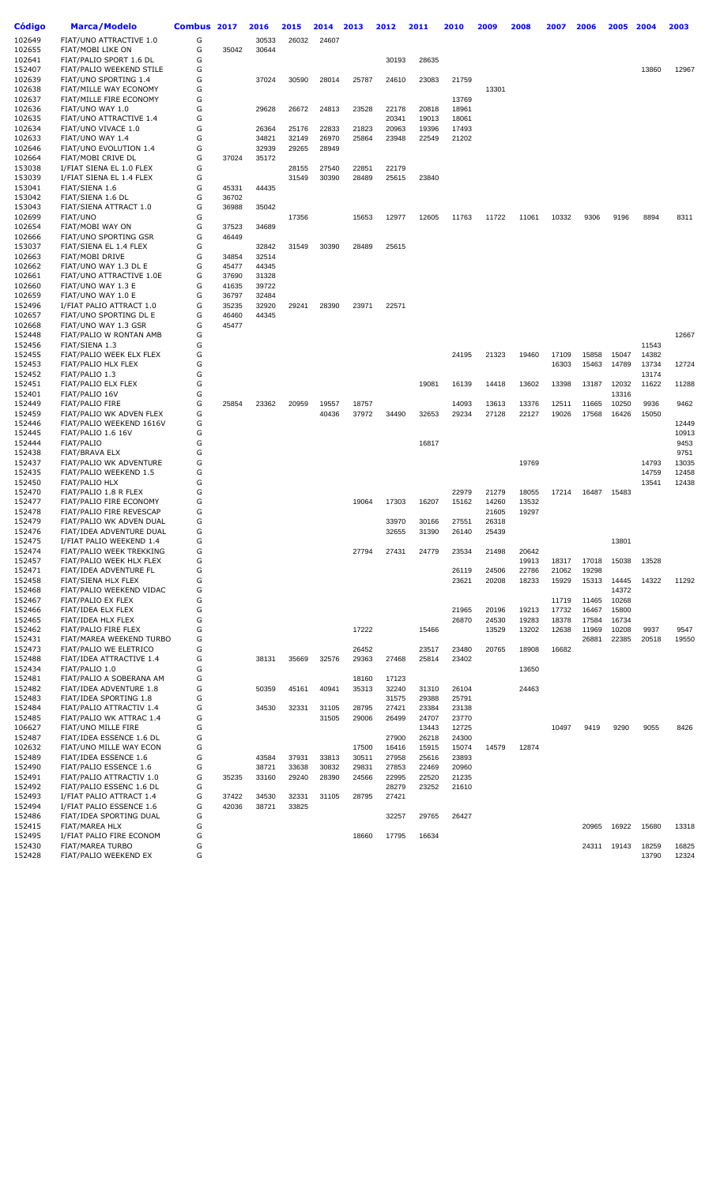| Código           | Marca/Modelo                                         | Combus 2017 |       | 2016  | 2015  | 2014  | 2013  | 2012           | 2011           | 2010           | 2009           | 2008  | 2007  | 2006  | 2005  | 2004           | 2003  |
|------------------|------------------------------------------------------|-------------|-------|-------|-------|-------|-------|----------------|----------------|----------------|----------------|-------|-------|-------|-------|----------------|-------|
| 102649           | FIAT/UNO ATTRACTIVE 1.0                              | G           |       | 30533 | 26032 | 24607 |       |                |                |                |                |       |       |       |       |                |       |
| 102655           | FIAT/MOBI LIKE ON                                    | G           | 35042 | 30644 |       |       |       |                |                |                |                |       |       |       |       |                |       |
| 102641           | FIAT/PALIO SPORT 1.6 DL                              | G           |       |       |       |       |       | 30193          | 28635          |                |                |       |       |       |       |                |       |
| 152407           | FIAT/PALIO WEEKEND STILE<br>FIAT/UNO SPORTING 1.4    | G<br>G      |       |       |       |       |       |                |                |                |                |       |       |       |       | 13860          | 12967 |
| 102639<br>102638 | FIAT/MILLE WAY ECONOMY                               | G           |       | 37024 | 30590 | 28014 | 25787 | 24610          | 23083          | 21759          | 13301          |       |       |       |       |                |       |
| 102637           | FIAT/MILLE FIRE ECONOMY                              | G           |       |       |       |       |       |                |                | 13769          |                |       |       |       |       |                |       |
| 102636           | FIAT/UNO WAY 1.0                                     | G           |       | 29628 | 26672 | 24813 | 23528 | 22178          | 20818          | 18961          |                |       |       |       |       |                |       |
| 102635           | FIAT/UNO ATTRACTIVE 1.4                              | G           |       |       |       |       |       | 20341          | 19013          | 18061          |                |       |       |       |       |                |       |
| 102634           | FIAT/UNO VIVACE 1.0                                  | G           |       | 26364 | 25176 | 22833 | 21823 | 20963          | 19396          | 17493          |                |       |       |       |       |                |       |
| 102633           | FIAT/UNO WAY 1.4                                     | G           |       | 34821 | 32149 | 26970 | 25864 | 23948          | 22549          | 21202          |                |       |       |       |       |                |       |
| 102646           | FIAT/UNO EVOLUTION 1.4                               | G           |       | 32939 | 29265 | 28949 |       |                |                |                |                |       |       |       |       |                |       |
| 102664           | FIAT/MOBI CRIVE DL                                   | G           | 37024 | 35172 |       |       |       |                |                |                |                |       |       |       |       |                |       |
| 153038           | I/FIAT SIENA EL 1.0 FLEX                             | G           |       |       | 28155 | 27540 | 22851 | 22179          |                |                |                |       |       |       |       |                |       |
| 153039           | I/FIAT SIENA EL 1.4 FLEX                             | G           |       |       | 31549 | 30390 | 28489 | 25615          | 23840          |                |                |       |       |       |       |                |       |
| 153041           | FIAT/SIENA 1.6                                       | G           | 45331 | 44435 |       |       |       |                |                |                |                |       |       |       |       |                |       |
| 153042           | FIAT/SIENA 1.6 DL                                    | G           | 36702 |       |       |       |       |                |                |                |                |       |       |       |       |                |       |
| 153043<br>102699 | FIAT/SIENA ATTRACT 1.0<br>FIAT/UNO                   | G<br>G      | 36988 | 35042 | 17356 |       | 15653 | 12977          | 12605          |                |                | 11061 | 10332 | 9306  | 9196  | 8894           | 8311  |
| 102654           | FIAT/MOBI WAY ON                                     | G           | 37523 | 34689 |       |       |       |                |                | 11763          | 11722          |       |       |       |       |                |       |
| 102666           | FIAT/UNO SPORTING GSR                                | G           | 46449 |       |       |       |       |                |                |                |                |       |       |       |       |                |       |
| 153037           | FIAT/SIENA EL 1.4 FLEX                               | G           |       | 32842 | 31549 | 30390 | 28489 | 25615          |                |                |                |       |       |       |       |                |       |
| 102663           | FIAT/MOBI DRIVE                                      | G           | 34854 | 32514 |       |       |       |                |                |                |                |       |       |       |       |                |       |
| 102662           | FIAT/UNO WAY 1.3 DL E                                | G           | 45477 | 44345 |       |       |       |                |                |                |                |       |       |       |       |                |       |
| 102661           | FIAT/UNO ATTRACTIVE 1.0E                             | G           | 37690 | 31328 |       |       |       |                |                |                |                |       |       |       |       |                |       |
| 102660           | FIAT/UNO WAY 1.3 E                                   | G           | 41635 | 39722 |       |       |       |                |                |                |                |       |       |       |       |                |       |
| 102659           | FIAT/UNO WAY 1.0 E                                   | G           | 36797 | 32484 |       |       |       |                |                |                |                |       |       |       |       |                |       |
| 152496           | I/FIAT PALIO ATTRACT 1.0                             | G           | 35235 | 32920 | 29241 | 28390 | 23971 | 22571          |                |                |                |       |       |       |       |                |       |
| 102657           | FIAT/UNO SPORTING DL E                               | G           | 46460 | 44345 |       |       |       |                |                |                |                |       |       |       |       |                |       |
| 102668           | FIAT/UNO WAY 1.3 GSR                                 | G           | 45477 |       |       |       |       |                |                |                |                |       |       |       |       |                |       |
| 152448           | FIAT/PALIO W RONTAN AMB                              | G           |       |       |       |       |       |                |                |                |                |       |       |       |       |                | 12667 |
| 152456           | FIAT/SIENA 1.3                                       | G           |       |       |       |       |       |                |                |                |                |       |       |       |       | 11543          |       |
| 152455           | FIAT/PALIO WEEK ELX FLEX                             | G           |       |       |       |       |       |                |                | 24195          | 21323          | 19460 | 17109 | 15858 | 15047 | 14382          |       |
| 152453           | FIAT/PALIO HLX FLEX                                  | G<br>G      |       |       |       |       |       |                |                |                |                |       | 16303 | 15463 | 14789 | 13734<br>13174 | 12724 |
| 152452<br>152451 | FIAT/PALIO 1.3<br>FIAT/PALIO ELX FLEX                | G           |       |       |       |       |       |                | 19081          | 16139          | 14418          | 13602 | 13398 | 13187 | 12032 | 11622          | 11288 |
| 152401           | FIAT/PALIO 16V                                       | G           |       |       |       |       |       |                |                |                |                |       |       |       | 13316 |                |       |
| 152449           | <b>FIAT/PALIO FIRE</b>                               | G           | 25854 | 23362 | 20959 | 19557 | 18757 |                |                | 14093          | 13613          | 13376 | 12511 | 11665 | 10250 | 9936           | 9462  |
| 152459           | FIAT/PALIO WK ADVEN FLEX                             | G           |       |       |       | 40436 | 37972 | 34490          | 32653          | 29234          | 27128          | 22127 | 19026 | 17568 | 16426 | 15050          |       |
| 152446           | FIAT/PALIO WEEKEND 1616V                             | G           |       |       |       |       |       |                |                |                |                |       |       |       |       |                | 12449 |
| 152445           | FIAT/PALIO 1.6 16V                                   | G           |       |       |       |       |       |                |                |                |                |       |       |       |       |                | 10913 |
| 152444           | FIAT/PALIO                                           | G           |       |       |       |       |       |                | 16817          |                |                |       |       |       |       |                | 9453  |
| 152438           | FIAT/BRAVA ELX                                       | G           |       |       |       |       |       |                |                |                |                |       |       |       |       |                | 9751  |
| 152437           | FIAT/PALIO WK ADVENTURE                              | G           |       |       |       |       |       |                |                |                |                | 19769 |       |       |       | 14793          | 13035 |
| 152435           | FIAT/PALIO WEEKEND 1.5                               | G           |       |       |       |       |       |                |                |                |                |       |       |       |       | 14759          | 12458 |
| 152450           | <b>FIAT/PALIO HLX</b>                                | G           |       |       |       |       |       |                |                |                |                |       |       |       |       | 13541          | 12438 |
| 152470           | FIAT/PALIO 1.8 R FLEX                                | G           |       |       |       |       |       |                |                | 22979          | 21279          | 18055 | 17214 | 16487 | 15483 |                |       |
| 152477           | FIAT/PALIO FIRE ECONOMY                              | G<br>G      |       |       |       |       | 19064 | 17303          | 16207          | 15162          | 14260          | 13532 |       |       |       |                |       |
| 152478           | FIAT/PALIO FIRE REVESCAP<br>FIAT/PALIO WK ADVEN DUAL | G           |       |       |       |       |       |                |                |                | 21605<br>26318 | 19297 |       |       |       |                |       |
| 152479<br>152476 | FIAT/IDEA ADVENTURE DUAL                             | G           |       |       |       |       |       | 33970<br>32655 | 30166<br>31390 | 27551<br>26140 | 25439          |       |       |       |       |                |       |
| 152475           | I/FIAT PALIO WEEKEND 1.4                             | G           |       |       |       |       |       |                |                |                |                |       |       |       | 13801 |                |       |
| 152474           | FIAT/PALIO WEEK TREKKING                             | G           |       |       |       |       | 27794 | 27431          | 24779          | 23534          | 21498          | 20642 |       |       |       |                |       |
| 152457           | FIAT/PALIO WEEK HLX FLEX                             | G           |       |       |       |       |       |                |                |                |                | 19913 | 18317 | 17018 | 15038 | 13528          |       |
| 152471           | FIAT/IDEA ADVENTURE FL                               | G           |       |       |       |       |       |                |                | 26119          | 24506          | 22786 | 21062 | 19298 |       |                |       |
| 152458           | FIAT/SIENA HLX FLEX                                  | G           |       |       |       |       |       |                |                | 23621          | 20208          | 18233 | 15929 | 15313 | 14445 | 14322          | 11292 |
| 152468           | FIAT/PALIO WEEKEND VIDAC                             | G           |       |       |       |       |       |                |                |                |                |       |       |       | 14372 |                |       |
| 152467           | FIAT/PALIO EX FLEX                                   | G           |       |       |       |       |       |                |                |                |                |       | 11719 | 11465 | 10268 |                |       |
| 152466           | FIAT/IDEA ELX FLEX                                   | G           |       |       |       |       |       |                |                | 21965          | 20196          | 19213 | 17732 | 16467 | 15800 |                |       |
| 152465           | FIAT/IDEA HLX FLEX                                   | G           |       |       |       |       |       |                |                | 26870          | 24530          | 19283 | 18378 | 17584 | 16734 |                |       |
| 152462           | FIAT/PALIO FIRE FLEX                                 | G           |       |       |       |       | 17222 |                | 15466          |                | 13529          | 13202 | 12638 | 11969 | 10208 | 9937           | 9547  |
| 152431           | FIAT/MAREA WEEKEND TURBO                             | G           |       |       |       |       |       |                |                |                |                |       |       | 26881 | 22385 | 20518          | 19550 |
| 152473           | FIAT/PALIO WE ELETRICO                               | G           |       |       |       |       | 26452 |                | 23517          | 23480          | 20765          | 18908 | 16682 |       |       |                |       |
| 152488<br>152434 | FIAT/IDEA ATTRACTIVE 1.4<br>FIAT/PALIO 1.0           | G<br>G      |       | 38131 | 35669 | 32576 | 29363 | 27468          | 25814          | 23402          |                | 13650 |       |       |       |                |       |
| 152481           | FIAT/PALIO A SOBERANA AM                             | G           |       |       |       |       | 18160 | 17123          |                |                |                |       |       |       |       |                |       |
| 152482           | FIAT/IDEA ADVENTURE 1.8                              | G           |       | 50359 | 45161 | 40941 | 35313 | 32240          | 31310          | 26104          |                | 24463 |       |       |       |                |       |
| 152483           | FIAT/IDEA SPORTING 1.8                               | G           |       |       |       |       |       | 31575          | 29388          | 25791          |                |       |       |       |       |                |       |
| 152484           | FIAT/PALIO ATTRACTIV 1.4                             | G           |       | 34530 | 32331 | 31105 | 28795 | 27421          | 23384          | 23138          |                |       |       |       |       |                |       |
| 152485           | FIAT/PALIO WK ATTRAC 1.4                             | G           |       |       |       | 31505 | 29006 | 26499          | 24707          | 23770          |                |       |       |       |       |                |       |
| 106627           | FIAT/UNO MILLE FIRE                                  | G           |       |       |       |       |       |                | 13443          | 12725          |                |       | 10497 | 9419  | 9290  | 9055           | 8426  |
| 152487           | FIAT/IDEA ESSENCE 1.6 DL                             | G           |       |       |       |       |       | 27900          | 26218          | 24300          |                |       |       |       |       |                |       |
| 102632           | FIAT/UNO MILLE WAY ECON                              | G           |       |       |       |       | 17500 | 16416          | 15915          | 15074          | 14579          | 12874 |       |       |       |                |       |
| 152489           | FIAT/IDEA ESSENCE 1.6                                | G           |       | 43584 | 37931 | 33813 | 30511 | 27958          | 25616          | 23893          |                |       |       |       |       |                |       |
| 152490           | FIAT/PALIO ESSENCE 1.6                               | G           |       | 38721 | 33638 | 30832 | 29831 | 27853          | 22469          | 20960          |                |       |       |       |       |                |       |
| 152491           | FIAT/PALIO ATTRACTIV 1.0                             | G           | 35235 | 33160 | 29240 | 28390 | 24566 | 22995          | 22520          | 21235          |                |       |       |       |       |                |       |
| 152492           | FIAT/PALIO ESSENC 1.6 DL                             | G           |       |       |       |       |       | 28279          | 23252          | 21610          |                |       |       |       |       |                |       |
| 152493           | I/FIAT PALIO ATTRACT 1.4                             | G           | 37422 | 34530 | 32331 | 31105 | 28795 | 27421          |                |                |                |       |       |       |       |                |       |
| 152494           | I/FIAT PALIO ESSENCE 1.6                             | G           | 42036 | 38721 | 33825 |       |       |                |                |                |                |       |       |       |       |                |       |
| 152486<br>152415 | FIAT/IDEA SPORTING DUAL                              | G<br>G      |       |       |       |       |       | 32257          | 29765          | 26427          |                |       |       |       |       |                | 13318 |
| 152495           | FIAT/MAREA HLX<br>I/FIAT PALIO FIRE ECONOM           | G           |       |       |       |       | 18660 | 17795          | 16634          |                |                |       |       | 20965 | 16922 | 15680          |       |
| 152430           | FIAT/MAREA TURBO                                     | G           |       |       |       |       |       |                |                |                |                |       |       | 24311 | 19143 | 18259          | 16825 |
| 152428           | FIAT/PALIO WEEKEND EX                                | G           |       |       |       |       |       |                |                |                |                |       |       |       |       | 13790          | 12324 |
|                  |                                                      |             |       |       |       |       |       |                |                |                |                |       |       |       |       |                |       |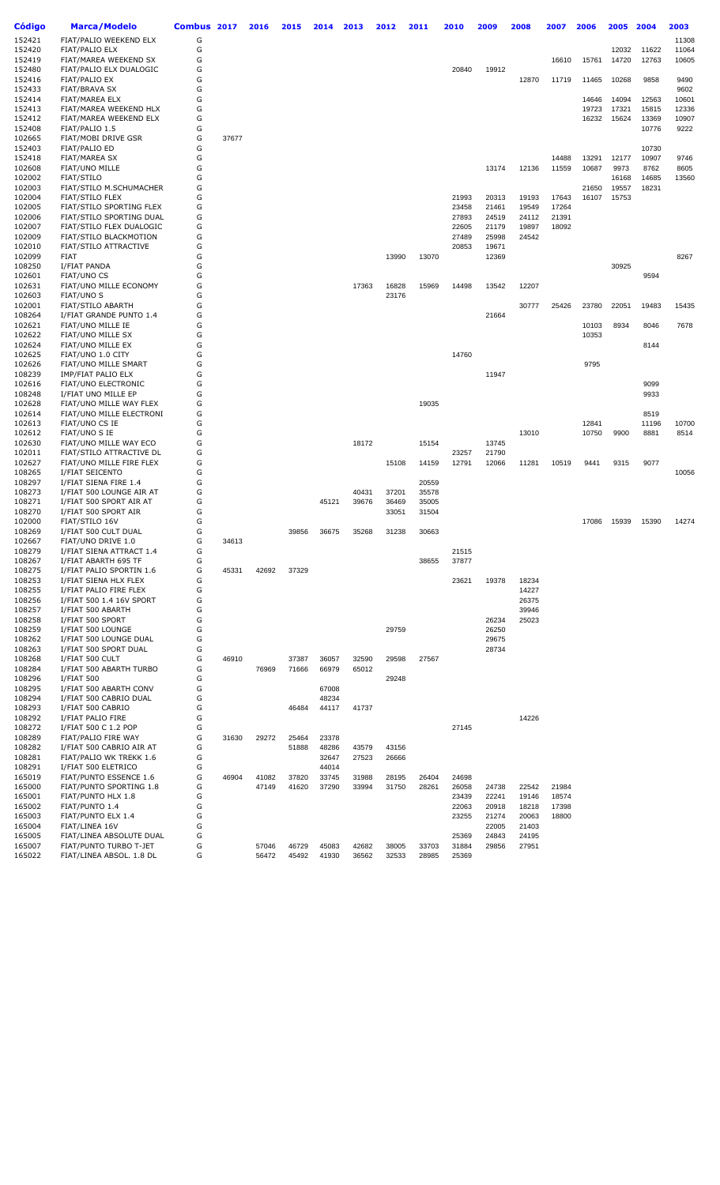| Código           | <b>Marca/Modelo</b>                                | Combus 2017 |       | 2016  | 2015  | 2014  | 2013  | 2012  | 2011  | 2010           | 2009           | 2008           | 2007           | 2006  | 2005           | 2004  | 2003         |
|------------------|----------------------------------------------------|-------------|-------|-------|-------|-------|-------|-------|-------|----------------|----------------|----------------|----------------|-------|----------------|-------|--------------|
| 152421           | FIAT/PALIO WEEKEND ELX                             | G           |       |       |       |       |       |       |       |                |                |                |                |       |                |       | 11308        |
| 152420           | <b>FIAT/PALIO ELX</b>                              | G           |       |       |       |       |       |       |       |                |                |                |                |       | 12032          | 11622 | 11064        |
| 152419           | FIAT/MAREA WEEKEND SX                              | G           |       |       |       |       |       |       |       |                |                |                | 16610          | 15761 | 14720          | 12763 | 10605        |
| 152480           | FIAT/PALIO ELX DUALOGIC                            | G           |       |       |       |       |       |       |       | 20840          | 19912          |                |                |       |                |       |              |
| 152416<br>152433 | <b>FIAT/PALIO EX</b>                               | G<br>G      |       |       |       |       |       |       |       |                |                | 12870          | 11719          | 11465 | 10268          | 9858  | 9490<br>9602 |
| 152414           | <b>FIAT/BRAVA SX</b><br>FIAT/MAREA ELX             | G           |       |       |       |       |       |       |       |                |                |                |                | 14646 | 14094          | 12563 | 10601        |
| 152413           | FIAT/MAREA WEEKEND HLX                             | G           |       |       |       |       |       |       |       |                |                |                |                | 19723 | 17321          | 15815 | 12336        |
| 152412           | FIAT/MAREA WEEKEND ELX                             | G           |       |       |       |       |       |       |       |                |                |                |                | 16232 | 15624          | 13369 | 10907        |
| 152408           | FIAT/PALIO 1.5                                     | G           |       |       |       |       |       |       |       |                |                |                |                |       |                | 10776 | 9222         |
| 102665           | FIAT/MOBI DRIVE GSR                                | G           | 37677 |       |       |       |       |       |       |                |                |                |                |       |                |       |              |
| 152403           | FIAT/PALIO ED                                      | G           |       |       |       |       |       |       |       |                |                |                |                |       |                | 10730 |              |
| 152418           | <b>FIAT/MAREA SX</b>                               | G           |       |       |       |       |       |       |       |                |                |                | 14488          | 13291 | 12177          | 10907 | 9746         |
| 102608           | FIAT/UNO MILLE                                     | G           |       |       |       |       |       |       |       |                | 13174          | 12136          | 11559          | 10687 | 9973           | 8762  | 8605         |
| 102002           | FIAT/STILO                                         | G           |       |       |       |       |       |       |       |                |                |                |                |       | 16168          | 14685 | 13560        |
| 102003<br>102004 | FIAT/STILO M.SCHUMACHER                            | G<br>G      |       |       |       |       |       |       |       | 21993          | 20313          | 19193          |                | 21650 | 19557<br>15753 | 18231 |              |
| 102005           | <b>FIAT/STILO FLEX</b><br>FIAT/STILO SPORTING FLEX | G           |       |       |       |       |       |       |       | 23458          | 21461          | 19549          | 17643<br>17264 | 16107 |                |       |              |
| 102006           | FIAT/STILO SPORTING DUAL                           | G           |       |       |       |       |       |       |       | 27893          | 24519          | 24112          | 21391          |       |                |       |              |
| 102007           | FIAT/STILO FLEX DUALOGIC                           | G           |       |       |       |       |       |       |       | 22605          | 21179          | 19897          | 18092          |       |                |       |              |
| 102009           | FIAT/STILO BLACKMOTION                             | G           |       |       |       |       |       |       |       | 27489          | 25998          | 24542          |                |       |                |       |              |
| 102010           | FIAT/STILO ATTRACTIVE                              | G           |       |       |       |       |       |       |       | 20853          | 19671          |                |                |       |                |       |              |
| 102099           | <b>FIAT</b>                                        | G           |       |       |       |       |       | 13990 | 13070 |                | 12369          |                |                |       |                |       | 8267         |
| 108250           | I/FIAT PANDA                                       | G           |       |       |       |       |       |       |       |                |                |                |                |       | 30925          |       |              |
| 102601           | <b>FIAT/UNO CS</b>                                 | G           |       |       |       |       |       |       |       |                |                |                |                |       |                | 9594  |              |
| 102631           | FIAT/UNO MILLE ECONOMY                             | G           |       |       |       |       | 17363 | 16828 | 15969 | 14498          | 13542          | 12207          |                |       |                |       |              |
| 102603           | FIAT/UNO S                                         | G           |       |       |       |       |       | 23176 |       |                |                |                |                |       |                |       |              |
| 102001           | FIAT/STILO ABARTH                                  | G           |       |       |       |       |       |       |       |                |                | 30777          | 25426          | 23780 | 22051          | 19483 | 15435        |
| 108264<br>102621 | I/FIAT GRANDE PUNTO 1.4<br>FIAT/UNO MILLE IE       | G<br>G      |       |       |       |       |       |       |       |                | 21664          |                |                | 10103 | 8934           | 8046  | 7678         |
| 102622           | FIAT/UNO MILLE SX                                  | G           |       |       |       |       |       |       |       |                |                |                |                | 10353 |                |       |              |
| 102624           | FIAT/UNO MILLE EX                                  | G           |       |       |       |       |       |       |       |                |                |                |                |       |                | 8144  |              |
| 102625           | FIAT/UNO 1.0 CITY                                  | G           |       |       |       |       |       |       |       | 14760          |                |                |                |       |                |       |              |
| 102626           | FIAT/UNO MILLE SMART                               | G           |       |       |       |       |       |       |       |                |                |                |                | 9795  |                |       |              |
| 108239           | IMP/FIAT PALIO ELX                                 | G           |       |       |       |       |       |       |       |                | 11947          |                |                |       |                |       |              |
| 102616           | FIAT/UNO ELECTRONIC                                | G           |       |       |       |       |       |       |       |                |                |                |                |       |                | 9099  |              |
| 108248           | I/FIAT UNO MILLE EP                                | G           |       |       |       |       |       |       |       |                |                |                |                |       |                | 9933  |              |
| 102628           | FIAT/UNO MILLE WAY FLEX                            | G           |       |       |       |       |       |       | 19035 |                |                |                |                |       |                |       |              |
| 102614           | FIAT/UNO MILLE ELECTRONI                           | G           |       |       |       |       |       |       |       |                |                |                |                |       |                | 8519  |              |
| 102613           | <b>FIAT/UNO CS IE</b>                              | G           |       |       |       |       |       |       |       |                |                |                |                | 12841 |                | 11196 | 10700        |
| 102612<br>102630 | FIAT/UNO S IE<br>FIAT/UNO MILLE WAY ECO            | G<br>G      |       |       |       |       | 18172 |       | 15154 |                | 13745          | 13010          |                | 10750 | 9900           | 8881  | 8514         |
| 102011           | FIAT/STILO ATTRACTIVE DL                           | G           |       |       |       |       |       |       |       | 23257          | 21790          |                |                |       |                |       |              |
| 102627           | FIAT/UNO MILLE FIRE FLEX                           | G           |       |       |       |       |       | 15108 | 14159 | 12791          | 12066          | 11281          | 10519          | 9441  | 9315           | 9077  |              |
| 108265           | I/FIAT SEICENTO                                    | G           |       |       |       |       |       |       |       |                |                |                |                |       |                |       | 10056        |
| 108297           | I/FIAT SIENA FIRE 1.4                              | G           |       |       |       |       |       |       | 20559 |                |                |                |                |       |                |       |              |
| 108273           | I/FIAT 500 LOUNGE AIR AT                           | G           |       |       |       |       | 40431 | 37201 | 35578 |                |                |                |                |       |                |       |              |
| 108271           | I/FIAT 500 SPORT AIR AT                            | G           |       |       |       | 45121 | 39676 | 36469 | 35005 |                |                |                |                |       |                |       |              |
| 108270           | I/FIAT 500 SPORT AIR                               | G           |       |       |       |       |       | 33051 | 31504 |                |                |                |                |       |                |       |              |
| 102000           | FIAT/STILO 16V                                     | G           |       |       |       |       |       |       |       |                |                |                |                | 17086 | 15939          | 15390 | 14274        |
| 108269           | I/FIAT 500 CULT DUAL                               | G           |       |       | 39856 | 36675 | 35268 | 31238 | 30663 |                |                |                |                |       |                |       |              |
| 102667           | FIAT/UNO DRIVE 1.0                                 | G<br>G      | 34613 |       |       |       |       |       |       |                |                |                |                |       |                |       |              |
| 108279<br>108267 | I/FIAT SIENA ATTRACT 1.4<br>I/FIAT ABARTH 695 TF   | G           |       |       |       |       |       |       | 38655 | 21515<br>37877 |                |                |                |       |                |       |              |
| 108275           | I/FIAT PALIO SPORTIN 1.6                           | G           | 45331 | 42692 | 37329 |       |       |       |       |                |                |                |                |       |                |       |              |
| 108253           | I/FIAT SIENA HLX FLEX                              | G           |       |       |       |       |       |       |       | 23621          | 19378          | 18234          |                |       |                |       |              |
| 108255           | I/FIAT PALIO FIRE FLEX                             | G           |       |       |       |       |       |       |       |                |                | 14227          |                |       |                |       |              |
| 108256           | I/FIAT 500 1.4 16V SPORT                           | G           |       |       |       |       |       |       |       |                |                | 26375          |                |       |                |       |              |
| 108257           | I/FIAT 500 ABARTH                                  | G           |       |       |       |       |       |       |       |                |                | 39946          |                |       |                |       |              |
| 108258           | I/FIAT 500 SPORT                                   | G           |       |       |       |       |       |       |       |                | 26234          | 25023          |                |       |                |       |              |
| 108259           | I/FIAT 500 LOUNGE                                  | G           |       |       |       |       |       | 29759 |       |                | 26250          |                |                |       |                |       |              |
| 108262           | I/FIAT 500 LOUNGE DUAL                             | G           |       |       |       |       |       |       |       |                | 29675          |                |                |       |                |       |              |
| 108263           | I/FIAT 500 SPORT DUAL                              | G           |       |       |       |       |       |       |       |                | 28734          |                |                |       |                |       |              |
| 108268           | I/FIAT 500 CULT                                    | G<br>G      | 46910 |       | 37387 | 36057 | 32590 | 29598 | 27567 |                |                |                |                |       |                |       |              |
| 108284<br>108296 | I/FIAT 500 ABARTH TURBO<br><b>I/FIAT 500</b>       | G           |       | 76969 | 71666 | 66979 | 65012 | 29248 |       |                |                |                |                |       |                |       |              |
| 108295           | I/FIAT 500 ABARTH CONV                             | G           |       |       |       | 67008 |       |       |       |                |                |                |                |       |                |       |              |
| 108294           | I/FIAT 500 CABRIO DUAL                             | G           |       |       |       | 48234 |       |       |       |                |                |                |                |       |                |       |              |
| 108293           | I/FIAT 500 CABRIO                                  | G           |       |       | 46484 | 44117 | 41737 |       |       |                |                |                |                |       |                |       |              |
| 108292           | I/FIAT PALIO FIRE                                  | G           |       |       |       |       |       |       |       |                |                | 14226          |                |       |                |       |              |
| 108272           | I/FIAT 500 C 1.2 POP                               | G           |       |       |       |       |       |       |       | 27145          |                |                |                |       |                |       |              |
| 108289           | FIAT/PALIO FIRE WAY                                | G           | 31630 | 29272 | 25464 | 23378 |       |       |       |                |                |                |                |       |                |       |              |
| 108282           | I/FIAT 500 CABRIO AIR AT                           | G           |       |       | 51888 | 48286 | 43579 | 43156 |       |                |                |                |                |       |                |       |              |
| 108281           | FIAT/PALIO WK TREKK 1.6                            | G           |       |       |       | 32647 | 27523 | 26666 |       |                |                |                |                |       |                |       |              |
| 108291           | I/FIAT 500 ELETRICO                                | G           |       |       |       | 44014 |       |       |       |                |                |                |                |       |                |       |              |
| 165019           | FIAT/PUNTO ESSENCE 1.6                             | G           | 46904 | 41082 | 37820 | 33745 | 31988 | 28195 | 26404 | 24698          |                |                |                |       |                |       |              |
| 165000           | FIAT/PUNTO SPORTING 1.8                            | G           |       | 47149 | 41620 | 37290 | 33994 | 31750 | 28261 | 26058          | 24738          | 22542          | 21984          |       |                |       |              |
| 165001<br>165002 | FIAT/PUNTO HLX 1.8<br>FIAT/PUNTO 1.4               | G<br>G      |       |       |       |       |       |       |       | 23439<br>22063 | 22241<br>20918 | 19146<br>18218 | 18574<br>17398 |       |                |       |              |
| 165003           | FIAT/PUNTO ELX 1.4                                 | G           |       |       |       |       |       |       |       | 23255          | 21274          | 20063          | 18800          |       |                |       |              |
| 165004           | FIAT/LINEA 16V                                     | G           |       |       |       |       |       |       |       |                | 22005          | 21403          |                |       |                |       |              |
| 165005           | FIAT/LINEA ABSOLUTE DUAL                           | G           |       |       |       |       |       |       |       | 25369          | 24843          | 24195          |                |       |                |       |              |
| 165007           | FIAT/PUNTO TURBO T-JET                             | G           |       | 57046 | 46729 | 45083 | 42682 | 38005 | 33703 | 31884          | 29856          | 27951          |                |       |                |       |              |
| 165022           | FIAT/LINEA ABSOL. 1.8 DL                           | G           |       | 56472 | 45492 | 41930 | 36562 | 32533 | 28985 | 25369          |                |                |                |       |                |       |              |
|                  |                                                    |             |       |       |       |       |       |       |       |                |                |                |                |       |                |       |              |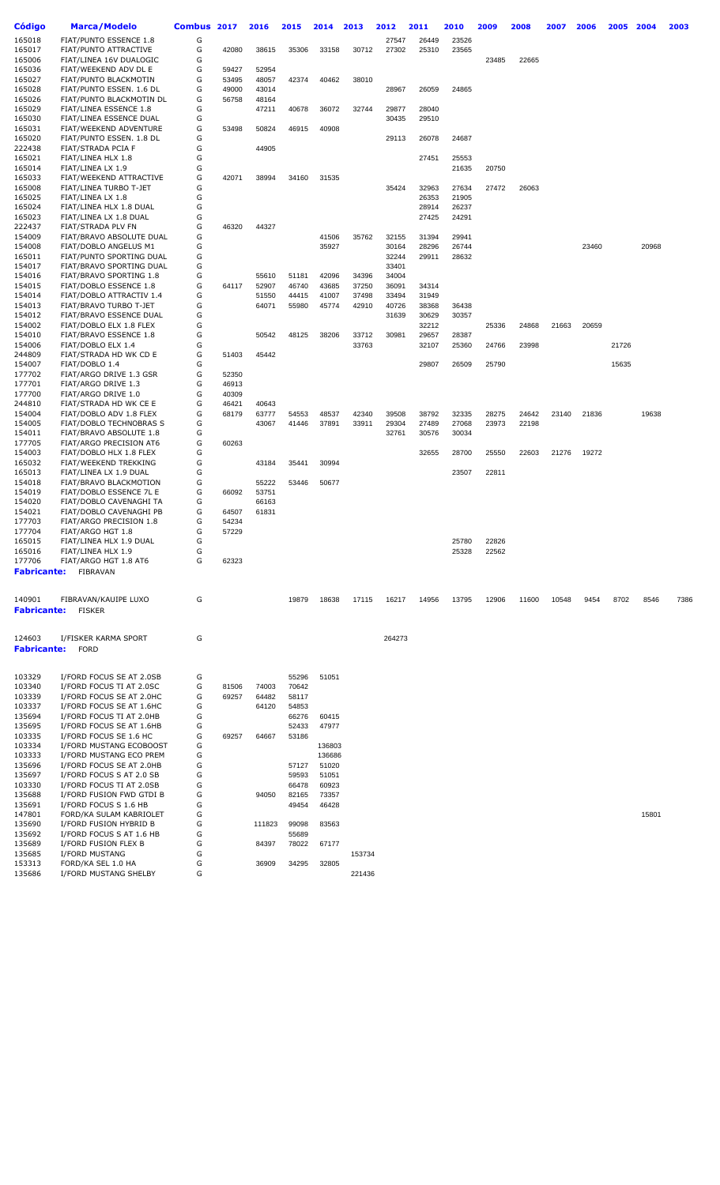| Código             | <b>Marca/Modelo</b>                                 | <b>Combus</b> | 2017           | 2016   | 2015  | 2014            | 2013   | 2012   | 2011  | 2010  | 2009  | 2008  | 2007  | 2006  | 2005  | 2004  | 2003 |
|--------------------|-----------------------------------------------------|---------------|----------------|--------|-------|-----------------|--------|--------|-------|-------|-------|-------|-------|-------|-------|-------|------|
| 165018             | FIAT/PUNTO ESSENCE 1.8                              | G             |                |        |       |                 |        | 27547  | 26449 | 23526 |       |       |       |       |       |       |      |
| 165017             | FIAT/PUNTO ATTRACTIVE                               | G             | 42080          | 38615  | 35306 | 33158           | 30712  | 27302  | 25310 | 23565 |       |       |       |       |       |       |      |
| 165006             | FIAT/LINEA 16V DUALOGIC                             | G             |                |        |       |                 |        |        |       |       | 23485 | 22665 |       |       |       |       |      |
| 165036             | FIAT/WEEKEND ADV DL E                               | G             | 59427          | 52954  |       |                 |        |        |       |       |       |       |       |       |       |       |      |
| 165027             | FIAT/PUNTO BLACKMOTIN                               | G             | 53495          | 48057  | 42374 | 40462           | 38010  |        |       |       |       |       |       |       |       |       |      |
| 165028             | FIAT/PUNTO ESSEN. 1.6 DL                            | G             | 49000          | 43014  |       |                 |        | 28967  | 26059 | 24865 |       |       |       |       |       |       |      |
| 165026             | FIAT/PUNTO BLACKMOTIN DL                            | G             | 56758          | 48164  |       |                 |        |        |       |       |       |       |       |       |       |       |      |
| 165029             | <b>FIAT/LINEA ESSENCE 1.8</b>                       | G             |                | 47211  | 40678 | 36072           | 32744  | 29877  | 28040 |       |       |       |       |       |       |       |      |
| 165030             | FIAT/LINEA ESSENCE DUAL                             | G             |                |        |       |                 |        | 30435  | 29510 |       |       |       |       |       |       |       |      |
| 165031             | FIAT/WEEKEND ADVENTURE                              | G             | 53498          | 50824  | 46915 | 40908           |        |        |       |       |       |       |       |       |       |       |      |
| 165020             | FIAT/PUNTO ESSEN. 1.8 DL                            | G             |                |        |       |                 |        | 29113  | 26078 | 24687 |       |       |       |       |       |       |      |
| 222438<br>165021   | FIAT/STRADA PCIA F<br>FIAT/LINEA HLX 1.8            | G<br>G        |                | 44905  |       |                 |        |        | 27451 | 25553 |       |       |       |       |       |       |      |
| 165014             | FIAT/LINEA LX 1.9                                   | G             |                |        |       |                 |        |        |       | 21635 | 20750 |       |       |       |       |       |      |
| 165033             | FIAT/WEEKEND ATTRACTIVE                             | G             | 42071          | 38994  | 34160 | 31535           |        |        |       |       |       |       |       |       |       |       |      |
| 165008             | FIAT/LINEA TURBO T-JET                              | G             |                |        |       |                 |        | 35424  | 32963 | 27634 | 27472 | 26063 |       |       |       |       |      |
| 165025             | FIAT/LINEA LX 1.8                                   | G             |                |        |       |                 |        |        | 26353 | 21905 |       |       |       |       |       |       |      |
| 165024             | FIAT/LINEA HLX 1.8 DUAL                             | G             |                |        |       |                 |        |        | 28914 | 26237 |       |       |       |       |       |       |      |
| 165023             | FIAT/LINEA LX 1.8 DUAL                              | G             |                |        |       |                 |        |        | 27425 | 24291 |       |       |       |       |       |       |      |
| 222437             | FIAT/STRADA PLV FN                                  | G             | 46320          | 44327  |       |                 |        |        |       |       |       |       |       |       |       |       |      |
| 154009             | FIAT/BRAVO ABSOLUTE DUAL                            | G             |                |        |       | 41506           | 35762  | 32155  | 31394 | 29941 |       |       |       |       |       |       |      |
| 154008             | FIAT/DOBLO ANGELUS M1                               | G             |                |        |       | 35927           |        | 30164  | 28296 | 26744 |       |       |       | 23460 |       | 20968 |      |
| 165011             | FIAT/PUNTO SPORTING DUAL                            | G             |                |        |       |                 |        | 32244  | 29911 | 28632 |       |       |       |       |       |       |      |
| 154017             | FIAT/BRAVO SPORTING DUAL                            | G             |                |        |       |                 |        | 33401  |       |       |       |       |       |       |       |       |      |
| 154016             | FIAT/BRAVO SPORTING 1.8                             | G             |                | 55610  | 51181 | 42096           | 34396  | 34004  |       |       |       |       |       |       |       |       |      |
| 154015             | FIAT/DOBLO ESSENCE 1.8                              | G             | 64117          | 52907  | 46740 | 43685           | 37250  | 36091  | 34314 |       |       |       |       |       |       |       |      |
| 154014             | FIAT/DOBLO ATTRACTIV 1.4                            | G             |                | 51550  | 44415 | 41007           | 37498  | 33494  | 31949 |       |       |       |       |       |       |       |      |
| 154013             | FIAT/BRAVO TURBO T-JET                              | G             |                | 64071  | 55980 | 45774           | 42910  | 40726  | 38368 | 36438 |       |       |       |       |       |       |      |
| 154012             | FIAT/BRAVO ESSENCE DUAL                             | G             |                |        |       |                 |        | 31639  | 30629 | 30357 |       |       |       |       |       |       |      |
| 154002             | FIAT/DOBLO ELX 1.8 FLEX                             | G             |                |        |       |                 |        |        | 32212 |       | 25336 | 24868 | 21663 | 20659 |       |       |      |
| 154010             | FIAT/BRAVO ESSENCE 1.8                              | G             |                | 50542  | 48125 | 38206           | 33712  | 30981  | 29657 | 28387 |       |       |       |       |       |       |      |
| 154006             | FIAT/DOBLO ELX 1.4                                  | G             |                |        |       |                 | 33763  |        | 32107 | 25360 | 24766 | 23998 |       |       | 21726 |       |      |
| 244809             | FIAT/STRADA HD WK CD E                              | G             | 51403          | 45442  |       |                 |        |        |       |       |       |       |       |       |       |       |      |
| 154007<br>177702   | FIAT/DOBLO 1.4                                      | G             |                |        |       |                 |        |        | 29807 | 26509 | 25790 |       |       |       | 15635 |       |      |
| 177701             | FIAT/ARGO DRIVE 1.3 GSR<br>FIAT/ARGO DRIVE 1.3      | G<br>G        | 52350<br>46913 |        |       |                 |        |        |       |       |       |       |       |       |       |       |      |
| 177700             | FIAT/ARGO DRIVE 1.0                                 | G             | 40309          |        |       |                 |        |        |       |       |       |       |       |       |       |       |      |
| 244810             | FIAT/STRADA HD WK CE E                              | G             | 46421          | 40643  |       |                 |        |        |       |       |       |       |       |       |       |       |      |
| 154004             | FIAT/DOBLO ADV 1.8 FLEX                             | G             | 68179          | 63777  | 54553 | 48537           | 42340  | 39508  | 38792 | 32335 | 28275 | 24642 | 23140 | 21836 |       | 19638 |      |
| 154005             | FIAT/DOBLO TECHNOBRAS S                             | G             |                | 43067  | 41446 | 37891           | 33911  | 29304  | 27489 | 27068 | 23973 | 22198 |       |       |       |       |      |
| 154011             | FIAT/BRAVO ABSOLUTE 1.8                             | G             |                |        |       |                 |        | 32761  | 30576 | 30034 |       |       |       |       |       |       |      |
| 177705             | FIAT/ARGO PRECISION AT6                             | G             | 60263          |        |       |                 |        |        |       |       |       |       |       |       |       |       |      |
| 154003             | FIAT/DOBLO HLX 1.8 FLEX                             | G             |                |        |       |                 |        |        | 32655 | 28700 | 25550 | 22603 | 21276 | 19272 |       |       |      |
| 165032             | FIAT/WEEKEND TREKKING                               | G             |                | 43184  | 35441 | 30994           |        |        |       |       |       |       |       |       |       |       |      |
| 165013             | FIAT/LINEA LX 1.9 DUAL                              | G             |                |        |       |                 |        |        |       | 23507 | 22811 |       |       |       |       |       |      |
| 154018             | FIAT/BRAVO BLACKMOTION                              | G             |                | 55222  | 53446 | 50677           |        |        |       |       |       |       |       |       |       |       |      |
| 154019             | FIAT/DOBLO ESSENCE 7L E                             | G             | 66092          | 53751  |       |                 |        |        |       |       |       |       |       |       |       |       |      |
| 154020             | FIAT/DOBLO CAVENAGHI TA                             | G             |                | 66163  |       |                 |        |        |       |       |       |       |       |       |       |       |      |
| 154021             | FIAT/DOBLO CAVENAGHI PB                             | G             | 64507          | 61831  |       |                 |        |        |       |       |       |       |       |       |       |       |      |
| 177703             | FIAT/ARGO PRECISION 1.8                             | G             | 54234          |        |       |                 |        |        |       |       |       |       |       |       |       |       |      |
| 177704             | FIAT/ARGO HGT 1.8                                   | G             | 57229          |        |       |                 |        |        |       |       |       |       |       |       |       |       |      |
| 165015             | FIAT/LINEA HLX 1.9 DUAL                             | G             |                |        |       |                 |        |        |       | 25780 | 22826 |       |       |       |       |       |      |
| 165016             | FIAT/LINEA HLX 1.9                                  | G             |                |        |       |                 |        |        |       | 25328 | 22562 |       |       |       |       |       |      |
| 177706             | FIAT/ARGO HGT 1.8 AT6                               | G             | 62323          |        |       |                 |        |        |       |       |       |       |       |       |       |       |      |
| <b>Fabricante:</b> | <b>FIBRAVAN</b>                                     |               |                |        |       |                 |        |        |       |       |       |       |       |       |       |       |      |
|                    |                                                     |               |                |        |       |                 |        |        |       |       |       |       |       |       |       |       |      |
| 140901             | FIBRAVAN/KAUIPE LUXO                                | G             |                |        | 19879 | 18638           | 17115  | 16217  | 14956 | 13795 | 12906 | 11600 | 10548 | 9454  | 8702  | 8546  | 7386 |
| <b>Fabricante:</b> | <b>FISKER</b>                                       |               |                |        |       |                 |        |        |       |       |       |       |       |       |       |       |      |
|                    |                                                     |               |                |        |       |                 |        |        |       |       |       |       |       |       |       |       |      |
|                    |                                                     |               |                |        |       |                 |        |        |       |       |       |       |       |       |       |       |      |
| 124603             | I/FISKER KARMA SPORT                                | G             |                |        |       |                 |        | 264273 |       |       |       |       |       |       |       |       |      |
| <b>Fabricante:</b> | <b>FORD</b>                                         |               |                |        |       |                 |        |        |       |       |       |       |       |       |       |       |      |
|                    |                                                     |               |                |        |       |                 |        |        |       |       |       |       |       |       |       |       |      |
|                    |                                                     |               |                |        |       |                 |        |        |       |       |       |       |       |       |       |       |      |
| 103329             | I/FORD FOCUS SE AT 2.0SB                            | G             |                |        | 55296 | 51051           |        |        |       |       |       |       |       |       |       |       |      |
| 103340             | I/FORD FOCUS TI AT 2.0SC                            | G             | 81506          | 74003  | 70642 |                 |        |        |       |       |       |       |       |       |       |       |      |
| 103339             | I/FORD FOCUS SE AT 2.0HC                            | G             | 69257          | 64482  | 58117 |                 |        |        |       |       |       |       |       |       |       |       |      |
| 103337             | I/FORD FOCUS SE AT 1.6HC                            | G             |                | 64120  | 54853 |                 |        |        |       |       |       |       |       |       |       |       |      |
| 135694             | I/FORD FOCUS TI AT 2.0HB                            | G             |                |        | 66276 | 60415           |        |        |       |       |       |       |       |       |       |       |      |
| 135695             | I/FORD FOCUS SE AT 1.6HB                            | G             |                |        | 52433 | 47977           |        |        |       |       |       |       |       |       |       |       |      |
| 103335             | I/FORD FOCUS SE 1.6 HC                              | G             | 69257          | 64667  | 53186 |                 |        |        |       |       |       |       |       |       |       |       |      |
| 103334<br>103333   | I/FORD MUSTANG ECOBOOST                             | G<br>G        |                |        |       | 136803          |        |        |       |       |       |       |       |       |       |       |      |
| 135696             | I/FORD MUSTANG ECO PREM<br>I/FORD FOCUS SE AT 2.0HB | G             |                |        | 57127 | 136686<br>51020 |        |        |       |       |       |       |       |       |       |       |      |
| 135697             | I/FORD FOCUS S AT 2.0 SB                            | G             |                |        | 59593 | 51051           |        |        |       |       |       |       |       |       |       |       |      |
| 103330             | I/FORD FOCUS TI AT 2.0SB                            | G             |                |        | 66478 | 60923           |        |        |       |       |       |       |       |       |       |       |      |
| 135688             | I/FORD FUSION FWD GTDI B                            | G             |                | 94050  | 82165 | 73357           |        |        |       |       |       |       |       |       |       |       |      |
| 135691             | I/FORD FOCUS S 1.6 HB                               | G             |                |        | 49454 | 46428           |        |        |       |       |       |       |       |       |       |       |      |
| 147801             | FORD/KA SULAM KABRIOLET                             | G             |                |        |       |                 |        |        |       |       |       |       |       |       |       | 15801 |      |
| 135690             | I/FORD FUSION HYBRID B                              | G             |                | 111823 | 99098 | 83563           |        |        |       |       |       |       |       |       |       |       |      |
| 135692             | I/FORD FOCUS S AT 1.6 HB                            | G             |                |        | 55689 |                 |        |        |       |       |       |       |       |       |       |       |      |
| 135689             | I/FORD FUSION FLEX B                                | G             |                | 84397  | 78022 | 67177           |        |        |       |       |       |       |       |       |       |       |      |
| 135685             | I/FORD MUSTANG                                      | G             |                |        |       |                 | 153734 |        |       |       |       |       |       |       |       |       |      |
| 153313             | FORD/KA SEL 1.0 HA                                  | G             |                | 36909  | 34295 | 32805           |        |        |       |       |       |       |       |       |       |       |      |

I/FORD MUSTANG SHELBY G 221436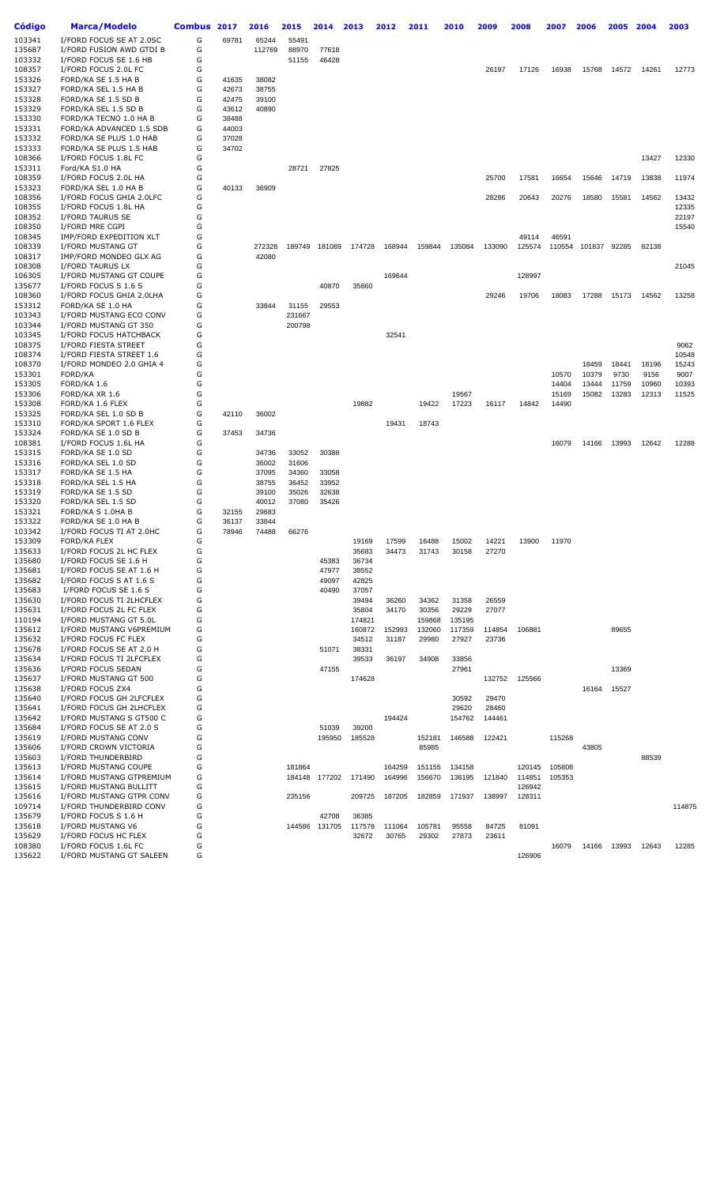| Código           | Marca/Modelo                                       | Combus 2017 |       | 2016   | 2015   | 2014           | 2013           | 2012   | 2011   | 2010   | 2009   | 2008             | 2007   | 2006   | 2005  | 2004  | 2003           |
|------------------|----------------------------------------------------|-------------|-------|--------|--------|----------------|----------------|--------|--------|--------|--------|------------------|--------|--------|-------|-------|----------------|
| 103341           | I/FORD FOCUS SE AT 2.0SC                           | G           | 69781 | 65244  | 55491  |                |                |        |        |        |        |                  |        |        |       |       |                |
| 135687           | I/FORD FUSION AWD GTDI B                           | G           |       | 112769 | 88970  | 77618          |                |        |        |        |        |                  |        |        |       |       |                |
| 103332           | I/FORD FOCUS SE 1.6 HB                             | G           |       |        | 51155  | 46428          |                |        |        |        |        |                  |        |        |       |       |                |
| 108357           | I/FORD FOCUS 2.0L FC                               | G           |       |        |        |                |                |        |        |        | 26197  | 17126            | 16938  | 15768  | 14572 | 14261 | 12773          |
| 153326           | FORD/KA SE 1.5 HA B                                | G           | 41635 | 38082  |        |                |                |        |        |        |        |                  |        |        |       |       |                |
| 153327           | FORD/KA SEL 1.5 HA B                               | G           | 42673 | 38755  |        |                |                |        |        |        |        |                  |        |        |       |       |                |
| 153328           | FORD/KA SE 1.5 SD B                                | G           | 42475 | 39100  |        |                |                |        |        |        |        |                  |        |        |       |       |                |
| 153329           | FORD/KA SEL 1.5 SD B                               | G           | 43612 | 40890  |        |                |                |        |        |        |        |                  |        |        |       |       |                |
| 153330           | FORD/KA TECNO 1.0 HA B                             | G           | 38488 |        |        |                |                |        |        |        |        |                  |        |        |       |       |                |
| 153331           | FORD/KA ADVANCED 1.5 SDB                           | G           | 44003 |        |        |                |                |        |        |        |        |                  |        |        |       |       |                |
| 153332           | FORD/KA SE PLUS 1.0 HAB                            | G           | 37028 |        |        |                |                |        |        |        |        |                  |        |        |       |       |                |
| 153333           | FORD/KA SE PLUS 1.5 HAB                            | G           | 34702 |        |        |                |                |        |        |        |        |                  |        |        |       |       |                |
| 108366           | I/FORD FOCUS 1.8L FC                               | G           |       |        |        |                |                |        |        |        |        |                  |        |        |       | 13427 | 12330          |
| 153311           | Ford/KA S1.0 HA                                    | G           |       |        | 28721  | 27825          |                |        |        |        |        |                  |        |        |       |       |                |
| 108359           | I/FORD FOCUS 2.0L HA                               | G           |       |        |        |                |                |        |        |        | 25700  | 17581            | 16654  | 15646  | 14719 | 13838 | 11974          |
| 153323           | FORD/KA SEL 1.0 HA B                               | G           | 40133 | 36909  |        |                |                |        |        |        |        |                  |        |        |       |       |                |
| 108356           | I/FORD FOCUS GHIA 2.0LFC                           | G<br>G      |       |        |        |                |                |        |        |        | 28286  | 20643            | 20276  | 18580  | 15581 | 14562 | 13432          |
| 108355<br>108352 | I/FORD FOCUS 1.8L HA<br>I/FORD TAURUS SE           | G           |       |        |        |                |                |        |        |        |        |                  |        |        |       |       | 12335<br>22197 |
| 108350           | I/FORD MRE CGPI                                    | G           |       |        |        |                |                |        |        |        |        |                  |        |        |       |       | 15540          |
| 108345           | IMP/FORD EXPEDITION XLT                            | G           |       |        |        |                |                |        |        |        |        | 49114            | 46591  |        |       |       |                |
| 108339           | I/FORD MUSTANG GT                                  | G           |       | 272328 | 189749 | 181089         | 174728         | 168944 | 159844 | 135084 | 133090 | 125574           | 110554 | 101837 | 92285 | 82138 |                |
| 108317           | IMP/FORD MONDEO GLX AG                             | G           |       | 42080  |        |                |                |        |        |        |        |                  |        |        |       |       |                |
| 108308           | I/FORD TAURUS LX                                   | G           |       |        |        |                |                |        |        |        |        |                  |        |        |       |       | 21045          |
| 106305           | I/FORD MUSTANG GT COUPE                            | G           |       |        |        |                |                | 169644 |        |        |        | 128997           |        |        |       |       |                |
| 135677           | I/FORD FOCUS S 1.6 S                               | G           |       |        |        | 40870          | 35860          |        |        |        |        |                  |        |        |       |       |                |
| 108360           | I/FORD FOCUS GHIA 2.0LHA                           | G           |       |        |        |                |                |        |        |        | 29246  | 19706            | 18083  | 17288  | 15173 | 14562 | 13258          |
| 153312           | FORD/KA SE 1.0 HA                                  | G           |       | 33844  | 31155  | 29553          |                |        |        |        |        |                  |        |        |       |       |                |
| 103343           | I/FORD MUSTANG ECO CONV                            | G           |       |        | 231667 |                |                |        |        |        |        |                  |        |        |       |       |                |
| 103344           | I/FORD MUSTANG GT 350                              | G           |       |        | 200798 |                |                |        |        |        |        |                  |        |        |       |       |                |
| 103345           | I/FORD FOCUS HATCHBACK                             | G           |       |        |        |                |                | 32541  |        |        |        |                  |        |        |       |       |                |
| 108375           | I/FORD FIESTA STREET                               | G           |       |        |        |                |                |        |        |        |        |                  |        |        |       |       | 9062           |
| 108374           | I/FORD FIESTA STREET 1.6                           | G           |       |        |        |                |                |        |        |        |        |                  |        |        |       |       | 10548          |
| 108370           | I/FORD MONDEO 2.0 GHIA 4                           | G           |       |        |        |                |                |        |        |        |        |                  |        | 18459  | 18441 | 18196 | 15243          |
| 153301           | FORD/KA                                            | G           |       |        |        |                |                |        |        |        |        |                  | 10570  | 10379  | 9730  | 9156  | 9007           |
| 153305           | FORD/KA 1.6                                        | G           |       |        |        |                |                |        |        |        |        |                  | 14404  | 13444  | 11759 | 10960 | 10393          |
| 153306           | FORD/KA XR 1.6                                     | G           |       |        |        |                |                |        |        | 19567  |        |                  | 15169  | 15082  | 13283 | 12313 | 11525          |
| 153308<br>153325 | FORD/KA 1.6 FLEX                                   | G<br>G      | 42110 | 36002  |        |                | 19882          |        | 19422  | 17223  | 16117  | 14842            | 14490  |        |       |       |                |
| 153310           | FORD/KA SEL 1.0 SD B<br>FORD/KA SPORT 1.6 FLEX     | G           |       |        |        |                |                | 19431  | 18743  |        |        |                  |        |        |       |       |                |
| 153324           | FORD/KA SE 1.0 SD B                                | G           | 37453 | 34736  |        |                |                |        |        |        |        |                  |        |        |       |       |                |
| 108381           | I/FORD FOCUS 1.6L HA                               | G           |       |        |        |                |                |        |        |        |        |                  | 16079  | 14166  | 13993 | 12642 | 12288          |
| 153315           | FORD/KA SE 1.0 SD                                  | G           |       | 34736  | 33052  | 30388          |                |        |        |        |        |                  |        |        |       |       |                |
| 153316           | FORD/KA SEL 1.0 SD                                 | G           |       | 36002  | 31606  |                |                |        |        |        |        |                  |        |        |       |       |                |
| 153317           | FORD/KA SE 1.5 HA                                  | G           |       | 37095  | 34360  | 33058          |                |        |        |        |        |                  |        |        |       |       |                |
| 153318           | FORD/KA SEL 1.5 HA                                 | G           |       | 38755  | 36452  | 33952          |                |        |        |        |        |                  |        |        |       |       |                |
| 153319           | FORD/KA SE 1.5 SD                                  | G           |       | 39100  | 35026  | 32638          |                |        |        |        |        |                  |        |        |       |       |                |
| 153320           | FORD/KA SEL 1.5 SD                                 | G           |       | 40012  | 37080  | 35426          |                |        |        |        |        |                  |        |        |       |       |                |
| 153321           | FORD/KA S 1.0HA B                                  | G           | 32155 | 29683  |        |                |                |        |        |        |        |                  |        |        |       |       |                |
| 153322           | FORD/KA SE 1.0 HA B                                | G           | 36137 | 33844  |        |                |                |        |        |        |        |                  |        |        |       |       |                |
| 103342           | I/FORD FOCUS TI AT 2.0HC                           | G           | 78946 | 74488  | 66276  |                |                |        |        |        |        |                  |        |        |       |       |                |
| 153309           | FORD/KA FLEX                                       | G           |       |        |        |                | 19169          | 17599  | 16488  | 15002  | 14221  | 13900            | 11970  |        |       |       |                |
| 135633           | I/FORD FOCUS 2L HC FLEX                            | G           |       |        |        |                | 35683          | 34473  | 31743  | 30158  | 27270  |                  |        |        |       |       |                |
| 135680           | I/FORD FOCUS SE 1.6 H                              | G           |       |        |        | 45383          | 36734          |        |        |        |        |                  |        |        |       |       |                |
| 135681<br>135682 | I/FORD FOCUS SE AT 1.6 H                           | G           |       |        |        | 47977          | 38552<br>42825 |        |        |        |        |                  |        |        |       |       |                |
| 135683           | I/FORD FOCUS S AT 1.6 S<br>I/FORD FOCUS SE 1.6 S   | G<br>G      |       |        |        | 49097<br>40490 | 37057          |        |        |        |        |                  |        |        |       |       |                |
| 135630           | I/FORD FOCUS TI 2LHCFLEX                           | G           |       |        |        |                | 39494          | 36260  | 34362  | 31358  | 26559  |                  |        |        |       |       |                |
| 135631           | I/FORD FOCUS 2L FC FLEX                            | G           |       |        |        |                | 35804          | 34170  | 30356  | 29229  | 27077  |                  |        |        |       |       |                |
| 110194           | I/FORD MUSTANG GT 5.0L                             | G           |       |        |        |                | 174821         |        | 159868 | 135195 |        |                  |        |        |       |       |                |
| 135612           | I/FORD MUSTANG V6PREMIUM                           | G           |       |        |        |                | 160872         | 152993 | 132060 | 117359 | 114854 | 106881           |        |        | 89655 |       |                |
| 135632           | I/FORD FOCUS FC FLEX                               | G           |       |        |        |                | 34512          | 31187  | 29980  | 27927  | 23736  |                  |        |        |       |       |                |
| 135678           | I/FORD FOCUS SE AT 2.0 H                           | G           |       |        |        | 51071          | 38331          |        |        |        |        |                  |        |        |       |       |                |
| 135634           | I/FORD FOCUS TI 2LFCFLEX                           | G           |       |        |        |                | 39533          | 36197  | 34908  | 33856  |        |                  |        |        |       |       |                |
| 135636           | I/FORD FOCUS SEDAN                                 | G           |       |        |        | 47155          |                |        |        | 27961  |        |                  |        |        | 13369 |       |                |
| 135637           | I/FORD MUSTANG GT 500                              | G           |       |        |        |                | 174628         |        |        |        | 132752 | 125566           |        |        |       |       |                |
| 135638           | I/FORD FOCUS ZX4                                   | G           |       |        |        |                |                |        |        |        |        |                  |        | 16164  | 15527 |       |                |
| 135640           | I/FORD FOCUS GH 2LFCFLEX                           | G           |       |        |        |                |                |        |        | 30592  | 29470  |                  |        |        |       |       |                |
| 135641           | I/FORD FOCUS GH 2LHCFLEX                           | G           |       |        |        |                |                |        |        | 29620  | 28460  |                  |        |        |       |       |                |
| 135642           | I/FORD MUSTANG S GT500 C                           | G           |       |        |        |                |                | 194424 |        | 154762 | 144461 |                  |        |        |       |       |                |
| 135684           | I/FORD FOCUS SE AT 2.0 S                           | G           |       |        |        | 51039          | 39200          |        |        |        |        |                  |        |        |       |       |                |
| 135619           | I/FORD MUSTANG CONV                                | G           |       |        |        | 195950         | 185528         |        | 152181 | 146588 | 122421 |                  | 115268 |        |       |       |                |
| 135606           | I/FORD CROWN VICTORIA                              | G           |       |        |        |                |                |        | 85985  |        |        |                  |        | 43805  |       |       |                |
| 135603           | I/FORD THUNDERBIRD                                 | G           |       |        |        |                |                |        |        |        |        |                  |        |        |       | 88539 |                |
| 135613           | I/FORD MUSTANG COUPE                               | G           |       |        | 181864 |                |                | 164259 | 151155 | 134158 |        | 120145           | 105808 |        |       |       |                |
| 135614           | I/FORD MUSTANG GTPREMIUM                           | G           |       |        |        | 184148 177202  | 171490         | 164996 | 156670 | 136195 | 121840 | 114851           | 105353 |        |       |       |                |
| 135615<br>135616 | I/FORD MUSTANG BULLITT<br>I/FORD MUSTANG GTPR CONV | G<br>G      |       |        | 235156 |                | 209725         | 187205 | 182859 | 171937 | 138997 | 126942<br>128311 |        |        |       |       |                |
| 109714           | I/FORD THUNDERBIRD CONV                            | G           |       |        |        |                |                |        |        |        |        |                  |        |        |       |       | 114875         |
| 135679           | I/FORD FOCUS S 1.6 H                               | G           |       |        |        | 42708          | 36385          |        |        |        |        |                  |        |        |       |       |                |
| 135618           | I/FORD MUSTANG V6                                  | G           |       |        | 144586 | 131705         | 117578         | 111064 | 105781 | 95558  | 84725  | 81091            |        |        |       |       |                |
| 135629           | I/FORD FOCUS HC FLEX                               | G           |       |        |        |                | 32672          | 30765  | 29302  | 27873  | 23611  |                  |        |        |       |       |                |
| 108380           | I/FORD FOCUS 1.6L FC                               | G           |       |        |        |                |                |        |        |        |        |                  | 16079  | 14166  | 13993 | 12643 | 12285          |
| 135622           | I/FORD MUSTANG GT SALEEN                           | G           |       |        |        |                |                |        |        |        |        | 126906           |        |        |       |       |                |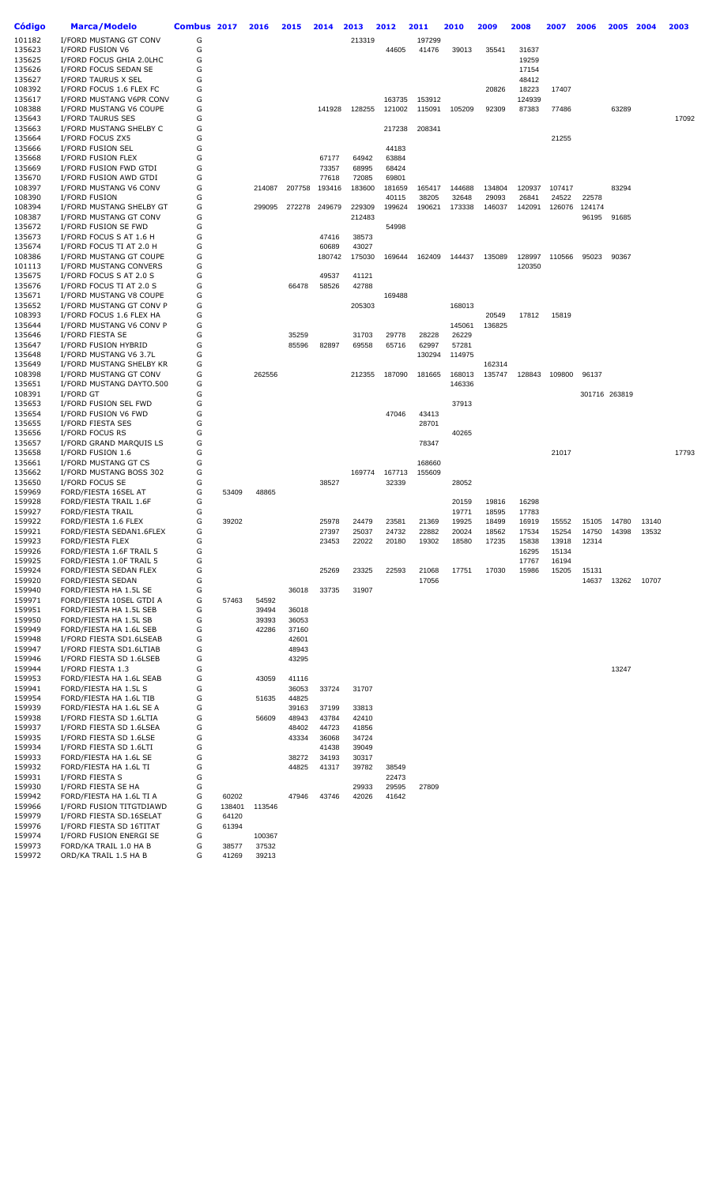| Código           | <b>Marca/Modelo</b>                                  | Combus | 2017   | 2016   | 2015           | 2014           | 2013             | 2012           | 2011             | 2010            | 2009           | 2008            | 2007           | 2006           | 2005          | 2004  | 2003  |
|------------------|------------------------------------------------------|--------|--------|--------|----------------|----------------|------------------|----------------|------------------|-----------------|----------------|-----------------|----------------|----------------|---------------|-------|-------|
| 101182           | I/FORD MUSTANG GT CONV                               | G      |        |        |                |                | 213319           |                | 197299           |                 |                |                 |                |                |               |       |       |
| 135623           | I/FORD FUSION V6                                     | G      |        |        |                |                |                  | 44605          | 41476            | 39013           | 35541          | 31637           |                |                |               |       |       |
| 135625           | I/FORD FOCUS GHIA 2.0LHC                             | G      |        |        |                |                |                  |                |                  |                 |                | 19259           |                |                |               |       |       |
| 135626           | I/FORD FOCUS SEDAN SE                                | G      |        |        |                |                |                  |                |                  |                 |                | 17154           |                |                |               |       |       |
| 135627           | I/FORD TAURUS X SEL                                  | G      |        |        |                |                |                  |                |                  |                 |                | 48412           |                |                |               |       |       |
| 108392<br>135617 | I/FORD FOCUS 1.6 FLEX FC<br>I/FORD MUSTANG V6PR CONV | G<br>G |        |        |                |                |                  | 163735         |                  |                 | 20826          | 18223<br>124939 | 17407          |                |               |       |       |
| 108388           | I/FORD MUSTANG V6 COUPE                              | G      |        |        |                | 141928         | 128255           | 121002         | 153912<br>115091 | 105209          | 92309          | 87383           | 77486          |                | 63289         |       |       |
| 135643           | I/FORD TAURUS SES                                    | G      |        |        |                |                |                  |                |                  |                 |                |                 |                |                |               |       | 17092 |
| 135663           | I/FORD MUSTANG SHELBY C                              | G      |        |        |                |                |                  | 217238         | 208341           |                 |                |                 |                |                |               |       |       |
| 135664           | I/FORD FOCUS ZX5                                     | G      |        |        |                |                |                  |                |                  |                 |                |                 | 21255          |                |               |       |       |
| 135666           | I/FORD FUSION SEL                                    | G      |        |        |                |                |                  | 44183          |                  |                 |                |                 |                |                |               |       |       |
| 135668           | I/FORD FUSION FLEX                                   | G      |        |        |                | 67177          | 64942            | 63884          |                  |                 |                |                 |                |                |               |       |       |
| 135669           | I/FORD FUSION FWD GTDI                               | G      |        |        |                | 73357          | 68995            | 68424          |                  |                 |                |                 |                |                |               |       |       |
| 135670           | I/FORD FUSION AWD GTDI                               | G      |        |        |                | 77618          | 72085            | 69801          |                  |                 |                |                 |                |                |               |       |       |
| 108397           | I/FORD MUSTANG V6 CONV                               | G      |        | 214087 | 207758         | 193416         | 183600           | 181659         | 165417           | 144688          | 134804         | 120937          | 107417         |                | 83294         |       |       |
| 108390           | I/FORD FUSION                                        | G      |        |        |                |                |                  | 40115          | 38205            | 32648           | 29093          | 26841           | 24522          | 22578          |               |       |       |
| 108394<br>108387 | I/FORD MUSTANG SHELBY GT<br>I/FORD MUSTANG GT CONV   | G<br>G |        | 299095 | 272278         | 249679         | 229309<br>212483 | 199624         | 190621           | 173338          | 146037         | 142091          |                | 126076 124174  |               |       |       |
| 135672           | I/FORD FUSION SE FWD                                 | G      |        |        |                |                |                  | 54998          |                  |                 |                |                 |                | 96195          | 91685         |       |       |
| 135673           | I/FORD FOCUS S AT 1.6 H                              | G      |        |        |                | 47416          | 38573            |                |                  |                 |                |                 |                |                |               |       |       |
| 135674           | I/FORD FOCUS TI AT 2.0 H                             | G      |        |        |                | 60689          | 43027            |                |                  |                 |                |                 |                |                |               |       |       |
| 108386           | I/FORD MUSTANG GT COUPE                              | G      |        |        |                | 180742         | 175030           | 169644         | 162409           | 144437          | 135089         | 128997          | 110566         | 95023          | 90367         |       |       |
| 101113           | I/FORD MUSTANG CONVERS                               | G      |        |        |                |                |                  |                |                  |                 |                | 120350          |                |                |               |       |       |
| 135675           | I/FORD FOCUS S AT 2.0 S                              | G      |        |        |                | 49537          | 41121            |                |                  |                 |                |                 |                |                |               |       |       |
| 135676           | I/FORD FOCUS TI AT 2.0 S                             | G      |        |        | 66478          | 58526          | 42788            |                |                  |                 |                |                 |                |                |               |       |       |
| 135671           | I/FORD MUSTANG V8 COUPE                              | G      |        |        |                |                |                  | 169488         |                  |                 |                |                 |                |                |               |       |       |
| 135652           | I/FORD MUSTANG GT CONV P                             | G      |        |        |                |                | 205303           |                |                  | 168013          |                |                 |                |                |               |       |       |
| 108393           | I/FORD FOCUS 1.6 FLEX HA                             | G      |        |        |                |                |                  |                |                  |                 | 20549          | 17812           | 15819          |                |               |       |       |
| 135644<br>135646 | I/FORD MUSTANG V6 CONV P<br>I/FORD FIESTA SE         | G<br>G |        |        | 35259          |                | 31703            | 29778          | 28228            | 145061<br>26229 | 136825         |                 |                |                |               |       |       |
| 135647           | I/FORD FUSION HYBRID                                 | G      |        |        | 85596          | 82897          | 69558            | 65716          | 62997            | 57281           |                |                 |                |                |               |       |       |
| 135648           | I/FORD MUSTANG V6 3.7L                               | G      |        |        |                |                |                  |                | 130294           | 114975          |                |                 |                |                |               |       |       |
| 135649           | I/FORD MUSTANG SHELBY KR                             | G      |        |        |                |                |                  |                |                  |                 | 162314         |                 |                |                |               |       |       |
| 108398           | I/FORD MUSTANG GT CONV                               | G      |        | 262556 |                |                | 212355           | 187090         | 181665           | 168013          | 135747         | 128843          | 109800         | 96137          |               |       |       |
| 135651           | I/FORD MUSTANG DAYTO.500                             | G      |        |        |                |                |                  |                |                  | 146336          |                |                 |                |                |               |       |       |
| 108391           | I/FORD GT                                            | G      |        |        |                |                |                  |                |                  |                 |                |                 |                |                | 301716 263819 |       |       |
| 135653           | I/FORD FUSION SEL FWD                                | G      |        |        |                |                |                  |                |                  | 37913           |                |                 |                |                |               |       |       |
| 135654           | I/FORD FUSION V6 FWD                                 | G      |        |        |                |                |                  | 47046          | 43413            |                 |                |                 |                |                |               |       |       |
| 135655           | I/FORD FIESTA SES                                    | G      |        |        |                |                |                  |                | 28701            |                 |                |                 |                |                |               |       |       |
| 135656<br>135657 | I/FORD FOCUS RS<br>I/FORD GRAND MARQUIS LS           | G<br>G |        |        |                |                |                  |                | 78347            | 40265           |                |                 |                |                |               |       |       |
| 135658           | I/FORD FUSION 1.6                                    | G      |        |        |                |                |                  |                |                  |                 |                |                 | 21017          |                |               |       | 17793 |
| 135661           | I/FORD MUSTANG GT CS                                 | G      |        |        |                |                |                  |                | 168660           |                 |                |                 |                |                |               |       |       |
| 135662           | I/FORD MUSTANG BOSS 302                              | G      |        |        |                |                | 169774           | 167713         | 155609           |                 |                |                 |                |                |               |       |       |
| 135650           | I/FORD FOCUS SE                                      | G      |        |        |                | 38527          |                  | 32339          |                  | 28052           |                |                 |                |                |               |       |       |
| 159969           | FORD/FIESTA 16SEL AT                                 | G      | 53409  | 48865  |                |                |                  |                |                  |                 |                |                 |                |                |               |       |       |
| 159928           | FORD/FIESTA TRAIL 1.6F                               | G      |        |        |                |                |                  |                |                  | 20159           | 19816          | 16298           |                |                |               |       |       |
| 159927           | <b>FORD/FIESTA TRAIL</b>                             | G      |        |        |                |                |                  |                |                  | 19771           | 18595          | 17783           |                |                |               |       |       |
| 159922           | FORD/FIESTA 1.6 FLEX                                 | G      | 39202  |        |                | 25978          | 24479            | 23581          | 21369            | 19925           | 18499          | 16919           | 15552          | 15105          | 14780         | 13140 |       |
| 159921<br>159923 | FORD/FIESTA SEDAN1.6FLEX<br>FORD/FIESTA FLEX         | G<br>G |        |        |                | 27397<br>23453 | 25037<br>22022   | 24732<br>20180 | 22882<br>19302   | 20024<br>18580  | 18562<br>17235 | 17534<br>15838  | 15254<br>13918 | 14750<br>12314 | 14398         | 13532 |       |
| 159926           | FORD/FIESTA 1.6F TRAIL 5                             | G      |        |        |                |                |                  |                |                  |                 |                | 16295           | 15134          |                |               |       |       |
| 159925           | FORD/FIESTA 1.0F TRAIL 5                             | G      |        |        |                |                |                  |                |                  |                 |                | 17767           | 16194          |                |               |       |       |
| 159924           | FORD/FIESTA SEDAN FLEX                               | G      |        |        |                | 25269          | 23325            | 22593          | 21068            | 17751           | 17030          | 15986           | 15205          | 15131          |               |       |       |
| 159920           | FORD/FIESTA SEDAN                                    | G      |        |        |                |                |                  |                | 17056            |                 |                |                 |                | 14637          | 13262         | 10707 |       |
| 159940           | FORD/FIESTA HA 1.5L SE                               | G      |        |        | 36018          | 33735          | 31907            |                |                  |                 |                |                 |                |                |               |       |       |
| 159971           | FORD/FIESTA 10SEL GTDI A                             | G      | 57463  | 54592  |                |                |                  |                |                  |                 |                |                 |                |                |               |       |       |
| 159951           | FORD/FIESTA HA 1.5L SEB                              | G      |        | 39494  | 36018          |                |                  |                |                  |                 |                |                 |                |                |               |       |       |
| 159950           | FORD/FIESTA HA 1.5L SB                               | G      |        | 39393  | 36053          |                |                  |                |                  |                 |                |                 |                |                |               |       |       |
| 159949           | FORD/FIESTA HA 1.6L SEB                              | G      |        | 42286  | 37160          |                |                  |                |                  |                 |                |                 |                |                |               |       |       |
| 159948           | I/FORD FIESTA SD1.6LSEAB                             | G      |        |        | 42601          |                |                  |                |                  |                 |                |                 |                |                |               |       |       |
| 159947<br>159946 | I/FORD FIESTA SD1.6LTIAB<br>I/FORD FIESTA SD 1.6LSEB | G<br>G |        |        | 48943<br>43295 |                |                  |                |                  |                 |                |                 |                |                |               |       |       |
| 159944           | I/FORD FIESTA 1.3                                    | G      |        |        |                |                |                  |                |                  |                 |                |                 |                |                | 13247         |       |       |
| 159953           | FORD/FIESTA HA 1.6L SEAB                             | G      |        | 43059  | 41116          |                |                  |                |                  |                 |                |                 |                |                |               |       |       |
| 159941           | FORD/FIESTA HA 1.5L S                                | G      |        |        | 36053          | 33724          | 31707            |                |                  |                 |                |                 |                |                |               |       |       |
| 159954           | FORD/FIESTA HA 1.6L TIB                              | G      |        | 51635  | 44825          |                |                  |                |                  |                 |                |                 |                |                |               |       |       |
| 159939           | FORD/FIESTA HA 1.6L SE A                             | G      |        |        | 39163          | 37199          | 33813            |                |                  |                 |                |                 |                |                |               |       |       |
| 159938           | I/FORD FIESTA SD 1.6LTIA                             | G      |        | 56609  | 48943          | 43784          | 42410            |                |                  |                 |                |                 |                |                |               |       |       |
| 159937           | I/FORD FIESTA SD 1.6LSEA                             | G      |        |        | 48402          | 44723          | 41856            |                |                  |                 |                |                 |                |                |               |       |       |
| 159935           | I/FORD FIESTA SD 1.6LSE                              | G      |        |        | 43334          | 36068          | 34724            |                |                  |                 |                |                 |                |                |               |       |       |
| 159934           | I/FORD FIESTA SD 1.6LTI                              | G      |        |        |                | 41438          | 39049            |                |                  |                 |                |                 |                |                |               |       |       |
| 159933<br>159932 | FORD/FIESTA HA 1.6L SE<br>FORD/FIESTA HA 1.6L TI     | G<br>G |        |        | 38272<br>44825 | 34193<br>41317 | 30317<br>39782   | 38549          |                  |                 |                |                 |                |                |               |       |       |
| 159931           | I/FORD FIESTA S                                      | G      |        |        |                |                |                  | 22473          |                  |                 |                |                 |                |                |               |       |       |
| 159930           | I/FORD FIESTA SE HA                                  | G      |        |        |                |                | 29933            | 29595          | 27809            |                 |                |                 |                |                |               |       |       |
| 159942           | FORD/FIESTA HA 1.6L TI A                             | G      | 60202  |        | 47946          | 43746          | 42026            | 41642          |                  |                 |                |                 |                |                |               |       |       |
| 159966           | I/FORD FUSION TITGTDIAWD                             | G      | 138401 | 113546 |                |                |                  |                |                  |                 |                |                 |                |                |               |       |       |
| 159979           | I/FORD FIESTA SD.16SELAT                             | G      | 64120  |        |                |                |                  |                |                  |                 |                |                 |                |                |               |       |       |
| 159976           | I/FORD FIESTA SD 16TITAT                             | G      | 61394  |        |                |                |                  |                |                  |                 |                |                 |                |                |               |       |       |
| 159974           | I/FORD FUSION ENERGI SE                              | G      |        | 100367 |                |                |                  |                |                  |                 |                |                 |                |                |               |       |       |
| 159973           | FORD/KA TRAIL 1.0 HA B                               | G      | 38577  | 37532  |                |                |                  |                |                  |                 |                |                 |                |                |               |       |       |
| 159972           | ORD/KA TRAIL 1.5 HA B                                | G      | 41269  | 39213  |                |                |                  |                |                  |                 |                |                 |                |                |               |       |       |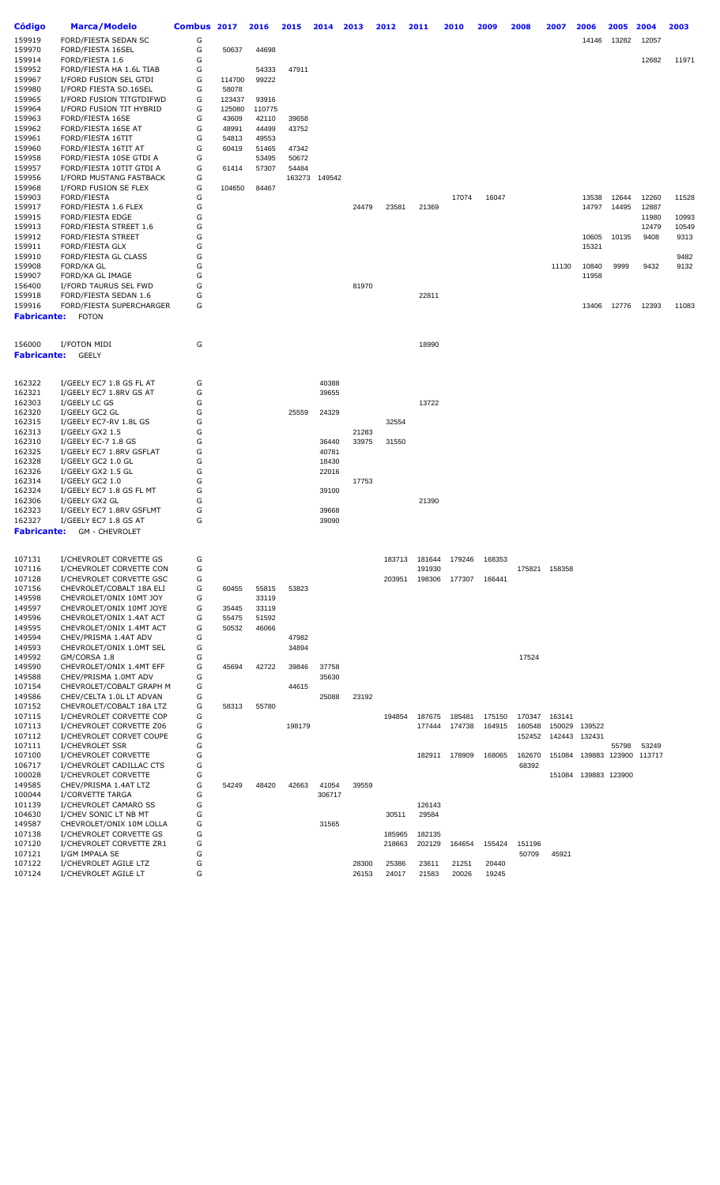| Código             | <b>Marca/Modelo</b>       | <b>Combus</b> | 2017   | 2016   | 2015   | 2014   | 2013  | 2012   | 2011   | 2010   | 2009   | 2008   | 2007   | 2006                 | 2005  | 2004                        | 2003  |
|--------------------|---------------------------|---------------|--------|--------|--------|--------|-------|--------|--------|--------|--------|--------|--------|----------------------|-------|-----------------------------|-------|
| 159919             | FORD/FIESTA SEDAN SC      | G             |        |        |        |        |       |        |        |        |        |        |        | 14146                | 13282 | 12057                       |       |
| 159970             | FORD/FIESTA 16SEL         | G             | 50637  | 44698  |        |        |       |        |        |        |        |        |        |                      |       |                             |       |
| 159914             | FORD/FIESTA 1.6           | G             |        |        |        |        |       |        |        |        |        |        |        |                      |       | 12682                       | 11971 |
| 159952             | FORD/FIESTA HA 1.6L TIAB  | G             |        | 54333  | 47911  |        |       |        |        |        |        |        |        |                      |       |                             |       |
| 159967             | I/FORD FUSION SEL GTDI    | G             | 114700 | 99222  |        |        |       |        |        |        |        |        |        |                      |       |                             |       |
| 159980             | I/FORD FIESTA SD.16SEL    | G             | 58078  |        |        |        |       |        |        |        |        |        |        |                      |       |                             |       |
| 159965             | I/FORD FUSION TITGTDIFWD  | G             | 123437 | 93916  |        |        |       |        |        |        |        |        |        |                      |       |                             |       |
| 159964             | I/FORD FUSION TIT HYBRID  | G             | 125080 | 110775 |        |        |       |        |        |        |        |        |        |                      |       |                             |       |
| 159963             | FORD/FIESTA 16SE          | G             | 43609  | 42110  | 39658  |        |       |        |        |        |        |        |        |                      |       |                             |       |
|                    |                           | G             |        |        |        |        |       |        |        |        |        |        |        |                      |       |                             |       |
| 159962             | FORD/FIESTA 16SE AT       |               | 48991  | 44499  | 43752  |        |       |        |        |        |        |        |        |                      |       |                             |       |
| 159961             | FORD/FIESTA 16TIT         | G             | 54813  | 49553  |        |        |       |        |        |        |        |        |        |                      |       |                             |       |
| 159960             | FORD/FIESTA 16TIT AT      | G             | 60419  | 51465  | 47342  |        |       |        |        |        |        |        |        |                      |       |                             |       |
| 159958             | FORD/FIESTA 10SE GTDI A   | G             |        | 53495  | 50672  |        |       |        |        |        |        |        |        |                      |       |                             |       |
| 159957             | FORD/FIESTA 10TIT GTDI A  | G             | 61414  | 57307  | 54484  |        |       |        |        |        |        |        |        |                      |       |                             |       |
| 159956             | I/FORD MUSTANG FASTBACK   | G             |        |        | 163273 | 149542 |       |        |        |        |        |        |        |                      |       |                             |       |
| 159968             | I/FORD FUSION SE FLEX     | G             | 104650 | 84467  |        |        |       |        |        |        |        |        |        |                      |       |                             |       |
| 159903             | FORD/FIESTA               | G             |        |        |        |        |       |        |        | 17074  | 16047  |        |        | 13538                | 12644 | 12260                       | 11528 |
| 159917             | FORD/FIESTA 1.6 FLEX      | G             |        |        |        |        | 24479 | 23581  | 21369  |        |        |        |        | 14797                | 14495 | 12887                       |       |
| 159915             | <b>FORD/FIESTA EDGE</b>   | G             |        |        |        |        |       |        |        |        |        |        |        |                      |       | 11980                       | 10993 |
| 159913             | FORD/FIESTA STREET 1.6    | G             |        |        |        |        |       |        |        |        |        |        |        |                      |       | 12479                       | 10549 |
| 159912             | <b>FORD/FIESTA STREET</b> | G             |        |        |        |        |       |        |        |        |        |        |        | 10605                | 10135 | 9408                        | 9313  |
| 159911             | FORD/FIESTA GLX           | G             |        |        |        |        |       |        |        |        |        |        |        | 15321                |       |                             |       |
| 159910             | FORD/FIESTA GL CLASS      | G             |        |        |        |        |       |        |        |        |        |        |        |                      |       |                             | 9482  |
| 159908             | <b>FORD/KA GL</b>         | G             |        |        |        |        |       |        |        |        |        |        | 11130  | 10840                | 9999  | 9432                        | 9132  |
| 159907             | FORD/KA GL IMAGE          | G             |        |        |        |        |       |        |        |        |        |        |        | 11958                |       |                             |       |
| 156400             | I/FORD TAURUS SEL FWD     | G             |        |        |        |        | 81970 |        |        |        |        |        |        |                      |       |                             |       |
|                    |                           |               |        |        |        |        |       |        |        |        |        |        |        |                      |       |                             |       |
| 159918             | FORD/FIESTA SEDAN 1.6     | G             |        |        |        |        |       |        | 22811  |        |        |        |        |                      |       |                             |       |
| 159916             | FORD/FIESTA SUPERCHARGER  | G             |        |        |        |        |       |        |        |        |        |        |        | 13406                | 12776 | 12393                       | 11083 |
| <b>Fabricante:</b> | <b>FOTON</b>              |               |        |        |        |        |       |        |        |        |        |        |        |                      |       |                             |       |
|                    |                           |               |        |        |        |        |       |        |        |        |        |        |        |                      |       |                             |       |
| 156000             | I/FOTON MIDI              | G             |        |        |        |        |       |        | 18990  |        |        |        |        |                      |       |                             |       |
| Fabricante:        | <b>GEELY</b>              |               |        |        |        |        |       |        |        |        |        |        |        |                      |       |                             |       |
|                    |                           |               |        |        |        |        |       |        |        |        |        |        |        |                      |       |                             |       |
|                    |                           |               |        |        |        |        |       |        |        |        |        |        |        |                      |       |                             |       |
| 162322             | I/GEELY EC7 1.8 GS FL AT  | G             |        |        |        | 40388  |       |        |        |        |        |        |        |                      |       |                             |       |
| 162321             | I/GEELY EC7 1.8RV GS AT   | G             |        |        |        | 39655  |       |        |        |        |        |        |        |                      |       |                             |       |
| 162303             | I/GEELY LC GS             | G             |        |        |        |        |       |        | 13722  |        |        |        |        |                      |       |                             |       |
| 162320             | I/GEELY GC2 GL            | G             |        |        | 25559  | 24329  |       |        |        |        |        |        |        |                      |       |                             |       |
| 162315             | I/GEELY EC7-RV 1.8L GS    | G             |        |        |        |        |       | 32554  |        |        |        |        |        |                      |       |                             |       |
| 162313             | I/GEELY GX2 1.5           | G             |        |        |        |        | 21283 |        |        |        |        |        |        |                      |       |                             |       |
| 162310             | I/GEELY EC-7 1.8 GS       | G             |        |        |        | 36440  | 33975 | 31550  |        |        |        |        |        |                      |       |                             |       |
| 162325             | I/GEELY EC7 1.8RV GSFLAT  | G             |        |        |        | 40781  |       |        |        |        |        |        |        |                      |       |                             |       |
| 162328             | I/GEELY GC2 1.0 GL        | G             |        |        |        | 18430  |       |        |        |        |        |        |        |                      |       |                             |       |
|                    |                           | G             |        |        |        |        |       |        |        |        |        |        |        |                      |       |                             |       |
| 162326             | I/GEELY GX2 1.5 GL        |               |        |        |        | 22016  |       |        |        |        |        |        |        |                      |       |                             |       |
| 162314             | I/GEELY GC2 1.0           | G             |        |        |        |        | 17753 |        |        |        |        |        |        |                      |       |                             |       |
| 162324             | I/GEELY EC7 1.8 GS FL MT  | G             |        |        |        | 39100  |       |        |        |        |        |        |        |                      |       |                             |       |
| 162306             | I/GEELY GX2 GL            | G             |        |        |        |        |       |        | 21390  |        |        |        |        |                      |       |                             |       |
| 162323             | I/GEELY EC7 1.8RV GSFLMT  | G             |        |        |        | 39668  |       |        |        |        |        |        |        |                      |       |                             |       |
| 162327             | I/GEELY EC7 1.8 GS AT     | G             |        |        |        | 39090  |       |        |        |        |        |        |        |                      |       |                             |       |
| Fabricante:        | <b>GM - CHEVROLET</b>     |               |        |        |        |        |       |        |        |        |        |        |        |                      |       |                             |       |
|                    |                           |               |        |        |        |        |       |        |        |        |        |        |        |                      |       |                             |       |
| 107131             | I/CHEVROLET CORVETTE GS   | G             |        |        |        |        |       | 183713 | 181644 | 179246 | 168353 |        |        |                      |       |                             |       |
|                    |                           |               |        |        |        |        |       |        |        |        |        |        |        |                      |       |                             |       |
| 107116             | I/CHEVROLET CORVETTE CON  | G             |        |        |        |        |       |        | 191930 |        |        | 175821 | 158358 |                      |       |                             |       |
| 107128             | I/CHEVROLET CORVETTE GSC  | G             |        |        |        |        |       | 203951 | 198306 | 177307 | 166441 |        |        |                      |       |                             |       |
| 107156             | CHEVROLET/COBALT 18A ELI  | G             | 60455  | 55815  | 53823  |        |       |        |        |        |        |        |        |                      |       |                             |       |
| 149598             | CHEVROLET/ONIX 10MT JOY   | G             |        | 33119  |        |        |       |        |        |        |        |        |        |                      |       |                             |       |
| 149597             | CHEVROLET/ONIX 10MT JOYE  | G             | 35445  | 33119  |        |        |       |        |        |        |        |        |        |                      |       |                             |       |
| 149596             | CHEVROLET/ONIX 1.4AT ACT  | G             | 55475  | 51592  |        |        |       |        |        |        |        |        |        |                      |       |                             |       |
| 149595             | CHEVROLET/ONIX 1.4MT ACT  | G             | 50532  | 46066  |        |        |       |        |        |        |        |        |        |                      |       |                             |       |
| 149594             | CHEV/PRISMA 1.4AT ADV     | G             |        |        | 47982  |        |       |        |        |        |        |        |        |                      |       |                             |       |
| 149593             | CHEVROLET/ONIX 1.0MT SEL  | G             |        |        | 34894  |        |       |        |        |        |        |        |        |                      |       |                             |       |
| 149592             | GM/CORSA 1.8              | G             |        |        |        |        |       |        |        |        |        | 17524  |        |                      |       |                             |       |
| 149590             | CHEVROLET/ONIX 1.4MT EFF  | G             | 45694  | 42722  | 39846  | 37758  |       |        |        |        |        |        |        |                      |       |                             |       |
| 149588             | CHEV/PRISMA 1.0MT ADV     | G             |        |        |        | 35630  |       |        |        |        |        |        |        |                      |       |                             |       |
|                    |                           |               |        |        |        |        |       |        |        |        |        |        |        |                      |       |                             |       |
| 107154             | CHEVROLET/COBALT GRAPH M  | G             |        |        | 44615  |        |       |        |        |        |        |        |        |                      |       |                             |       |
| 149586             | CHEV/CELTA 1.0L LT ADVAN  | G             |        |        |        | 25088  | 23192 |        |        |        |        |        |        |                      |       |                             |       |
| 107152             | CHEVROLET/COBALT 18A LTZ  | G             | 58313  | 55780  |        |        |       |        |        |        |        |        |        |                      |       |                             |       |
| 107115             | I/CHEVROLET CORVETTE COP  | G             |        |        |        |        |       | 194854 | 187675 | 185481 | 175150 | 170347 | 163141 |                      |       |                             |       |
| 107113             | I/CHEVROLET CORVETTE Z06  | G             |        |        | 198179 |        |       |        | 177444 | 174738 | 164915 | 160548 | 150029 | 139522               |       |                             |       |
| 107112             | I/CHEVROLET CORVET COUPE  | G             |        |        |        |        |       |        |        |        |        | 152452 | 142443 | 132431               |       |                             |       |
| 107111             | I/CHEVROLET SSR           | G             |        |        |        |        |       |        |        |        |        |        |        |                      | 55798 | 53249                       |       |
| 107100             | I/CHEVROLET CORVETTE      | G             |        |        |        |        |       |        | 182911 | 178909 | 168065 | 162670 |        |                      |       | 151084 139883 123900 113717 |       |
| 106717             | I/CHEVROLET CADILLAC CTS  | G             |        |        |        |        |       |        |        |        |        | 68392  |        |                      |       |                             |       |
| 100028             | I/CHEVROLET CORVETTE      | G             |        |        |        |        |       |        |        |        |        |        |        | 151084 139883 123900 |       |                             |       |
| 149585             | CHEV/PRISMA 1.4AT LTZ     | G             | 54249  | 48420  |        | 41054  | 39559 |        |        |        |        |        |        |                      |       |                             |       |
|                    |                           |               |        |        | 42663  |        |       |        |        |        |        |        |        |                      |       |                             |       |
| 100044             | I/CORVETTE TARGA          | G             |        |        |        | 306717 |       |        |        |        |        |        |        |                      |       |                             |       |
| 101139             | I/CHEVROLET CAMARO SS     | G             |        |        |        |        |       |        | 126143 |        |        |        |        |                      |       |                             |       |
| 104630             | I/CHEV SONIC LT NB MT     | G             |        |        |        |        |       | 30511  | 29584  |        |        |        |        |                      |       |                             |       |
| 149587             | CHEVROLET/ONIX 10M LOLLA  | G             |        |        |        | 31565  |       |        |        |        |        |        |        |                      |       |                             |       |
| 107138             | I/CHEVROLET CORVETTE GS   | G             |        |        |        |        |       | 185965 | 182135 |        |        |        |        |                      |       |                             |       |
| 107120             | I/CHEVROLET CORVETTE ZR1  | G             |        |        |        |        |       | 218663 | 202129 | 164654 | 155424 | 151196 |        |                      |       |                             |       |
| 107121             | I/GM IMPALA SE            | G             |        |        |        |        |       |        |        |        |        | 50709  | 45921  |                      |       |                             |       |
| 107122             | I/CHEVROLET AGILE LTZ     | G             |        |        |        |        | 28300 | 25386  | 23611  | 21251  | 20440  |        |        |                      |       |                             |       |
| 107124             | I/CHEVROLET AGILE LT      | G             |        |        |        |        | 26153 | 24017  | 21583  | 20026  | 19245  |        |        |                      |       |                             |       |
|                    |                           |               |        |        |        |        |       |        |        |        |        |        |        |                      |       |                             |       |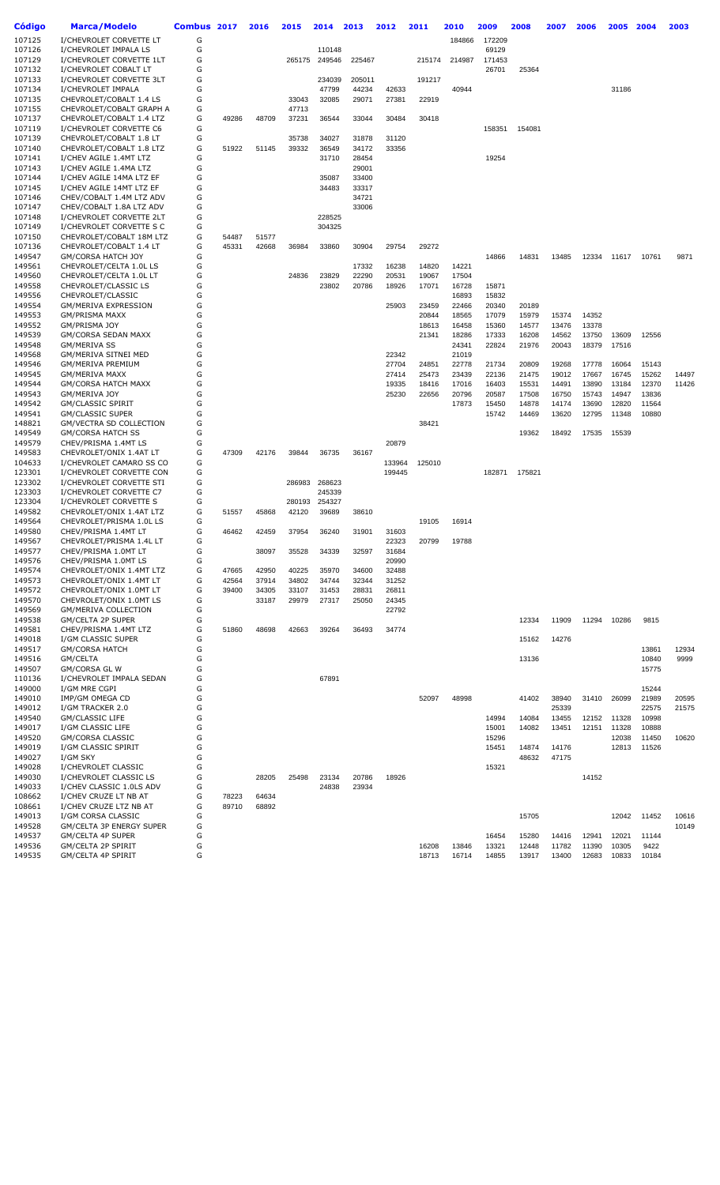| Código           | Marca/Modelo                                         | Combus 2017 |       | 2016  | 2015           | 2014             | 2013            | 2012           | 2011   | 2010   | 2009   | 2008   | 2007  | 2006  | 2005  | 2004  | 2003  |
|------------------|------------------------------------------------------|-------------|-------|-------|----------------|------------------|-----------------|----------------|--------|--------|--------|--------|-------|-------|-------|-------|-------|
|                  | I/CHEVROLET CORVETTE LT                              |             |       |       |                |                  |                 |                |        |        |        |        |       |       |       |       |       |
| 107125           |                                                      | G           |       |       |                |                  |                 |                |        | 184866 | 172209 |        |       |       |       |       |       |
| 107126           | I/CHEVROLET IMPALA LS                                | G           |       |       |                | 110148           |                 |                |        |        | 69129  |        |       |       |       |       |       |
| 107129           | I/CHEVROLET CORVETTE 1LT                             | G           |       |       | 265175         | 249546           | 225467          |                | 215174 | 214987 | 171453 |        |       |       |       |       |       |
| 107132           | I/CHEVROLET COBALT LT                                | G<br>G      |       |       |                |                  |                 |                |        |        | 26701  | 25364  |       |       |       |       |       |
| 107133           | I/CHEVROLET CORVETTE 3LT                             | G           |       |       |                | 234039           | 205011<br>44234 |                | 191217 |        |        |        |       |       |       |       |       |
| 107134<br>107135 | I/CHEVROLET IMPALA<br>CHEVROLET/COBALT 1.4 LS        | G           |       |       | 33043          | 47799<br>32085   | 29071           | 42633<br>27381 | 22919  | 40944  |        |        |       |       | 31186 |       |       |
| 107155           |                                                      | G           |       |       |                |                  |                 |                |        |        |        |        |       |       |       |       |       |
| 107137           | CHEVROLET/COBALT GRAPH A<br>CHEVROLET/COBALT 1.4 LTZ | G           | 49286 | 48709 | 47713<br>37231 | 36544            | 33044           | 30484          | 30418  |        |        |        |       |       |       |       |       |
| 107119           | I/CHEVROLET CORVETTE C6                              | G           |       |       |                |                  |                 |                |        |        | 158351 | 154081 |       |       |       |       |       |
| 107139           | CHEVROLET/COBALT 1.8 LT                              | G           |       |       | 35738          | 34027            | 31878           | 31120          |        |        |        |        |       |       |       |       |       |
| 107140           | CHEVROLET/COBALT 1.8 LTZ                             | G           | 51922 | 51145 | 39332          | 36549            | 34172           | 33356          |        |        |        |        |       |       |       |       |       |
| 107141           | I/CHEV AGILE 1.4MT LTZ                               | G           |       |       |                | 31710            | 28454           |                |        |        | 19254  |        |       |       |       |       |       |
| 107143           | I/CHEV AGILE 1.4MA LTZ                               | G           |       |       |                |                  | 29001           |                |        |        |        |        |       |       |       |       |       |
| 107144           | I/CHEV AGILE 14MA LTZ EF                             | G           |       |       |                | 35087            | 33400           |                |        |        |        |        |       |       |       |       |       |
| 107145           | I/CHEV AGILE 14MT LTZ EF                             | G           |       |       |                | 34483            | 33317           |                |        |        |        |        |       |       |       |       |       |
| 107146           | CHEV/COBALT 1.4M LTZ ADV                             | G           |       |       |                |                  | 34721           |                |        |        |        |        |       |       |       |       |       |
| 107147           | CHEV/COBALT 1.8A LTZ ADV                             | G           |       |       |                |                  | 33006           |                |        |        |        |        |       |       |       |       |       |
| 107148           | I/CHEVROLET CORVETTE 2LT                             | G           |       |       |                | 228525           |                 |                |        |        |        |        |       |       |       |       |       |
| 107149           | I/CHEVROLET CORVETTE S C                             | G           |       |       |                | 304325           |                 |                |        |        |        |        |       |       |       |       |       |
| 107150           | CHEVROLET/COBALT 18M LTZ                             | G           | 54487 | 51577 |                |                  |                 |                |        |        |        |        |       |       |       |       |       |
| 107136           | CHEVROLET/COBALT 1.4 LT                              | G           | 45331 | 42668 | 36984          | 33860            | 30904           | 29754          | 29272  |        |        |        |       |       |       |       |       |
| 149547           | GM/CORSA HATCH JOY                                   | G           |       |       |                |                  |                 |                |        |        | 14866  | 14831  | 13485 | 12334 | 11617 | 10761 | 9871  |
| 149561           | CHEVROLET/CELTA 1.0L LS                              | G           |       |       |                |                  | 17332           | 16238          | 14820  | 14221  |        |        |       |       |       |       |       |
| 149560           | CHEVROLET/CELTA 1.0L LT                              | G           |       |       | 24836          | 23829            | 22290           | 20531          | 19067  | 17504  |        |        |       |       |       |       |       |
| 149558           | CHEVROLET/CLASSIC LS                                 | G           |       |       |                | 23802            | 20786           | 18926          | 17071  | 16728  | 15871  |        |       |       |       |       |       |
| 149556           | CHEVROLET/CLASSIC                                    | G           |       |       |                |                  |                 |                |        | 16893  | 15832  |        |       |       |       |       |       |
| 149554           | GM/MERIVA EXPRESSION                                 | G           |       |       |                |                  |                 | 25903          | 23459  | 22466  | 20340  | 20189  |       |       |       |       |       |
| 149553           | <b>GM/PRISMA MAXX</b>                                | G           |       |       |                |                  |                 |                | 20844  | 18565  | 17079  | 15979  | 15374 | 14352 |       |       |       |
| 149552           | GM/PRISMA JOY                                        | G           |       |       |                |                  |                 |                | 18613  | 16458  | 15360  | 14577  | 13476 | 13378 |       |       |       |
| 149539           | <b>GM/CORSA SEDAN MAXX</b>                           | G           |       |       |                |                  |                 |                | 21341  | 18286  | 17333  | 16208  | 14562 | 13750 | 13609 | 12556 |       |
| 149548           | <b>GM/MERIVA SS</b>                                  | G           |       |       |                |                  |                 |                |        | 24341  | 22824  | 21976  | 20043 | 18379 | 17516 |       |       |
| 149568           | <b>GM/MERIVA SITNEI MED</b>                          | G           |       |       |                |                  |                 | 22342          |        | 21019  |        |        |       |       |       |       |       |
| 149546           | GM/MERIVA PREMIUM                                    | G           |       |       |                |                  |                 | 27704          | 24851  | 22778  | 21734  | 20809  | 19268 | 17778 | 16064 | 15143 |       |
| 149545           | <b>GM/MERIVA MAXX</b>                                | G           |       |       |                |                  |                 | 27414          | 25473  | 23439  | 22136  | 21475  | 19012 | 17667 | 16745 | 15262 | 14497 |
| 149544           | <b>GM/CORSA HATCH MAXX</b>                           | G           |       |       |                |                  |                 | 19335          | 18416  | 17016  | 16403  | 15531  | 14491 | 13890 | 13184 | 12370 | 11426 |
| 149543           | GM/MERIVA JOY                                        | G           |       |       |                |                  |                 | 25230          | 22656  | 20796  | 20587  | 17508  | 16750 | 15743 | 14947 | 13836 |       |
| 149542           | <b>GM/CLASSIC SPIRIT</b>                             | G           |       |       |                |                  |                 |                |        | 17873  | 15450  | 14878  | 14174 | 13690 | 12820 | 11564 |       |
| 149541           | <b>GM/CLASSIC SUPER</b>                              | G           |       |       |                |                  |                 |                |        |        | 15742  | 14469  | 13620 | 12795 | 11348 | 10880 |       |
| 148821           | GM/VECTRA SD COLLECTION                              | G           |       |       |                |                  |                 |                | 38421  |        |        |        |       |       |       |       |       |
| 149549           | <b>GM/CORSA HATCH SS</b>                             | G           |       |       |                |                  |                 |                |        |        |        | 19362  | 18492 | 17535 | 15539 |       |       |
| 149579           | CHEV/PRISMA 1.4MT LS                                 | G           |       |       |                |                  |                 | 20879          |        |        |        |        |       |       |       |       |       |
| 149583           | CHEVROLET/ONIX 1.4AT LT                              | G           | 47309 | 42176 | 39844          | 36735            | 36167           |                |        |        |        |        |       |       |       |       |       |
| 104633           | I/CHEVROLET CAMARO SS CO                             | G           |       |       |                |                  |                 | 133964         | 125010 |        |        |        |       |       |       |       |       |
| 123301           | I/CHEVROLET CORVETTE CON                             | G           |       |       |                |                  |                 | 199445         |        |        | 182871 | 175821 |       |       |       |       |       |
| 123302           | I/CHEVROLET CORVETTE STI<br>I/CHEVROLET CORVETTE C7  | G<br>G      |       |       | 286983         | 268623           |                 |                |        |        |        |        |       |       |       |       |       |
| 123303<br>123304 | I/CHEVROLET CORVETTE S                               | G           |       |       | 280193         | 245339<br>254327 |                 |                |        |        |        |        |       |       |       |       |       |
| 149582           | CHEVROLET/ONIX 1.4AT LTZ                             | G           | 51557 | 45868 | 42120          | 39689            | 38610           |                |        |        |        |        |       |       |       |       |       |
| 149564           | CHEVROLET/PRISMA 1.0L LS                             | G           |       |       |                |                  |                 |                | 19105  | 16914  |        |        |       |       |       |       |       |
| 149580           | CHEV/PRISMA 1.4MT LT                                 | G           | 46462 | 42459 | 37954          | 36240            | 31901           | 31603          |        |        |        |        |       |       |       |       |       |
| 149567           | CHEVROLET/PRISMA 1.4L LT                             | G           |       |       |                |                  |                 | 22323          | 20799  | 19788  |        |        |       |       |       |       |       |
| 149577           | CHEV/PRISMA 1.0MT LT                                 | G           |       | 38097 | 35528          | 34339            | 32597           | 31684          |        |        |        |        |       |       |       |       |       |
| 149576           | CHEV/PRISMA 1.0MT LS                                 | G           |       |       |                |                  |                 | 20990          |        |        |        |        |       |       |       |       |       |
| 149574           | CHEVROLET/ONIX 1.4MT LTZ                             | G           | 47665 | 42950 | 40225          | 35970            | 34600           | 32488          |        |        |        |        |       |       |       |       |       |
| 149573           | CHEVROLET/ONIX 1.4MT LT                              | G           | 42564 | 37914 | 34802          | 34744            | 32344           | 31252          |        |        |        |        |       |       |       |       |       |
| 149572           | CHEVROLET/ONIX 1.0MT LT                              | G           | 39400 | 34305 | 33107          | 31453            | 28831           | 26811          |        |        |        |        |       |       |       |       |       |
| 149570           | CHEVROLET/ONIX 1.0MT LS                              | G           |       | 33187 | 29979          | 27317            | 25050           | 24345          |        |        |        |        |       |       |       |       |       |
| 149569           | <b>GM/MERIVA COLLECTION</b>                          | G           |       |       |                |                  |                 | 22792          |        |        |        |        |       |       |       |       |       |
| 149538           | GM/CELTA 2P SUPER                                    | G           |       |       |                |                  |                 |                |        |        |        | 12334  | 11909 | 11294 | 10286 | 9815  |       |
| 149581           | CHEV/PRISMA 1.4MT LTZ                                | G           | 51860 | 48698 | 42663          | 39264            | 36493           | 34774          |        |        |        |        |       |       |       |       |       |
| 149018           | I/GM CLASSIC SUPER                                   | G           |       |       |                |                  |                 |                |        |        |        | 15162  | 14276 |       |       |       |       |
| 149517           | <b>GM/CORSA HATCH</b>                                | G           |       |       |                |                  |                 |                |        |        |        |        |       |       |       | 13861 | 12934 |
| 149516           | GM/CELTA                                             | G           |       |       |                |                  |                 |                |        |        |        | 13136  |       |       |       | 10840 | 9999  |
| 149507           | <b>GM/CORSA GL W</b>                                 | G           |       |       |                |                  |                 |                |        |        |        |        |       |       |       | 15775 |       |
| 110136           | I/CHEVROLET IMPALA SEDAN                             | G           |       |       |                | 67891            |                 |                |        |        |        |        |       |       |       |       |       |
| 149000           | I/GM MRE CGPI                                        | G           |       |       |                |                  |                 |                |        |        |        |        |       |       |       | 15244 |       |
| 149010           | IMP/GM OMEGA CD                                      | G           |       |       |                |                  |                 |                | 52097  | 48998  |        | 41402  | 38940 | 31410 | 26099 | 21989 | 20595 |
| 149012           | I/GM TRACKER 2.0                                     | G           |       |       |                |                  |                 |                |        |        |        |        | 25339 |       |       | 22575 | 21575 |
| 149540           | <b>GM/CLASSIC LIFE</b>                               | G           |       |       |                |                  |                 |                |        |        | 14994  | 14084  | 13455 | 12152 | 11328 | 10998 |       |
| 149017           | I/GM CLASSIC LIFE                                    | G           |       |       |                |                  |                 |                |        |        | 15001  | 14082  | 13451 | 12151 | 11328 | 10888 |       |
| 149520           | GM/CORSA CLASSIC                                     | G           |       |       |                |                  |                 |                |        |        | 15296  |        |       |       | 12038 | 11450 | 10620 |
| 149019           | I/GM CLASSIC SPIRIT                                  | G           |       |       |                |                  |                 |                |        |        | 15451  | 14874  | 14176 |       | 12813 | 11526 |       |
| 149027           | I/GM SKY                                             | G           |       |       |                |                  |                 |                |        |        |        | 48632  | 47175 |       |       |       |       |
| 149028           | I/CHEVROLET CLASSIC                                  | G           |       |       |                |                  |                 |                |        |        | 15321  |        |       |       |       |       |       |
| 149030           | I/CHEVROLET CLASSIC LS                               | G           |       | 28205 | 25498          | 23134            | 20786           | 18926          |        |        |        |        |       | 14152 |       |       |       |
| 149033           | I/CHEV CLASSIC 1.0LS ADV                             | G           |       |       |                | 24838            | 23934           |                |        |        |        |        |       |       |       |       |       |
| 108662           | I/CHEV CRUZE LT NB AT                                | G           | 78223 | 64634 |                |                  |                 |                |        |        |        |        |       |       |       |       |       |
| 108661           | I/CHEV CRUZE LTZ NB AT                               | G           | 89710 | 68892 |                |                  |                 |                |        |        |        |        |       |       |       |       |       |
| 149013           | I/GM CORSA CLASSIC                                   | G           |       |       |                |                  |                 |                |        |        |        | 15705  |       |       | 12042 | 11452 | 10616 |
| 149528           | GM/CELTA 3P ENERGY SUPER                             | G           |       |       |                |                  |                 |                |        |        |        |        |       |       |       |       | 10149 |
| 149537           | GM/CELTA 4P SUPER                                    | G           |       |       |                |                  |                 |                |        |        | 16454  | 15280  | 14416 | 12941 | 12021 | 11144 |       |
| 149536           | GM/CELTA 2P SPIRIT                                   | G           |       |       |                |                  |                 |                | 16208  | 13846  | 13321  | 12448  | 11782 | 11390 | 10305 | 9422  |       |
| 149535           | GM/CELTA 4P SPIRIT                                   | G           |       |       |                |                  |                 |                | 18713  | 16714  | 14855  | 13917  | 13400 | 12683 | 10833 | 10184 |       |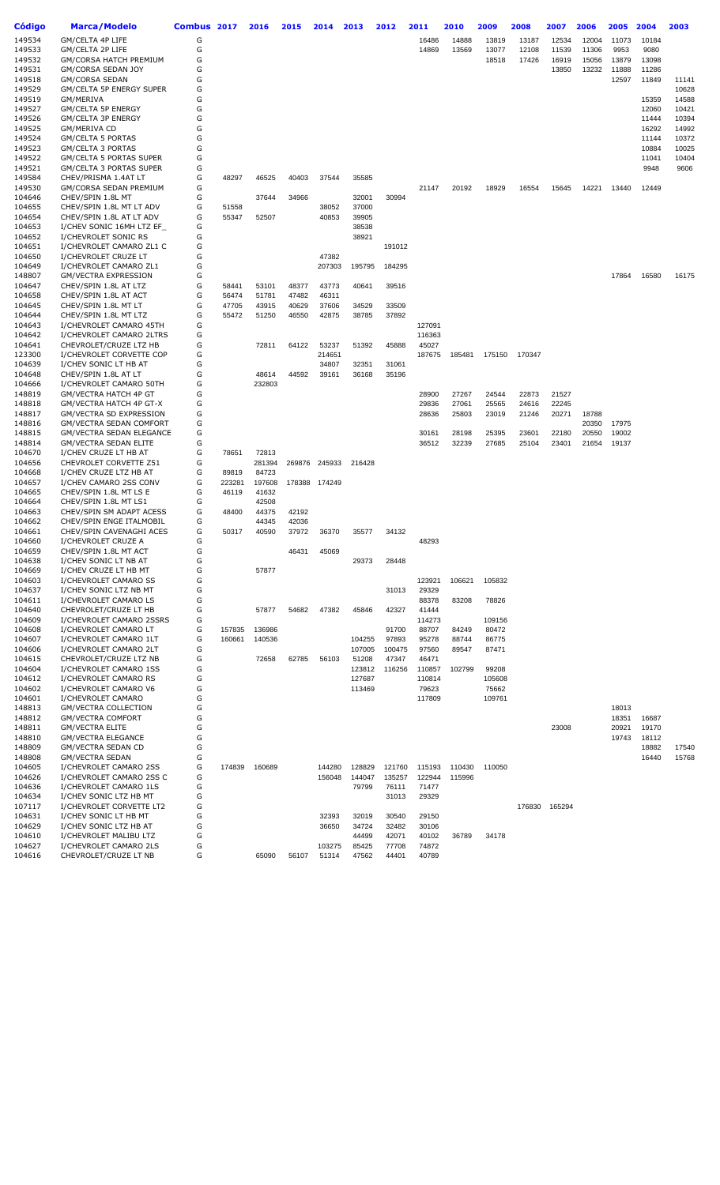| Código | <b>Marca/Modelo</b>                                       | Combus 2017 |        | 2016   | 2015  | 2014          | 2013   | 2012   | 2011   | 2010   | 2009   | 2008   | 2007   | 2006  | 2005  | 2004  | 2003  |
|--------|-----------------------------------------------------------|-------------|--------|--------|-------|---------------|--------|--------|--------|--------|--------|--------|--------|-------|-------|-------|-------|
| 149534 | GM/CELTA 4P LIFE                                          | G           |        |        |       |               |        |        | 16486  | 14888  | 13819  | 13187  | 12534  | 12004 | 11073 | 10184 |       |
| 149533 | GM/CELTA 2P LIFE                                          | G           |        |        |       |               |        |        | 14869  | 13569  | 13077  | 12108  | 11539  | 11306 | 9953  | 9080  |       |
| 149532 | <b>GM/CORSA HATCH PREMIUM</b>                             | G           |        |        |       |               |        |        |        |        | 18518  | 17426  | 16919  | 15056 | 13879 | 13098 |       |
| 149531 | GM/CORSA SEDAN JOY                                        | G           |        |        |       |               |        |        |        |        |        |        | 13850  | 13232 | 11888 | 11286 |       |
| 149518 | <b>GM/CORSA SEDAN</b>                                     | G           |        |        |       |               |        |        |        |        |        |        |        |       | 12597 | 11849 | 11141 |
| 149529 | GM/CELTA 5P ENERGY SUPER                                  | G           |        |        |       |               |        |        |        |        |        |        |        |       |       |       | 10628 |
| 149519 | GM/MERIVA                                                 | G           |        |        |       |               |        |        |        |        |        |        |        |       |       | 15359 | 14588 |
| 149527 | GM/CELTA 5P ENERGY                                        | G           |        |        |       |               |        |        |        |        |        |        |        |       |       | 12060 | 10421 |
| 149526 | GM/CELTA 3P ENERGY                                        | G           |        |        |       |               |        |        |        |        |        |        |        |       |       | 11444 | 10394 |
| 149525 | GM/MERIVA CD                                              | G           |        |        |       |               |        |        |        |        |        |        |        |       |       | 16292 | 14992 |
| 149524 | <b>GM/CELTA 5 PORTAS</b>                                  | G           |        |        |       |               |        |        |        |        |        |        |        |       |       | 11144 | 10372 |
| 149523 | <b>GM/CELTA 3 PORTAS</b>                                  | G           |        |        |       |               |        |        |        |        |        |        |        |       |       | 10884 | 10025 |
| 149522 |                                                           | G           |        |        |       |               |        |        |        |        |        |        |        |       |       | 11041 | 10404 |
| 149521 | GM/CELTA 5 PORTAS SUPER<br><b>GM/CELTA 3 PORTAS SUPER</b> | G           |        |        |       |               |        |        |        |        |        |        |        |       |       |       |       |
|        |                                                           |             |        |        |       |               |        |        |        |        |        |        |        |       |       | 9948  | 9606  |
| 149584 | CHEV/PRISMA 1.4AT LT                                      | G           | 48297  | 46525  | 40403 | 37544         | 35585  |        |        |        |        |        |        |       |       |       |       |
| 149530 | GM/CORSA SEDAN PREMIUM                                    | G           |        |        |       |               |        |        | 21147  | 20192  | 18929  | 16554  | 15645  | 14221 | 13440 | 12449 |       |
| 104646 | CHEV/SPIN 1.8L MT                                         | G           |        | 37644  | 34966 |               | 32001  | 30994  |        |        |        |        |        |       |       |       |       |
| 104655 | CHEV/SPIN 1.8L MT LT ADV                                  | G           | 51558  |        |       | 38052         | 37000  |        |        |        |        |        |        |       |       |       |       |
| 104654 | CHEV/SPIN 1.8L AT LT ADV                                  | G           | 55347  | 52507  |       | 40853         | 39905  |        |        |        |        |        |        |       |       |       |       |
| 104653 | I/CHEV SONIC 16MH LTZ EF                                  | G           |        |        |       |               | 38538  |        |        |        |        |        |        |       |       |       |       |
| 104652 | I/CHEVROLET SONIC RS                                      | G           |        |        |       |               | 38921  |        |        |        |        |        |        |       |       |       |       |
| 104651 | I/CHEVROLET CAMARO ZL1 C                                  | G           |        |        |       |               |        | 191012 |        |        |        |        |        |       |       |       |       |
| 104650 | I/CHEVROLET CRUZE LT                                      | G           |        |        |       | 47382         |        |        |        |        |        |        |        |       |       |       |       |
| 104649 | I/CHEVROLET CAMARO ZL1                                    | G           |        |        |       | 207303        | 195795 | 184295 |        |        |        |        |        |       |       |       |       |
| 148807 | <b>GM/VECTRA EXPRESSION</b>                               | G           |        |        |       |               |        |        |        |        |        |        |        |       | 17864 | 16580 | 16175 |
| 104647 | CHEV/SPIN 1.8L AT LTZ                                     | G           | 58441  | 53101  | 48377 | 43773         | 40641  | 39516  |        |        |        |        |        |       |       |       |       |
| 104658 | CHEV/SPIN 1.8L AT ACT                                     | G           | 56474  | 51781  | 47482 | 46311         |        |        |        |        |        |        |        |       |       |       |       |
| 104645 | CHEV/SPIN 1.8L MT LT                                      | G           | 47705  | 43915  | 40629 | 37606         | 34529  | 33509  |        |        |        |        |        |       |       |       |       |
| 104644 | CHEV/SPIN 1.8L MT LTZ                                     | G           | 55472  | 51250  | 46550 | 42875         | 38785  | 37892  |        |        |        |        |        |       |       |       |       |
| 104643 | I/CHEVROLET CAMARO 45TH                                   | G           |        |        |       |               |        |        | 127091 |        |        |        |        |       |       |       |       |
| 104642 | I/CHEVROLET CAMARO 2LTRS                                  | G           |        |        |       |               |        |        | 116363 |        |        |        |        |       |       |       |       |
| 104641 | CHEVROLET/CRUZE LTZ HB                                    | G           |        | 72811  | 64122 | 53237         | 51392  | 45888  | 45027  |        |        |        |        |       |       |       |       |
| 123300 | I/CHEVROLET CORVETTE COP                                  | G           |        |        |       | 214651        |        |        | 187675 | 185481 | 175150 | 170347 |        |       |       |       |       |
| 104639 | I/CHEV SONIC LT HB AT                                     | G           |        |        |       | 34807         | 32351  | 31061  |        |        |        |        |        |       |       |       |       |
| 104648 | CHEV/SPIN 1.8L AT LT                                      | G           |        | 48614  | 44592 | 39161         | 36168  | 35196  |        |        |        |        |        |       |       |       |       |
| 104666 | I/CHEVROLET CAMARO 50TH                                   | G           |        | 232803 |       |               |        |        |        |        |        |        |        |       |       |       |       |
| 148819 | GM/VECTRA HATCH 4P GT                                     | G           |        |        |       |               |        |        | 28900  | 27267  | 24544  | 22873  | 21527  |       |       |       |       |
| 148818 | GM/VECTRA HATCH 4P GT-X                                   | G           |        |        |       |               |        |        | 29836  | 27061  | 25565  | 24616  | 22245  |       |       |       |       |
| 148817 | GM/VECTRA SD EXPRESSION                                   | G           |        |        |       |               |        |        | 28636  | 25803  | 23019  | 21246  | 20271  | 18788 |       |       |       |
| 148816 | GM/VECTRA SEDAN COMFORT                                   | G           |        |        |       |               |        |        |        |        |        |        |        | 20350 | 17975 |       |       |
| 148815 | GM/VECTRA SEDAN ELEGANCE                                  | G           |        |        |       |               |        |        | 30161  | 28198  | 25395  | 23601  | 22180  | 20550 | 19002 |       |       |
| 148814 | <b>GM/VECTRA SEDAN ELITE</b>                              | G           |        |        |       |               |        |        | 36512  | 32239  | 27685  | 25104  | 23401  | 21654 | 19137 |       |       |
| 104670 | I/CHEV CRUZE LT HB AT                                     | G           | 78651  | 72813  |       |               |        |        |        |        |        |        |        |       |       |       |       |
| 104656 | <b>CHEVROLET CORVETTE Z51</b>                             | G           |        | 281394 |       | 269876 245933 | 216428 |        |        |        |        |        |        |       |       |       |       |
| 104668 | I/CHEV CRUZE LTZ HB AT                                    | G           | 89819  | 84723  |       |               |        |        |        |        |        |        |        |       |       |       |       |
| 104657 | I/CHEV CAMARO 2SS CONV                                    | G           | 223281 | 197608 |       | 178388 174249 |        |        |        |        |        |        |        |       |       |       |       |
| 104665 | CHEV/SPIN 1.8L MT LS E                                    | G           | 46119  | 41632  |       |               |        |        |        |        |        |        |        |       |       |       |       |
| 104664 | CHEV/SPIN 1.8L MT LS1                                     | G           |        | 42508  |       |               |        |        |        |        |        |        |        |       |       |       |       |
| 104663 | CHEV/SPIN SM ADAPT ACESS                                  | G           | 48400  | 44375  | 42192 |               |        |        |        |        |        |        |        |       |       |       |       |
| 104662 | CHEV/SPIN ENGE ITALMOBIL                                  | G           |        | 44345  | 42036 |               |        |        |        |        |        |        |        |       |       |       |       |
| 104661 | CHEV/SPIN CAVENAGHI ACES                                  | G           | 50317  | 40590  | 37972 | 36370         | 35577  | 34132  |        |        |        |        |        |       |       |       |       |
| 104660 | I/CHEVROLET CRUZE A                                       | G           |        |        |       |               |        |        | 48293  |        |        |        |        |       |       |       |       |
| 104659 | CHEV/SPIN 1.8L MT ACT                                     | G           |        |        | 46431 | 45069         |        |        |        |        |        |        |        |       |       |       |       |
| 104638 | I/CHEV SONIC LT NB AT                                     | G           |        |        |       |               | 29373  | 28448  |        |        |        |        |        |       |       |       |       |
| 104669 | I/CHEV CRUZE LT HB MT                                     | G           |        | 57877  |       |               |        |        |        |        |        |        |        |       |       |       |       |
| 104603 | I/CHEVROLET CAMARO SS                                     | G           |        |        |       |               |        |        | 123921 | 106621 | 105832 |        |        |       |       |       |       |
| 104637 | I/CHEV SONIC LTZ NB MT                                    | G           |        |        |       |               |        | 31013  | 29329  |        |        |        |        |       |       |       |       |
| 104611 | I/CHEVROLET CAMARO LS                                     | G           |        |        |       |               |        |        | 88378  | 83208  | 78826  |        |        |       |       |       |       |
| 104640 | CHEVROLET/CRUZE LT HB                                     | G           |        | 57877  | 54682 | 47382         | 45846  | 42327  | 41444  |        |        |        |        |       |       |       |       |
| 104609 | I/CHEVROLET CAMARO 2SSRS                                  | G           |        |        |       |               |        |        | 114273 |        | 109156 |        |        |       |       |       |       |
| 104608 | I/CHEVROLET CAMARO LT                                     | G           | 157835 | 136986 |       |               |        | 91700  | 88707  | 84249  | 80472  |        |        |       |       |       |       |
| 104607 | I/CHEVROLET CAMARO 1LT                                    | G           | 160661 | 140536 |       |               | 104255 | 97893  | 95278  | 88744  | 86775  |        |        |       |       |       |       |
| 104606 | I/CHEVROLET CAMARO 2LT                                    | G           |        |        |       |               | 107005 | 100475 | 97560  | 89547  | 87471  |        |        |       |       |       |       |
| 104615 | CHEVROLET/CRUZE LTZ NB                                    | G           |        | 72658  | 62785 | 56103         | 51208  | 47347  | 46471  |        |        |        |        |       |       |       |       |
| 104604 | I/CHEVROLET CAMARO 1SS                                    | G           |        |        |       |               | 123812 | 116256 | 110857 | 102799 | 99208  |        |        |       |       |       |       |
| 104612 | I/CHEVROLET CAMARO RS                                     | G           |        |        |       |               | 127687 |        | 110814 |        | 105608 |        |        |       |       |       |       |
| 104602 | I/CHEVROLET CAMARO V6                                     | G           |        |        |       |               | 113469 |        | 79623  |        | 75662  |        |        |       |       |       |       |
| 104601 | I/CHEVROLET CAMARO                                        | G           |        |        |       |               |        |        | 117809 |        | 109761 |        |        |       |       |       |       |
| 148813 | <b>GM/VECTRA COLLECTION</b>                               | G           |        |        |       |               |        |        |        |        |        |        |        |       | 18013 |       |       |
| 148812 | <b>GM/VECTRA COMFORT</b>                                  | G           |        |        |       |               |        |        |        |        |        |        |        |       | 18351 | 16687 |       |
|        |                                                           | G           |        |        |       |               |        |        |        |        |        |        |        |       |       |       |       |
| 148811 | <b>GM/VECTRA ELITE</b>                                    | G           |        |        |       |               |        |        |        |        |        |        | 23008  |       | 20921 | 19170 |       |
| 148810 | <b>GM/VECTRA ELEGANCE</b>                                 | G           |        |        |       |               |        |        |        |        |        |        |        |       | 19743 | 18112 |       |
| 148809 | GM/VECTRA SEDAN CD                                        | G           |        |        |       |               |        |        |        |        |        |        |        |       |       | 18882 | 17540 |
| 148808 | <b>GM/VECTRA SEDAN</b>                                    |             |        |        |       |               |        |        |        |        |        |        |        |       |       | 16440 | 15768 |
| 104605 | I/CHEVROLET CAMARO 2SS                                    | G           | 174839 | 160689 |       | 144280        | 128829 | 121760 | 115193 | 110430 | 110050 |        |        |       |       |       |       |
| 104626 | I/CHEVROLET CAMARO 2SS C                                  | G           |        |        |       | 156048        | 144047 | 135257 | 122944 | 115996 |        |        |        |       |       |       |       |
| 104636 | I/CHEVROLET CAMARO 1LS                                    | G           |        |        |       |               | 79799  | 76111  | 71477  |        |        |        |        |       |       |       |       |
| 104634 | I/CHEV SONIC LTZ HB MT                                    | G           |        |        |       |               |        | 31013  | 29329  |        |        |        |        |       |       |       |       |
| 107117 | I/CHEVROLET CORVETTE LT2                                  | G           |        |        |       |               |        |        |        |        |        | 176830 | 165294 |       |       |       |       |
| 104631 | I/CHEV SONIC LT HB MT                                     | G           |        |        |       | 32393         | 32019  | 30540  | 29150  |        |        |        |        |       |       |       |       |
| 104629 | I/CHEV SONIC LTZ HB AT                                    | G           |        |        |       | 36650         | 34724  | 32482  | 30106  |        |        |        |        |       |       |       |       |
| 104610 | I/CHEVROLET MALIBU LTZ                                    | G           |        |        |       |               | 44499  | 42071  | 40102  | 36789  | 34178  |        |        |       |       |       |       |
| 104627 | I/CHEVROLET CAMARO 2LS                                    | G           |        |        |       | 103275        | 85425  | 77708  | 74872  |        |        |        |        |       |       |       |       |
| 104616 | CHEVROLET/CRUZE LT NB                                     | G           |        | 65090  | 56107 | 51314         | 47562  | 44401  | 40789  |        |        |        |        |       |       |       |       |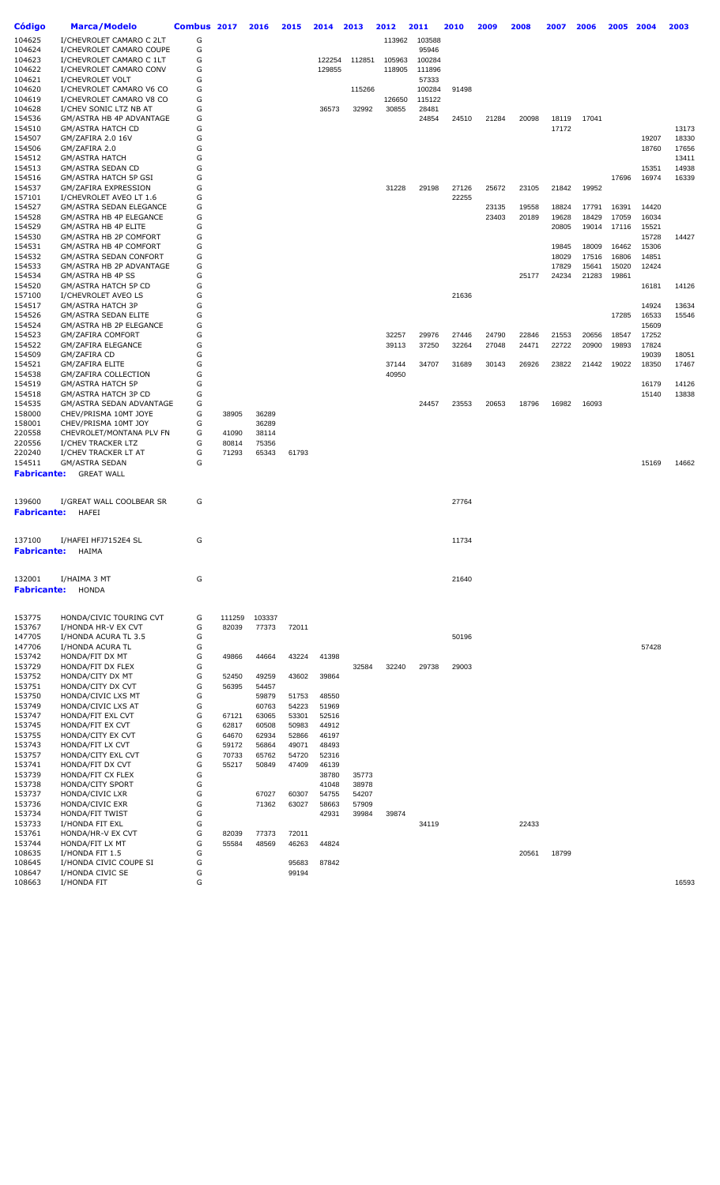| Código                       | <b>Marca/Modelo</b>                                     | Combus 2017 |                | 2016           | 2015           | 2014           | 2013           | 2012   | 2011   | 2010  | 2009  | 2008  | 2007           | 2006           | 2005           | 2004           | 2003           |
|------------------------------|---------------------------------------------------------|-------------|----------------|----------------|----------------|----------------|----------------|--------|--------|-------|-------|-------|----------------|----------------|----------------|----------------|----------------|
| 104625                       | I/CHEVROLET CAMARO C 2LT                                | G           |                |                |                |                |                | 113962 | 103588 |       |       |       |                |                |                |                |                |
| 104624                       | I/CHEVROLET CAMARO COUPE                                | G           |                |                |                |                |                |        | 95946  |       |       |       |                |                |                |                |                |
| 104623                       | I/CHEVROLET CAMARO C 1LT                                | G           |                |                |                | 122254         | 112851         | 105963 | 100284 |       |       |       |                |                |                |                |                |
| 104622                       | I/CHEVROLET CAMARO CONV                                 | G           |                |                |                | 129855         |                | 118905 | 111896 |       |       |       |                |                |                |                |                |
| 104621                       | I/CHEVROLET VOLT                                        | G           |                |                |                |                |                |        | 57333  |       |       |       |                |                |                |                |                |
| 104620                       | I/CHEVROLET CAMARO V6 CO                                | G           |                |                |                |                | 115266         |        | 100284 | 91498 |       |       |                |                |                |                |                |
| 104619                       | I/CHEVROLET CAMARO V8 CO                                | G           |                |                |                |                |                | 126650 | 115122 |       |       |       |                |                |                |                |                |
| 104628                       | I/CHEV SONIC LTZ NB AT                                  | G           |                |                |                | 36573          | 32992          | 30855  | 28481  |       |       |       |                |                |                |                |                |
| 154536<br>154510             | GM/ASTRA HB 4P ADVANTAGE                                | G<br>G      |                |                |                |                |                |        | 24854  | 24510 | 21284 | 20098 | 18119<br>17172 | 17041          |                |                | 13173          |
| 154507                       | GM/ASTRA HATCH CD<br>GM/ZAFIRA 2.0 16V                  | G           |                |                |                |                |                |        |        |       |       |       |                |                |                | 19207          | 18330          |
| 154506                       | GM/ZAFIRA 2.0                                           | G           |                |                |                |                |                |        |        |       |       |       |                |                |                | 18760          | 17656          |
| 154512                       | <b>GM/ASTRA HATCH</b>                                   | G           |                |                |                |                |                |        |        |       |       |       |                |                |                |                | 13411          |
| 154513                       | GM/ASTRA SEDAN CD                                       | G           |                |                |                |                |                |        |        |       |       |       |                |                |                | 15351          | 14938          |
| 154516                       | GM/ASTRA HATCH 5P GSI                                   | G           |                |                |                |                |                |        |        |       |       |       |                |                | 17696          | 16974          | 16339          |
| 154537                       | GM/ZAFIRA EXPRESSION                                    | G           |                |                |                |                |                | 31228  | 29198  | 27126 | 25672 | 23105 | 21842          | 19952          |                |                |                |
| 157101                       | I/CHEVROLET AVEO LT 1.6                                 | G           |                |                |                |                |                |        |        | 22255 |       |       |                |                |                |                |                |
| 154527                       | <b>GM/ASTRA SEDAN ELEGANCE</b>                          | G           |                |                |                |                |                |        |        |       | 23135 | 19558 | 18824          | 17791          | 16391          | 14420          |                |
| 154528                       | GM/ASTRA HB 4P ELEGANCE                                 | G           |                |                |                |                |                |        |        |       | 23403 | 20189 | 19628          | 18429          | 17059          | 16034          |                |
| 154529                       | GM/ASTRA HB 4P ELITE                                    | G           |                |                |                |                |                |        |        |       |       |       | 20805          | 19014          | 17116          | 15521          |                |
| 154530                       | GM/ASTRA HB 2P COMFORT                                  | G           |                |                |                |                |                |        |        |       |       |       |                |                |                | 15728          | 14427          |
| 154531<br>154532             | GM/ASTRA HB 4P COMFORT<br><b>GM/ASTRA SEDAN CONFORT</b> | G<br>G      |                |                |                |                |                |        |        |       |       |       | 19845<br>18029 | 18009<br>17516 | 16462<br>16806 | 15306<br>14851 |                |
| 154533                       | GM/ASTRA HB 2P ADVANTAGE                                | G           |                |                |                |                |                |        |        |       |       |       | 17829          | 15641          | 15020          | 12424          |                |
| 154534                       | GM/ASTRA HB 4P SS                                       | G           |                |                |                |                |                |        |        |       |       | 25177 | 24234          | 21283          | 19861          |                |                |
| 154520                       | GM/ASTRA HATCH 5P CD                                    | G           |                |                |                |                |                |        |        |       |       |       |                |                |                | 16181          | 14126          |
| 157100                       | I/CHEVROLET AVEO LS                                     | G           |                |                |                |                |                |        |        | 21636 |       |       |                |                |                |                |                |
| 154517                       | GM/ASTRA HATCH 3P                                       | G           |                |                |                |                |                |        |        |       |       |       |                |                |                | 14924          | 13634          |
| 154526                       | <b>GM/ASTRA SEDAN ELITE</b>                             | G           |                |                |                |                |                |        |        |       |       |       |                |                | 17285          | 16533          | 15546          |
| 154524                       | GM/ASTRA HB 2P ELEGANCE                                 | G           |                |                |                |                |                |        |        |       |       |       |                |                |                | 15609          |                |
| 154523                       | <b>GM/ZAFIRA COMFORT</b>                                | G           |                |                |                |                |                | 32257  | 29976  | 27446 | 24790 | 22846 | 21553          | 20656          | 18547          | 17252          |                |
| 154522                       | <b>GM/ZAFIRA ELEGANCE</b>                               | G           |                |                |                |                |                | 39113  | 37250  | 32264 | 27048 | 24471 | 22722          | 20900          | 19893          | 17824          |                |
| 154509                       | GM/ZAFIRA CD                                            | G           |                |                |                |                |                |        |        |       |       |       |                |                |                | 19039          | 18051          |
| 154521                       | <b>GM/ZAFIRA ELITE</b>                                  | G           |                |                |                |                |                | 37144  | 34707  | 31689 | 30143 | 26926 | 23822          | 21442          | 19022          | 18350          | 17467          |
| 154538                       | GM/ZAFIRA COLLECTION                                    | G<br>G      |                |                |                |                |                | 40950  |        |       |       |       |                |                |                |                |                |
| 154519<br>154518             | <b>GM/ASTRA HATCH 5P</b><br>GM/ASTRA HATCH 3P CD        | G           |                |                |                |                |                |        |        |       |       |       |                |                |                | 16179<br>15140 | 14126<br>13838 |
| 154535                       | GM/ASTRA SEDAN ADVANTAGE                                | G           |                |                |                |                |                |        | 24457  | 23553 | 20653 | 18796 | 16982          | 16093          |                |                |                |
| 158000                       | CHEV/PRISMA 10MT JOYE                                   | G           | 38905          | 36289          |                |                |                |        |        |       |       |       |                |                |                |                |                |
| 158001                       | CHEV/PRISMA 10MT JOY                                    | G           |                | 36289          |                |                |                |        |        |       |       |       |                |                |                |                |                |
| 220558                       | CHEVROLET/MONTANA PLV FN                                | G           | 41090          | 38114          |                |                |                |        |        |       |       |       |                |                |                |                |                |
| 220556                       | I/CHEV TRACKER LTZ                                      | G           | 80814          | 75356          |                |                |                |        |        |       |       |       |                |                |                |                |                |
| 220240                       | I/CHEV TRACKER LT AT                                    | G           | 71293          | 65343          | 61793          |                |                |        |        |       |       |       |                |                |                |                |                |
| 154511                       | <b>GM/ASTRA SEDAN</b>                                   | G           |                |                |                |                |                |        |        |       |       |       |                |                |                | 15169          | 14662          |
| <b>Fabricante:</b>           | <b>GREAT WALL</b>                                       |             |                |                |                |                |                |        |        |       |       |       |                |                |                |                |                |
| 139600<br><b>Fabricante:</b> | I/GREAT WALL COOLBEAR SR<br>HAFEI                       | G           |                |                |                |                |                |        |        | 27764 |       |       |                |                |                |                |                |
|                              |                                                         |             |                |                |                |                |                |        |        |       |       |       |                |                |                |                |                |
| 137100                       | I/HAFEI HFJ7152E4 SL                                    | G           |                |                |                |                |                |        |        | 11734 |       |       |                |                |                |                |                |
| Fabricante:                  | HAIMA                                                   |             |                |                |                |                |                |        |        |       |       |       |                |                |                |                |                |
| 132001                       | I/HAIMA 3 MT                                            | G           |                |                |                |                |                |        |        | 21640 |       |       |                |                |                |                |                |
| <b>Fabricante:</b>           | <b>HONDA</b>                                            |             |                |                |                |                |                |        |        |       |       |       |                |                |                |                |                |
| 153775                       | HONDA/CIVIC TOURING CVT                                 | G           | 111259         | 103337         |                |                |                |        |        |       |       |       |                |                |                |                |                |
| 153767                       | I/HONDA HR-V EX CVT                                     | G           | 82039          | 77373          | 72011          |                |                |        |        |       |       |       |                |                |                |                |                |
| 147705                       | I/HONDA ACURA TL 3.5                                    | G           |                |                |                |                |                |        |        | 50196 |       |       |                |                |                |                |                |
| 147706                       | I/HONDA ACURA TL                                        | G           |                |                |                |                |                |        |        |       |       |       |                |                |                | 57428          |                |
| 153742                       | HONDA/FIT DX MT                                         | G           | 49866          | 44664          | 43224          | 41398          |                |        |        |       |       |       |                |                |                |                |                |
| 153729                       | HONDA/FIT DX FLEX                                       | G           |                |                |                |                | 32584          | 32240  | 29738  | 29003 |       |       |                |                |                |                |                |
| 153752<br>153751             | HONDA/CITY DX MT<br>HONDA/CITY DX CVT                   | G<br>G      | 52450<br>56395 | 49259<br>54457 | 43602          | 39864          |                |        |        |       |       |       |                |                |                |                |                |
| 153750                       | HONDA/CIVIC LXS MT                                      | G           |                | 59879          | 51753          | 48550          |                |        |        |       |       |       |                |                |                |                |                |
| 153749                       | HONDA/CIVIC LXS AT                                      | G           |                | 60763          | 54223          | 51969          |                |        |        |       |       |       |                |                |                |                |                |
| 153747                       | HONDA/FIT EXL CVT                                       | G           | 67121          | 63065          | 53301          | 52516          |                |        |        |       |       |       |                |                |                |                |                |
| 153745                       | HONDA/FIT EX CVT                                        | G           | 62817          | 60508          | 50983          | 44912          |                |        |        |       |       |       |                |                |                |                |                |
| 153755                       | HONDA/CITY EX CVT                                       | G           | 64670          | 62934          | 52866          | 46197          |                |        |        |       |       |       |                |                |                |                |                |
| 153743                       | HONDA/FIT LX CVT                                        | G           | 59172          | 56864          | 49071          | 48493          |                |        |        |       |       |       |                |                |                |                |                |
| 153757                       | HONDA/CITY EXL CVT                                      | G           | 70733          | 65762          | 54720          | 52316          |                |        |        |       |       |       |                |                |                |                |                |
| 153741                       | HONDA/FIT DX CVT                                        | G           | 55217          | 50849          | 47409          | 46139          |                |        |        |       |       |       |                |                |                |                |                |
| 153739                       | HONDA/FIT CX FLEX                                       | G           |                |                |                | 38780          | 35773          |        |        |       |       |       |                |                |                |                |                |
| 153738                       | HONDA/CITY SPORT                                        | G           |                |                |                | 41048          | 38978          |        |        |       |       |       |                |                |                |                |                |
| 153737<br>153736             | HONDA/CIVIC LXR<br>HONDA/CIVIC EXR                      | G<br>G      |                | 67027<br>71362 | 60307<br>63027 | 54755<br>58663 | 54207<br>57909 |        |        |       |       |       |                |                |                |                |                |
| 153734                       | HONDA/FIT TWIST                                         | G           |                |                |                | 42931          | 39984          | 39874  |        |       |       |       |                |                |                |                |                |
| 153733                       | I/HONDA FIT EXL                                         | G           |                |                |                |                |                |        | 34119  |       |       | 22433 |                |                |                |                |                |
| 153761                       | HONDA/HR-V EX CVT                                       | G           | 82039          | 77373          | 72011          |                |                |        |        |       |       |       |                |                |                |                |                |
| 153744                       | HONDA/FIT LX MT                                         | G           | 55584          | 48569          | 46263          | 44824          |                |        |        |       |       |       |                |                |                |                |                |
| 108635                       | I/HONDA FIT 1.5                                         | G           |                |                |                |                |                |        |        |       |       | 20561 | 18799          |                |                |                |                |
| 108645                       | I/HONDA CIVIC COUPE SI                                  | G           |                |                | 95683          | 87842          |                |        |        |       |       |       |                |                |                |                |                |
| 108647                       | I/HONDA CIVIC SE                                        | G           |                |                | 99194          |                |                |        |        |       |       |       |                |                |                |                |                |
| 108663                       | I/HONDA FIT                                             | G           |                |                |                |                |                |        |        |       |       |       |                |                |                |                | 16593          |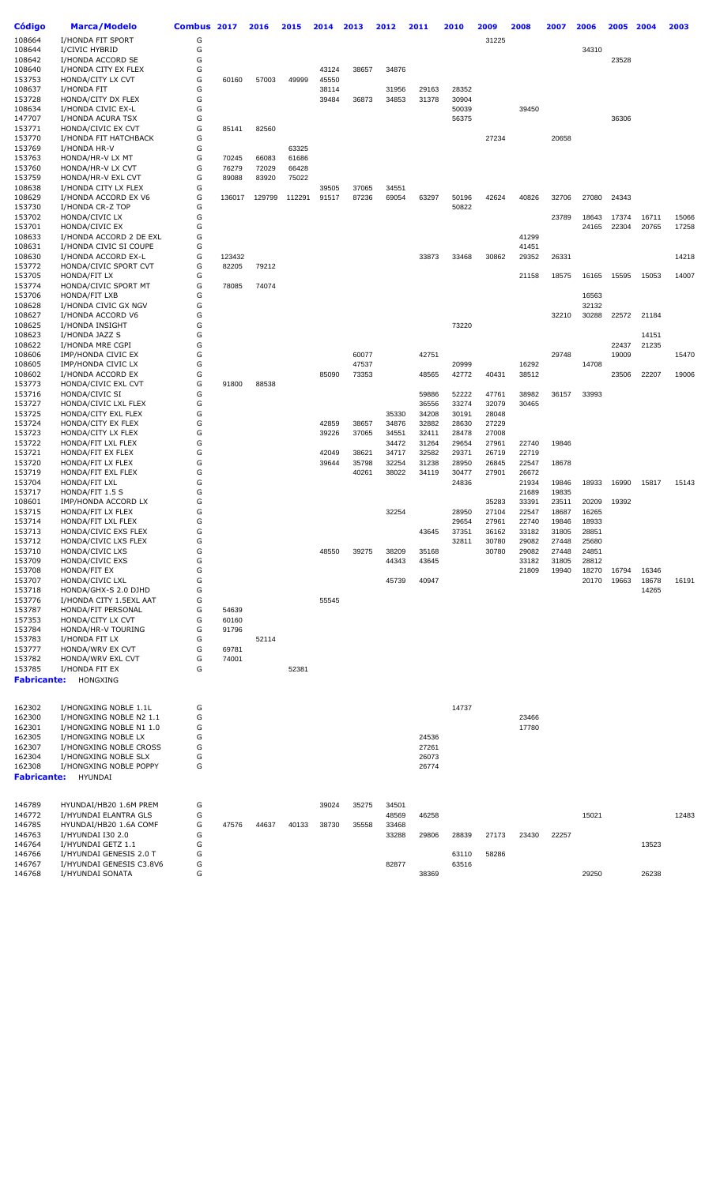| Código             | <b>Marca/Modelo</b>                            | Combus 2017 |                 | 2016           | 2015           | 2014  | 2013           | 2012           | 2011           | 2010           | 2009           | 2008           | 2007           | 2006           | 2005  | 2004  | 2003  |
|--------------------|------------------------------------------------|-------------|-----------------|----------------|----------------|-------|----------------|----------------|----------------|----------------|----------------|----------------|----------------|----------------|-------|-------|-------|
| 108664             | I/HONDA FIT SPORT                              | G           |                 |                |                |       |                |                |                |                | 31225          |                |                |                |       |       |       |
| 108644             | I/CIVIC HYBRID                                 | G           |                 |                |                |       |                |                |                |                |                |                |                | 34310          |       |       |       |
| 108642<br>108640   | I/HONDA ACCORD SE<br>I/HONDA CITY EX FLEX      | G<br>G      |                 |                |                | 43124 | 38657          | 34876          |                |                |                |                |                |                | 23528 |       |       |
| 153753             | HONDA/CITY LX CVT                              | G           | 60160           | 57003          | 49999          | 45550 |                |                |                |                |                |                |                |                |       |       |       |
| 108637             | I/HONDA FIT                                    | G           |                 |                |                | 38114 |                | 31956          | 29163          | 28352          |                |                |                |                |       |       |       |
| 153728             | HONDA/CITY DX FLEX                             | G           |                 |                |                | 39484 | 36873          | 34853          | 31378          | 30904          |                |                |                |                |       |       |       |
| 108634<br>147707   | I/HONDA CIVIC EX-L                             | G<br>G      |                 |                |                |       |                |                |                | 50039<br>56375 |                | 39450          |                |                |       |       |       |
| 153771             | I/HONDA ACURA TSX<br>HONDA/CIVIC EX CVT        | G           | 85141           | 82560          |                |       |                |                |                |                |                |                |                |                | 36306 |       |       |
| 153770             | I/HONDA FIT HATCHBACK                          | G           |                 |                |                |       |                |                |                |                | 27234          |                | 20658          |                |       |       |       |
| 153769             | I/HONDA HR-V                                   | G           |                 |                | 63325          |       |                |                |                |                |                |                |                |                |       |       |       |
| 153763             | HONDA/HR-V LX MT<br>HONDA/HR-V LX CVT          | G<br>G      | 70245           | 66083          | 61686          |       |                |                |                |                |                |                |                |                |       |       |       |
| 153760<br>153759   | HONDA/HR-V EXL CVT                             | G           | 76279<br>89088  | 72029<br>83920 | 66428<br>75022 |       |                |                |                |                |                |                |                |                |       |       |       |
| 108638             | I/HONDA CITY LX FLEX                           | G           |                 |                |                | 39505 | 37065          | 34551          |                |                |                |                |                |                |       |       |       |
| 108629             | I/HONDA ACCORD EX V6                           | G           | 136017          | 129799         | 112291         | 91517 | 87236          | 69054          | 63297          | 50196          | 42624          | 40826          | 32706          | 27080          | 24343 |       |       |
| 153730<br>153702   | I/HONDA CR-Z TOP<br>HONDA/CIVIC LX             | G<br>G      |                 |                |                |       |                |                |                | 50822          |                |                | 23789          | 18643          | 17374 | 16711 | 15066 |
| 153701             | HONDA/CIVIC EX                                 | G           |                 |                |                |       |                |                |                |                |                |                |                | 24165          | 22304 | 20765 | 17258 |
| 108633             | I/HONDA ACCORD 2 DE EXL                        | G           |                 |                |                |       |                |                |                |                |                | 41299          |                |                |       |       |       |
| 108631             | I/HONDA CIVIC SI COUPE                         | G           |                 |                |                |       |                |                |                |                |                | 41451          |                |                |       |       |       |
| 108630<br>153772   | I/HONDA ACCORD EX-L<br>HONDA/CIVIC SPORT CVT   | G<br>G      | 123432<br>82205 | 79212          |                |       |                |                | 33873          | 33468          | 30862          | 29352          | 26331          |                |       |       | 14218 |
| 153705             | HONDA/FIT LX                                   | G           |                 |                |                |       |                |                |                |                |                | 21158          | 18575          | 16165          | 15595 | 15053 | 14007 |
| 153774             | HONDA/CIVIC SPORT MT                           | G           | 78085           | 74074          |                |       |                |                |                |                |                |                |                |                |       |       |       |
| 153706             | HONDA/FIT LXB                                  | G           |                 |                |                |       |                |                |                |                |                |                |                | 16563          |       |       |       |
| 108628             | I/HONDA CIVIC GX NGV                           | G           |                 |                |                |       |                |                |                |                |                |                |                | 32132          |       |       |       |
| 108627<br>108625   | I/HONDA ACCORD V6<br>I/HONDA INSIGHT           | G<br>G      |                 |                |                |       |                |                |                | 73220          |                |                | 32210          | 30288          | 22572 | 21184 |       |
| 108623             | I/HONDA JAZZ S                                 | G           |                 |                |                |       |                |                |                |                |                |                |                |                |       | 14151 |       |
| 108622             | I/HONDA MRE CGPI                               | G           |                 |                |                |       |                |                |                |                |                |                |                |                | 22437 | 21235 |       |
| 108606             | IMP/HONDA CIVIC EX                             | G           |                 |                |                |       | 60077          |                | 42751          |                |                |                | 29748          |                | 19009 |       | 15470 |
| 108605<br>108602   | IMP/HONDA CIVIC LX<br>I/HONDA ACCORD EX        | G<br>G      |                 |                |                | 85090 | 47537<br>73353 |                | 48565          | 20999<br>42772 | 40431          | 16292<br>38512 |                | 14708          | 23506 | 22207 | 19006 |
| 153773             | HONDA/CIVIC EXL CVT                            | G           | 91800           | 88538          |                |       |                |                |                |                |                |                |                |                |       |       |       |
| 153716             | HONDA/CIVIC SI                                 | G           |                 |                |                |       |                |                | 59886          | 52222          | 47761          | 38982          | 36157          | 33993          |       |       |       |
| 153727             | HONDA/CIVIC LXL FLEX                           | G           |                 |                |                |       |                |                | 36556          | 33274          | 32079          | 30465          |                |                |       |       |       |
| 153725<br>153724   | HONDA/CITY EXL FLEX<br>HONDA/CITY EX FLEX      | G<br>G      |                 |                |                | 42859 | 38657          | 35330<br>34876 | 34208<br>32882 | 30191<br>28630 | 28048<br>27229 |                |                |                |       |       |       |
| 153723             | HONDA/CITY LX FLEX                             | G           |                 |                |                | 39226 | 37065          | 34551          | 32411          | 28478          | 27008          |                |                |                |       |       |       |
| 153722             | HONDA/FIT LXL FLEX                             | G           |                 |                |                |       |                | 34472          | 31264          | 29654          | 27961          | 22740          | 19846          |                |       |       |       |
| 153721             | HONDA/FIT EX FLEX                              | G           |                 |                |                | 42049 | 38621          | 34717          | 32582          | 29371          | 26719          | 22719          |                |                |       |       |       |
| 153720<br>153719   | HONDA/FIT LX FLEX<br>HONDA/FIT EXL FLEX        | G<br>G      |                 |                |                | 39644 | 35798<br>40261 | 32254<br>38022 | 31238<br>34119 | 28950<br>30477 | 26845<br>27901 | 22547<br>26672 | 18678          |                |       |       |       |
| 153704             | HONDA/FIT LXL                                  | G           |                 |                |                |       |                |                |                | 24836          |                | 21934          | 19846          | 18933          | 16990 | 15817 | 15143 |
| 153717             | HONDA/FIT 1.5 S                                | G           |                 |                |                |       |                |                |                |                |                | 21689          | 19835          |                |       |       |       |
| 108601             | IMP/HONDA ACCORD LX                            | G           |                 |                |                |       |                |                |                |                | 35283          | 33391          | 23511          | 20209          | 19392 |       |       |
| 153715<br>153714   | HONDA/FIT LX FLEX<br>HONDA/FIT LXL FLEX        | G<br>G      |                 |                |                |       |                | 32254          |                | 28950<br>29654 | 27104<br>27961 | 22547<br>22740 | 18687<br>19846 | 16265<br>18933 |       |       |       |
| 153713             | HONDA/CIVIC EXS FLEX                           | G           |                 |                |                |       |                |                | 43645          | 37351          | 36162          | 33182          | 31805          | 28851          |       |       |       |
| 153712             | HONDA/CIVIC LXS FLEX                           | G           |                 |                |                |       |                |                |                | 32811          | 30780          | 29082          | 27448          | 25680          |       |       |       |
| 153710             | HONDA/CIVIC LXS                                | G           |                 |                |                | 48550 | 39275          | 38209          | 35168          |                | 30780          | 29082          | 27448          | 24851          |       |       |       |
| 153709<br>153708   | HONDA/CIVIC EXS<br>HONDA/FIT EX                | G<br>G      |                 |                |                |       |                | 44343          | 43645          |                |                | 33182<br>21809 | 31805<br>19940 | 28812<br>18270 | 16794 | 16346 |       |
| 153707             | HONDA/CIVIC LXL                                | G           |                 |                |                |       |                | 45739          | 40947          |                |                |                |                | 20170          | 19663 | 18678 | 16191 |
| 153718             | HONDA/GHX-S 2.0 DJHD                           | G           |                 |                |                |       |                |                |                |                |                |                |                |                |       | 14265 |       |
| 153776<br>153787   | I/HONDA CITY 1.5EXL AAT                        | G<br>G      |                 |                |                | 55545 |                |                |                |                |                |                |                |                |       |       |       |
| 157353             | HONDA/FIT PERSONAL<br>HONDA/CITY LX CVT        | G           | 54639<br>60160  |                |                |       |                |                |                |                |                |                |                |                |       |       |       |
| 153784             | HONDA/HR-V TOURING                             | G           | 91796           |                |                |       |                |                |                |                |                |                |                |                |       |       |       |
| 153783             | I/HONDA FIT LX                                 | G           |                 | 52114          |                |       |                |                |                |                |                |                |                |                |       |       |       |
| 153777             | HONDA/WRV EX CVT                               | G<br>G      | 69781           |                |                |       |                |                |                |                |                |                |                |                |       |       |       |
| 153782<br>153785   | HONDA/WRV EXL CVT<br>I/HONDA FIT EX            | G           | 74001           |                | 52381          |       |                |                |                |                |                |                |                |                |       |       |       |
| <b>Fabricante:</b> | HONGXING                                       |             |                 |                |                |       |                |                |                |                |                |                |                |                |       |       |       |
|                    |                                                |             |                 |                |                |       |                |                |                |                |                |                |                |                |       |       |       |
| 162302             | I/HONGXING NOBLE 1.1L                          | G           |                 |                |                |       |                |                |                | 14737          |                |                |                |                |       |       |       |
| 162300             | I/HONGXING NOBLE N2 1.1                        | G           |                 |                |                |       |                |                |                |                |                | 23466          |                |                |       |       |       |
| 162301             | I/HONGXING NOBLE N1 1.0                        | G           |                 |                |                |       |                |                |                |                |                | 17780          |                |                |       |       |       |
| 162305             | I/HONGXING NOBLE LX                            | G           |                 |                |                |       |                |                | 24536          |                |                |                |                |                |       |       |       |
| 162307<br>162304   | I/HONGXING NOBLE CROSS<br>I/HONGXING NOBLE SLX | G<br>G      |                 |                |                |       |                |                | 27261<br>26073 |                |                |                |                |                |       |       |       |
| 162308             | I/HONGXING NOBLE POPPY                         | G           |                 |                |                |       |                |                | 26774          |                |                |                |                |                |       |       |       |
| <b>Fabricante:</b> | HYUNDAI                                        |             |                 |                |                |       |                |                |                |                |                |                |                |                |       |       |       |
|                    |                                                |             |                 |                |                |       |                |                |                |                |                |                |                |                |       |       |       |
| 146789             | HYUNDAI/HB20 1.6M PREM                         | G           |                 |                |                | 39024 | 35275          | 34501          |                |                |                |                |                |                |       |       |       |
| 146772             | I/HYUNDAI ELANTRA GLS                          | G           |                 |                |                |       |                | 48569          | 46258          |                |                |                |                | 15021          |       |       | 12483 |
| 146785             | HYUNDAI/HB20 1.6A COMF                         | G           | 47576           | 44637          | 40133          | 38730 | 35558          | 33468          |                |                |                |                |                |                |       |       |       |
| 146763<br>146764   | I/HYUNDAI I30 2.0<br>I/HYUNDAI GETZ 1.1        | G<br>G      |                 |                |                |       |                | 33288          | 29806          | 28839          | 27173          | 23430          | 22257          |                |       | 13523 |       |
| 146766             | I/HYUNDAI GENESIS 2.0 T                        | G           |                 |                |                |       |                |                |                | 63110          | 58286          |                |                |                |       |       |       |
| 146767             | I/HYUNDAI GENESIS C3.8V6                       | G           |                 |                |                |       |                | 82877          |                | 63516          |                |                |                |                |       |       |       |
| 146768             | I/HYUNDAI SONATA                               | G           |                 |                |                |       |                |                | 38369          |                |                |                |                | 29250          |       | 26238 |       |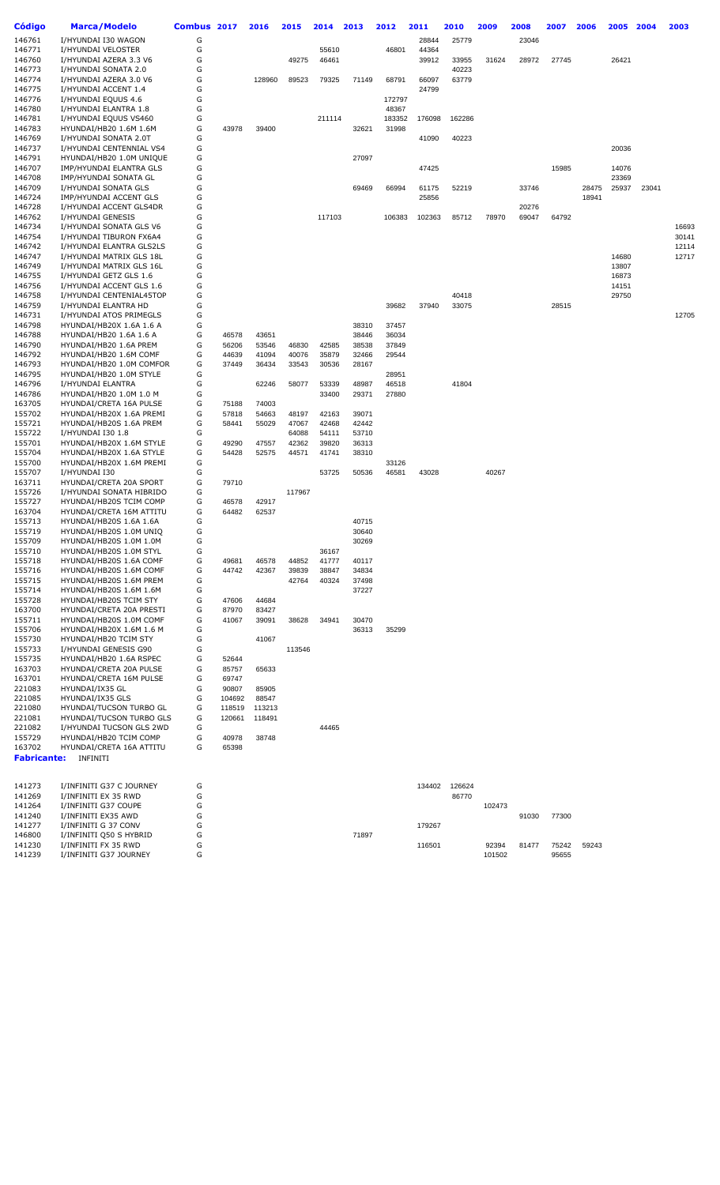| Código                       | <b>Marca/Modelo</b>                                 | Combus 2017 |                | 2016   | 2015   | 2014           | 2013           | 2012            | 2011   | 2010   | 2009   | 2008  | 2007  | 2006  | 2005  | 2004  | 2003  |
|------------------------------|-----------------------------------------------------|-------------|----------------|--------|--------|----------------|----------------|-----------------|--------|--------|--------|-------|-------|-------|-------|-------|-------|
| 146761                       | I/HYUNDAI I30 WAGON                                 | G           |                |        |        |                |                |                 | 28844  | 25779  |        | 23046 |       |       |       |       |       |
| 146771                       | I/HYUNDAI VELOSTER                                  | G           |                |        |        | 55610          |                | 46801           | 44364  |        |        |       |       |       |       |       |       |
| 146760                       | I/HYUNDAI AZERA 3.3 V6                              | G           |                |        | 49275  | 46461          |                |                 | 39912  | 33955  | 31624  | 28972 | 27745 |       | 26421 |       |       |
| 146773                       | I/HYUNDAI SONATA 2.0                                | G           |                |        |        |                |                |                 |        | 40223  |        |       |       |       |       |       |       |
| 146774                       | I/HYUNDAI AZERA 3.0 V6                              | G           |                | 128960 | 89523  | 79325          | 71149          | 68791           | 66097  | 63779  |        |       |       |       |       |       |       |
| 146775                       | I/HYUNDAI ACCENT 1.4                                | G           |                |        |        |                |                |                 | 24799  |        |        |       |       |       |       |       |       |
| 146776<br>146780             | I/HYUNDAI EQUUS 4.6<br>I/HYUNDAI ELANTRA 1.8        | G<br>G      |                |        |        |                |                | 172797<br>48367 |        |        |        |       |       |       |       |       |       |
| 146781                       | I/HYUNDAI EQUUS VS460                               | G           |                |        |        | 211114         |                | 183352          | 176098 | 162286 |        |       |       |       |       |       |       |
| 146783                       | HYUNDAI/HB20 1.6M 1.6M                              | G           | 43978          | 39400  |        |                | 32621          | 31998           |        |        |        |       |       |       |       |       |       |
| 146769                       | I/HYUNDAI SONATA 2.0T                               | G           |                |        |        |                |                |                 | 41090  | 40223  |        |       |       |       |       |       |       |
| 146737                       | I/HYUNDAI CENTENNIAL VS4                            | G           |                |        |        |                |                |                 |        |        |        |       |       |       | 20036 |       |       |
| 146791                       | HYUNDAI/HB20 1.0M UNIQUE                            | G           |                |        |        |                | 27097          |                 |        |        |        |       |       |       |       |       |       |
| 146707                       | IMP/HYUNDAI ELANTRA GLS                             | G           |                |        |        |                |                |                 | 47425  |        |        |       | 15985 |       | 14076 |       |       |
| 146708                       | IMP/HYUNDAI SONATA GL                               | G           |                |        |        |                |                |                 |        |        |        |       |       |       | 23369 |       |       |
| 146709                       | I/HYUNDAI SONATA GLS                                | G           |                |        |        |                | 69469          | 66994           | 61175  | 52219  |        | 33746 |       | 28475 | 25937 | 23041 |       |
| 146724                       | IMP/HYUNDAI ACCENT GLS                              | G           |                |        |        |                |                |                 | 25856  |        |        |       |       | 18941 |       |       |       |
| 146728                       | I/HYUNDAI ACCENT GLS4DR                             | G           |                |        |        |                |                |                 |        |        |        | 20276 |       |       |       |       |       |
| 146762<br>146734             | I/HYUNDAI GENESIS                                   | G<br>G      |                |        |        | 117103         |                | 106383          | 102363 | 85712  | 78970  | 69047 | 64792 |       |       |       | 16693 |
| 146754                       | I/HYUNDAI SONATA GLS V6<br>I/HYUNDAI TIBURON FX6A4  | G           |                |        |        |                |                |                 |        |        |        |       |       |       |       |       | 30141 |
| 146742                       | I/HYUNDAI ELANTRA GLS2LS                            | G           |                |        |        |                |                |                 |        |        |        |       |       |       |       |       | 12114 |
| 146747                       | I/HYUNDAI MATRIX GLS 18L                            | G           |                |        |        |                |                |                 |        |        |        |       |       |       | 14680 |       | 12717 |
| 146749                       | I/HYUNDAI MATRIX GLS 16L                            | G           |                |        |        |                |                |                 |        |        |        |       |       |       | 13807 |       |       |
| 146755                       | I/HYUNDAI GETZ GLS 1.6                              | G           |                |        |        |                |                |                 |        |        |        |       |       |       | 16873 |       |       |
| 146756                       | I/HYUNDAI ACCENT GLS 1.6                            | G           |                |        |        |                |                |                 |        |        |        |       |       |       | 14151 |       |       |
| 146758                       | I/HYUNDAI CENTENIAL45TOP                            | G           |                |        |        |                |                |                 |        | 40418  |        |       |       |       | 29750 |       |       |
| 146759                       | I/HYUNDAI ELANTRA HD                                | G           |                |        |        |                |                | 39682           | 37940  | 33075  |        |       | 28515 |       |       |       |       |
| 146731                       | I/HYUNDAI ATOS PRIMEGLS                             | G           |                |        |        |                |                |                 |        |        |        |       |       |       |       |       | 12705 |
| 146798                       | <b>HYUNDAI/HB20X 1.6A 1.6 A</b>                     | G           |                |        |        |                | 38310          | 37457           |        |        |        |       |       |       |       |       |       |
| 146788                       | HYUNDAI/HB20 1.6A 1.6 A                             | G           | 46578          | 43651  |        |                | 38446          | 36034           |        |        |        |       |       |       |       |       |       |
| 146790                       | HYUNDAI/HB20 1.6A PREM                              | G           | 56206          | 53546  | 46830  | 42585          | 38538          | 37849           |        |        |        |       |       |       |       |       |       |
| 146792                       | HYUNDAI/HB20 1.6M COMF                              | G           | 44639          | 41094  | 40076  | 35879          | 32466          | 29544           |        |        |        |       |       |       |       |       |       |
| 146793                       | HYUNDAI/HB20 1.0M COMFOR                            | G           | 37449          | 36434  | 33543  | 30536          | 28167          |                 |        |        |        |       |       |       |       |       |       |
| 146795                       | HYUNDAI/HB20 1.0M STYLE                             | G           |                |        |        |                |                | 28951           |        |        |        |       |       |       |       |       |       |
| 146796                       | I/HYUNDAI ELANTRA                                   | G           |                | 62246  | 58077  | 53339          | 48987          | 46518           |        | 41804  |        |       |       |       |       |       |       |
| 146786<br>163705             | <b>HYUNDAI/HB20 1.0M 1.0 M</b>                      | G           |                | 74003  |        | 33400          | 29371          | 27880           |        |        |        |       |       |       |       |       |       |
| 155702                       | HYUNDAI/CRETA 16A PULSE<br>HYUNDAI/HB20X 1.6A PREMI | G<br>G      | 75188<br>57818 | 54663  | 48197  | 42163          | 39071          |                 |        |        |        |       |       |       |       |       |       |
| 155721                       | HYUNDAI/HB20S 1.6A PREM                             | G           | 58441          | 55029  | 47067  | 42468          | 42442          |                 |        |        |        |       |       |       |       |       |       |
| 155722                       | I/HYUNDAI I30 1.8                                   | G           |                |        | 64088  | 54111          | 53710          |                 |        |        |        |       |       |       |       |       |       |
| 155701                       | HYUNDAI/HB20X 1.6M STYLE                            | G           | 49290          | 47557  | 42362  | 39820          | 36313          |                 |        |        |        |       |       |       |       |       |       |
| 155704                       | HYUNDAI/HB20X 1.6A STYLE                            | G           | 54428          | 52575  | 44571  | 41741          | 38310          |                 |        |        |        |       |       |       |       |       |       |
| 155700                       | HYUNDAI/HB20X 1.6M PREMI                            | G           |                |        |        |                |                | 33126           |        |        |        |       |       |       |       |       |       |
| 155707                       | I/HYUNDAI I30                                       | G           |                |        |        | 53725          | 50536          | 46581           | 43028  |        | 40267  |       |       |       |       |       |       |
| 163711                       | HYUNDAI/CRETA 20A SPORT                             | G           | 79710          |        |        |                |                |                 |        |        |        |       |       |       |       |       |       |
| 155726                       | I/HYUNDAI SONATA HIBRIDO                            | G           |                |        | 117967 |                |                |                 |        |        |        |       |       |       |       |       |       |
| 155727                       | HYUNDAI/HB20S TCIM COMP                             | G           | 46578          | 42917  |        |                |                |                 |        |        |        |       |       |       |       |       |       |
| 163704                       | HYUNDAI/CRETA 16M ATTITU                            | G           | 64482          | 62537  |        |                |                |                 |        |        |        |       |       |       |       |       |       |
| 155713                       | HYUNDAI/HB20S 1.6A 1.6A                             | G           |                |        |        |                | 40715          |                 |        |        |        |       |       |       |       |       |       |
| 155719                       | HYUNDAI/HB20S 1.0M UNIQ                             | G           |                |        |        |                | 30640          |                 |        |        |        |       |       |       |       |       |       |
| 155709                       | HYUNDAI/HB20S 1.0M 1.0M                             | G           |                |        |        |                | 30269          |                 |        |        |        |       |       |       |       |       |       |
| 155710                       | HYUNDAI/HB20S 1.0M STYL                             | G           |                |        |        | 36167          |                |                 |        |        |        |       |       |       |       |       |       |
| 155718                       | HYUNDAI/HB20S 1.6A COMF                             | G           | 49681          | 46578  | 44852  | 41777          | 40117          |                 |        |        |        |       |       |       |       |       |       |
| 155716<br>155715             | HYUNDAI/HB20S 1.6M COMF<br>HYUNDAI/HB20S 1.6M PREM  | G<br>G      | 44742          | 42367  | 39839  | 38847<br>40324 | 34834<br>37498 |                 |        |        |        |       |       |       |       |       |       |
| 155714                       | HYUNDAI/HB20S 1.6M 1.6M                             | G           |                |        | 42764  |                | 37227          |                 |        |        |        |       |       |       |       |       |       |
| 155728                       | HYUNDAI/HB20S TCIM STY                              | G           | 47606          | 44684  |        |                |                |                 |        |        |        |       |       |       |       |       |       |
| 163700                       | HYUNDAI/CRETA 20A PRESTI                            | G           | 87970          | 83427  |        |                |                |                 |        |        |        |       |       |       |       |       |       |
| 155711                       | HYUNDAI/HB20S 1.0M COMF                             | G           | 41067          | 39091  | 38628  | 34941          | 30470          |                 |        |        |        |       |       |       |       |       |       |
| 155706                       | HYUNDAI/HB20X 1.6M 1.6 M                            | G           |                |        |        |                | 36313          | 35299           |        |        |        |       |       |       |       |       |       |
| 155730                       | HYUNDAI/HB20 TCIM STY                               | G           |                | 41067  |        |                |                |                 |        |        |        |       |       |       |       |       |       |
| 155733                       | I/HYUNDAI GENESIS G90                               | G           |                |        | 113546 |                |                |                 |        |        |        |       |       |       |       |       |       |
| 155735                       | HYUNDAI/HB20 1.6A RSPEC                             | G           | 52644          |        |        |                |                |                 |        |        |        |       |       |       |       |       |       |
| 163703                       | HYUNDAI/CRETA 20A PULSE                             | G           | 85757          | 65633  |        |                |                |                 |        |        |        |       |       |       |       |       |       |
| 163701                       | HYUNDAI/CRETA 16M PULSE                             | G           | 69747          |        |        |                |                |                 |        |        |        |       |       |       |       |       |       |
| 221083                       | HYUNDAI/IX35 GL                                     | G           | 90807          | 85905  |        |                |                |                 |        |        |        |       |       |       |       |       |       |
| 221085                       | HYUNDAI/IX35 GLS                                    | G           | 104692         | 88547  |        |                |                |                 |        |        |        |       |       |       |       |       |       |
| 221080                       | HYUNDAI/TUCSON TURBO GL                             | G           | 118519         | 113213 |        |                |                |                 |        |        |        |       |       |       |       |       |       |
| 221081                       | HYUNDAI/TUCSON TURBO GLS                            | G           | 120661         | 118491 |        |                |                |                 |        |        |        |       |       |       |       |       |       |
| 221082                       | I/HYUNDAI TUCSON GLS 2WD                            | G           |                |        |        | 44465          |                |                 |        |        |        |       |       |       |       |       |       |
| 155729                       | HYUNDAI/HB20 TCIM COMP                              | G           | 40978          | 38748  |        |                |                |                 |        |        |        |       |       |       |       |       |       |
| 163702<br><b>Fabricante:</b> | HYUNDAI/CRETA 16A ATTITU<br>INFINITI                | G           | 65398          |        |        |                |                |                 |        |        |        |       |       |       |       |       |       |
|                              |                                                     |             |                |        |        |                |                |                 |        |        |        |       |       |       |       |       |       |
| 141273                       | I/INFINITI G37 C JOURNEY                            | G           |                |        |        |                |                |                 | 134402 | 126624 |        |       |       |       |       |       |       |
| 141269                       | I/INFINITI EX 35 RWD                                | G           |                |        |        |                |                |                 |        | 86770  |        |       |       |       |       |       |       |
| 141264                       | I/INFINITI G37 COUPE                                | G           |                |        |        |                |                |                 |        |        | 102473 |       |       |       |       |       |       |
| 141240                       | I/INFINITI EX35 AWD                                 | G           |                |        |        |                |                |                 |        |        |        | 91030 | 77300 |       |       |       |       |
| 141277                       | I/INFINITI G 37 CONV                                | G           |                |        |        |                |                |                 | 179267 |        |        |       |       |       |       |       |       |
| 146800                       | I/INFINITI Q50 S HYBRID                             | G           |                |        |        |                | 71897          |                 |        |        |        |       |       |       |       |       |       |
| 141230                       | I/INFINITI FX 35 RWD                                | G           |                |        |        |                |                |                 | 116501 |        | 92394  | 81477 | 75242 | 59243 |       |       |       |
| 141239                       | I/INFINITI G37 JOURNEY                              | G           |                |        |        |                |                |                 |        |        | 101502 |       | 95655 |       |       |       |       |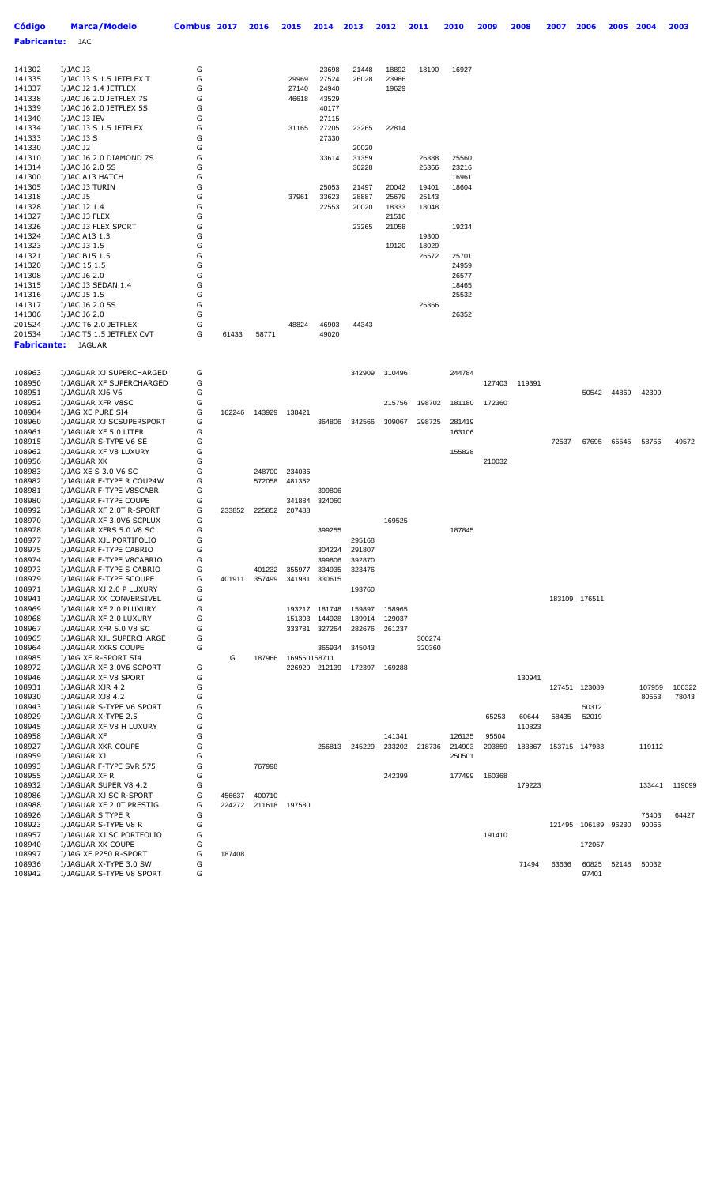| <b>Código</b>      | <b>Marca/Modelo</b>                                  | Combus 2017 |        | 2016   | 2015         | 2014             | 2013             | 2012           | 2011   | 2010           | 2009   | 2008   | 2007   | 2006          | 2005  | 2004   | 2003   |
|--------------------|------------------------------------------------------|-------------|--------|--------|--------------|------------------|------------------|----------------|--------|----------------|--------|--------|--------|---------------|-------|--------|--------|
| <b>Fabricante:</b> | JAC                                                  |             |        |        |              |                  |                  |                |        |                |        |        |        |               |       |        |        |
|                    |                                                      |             |        |        |              |                  |                  |                |        |                |        |        |        |               |       |        |        |
| 141302             | $I/JAC$ J3                                           | G           |        |        |              | 23698            | 21448            | 18892          | 18190  | 16927          |        |        |        |               |       |        |        |
| 141335             | I/JAC J3 S 1.5 JETFLEX T                             | G           |        |        | 29969        | 27524            | 26028            | 23986          |        |                |        |        |        |               |       |        |        |
| 141337             | I/JAC J2 1.4 JETFLEX                                 | G           |        |        | 27140        | 24940            |                  | 19629          |        |                |        |        |        |               |       |        |        |
| 141338             | I/JAC J6 2.0 JETFLEX 7S                              | G           |        |        | 46618        | 43529            |                  |                |        |                |        |        |        |               |       |        |        |
| 141339             | I/JAC J6 2.0 JETFLEX 5S                              | G           |        |        |              | 40177            |                  |                |        |                |        |        |        |               |       |        |        |
| 141340             | I/JAC J3 IEV                                         | G           |        |        |              | 27115            |                  |                |        |                |        |        |        |               |       |        |        |
| 141334<br>141333   | I/JAC J3 S 1.5 JETFLEX<br>I/JAC J3 S                 | G<br>G      |        |        | 31165        | 27205<br>27330   | 23265            | 22814          |        |                |        |        |        |               |       |        |        |
| 141330             | $I/JAC$ J2                                           | G           |        |        |              |                  | 20020            |                |        |                |        |        |        |               |       |        |        |
| 141310             | I/JAC J6 2.0 DIAMOND 7S                              | G           |        |        |              | 33614            | 31359            |                | 26388  | 25560          |        |        |        |               |       |        |        |
| 141314             | I/JAC J6 2.0 5S                                      | G           |        |        |              |                  | 30228            |                | 25366  | 23216          |        |        |        |               |       |        |        |
| 141300             | I/JAC A13 HATCH                                      | G           |        |        |              |                  |                  |                |        | 16961          |        |        |        |               |       |        |        |
| 141305             | I/JAC J3 TURIN                                       | G           |        |        |              | 25053            | 21497            | 20042          | 19401  | 18604          |        |        |        |               |       |        |        |
| 141318             | <b>I/JAC J5</b>                                      | G<br>G      |        |        | 37961        | 33623            | 28887            | 25679          | 25143  |                |        |        |        |               |       |        |        |
| 141328<br>141327   | I/JAC J2 1.4<br>I/JAC J3 FLEX                        | G           |        |        |              | 22553            | 20020            | 18333<br>21516 | 18048  |                |        |        |        |               |       |        |        |
| 141326             | I/JAC J3 FLEX SPORT                                  | G           |        |        |              |                  | 23265            | 21058          |        | 19234          |        |        |        |               |       |        |        |
| 141324             | I/JAC A13 1.3                                        | G           |        |        |              |                  |                  |                | 19300  |                |        |        |        |               |       |        |        |
| 141323             | I/JAC J3 1.5                                         | G           |        |        |              |                  |                  | 19120          | 18029  |                |        |        |        |               |       |        |        |
| 141321             | I/JAC B15 1.5                                        | G           |        |        |              |                  |                  |                | 26572  | 25701          |        |        |        |               |       |        |        |
| 141320             | I/JAC 15 1.5                                         | G           |        |        |              |                  |                  |                |        | 24959          |        |        |        |               |       |        |        |
| 141308<br>141315   | I/JAC J6 2.0<br>I/JAC J3 SEDAN 1.4                   | G<br>G      |        |        |              |                  |                  |                |        | 26577<br>18465 |        |        |        |               |       |        |        |
| 141316             | I/JAC J5 1.5                                         | G           |        |        |              |                  |                  |                |        | 25532          |        |        |        |               |       |        |        |
| 141317             | I/JAC J6 2.0 5S                                      | G           |        |        |              |                  |                  |                | 25366  |                |        |        |        |               |       |        |        |
| 141306             | I/JAC J6 2.0                                         | G           |        |        |              |                  |                  |                |        | 26352          |        |        |        |               |       |        |        |
| 201524             | I/JAC T6 2.0 JETFLEX                                 | G           |        |        | 48824        | 46903            | 44343            |                |        |                |        |        |        |               |       |        |        |
| 201534             | I/JAC T5 1.5 JETFLEX CVT                             | G           | 61433  | 58771  |              | 49020            |                  |                |        |                |        |        |        |               |       |        |        |
| <b>Fabricante:</b> | <b>JAGUAR</b>                                        |             |        |        |              |                  |                  |                |        |                |        |        |        |               |       |        |        |
|                    |                                                      |             |        |        |              |                  |                  |                |        |                |        |        |        |               |       |        |        |
| 108963             | I/JAGUAR XJ SUPERCHARGED                             | G           |        |        |              |                  | 342909           | 310496         |        | 244784         |        |        |        |               |       |        |        |
| 108950             | I/JAGUAR XF SUPERCHARGED                             | G           |        |        |              |                  |                  |                |        |                | 127403 | 119391 |        |               |       |        |        |
| 108951             | I/JAGUAR XJ6 V6                                      | G           |        |        |              |                  |                  |                |        |                |        |        |        | 50542         | 44869 | 42309  |        |
| 108952             | I/JAGUAR XFR V8SC                                    | G           |        |        |              |                  |                  | 215756         | 198702 | 181180         | 172360 |        |        |               |       |        |        |
| 108984<br>108960   | I/JAG XE PURE SI4<br>I/JAGUAR XJ SCSUPERSPORT        | G<br>G      | 162246 | 143929 | 138421       | 364806           | 342566           | 309067         | 298725 | 281419         |        |        |        |               |       |        |        |
| 108961             | I/JAGUAR XF 5.0 LITER                                | G           |        |        |              |                  |                  |                |        | 163106         |        |        |        |               |       |        |        |
| 108915             | I/JAGUAR S-TYPE V6 SE                                | G           |        |        |              |                  |                  |                |        |                |        |        | 72537  | 67695         | 65545 | 58756  | 49572  |
| 108962             | I/JAGUAR XF V8 LUXURY                                | G           |        |        |              |                  |                  |                |        | 155828         |        |        |        |               |       |        |        |
| 108956             | I/JAGUAR XK                                          | G           |        |        |              |                  |                  |                |        |                | 210032 |        |        |               |       |        |        |
| 108983             | I/JAG XE S 3.0 V6 SC                                 | G           |        | 248700 | 234036       |                  |                  |                |        |                |        |        |        |               |       |        |        |
| 108982             | I/JAGUAR F-TYPE R COUP4W<br>I/JAGUAR F-TYPE V8SCABR  | G<br>G      |        | 572058 | 481352       |                  |                  |                |        |                |        |        |        |               |       |        |        |
| 108981<br>108980   | I/JAGUAR F-TYPE COUPE                                | G           |        |        | 341884       | 399806<br>324060 |                  |                |        |                |        |        |        |               |       |        |        |
| 108992             | I/JAGUAR XF 2.0T R-SPORT                             | G           | 233852 | 225852 | 207488       |                  |                  |                |        |                |        |        |        |               |       |        |        |
| 108970             | I/JAGUAR XF 3.0V6 SCPLUX                             | G           |        |        |              |                  |                  | 169525         |        |                |        |        |        |               |       |        |        |
| 108978             | I/JAGUAR XFRS 5.0 V8 SC                              | G           |        |        |              | 399255           |                  |                |        | 187845         |        |        |        |               |       |        |        |
| 108977             | I/JAGUAR XJL PORTIFOLIO                              | G           |        |        |              |                  | 295168           |                |        |                |        |        |        |               |       |        |        |
| 108975<br>108974   | I/JAGUAR F-TYPE CABRIO                               | G<br>G      |        |        |              | 304224<br>399806 | 291807           |                |        |                |        |        |        |               |       |        |        |
| 108973             | I/JAGUAR F-TYPE V8CABRIO<br>I/JAGUAR F-TYPE S CABRIO | G           |        | 401232 | 355977       | 334935           | 392870<br>323476 |                |        |                |        |        |        |               |       |        |        |
| 108979             | I/JAGUAR F-TYPE SCOUPE                               | G           | 401911 | 357499 | 341981       | 330615           |                  |                |        |                |        |        |        |               |       |        |        |
| 108971             | I/JAGUAR XJ 2.0 P LUXURY                             | G           |        |        |              |                  | 193760           |                |        |                |        |        |        |               |       |        |        |
| 108941             | I/JAGUAR XK CONVERSIVEL                              | G           |        |        |              |                  |                  |                |        |                |        |        |        | 183109 176511 |       |        |        |
| 108969             | I/JAGUAR XF 2.0 PLUXURY                              | G           |        |        |              | 193217 181748    | 159897           | 158965         |        |                |        |        |        |               |       |        |        |
| 108968             | I/JAGUAR XF 2.0 LUXURY                               | G           |        |        | 151303       | 144928           | 139914           | 129037         |        |                |        |        |        |               |       |        |        |
| 108967<br>108965   | I/JAGUAR XFR 5.0 V8 SC<br>I/JAGUAR XJL SUPERCHARGE   | G<br>G      |        |        | 333781       | 327264           | 282676           | 261237         | 300274 |                |        |        |        |               |       |        |        |
| 108964             | I/JAGUAR XKRS COUPE                                  | G           |        |        |              | 365934           | 345043           |                | 320360 |                |        |        |        |               |       |        |        |
| 108985             | I/JAG XE R-SPORT SI4                                 |             | G      | 187966 | 169550158711 |                  |                  |                |        |                |        |        |        |               |       |        |        |
| 108972             | I/JAGUAR XF 3.0V6 SCPORT                             | G           |        |        |              | 226929 212139    | 172397           | 169288         |        |                |        |        |        |               |       |        |        |
| 108946             | I/JAGUAR XF V8 SPORT                                 | G           |        |        |              |                  |                  |                |        |                |        | 130941 |        |               |       |        |        |
| 108931             | I/JAGUAR XJR 4.2                                     | G           |        |        |              |                  |                  |                |        |                |        |        | 127451 | 123089        |       | 107959 | 100322 |
| 108930<br>108943   | I/JAGUAR XJ8 4.2<br>I/JAGUAR S-TYPE V6 SPORT         | G<br>G      |        |        |              |                  |                  |                |        |                |        |        |        | 50312         |       | 80553  | 78043  |
| 108929             | I/JAGUAR X-TYPE 2.5                                  | G           |        |        |              |                  |                  |                |        |                | 65253  | 60644  | 58435  | 52019         |       |        |        |
| 108945             | I/JAGUAR XF V8 H LUXURY                              | G           |        |        |              |                  |                  |                |        |                |        | 110823 |        |               |       |        |        |
| 108958             | I/JAGUAR XF                                          | G           |        |        |              |                  |                  | 141341         |        | 126135         | 95504  |        |        |               |       |        |        |
| 108927             | I/JAGUAR XKR COUPE                                   | G           |        |        |              | 256813           | 245229           | 233202         | 218736 | 214903         | 203859 | 183867 |        | 153715 147933 |       | 119112 |        |
| 108959             | I/JAGUAR XJ                                          | G           |        |        |              |                  |                  |                |        | 250501         |        |        |        |               |       |        |        |
| 108993<br>108955   | I/JAGUAR F-TYPE SVR 575<br>I/JAGUAR XF R             | G<br>G      |        | 767998 |              |                  |                  | 242399         |        | 177499         | 160368 |        |        |               |       |        |        |
| 108932             | I/JAGUAR SUPER V8 4.2                                | G           |        |        |              |                  |                  |                |        |                |        | 179223 |        |               |       | 133441 | 119099 |
| 108986             | I/JAGUAR XJ SC R-SPORT                               | G           | 456637 | 400710 |              |                  |                  |                |        |                |        |        |        |               |       |        |        |
| 108988             | I/JAGUAR XF 2.0T PRESTIG                             | G           | 224272 | 211618 | 197580       |                  |                  |                |        |                |        |        |        |               |       |        |        |
| 108926             | I/JAGUAR S TYPE R                                    | G           |        |        |              |                  |                  |                |        |                |        |        |        |               |       | 76403  | 64427  |
| 108923             | I/JAGUAR S-TYPE V8 R                                 | G           |        |        |              |                  |                  |                |        |                |        |        |        | 121495 106189 | 96230 | 90066  |        |
| 108957<br>108940   | I/JAGUAR XJ SC PORTFOLIO                             | G<br>G      |        |        |              |                  |                  |                |        |                | 191410 |        |        |               |       |        |        |
| 108997             | I/JAGUAR XK COUPE<br>I/JAG XE P250 R-SPORT           | G           | 187408 |        |              |                  |                  |                |        |                |        |        |        | 172057        |       |        |        |
| 108936             | I/JAGUAR X-TYPE 3.0 SW                               | G           |        |        |              |                  |                  |                |        |                |        | 71494  | 63636  | 60825         | 52148 | 50032  |        |
| 108942             | I/JAGUAR S-TYPE V8 SPORT                             | G           |        |        |              |                  |                  |                |        |                |        |        |        | 97401         |       |        |        |
|                    |                                                      |             |        |        |              |                  |                  |                |        |                |        |        |        |               |       |        |        |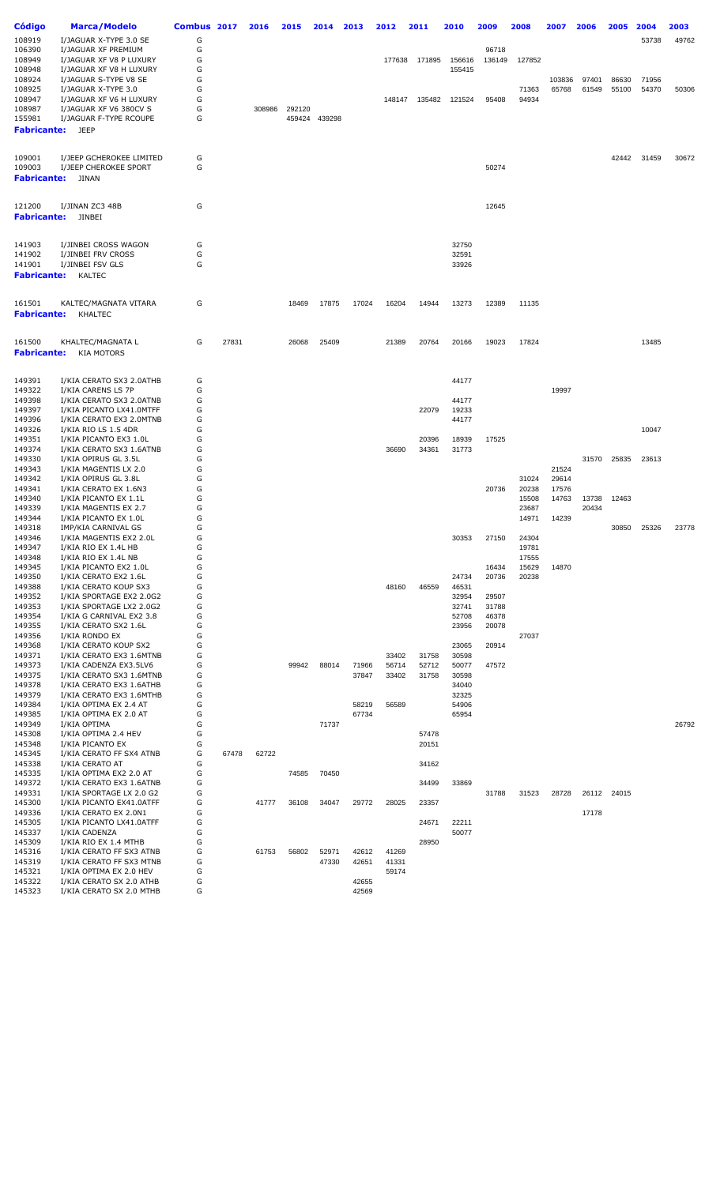| Código<br>108919             | Marca/Modelo<br>I/JAGUAR X-TYPE 3.0 SE                                    | Combus 2017<br>G |       | 2016   | 2015   | 2014           | 2013           | 2012           | 2011           | 2010             | 2009            | 2008           | 2007            | 2006           | 2005           | 2004<br>53738  | 2003<br>49762 |
|------------------------------|---------------------------------------------------------------------------|------------------|-------|--------|--------|----------------|----------------|----------------|----------------|------------------|-----------------|----------------|-----------------|----------------|----------------|----------------|---------------|
| 106390<br>108949<br>108948   | I/JAGUAR XF PREMIUM<br>I/JAGUAR XF V8 P LUXURY<br>I/JAGUAR XF V8 H LUXURY | G<br>G<br>G      |       |        |        |                |                | 177638         | 171895         | 156616<br>155415 | 96718<br>136149 | 127852         |                 |                |                |                |               |
| 108924<br>108925<br>108947   | I/JAGUAR S-TYPE V8 SE<br>I/JAGUAR X-TYPE 3.0<br>I/JAGUAR XF V6 H LUXURY   | G<br>G<br>G      |       |        |        |                |                | 148147         | 135482         | 121524           | 95408           | 71363<br>94934 | 103836<br>65768 | 97401<br>61549 | 86630<br>55100 | 71956<br>54370 | 50306         |
| 108987                       | I/JAGUAR XF V6 380CV S                                                    | G                |       | 308986 | 292120 |                |                |                |                |                  |                 |                |                 |                |                |                |               |
| 155981<br><b>Fabricante:</b> | I/JAGUAR F-TYPE RCOUPE<br>JEEP                                            | G                |       |        | 459424 | 439298         |                |                |                |                  |                 |                |                 |                |                |                |               |
| 109001                       | I/JEEP GCHEROKEE LIMITED                                                  | G                |       |        |        |                |                |                |                |                  |                 |                |                 |                | 42442          | 31459          | 30672         |
| 109003<br><b>Fabricante:</b> | I/JEEP CHEROKEE SPORT<br>JINAN                                            | G                |       |        |        |                |                |                |                |                  | 50274           |                |                 |                |                |                |               |
| 121200<br><b>Fabricante:</b> | I/JINAN ZC3 48B<br>JINBEI                                                 | G                |       |        |        |                |                |                |                |                  | 12645           |                |                 |                |                |                |               |
|                              |                                                                           |                  |       |        |        |                |                |                |                |                  |                 |                |                 |                |                |                |               |
| 141903<br>141902             | I/JINBEI CROSS WAGON<br>I/JINBEI FRV CROSS                                | G<br>G           |       |        |        |                |                |                |                | 32750<br>32591   |                 |                |                 |                |                |                |               |
| 141901<br><b>Fabricante:</b> | I/JINBEI FSV GLS<br><b>KALTEC</b>                                         | G                |       |        |        |                |                |                |                | 33926            |                 |                |                 |                |                |                |               |
| 161501                       | KALTEC/MAGNATA VITARA                                                     | G                |       |        | 18469  | 17875          | 17024          | 16204          | 14944          | 13273            | 12389           | 11135          |                 |                |                |                |               |
| <b>Fabricante:</b>           | KHALTEC                                                                   |                  |       |        |        |                |                |                |                |                  |                 |                |                 |                |                |                |               |
| 161500<br><b>Fabricante:</b> | KHALTEC/MAGNATA L<br><b>KIA MOTORS</b>                                    | G                | 27831 |        | 26068  | 25409          |                | 21389          | 20764          | 20166            | 19023           | 17824          |                 |                |                | 13485          |               |
| 149391<br>149322             | I/KIA CERATO SX3 2.0ATHB<br>I/KIA CARENS LS 7P                            | G<br>G           |       |        |        |                |                |                |                | 44177            |                 |                | 19997           |                |                |                |               |
| 149398                       | I/KIA CERATO SX3 2.0ATNB                                                  | G                |       |        |        |                |                |                |                | 44177            |                 |                |                 |                |                |                |               |
| 149397                       | I/KIA PICANTO LX41.0MTFF                                                  | G                |       |        |        |                |                |                | 22079          | 19233            |                 |                |                 |                |                |                |               |
| 149396<br>149326             | I/KIA CERATO EX3 2.0MTNB<br>I/KIA RIO LS 1.5 4DR                          | G<br>G           |       |        |        |                |                |                |                | 44177            |                 |                |                 |                |                | 10047          |               |
| 149351                       | I/KIA PICANTO EX3 1.0L                                                    | G                |       |        |        |                |                |                | 20396          | 18939            | 17525           |                |                 |                |                |                |               |
| 149374<br>149330             | I/KIA CERATO SX3 1.6ATNB<br>I/KIA OPIRUS GL 3.5L                          | G<br>G           |       |        |        |                |                | 36690          | 34361          | 31773            |                 |                |                 | 31570          | 25835          | 23613          |               |
| 149343                       | I/KIA MAGENTIS LX 2.0                                                     | G                |       |        |        |                |                |                |                |                  |                 |                | 21524           |                |                |                |               |
| 149342                       | I/KIA OPIRUS GL 3.8L                                                      | G                |       |        |        |                |                |                |                |                  |                 | 31024          | 29614           |                |                |                |               |
| 149341<br>149340             | I/KIA CERATO EX 1.6N3<br>I/KIA PICANTO EX 1.1L                            | G<br>G           |       |        |        |                |                |                |                |                  | 20736           | 20238<br>15508 | 17576<br>14763  | 13738          | 12463          |                |               |
| 149339                       | I/KIA MAGENTIS EX 2.7                                                     | G                |       |        |        |                |                |                |                |                  |                 | 23687          |                 | 20434          |                |                |               |
| 149344<br>149318             | I/KIA PICANTO EX 1.0L                                                     | G<br>G           |       |        |        |                |                |                |                |                  |                 | 14971          | 14239           |                |                |                | 23778         |
| 149346                       | IMP/KIA CARNIVAL GS<br>I/KIA MAGENTIS EX2 2.0L                            | G                |       |        |        |                |                |                |                | 30353            | 27150           | 24304          |                 |                | 30850          | 25326          |               |
| 149347                       | I/KIA RIO EX 1.4L HB                                                      | G                |       |        |        |                |                |                |                |                  |                 | 19781          |                 |                |                |                |               |
| 149348<br>149345             | I/KIA RIO EX 1.4L NB<br>I/KIA PICANTO EX2 1.0L                            | G<br>G           |       |        |        |                |                |                |                |                  | 16434           | 17555<br>15629 | 14870           |                |                |                |               |
| 149350                       | I/KIA CERATO EX2 1.6L                                                     | G                |       |        |        |                |                |                |                | 24734            | 20736           | 20238          |                 |                |                |                |               |
| 149388                       | I/KIA CERATO KOUP SX3                                                     | G                |       |        |        |                |                | 48160          | 46559          | 46531            |                 |                |                 |                |                |                |               |
| 149352<br>149353             | I/KIA SPORTAGE EX2 2.0G2<br>I/KIA SPORTAGE LX2 2.0G2                      | G<br>G           |       |        |        |                |                |                |                | 32954<br>32741   | 29507<br>31788  |                |                 |                |                |                |               |
| 149354                       | I/KIA G CARNIVAL EX2 3.8                                                  | G                |       |        |        |                |                |                |                | 52708            | 46378           |                |                 |                |                |                |               |
| 149355<br>149356             | I/KIA CERATO SX2 1.6L<br>I/KIA RONDO EX                                   | G<br>G           |       |        |        |                |                |                |                | 23956            | 20078           | 27037          |                 |                |                |                |               |
| 149368                       | I/KIA CERATO KOUP SX2                                                     | G                |       |        |        |                |                |                |                | 23065            | 20914           |                |                 |                |                |                |               |
| 149371                       | I/KIA CERATO EX3 1.6MTNB                                                  | G                |       |        |        |                |                | 33402          | 31758          | 30598            |                 |                |                 |                |                |                |               |
| 149373<br>149375             | I/KIA CADENZA EX3.5LV6<br>I/KIA CERATO SX3 1.6MTNB                        | G<br>G           |       |        | 99942  | 88014          | 71966<br>37847 | 56714<br>33402 | 52712<br>31758 | 50077<br>30598   | 47572           |                |                 |                |                |                |               |
| 149378                       | I/KIA CERATO EX3 1.6ATHB                                                  | G                |       |        |        |                |                |                |                | 34040            |                 |                |                 |                |                |                |               |
| 149379                       | I/KIA CERATO EX3 1.6MTHB                                                  | G                |       |        |        |                |                |                |                | 32325            |                 |                |                 |                |                |                |               |
| 149384<br>149385             | I/KIA OPTIMA EX 2.4 AT<br>I/KIA OPTIMA EX 2.0 AT                          | G<br>G           |       |        |        |                | 58219<br>67734 | 56589          |                | 54906<br>65954   |                 |                |                 |                |                |                |               |
| 149349                       | I/KIA OPTIMA                                                              | G                |       |        |        | 71737          |                |                |                |                  |                 |                |                 |                |                |                | 26792         |
| 145308                       | I/KIA OPTIMA 2.4 HEV                                                      | G                |       |        |        |                |                |                | 57478          |                  |                 |                |                 |                |                |                |               |
| 145348<br>145345             | I/KIA PICANTO EX<br>I/KIA CERATO FF SX4 ATNB                              | G<br>G           | 67478 | 62722  |        |                |                |                | 20151          |                  |                 |                |                 |                |                |                |               |
| 145338                       | I/KIA CERATO AT                                                           | G                |       |        |        |                |                |                | 34162          |                  |                 |                |                 |                |                |                |               |
| 145335<br>149372             | I/KIA OPTIMA EX2 2.0 AT<br>I/KIA CERATO EX3 1.6ATNB                       | G<br>G           |       |        | 74585  | 70450          |                |                | 34499          | 33869            |                 |                |                 |                |                |                |               |
| 149331                       | I/KIA SPORTAGE LX 2.0 G2                                                  | G                |       |        |        |                |                |                |                |                  | 31788           | 31523          | 28728           |                | 26112 24015    |                |               |
| 145300                       | I/KIA PICANTO EX41.0ATFF                                                  | G                |       | 41777  | 36108  | 34047          | 29772          | 28025          | 23357          |                  |                 |                |                 |                |                |                |               |
| 149336<br>145305             | I/KIA CERATO EX 2.0N1<br>I/KIA PICANTO LX41.0ATFF                         | G<br>G           |       |        |        |                |                |                | 24671          | 22211            |                 |                |                 | 17178          |                |                |               |
| 145337                       | I/KIA CADENZA                                                             | G                |       |        |        |                |                |                |                | 50077            |                 |                |                 |                |                |                |               |
| 145309                       | I/KIA RIO EX 1.4 MTHB                                                     | G                |       |        |        |                |                |                | 28950          |                  |                 |                |                 |                |                |                |               |
| 145316<br>145319             | I/KIA CERATO FF SX3 ATNB<br>I/KIA CERATO FF SX3 MTNB                      | G<br>G           |       | 61753  | 56802  | 52971<br>47330 | 42612<br>42651 | 41269<br>41331 |                |                  |                 |                |                 |                |                |                |               |
| 145321                       | I/KIA OPTIMA EX 2.0 HEV                                                   | G                |       |        |        |                |                | 59174          |                |                  |                 |                |                 |                |                |                |               |
| 145322<br>145323             | I/KIA CERATO SX 2.0 ATHB<br>I/KIA CERATO SX 2.0 MTHB                      | G<br>G           |       |        |        |                | 42655<br>42569 |                |                |                  |                 |                |                 |                |                |                |               |
|                              |                                                                           |                  |       |        |        |                |                |                |                |                  |                 |                |                 |                |                |                |               |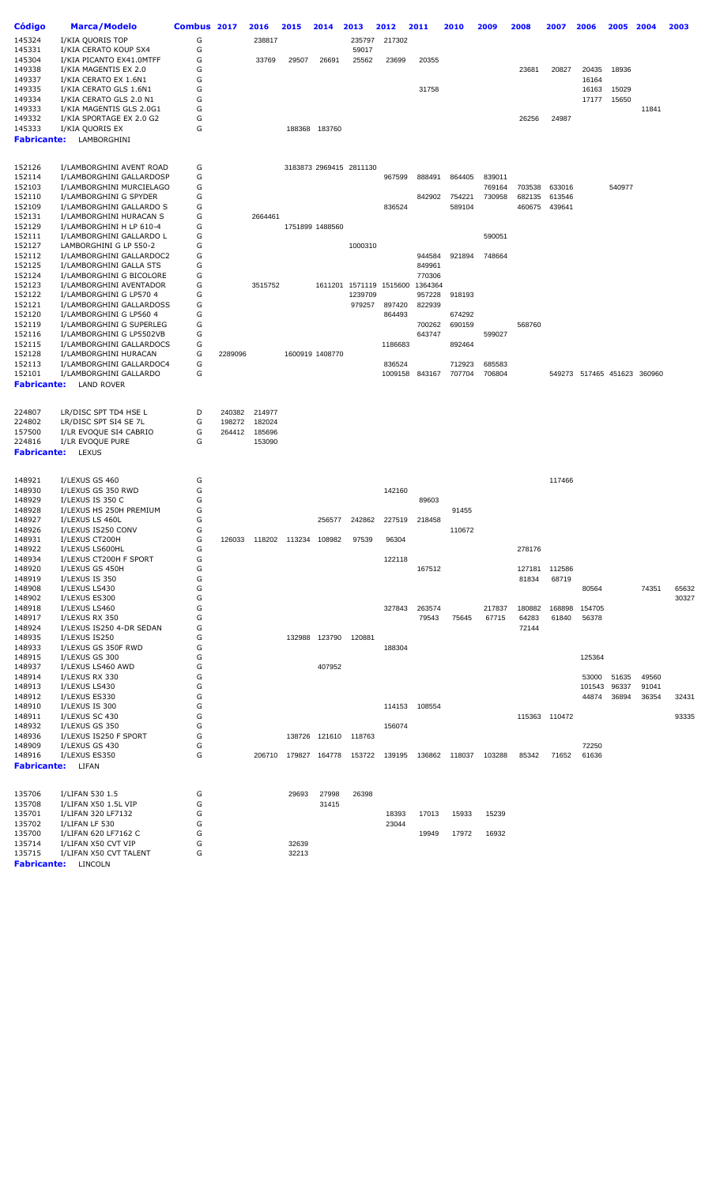| <b>Código</b>      | <b>Marca/Modelo</b>                                  | Combus 2017 |                  | 2016             | 2015                 | 2014            | 2013                    | 2012    | 2011           | 2010   | 2009   | 2008   | 2007          | 2006                        | 2005   | 2004  | 2003  |
|--------------------|------------------------------------------------------|-------------|------------------|------------------|----------------------|-----------------|-------------------------|---------|----------------|--------|--------|--------|---------------|-----------------------------|--------|-------|-------|
| 145324             | I/KIA QUORIS TOP                                     | G           |                  | 238817           |                      |                 | 235797                  | 217302  |                |        |        |        |               |                             |        |       |       |
| 145331             | I/KIA CERATO KOUP SX4                                | G           |                  |                  |                      |                 | 59017                   |         |                |        |        |        |               |                             |        |       |       |
| 145304             | I/KIA PICANTO EX41.0MTFF                             | G           |                  | 33769            | 29507                | 26691           | 25562                   | 23699   | 20355          |        |        |        |               |                             |        |       |       |
| 149338             | I/KIA MAGENTIS EX 2.0                                | G           |                  |                  |                      |                 |                         |         |                |        |        | 23681  | 20827         | 20435                       | 18936  |       |       |
| 149337             | I/KIA CERATO EX 1.6N1                                | G           |                  |                  |                      |                 |                         |         |                |        |        |        |               | 16164                       |        |       |       |
| 149335             | I/KIA CERATO GLS 1.6N1                               | G           |                  |                  |                      |                 |                         |         | 31758          |        |        |        |               | 16163                       | 15029  |       |       |
| 149334             | I/KIA CERATO GLS 2.0 N1                              | G           |                  |                  |                      |                 |                         |         |                |        |        |        |               | 17177                       | 15650  |       |       |
| 149333             | I/KIA MAGENTIS GLS 2.0G1                             | G           |                  |                  |                      |                 |                         |         |                |        |        |        |               |                             |        | 11841 |       |
| 149332             | I/KIA SPORTAGE EX 2.0 G2                             | G           |                  |                  |                      |                 |                         |         |                |        |        | 26256  | 24987         |                             |        |       |       |
| 145333             | I/KIA QUORIS EX                                      | G           |                  |                  |                      | 188368 183760   |                         |         |                |        |        |        |               |                             |        |       |       |
| <b>Fabricante:</b> | LAMBORGHINI                                          |             |                  |                  |                      |                 |                         |         |                |        |        |        |               |                             |        |       |       |
|                    |                                                      |             |                  |                  |                      |                 |                         |         |                |        |        |        |               |                             |        |       |       |
| 152126             | I/LAMBORGHINI AVENT ROAD                             | G           |                  |                  |                      |                 | 3183873 2969415 2811130 |         |                |        |        |        |               |                             |        |       |       |
| 152114             | I/LAMBORGHINI GALLARDOSP                             | G           |                  |                  |                      |                 |                         | 967599  | 888491         | 864405 | 839011 |        |               |                             |        |       |       |
| 152103             | I/LAMBORGHINI MURCIELAGO                             | G           |                  |                  |                      |                 |                         |         |                |        | 769164 | 703538 | 633016        |                             | 540977 |       |       |
| 152110             | I/LAMBORGHINI G SPYDER                               | G           |                  |                  |                      |                 |                         |         | 842902         | 754221 | 730958 | 682135 | 613546        |                             |        |       |       |
| 152109             | I/LAMBORGHINI GALLARDO S                             | G           |                  |                  |                      |                 |                         | 836524  |                | 589104 |        | 460675 | 439641        |                             |        |       |       |
| 152131             | I/LAMBORGHINI HURACAN S                              | G           |                  | 2664461          |                      |                 |                         |         |                |        |        |        |               |                             |        |       |       |
| 152129             | I/LAMBORGHINI H LP 610-4                             | G           |                  |                  |                      | 1751899 1488560 |                         |         |                |        |        |        |               |                             |        |       |       |
| 152111             | I/LAMBORGHINI GALLARDO L                             | G           |                  |                  |                      |                 |                         |         |                |        | 590051 |        |               |                             |        |       |       |
| 152127             | LAMBORGHINI G LP 550-2                               | G           |                  |                  |                      |                 | 1000310                 |         |                |        |        |        |               |                             |        |       |       |
| 152112             | I/LAMBORGHINI GALLARDOC2                             | G           |                  |                  |                      |                 |                         |         | 944584         | 921894 | 748664 |        |               |                             |        |       |       |
| 152125             | I/LAMBORGHINI GALLA STS                              | G           |                  |                  |                      |                 |                         |         | 849961         |        |        |        |               |                             |        |       |       |
| 152124             | I/LAMBORGHINI G BICOLORE                             | G           |                  |                  |                      |                 |                         |         | 770306         |        |        |        |               |                             |        |       |       |
| 152123             | I/LAMBORGHINI AVENTADOR                              | G           |                  | 3515752          |                      | 1611201         | 1571119 1515600         |         | 1364364        |        |        |        |               |                             |        |       |       |
| 152122             | I/LAMBORGHINI G LP570 4                              | G           |                  |                  |                      |                 | 1239709                 |         | 957228         | 918193 |        |        |               |                             |        |       |       |
| 152121             | I/LAMBORGHINI GALLARDOSS                             | G           |                  |                  |                      |                 | 979257                  | 897420  | 822939         |        |        |        |               |                             |        |       |       |
| 152120             | I/LAMBORGHINI G LP560 4                              | G           |                  |                  |                      |                 |                         | 864493  |                | 674292 |        |        |               |                             |        |       |       |
| 152119             | I/LAMBORGHINI G SUPERLEG<br>I/LAMBORGHINI G LP5502VB | G           |                  |                  |                      |                 |                         |         | 700262         | 690159 |        | 568760 |               |                             |        |       |       |
| 152116<br>152115   | I/LAMBORGHINI GALLARDOCS                             | G<br>G      |                  |                  |                      |                 |                         | 1186683 | 643747         | 892464 | 599027 |        |               |                             |        |       |       |
| 152128             | I/LAMBORGHINI HURACAN                                | G           | 2289096          |                  |                      | 1600919 1408770 |                         |         |                |        |        |        |               |                             |        |       |       |
| 152113             | I/LAMBORGHINI GALLARDOC4                             | G           |                  |                  |                      |                 |                         | 836524  |                | 712923 | 685583 |        |               |                             |        |       |       |
| 152101             | I/LAMBORGHINI GALLARDO                               | G           |                  |                  |                      |                 |                         |         | 1009158 843167 | 707704 | 706804 |        |               | 549273 517465 451623 360960 |        |       |       |
| <b>Fabricante:</b> | LAND ROVER                                           |             |                  |                  |                      |                 |                         |         |                |        |        |        |               |                             |        |       |       |
|                    |                                                      |             |                  |                  |                      |                 |                         |         |                |        |        |        |               |                             |        |       |       |
|                    |                                                      |             |                  |                  |                      |                 |                         |         |                |        |        |        |               |                             |        |       |       |
| 224807             | LR/DISC SPT TD4 HSE L                                | D<br>G      | 240382           | 214977           |                      |                 |                         |         |                |        |        |        |               |                             |        |       |       |
| 224802<br>157500   | LR/DISC SPT SI4 SE 7L<br>I/LR EVOQUE SI4 CABRIO      | G           | 198272<br>264412 | 182024<br>185696 |                      |                 |                         |         |                |        |        |        |               |                             |        |       |       |
| 224816             | I/LR EVOQUE PURE                                     | G           |                  | 153090           |                      |                 |                         |         |                |        |        |        |               |                             |        |       |       |
| <b>Fabricante:</b> | <b>LEXUS</b>                                         |             |                  |                  |                      |                 |                         |         |                |        |        |        |               |                             |        |       |       |
|                    |                                                      |             |                  |                  |                      |                 |                         |         |                |        |        |        |               |                             |        |       |       |
|                    |                                                      |             |                  |                  |                      |                 |                         |         |                |        |        |        |               |                             |        |       |       |
| 148921             | I/LEXUS GS 460                                       | G           |                  |                  |                      |                 |                         |         |                |        |        |        | 117466        |                             |        |       |       |
| 148930             | I/LEXUS GS 350 RWD                                   | G           |                  |                  |                      |                 |                         | 142160  |                |        |        |        |               |                             |        |       |       |
| 148929<br>148928   | I/LEXUS IS 350 C                                     | G<br>G      |                  |                  |                      |                 |                         |         | 89603          | 91455  |        |        |               |                             |        |       |       |
| 148927             | I/LEXUS HS 250H PREMIUM<br>I/LEXUS LS 460L           | G           |                  |                  |                      | 256577          | 242862                  | 227519  | 218458         |        |        |        |               |                             |        |       |       |
| 148926             | I/LEXUS IS250 CONV                                   | G           |                  |                  |                      |                 |                         |         |                | 110672 |        |        |               |                             |        |       |       |
| 148931             | I/LEXUS CT200H                                       | G           | 126033           |                  | 118202 113234 108982 |                 | 97539                   | 96304   |                |        |        |        |               |                             |        |       |       |
| 148922             | I/LEXUS LS600HL                                      | G           |                  |                  |                      |                 |                         |         |                |        |        | 278176 |               |                             |        |       |       |
| 148934             | I/LEXUS CT200H F SPORT                               | G           |                  |                  |                      |                 |                         | 122118  |                |        |        |        |               |                             |        |       |       |
| 148920             | I/LEXUS GS 450H                                      | G           |                  |                  |                      |                 |                         |         | 167512         |        |        |        | 127181 112586 |                             |        |       |       |
| 148919             | I/LEXUS IS 350                                       | G           |                  |                  |                      |                 |                         |         |                |        |        | 81834  | 68719         |                             |        |       |       |
| 148908             | I/LEXUS LS430                                        | G           |                  |                  |                      |                 |                         |         |                |        |        |        |               | 80564                       |        | 74351 | 65632 |
| 148902             | I/LEXUS ES300                                        | G           |                  |                  |                      |                 |                         |         |                |        |        |        |               |                             |        |       | 30327 |
| 148918             | I/LEXUS LS460                                        | G           |                  |                  |                      |                 |                         | 327843  | 263574         |        | 217837 | 180882 | 168898        | 154705                      |        |       |       |
| 148917             | I/LEXUS RX 350                                       | G           |                  |                  |                      |                 |                         |         | 79543          | 75645  | 67715  | 64283  | 61840         | 56378                       |        |       |       |
| 148924             | I/LEXUS IS250 4-DR SEDAN                             | G           |                  |                  |                      |                 |                         |         |                |        |        | 72144  |               |                             |        |       |       |
| 148935             | I/LEXUS IS250                                        | G           |                  |                  |                      | 132988 123790   | 120881                  |         |                |        |        |        |               |                             |        |       |       |
| 148933             | I/LEXUS GS 350F RWD                                  | G           |                  |                  |                      |                 |                         | 188304  |                |        |        |        |               |                             |        |       |       |
| 148915             | I/LEXUS GS 300                                       | G           |                  |                  |                      |                 |                         |         |                |        |        |        |               | 125364                      |        |       |       |
| 148937<br>148914   | I/LEXUS LS460 AWD<br>I/LEXUS RX 330                  | G<br>G      |                  |                  |                      | 407952          |                         |         |                |        |        |        |               | 53000                       | 51635  | 49560 |       |
| 148913             | I/LEXUS LS430                                        | G           |                  |                  |                      |                 |                         |         |                |        |        |        |               | 101543                      | 96337  | 91041 |       |
| 148912             | I/LEXUS ES330                                        | G           |                  |                  |                      |                 |                         |         |                |        |        |        |               | 44874                       | 36894  | 36354 | 32431 |
| 148910             | I/LEXUS IS 300                                       | G           |                  |                  |                      |                 |                         | 114153  | 108554         |        |        |        |               |                             |        |       |       |
| 148911             | I/LEXUS SC 430                                       | G           |                  |                  |                      |                 |                         |         |                |        |        |        | 115363 110472 |                             |        |       | 93335 |
| 148932             | I/LEXUS GS 350                                       | G           |                  |                  |                      |                 |                         | 156074  |                |        |        |        |               |                             |        |       |       |
| 148936             | I/LEXUS IS250 F SPORT                                | G           |                  |                  |                      | 138726 121610   | 118763                  |         |                |        |        |        |               |                             |        |       |       |
| 148909             | I/LEXUS GS 430                                       | G           |                  |                  |                      |                 |                         |         |                |        |        |        |               | 72250                       |        |       |       |
| 148916             | I/LEXUS ES350                                        | G           |                  | 206710           |                      | 179827 164778   | 153722                  | 139195  | 136862         | 118037 | 103288 | 85342  | 71652         | 61636                       |        |       |       |
|                    | <b>Fabricante:</b> LIFAN                             |             |                  |                  |                      |                 |                         |         |                |        |        |        |               |                             |        |       |       |
|                    |                                                      |             |                  |                  |                      |                 |                         |         |                |        |        |        |               |                             |        |       |       |
| 135706             | I/LIFAN 530 1.5                                      | G           |                  |                  | 29693                | 27998           | 26398                   |         |                |        |        |        |               |                             |        |       |       |
| 135708             | I/LIFAN X50 1.5L VIP                                 | G           |                  |                  |                      | 31415           |                         |         |                |        |        |        |               |                             |        |       |       |
| 135701             | I/LIFAN 320 LF7132                                   | G           |                  |                  |                      |                 |                         | 18393   | 17013          | 15933  | 15239  |        |               |                             |        |       |       |
| 135702             | I/LIFAN LF 530                                       | G           |                  |                  |                      |                 |                         | 23044   |                |        |        |        |               |                             |        |       |       |
| 135700             | I/LIFAN 620 LF7162 C                                 | G           |                  |                  |                      |                 |                         |         | 19949          | 17972  | 16932  |        |               |                             |        |       |       |
| 135714             | I/LIFAN X50 CVT VIP                                  | G           |                  |                  | 32639                |                 |                         |         |                |        |        |        |               |                             |        |       |       |
| 135715             | I/LIFAN X50 CVT TALENT                               | G           |                  |                  | 32213                |                 |                         |         |                |        |        |        |               |                             |        |       |       |
|                    | <b>Fabricante: LINCOLN</b>                           |             |                  |                  |                      |                 |                         |         |                |        |        |        |               |                             |        |       |       |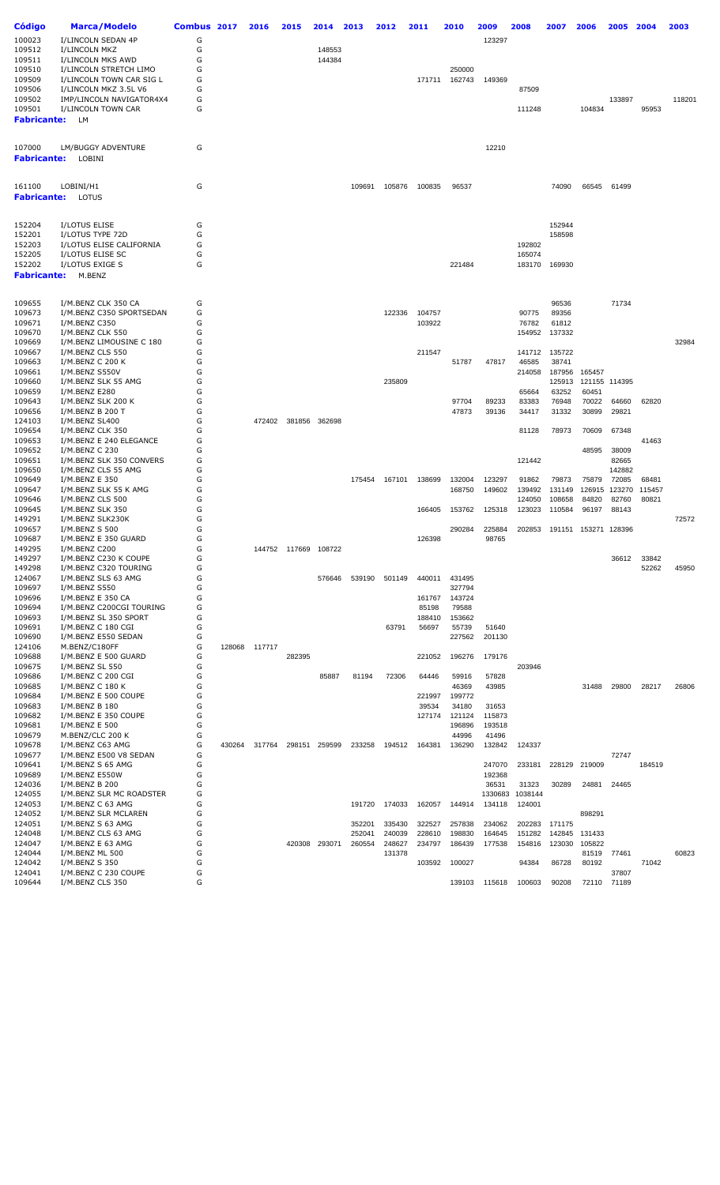| Código                | <b>Marca/Modelo</b>                             | Combus 2017 |        | 2016          | 2015                 | 2014          | 2013   | 2012   | 2011   | 2010             | 2009              | 2008             | 2007             | 2006                 | 2005           | 2004   | 2003   |
|-----------------------|-------------------------------------------------|-------------|--------|---------------|----------------------|---------------|--------|--------|--------|------------------|-------------------|------------------|------------------|----------------------|----------------|--------|--------|
| 100023                | I/LINCOLN SEDAN 4P                              | G           |        |               |                      |               |        |        |        |                  | 123297            |                  |                  |                      |                |        |        |
| 109512                | I/LINCOLN MKZ                                   | G           |        |               |                      | 148553        |        |        |        |                  |                   |                  |                  |                      |                |        |        |
| 109511                | I/LINCOLN MKS AWD                               | G           |        |               |                      | 144384        |        |        |        |                  |                   |                  |                  |                      |                |        |        |
| 109510                | I/LINCOLN STRETCH LIMO                          | G           |        |               |                      |               |        |        |        | 250000           |                   |                  |                  |                      |                |        |        |
| 109509                | I/LINCOLN TOWN CAR SIG L                        | G           |        |               |                      |               |        |        | 171711 | 162743           | 149369            |                  |                  |                      |                |        |        |
| 109506                | I/LINCOLN MKZ 3.5L V6                           | G           |        |               |                      |               |        |        |        |                  |                   | 87509            |                  |                      |                |        |        |
| 109502                | IMP/LINCOLN NAVIGATOR4X4                        | G           |        |               |                      |               |        |        |        |                  |                   |                  |                  |                      | 133897         |        | 118201 |
| 109501<br>Fabricante: | I/LINCOLN TOWN CAR<br>LM                        | G           |        |               |                      |               |        |        |        |                  |                   | 111248           |                  | 104834               |                | 95953  |        |
|                       |                                                 |             |        |               |                      |               |        |        |        |                  |                   |                  |                  |                      |                |        |        |
| 107000<br>Fabricante: | LM/BUGGY ADVENTURE<br>LOBINI                    | G           |        |               |                      |               |        |        |        |                  | 12210             |                  |                  |                      |                |        |        |
|                       |                                                 |             |        |               |                      |               |        |        |        |                  |                   |                  |                  |                      |                |        |        |
| 161100                | LOBINI/H1                                       | G           |        |               |                      |               | 109691 | 105876 | 100835 | 96537            |                   |                  | 74090            | 66545                | 61499          |        |        |
| Fabricante:           | LOTUS                                           |             |        |               |                      |               |        |        |        |                  |                   |                  |                  |                      |                |        |        |
| 152204                | I/LOTUS ELISE                                   | G           |        |               |                      |               |        |        |        |                  |                   |                  | 152944           |                      |                |        |        |
| 152201                | I/LOTUS TYPE 72D                                | G           |        |               |                      |               |        |        |        |                  |                   |                  | 158598           |                      |                |        |        |
| 152203                | I/LOTUS ELISE CALIFORNIA                        | G           |        |               |                      |               |        |        |        |                  |                   | 192802           |                  |                      |                |        |        |
| 152205<br>152202      | I/LOTUS ELISE SC<br>I/LOTUS EXIGE S             | G<br>G      |        |               |                      |               |        |        |        | 221484           |                   | 165074<br>183170 | 169930           |                      |                |        |        |
| Fabricante:           | M.BENZ                                          |             |        |               |                      |               |        |        |        |                  |                   |                  |                  |                      |                |        |        |
|                       |                                                 |             |        |               |                      |               |        |        |        |                  |                   |                  |                  |                      |                |        |        |
| 109655<br>109673      | I/M.BENZ CLK 350 CA<br>I/M.BENZ C350 SPORTSEDAN | G<br>G      |        |               |                      |               |        | 122336 | 104757 |                  |                   | 90775            | 96536<br>89356   |                      | 71734          |        |        |
| 109671                | I/M.BENZ C350                                   | G           |        |               |                      |               |        |        | 103922 |                  |                   | 76782            | 61812            |                      |                |        |        |
| 109670                | I/M.BENZ CLK 550                                | G           |        |               |                      |               |        |        |        |                  |                   | 154952           | 137332           |                      |                |        |        |
| 109669                | I/M.BENZ LIMOUSINE C 180                        | G           |        |               |                      |               |        |        |        |                  |                   |                  |                  |                      |                |        | 32984  |
| 109667                | I/M.BENZ CLS 550                                | G           |        |               |                      |               |        |        | 211547 |                  |                   | 141712           | 135722           |                      |                |        |        |
| 109663                | I/M.BENZ C 200 K                                | G           |        |               |                      |               |        |        |        | 51787            | 47817             | 46585            | 38741            |                      |                |        |        |
| 109661<br>109660      | I/M.BENZ S550V<br>I/M.BENZ SLK 55 AMG           | G<br>G      |        |               |                      |               |        | 235809 |        |                  |                   | 214058           | 187956<br>125913 | 165457               | 121155 114395  |        |        |
| 109659                | I/M.BENZ E280                                   | G           |        |               |                      |               |        |        |        |                  |                   | 65664            | 63252            | 60451                |                |        |        |
| 109643                | I/M.BENZ SLK 200 K                              | G           |        |               |                      |               |        |        |        | 97704            | 89233             | 83383            | 76948            | 70022                | 64660          | 62820  |        |
| 109656                | I/M.BENZ B 200 T                                | G           |        |               |                      |               |        |        |        | 47873            | 39136             | 34417            | 31332            | 30899                | 29821          |        |        |
| 124103                | I/M.BENZ SL400                                  | G           |        | 472402        |                      | 381856 362698 |        |        |        |                  |                   |                  |                  |                      |                |        |        |
| 109654                | I/M.BENZ CLK 350                                | G           |        |               |                      |               |        |        |        |                  |                   | 81128            | 78973            | 70609                | 67348          |        |        |
| 109653<br>109652      | I/M.BENZ E 240 ELEGANCE<br>I/M.BENZ C 230       | G<br>G      |        |               |                      |               |        |        |        |                  |                   |                  |                  | 48595                | 38009          | 41463  |        |
| 109651                | I/M.BENZ SLK 350 CONVERS                        | G           |        |               |                      |               |        |        |        |                  |                   | 121442           |                  |                      | 82665          |        |        |
| 109650                | I/M.BENZ CLS 55 AMG                             | G           |        |               |                      |               |        |        |        |                  |                   |                  |                  |                      | 142882         |        |        |
| 109649                | I/M.BENZ E 350                                  | G           |        |               |                      |               | 175454 | 167101 | 138699 | 132004           | 123297            | 91862            | 79873            | 75879                | 72085          | 68481  |        |
| 109647                | I/M.BENZ SLK 55 K AMG                           | G           |        |               |                      |               |        |        |        | 168750           | 149602            | 139492           | 131149           | 126915               | 123270         | 115457 |        |
| 109646                | I/M.BENZ CLS 500                                | G           |        |               |                      |               |        |        |        |                  |                   | 124050           | 108658           | 84820                | 82760          | 80821  |        |
| 109645<br>149291      | I/M.BENZ SLK 350<br>I/M.BENZ SLK230K            | G<br>G      |        |               |                      |               |        |        | 166405 | 153762           | 125318            | 123023           | 110584           | 96197                | 88143          |        | 72572  |
| 109657                | I/M.BENZ S 500                                  | G           |        |               |                      |               |        |        |        | 290284           | 225884            | 202853           |                  | 191151 153271 128396 |                |        |        |
| 109687                | I/M.BENZ E 350 GUARD                            | G           |        |               |                      |               |        |        | 126398 |                  | 98765             |                  |                  |                      |                |        |        |
| 149295                | I/M.BENZ C200                                   | G           |        |               | 144752 117669 108722 |               |        |        |        |                  |                   |                  |                  |                      |                |        |        |
| 149297                | I/M.BENZ C230 K COUPE                           | G           |        |               |                      |               |        |        |        |                  |                   |                  |                  |                      | 36612          | 33842  |        |
| 149298                | I/M.BENZ C320 TOURING                           | G           |        |               |                      |               |        |        |        |                  |                   |                  |                  |                      |                | 52262  | 45950  |
| 124067<br>109697      | I/M.BENZ SLS 63 AMG<br>I/M.BENZ S550            | G<br>G      |        |               |                      | 576646        | 539190 | 501149 | 440011 | 431495<br>327794 |                   |                  |                  |                      |                |        |        |
| 109696                | I/M.BENZ E 350 CA                               | G           |        |               |                      |               |        |        | 161767 | 143724           |                   |                  |                  |                      |                |        |        |
| 109694                | I/M.BENZ C200CGI TOURING                        | G           |        |               |                      |               |        |        | 85198  | 79588            |                   |                  |                  |                      |                |        |        |
| 109693                | I/M.BENZ SL 350 SPORT                           | G           |        |               |                      |               |        |        | 188410 | 153662           |                   |                  |                  |                      |                |        |        |
| 109691                | I/M.BENZ C 180 CGI                              | G           |        |               |                      |               |        | 63791  | 56697  | 55739            | 51640             |                  |                  |                      |                |        |        |
| 109690                | I/M.BENZ E550 SEDAN                             | G           |        |               |                      |               |        |        |        | 227562           | 201130            |                  |                  |                      |                |        |        |
| 124106<br>109688      | M.BENZ/C180FF<br>I/M.BENZ E 500 GUARD           | G<br>G      |        | 128068 117717 | 282395               |               |        |        | 221052 | 196276           | 179176            |                  |                  |                      |                |        |        |
| 109675                | I/M.BENZ SL 550                                 | G           |        |               |                      |               |        |        |        |                  |                   | 203946           |                  |                      |                |        |        |
| 109686                | I/M.BENZ C 200 CGI                              | G           |        |               |                      | 85887         | 81194  | 72306  | 64446  | 59916            | 57828             |                  |                  |                      |                |        |        |
| 109685                | I/M.BENZ C 180 K                                | G           |        |               |                      |               |        |        |        | 46369            | 43985             |                  |                  | 31488                | 29800          | 28217  | 26806  |
| 109684                | I/M.BENZ E 500 COUPE                            | G           |        |               |                      |               |        |        | 221997 | 199772           |                   |                  |                  |                      |                |        |        |
| 109683                | I/M.BENZ B 180                                  | G           |        |               |                      |               |        |        | 39534  | 34180            | 31653             |                  |                  |                      |                |        |        |
| 109682                | I/M.BENZ E 350 COUPE                            | G<br>G      |        |               |                      |               |        |        | 127174 | 121124           | 115873            |                  |                  |                      |                |        |        |
| 109681<br>109679      | I/M.BENZ E 500<br>M.BENZ/CLC 200 K              | G           |        |               |                      |               |        |        |        | 196896<br>44996  | 193518<br>41496   |                  |                  |                      |                |        |        |
| 109678                | I/M.BENZ C63 AMG                                | G           | 430264 | 317764        |                      | 298151 259599 | 233258 | 194512 | 164381 | 136290           | 132842            | 124337           |                  |                      |                |        |        |
| 109677                | I/M.BENZ E500 V8 SEDAN                          | G           |        |               |                      |               |        |        |        |                  |                   |                  |                  |                      | 72747          |        |        |
| 109641                | I/M.BENZ S 65 AMG                               | G           |        |               |                      |               |        |        |        |                  | 247070            | 233181           |                  | 228129 219009        |                | 184519 |        |
| 109689                | I/M.BENZ E550W                                  | G           |        |               |                      |               |        |        |        |                  | 192368            |                  |                  |                      |                |        |        |
| 124036                | I/M.BENZ B 200                                  | G           |        |               |                      |               |        |        |        |                  | 36531             | 31323            | 30289            | 24881                | 24465          |        |        |
| 124055<br>124053      | I/M.BENZ SLR MC ROADSTER<br>I/M.BENZ C 63 AMG   | G<br>G      |        |               |                      |               | 191720 | 174033 |        |                  | 1330683<br>134118 | 1038144          |                  |                      |                |        |        |
| 124052                | I/M.BENZ SLR MCLAREN                            | G           |        |               |                      |               |        |        | 162057 | 144914           |                   | 124001           |                  | 898291               |                |        |        |
| 124051                | I/M.BENZ S 63 AMG                               | G           |        |               |                      |               | 352201 | 335430 | 322527 | 257838           | 234062            | 202283           | 171175           |                      |                |        |        |
| 124048                | I/M.BENZ CLS 63 AMG                             | G           |        |               |                      |               | 252041 | 240039 | 228610 | 198830           | 164645            | 151282           | 142845           | 131433               |                |        |        |
| 124047                | I/M.BENZ E 63 AMG                               | G           |        |               |                      | 420308 293071 | 260554 | 248627 | 234797 | 186439           | 177538            | 154816           | 123030           | 105822               |                |        |        |
| 124044                | I/M.BENZ ML 500                                 | G           |        |               |                      |               |        | 131378 |        |                  |                   |                  |                  | 81519                | 77461          |        | 60823  |
| 124042                | I/M.BENZ S 350                                  | G           |        |               |                      |               |        |        | 103592 | 100027           |                   | 94384            | 86728            | 80192                |                | 71042  |        |
| 124041<br>109644      | I/M.BENZ C 230 COUPE<br>I/M.BENZ CLS 350        | G<br>G      |        |               |                      |               |        |        |        | 139103           | 115618            | 100603           | 90208            | 72110                | 37807<br>71189 |        |        |
|                       |                                                 |             |        |               |                      |               |        |        |        |                  |                   |                  |                  |                      |                |        |        |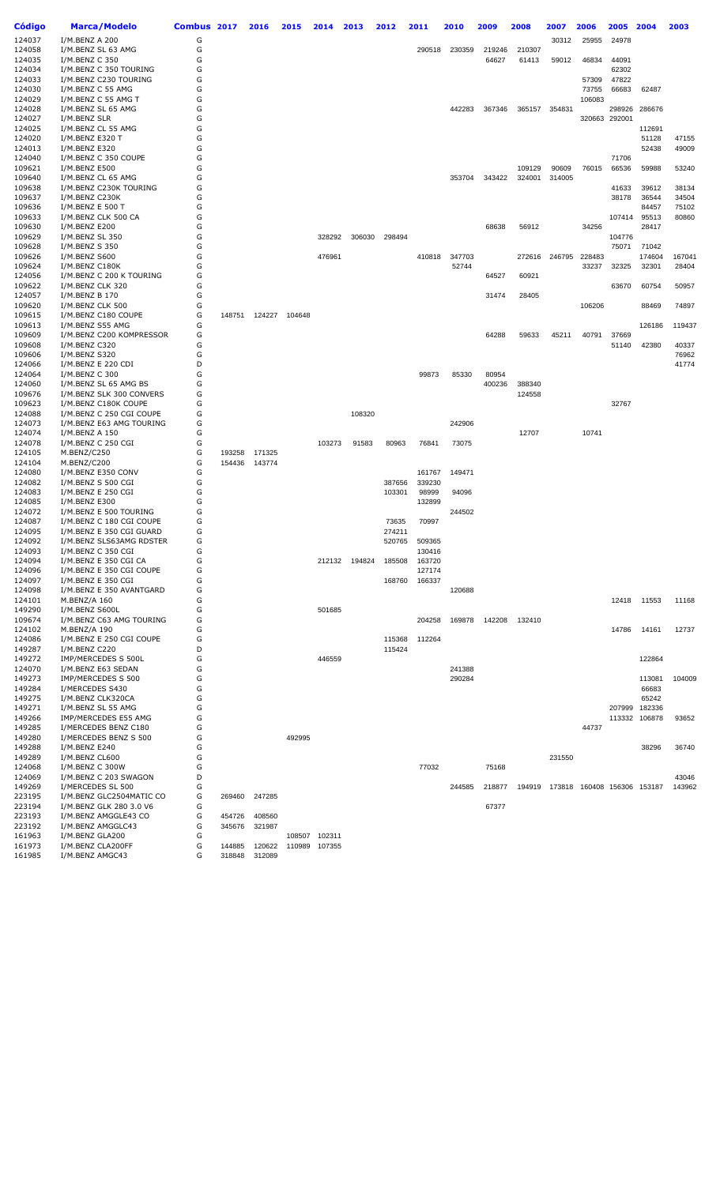| Código           | Marca/Modelo                                      | Combus 2017 |        | 2016   | 2015          | 2014          | 2013   | 2012   | 2011   | 2010            | 2009   | 2008             | 2007   | 2006                        | 2005                    | 2004            | 2003            |
|------------------|---------------------------------------------------|-------------|--------|--------|---------------|---------------|--------|--------|--------|-----------------|--------|------------------|--------|-----------------------------|-------------------------|-----------------|-----------------|
| 124037           | I/M.BENZ A 200                                    | G           |        |        |               |               |        |        |        |                 |        |                  | 30312  | 25955                       | 24978                   |                 |                 |
| 124058           | I/M.BENZ SL 63 AMG                                | G           |        |        |               |               |        |        | 290518 | 230359          | 219246 | 210307           |        |                             |                         |                 |                 |
| 124035           | I/M.BENZ C 350                                    | G           |        |        |               |               |        |        |        |                 | 64627  | 61413            | 59012  | 46834                       | 44091                   |                 |                 |
| 124034           | I/M.BENZ C 350 TOURING                            | G           |        |        |               |               |        |        |        |                 |        |                  |        |                             | 62302                   |                 |                 |
| 124033           | I/M.BENZ C230 TOURING                             | G           |        |        |               |               |        |        |        |                 |        |                  |        | 57309                       | 47822                   |                 |                 |
| 124030           | I/M.BENZ C 55 AMG                                 | G           |        |        |               |               |        |        |        |                 |        |                  |        | 73755                       | 66683                   | 62487           |                 |
| 124029           | I/M.BENZ C 55 AMG T                               | G           |        |        |               |               |        |        |        |                 |        |                  |        | 106083                      |                         |                 |                 |
| 124028<br>124027 | I/M.BENZ SL 65 AMG<br>I/M.BENZ SLR                | G<br>G      |        |        |               |               |        |        |        | 442283          | 367346 | 365157           | 354831 |                             | 298926<br>320663 292001 | 286676          |                 |
| 124025           | I/M.BENZ CL 55 AMG                                | G           |        |        |               |               |        |        |        |                 |        |                  |        |                             |                         | 112691          |                 |
| 124020           | I/M.BENZ E320 T                                   | G           |        |        |               |               |        |        |        |                 |        |                  |        |                             |                         | 51128           | 47155           |
| 124013           | I/M.BENZ E320                                     | G           |        |        |               |               |        |        |        |                 |        |                  |        |                             |                         | 52438           | 49009           |
| 124040           | I/M.BENZ C 350 COUPE                              | G           |        |        |               |               |        |        |        |                 |        |                  |        |                             | 71706                   |                 |                 |
| 109621           | I/M.BENZ E500                                     | G           |        |        |               |               |        |        |        |                 |        | 109129           | 90609  | 76015                       | 66536                   | 59988           | 53240           |
| 109640           | I/M.BENZ CL 65 AMG                                | G           |        |        |               |               |        |        |        | 353704          | 343422 | 324001           | 314005 |                             |                         |                 |                 |
| 109638           | I/M.BENZ C230K TOURING                            | G           |        |        |               |               |        |        |        |                 |        |                  |        |                             | 41633                   | 39612           | 38134           |
| 109637           | I/M.BENZ C230K                                    | G           |        |        |               |               |        |        |        |                 |        |                  |        |                             | 38178                   | 36544           | 34504           |
| 109636           | I/M.BENZ E 500 T                                  | G           |        |        |               |               |        |        |        |                 |        |                  |        |                             |                         | 84457           | 75102           |
| 109633           | I/M.BENZ CLK 500 CA                               | G           |        |        |               |               |        |        |        |                 |        |                  |        |                             | 107414                  | 95513           | 80860           |
| 109630           | I/M.BENZ E200                                     | G           |        |        |               |               |        |        |        |                 | 68638  | 56912            |        | 34256                       |                         | 28417           |                 |
| 109629           | I/M.BENZ SL 350                                   | G           |        |        |               | 328292        | 306030 | 298494 |        |                 |        |                  |        |                             | 104776                  |                 |                 |
| 109628           | I/M.BENZ S 350<br>I/M.BENZ S600                   | G<br>G      |        |        |               |               |        |        |        |                 |        |                  |        |                             | 75071                   | 71042           |                 |
| 109626<br>109624 | I/M.BENZ C180K                                    | G           |        |        |               | 476961        |        |        | 410818 | 347703<br>52744 |        | 272616           | 246795 | 228483<br>33237             | 32325                   | 174604<br>32301 | 167041<br>28404 |
| 124056           | I/M.BENZ C 200 K TOURING                          | G           |        |        |               |               |        |        |        |                 | 64527  | 60921            |        |                             |                         |                 |                 |
| 109622           | I/M.BENZ CLK 320                                  | G           |        |        |               |               |        |        |        |                 |        |                  |        |                             | 63670                   | 60754           | 50957           |
| 124057           | I/M.BENZ B 170                                    | G           |        |        |               |               |        |        |        |                 | 31474  | 28405            |        |                             |                         |                 |                 |
| 109620           | I/M.BENZ CLK 500                                  | G           |        |        |               |               |        |        |        |                 |        |                  |        | 106206                      |                         | 88469           | 74897           |
| 109615           | I/M.BENZ C180 COUPE                               | G           | 148751 | 124227 | 104648        |               |        |        |        |                 |        |                  |        |                             |                         |                 |                 |
| 109613           | I/M.BENZ S55 AMG                                  | G           |        |        |               |               |        |        |        |                 |        |                  |        |                             |                         | 126186          | 119437          |
| 109609           | I/M.BENZ C200 KOMPRESSOR                          | G           |        |        |               |               |        |        |        |                 | 64288  | 59633            | 45211  | 40791                       | 37669                   |                 |                 |
| 109608           | I/M.BENZ C320                                     | G           |        |        |               |               |        |        |        |                 |        |                  |        |                             | 51140                   | 42380           | 40337           |
| 109606           | I/M.BENZ S320                                     | G           |        |        |               |               |        |        |        |                 |        |                  |        |                             |                         |                 | 76962           |
| 124066           | I/M.BENZ E 220 CDI                                | D           |        |        |               |               |        |        |        |                 |        |                  |        |                             |                         |                 | 41774           |
| 124064           | I/M.BENZ C 300                                    | G           |        |        |               |               |        |        | 99873  | 85330           | 80954  |                  |        |                             |                         |                 |                 |
| 124060<br>109676 | I/M.BENZ SL 65 AMG BS<br>I/M.BENZ SLK 300 CONVERS | G<br>G      |        |        |               |               |        |        |        |                 | 400236 | 388340<br>124558 |        |                             |                         |                 |                 |
| 109623           | I/M.BENZ C180K COUPE                              | G           |        |        |               |               |        |        |        |                 |        |                  |        |                             | 32767                   |                 |                 |
| 124088           | I/M.BENZ C 250 CGI COUPE                          | G           |        |        |               |               | 108320 |        |        |                 |        |                  |        |                             |                         |                 |                 |
| 124073           | I/M.BENZ E63 AMG TOURING                          | G           |        |        |               |               |        |        |        | 242906          |        |                  |        |                             |                         |                 |                 |
| 124074           | I/M.BENZ A 150                                    | G           |        |        |               |               |        |        |        |                 |        | 12707            |        | 10741                       |                         |                 |                 |
| 124078           | I/M.BENZ C 250 CGI                                | G           |        |        |               | 103273        | 91583  | 80963  | 76841  | 73075           |        |                  |        |                             |                         |                 |                 |
| 124105           | M.BENZ/C250                                       | G           | 193258 | 171325 |               |               |        |        |        |                 |        |                  |        |                             |                         |                 |                 |
| 124104           | M.BENZ/C200                                       | G           | 154436 | 143774 |               |               |        |        |        |                 |        |                  |        |                             |                         |                 |                 |
| 124080           | I/M.BENZ E350 CONV                                | G           |        |        |               |               |        |        | 161767 | 149471          |        |                  |        |                             |                         |                 |                 |
| 124082           | I/M.BENZ S 500 CGI                                | G           |        |        |               |               |        | 387656 | 339230 |                 |        |                  |        |                             |                         |                 |                 |
| 124083           | I/M.BENZ E 250 CGI                                | G           |        |        |               |               |        | 103301 | 98999  | 94096           |        |                  |        |                             |                         |                 |                 |
| 124085<br>124072 | I/M.BENZ E300<br>I/M.BENZ E 500 TOURING           | G<br>G      |        |        |               |               |        |        | 132899 | 244502          |        |                  |        |                             |                         |                 |                 |
| 124087           | I/M.BENZ C 180 CGI COUPE                          | G           |        |        |               |               |        | 73635  | 70997  |                 |        |                  |        |                             |                         |                 |                 |
| 124095           | I/M.BENZ E 350 CGI GUARD                          | G           |        |        |               |               |        | 274211 |        |                 |        |                  |        |                             |                         |                 |                 |
| 124092           | I/M.BENZ SLS63AMG RDSTER                          | G           |        |        |               |               |        | 520765 | 509365 |                 |        |                  |        |                             |                         |                 |                 |
| 124093           | I/M.BENZ C 350 CGI                                | G           |        |        |               |               |        |        | 130416 |                 |        |                  |        |                             |                         |                 |                 |
| 124094           | I/M.BENZ E 350 CGI CA                             | G           |        |        |               | 212132        | 194824 | 185508 | 163720 |                 |        |                  |        |                             |                         |                 |                 |
| 124096           | I/M.BENZ E 350 CGI COUPE                          | G           |        |        |               |               |        |        | 127174 |                 |        |                  |        |                             |                         |                 |                 |
| 124097           | I/M.BENZ E 350 CGI                                | G           |        |        |               |               |        | 168760 | 166337 |                 |        |                  |        |                             |                         |                 |                 |
| 124098           | I/M.BENZ E 350 AVANTGARD                          | G           |        |        |               |               |        |        |        | 120688          |        |                  |        |                             |                         |                 |                 |
| 124101           | M.BENZ/A 160                                      | G           |        |        |               |               |        |        |        |                 |        |                  |        |                             | 12418                   | 11553           | 11168           |
| 149290<br>109674 | I/M.BENZ S600L<br>I/M.BENZ C63 AMG TOURING        | G<br>G      |        |        |               | 501685        |        |        | 204258 | 169878          | 142208 | 132410           |        |                             |                         |                 |                 |
| 124102           | M.BENZ/A 190                                      | G           |        |        |               |               |        |        |        |                 |        |                  |        |                             | 14786                   | 14161           | 12737           |
| 124086           | I/M.BENZ E 250 CGI COUPE                          | G           |        |        |               |               |        | 115368 | 112264 |                 |        |                  |        |                             |                         |                 |                 |
| 149287           | I/M.BENZ C220                                     | D           |        |        |               |               |        | 115424 |        |                 |        |                  |        |                             |                         |                 |                 |
| 149272           | IMP/MERCEDES S 500L                               | G           |        |        |               | 446559        |        |        |        |                 |        |                  |        |                             |                         | 122864          |                 |
| 124070           | I/M.BENZ E63 SEDAN                                | G           |        |        |               |               |        |        |        | 241388          |        |                  |        |                             |                         |                 |                 |
| 149273           | IMP/MERCEDES S 500                                | G           |        |        |               |               |        |        |        | 290284          |        |                  |        |                             |                         | 113081          | 104009          |
| 149284           | I/MERCEDES S430                                   | G           |        |        |               |               |        |        |        |                 |        |                  |        |                             |                         | 66683           |                 |
| 149275           | I/M.BENZ CLK320CA                                 | G           |        |        |               |               |        |        |        |                 |        |                  |        |                             |                         | 65242           |                 |
| 149271           | I/M.BENZ SL 55 AMG                                | G           |        |        |               |               |        |        |        |                 |        |                  |        |                             | 207999                  | 182336          |                 |
| 149266           | IMP/MERCEDES E55 AMG                              | G           |        |        |               |               |        |        |        |                 |        |                  |        |                             | 113332                  | 106878          | 93652           |
| 149285           | I/MERCEDES BENZ C180                              | G           |        |        |               |               |        |        |        |                 |        |                  |        | 44737                       |                         |                 |                 |
| 149280           | I/MERCEDES BENZ S 500                             | G<br>G      |        |        | 492995        |               |        |        |        |                 |        |                  |        |                             |                         |                 |                 |
| 149288<br>149289 | I/M.BENZ E240<br>I/M.BENZ CL600                   | G           |        |        |               |               |        |        |        |                 |        |                  | 231550 |                             |                         | 38296           | 36740           |
| 124068           | I/M.BENZ C 300W                                   | G           |        |        |               |               |        |        | 77032  |                 | 75168  |                  |        |                             |                         |                 |                 |
| 124069           | I/M.BENZ C 203 SWAGON                             | D           |        |        |               |               |        |        |        |                 |        |                  |        |                             |                         |                 | 43046           |
| 149269           | I/MERCEDES SL 500                                 | G           |        |        |               |               |        |        |        | 244585          | 218877 | 194919           |        | 173818 160408 156306 153187 |                         |                 | 143962          |
| 223195           | I/M.BENZ GLC2504MATIC CO                          | G           | 269460 | 247285 |               |               |        |        |        |                 |        |                  |        |                             |                         |                 |                 |
| 223194           | I/M.BENZ GLK 280 3.0 V6                           | G           |        |        |               |               |        |        |        |                 | 67377  |                  |        |                             |                         |                 |                 |
| 223193           | I/M.BENZ AMGGLE43 CO                              | G           | 454726 | 408560 |               |               |        |        |        |                 |        |                  |        |                             |                         |                 |                 |
| 223192           | I/M.BENZ AMGGLC43                                 | G           | 345676 | 321987 |               |               |        |        |        |                 |        |                  |        |                             |                         |                 |                 |
| 161963           | I/M.BENZ GLA200                                   | G           |        |        |               | 108507 102311 |        |        |        |                 |        |                  |        |                             |                         |                 |                 |
| 161973           | I/M.BENZ CLA200FF                                 | G<br>G      | 144885 | 120622 | 110989 107355 |               |        |        |        |                 |        |                  |        |                             |                         |                 |                 |
| 161985           | I/M.BENZ AMGC43                                   |             | 318848 | 312089 |               |               |        |        |        |                 |        |                  |        |                             |                         |                 |                 |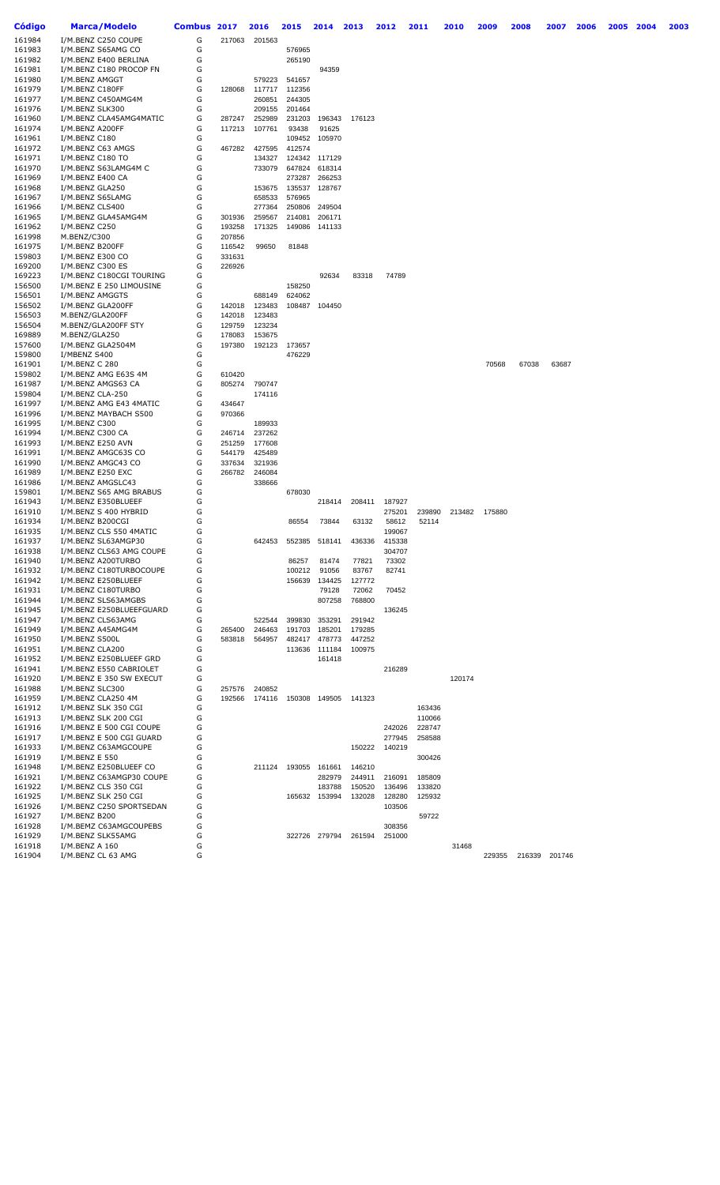| Código           | Marca/Modelo                                       | <b>Combus</b> | 2017   | 2016             | 2015                        | 2014             | 2013             | 2012   | 2011   | 2010   | 2009   | 2008          | 2007  | 2006 | 2005 | 2004 | 2003 |
|------------------|----------------------------------------------------|---------------|--------|------------------|-----------------------------|------------------|------------------|--------|--------|--------|--------|---------------|-------|------|------|------|------|
| 161984           | I/M.BENZ C250 COUPE                                | G             | 217063 | 201563           |                             |                  |                  |        |        |        |        |               |       |      |      |      |      |
| 161983           | I/M.BENZ S65AMG CO                                 | G             |        |                  | 576965                      |                  |                  |        |        |        |        |               |       |      |      |      |      |
| 161982           | I/M.BENZ E400 BERLINA                              | G             |        |                  | 265190                      |                  |                  |        |        |        |        |               |       |      |      |      |      |
| 161981           | I/M.BENZ C180 PROCOP FN                            | G             |        |                  |                             | 94359            |                  |        |        |        |        |               |       |      |      |      |      |
| 161980           | I/M.BENZ AMGGT                                     | G             |        | 579223           | 541657                      |                  |                  |        |        |        |        |               |       |      |      |      |      |
| 161979<br>161977 | I/M.BENZ C180FF<br>I/M.BENZ C450AMG4M              | G<br>G        | 128068 | 117717<br>260851 | 112356<br>244305            |                  |                  |        |        |        |        |               |       |      |      |      |      |
| 161976           | I/M.BENZ SLK300                                    | G             |        | 209155           | 201464                      |                  |                  |        |        |        |        |               |       |      |      |      |      |
| 161960           | I/M.BENZ CLA45AMG4MATIC                            | G             | 287247 | 252989           | 231203                      | 196343           | 176123           |        |        |        |        |               |       |      |      |      |      |
| 161974           | I/M.BENZ A200FF                                    | G             | 117213 | 107761           | 93438                       | 91625            |                  |        |        |        |        |               |       |      |      |      |      |
| 161961           | I/M.BENZ C180                                      | G             |        |                  | 109452                      | 105970           |                  |        |        |        |        |               |       |      |      |      |      |
| 161972           | I/M.BENZ C63 AMGS                                  | G             | 467282 | 427595           | 412574                      |                  |                  |        |        |        |        |               |       |      |      |      |      |
| 161971           | I/M.BENZ C180 TO                                   | G             |        | 134327           | 124342                      | 117129           |                  |        |        |        |        |               |       |      |      |      |      |
| 161970           | I/M.BENZ S63LAMG4M C                               | G             |        | 733079           | 647824                      | 618314           |                  |        |        |        |        |               |       |      |      |      |      |
| 161969           | I/M.BENZ E400 CA                                   | G             |        |                  | 273287                      | 266253           |                  |        |        |        |        |               |       |      |      |      |      |
| 161968           | I/M.BENZ GLA250                                    | G             |        | 153675           | 135537                      | 128767           |                  |        |        |        |        |               |       |      |      |      |      |
| 161967           | I/M.BENZ S65LAMG                                   | G             |        | 658533           | 576965                      |                  |                  |        |        |        |        |               |       |      |      |      |      |
| 161966<br>161965 | I/M.BENZ CLS400<br>I/M.BENZ GLA45AMG4M             | G<br>G        | 301936 | 277364<br>259567 | 250806<br>214081            | 249504<br>206171 |                  |        |        |        |        |               |       |      |      |      |      |
| 161962           | I/M.BENZ C250                                      | G             | 193258 | 171325           | 149086                      | 141133           |                  |        |        |        |        |               |       |      |      |      |      |
| 161998           | M.BENZ/C300                                        | G             | 207856 |                  |                             |                  |                  |        |        |        |        |               |       |      |      |      |      |
| 161975           | I/M.BENZ B200FF                                    | G             | 116542 | 99650            | 81848                       |                  |                  |        |        |        |        |               |       |      |      |      |      |
| 159803           | I/M.BENZ E300 CO                                   | G             | 331631 |                  |                             |                  |                  |        |        |        |        |               |       |      |      |      |      |
| 169200           | I/M.BENZ C300 ES                                   | G             | 226926 |                  |                             |                  |                  |        |        |        |        |               |       |      |      |      |      |
| 169223           | I/M.BENZ C180CGI TOURING                           | G             |        |                  |                             | 92634            | 83318            | 74789  |        |        |        |               |       |      |      |      |      |
| 156500           | I/M.BENZ E 250 LIMOUSINE                           | G             |        |                  | 158250                      |                  |                  |        |        |        |        |               |       |      |      |      |      |
| 156501           | I/M.BENZ AMGGTS                                    | G             |        | 688149           | 624062                      |                  |                  |        |        |        |        |               |       |      |      |      |      |
| 156502           | I/M.BENZ GLA200FF                                  | G             | 142018 | 123483           | 108487                      | 104450           |                  |        |        |        |        |               |       |      |      |      |      |
| 156503           | M.BENZ/GLA200FF                                    | G             | 142018 | 123483           |                             |                  |                  |        |        |        |        |               |       |      |      |      |      |
| 156504           | M.BENZ/GLA200FF STY                                | G             | 129759 | 123234           |                             |                  |                  |        |        |        |        |               |       |      |      |      |      |
| 169889           | M.BENZ/GLA250                                      | G             | 178083 | 153675           |                             |                  |                  |        |        |        |        |               |       |      |      |      |      |
| 157600<br>159800 | I/M.BENZ GLA2504M<br>I/MBENZ S400                  | G<br>G        | 197380 | 192123           | 173657<br>476229            |                  |                  |        |        |        |        |               |       |      |      |      |      |
| 161901           | I/M.BENZ C 280                                     | G             |        |                  |                             |                  |                  |        |        |        | 70568  | 67038         | 63687 |      |      |      |      |
| 159802           | I/M.BENZ AMG E63S 4M                               | G             | 610420 |                  |                             |                  |                  |        |        |        |        |               |       |      |      |      |      |
| 161987           | I/M.BENZ AMGS63 CA                                 | G             | 805274 | 790747           |                             |                  |                  |        |        |        |        |               |       |      |      |      |      |
| 159804           | I/M.BENZ CLA-250                                   | G             |        | 174116           |                             |                  |                  |        |        |        |        |               |       |      |      |      |      |
| 161997           | I/M.BENZ AMG E43 4MATIC                            | G             | 434647 |                  |                             |                  |                  |        |        |        |        |               |       |      |      |      |      |
| 161996           | I/M.BENZ MAYBACH S500                              | G             | 970366 |                  |                             |                  |                  |        |        |        |        |               |       |      |      |      |      |
| 161995           | I/M.BENZ C300                                      | G             |        | 189933           |                             |                  |                  |        |        |        |        |               |       |      |      |      |      |
| 161994           | I/M.BENZ C300 CA                                   | G             | 246714 | 237262           |                             |                  |                  |        |        |        |        |               |       |      |      |      |      |
| 161993           | I/M.BENZ E250 AVN                                  | G             | 251259 | 177608           |                             |                  |                  |        |        |        |        |               |       |      |      |      |      |
| 161991           | I/M.BENZ AMGC63S CO                                | G             | 544179 | 425489           |                             |                  |                  |        |        |        |        |               |       |      |      |      |      |
| 161990           | I/M.BENZ AMGC43 CO                                 | G             | 337634 | 321936           |                             |                  |                  |        |        |        |        |               |       |      |      |      |      |
| 161989           | I/M.BENZ E250 EXC                                  | G             | 266782 | 246084           |                             |                  |                  |        |        |        |        |               |       |      |      |      |      |
| 161986           | I/M.BENZ AMGSLC43                                  | G             |        | 338666           |                             |                  |                  |        |        |        |        |               |       |      |      |      |      |
| 159801<br>161943 | I/M.BENZ S65 AMG BRABUS<br>I/M.BENZ E350BLUEEF     | G<br>G        |        |                  | 678030                      | 218414           | 208411           | 187927 |        |        |        |               |       |      |      |      |      |
| 161910           | I/M.BENZ S 400 HYBRID                              | G             |        |                  |                             |                  |                  | 275201 | 239890 | 213482 | 175880 |               |       |      |      |      |      |
| 161934           | I/M.BENZ B200CGI                                   | G             |        |                  | 86554                       | 73844            | 63132            | 58612  | 52114  |        |        |               |       |      |      |      |      |
| 161935           | I/M.BENZ CLS 550 4MATIC                            | G             |        |                  |                             |                  |                  | 199067 |        |        |        |               |       |      |      |      |      |
| 161937           | I/M.BENZ SL63AMGP30                                | G             |        | 642453           |                             | 552385 518141    | 436336           | 415338 |        |        |        |               |       |      |      |      |      |
| 161938           | I/M.BENZ CLS63 AMG COUPE                           | G             |        |                  |                             |                  |                  | 304707 |        |        |        |               |       |      |      |      |      |
| 161940           | I/M.BENZ A200TURBO                                 | G             |        |                  | 86257                       | 81474            | 77821            | 73302  |        |        |        |               |       |      |      |      |      |
| 161932           | I/M.BENZ C180TURBOCOUPE                            | G             |        |                  | 100212                      | 91056            | 83767            | 82741  |        |        |        |               |       |      |      |      |      |
| 161942           | I/M.BENZ E250BLUEEF                                | G             |        |                  | 156639                      | 134425           | 127772           |        |        |        |        |               |       |      |      |      |      |
| 161931           | I/M.BENZ C180TURBO                                 | G             |        |                  |                             | 79128            | 72062            | 70452  |        |        |        |               |       |      |      |      |      |
| 161944           | I/M.BENZ SLS63AMGBS                                | G             |        |                  |                             | 807258           | 768800           |        |        |        |        |               |       |      |      |      |      |
| 161945           | I/M.BENZ E250BLUEEFGUARD                           | G             |        | 522544           |                             |                  |                  | 136245 |        |        |        |               |       |      |      |      |      |
| 161947<br>161949 | I/M.BENZ CLS63AMG<br>I/M.BENZ A45AMG4M             | G<br>G        | 265400 | 246463           | 399830<br>191703            | 353291<br>185201 | 291942<br>179285 |        |        |        |        |               |       |      |      |      |      |
| 161950           | I/M.BENZ S500L                                     | G             | 583818 | 564957           | 482417                      | 478773           | 447252           |        |        |        |        |               |       |      |      |      |      |
| 161951           | I/M.BENZ CLA200                                    | G             |        |                  |                             | 113636 111184    | 100975           |        |        |        |        |               |       |      |      |      |      |
| 161952           | I/M.BENZ E250BLUEEF GRD                            | G             |        |                  |                             | 161418           |                  |        |        |        |        |               |       |      |      |      |      |
| 161941           | I/M.BENZ E550 CABRIOLET                            | G             |        |                  |                             |                  |                  | 216289 |        |        |        |               |       |      |      |      |      |
| 161920           | I/M.BENZ E 350 SW EXECUT                           | G             |        |                  |                             |                  |                  |        |        | 120174 |        |               |       |      |      |      |      |
| 161988           | I/M.BENZ SLC300                                    | G             | 257576 | 240852           |                             |                  |                  |        |        |        |        |               |       |      |      |      |      |
| 161959           | I/M.BENZ CLA250 4M                                 | G             | 192566 |                  | 174116 150308 149505 141323 |                  |                  |        |        |        |        |               |       |      |      |      |      |
| 161912           | I/M.BENZ SLK 350 CGI                               | G             |        |                  |                             |                  |                  |        | 163436 |        |        |               |       |      |      |      |      |
| 161913           | I/M.BENZ SLK 200 CGI                               | G             |        |                  |                             |                  |                  |        | 110066 |        |        |               |       |      |      |      |      |
| 161916           | I/M.BENZ E 500 CGI COUPE                           | G             |        |                  |                             |                  |                  | 242026 | 228747 |        |        |               |       |      |      |      |      |
| 161917           | I/M.BENZ E 500 CGI GUARD                           | G             |        |                  |                             |                  |                  | 277945 | 258588 |        |        |               |       |      |      |      |      |
| 161933           | I/M.BENZ C63AMGCOUPE                               | G             |        |                  |                             |                  | 150222           | 140219 |        |        |        |               |       |      |      |      |      |
| 161919           | I/M.BENZ E 550                                     | G             |        |                  | 193055 161661               |                  |                  |        | 300426 |        |        |               |       |      |      |      |      |
| 161948<br>161921 | I/M.BENZ E250BLUEEF CO<br>I/M.BENZ C63AMGP30 COUPE | G<br>G        |        | 211124           |                             | 282979           | 146210<br>244911 | 216091 | 185809 |        |        |               |       |      |      |      |      |
| 161922           | I/M.BENZ CLS 350 CGI                               | G             |        |                  |                             | 183788           | 150520           | 136496 | 133820 |        |        |               |       |      |      |      |      |
| 161925           | I/M.BENZ SLK 250 CGI                               | G             |        |                  |                             | 165632 153994    | 132028           | 128280 | 125932 |        |        |               |       |      |      |      |      |
| 161926           | I/M.BENZ C250 SPORTSEDAN                           | G             |        |                  |                             |                  |                  | 103506 |        |        |        |               |       |      |      |      |      |
| 161927           | I/M.BENZ B200                                      | G             |        |                  |                             |                  |                  |        | 59722  |        |        |               |       |      |      |      |      |
| 161928           | I/M.BEMZ C63AMGCOUPEBS                             | G             |        |                  |                             |                  |                  | 308356 |        |        |        |               |       |      |      |      |      |
| 161929           | I/M.BENZ SLK55AMG                                  | G             |        |                  |                             | 322726 279794    | 261594           | 251000 |        |        |        |               |       |      |      |      |      |
| 161918           | I/M.BENZ A 160                                     | G             |        |                  |                             |                  |                  |        |        | 31468  |        |               |       |      |      |      |      |
| 161904           | I/M.BENZ CL 63 AMG                                 | G             |        |                  |                             |                  |                  |        |        |        | 229355 | 216339 201746 |       |      |      |      |      |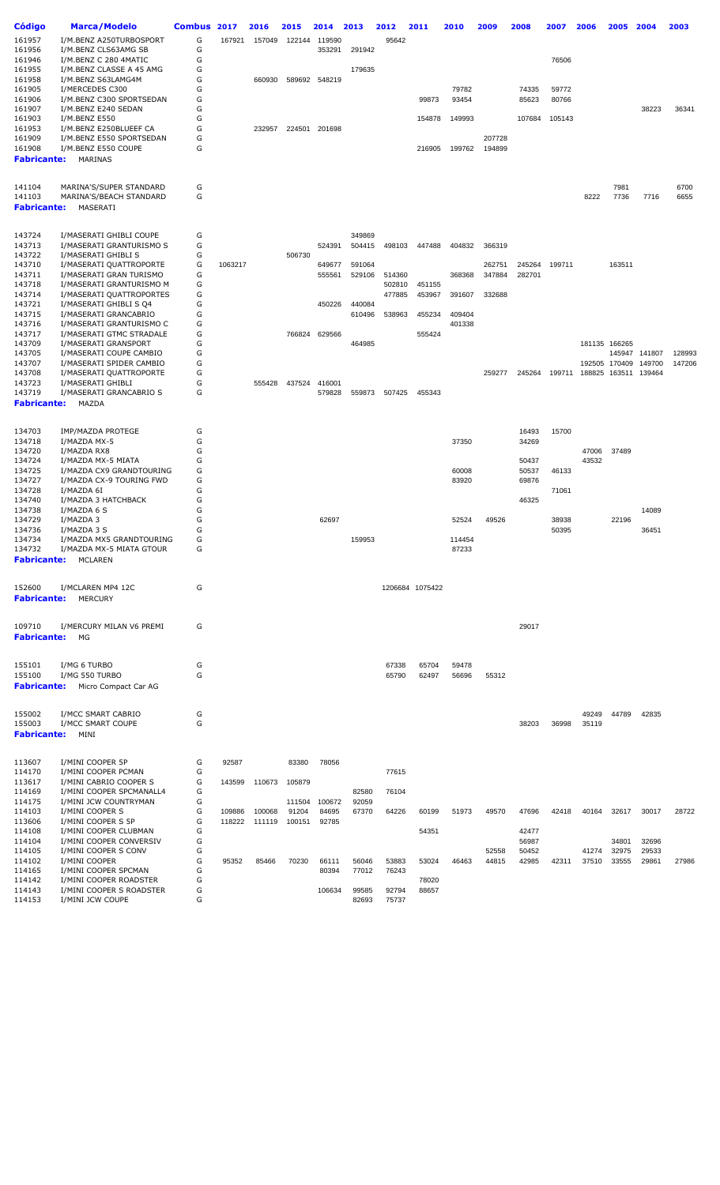| Código                | <b>Marca/Modelo</b>                                  | Combus 2017 |         | 2016          | 2015   | 2014          | 2013   | 2012   | 2011            | 2010            | 2009   | 2008           | 2007   | 2006                        | 2005          | 2004   | 2003   |
|-----------------------|------------------------------------------------------|-------------|---------|---------------|--------|---------------|--------|--------|-----------------|-----------------|--------|----------------|--------|-----------------------------|---------------|--------|--------|
| 161957                | I/M.BENZ A250TURBOSPORT                              | G           | 167921  | 157049        | 122144 | 119590        |        | 95642  |                 |                 |        |                |        |                             |               |        |        |
| 161956                | I/M.BENZ CLS63AMG SB                                 | G           |         |               |        | 353291        | 291942 |        |                 |                 |        |                |        |                             |               |        |        |
| 161946                | I/M.BENZ C 280 4MATIC                                | G           |         |               |        |               |        |        |                 |                 |        |                | 76506  |                             |               |        |        |
| 161955                | I/M.BENZ CLASSE A 45 AMG                             | G           |         |               |        |               | 179635 |        |                 |                 |        |                |        |                             |               |        |        |
| 161958                | I/M.BENZ S63LAMG4M                                   | G           |         | 660930        |        | 589692 548219 |        |        |                 |                 |        |                |        |                             |               |        |        |
| 161905                | I/MERCEDES C300                                      | G           |         |               |        |               |        |        |                 | 79782           |        | 74335          | 59772  |                             |               |        |        |
| 161906                | I/M.BENZ C300 SPORTSEDAN                             | G           |         |               |        |               |        |        | 99873           | 93454           |        | 85623          | 80766  |                             |               |        |        |
| 161907                | I/M.BENZ E240 SEDAN                                  | G           |         |               |        |               |        |        |                 |                 |        |                |        |                             |               | 38223  | 36341  |
| 161903                | I/M.BENZ E550                                        | G           |         |               |        |               |        |        | 154878          | 149993          |        | 107684         | 105143 |                             |               |        |        |
| 161953                | I/M.BENZ E250BLUEEF CA                               | G           |         | 232957        |        | 224501 201698 |        |        |                 |                 |        |                |        |                             |               |        |        |
| 161909                | I/M.BENZ E550 SPORTSEDAN                             | G           |         |               |        |               |        |        |                 |                 | 207728 |                |        |                             |               |        |        |
| 161908                | I/M.BENZ E550 COUPE                                  | G           |         |               |        |               |        |        | 216905          | 199762          | 194899 |                |        |                             |               |        |        |
| Fabricante:           | MARINAS                                              |             |         |               |        |               |        |        |                 |                 |        |                |        |                             |               |        |        |
|                       |                                                      |             |         |               |        |               |        |        |                 |                 |        |                |        |                             |               |        |        |
| 141104                | MARINA'S/SUPER STANDARD                              | G           |         |               |        |               |        |        |                 |                 |        |                |        |                             | 7981          |        | 6700   |
| 141103<br>Fabricante: | MARINA'S/BEACH STANDARD<br>MASERATI                  | G           |         |               |        |               |        |        |                 |                 |        |                |        | 8222                        | 7736          | 7716   | 6655   |
|                       |                                                      |             |         |               |        |               |        |        |                 |                 |        |                |        |                             |               |        |        |
| 143724                | I/MASERATI GHIBLI COUPE                              | G           |         |               |        |               | 349869 |        |                 |                 |        |                |        |                             |               |        |        |
| 143713                | I/MASERATI GRANTURISMO S                             | G           |         |               |        | 524391        | 504415 | 498103 | 447488          | 404832          | 366319 |                |        |                             |               |        |        |
| 143722                | I/MASERATI GHIBLI S                                  | G           |         |               | 506730 |               |        |        |                 |                 |        |                |        |                             |               |        |        |
| 143710                | I/MASERATI QUATTROPORTE                              | G           | 1063217 |               |        | 649677        | 591064 |        |                 |                 | 262751 | 245264         | 199711 |                             | 163511        |        |        |
| 143711                | I/MASERATI GRAN TURISMO                              | G           |         |               |        | 555561        | 529106 | 514360 |                 | 368368          | 347884 | 282701         |        |                             |               |        |        |
| 143718                | I/MASERATI GRANTURISMO M                             | G           |         |               |        |               |        | 502810 | 451155          |                 |        |                |        |                             |               |        |        |
| 143714                | I/MASERATI QUATTROPORTES                             | G           |         |               |        |               |        | 477885 | 453967          | 391607          | 332688 |                |        |                             |               |        |        |
| 143721                | I/MASERATI GHIBLI S Q4                               | G           |         |               |        | 450226        | 440084 |        |                 |                 |        |                |        |                             |               |        |        |
| 143715                | I/MASERATI GRANCABRIO                                | G           |         |               |        |               | 610496 | 538963 | 455234          | 409404          |        |                |        |                             |               |        |        |
| 143716                | I/MASERATI GRANTURISMO C                             | G           |         |               |        |               |        |        |                 | 401338          |        |                |        |                             |               |        |        |
| 143717                | I/MASERATI GTMC STRADALE                             | G           |         |               | 766824 | 629566        |        |        | 555424          |                 |        |                |        |                             |               |        |        |
| 143709                | I/MASERATI GRANSPORT                                 | G           |         |               |        |               | 464985 |        |                 |                 |        |                |        |                             | 181135 166265 |        |        |
| 143705                | I/MASERATI COUPE CAMBIO                              | G           |         |               |        |               |        |        |                 |                 |        |                |        |                             | 145947        | 141807 | 128993 |
| 143707                | I/MASERATI SPIDER CAMBIO                             | G           |         |               |        |               |        |        |                 |                 |        |                |        |                             | 192505 170409 | 149700 | 147206 |
| 143708                | I/MASERATI QUATTROPORTE                              | G           |         |               |        |               |        |        |                 |                 | 259277 | 245264         |        | 199711 188825 163511 139464 |               |        |        |
| 143723                | I/MASERATI GHIBLI                                    | G           |         | 555428        | 437524 | 416001        |        |        |                 |                 |        |                |        |                             |               |        |        |
| 143719                | I/MASERATI GRANCABRIO S                              | G           |         |               |        | 579828        | 559873 | 507425 | 455343          |                 |        |                |        |                             |               |        |        |
| Fabricante:           | MAZDA                                                |             |         |               |        |               |        |        |                 |                 |        |                |        |                             |               |        |        |
|                       |                                                      |             |         |               |        |               |        |        |                 |                 |        |                |        |                             |               |        |        |
| 134703                | IMP/MAZDA PROTEGE                                    | G           |         |               |        |               |        |        |                 |                 |        | 16493          | 15700  |                             |               |        |        |
| 134718                | I/MAZDA MX-5                                         | G           |         |               |        |               |        |        |                 | 37350           |        | 34269          |        |                             |               |        |        |
| 134720                | I/MAZDA RX8                                          | G           |         |               |        |               |        |        |                 |                 |        |                |        | 47006                       | 37489         |        |        |
| 134724                | I/MAZDA MX-5 MIATA                                   | G           |         |               |        |               |        |        |                 |                 |        | 50437          |        | 43532                       |               |        |        |
| 134725                | I/MAZDA CX9 GRANDTOURING                             | G           |         |               |        |               |        |        |                 | 60008           |        | 50537          | 46133  |                             |               |        |        |
| 134727                | I/MAZDA CX-9 TOURING FWD                             | G           |         |               |        |               |        |        |                 | 83920           |        | 69876          |        |                             |               |        |        |
| 134728                | I/MAZDA 6I                                           | G           |         |               |        |               |        |        |                 |                 |        |                | 71061  |                             |               |        |        |
| 134740                | I/MAZDA 3 HATCHBACK                                  | G           |         |               |        |               |        |        |                 |                 |        | 46325          |        |                             |               |        |        |
| 134738                | I/MAZDA 6 S                                          | G           |         |               |        |               |        |        |                 |                 |        |                |        |                             |               | 14089  |        |
| 134729                | I/MAZDA 3                                            | G           |         |               |        | 62697         |        |        |                 | 52524           | 49526  |                | 38938  |                             | 22196         |        |        |
| 134736                | I/MAZDA 3 S                                          | G           |         |               |        |               |        |        |                 |                 |        |                | 50395  |                             |               | 36451  |        |
| 134734<br>134732      | I/MAZDA MX5 GRANDTOURING<br>I/MAZDA MX-5 MIATA GTOUR | G<br>G      |         |               |        |               | 159953 |        |                 | 114454<br>87233 |        |                |        |                             |               |        |        |
| Fabricante:           | MCLAREN                                              |             |         |               |        |               |        |        |                 |                 |        |                |        |                             |               |        |        |
|                       |                                                      |             |         |               |        |               |        |        |                 |                 |        |                |        |                             |               |        |        |
| 152600                | I/MCLAREN MP4 12C                                    | G           |         |               |        |               |        |        | 1206684 1075422 |                 |        |                |        |                             |               |        |        |
| Fabricante:           | MERCURY                                              |             |         |               |        |               |        |        |                 |                 |        |                |        |                             |               |        |        |
|                       |                                                      |             |         |               |        |               |        |        |                 |                 |        |                |        |                             |               |        |        |
| 109710                | I/MERCURY MILAN V6 PREMI                             | G           |         |               |        |               |        |        |                 |                 |        | 29017          |        |                             |               |        |        |
| Fabricante:           | МG                                                   |             |         |               |        |               |        |        |                 |                 |        |                |        |                             |               |        |        |
|                       |                                                      |             |         |               |        |               |        |        |                 |                 |        |                |        |                             |               |        |        |
| 155101                | I/MG 6 TURBO                                         | G           |         |               |        |               |        | 67338  | 65704           | 59478           |        |                |        |                             |               |        |        |
| 155100                | I/MG 550 TURBO                                       | G           |         |               |        |               |        | 65790  | 62497           | 56696           | 55312  |                |        |                             |               |        |        |
| <b>Fabricante:</b>    | Micro Compact Car AG                                 |             |         |               |        |               |        |        |                 |                 |        |                |        |                             |               |        |        |
|                       |                                                      |             |         |               |        |               |        |        |                 |                 |        |                |        |                             |               |        |        |
| 155002                | I/MCC SMART CABRIO                                   | G           |         |               |        |               |        |        |                 |                 |        |                |        | 49249                       | 44789         | 42835  |        |
| 155003                | I/MCC SMART COUPE                                    | G           |         |               |        |               |        |        |                 |                 |        | 38203          | 36998  | 35119                       |               |        |        |
| Fabricante:           | MINI                                                 |             |         |               |        |               |        |        |                 |                 |        |                |        |                             |               |        |        |
|                       |                                                      |             |         |               |        |               |        |        |                 |                 |        |                |        |                             |               |        |        |
| 113607                | I/MINI COOPER 5P                                     | G           | 92587   |               | 83380  | 78056         |        |        |                 |                 |        |                |        |                             |               |        |        |
| 114170                | I/MINI COOPER PCMAN                                  | G           |         |               |        |               |        | 77615  |                 |                 |        |                |        |                             |               |        |        |
| 113617                | I/MINI CABRIO COOPER S<br>I/MINI COOPER SPCMANALL4   | G<br>G      | 143599  | 110673        | 105879 |               |        | 76104  |                 |                 |        |                |        |                             |               |        |        |
| 114169                |                                                      |             |         |               |        |               | 82580  |        |                 |                 |        |                |        |                             |               |        |        |
| 114175                | I/MINI JCW COUNTRYMAN                                | G           |         |               | 111504 | 100672        | 92059  |        |                 |                 |        |                |        |                             |               |        |        |
| 114103                | I/MINI COOPER S                                      | G           | 109886  | 100068        | 91204  | 84695         | 67370  | 64226  | 60199           | 51973           | 49570  | 47696          | 42418  | 40164                       | 32617         | 30017  | 28722  |
| 113606                | I/MINI COOPER S 5P                                   | G           |         | 118222 111119 | 100151 | 92785         |        |        |                 |                 |        |                |        |                             |               |        |        |
| 114108<br>114104      | I/MINI COOPER CLUBMAN<br>I/MINI COOPER CONVERSIV     | G<br>G      |         |               |        |               |        |        | 54351           |                 |        | 42477<br>56987 |        |                             | 34801         | 32696  |        |
| 114105                | I/MINI COOPER S CONV                                 | G           |         |               |        |               |        |        |                 |                 | 52558  | 50452          |        | 41274                       | 32975         | 29533  |        |
| 114102                | I/MINI COOPER                                        | G           | 95352   | 85466         | 70230  | 66111         | 56046  | 53883  | 53024           | 46463           | 44815  | 42985          | 42311  | 37510                       | 33555         | 29861  | 27986  |
| 114165                | I/MINI COOPER SPCMAN                                 | G           |         |               |        | 80394         | 77012  | 76243  |                 |                 |        |                |        |                             |               |        |        |
| 114142                | I/MINI COOPER ROADSTER                               | G           |         |               |        |               |        |        | 78020           |                 |        |                |        |                             |               |        |        |
| 114143                | I/MINI COOPER S ROADSTER                             | G           |         |               |        | 106634        | 99585  | 92794  | 88657           |                 |        |                |        |                             |               |        |        |
| 114153                | I/MINI JCW COUPE                                     | G           |         |               |        |               | 82693  | 75737  |                 |                 |        |                |        |                             |               |        |        |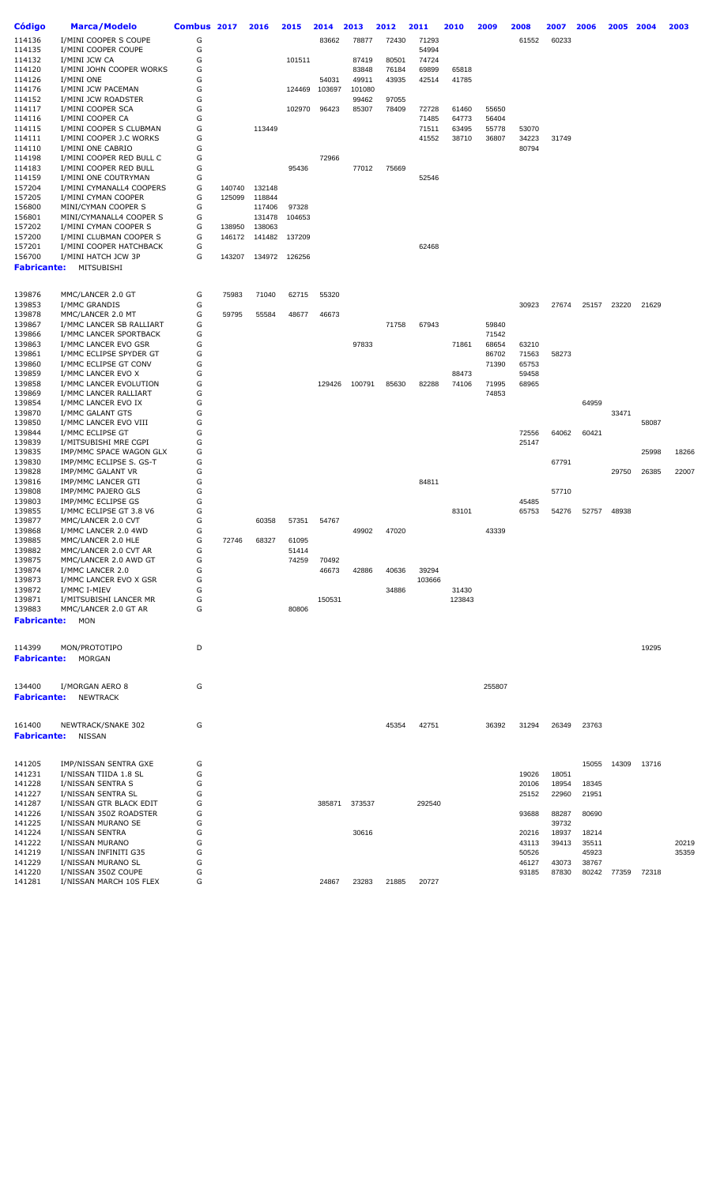| Código                       | <b>Marca/Modelo</b>                          | Combus 2017 |        | 2016   | 2015   | 2014   | 2013   | 2012  | 2011        | 2010   | 2009   | 2008           | 2007  | 2006           | 2005  | 2004  | 2003  |
|------------------------------|----------------------------------------------|-------------|--------|--------|--------|--------|--------|-------|-------------|--------|--------|----------------|-------|----------------|-------|-------|-------|
| 114136                       | I/MINI COOPER S COUPE                        | G           |        |        |        | 83662  | 78877  | 72430 | 71293       |        |        | 61552          | 60233 |                |       |       |       |
| 114135                       | I/MINI COOPER COUPE                          | G           |        |        |        |        |        |       | 54994       |        |        |                |       |                |       |       |       |
| 114132                       | I/MINI JCW CA                                | G           |        |        | 101511 |        | 87419  | 80501 | 74724       |        |        |                |       |                |       |       |       |
| 114120                       | I/MINI JOHN COOPER WORKS                     | G           |        |        |        |        | 83848  | 76184 | 69899       | 65818  |        |                |       |                |       |       |       |
| 114126                       | I/MINI ONE                                   | G           |        |        |        | 54031  | 49911  | 43935 | 42514       | 41785  |        |                |       |                |       |       |       |
| 114176                       | I/MINI JCW PACEMAN                           | G           |        |        | 124469 | 103697 | 101080 |       |             |        |        |                |       |                |       |       |       |
| 114152                       | I/MINI JCW ROADSTER                          | G           |        |        |        |        | 99462  | 97055 |             |        |        |                |       |                |       |       |       |
| 114117                       | I/MINI COOPER SCA                            | G           |        |        | 102970 | 96423  | 85307  | 78409 | 72728       | 61460  | 55650  |                |       |                |       |       |       |
| 114116                       | I/MINI COOPER CA                             | G           |        |        |        |        |        |       | 71485       | 64773  | 56404  |                |       |                |       |       |       |
| 114115                       | I/MINI COOPER S CLUBMAN                      | G           |        | 113449 |        |        |        |       | 71511       | 63495  | 55778  | 53070          |       |                |       |       |       |
| 114111<br>114110             | I/MINI COOPER J.C WORKS<br>I/MINI ONE CABRIO | G<br>G      |        |        |        |        |        |       | 41552       | 38710  | 36807  | 34223<br>80794 | 31749 |                |       |       |       |
| 114198                       | I/MINI COOPER RED BULL C                     | G           |        |        |        | 72966  |        |       |             |        |        |                |       |                |       |       |       |
| 114183                       | I/MINI COOPER RED BULL                       | G           |        |        | 95436  |        | 77012  | 75669 |             |        |        |                |       |                |       |       |       |
| 114159                       | I/MINI ONE COUTRYMAN                         | G           |        |        |        |        |        |       | 52546       |        |        |                |       |                |       |       |       |
| 157204                       | I/MINI CYMANALL4 COOPERS                     | G           | 140740 | 132148 |        |        |        |       |             |        |        |                |       |                |       |       |       |
| 157205                       | I/MINI CYMAN COOPER                          | G           | 125099 | 118844 |        |        |        |       |             |        |        |                |       |                |       |       |       |
| 156800                       | MINI/CYMAN COOPER S                          | G           |        | 117406 | 97328  |        |        |       |             |        |        |                |       |                |       |       |       |
| 156801                       | MINI/CYMANALL4 COOPER S                      | G           |        | 131478 | 104653 |        |        |       |             |        |        |                |       |                |       |       |       |
| 157202                       | I/MINI CYMAN COOPER S                        | G           | 138950 | 138063 |        |        |        |       |             |        |        |                |       |                |       |       |       |
| 157200                       | I/MINI CLUBMAN COOPER S                      | G           | 146172 | 141482 | 137209 |        |        |       |             |        |        |                |       |                |       |       |       |
| 157201                       | I/MINI COOPER HATCHBACK                      | G           |        |        |        |        |        |       | 62468       |        |        |                |       |                |       |       |       |
| 156700                       | I/MINI HATCH JCW 3P                          | G           | 143207 | 134972 | 126256 |        |        |       |             |        |        |                |       |                |       |       |       |
| <b>Fabricante:</b>           | MITSUBISHI                                   |             |        |        |        |        |        |       |             |        |        |                |       |                |       |       |       |
|                              |                                              |             | 75983  | 71040  |        |        |        |       |             |        |        |                |       |                |       |       |       |
| 139876<br>139853             | MMC/LANCER 2.0 GT<br>I/MMC GRANDIS           | G<br>G      |        |        | 62715  | 55320  |        |       |             |        |        | 30923          | 27674 | 25157          | 23220 | 21629 |       |
| 139878                       | MMC/LANCER 2.0 MT                            | G           | 59795  | 55584  | 48677  | 46673  |        |       |             |        |        |                |       |                |       |       |       |
| 139867                       | I/MMC LANCER SB RALLIART                     | G           |        |        |        |        |        | 71758 | 67943       |        | 59840  |                |       |                |       |       |       |
| 139866                       | I/MMC LANCER SPORTBACK                       | G           |        |        |        |        |        |       |             |        | 71542  |                |       |                |       |       |       |
| 139863                       | I/MMC LANCER EVO GSR                         | G           |        |        |        |        | 97833  |       |             | 71861  | 68654  | 63210          |       |                |       |       |       |
| 139861                       | I/MMC ECLIPSE SPYDER GT                      | G           |        |        |        |        |        |       |             |        | 86702  | 71563          | 58273 |                |       |       |       |
| 139860                       | I/MMC ECLIPSE GT CONV                        | G           |        |        |        |        |        |       |             |        | 71390  | 65753          |       |                |       |       |       |
| 139859                       | I/MMC LANCER EVO X                           | G           |        |        |        |        |        |       |             | 88473  |        | 59458          |       |                |       |       |       |
| 139858                       | I/MMC LANCER EVOLUTION                       | G           |        |        |        | 129426 | 100791 | 85630 | 82288       | 74106  | 71995  | 68965          |       |                |       |       |       |
| 139869                       | I/MMC LANCER RALLIART                        | G           |        |        |        |        |        |       |             |        | 74853  |                |       |                |       |       |       |
| 139854                       | I/MMC LANCER EVO IX                          | G           |        |        |        |        |        |       |             |        |        |                |       | 64959          |       |       |       |
| 139870                       | I/MMC GALANT GTS                             | G           |        |        |        |        |        |       |             |        |        |                |       |                | 33471 |       |       |
| 139850                       | I/MMC LANCER EVO VIII                        | G           |        |        |        |        |        |       |             |        |        |                |       |                |       | 58087 |       |
| 139844<br>139839             | I/MMC ECLIPSE GT<br>I/MITSUBISHI MRE CGPI    | G<br>G      |        |        |        |        |        |       |             |        |        | 72556<br>25147 | 64062 | 60421          |       |       |       |
| 139835                       | IMP/MMC SPACE WAGON GLX                      | G           |        |        |        |        |        |       |             |        |        |                |       |                |       | 25998 | 18266 |
| 139830                       | IMP/MMC ECLIPSE S. GS-T                      | G           |        |        |        |        |        |       |             |        |        |                | 67791 |                |       |       |       |
| 139828                       | IMP/MMC GALANT VR                            | G           |        |        |        |        |        |       |             |        |        |                |       |                | 29750 | 26385 | 22007 |
| 139816                       | IMP/MMC LANCER GTI                           | G           |        |        |        |        |        |       | 84811       |        |        |                |       |                |       |       |       |
| 139808                       | IMP/MMC PAJERO GLS                           | G           |        |        |        |        |        |       |             |        |        |                | 57710 |                |       |       |       |
| 139803                       | IMP/MMC ECLIPSE GS                           | G           |        |        |        |        |        |       |             |        |        | 45485          |       |                |       |       |       |
| 139855                       | I/MMC ECLIPSE GT 3.8 V6                      | G           |        |        |        |        |        |       |             | 83101  |        | 65753          | 54276 | 52757          | 48938 |       |       |
| 139877                       | MMC/LANCER 2.0 CVT                           | G           |        | 60358  | 57351  | 54767  |        |       |             |        |        |                |       |                |       |       |       |
| 139868                       | I/MMC LANCER 2.0 4WD                         | G           |        |        |        |        | 49902  | 47020 |             |        | 43339  |                |       |                |       |       |       |
| 139885                       | MMC/LANCER 2.0 HLE                           | G           | 72746  | 68327  | 61095  |        |        |       |             |        |        |                |       |                |       |       |       |
| 139882                       | MMC/LANCER 2.0 CVT AR                        | G           |        |        | 51414  |        |        |       |             |        |        |                |       |                |       |       |       |
| 139875                       | MMC/LANCER 2.0 AWD GT                        | G           |        |        | 74259  | 70492  |        |       |             |        |        |                |       |                |       |       |       |
| 139874                       | I/MMC LANCER 2.0                             | G<br>G      |        |        |        | 46673  | 42886  | 40636 | 39294       |        |        |                |       |                |       |       |       |
| 139873<br>139872             | I/MMC LANCER EVO X GSR<br>I/MMC I-MIEV       | G           |        |        |        |        |        | 34886 | 103666      | 31430  |        |                |       |                |       |       |       |
| 139871                       | I/MITSUBISHI LANCER MR                       | G           |        |        |        | 150531 |        |       |             | 123843 |        |                |       |                |       |       |       |
| 139883                       | MMC/LANCER 2.0 GT AR                         | G           |        |        | 80806  |        |        |       |             |        |        |                |       |                |       |       |       |
| <b>Fabricante:</b>           | MON                                          |             |        |        |        |        |        |       |             |        |        |                |       |                |       |       |       |
|                              |                                              |             |        |        |        |        |        |       |             |        |        |                |       |                |       |       |       |
| 114399<br><b>Fabricante:</b> | MON/PROTOTIPO<br>MORGAN                      | D           |        |        |        |        |        |       |             |        |        |                |       |                |       | 19295 |       |
|                              |                                              |             |        |        |        |        |        |       |             |        |        |                |       |                |       |       |       |
| 134400<br><b>Fabricante:</b> | I/MORGAN AERO 8<br><b>NEWTRACK</b>           | G           |        |        |        |        |        |       |             |        | 255807 |                |       |                |       |       |       |
|                              |                                              |             |        |        |        |        |        |       |             |        |        |                |       |                |       |       |       |
| 161400<br><b>Fabricante:</b> | NEWTRACK/SNAKE 302<br>NISSAN                 | G           |        |        |        |        |        | 45354 | 42751       |        | 36392  | 31294          | 26349 | 23763          |       |       |       |
| 141205                       | IMP/NISSAN SENTRA GXE                        | G           |        |        |        |        |        |       |             |        |        |                |       | 15055          | 14309 | 13716 |       |
| 141231                       | I/NISSAN TIIDA 1.8 SL                        | G           |        |        |        |        |        |       |             |        |        | 19026          | 18051 |                |       |       |       |
| 141228                       | I/NISSAN SENTRA S                            | G           |        |        |        |        |        |       |             |        |        | 20106          | 18954 | 18345          |       |       |       |
| 141227                       | I/NISSAN SENTRA SL                           | G           |        |        |        |        |        |       |             |        |        | 25152          | 22960 | 21951          |       |       |       |
| 141287                       | I/NISSAN GTR BLACK EDIT                      | G           |        |        |        | 385871 | 373537 |       | 292540      |        |        |                |       |                |       |       |       |
| 141226                       | I/NISSAN 350Z ROADSTER                       | G           |        |        |        |        |        |       |             |        |        | 93688          | 88287 | 80690          |       |       |       |
| 141225                       | I/NISSAN MURANO SE                           | G           |        |        |        |        |        |       |             |        |        |                | 39732 |                |       |       |       |
| 141224                       | I/NISSAN SENTRA                              | G           |        |        |        |        | 30616  |       |             |        |        | 20216          | 18937 | 18214          |       |       |       |
| 141222<br>141219             | I/NISSAN MURANO                              | G<br>G      |        |        |        |        |        |       |             |        |        | 43113          | 39413 | 35511          |       |       | 20219 |
| 141229                       | I/NISSAN INFINITI G35<br>I/NISSAN MURANO SL  | G           |        |        |        |        |        |       |             |        |        | 50526<br>46127 | 43073 | 45923<br>38767 |       |       | 35359 |
| 141220                       | I/NISSAN 350Z COUPE                          | G           |        |        |        |        |        |       |             |        |        | 93185          | 87830 | 80242          | 77359 | 72318 |       |
| 141281                       | I/NISSAN MARCH 10S FLEX                      | G           |        |        |        | 24867  | 23283  |       | 21885 20727 |        |        |                |       |                |       |       |       |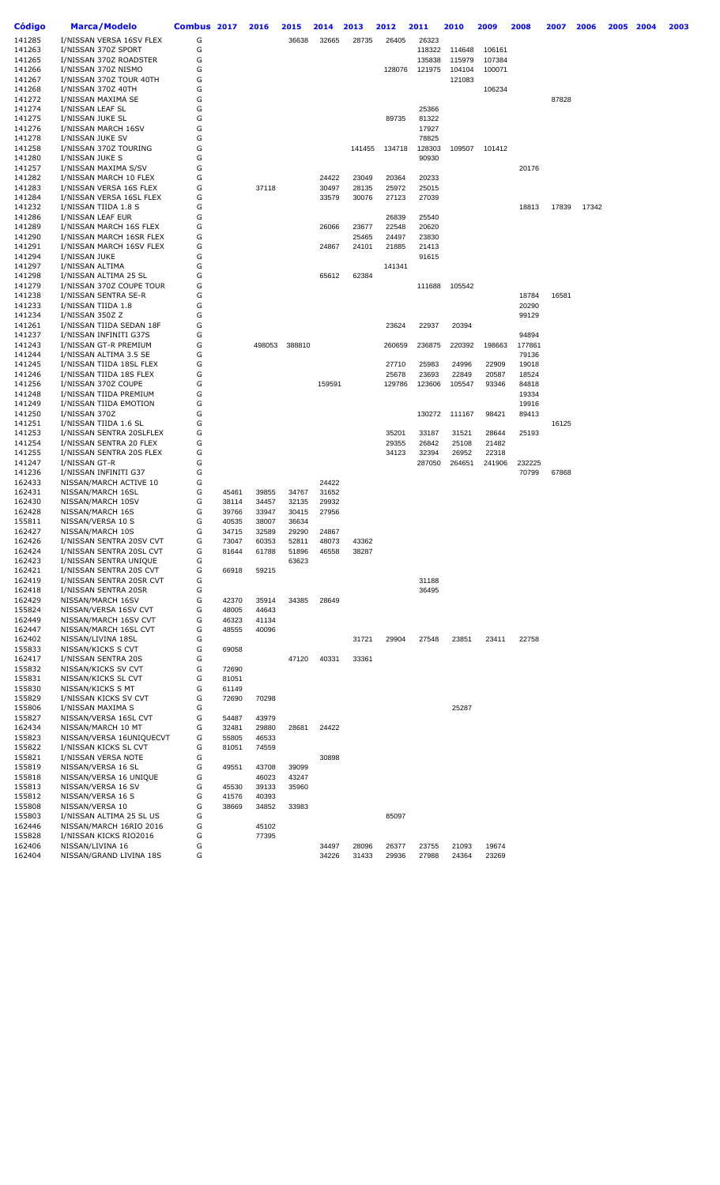| Código           | Marca/Modelo                          | Combus 2017 |                | 2016           | 2015           | 2014           | 2013   | 2012   | 2011   | 2010   | 2009          | 2008   | 2007  | 2006  | 2005 | 2004 | 2003 |
|------------------|---------------------------------------|-------------|----------------|----------------|----------------|----------------|--------|--------|--------|--------|---------------|--------|-------|-------|------|------|------|
| 141285           | I/NISSAN VERSA 16SV FLEX              | G           |                |                | 36638          | 32665          | 28735  | 26405  | 26323  |        |               |        |       |       |      |      |      |
| 141263           | I/NISSAN 370Z SPORT                   | G           |                |                |                |                |        |        | 118322 | 114648 | 106161        |        |       |       |      |      |      |
| 141265           | I/NISSAN 370Z ROADSTER                | G           |                |                |                |                |        |        | 135838 | 115979 | 107384        |        |       |       |      |      |      |
| 141266           | I/NISSAN 370Z NISMO                   | G           |                |                |                |                |        | 128076 | 121975 | 104104 | 100071        |        |       |       |      |      |      |
| 141267           | I/NISSAN 370Z TOUR 40TH               | G           |                |                |                |                |        |        |        | 121083 |               |        |       |       |      |      |      |
| 141268           | I/NISSAN 370Z 40TH                    | G           |                |                |                |                |        |        |        |        | 106234        |        |       |       |      |      |      |
| 141272           | I/NISSAN MAXIMA SE                    | G           |                |                |                |                |        |        |        |        |               |        | 87828 |       |      |      |      |
| 141274           | I/NISSAN LEAF SL                      | G           |                |                |                |                |        |        | 25366  |        |               |        |       |       |      |      |      |
| 141275           | I/NISSAN JUKE SL                      | G           |                |                |                |                |        | 89735  | 81322  |        |               |        |       |       |      |      |      |
| 141276           | I/NISSAN MARCH 16SV                   | G           |                |                |                |                |        |        | 17927  |        |               |        |       |       |      |      |      |
| 141278           | I/NISSAN JUKE SV                      | G           |                |                |                |                |        |        | 78825  |        |               |        |       |       |      |      |      |
| 141258           | I/NISSAN 370Z TOURING                 | G           |                |                |                |                | 141455 | 134718 | 128303 |        | 109507 101412 |        |       |       |      |      |      |
| 141280           | I/NISSAN JUKE S                       | G           |                |                |                |                |        |        | 90930  |        |               |        |       |       |      |      |      |
| 141257           | I/NISSAN MAXIMA S/SV                  | G           |                |                |                |                |        |        |        |        |               | 20176  |       |       |      |      |      |
| 141282           | I/NISSAN MARCH 10 FLEX                | G           |                |                |                | 24422          | 23049  | 20364  | 20233  |        |               |        |       |       |      |      |      |
| 141283           | I/NISSAN VERSA 16S FLEX               | G           |                | 37118          |                | 30497          | 28135  | 25972  | 25015  |        |               |        |       |       |      |      |      |
| 141284           | I/NISSAN VERSA 16SL FLEX              | G           |                |                |                | 33579          | 30076  | 27123  | 27039  |        |               |        |       |       |      |      |      |
| 141232           | I/NISSAN TIIDA 1.8 S                  | G           |                |                |                |                |        |        |        |        |               | 18813  | 17839 | 17342 |      |      |      |
| 141286           | I/NISSAN LEAF EUR                     | G           |                |                |                |                |        | 26839  | 25540  |        |               |        |       |       |      |      |      |
| 141289           | I/NISSAN MARCH 16S FLEX               | G           |                |                |                | 26066          | 23677  | 22548  | 20620  |        |               |        |       |       |      |      |      |
| 141290           | I/NISSAN MARCH 16SR FLEX              | G           |                |                |                |                | 25465  | 24497  | 23830  |        |               |        |       |       |      |      |      |
| 141291           | I/NISSAN MARCH 16SV FLEX              | G           |                |                |                | 24867          | 24101  | 21885  | 21413  |        |               |        |       |       |      |      |      |
| 141294           | I/NISSAN JUKE                         | G           |                |                |                |                |        |        | 91615  |        |               |        |       |       |      |      |      |
| 141297           | I/NISSAN ALTIMA                       | G           |                |                |                |                |        | 141341 |        |        |               |        |       |       |      |      |      |
| 141298           | I/NISSAN ALTIMA 25 SL                 | G           |                |                |                | 65612          | 62384  |        |        |        |               |        |       |       |      |      |      |
| 141279           | I/NISSAN 370Z COUPE TOUR              | G           |                |                |                |                |        |        | 111688 | 105542 |               |        |       |       |      |      |      |
| 141238           | I/NISSAN SENTRA SE-R                  | G           |                |                |                |                |        |        |        |        |               | 18784  | 16581 |       |      |      |      |
| 141233           | I/NISSAN TIIDA 1.8                    | G           |                |                |                |                |        |        |        |        |               | 20290  |       |       |      |      |      |
| 141234           | I/NISSAN 350Z Z                       | G           |                |                |                |                |        |        |        |        |               | 99129  |       |       |      |      |      |
| 141261           | I/NISSAN TIIDA SEDAN 18F              | G           |                |                |                |                |        | 23624  | 22937  | 20394  |               |        |       |       |      |      |      |
| 141237           | I/NISSAN INFINITI G37S                | G           |                |                |                |                |        |        |        |        |               | 94894  |       |       |      |      |      |
| 141243           | I/NISSAN GT-R PREMIUM                 | G           |                | 498053         | 388810         |                |        | 260659 | 236875 | 220392 | 198663        | 177861 |       |       |      |      |      |
| 141244           | I/NISSAN ALTIMA 3.5 SE                | G           |                |                |                |                |        |        |        |        |               | 79136  |       |       |      |      |      |
| 141245           | I/NISSAN TIIDA 18SL FLEX              | G           |                |                |                |                |        | 27710  | 25983  | 24996  | 22909         | 19018  |       |       |      |      |      |
| 141246           | I/NISSAN TIIDA 18S FLEX               | G           |                |                |                |                |        | 25678  | 23693  | 22849  | 20587         | 18524  |       |       |      |      |      |
| 141256           | I/NISSAN 370Z COUPE                   | G           |                |                |                | 159591         |        | 129786 | 123606 | 105547 | 93346         | 84818  |       |       |      |      |      |
| 141248           | I/NISSAN TIIDA PREMIUM                | G           |                |                |                |                |        |        |        |        |               | 19334  |       |       |      |      |      |
| 141249           | I/NISSAN TIIDA EMOTION                | G           |                |                |                |                |        |        |        |        |               | 19916  |       |       |      |      |      |
| 141250           | I/NISSAN 370Z                         | G           |                |                |                |                |        |        | 130272 | 111167 | 98421         | 89413  |       |       |      |      |      |
| 141251           | I/NISSAN TIIDA 1.6 SL                 | G           |                |                |                |                |        |        |        |        |               |        | 16125 |       |      |      |      |
| 141253           | I/NISSAN SENTRA 20SLFLEX              | G           |                |                |                |                |        | 35201  | 33187  | 31521  | 28644         | 25193  |       |       |      |      |      |
| 141254           | I/NISSAN SENTRA 20 FLEX               | G           |                |                |                |                |        | 29355  | 26842  | 25108  | 21482         |        |       |       |      |      |      |
| 141255           | I/NISSAN SENTRA 20S FLEX              | G           |                |                |                |                |        | 34123  | 32394  | 26952  | 22318         |        |       |       |      |      |      |
| 141247           | I/NISSAN GT-R                         | G           |                |                |                |                |        |        | 287050 | 264651 | 241906        | 232225 |       |       |      |      |      |
| 141236           | I/NISSAN INFINITI G37                 | G           |                |                |                |                |        |        |        |        |               | 70799  | 67868 |       |      |      |      |
| 162433           | NISSAN/MARCH ACTIVE 10                | G           |                |                |                | 24422          |        |        |        |        |               |        |       |       |      |      |      |
| 162431           | NISSAN/MARCH 16SL                     | G<br>G      | 45461          | 39855          | 34767          | 31652          |        |        |        |        |               |        |       |       |      |      |      |
| 162430<br>162428 | NISSAN/MARCH 10SV                     | G           | 38114<br>39766 | 34457<br>33947 | 32135<br>30415 | 29932<br>27956 |        |        |        |        |               |        |       |       |      |      |      |
|                  | NISSAN/MARCH 16S                      | G           |                |                |                |                |        |        |        |        |               |        |       |       |      |      |      |
| 155811<br>162427 | NISSAN/VERSA 10 S<br>NISSAN/MARCH 10S | G           | 40535          | 38007<br>32589 | 36634<br>29290 |                |        |        |        |        |               |        |       |       |      |      |      |
| 162426           | I/NISSAN SENTRA 20SV CVT              | G           | 34715<br>73047 | 60353          | 52811          | 24867<br>48073 | 43362  |        |        |        |               |        |       |       |      |      |      |
| 162424           | I/NISSAN SENTRA 20SL CVT              | G           | 81644          | 61788          | 51896          | 46558          | 38287  |        |        |        |               |        |       |       |      |      |      |
| 162423           | I/NISSAN SENTRA UNIQUE                | G           |                |                | 63623          |                |        |        |        |        |               |        |       |       |      |      |      |
| 162421           | I/NISSAN SENTRA 20S CVT               | G           | 66918          | 59215          |                |                |        |        |        |        |               |        |       |       |      |      |      |
| 162419           | I/NISSAN SENTRA 20SR CVT              | G           |                |                |                |                |        |        | 31188  |        |               |        |       |       |      |      |      |
| 162418           | I/NISSAN SENTRA 20SR                  | G           |                |                |                |                |        |        | 36495  |        |               |        |       |       |      |      |      |
| 162429           | NISSAN/MARCH 16SV                     | G           | 42370          | 35914          | 34385          | 28649          |        |        |        |        |               |        |       |       |      |      |      |
| 155824           | NISSAN/VERSA 16SV CVT                 | G           | 48005          | 44643          |                |                |        |        |        |        |               |        |       |       |      |      |      |
| 162449           | NISSAN/MARCH 16SV CVT                 | G           | 46323          | 41134          |                |                |        |        |        |        |               |        |       |       |      |      |      |
| 162447           | NISSAN/MARCH 16SL CVT                 | G           | 48555          | 40096          |                |                |        |        |        |        |               |        |       |       |      |      |      |
| 162402           | NISSAN/LIVINA 18SL                    | G           |                |                |                |                | 31721  | 29904  | 27548  | 23851  | 23411         | 22758  |       |       |      |      |      |
| 155833           | NISSAN/KICKS S CVT                    | G           | 69058          |                |                |                |        |        |        |        |               |        |       |       |      |      |      |
| 162417           | I/NISSAN SENTRA 20S                   | G           |                |                | 47120          | 40331          | 33361  |        |        |        |               |        |       |       |      |      |      |
| 155832           | NISSAN/KICKS SV CVT                   | G           | 72690          |                |                |                |        |        |        |        |               |        |       |       |      |      |      |
| 155831           | NISSAN/KICKS SL CVT                   | G           | 81051          |                |                |                |        |        |        |        |               |        |       |       |      |      |      |
| 155830           | NISSAN/KICKS S MT                     | G           | 61149          |                |                |                |        |        |        |        |               |        |       |       |      |      |      |
| 155829           | I/NISSAN KICKS SV CVT                 | G           | 72690          | 70298          |                |                |        |        |        |        |               |        |       |       |      |      |      |
| 155806           | I/NISSAN MAXIMA S                     | G           |                |                |                |                |        |        |        | 25287  |               |        |       |       |      |      |      |
| 155827           | NISSAN/VERSA 16SL CVT                 | G           | 54487          | 43979          |                |                |        |        |        |        |               |        |       |       |      |      |      |
| 162434           | NISSAN/MARCH 10 MT                    | G           | 32481          | 29880          | 28681          | 24422          |        |        |        |        |               |        |       |       |      |      |      |
| 155823           | NISSAN/VERSA 16UNIQUECVT              | G           | 55805          | 46533          |                |                |        |        |        |        |               |        |       |       |      |      |      |
| 155822           | I/NISSAN KICKS SL CVT                 | G           | 81051          | 74559          |                |                |        |        |        |        |               |        |       |       |      |      |      |
| 155821           | I/NISSAN VERSA NOTE                   | G           |                |                |                | 30898          |        |        |        |        |               |        |       |       |      |      |      |
| 155819           | NISSAN/VERSA 16 SL                    | G           | 49551          | 43708          | 39099          |                |        |        |        |        |               |        |       |       |      |      |      |
| 155818           | NISSAN/VERSA 16 UNIQUE                | G           |                | 46023          | 43247          |                |        |        |        |        |               |        |       |       |      |      |      |
| 155813           | NISSAN/VERSA 16 SV                    | G           | 45530          | 39133          | 35960          |                |        |        |        |        |               |        |       |       |      |      |      |
| 155812           | NISSAN/VERSA 16 S                     | G           | 41576          | 40393          |                |                |        |        |        |        |               |        |       |       |      |      |      |
| 155808           | NISSAN/VERSA 10                       | G           | 38669          | 34852          | 33983          |                |        |        |        |        |               |        |       |       |      |      |      |
| 155803           | I/NISSAN ALTIMA 25 SL US              | G           |                |                |                |                |        | 85097  |        |        |               |        |       |       |      |      |      |
| 162446           | NISSAN/MARCH 16RIO 2016               | G           |                | 45102          |                |                |        |        |        |        |               |        |       |       |      |      |      |
| 155828           | I/NISSAN KICKS RIO2016                | G           |                | 77395          |                |                |        |        |        |        |               |        |       |       |      |      |      |
| 162406           | NISSAN/LIVINA 16                      | G           |                |                |                | 34497          | 28096  | 26377  | 23755  | 21093  | 19674         |        |       |       |      |      |      |
| 162404           | NISSAN/GRAND LIVINA 18S               | G           |                |                |                | 34226          | 31433  | 29936  | 27988  | 24364  | 23269         |        |       |       |      |      |      |
|                  |                                       |             |                |                |                |                |        |        |        |        |               |        |       |       |      |      |      |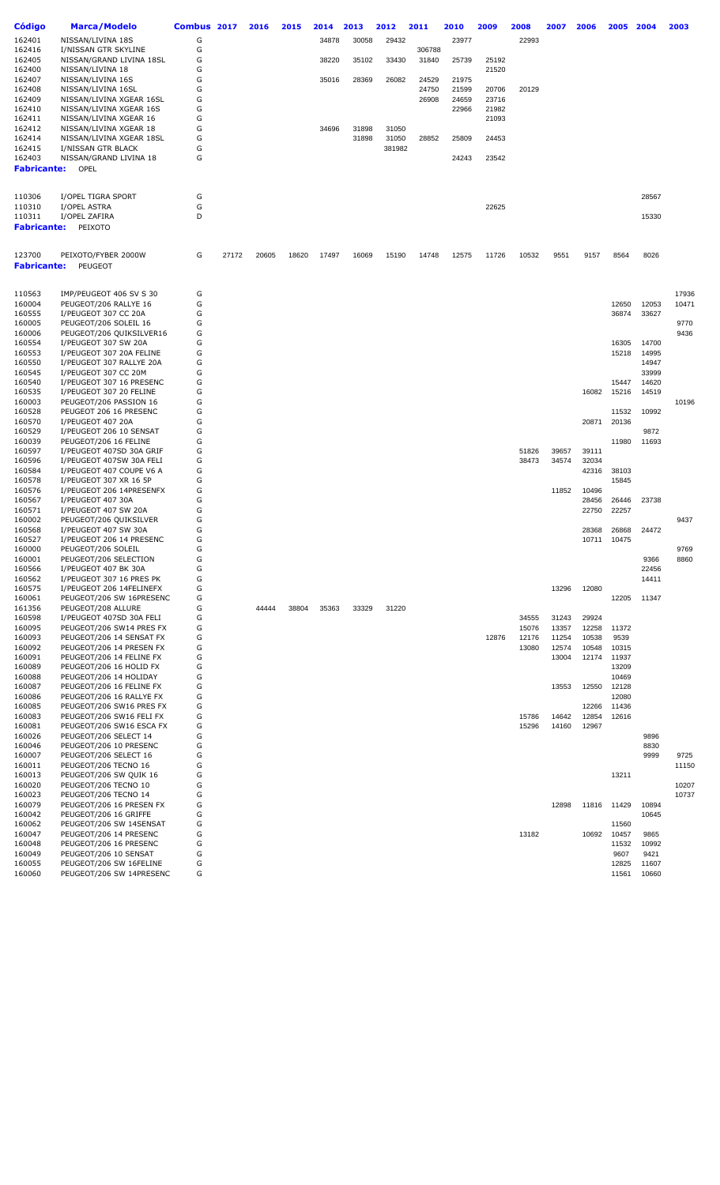| Código                | <b>Marca/Modelo</b>                                  | Combus 2017 |       | 2016  | 2015  | 2014  | 2013  | 2012   | 2011   | 2010  | 2009  | 2008           | 2007           | 2006           | 2005           | 2004          | 2003         |
|-----------------------|------------------------------------------------------|-------------|-------|-------|-------|-------|-------|--------|--------|-------|-------|----------------|----------------|----------------|----------------|---------------|--------------|
| 162401                | NISSAN/LIVINA 18S                                    | G           |       |       |       | 34878 | 30058 | 29432  |        | 23977 |       | 22993          |                |                |                |               |              |
| 162416                | I/NISSAN GTR SKYLINE                                 | G           |       |       |       |       |       |        | 306788 |       |       |                |                |                |                |               |              |
| 162405                | NISSAN/GRAND LIVINA 18SL                             | G           |       |       |       | 38220 | 35102 | 33430  | 31840  | 25739 | 25192 |                |                |                |                |               |              |
| 162400                | NISSAN/LIVINA 18                                     | G           |       |       |       |       |       |        |        |       | 21520 |                |                |                |                |               |              |
| 162407                | NISSAN/LIVINA 16S                                    | G           |       |       |       | 35016 | 28369 | 26082  | 24529  | 21975 |       |                |                |                |                |               |              |
| 162408                | NISSAN/LIVINA 16SL                                   | G           |       |       |       |       |       |        | 24750  | 21599 | 20706 | 20129          |                |                |                |               |              |
| 162409                | NISSAN/LIVINA XGEAR 16SL                             | G           |       |       |       |       |       |        | 26908  | 24659 | 23716 |                |                |                |                |               |              |
| 162410                | NISSAN/LIVINA XGEAR 16S                              | G           |       |       |       |       |       |        |        | 22966 | 21982 |                |                |                |                |               |              |
| 162411                | NISSAN/LIVINA XGEAR 16                               | G           |       |       |       |       |       |        |        |       | 21093 |                |                |                |                |               |              |
| 162412                | NISSAN/LIVINA XGEAR 18                               | G           |       |       |       | 34696 | 31898 | 31050  |        |       |       |                |                |                |                |               |              |
| 162414                | NISSAN/LIVINA XGEAR 18SL                             | G           |       |       |       |       | 31898 | 31050  | 28852  | 25809 | 24453 |                |                |                |                |               |              |
| 162415                | I/NISSAN GTR BLACK                                   | G           |       |       |       |       |       | 381982 |        |       |       |                |                |                |                |               |              |
| 162403<br>Fabricante: | NISSAN/GRAND LIVINA 18<br>OPEL                       | G           |       |       |       |       |       |        |        | 24243 | 23542 |                |                |                |                |               |              |
|                       |                                                      |             |       |       |       |       |       |        |        |       |       |                |                |                |                |               |              |
| 110306                | I/OPEL TIGRA SPORT                                   | G           |       |       |       |       |       |        |        |       |       |                |                |                |                | 28567         |              |
| 110310                | I/OPEL ASTRA                                         | G           |       |       |       |       |       |        |        |       | 22625 |                |                |                |                |               |              |
| 110311                | I/OPEL ZAFIRA                                        | D           |       |       |       |       |       |        |        |       |       |                |                |                |                | 15330         |              |
| <b>Fabricante:</b>    | PEIXOTO                                              |             |       |       |       |       |       |        |        |       |       |                |                |                |                |               |              |
|                       |                                                      |             |       |       |       |       |       |        |        |       |       |                |                |                |                |               |              |
| 123700                | PEIXOTO/FYBER 2000W                                  | G           | 27172 | 20605 | 18620 | 17497 | 16069 | 15190  | 14748  | 12575 | 11726 | 10532          | 9551           | 9157           | 8564           | 8026          |              |
| <b>Fabricante:</b>    | PEUGEOT                                              |             |       |       |       |       |       |        |        |       |       |                |                |                |                |               |              |
|                       |                                                      |             |       |       |       |       |       |        |        |       |       |                |                |                |                |               |              |
| 110563                | IMP/PEUGEOT 406 SV S 30                              | G           |       |       |       |       |       |        |        |       |       |                |                |                |                |               | 17936        |
| 160004                | PEUGEOT/206 RALLYE 16                                | G           |       |       |       |       |       |        |        |       |       |                |                |                | 12650          | 12053         | 10471        |
| 160555                | I/PEUGEOT 307 CC 20A                                 | G           |       |       |       |       |       |        |        |       |       |                |                |                | 36874          | 33627         |              |
| 160005                | PEUGEOT/206 SOLEIL 16<br>PEUGEOT/206 QUIKSILVER16    | G<br>G      |       |       |       |       |       |        |        |       |       |                |                |                |                |               | 9770<br>9436 |
| 160006<br>160554      | I/PEUGEOT 307 SW 20A                                 | G           |       |       |       |       |       |        |        |       |       |                |                |                | 16305          | 14700         |              |
| 160553                | I/PEUGEOT 307 20A FELINE                             | G           |       |       |       |       |       |        |        |       |       |                |                |                | 15218          | 14995         |              |
| 160550                | I/PEUGEOT 307 RALLYE 20A                             | G           |       |       |       |       |       |        |        |       |       |                |                |                |                | 14947         |              |
| 160545                | I/PEUGEOT 307 CC 20M                                 | G           |       |       |       |       |       |        |        |       |       |                |                |                |                | 33999         |              |
| 160540                | I/PEUGEOT 307 16 PRESENC                             | G           |       |       |       |       |       |        |        |       |       |                |                |                | 15447          | 14620         |              |
| 160535                | I/PEUGEOT 307 20 FELINE                              | G           |       |       |       |       |       |        |        |       |       |                |                | 16082          | 15216          | 14519         |              |
| 160003                | PEUGEOT/206 PASSION 16                               | G           |       |       |       |       |       |        |        |       |       |                |                |                |                |               | 10196        |
| 160528                | PEUGEOT 206 16 PRESENC                               | G           |       |       |       |       |       |        |        |       |       |                |                |                | 11532          | 10992         |              |
| 160570                | I/PEUGEOT 407 20A                                    | G           |       |       |       |       |       |        |        |       |       |                |                | 20871          | 20136          |               |              |
| 160529                | I/PEUGEOT 206 10 SENSAT                              | G           |       |       |       |       |       |        |        |       |       |                |                |                |                | 9872          |              |
| 160039                | PEUGEOT/206 16 FELINE                                | G           |       |       |       |       |       |        |        |       |       |                |                |                | 11980          | 11693         |              |
| 160597                | I/PEUGEOT 407SD 30A GRIF                             | G           |       |       |       |       |       |        |        |       |       | 51826          | 39657          | 39111          |                |               |              |
| 160596                | I/PEUGEOT 407SW 30A FELI                             | G           |       |       |       |       |       |        |        |       |       | 38473          | 34574          | 32034          |                |               |              |
| 160584                | I/PEUGEOT 407 COUPE V6 A                             | G           |       |       |       |       |       |        |        |       |       |                |                | 42316          | 38103          |               |              |
| 160578                | I/PEUGEOT 307 XR 16 5P<br>I/PEUGEOT 206 14PRESENFX   | G<br>G      |       |       |       |       |       |        |        |       |       |                |                |                | 15845          |               |              |
| 160576<br>160567      | I/PEUGEOT 407 30A                                    | G           |       |       |       |       |       |        |        |       |       |                | 11852          | 10496<br>28456 | 26446          | 23738         |              |
| 160571                | I/PEUGEOT 407 SW 20A                                 | G           |       |       |       |       |       |        |        |       |       |                |                | 22750          | 22257          |               |              |
| 160002                | PEUGEOT/206 QUIKSILVER                               | G           |       |       |       |       |       |        |        |       |       |                |                |                |                |               | 9437         |
| 160568                | I/PEUGEOT 407 SW 30A                                 | G           |       |       |       |       |       |        |        |       |       |                |                | 28368          | 26868          | 24472         |              |
| 160527                | I/PEUGEOT 206 14 PRESENC                             | G           |       |       |       |       |       |        |        |       |       |                |                | 10711          | 10475          |               |              |
| 160000                | PEUGEOT/206 SOLEIL                                   | G           |       |       |       |       |       |        |        |       |       |                |                |                |                |               | 9769         |
| 160001                | PEUGEOT/206 SELECTION                                | G           |       |       |       |       |       |        |        |       |       |                |                |                |                | 9366          | 8860         |
| 160566                | I/PEUGEOT 407 BK 30A                                 | G           |       |       |       |       |       |        |        |       |       |                |                |                |                | 22456         |              |
| 160562                | I/PEUGEOT 307 16 PRES PK                             | G           |       |       |       |       |       |        |        |       |       |                |                |                |                | 14411         |              |
| 160575                | I/PEUGEOT 206 14FELINEFX                             | G           |       |       |       |       |       |        |        |       |       |                | 13296          | 12080          |                |               |              |
| 160061                | PEUGEOT/206 SW 16PRESENC                             | G           |       |       |       |       |       |        |        |       |       |                |                |                | 12205          | 11347         |              |
| 161356                | PEUGEOT/208 ALLURE                                   | G           |       | 44444 | 38804 | 35363 | 33329 | 31220  |        |       |       |                |                |                |                |               |              |
| 160598                | I/PEUGEOT 407SD 30A FELI                             | G           |       |       |       |       |       |        |        |       |       | 34555          | 31243          | 29924          |                |               |              |
| 160095<br>160093      | PEUGEOT/206 SW14 PRES FX<br>PEUGEOT/206 14 SENSAT FX | G<br>G      |       |       |       |       |       |        |        |       | 12876 | 15076<br>12176 | 13357<br>11254 | 12258<br>10538 | 11372<br>9539  |               |              |
| 160092                | PEUGEOT/206 14 PRESEN FX                             | G           |       |       |       |       |       |        |        |       |       | 13080          | 12574          | 10548          | 10315          |               |              |
| 160091                | PEUGEOT/206 14 FELINE FX                             | G           |       |       |       |       |       |        |        |       |       |                | 13004          | 12174          | 11937          |               |              |
| 160089                | PEUGEOT/206 16 HOLID FX                              | G           |       |       |       |       |       |        |        |       |       |                |                |                | 13209          |               |              |
| 160088                | PEUGEOT/206 14 HOLIDAY                               | G           |       |       |       |       |       |        |        |       |       |                |                |                | 10469          |               |              |
| 160087                | PEUGEOT/206 16 FELINE FX                             | G           |       |       |       |       |       |        |        |       |       |                | 13553          | 12550          | 12128          |               |              |
| 160086                | PEUGEOT/206 16 RALLYE FX                             | G           |       |       |       |       |       |        |        |       |       |                |                |                | 12080          |               |              |
| 160085                | PEUGEOT/206 SW16 PRES FX                             | G           |       |       |       |       |       |        |        |       |       |                |                | 12266          | 11436          |               |              |
| 160083                | PEUGEOT/206 SW16 FELI FX                             | G           |       |       |       |       |       |        |        |       |       | 15786          | 14642          | 12854          | 12616          |               |              |
| 160081                | PEUGEOT/206 SW16 ESCA FX                             | G           |       |       |       |       |       |        |        |       |       | 15296          | 14160          | 12967          |                |               |              |
| 160026                | PEUGEOT/206 SELECT 14                                | G           |       |       |       |       |       |        |        |       |       |                |                |                |                | 9896          |              |
| 160046                | PEUGEOT/206 10 PRESENC                               | G           |       |       |       |       |       |        |        |       |       |                |                |                |                | 8830          |              |
| 160007                | PEUGEOT/206 SELECT 16                                | G           |       |       |       |       |       |        |        |       |       |                |                |                |                | 9999          | 9725         |
| 160011                | PEUGEOT/206 TECNO 16                                 | G           |       |       |       |       |       |        |        |       |       |                |                |                |                |               | 11150        |
| 160013                | PEUGEOT/206 SW QUIK 16                               | G           |       |       |       |       |       |        |        |       |       |                |                |                | 13211          |               |              |
| 160020                | PEUGEOT/206 TECNO 10                                 | G           |       |       |       |       |       |        |        |       |       |                |                |                |                |               | 10207        |
| 160023                | PEUGEOT/206 TECNO 14                                 | G           |       |       |       |       |       |        |        |       |       |                |                |                |                |               | 10737        |
| 160079                | PEUGEOT/206 16 PRESEN FX                             | G           |       |       |       |       |       |        |        |       |       |                | 12898          | 11816          | 11429          | 10894         |              |
| 160042                | PEUGEOT/206 16 GRIFFE                                | G           |       |       |       |       |       |        |        |       |       |                |                |                |                | 10645         |              |
| 160062                | PEUGEOT/206 SW 14SENSAT                              | G<br>G      |       |       |       |       |       |        |        |       |       |                |                |                | 11560          |               |              |
| 160047<br>160048      | PEUGEOT/206 14 PRESENC<br>PEUGEOT/206 16 PRESENC     | G           |       |       |       |       |       |        |        |       |       | 13182          |                | 10692          | 10457<br>11532 | 9865<br>10992 |              |
| 160049                | PEUGEOT/206 10 SENSAT                                | G           |       |       |       |       |       |        |        |       |       |                |                |                | 9607           | 9421          |              |
| 160055                | PEUGEOT/206 SW 16FELINE                              | G           |       |       |       |       |       |        |        |       |       |                |                |                | 12825          | 11607         |              |
| 160060                | PEUGEOT/206 SW 14PRESENC                             | G           |       |       |       |       |       |        |        |       |       |                |                |                | 11561          | 10660         |              |
|                       |                                                      |             |       |       |       |       |       |        |        |       |       |                |                |                |                |               |              |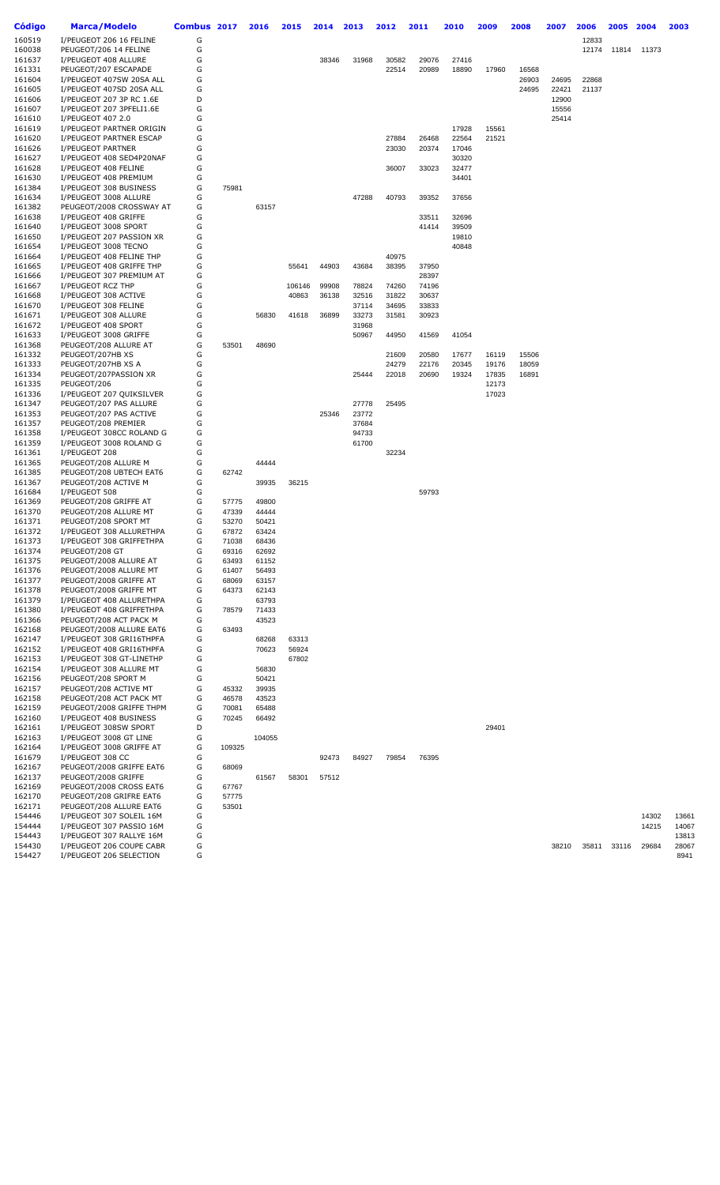| Código | Marca/Modelo             | Combus 2017 |        | 2016   | 2015   | 2014  | 2013  | 2012  | 2011  | 2010  | 2009  | 2008  | 2007  | 2006  | 2005  | 2004  | 2003  |
|--------|--------------------------|-------------|--------|--------|--------|-------|-------|-------|-------|-------|-------|-------|-------|-------|-------|-------|-------|
| 160519 | I/PEUGEOT 206 16 FELINE  | G           |        |        |        |       |       |       |       |       |       |       |       | 12833 |       |       |       |
| 160038 | PEUGEOT/206 14 FELINE    | G           |        |        |        |       |       |       |       |       |       |       |       | 12174 | 11814 | 11373 |       |
| 161637 | I/PEUGEOT 408 ALLURE     | G           |        |        |        | 38346 | 31968 | 30582 | 29076 | 27416 |       |       |       |       |       |       |       |
| 161331 | PEUGEOT/207 ESCAPADE     | G           |        |        |        |       |       | 22514 | 20989 | 18890 | 17960 | 16568 |       |       |       |       |       |
| 161604 | I/PEUGEOT 407SW 20SA ALL | G           |        |        |        |       |       |       |       |       |       | 26903 | 24695 | 22868 |       |       |       |
| 161605 | I/PEUGEOT 407SD 20SA ALL | G           |        |        |        |       |       |       |       |       |       | 24695 | 22421 | 21137 |       |       |       |
| 161606 | I/PEUGEOT 207 3P RC 1.6E | D           |        |        |        |       |       |       |       |       |       |       | 12900 |       |       |       |       |
|        |                          | G           |        |        |        |       |       |       |       |       |       |       |       |       |       |       |       |
| 161607 | I/PEUGEOT 207 3PFELI1.6E | G           |        |        |        |       |       |       |       |       |       |       | 15556 |       |       |       |       |
| 161610 | I/PEUGEOT 407 2.0        | G           |        |        |        |       |       |       |       |       |       |       | 25414 |       |       |       |       |
| 161619 | I/PEUGEOT PARTNER ORIGIN |             |        |        |        |       |       |       |       | 17928 | 15561 |       |       |       |       |       |       |
| 161620 | I/PEUGEOT PARTNER ESCAP  | G           |        |        |        |       |       | 27884 | 26468 | 22564 | 21521 |       |       |       |       |       |       |
| 161626 | I/PEUGEOT PARTNER        | G           |        |        |        |       |       | 23030 | 20374 | 17046 |       |       |       |       |       |       |       |
| 161627 | I/PEUGEOT 408 SED4P20NAF | G           |        |        |        |       |       |       |       | 30320 |       |       |       |       |       |       |       |
| 161628 | I/PEUGEOT 408 FELINE     | G           |        |        |        |       |       | 36007 | 33023 | 32477 |       |       |       |       |       |       |       |
| 161630 | I/PEUGEOT 408 PREMIUM    | G           |        |        |        |       |       |       |       | 34401 |       |       |       |       |       |       |       |
| 161384 | I/PEUGEOT 308 BUSINESS   | G           | 75981  |        |        |       |       |       |       |       |       |       |       |       |       |       |       |
| 161634 | I/PEUGEOT 3008 ALLURE    | G           |        |        |        |       | 47288 | 40793 | 39352 | 37656 |       |       |       |       |       |       |       |
| 161382 | PEUGEOT/2008 CROSSWAY AT | G           |        | 63157  |        |       |       |       |       |       |       |       |       |       |       |       |       |
| 161638 | I/PEUGEOT 408 GRIFFE     | G           |        |        |        |       |       |       | 33511 | 32696 |       |       |       |       |       |       |       |
| 161640 | I/PEUGEOT 3008 SPORT     | G           |        |        |        |       |       |       | 41414 | 39509 |       |       |       |       |       |       |       |
| 161650 | I/PEUGEOT 207 PASSION XR | G           |        |        |        |       |       |       |       | 19810 |       |       |       |       |       |       |       |
| 161654 | I/PEUGEOT 3008 TECNO     | G           |        |        |        |       |       |       |       | 40848 |       |       |       |       |       |       |       |
| 161664 | I/PEUGEOT 408 FELINE THP | G           |        |        |        |       |       | 40975 |       |       |       |       |       |       |       |       |       |
| 161665 | I/PEUGEOT 408 GRIFFE THP | G           |        |        | 55641  | 44903 | 43684 | 38395 | 37950 |       |       |       |       |       |       |       |       |
| 161666 | I/PEUGEOT 307 PREMIUM AT | G           |        |        |        |       |       |       | 28397 |       |       |       |       |       |       |       |       |
| 161667 | I/PEUGEOT RCZ THP        | G           |        |        | 106146 | 99908 | 78824 | 74260 | 74196 |       |       |       |       |       |       |       |       |
| 161668 | I/PEUGEOT 308 ACTIVE     | G           |        |        | 40863  | 36138 | 32516 | 31822 | 30637 |       |       |       |       |       |       |       |       |
| 161670 | I/PEUGEOT 308 FELINE     | G           |        |        |        |       | 37114 | 34695 | 33833 |       |       |       |       |       |       |       |       |
| 161671 | I/PEUGEOT 308 ALLURE     | G           |        | 56830  | 41618  | 36899 | 33273 | 31581 | 30923 |       |       |       |       |       |       |       |       |
| 161672 | I/PEUGEOT 408 SPORT      | G           |        |        |        |       | 31968 |       |       |       |       |       |       |       |       |       |       |
| 161633 | I/PEUGEOT 3008 GRIFFE    | G           |        |        |        |       | 50967 | 44950 | 41569 | 41054 |       |       |       |       |       |       |       |
| 161368 | PEUGEOT/208 ALLURE AT    | G           | 53501  | 48690  |        |       |       |       |       |       |       |       |       |       |       |       |       |
| 161332 | PEUGEOT/207HB XS         | G           |        |        |        |       |       | 21609 | 20580 | 17677 | 16119 | 15506 |       |       |       |       |       |
| 161333 | PEUGEOT/207HB XS A       | G           |        |        |        |       |       | 24279 | 22176 | 20345 | 19176 | 18059 |       |       |       |       |       |
| 161334 | PEUGEOT/207PASSION XR    | G           |        |        |        |       | 25444 | 22018 | 20690 | 19324 | 17835 | 16891 |       |       |       |       |       |
| 161335 | PEUGEOT/206              | G           |        |        |        |       |       |       |       |       | 12173 |       |       |       |       |       |       |
|        |                          | G           |        |        |        |       |       |       |       |       | 17023 |       |       |       |       |       |       |
| 161336 | I/PEUGEOT 207 QUIKSILVER | G           |        |        |        |       |       |       |       |       |       |       |       |       |       |       |       |
| 161347 | PEUGEOT/207 PAS ALLURE   |             |        |        |        |       | 27778 | 25495 |       |       |       |       |       |       |       |       |       |
| 161353 | PEUGEOT/207 PAS ACTIVE   | G           |        |        |        | 25346 | 23772 |       |       |       |       |       |       |       |       |       |       |
| 161357 | PEUGEOT/208 PREMIER      | G           |        |        |        |       | 37684 |       |       |       |       |       |       |       |       |       |       |
| 161358 | I/PEUGEOT 308CC ROLAND G | G           |        |        |        |       | 94733 |       |       |       |       |       |       |       |       |       |       |
| 161359 | I/PEUGEOT 3008 ROLAND G  | G           |        |        |        |       | 61700 |       |       |       |       |       |       |       |       |       |       |
| 161361 | I/PEUGEOT 208            | G           |        |        |        |       |       | 32234 |       |       |       |       |       |       |       |       |       |
| 161365 | PEUGEOT/208 ALLURE M     | G           |        | 44444  |        |       |       |       |       |       |       |       |       |       |       |       |       |
| 161385 | PEUGEOT/208 UBTECH EAT6  | G           | 62742  |        |        |       |       |       |       |       |       |       |       |       |       |       |       |
| 161367 | PEUGEOT/208 ACTIVE M     | G           |        | 39935  | 36215  |       |       |       |       |       |       |       |       |       |       |       |       |
| 161684 | I/PEUGEOT 508            | G           |        |        |        |       |       |       | 59793 |       |       |       |       |       |       |       |       |
| 161369 | PEUGEOT/208 GRIFFE AT    | G           | 57775  | 49800  |        |       |       |       |       |       |       |       |       |       |       |       |       |
| 161370 | PEUGEOT/208 ALLURE MT    | G           | 47339  | 44444  |        |       |       |       |       |       |       |       |       |       |       |       |       |
| 161371 | PEUGEOT/208 SPORT MT     | G           | 53270  | 50421  |        |       |       |       |       |       |       |       |       |       |       |       |       |
| 161372 | I/PEUGEOT 308 ALLURETHPA | G           | 67872  | 63424  |        |       |       |       |       |       |       |       |       |       |       |       |       |
| 161373 | I/PEUGEOT 308 GRIFFETHPA | G           | 71038  | 68436  |        |       |       |       |       |       |       |       |       |       |       |       |       |
| 161374 | PEUGEOT/208 GT           | G           | 69316  | 62692  |        |       |       |       |       |       |       |       |       |       |       |       |       |
| 161375 | PEUGEOT/2008 ALLURE AT   | G           | 63493  | 61152  |        |       |       |       |       |       |       |       |       |       |       |       |       |
| 161376 | PEUGEOT/2008 ALLURE MT   | G           | 61407  | 56493  |        |       |       |       |       |       |       |       |       |       |       |       |       |
| 161377 | PEUGEOT/2008 GRIFFE AT   | G           | 68069  | 63157  |        |       |       |       |       |       |       |       |       |       |       |       |       |
| 161378 | PEUGEOT/2008 GRIFFE MT   | G           | 64373  | 62143  |        |       |       |       |       |       |       |       |       |       |       |       |       |
| 161379 | I/PEUGEOT 408 ALLURETHPA | G           |        | 63793  |        |       |       |       |       |       |       |       |       |       |       |       |       |
| 161380 | I/PEUGEOT 408 GRIFFETHPA | G           | 78579  | 71433  |        |       |       |       |       |       |       |       |       |       |       |       |       |
| 161366 | PEUGEOT/208 ACT PACK M   | G           |        | 43523  |        |       |       |       |       |       |       |       |       |       |       |       |       |
| 162168 | PEUGEOT/2008 ALLURE EAT6 | G           | 63493  |        |        |       |       |       |       |       |       |       |       |       |       |       |       |
| 162147 | I/PEUGEOT 308 GRI16THPFA | G           |        | 68268  | 63313  |       |       |       |       |       |       |       |       |       |       |       |       |
| 162152 | I/PEUGEOT 408 GRI16THPFA | G           |        | 70623  | 56924  |       |       |       |       |       |       |       |       |       |       |       |       |
| 162153 | I/PEUGEOT 308 GT-LINETHP | G           |        |        | 67802  |       |       |       |       |       |       |       |       |       |       |       |       |
| 162154 | I/PEUGEOT 308 ALLURE MT  | G           |        | 56830  |        |       |       |       |       |       |       |       |       |       |       |       |       |
| 162156 | PEUGEOT/208 SPORT M      | G           |        | 50421  |        |       |       |       |       |       |       |       |       |       |       |       |       |
| 162157 | PEUGEOT/208 ACTIVE MT    | G           | 45332  | 39935  |        |       |       |       |       |       |       |       |       |       |       |       |       |
| 162158 | PEUGEOT/208 ACT PACK MT  | G           | 46578  | 43523  |        |       |       |       |       |       |       |       |       |       |       |       |       |
| 162159 | PEUGEOT/2008 GRIFFE THPM | G           | 70081  | 65488  |        |       |       |       |       |       |       |       |       |       |       |       |       |
| 162160 | I/PEUGEOT 408 BUSINESS   | G           | 70245  | 66492  |        |       |       |       |       |       |       |       |       |       |       |       |       |
| 162161 | I/PEUGEOT 308SW SPORT    | D           |        |        |        |       |       |       |       |       | 29401 |       |       |       |       |       |       |
| 162163 | I/PEUGEOT 3008 GT LINE   | G           |        | 104055 |        |       |       |       |       |       |       |       |       |       |       |       |       |
|        |                          | G           |        |        |        |       |       |       |       |       |       |       |       |       |       |       |       |
| 162164 | I/PEUGEOT 3008 GRIFFE AT |             | 109325 |        |        |       |       |       |       |       |       |       |       |       |       |       |       |
| 161679 | I/PEUGEOT 308 CC         | G           |        |        |        | 92473 | 84927 | 79854 | 76395 |       |       |       |       |       |       |       |       |
| 162167 | PEUGEOT/2008 GRIFFE EAT6 | G           | 68069  |        |        |       |       |       |       |       |       |       |       |       |       |       |       |
| 162137 | PEUGEOT/2008 GRIFFE      | G           |        | 61567  | 58301  | 57512 |       |       |       |       |       |       |       |       |       |       |       |
| 162169 | PEUGEOT/2008 CROSS EAT6  | G           | 67767  |        |        |       |       |       |       |       |       |       |       |       |       |       |       |
| 162170 | PEUGEOT/208 GRIFRE EAT6  | G           | 57775  |        |        |       |       |       |       |       |       |       |       |       |       |       |       |
| 162171 | PEUGEOT/208 ALLURE EAT6  | G           | 53501  |        |        |       |       |       |       |       |       |       |       |       |       |       |       |
| 154446 | I/PEUGEOT 307 SOLEIL 16M | G           |        |        |        |       |       |       |       |       |       |       |       |       |       | 14302 | 13661 |
| 154444 | I/PEUGEOT 307 PASSIO 16M | G           |        |        |        |       |       |       |       |       |       |       |       |       |       | 14215 | 14067 |
| 154443 | I/PEUGEOT 307 RALLYE 16M | G           |        |        |        |       |       |       |       |       |       |       |       |       |       |       | 13813 |
| 154430 | I/PEUGEOT 206 COUPE CABR | G           |        |        |        |       |       |       |       |       |       |       | 38210 | 35811 | 33116 | 29684 | 28067 |
| 154427 | I/PEUGEOT 206 SELECTION  | G           |        |        |        |       |       |       |       |       |       |       |       |       |       |       | 8941  |
|        |                          |             |        |        |        |       |       |       |       |       |       |       |       |       |       |       |       |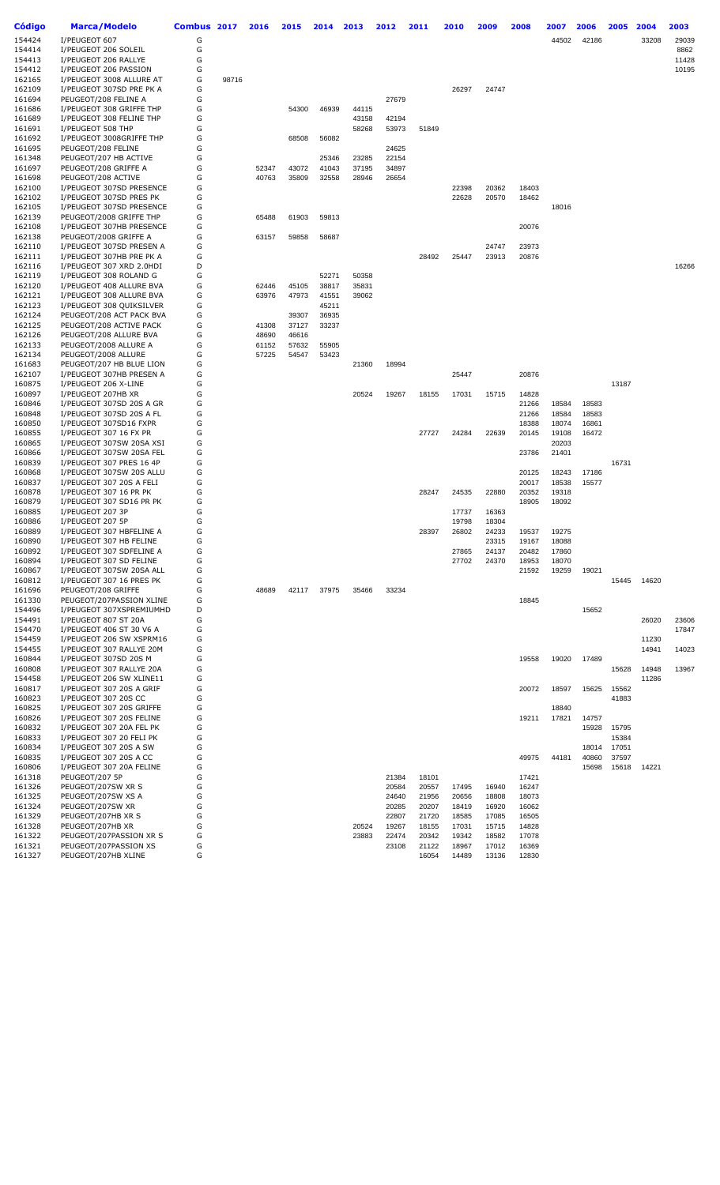| <b>Código</b> | <b>Marca/Modelo</b>      | Combus 2017 |       | 2016  | 2015  | 2014  | 2013  | 2012  | 2011  | 2010  | 2009  | 2008  | 2007  | 2006  | 2005  | 2004  | 2003  |
|---------------|--------------------------|-------------|-------|-------|-------|-------|-------|-------|-------|-------|-------|-------|-------|-------|-------|-------|-------|
| 154424        | I/PEUGEOT 607            | G           |       |       |       |       |       |       |       |       |       |       | 44502 | 42186 |       | 33208 | 29039 |
| 154414        | I/PEUGEOT 206 SOLEIL     | G           |       |       |       |       |       |       |       |       |       |       |       |       |       |       | 8862  |
| 154413        | I/PEUGEOT 206 RALLYE     | G           |       |       |       |       |       |       |       |       |       |       |       |       |       |       | 11428 |
| 154412        | I/PEUGEOT 206 PASSION    | G           |       |       |       |       |       |       |       |       |       |       |       |       |       |       | 10195 |
| 162165        | I/PEUGEOT 3008 ALLURE AT | G           | 98716 |       |       |       |       |       |       |       |       |       |       |       |       |       |       |
| 162109        | I/PEUGEOT 307SD PRE PK A | G           |       |       |       |       |       |       |       | 26297 | 24747 |       |       |       |       |       |       |
| 161694        | PEUGEOT/208 FELINE A     | G           |       |       |       |       |       | 27679 |       |       |       |       |       |       |       |       |       |
|               |                          |             |       |       |       |       |       |       |       |       |       |       |       |       |       |       |       |
| 161686        | I/PEUGEOT 308 GRIFFE THP | G           |       |       | 54300 | 46939 | 44115 |       |       |       |       |       |       |       |       |       |       |
| 161689        | I/PEUGEOT 308 FELINE THP | G           |       |       |       |       | 43158 | 42194 |       |       |       |       |       |       |       |       |       |
| 161691        | I/PEUGEOT 508 THP        | G           |       |       |       |       | 58268 | 53973 | 51849 |       |       |       |       |       |       |       |       |
| 161692        | I/PEUGEOT 3008GRIFFE THP | G           |       |       | 68508 | 56082 |       |       |       |       |       |       |       |       |       |       |       |
| 161695        | PEUGEOT/208 FELINE       | G           |       |       |       |       |       | 24625 |       |       |       |       |       |       |       |       |       |
| 161348        | PEUGEOT/207 HB ACTIVE    | G           |       |       |       | 25346 | 23285 | 22154 |       |       |       |       |       |       |       |       |       |
| 161697        | PEUGEOT/208 GRIFFE A     | G           |       | 52347 | 43072 | 41043 | 37195 | 34897 |       |       |       |       |       |       |       |       |       |
| 161698        | PEUGEOT/208 ACTIVE       | G           |       | 40763 | 35809 | 32558 | 28946 | 26654 |       |       |       |       |       |       |       |       |       |
| 162100        | I/PEUGEOT 307SD PRESENCE | G           |       |       |       |       |       |       |       | 22398 | 20362 | 18403 |       |       |       |       |       |
| 162102        | I/PEUGEOT 307SD PRES PK  | G           |       |       |       |       |       |       |       | 22628 | 20570 | 18462 |       |       |       |       |       |
| 162105        | I/PEUGEOT 307SD PRESENCE | G           |       |       |       |       |       |       |       |       |       |       | 18016 |       |       |       |       |
| 162139        | PEUGEOT/2008 GRIFFE THP  | G           |       | 65488 | 61903 | 59813 |       |       |       |       |       |       |       |       |       |       |       |
| 162108        | I/PEUGEOT 307HB PRESENCE | G           |       |       |       |       |       |       |       |       |       | 20076 |       |       |       |       |       |
| 162138        | PEUGEOT/2008 GRIFFE A    | G           |       | 63157 | 59858 | 58687 |       |       |       |       |       |       |       |       |       |       |       |
| 162110        |                          | G           |       |       |       |       |       |       |       |       | 24747 | 23973 |       |       |       |       |       |
|               | I/PEUGEOT 307SD PRESEN A |             |       |       |       |       |       |       |       |       |       |       |       |       |       |       |       |
| 162111        | I/PEUGEOT 307HB PRE PK A | G           |       |       |       |       |       |       | 28492 | 25447 | 23913 | 20876 |       |       |       |       |       |
| 162116        | I/PEUGEOT 307 XRD 2.0HDI | D           |       |       |       |       |       |       |       |       |       |       |       |       |       |       | 16266 |
| 162119        | I/PEUGEOT 308 ROLAND G   | G           |       |       |       | 52271 | 50358 |       |       |       |       |       |       |       |       |       |       |
| 162120        | I/PEUGEOT 408 ALLURE BVA | G           |       | 62446 | 45105 | 38817 | 35831 |       |       |       |       |       |       |       |       |       |       |
| 162121        | I/PEUGEOT 308 ALLURE BVA | G           |       | 63976 | 47973 | 41551 | 39062 |       |       |       |       |       |       |       |       |       |       |
| 162123        | I/PEUGEOT 308 QUIKSILVER | G           |       |       |       | 45211 |       |       |       |       |       |       |       |       |       |       |       |
| 162124        | PEUGEOT/208 ACT PACK BVA | G           |       |       | 39307 | 36935 |       |       |       |       |       |       |       |       |       |       |       |
| 162125        | PEUGEOT/208 ACTIVE PACK  | G           |       | 41308 | 37127 | 33237 |       |       |       |       |       |       |       |       |       |       |       |
| 162126        | PEUGEOT/208 ALLURE BVA   | G           |       | 48690 | 46616 |       |       |       |       |       |       |       |       |       |       |       |       |
| 162133        | PEUGEOT/2008 ALLURE A    | G           |       | 61152 | 57632 | 55905 |       |       |       |       |       |       |       |       |       |       |       |
| 162134        | PEUGEOT/2008 ALLURE      | G           |       | 57225 | 54547 | 53423 |       |       |       |       |       |       |       |       |       |       |       |
| 161683        | PEUGEOT/207 HB BLUE LION | G           |       |       |       |       | 21360 | 18994 |       |       |       |       |       |       |       |       |       |
| 162107        | I/PEUGEOT 307HB PRESEN A | G           |       |       |       |       |       |       |       | 25447 |       | 20876 |       |       |       |       |       |
|               |                          |             |       |       |       |       |       |       |       |       |       |       |       |       |       |       |       |
| 160875        | I/PEUGEOT 206 X-LINE     | G           |       |       |       |       |       |       |       |       |       |       |       |       | 13187 |       |       |
| 160897        | I/PEUGEOT 207HB XR       | G           |       |       |       |       | 20524 | 19267 | 18155 | 17031 | 15715 | 14828 |       |       |       |       |       |
| 160846        | I/PEUGEOT 307SD 20S A GR | G           |       |       |       |       |       |       |       |       |       | 21266 | 18584 | 18583 |       |       |       |
| 160848        | I/PEUGEOT 307SD 20S A FL | G           |       |       |       |       |       |       |       |       |       | 21266 | 18584 | 18583 |       |       |       |
| 160850        | I/PEUGEOT 307SD16 FXPR   | G           |       |       |       |       |       |       |       |       |       | 18388 | 18074 | 16861 |       |       |       |
| 160855        | I/PEUGEOT 307 16 FX PR   | G           |       |       |       |       |       |       | 27727 | 24284 | 22639 | 20145 | 19108 | 16472 |       |       |       |
| 160865        | I/PEUGEOT 307SW 20SA XSI | G           |       |       |       |       |       |       |       |       |       |       | 20203 |       |       |       |       |
| 160866        | I/PEUGEOT 307SW 20SA FEL | G           |       |       |       |       |       |       |       |       |       | 23786 | 21401 |       |       |       |       |
| 160839        | I/PEUGEOT 307 PRES 16 4P | G           |       |       |       |       |       |       |       |       |       |       |       |       | 16731 |       |       |
| 160868        | I/PEUGEOT 307SW 20S ALLU | G           |       |       |       |       |       |       |       |       |       | 20125 | 18243 | 17186 |       |       |       |
| 160837        | I/PEUGEOT 307 20S A FELI | G           |       |       |       |       |       |       |       |       |       | 20017 | 18538 | 15577 |       |       |       |
| 160878        | I/PEUGEOT 307 16 PR PK   | G           |       |       |       |       |       |       | 28247 | 24535 | 22880 | 20352 | 19318 |       |       |       |       |
| 160879        | I/PEUGEOT 307 SD16 PR PK | G           |       |       |       |       |       |       |       |       |       | 18905 | 18092 |       |       |       |       |
| 160885        | I/PEUGEOT 207 3P         | G           |       |       |       |       |       |       |       | 17737 | 16363 |       |       |       |       |       |       |
| 160886        | I/PEUGEOT 207 5P         | G           |       |       |       |       |       |       |       | 19798 | 18304 |       |       |       |       |       |       |
|               |                          |             |       |       |       |       |       |       |       |       |       |       |       |       |       |       |       |
| 160889        | I/PEUGEOT 307 HBFELINE A | G           |       |       |       |       |       |       | 28397 | 26802 | 24233 | 19537 | 19275 |       |       |       |       |
| 160890        | I/PEUGEOT 307 HB FELINE  | G           |       |       |       |       |       |       |       |       | 23315 | 19167 | 18088 |       |       |       |       |
| 160892        | I/PEUGEOT 307 SDFELINE A | G           |       |       |       |       |       |       |       | 27865 | 24137 | 20482 | 17860 |       |       |       |       |
| 160894        | I/PEUGEOT 307 SD FELINE  | G           |       |       |       |       |       |       |       | 27702 | 24370 | 18953 | 18070 |       |       |       |       |
| 160867        | I/PEUGEOT 307SW 20SA ALL | G           |       |       |       |       |       |       |       |       |       | 21592 | 19259 | 19021 |       |       |       |
| 160812        | I/PEUGEOT 307 16 PRES PK | G           |       |       |       |       |       |       |       |       |       |       |       |       | 15445 | 14620 |       |
| 161696        | PEUGEOT/208 GRIFFE       | G           |       | 48689 | 42117 | 37975 | 35466 | 33234 |       |       |       |       |       |       |       |       |       |
| 161330        | PEUGEOT/207PASSION XLINE | G           |       |       |       |       |       |       |       |       |       | 18845 |       |       |       |       |       |
| 154496        | I/PEUGEOT 307XSPREMIUMHD | D           |       |       |       |       |       |       |       |       |       |       |       | 15652 |       |       |       |
| 154491        | I/PEUGEOT 807 ST 20A     | G           |       |       |       |       |       |       |       |       |       |       |       |       |       | 26020 | 23606 |
| 154470        | I/PEUGEOT 406 ST 30 V6 A | G           |       |       |       |       |       |       |       |       |       |       |       |       |       |       | 17847 |
| 154459        | I/PEUGEOT 206 SW XSPRM16 | G           |       |       |       |       |       |       |       |       |       |       |       |       |       | 11230 |       |
| 154455        | I/PEUGEOT 307 RALLYE 20M | G           |       |       |       |       |       |       |       |       |       |       |       |       |       | 14941 | 14023 |
|               |                          | G           |       |       |       |       |       |       |       |       |       |       |       |       |       |       |       |
| 160844        | I/PEUGEOT 307SD 20S M    |             |       |       |       |       |       |       |       |       |       | 19558 | 19020 | 17489 |       |       |       |
| 160808        | I/PEUGEOT 307 RALLYE 20A | G           |       |       |       |       |       |       |       |       |       |       |       |       | 15628 | 14948 | 13967 |
| 154458        | I/PEUGEOT 206 SW XLINE11 | G           |       |       |       |       |       |       |       |       |       |       |       |       |       | 11286 |       |
| 160817        | I/PEUGEOT 307 20S A GRIF | G           |       |       |       |       |       |       |       |       |       | 20072 | 18597 | 15625 | 15562 |       |       |
| 160823        | I/PEUGEOT 307 20S CC     | G           |       |       |       |       |       |       |       |       |       |       |       |       | 41883 |       |       |
| 160825        | I/PEUGEOT 307 20S GRIFFE | G           |       |       |       |       |       |       |       |       |       |       | 18840 |       |       |       |       |
| 160826        | I/PEUGEOT 307 20S FELINE | G           |       |       |       |       |       |       |       |       |       | 19211 | 17821 | 14757 |       |       |       |
| 160832        | I/PEUGEOT 307 20A FEL PK | G           |       |       |       |       |       |       |       |       |       |       |       | 15928 | 15795 |       |       |
| 160833        | I/PEUGEOT 307 20 FELI PK | G           |       |       |       |       |       |       |       |       |       |       |       |       | 15384 |       |       |
| 160834        | I/PEUGEOT 307 20S A SW   | G           |       |       |       |       |       |       |       |       |       |       |       | 18014 | 17051 |       |       |
| 160835        | I/PEUGEOT 307 20S A CC   | G           |       |       |       |       |       |       |       |       |       | 49975 | 44181 | 40860 | 37597 |       |       |
| 160806        | I/PEUGEOT 307 20A FELINE | G           |       |       |       |       |       |       |       |       |       |       |       | 15698 | 15618 | 14221 |       |
|               |                          | G           |       |       |       |       |       |       |       |       |       |       |       |       |       |       |       |
| 161318        | PEUGEOT/207 5P           |             |       |       |       |       |       | 21384 | 18101 |       |       | 17421 |       |       |       |       |       |
| 161326        | PEUGEOT/207SW XR S       | G           |       |       |       |       |       | 20584 | 20557 | 17495 | 16940 | 16247 |       |       |       |       |       |
| 161325        | PEUGEOT/207SW XS A       | G           |       |       |       |       |       | 24640 | 21956 | 20656 | 18808 | 18073 |       |       |       |       |       |
| 161324        | PEUGEOT/207SW XR         | G           |       |       |       |       |       | 20285 | 20207 | 18419 | 16920 | 16062 |       |       |       |       |       |
| 161329        | PEUGEOT/207HB XR S       | G           |       |       |       |       |       | 22807 | 21720 | 18585 | 17085 | 16505 |       |       |       |       |       |
| 161328        | PEUGEOT/207HB XR         | G           |       |       |       |       | 20524 | 19267 | 18155 | 17031 | 15715 | 14828 |       |       |       |       |       |
| 161322        | PEUGEOT/207PASSION XR S  | G           |       |       |       |       | 23883 | 22474 | 20342 | 19342 | 18582 | 17078 |       |       |       |       |       |
| 161321        | PEUGEOT/207PASSION XS    | G           |       |       |       |       |       | 23108 | 21122 | 18967 | 17012 | 16369 |       |       |       |       |       |
| 161327        | PEUGEOT/207HB XLINE      | G           |       |       |       |       |       |       | 16054 | 14489 | 13136 | 12830 |       |       |       |       |       |
|               |                          |             |       |       |       |       |       |       |       |       |       |       |       |       |       |       |       |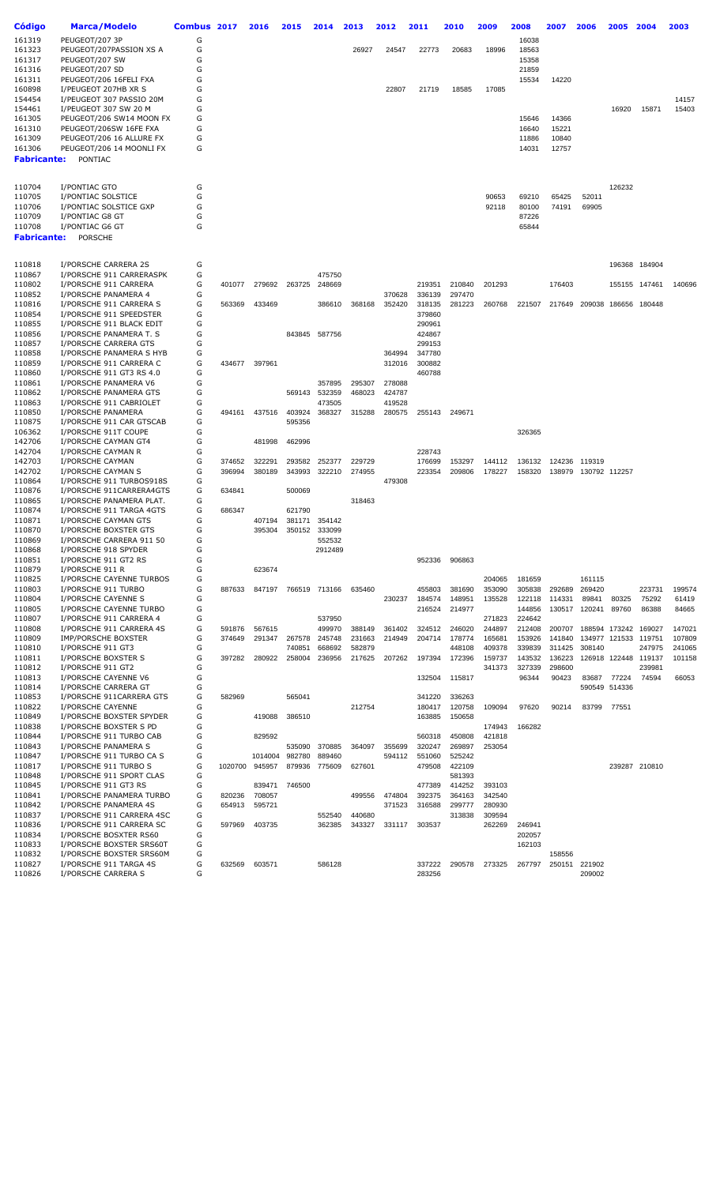| Código             | Marca/Modelo              | Combus 2017 |         | 2016    | 2015   | 2014          | 2013   | 2012   | 2011   | 2010   | 2009   | 2008   | 2007   | 2006                 | 2005          | 2004          | 2003   |
|--------------------|---------------------------|-------------|---------|---------|--------|---------------|--------|--------|--------|--------|--------|--------|--------|----------------------|---------------|---------------|--------|
| 161319             | PEUGEOT/207 3P            | G           |         |         |        |               |        |        |        |        |        | 16038  |        |                      |               |               |        |
|                    |                           |             |         |         |        |               |        |        |        |        |        |        |        |                      |               |               |        |
| 161323             | PEUGEOT/207PASSION XS A   | G           |         |         |        |               | 26927  | 24547  | 22773  | 20683  | 18996  | 18563  |        |                      |               |               |        |
| 161317             | PEUGEOT/207 SW            | G           |         |         |        |               |        |        |        |        |        | 15358  |        |                      |               |               |        |
| 161316             | PEUGEOT/207 SD            | G           |         |         |        |               |        |        |        |        |        | 21859  |        |                      |               |               |        |
|                    |                           |             |         |         |        |               |        |        |        |        |        |        |        |                      |               |               |        |
| 161311             | PEUGEOT/206 16FELI FXA    | G           |         |         |        |               |        |        |        |        |        | 15534  | 14220  |                      |               |               |        |
| 160898             | I/PEUGEOT 207HB XR S      | G           |         |         |        |               |        | 22807  | 21719  | 18585  | 17085  |        |        |                      |               |               |        |
| 154454             | I/PEUGEOT 307 PASSIO 20M  | G           |         |         |        |               |        |        |        |        |        |        |        |                      |               |               | 14157  |
|                    |                           | G           |         |         |        |               |        |        |        |        |        |        |        |                      |               |               |        |
| 154461             | I/PEUGEOT 307 SW 20 M     |             |         |         |        |               |        |        |        |        |        |        |        |                      | 16920         | 15871         | 15403  |
| 161305             | PEUGEOT/206 SW14 MOON FX  | G           |         |         |        |               |        |        |        |        |        | 15646  | 14366  |                      |               |               |        |
| 161310             | PEUGEOT/206SW 16FE FXA    | G           |         |         |        |               |        |        |        |        |        | 16640  | 15221  |                      |               |               |        |
| 161309             | PEUGEOT/206 16 ALLURE FX  | G           |         |         |        |               |        |        |        |        |        | 11886  | 10840  |                      |               |               |        |
|                    |                           |             |         |         |        |               |        |        |        |        |        |        |        |                      |               |               |        |
| 161306             | PEUGEOT/206 14 MOONLI FX  | G           |         |         |        |               |        |        |        |        |        | 14031  | 12757  |                      |               |               |        |
| <b>Fabricante:</b> | PONTIAC                   |             |         |         |        |               |        |        |        |        |        |        |        |                      |               |               |        |
|                    |                           |             |         |         |        |               |        |        |        |        |        |        |        |                      |               |               |        |
|                    |                           |             |         |         |        |               |        |        |        |        |        |        |        |                      |               |               |        |
| 110704             | I/PONTIAC GTO             | G           |         |         |        |               |        |        |        |        |        |        |        |                      | 126232        |               |        |
|                    |                           |             |         |         |        |               |        |        |        |        |        |        |        |                      |               |               |        |
| 110705             | I/PONTIAC SOLSTICE        | G           |         |         |        |               |        |        |        |        | 90653  | 69210  | 65425  | 52011                |               |               |        |
| 110706             | I/PONTIAC SOLSTICE GXP    | G           |         |         |        |               |        |        |        |        | 92118  | 80100  | 74191  | 69905                |               |               |        |
| 110709             | I/PONTIAC G8 GT           | G           |         |         |        |               |        |        |        |        |        | 87226  |        |                      |               |               |        |
|                    |                           | G           |         |         |        |               |        |        |        |        |        |        |        |                      |               |               |        |
| 110708             | I/PONTIAC G6 GT           |             |         |         |        |               |        |        |        |        |        | 65844  |        |                      |               |               |        |
| <b>Fabricante:</b> | <b>PORSCHE</b>            |             |         |         |        |               |        |        |        |        |        |        |        |                      |               |               |        |
|                    |                           |             |         |         |        |               |        |        |        |        |        |        |        |                      |               |               |        |
|                    |                           |             |         |         |        |               |        |        |        |        |        |        |        |                      |               |               |        |
| 110818             | I/PORSCHE CARRERA 2S      | G           |         |         |        |               |        |        |        |        |        |        |        |                      |               | 196368 184904 |        |
|                    |                           |             |         |         |        |               |        |        |        |        |        |        |        |                      |               |               |        |
| 110867             | I/PORSCHE 911 CARRERASPK  | G           |         |         |        | 475750        |        |        |        |        |        |        |        |                      |               |               |        |
| 110802             | I/PORSCHE 911 CARRERA     | G           | 401077  | 279692  | 263725 | 248669        |        |        | 219351 | 210840 | 201293 |        | 176403 |                      |               | 155155 147461 | 140696 |
| 110852             | I/PORSCHE PANAMERA 4      | G           |         |         |        |               |        | 370628 | 336139 | 297470 |        |        |        |                      |               |               |        |
| 110816             | I/PORSCHE 911 CARRERA S   | G           | 563369  | 433469  |        | 386610        | 368168 | 352420 | 318135 | 281223 | 260768 | 221507 | 217649 | 209038               |               | 186656 180448 |        |
|                    |                           |             |         |         |        |               |        |        |        |        |        |        |        |                      |               |               |        |
| 110854             | I/PORSCHE 911 SPEEDSTER   | G           |         |         |        |               |        |        | 379860 |        |        |        |        |                      |               |               |        |
| 110855             | I/PORSCHE 911 BLACK EDIT  | G           |         |         |        |               |        |        | 290961 |        |        |        |        |                      |               |               |        |
| 110856             | I/PORSCHE PANAMERA T. S   | G           |         |         |        | 843845 587756 |        |        | 424867 |        |        |        |        |                      |               |               |        |
| 110857             | I/PORSCHE CARRERA GTS     | G           |         |         |        |               |        |        | 299153 |        |        |        |        |                      |               |               |        |
|                    |                           |             |         |         |        |               |        |        |        |        |        |        |        |                      |               |               |        |
| 110858             | I/PORSCHE PANAMERA S HYB  | G           |         |         |        |               |        | 364994 | 347780 |        |        |        |        |                      |               |               |        |
| 110859             | I/PORSCHE 911 CARRERA C   | G           | 434677  | 397961  |        |               |        | 312016 | 300882 |        |        |        |        |                      |               |               |        |
| 110860             | I/PORSCHE 911 GT3 RS 4.0  | G           |         |         |        |               |        |        | 460788 |        |        |        |        |                      |               |               |        |
|                    |                           | G           |         |         |        |               |        |        |        |        |        |        |        |                      |               |               |        |
| 110861             | I/PORSCHE PANAMERA V6     |             |         |         |        | 357895        | 295307 | 278088 |        |        |        |        |        |                      |               |               |        |
| 110862             | I/PORSCHE PANAMERA GTS    | G           |         |         | 569143 | 532359        | 468023 | 424787 |        |        |        |        |        |                      |               |               |        |
| 110863             | I/PORSCHE 911 CABRIOLET   | G           |         |         |        | 473505        |        | 419528 |        |        |        |        |        |                      |               |               |        |
| 110850             | I/PORSCHE PANAMERA        | G           | 494161  | 437516  | 403924 | 368327        | 315288 | 280575 | 255143 | 249671 |        |        |        |                      |               |               |        |
|                    |                           |             |         |         |        |               |        |        |        |        |        |        |        |                      |               |               |        |
| 110875             | I/PORSCHE 911 CAR GTSCAB  | G           |         |         | 595356 |               |        |        |        |        |        |        |        |                      |               |               |        |
| 106362             | I/PORSCHE 911T COUPE      | G           |         |         |        |               |        |        |        |        |        | 326365 |        |                      |               |               |        |
| 142706             | I/PORSCHE CAYMAN GT4      | G           |         | 481998  | 462996 |               |        |        |        |        |        |        |        |                      |               |               |        |
| 142704             | I/PORSCHE CAYMAN R        | G           |         |         |        |               |        |        | 228743 |        |        |        |        |                      |               |               |        |
|                    |                           |             |         |         |        |               |        |        |        |        |        |        |        |                      |               |               |        |
| 142703             | I/PORSCHE CAYMAN          | G           | 374652  | 322291  | 293582 | 252377        | 229729 |        | 176699 | 153297 | 144112 | 136132 | 124236 | 119319               |               |               |        |
| 142702             | I/PORSCHE CAYMAN S        | G           | 396994  | 380189  | 343993 | 322210        | 274955 |        | 223354 | 209806 | 178227 | 158320 |        | 138979 130792 112257 |               |               |        |
| 110864             | I/PORSCHE 911 TURBOS918S  | G           |         |         |        |               |        | 479308 |        |        |        |        |        |                      |               |               |        |
| 110876             | I/PORSCHE 911CARRERA4GTS  | G           | 634841  |         | 500069 |               |        |        |        |        |        |        |        |                      |               |               |        |
|                    |                           |             |         |         |        |               |        |        |        |        |        |        |        |                      |               |               |        |
| 110865             | I/PORSCHE PANAMERA PLAT.  | G           |         |         |        |               | 318463 |        |        |        |        |        |        |                      |               |               |        |
| 110874             | I/PORSCHE 911 TARGA 4GTS  | G           | 686347  |         | 621790 |               |        |        |        |        |        |        |        |                      |               |               |        |
| 110871             | I/PORSCHE CAYMAN GTS      | G           |         | 407194  | 381171 | 354142        |        |        |        |        |        |        |        |                      |               |               |        |
| 110870             | I/PORSCHE BOXSTER GTS     | G           |         | 395304  | 350152 | 333099        |        |        |        |        |        |        |        |                      |               |               |        |
|                    |                           |             |         |         |        |               |        |        |        |        |        |        |        |                      |               |               |        |
| 110869             | I/PORSCHE CARRERA 911 50  | G           |         |         |        | 552532        |        |        |        |        |        |        |        |                      |               |               |        |
| 110868             | I/PORSCHE 918 SPYDER      | G           |         |         |        | 2912489       |        |        |        |        |        |        |        |                      |               |               |        |
| 110851             | I/PORSCHE 911 GT2 RS      | G           |         |         |        |               |        |        | 952336 | 906863 |        |        |        |                      |               |               |        |
| 110879             | I/PORSCHE 911 R           | G           |         | 623674  |        |               |        |        |        |        |        |        |        |                      |               |               |        |
|                    |                           |             |         |         |        |               |        |        |        |        |        |        |        |                      |               |               |        |
| 110825             | I/PORSCHE CAYENNE TURBOS  | G           |         |         |        |               |        |        |        |        | 204065 | 181659 |        | 161115               |               |               |        |
| 110803             | I/PORSCHE 911 TURBO       | G           | 887633  | 847197  |        | 766519 713166 | 635460 |        | 455803 | 381690 | 353090 | 305838 | 292689 | 269420               |               | 223731        | 199574 |
| 110804             | I/PORSCHE CAYENNE S       | G           |         |         |        |               |        | 230237 | 184574 | 148951 | 135528 | 122118 | 114331 | 89841                | 80325         | 75292         | 61419  |
| 110805             | I/PORSCHE CAYENNE TURBO   | G           |         |         |        |               |        |        | 216524 | 214977 |        | 144856 |        | 130517 120241        | 89760         | 86388         | 84665  |
|                    |                           |             |         |         |        |               |        |        |        |        |        |        |        |                      |               |               |        |
| 110807             | I/PORSCHE 911 CARRERA 4   | G           |         |         |        | 537950        |        |        |        |        | 271823 | 224642 |        |                      |               |               |        |
| 110808             | I/PORSCHE 911 CARRERA 4S  | G           | 591876  | 567615  |        | 499970        | 388149 | 361402 | 324512 | 246020 | 244897 | 212408 | 200707 |                      | 188594 173242 | 169027        | 147021 |
| 110809             | IMP/PORSCHE BOXSTER       | G           | 374649  | 291347  | 267578 | 245748        | 231663 | 214949 | 204714 | 178774 | 165681 | 153926 | 141840 |                      | 134977 121533 | 119751        | 107809 |
| 110810             | I/PORSCHE 911 GT3         | G           |         |         | 740851 | 668692        | 582879 |        |        | 448108 | 409378 | 339839 | 311425 | 308140               |               | 247975        | 241065 |
|                    |                           |             |         |         |        |               |        |        |        |        |        |        |        |                      |               |               |        |
| 110811             | I/PORSCHE BOXSTER S       | G           | 397282  | 280922  | 258004 | 236956        | 217625 | 207262 | 197394 | 172396 | 159737 | 143532 | 136223 |                      | 126918 122448 | 119137        | 101158 |
| 110812             | I/PORSCHE 911 GT2         | G           |         |         |        |               |        |        |        |        | 341373 | 327339 | 298600 |                      |               | 239981        |        |
| 110813             | I/PORSCHE CAYENNE V6      | G           |         |         |        |               |        |        | 132504 | 115817 |        | 96344  | 90423  | 83687                | 77224         | 74594         | 66053  |
|                    |                           | G           |         |         |        |               |        |        |        |        |        |        |        |                      |               |               |        |
| 110814             | I/PORSCHE CARRERA GT      |             |         |         |        |               |        |        |        |        |        |        |        |                      | 590549 514336 |               |        |
| 110853             | I/PORSCHE 911CARRERA GTS  | G           | 582969  |         | 565041 |               |        |        | 341220 | 336263 |        |        |        |                      |               |               |        |
| 110822             | I/PORSCHE CAYENNE         | G           |         |         |        |               | 212754 |        | 180417 | 120758 | 109094 | 97620  | 90214  | 83799                | 77551         |               |        |
| 110849             | I/PORSCHE BOXSTER SPYDER  | G           |         | 419088  | 386510 |               |        |        | 163885 | 150658 |        |        |        |                      |               |               |        |
| 110838             | I/PORSCHE BOXSTER S PD    | G           |         |         |        |               |        |        |        |        | 174943 | 166282 |        |                      |               |               |        |
|                    |                           |             |         |         |        |               |        |        |        |        |        |        |        |                      |               |               |        |
| 110844             | I/PORSCHE 911 TURBO CAB   | G           |         | 829592  |        |               |        |        | 560318 | 450808 | 421818 |        |        |                      |               |               |        |
| 110843             | I/PORSCHE PANAMERA S      | G           |         |         | 535090 | 370885        | 364097 | 355699 | 320247 | 269897 | 253054 |        |        |                      |               |               |        |
| 110847             | I/PORSCHE 911 TURBO CA S  | G           |         | 1014004 | 982780 | 889460        |        | 594112 | 551060 | 525242 |        |        |        |                      |               |               |        |
|                    |                           |             |         |         |        |               |        |        |        |        |        |        |        |                      |               |               |        |
| 110817             | I/PORSCHE 911 TURBO S     | G           | 1020700 | 945957  | 879936 | 775609        | 627601 |        | 479508 | 422109 |        |        |        |                      |               | 239287 210810 |        |
| 110848             | I/PORSCHE 911 SPORT CLAS  | G           |         |         |        |               |        |        |        | 581393 |        |        |        |                      |               |               |        |
| 110845             | I/PORSCHE 911 GT3 RS      | G           |         | 839471  | 746500 |               |        |        | 477389 | 414252 | 393103 |        |        |                      |               |               |        |
|                    |                           | G           |         |         |        |               |        |        | 392375 |        |        |        |        |                      |               |               |        |
| 110841             | I/PORSCHE PANAMERA TURBO  |             | 820236  | 708057  |        |               | 499556 | 474804 |        | 364163 | 342540 |        |        |                      |               |               |        |
| 110842             | I/PORSCHE PANAMERA 4S     | G           | 654913  | 595721  |        |               |        | 371523 | 316588 | 299777 | 280930 |        |        |                      |               |               |        |
| 110837             | I/PORSCHE 911 CARRERA 4SC | G           |         |         |        | 552540        | 440680 |        |        | 313838 | 309594 |        |        |                      |               |               |        |
| 110836             | I/PORSCHE 911 CARRERA SC  | G           | 597969  | 403735  |        | 362385        | 343327 | 331117 | 303537 |        | 262269 | 246941 |        |                      |               |               |        |
|                    |                           |             |         |         |        |               |        |        |        |        |        |        |        |                      |               |               |        |
| 110834             | I/PORSCHE BOSXTER RS60    | G           |         |         |        |               |        |        |        |        |        | 202057 |        |                      |               |               |        |
| 110833             | I/PORSCHE BOXSTER SRS60T  | G           |         |         |        |               |        |        |        |        |        | 162103 |        |                      |               |               |        |
| 110832             | I/PORSCHE BOXSTER SRS60M  | G           |         |         |        |               |        |        |        |        |        |        | 158556 |                      |               |               |        |
| 110827             | I/PORSCHE 911 TARGA 4S    | G           | 632569  | 603571  |        | 586128        |        |        | 337222 | 290578 | 273325 | 267797 | 250151 | 221902               |               |               |        |
|                    |                           |             |         |         |        |               |        |        |        |        |        |        |        |                      |               |               |        |
| 110826             | I/PORSCHE CARRERA S       | G           |         |         |        |               |        |        | 283256 |        |        |        |        | 209002               |               |               |        |
|                    |                           |             |         |         |        |               |        |        |        |        |        |        |        |                      |               |               |        |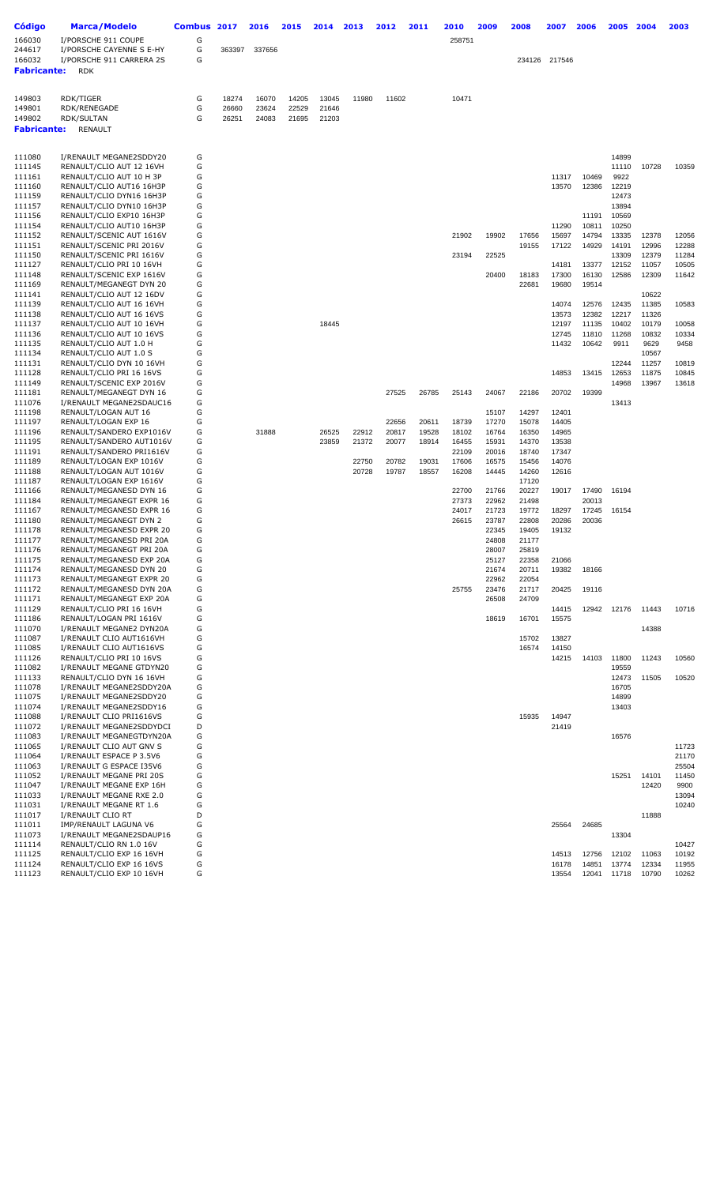| <b>Código</b><br>166030 | Marca/Modelo<br>I/PORSCHE 911 COUPE                  | Combus 2017<br>G |                | 2016           | 2015           | 2014           | 2013  | 2012  | 2011  | 2010<br>258751 | 2009           | 2008           | 2007           | 2006           | 2005           | 2004           | 2003           |
|-------------------------|------------------------------------------------------|------------------|----------------|----------------|----------------|----------------|-------|-------|-------|----------------|----------------|----------------|----------------|----------------|----------------|----------------|----------------|
| 244617<br>166032        | I/PORSCHE CAYENNE S E-HY<br>I/PORSCHE 911 CARRERA 2S | G<br>G           | 363397         | 337656         |                |                |       |       |       |                |                |                | 234126 217546  |                |                |                |                |
| <b>Fabricante:</b>      | <b>RDK</b>                                           |                  |                |                |                |                |       |       |       |                |                |                |                |                |                |                |                |
| 149803                  | RDK/TIGER                                            | G                | 18274          | 16070          | 14205          | 13045          | 11980 | 11602 |       | 10471          |                |                |                |                |                |                |                |
| 149801<br>149802        | RDK/RENEGADE<br>RDK/SULTAN                           | G<br>G           | 26660<br>26251 | 23624<br>24083 | 22529<br>21695 | 21646<br>21203 |       |       |       |                |                |                |                |                |                |                |                |
| <b>Fabricante:</b>      | RENAULT                                              |                  |                |                |                |                |       |       |       |                |                |                |                |                |                |                |                |
|                         |                                                      |                  |                |                |                |                |       |       |       |                |                |                |                |                |                |                |                |
| 111080<br>111145        | I/RENAULT MEGANE2SDDY20<br>RENAULT/CLIO AUT 12 16VH  | G<br>G           |                |                |                |                |       |       |       |                |                |                |                |                | 14899<br>11110 | 10728          | 10359          |
| 111161                  | RENAULT/CLIO AUT 10 H 3P                             | G                |                |                |                |                |       |       |       |                |                |                | 11317          | 10469          | 9922           |                |                |
| 111160<br>111159        | RENAULT/CLIO AUT16 16H3P<br>RENAULT/CLIO DYN16 16H3P | G<br>G           |                |                |                |                |       |       |       |                |                |                | 13570          | 12386          | 12219<br>12473 |                |                |
| 111157                  | RENAULT/CLIO DYN10 16H3P                             | G                |                |                |                |                |       |       |       |                |                |                |                |                | 13894          |                |                |
| 111156                  | RENAULT/CLIO EXP10 16H3P                             | G                |                |                |                |                |       |       |       |                |                |                |                | 11191          | 10569          |                |                |
| 111154<br>111152        | RENAULT/CLIO AUT10 16H3P<br>RENAULT/SCENIC AUT 1616V | G<br>G           |                |                |                |                |       |       |       | 21902          | 19902          | 17656          | 11290<br>15697 | 10811<br>14794 | 10250<br>13335 | 12378          | 12056          |
| 111151                  | RENAULT/SCENIC PRI 2016V                             | G                |                |                |                |                |       |       |       |                |                | 19155          | 17122          | 14929          | 14191          | 12996          | 12288          |
| 111150                  | RENAULT/SCENIC PRI 1616V                             | G                |                |                |                |                |       |       |       | 23194          | 22525          |                |                |                | 13309          | 12379          | 11284          |
| 111127<br>111148        | RENAULT/CLIO PRI 10 16VH<br>RENAULT/SCENIC EXP 1616V | G<br>G           |                |                |                |                |       |       |       |                | 20400          | 18183          | 14181<br>17300 | 13377<br>16130 | 12152<br>12586 | 11057<br>12309 | 10505<br>11642 |
| 111169                  | RENAULT/MEGANEGT DYN 20                              | G                |                |                |                |                |       |       |       |                |                | 22681          | 19680          | 19514          |                |                |                |
| 111141<br>111139        | RENAULT/CLIO AUT 12 16DV<br>RENAULT/CLIO AUT 16 16VH | G<br>G           |                |                |                |                |       |       |       |                |                |                | 14074          | 12576          | 12435          | 10622<br>11385 | 10583          |
| 111138                  | RENAULT/CLIO AUT 16 16VS                             | G                |                |                |                |                |       |       |       |                |                |                | 13573          | 12382          | 12217          | 11326          |                |
| 111137                  | RENAULT/CLIO AUT 10 16VH                             | G                |                |                |                | 18445          |       |       |       |                |                |                | 12197          | 11135          | 10402          | 10179          | 10058          |
| 111136<br>111135        | RENAULT/CLIO AUT 10 16VS<br>RENAULT/CLIO AUT 1.0 H   | G<br>G           |                |                |                |                |       |       |       |                |                |                | 12745<br>11432 | 11810<br>10642 | 11268<br>9911  | 10832<br>9629  | 10334<br>9458  |
| 111134                  | RENAULT/CLIO AUT 1.0 S                               | G                |                |                |                |                |       |       |       |                |                |                |                |                |                | 10567          |                |
| 111131                  | RENAULT/CLIO DYN 10 16VH                             | G<br>G           |                |                |                |                |       |       |       |                |                |                |                |                | 12244<br>12653 | 11257          | 10819<br>10845 |
| 111128<br>111149        | RENAULT/CLIO PRI 16 16VS<br>RENAULT/SCENIC EXP 2016V | G                |                |                |                |                |       |       |       |                |                |                | 14853          | 13415          | 14968          | 11875<br>13967 | 13618          |
| 111181                  | RENAULT/MEGANEGT DYN 16                              | G                |                |                |                |                |       | 27525 | 26785 | 25143          | 24067          | 22186          | 20702          | 19399          |                |                |                |
| 111076<br>111198        | I/RENAULT MEGANE2SDAUC16<br>RENAULT/LOGAN AUT 16     | G<br>G           |                |                |                |                |       |       |       |                | 15107          | 14297          | 12401          |                | 13413          |                |                |
| 111197                  | RENAULT/LOGAN EXP 16                                 | G                |                |                |                |                |       | 22656 | 20611 | 18739          | 17270          | 15078          | 14405          |                |                |                |                |
| 111196                  | RENAULT/SANDERO EXP1016V                             | G                |                | 31888          |                | 26525          | 22912 | 20817 | 19528 | 18102          | 16764          | 16350          | 14965          |                |                |                |                |
| 111195<br>111191        | RENAULT/SANDERO AUT1016V<br>RENAULT/SANDERO PRI1616V | G<br>G           |                |                |                | 23859          | 21372 | 20077 | 18914 | 16455<br>22109 | 15931<br>20016 | 14370<br>18740 | 13538<br>17347 |                |                |                |                |
| 111189                  | RENAULT/LOGAN EXP 1016V                              | G                |                |                |                |                | 22750 | 20782 | 19031 | 17606          | 16575          | 15456          | 14076          |                |                |                |                |
| 111188<br>111187        | RENAULT/LOGAN AUT 1016V<br>RENAULT/LOGAN EXP 1616V   | G<br>G           |                |                |                |                | 20728 | 19787 | 18557 | 16208          | 14445          | 14260<br>17120 | 12616          |                |                |                |                |
| 111166                  | RENAULT/MEGANESD DYN 16                              | G                |                |                |                |                |       |       |       | 22700          | 21766          | 20227          | 19017          | 17490          | 16194          |                |                |
| 111184                  | RENAULT/MEGANEGT EXPR 16                             | G                |                |                |                |                |       |       |       | 27373          | 22962          | 21498          |                | 20013          |                |                |                |
| 111167<br>111180        | RENAULT/MEGANESD EXPR 16<br>RENAULT/MEGANEGT DYN 2   | G<br>G           |                |                |                |                |       |       |       | 24017<br>26615 | 21723<br>23787 | 19772<br>22808 | 18297<br>20286 | 17245<br>20036 | 16154          |                |                |
| 111178                  | RENAULT/MEGANESD EXPR 20                             | G                |                |                |                |                |       |       |       |                | 22345          | 19405          | 19132          |                |                |                |                |
| 111177<br>111176        | RENAULT/MEGANESD PRI 20A<br>RENAULT/MEGANEGT PRI 20A | G<br>G           |                |                |                |                |       |       |       |                | 24808<br>28007 | 21177<br>25819 |                |                |                |                |                |
| 111175                  | RENAULT/MEGANESD EXP 20A                             | G                |                |                |                |                |       |       |       |                | 25127          | 22358          | 21066          |                |                |                |                |
| 111174                  | RENAULT/MEGANESD DYN 20                              | G                |                |                |                |                |       |       |       |                | 21674          | 20711          | 19382          | 18166          |                |                |                |
| 111173<br>111172        | RENAULT/MEGANEGT EXPR 20<br>RENAULT/MEGANESD DYN 20A | G<br>G           |                |                |                |                |       |       |       | 25755          | 22962<br>23476 | 22054<br>21717 | 20425          | 19116          |                |                |                |
| 111171                  | RENAULT/MEGANEGT EXP 20A                             | G                |                |                |                |                |       |       |       |                | 26508          | 24709          |                |                |                |                |                |
| 111129                  | RENAULT/CLIO PRI 16 16VH                             | G                |                |                |                |                |       |       |       |                |                |                | 14415          | 12942          | 12176          | 11443          | 10716          |
| 111186<br>111070        | RENAULT/LOGAN PRI 1616V<br>I/RENAULT MEGANE2 DYN20A  | G<br>G           |                |                |                |                |       |       |       |                | 18619          | 16701          | 15575          |                |                | 14388          |                |
| 111087                  | I/RENAULT CLIO AUT1616VH                             | G                |                |                |                |                |       |       |       |                |                | 15702          | 13827          |                |                |                |                |
| 111085<br>111126        | I/RENAULT CLIO AUT1616VS<br>RENAULT/CLIO PRI 10 16VS | G<br>G           |                |                |                |                |       |       |       |                |                | 16574          | 14150<br>14215 | 14103          | 11800          | 11243          | 10560          |
| 111082                  | I/RENAULT MEGANE GTDYN20                             | G                |                |                |                |                |       |       |       |                |                |                |                |                | 19559          |                |                |
| 111133                  | RENAULT/CLIO DYN 16 16VH                             | G                |                |                |                |                |       |       |       |                |                |                |                |                | 12473          | 11505          | 10520          |
| 111078<br>111075        | I/RENAULT MEGANE2SDDY20A<br>I/RENAULT MEGANE2SDDY20  | G<br>G           |                |                |                |                |       |       |       |                |                |                |                |                | 16705<br>14899 |                |                |
| 111074                  | I/RENAULT MEGANE2SDDY16                              | G                |                |                |                |                |       |       |       |                |                |                |                |                | 13403          |                |                |
| 111088<br>111072        | I/RENAULT CLIO PRI1616VS<br>I/RENAULT MEGANE2SDDYDCI | G<br>D           |                |                |                |                |       |       |       |                |                | 15935          | 14947<br>21419 |                |                |                |                |
| 111083                  | I/RENAULT MEGANEGTDYN20A                             | G                |                |                |                |                |       |       |       |                |                |                |                |                | 16576          |                |                |
| 111065                  | I/RENAULT CLIO AUT GNV S                             | G                |                |                |                |                |       |       |       |                |                |                |                |                |                |                | 11723          |
| 111064<br>111063        | I/RENAULT ESPACE P 3.5V6<br>I/RENAULT G ESPACE I35V6 | G<br>G           |                |                |                |                |       |       |       |                |                |                |                |                |                |                | 21170<br>25504 |
| 111052                  | I/RENAULT MEGANE PRI 20S                             | G                |                |                |                |                |       |       |       |                |                |                |                |                | 15251          | 14101          | 11450          |
| 111047                  | I/RENAULT MEGANE EXP 16H                             | G                |                |                |                |                |       |       |       |                |                |                |                |                |                | 12420          | 9900           |
| 111033<br>111031        | I/RENAULT MEGANE RXE 2.0<br>I/RENAULT MEGANE RT 1.6  | G<br>G           |                |                |                |                |       |       |       |                |                |                |                |                |                |                | 13094<br>10240 |
| 111017                  | I/RENAULT CLIO RT                                    | D                |                |                |                |                |       |       |       |                |                |                |                |                |                | 11888          |                |
| 111011<br>111073        | IMP/RENAULT LAGUNA V6<br>I/RENAULT MEGANE2SDAUP16    | G<br>G           |                |                |                |                |       |       |       |                |                |                | 25564          | 24685          | 13304          |                |                |
| 111114                  | RENAULT/CLIO RN 1.0 16V                              | G                |                |                |                |                |       |       |       |                |                |                |                |                |                |                | 10427          |
| 111125                  | RENAULT/CLIO EXP 16 16VH                             | G                |                |                |                |                |       |       |       |                |                |                | 14513          | 12756          | 12102          | 11063          | 10192          |
| 111124<br>111123        | RENAULT/CLIO EXP 16 16VS<br>RENAULT/CLIO EXP 10 16VH | G<br>G           |                |                |                |                |       |       |       |                |                |                | 16178<br>13554 | 14851<br>12041 | 13774<br>11718 | 12334<br>10790 | 11955<br>10262 |
|                         |                                                      |                  |                |                |                |                |       |       |       |                |                |                |                |                |                |                |                |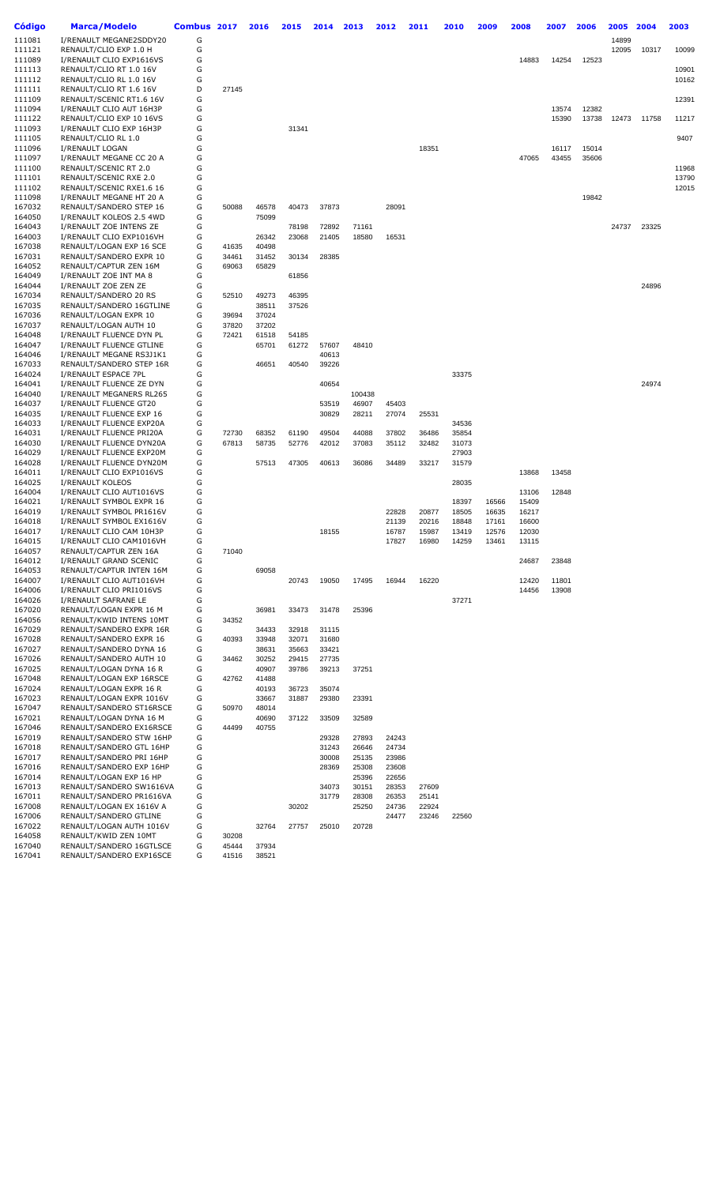| Código           | <b>Marca/Modelo</b>                                  | Combus 2017 |                | 2016           | 2015           | 2014           | 2013           | 2012           | 2011  | 2010           | 2009           | 2008           | 2007           | 2006  | 2005  | 2004  | 2003  |
|------------------|------------------------------------------------------|-------------|----------------|----------------|----------------|----------------|----------------|----------------|-------|----------------|----------------|----------------|----------------|-------|-------|-------|-------|
| 111081           | I/RENAULT MEGANE2SDDY20                              | G           |                |                |                |                |                |                |       |                |                |                |                |       | 14899 |       |       |
| 111121           | RENAULT/CLIO EXP 1.0 H                               | G           |                |                |                |                |                |                |       |                |                |                |                |       | 12095 | 10317 | 10099 |
| 111089           | I/RENAULT CLIO EXP1616VS                             | G           |                |                |                |                |                |                |       |                |                | 14883          | 14254          | 12523 |       |       |       |
| 111113           | RENAULT/CLIO RT 1.0 16V                              | G           |                |                |                |                |                |                |       |                |                |                |                |       |       |       | 10901 |
| 111112<br>111111 | RENAULT/CLIO RL 1.0 16V<br>RENAULT/CLIO RT 1.6 16V   | G<br>D      | 27145          |                |                |                |                |                |       |                |                |                |                |       |       |       | 10162 |
| 111109<br>111094 | RENAULT/SCENIC RT1.6 16V                             | G<br>G      |                |                |                |                |                |                |       |                |                |                |                | 12382 |       |       | 12391 |
| 111122           | I/RENAULT CLIO AUT 16H3P<br>RENAULT/CLIO EXP 10 16VS | G           |                |                |                |                |                |                |       |                |                |                | 13574<br>15390 | 13738 | 12473 | 11758 | 11217 |
| 111093<br>111105 | I/RENAULT CLIO EXP 16H3P<br>RENAULT/CLIO RL 1.0      | G<br>G      |                |                | 31341          |                |                |                |       |                |                |                |                |       |       |       | 9407  |
| 111096           | I/RENAULT LOGAN                                      | G           |                |                |                |                |                |                | 18351 |                |                |                | 16117          | 15014 |       |       |       |
| 111097           | I/RENAULT MEGANE CC 20 A                             | G           |                |                |                |                |                |                |       |                |                | 47065          | 43455          | 35606 |       |       |       |
| 111100           | RENAULT/SCENIC RT 2.0                                | G           |                |                |                |                |                |                |       |                |                |                |                |       |       |       | 11968 |
| 111101           | RENAULT/SCENIC RXE 2.0                               | G           |                |                |                |                |                |                |       |                |                |                |                |       |       |       | 13790 |
| 111102           | RENAULT/SCENIC RXE1.6 16                             | G           |                |                |                |                |                |                |       |                |                |                |                |       |       |       | 12015 |
| 111098           | I/RENAULT MEGANE HT 20 A                             | G           |                |                |                |                |                |                |       |                |                |                |                | 19842 |       |       |       |
| 167032           | RENAULT/SANDERO STEP 16                              | G           | 50088          | 46578          | 40473          | 37873          |                | 28091          |       |                |                |                |                |       |       |       |       |
| 164050           | I/RENAULT KOLEOS 2.5 4WD                             | G           |                | 75099          |                |                |                |                |       |                |                |                |                |       |       |       |       |
| 164043           | I/RENAULT ZOE INTENS ZE                              | G           |                |                | 78198          | 72892          | 71161          |                |       |                |                |                |                |       | 24737 | 23325 |       |
| 164003           | I/RENAULT CLIO EXP1016VH                             | G           |                | 26342<br>40498 | 23068          | 21405          | 18580          | 16531          |       |                |                |                |                |       |       |       |       |
| 167038<br>167031 | RENAULT/LOGAN EXP 16 SCE<br>RENAULT/SANDERO EXPR 10  | G<br>G      | 41635<br>34461 | 31452          | 30134          | 28385          |                |                |       |                |                |                |                |       |       |       |       |
| 164052           | RENAULT/CAPTUR ZEN 16M                               | G           | 69063          | 65829          |                |                |                |                |       |                |                |                |                |       |       |       |       |
| 164049           | I/RENAULT ZOE INT MA 8                               | G           |                |                | 61856          |                |                |                |       |                |                |                |                |       |       |       |       |
| 164044           | I/RENAULT ZOE ZEN ZE                                 | G           |                |                |                |                |                |                |       |                |                |                |                |       |       | 24896 |       |
| 167034           | RENAULT/SANDERO 20 RS                                | G           | 52510          | 49273          | 46395          |                |                |                |       |                |                |                |                |       |       |       |       |
| 167035           | RENAULT/SANDERO 16GTLINE                             | G           |                | 38511          | 37526          |                |                |                |       |                |                |                |                |       |       |       |       |
| 167036           | RENAULT/LOGAN EXPR 10                                | G           | 39694          | 37024          |                |                |                |                |       |                |                |                |                |       |       |       |       |
| 167037           | RENAULT/LOGAN AUTH 10                                | G           | 37820          | 37202          |                |                |                |                |       |                |                |                |                |       |       |       |       |
| 164048           | I/RENAULT FLUENCE DYN PL                             | G           | 72421          | 61518          | 54185          |                |                |                |       |                |                |                |                |       |       |       |       |
| 164047<br>164046 | I/RENAULT FLUENCE GTLINE<br>I/RENAULT MEGANE RS3J1K1 | G<br>G      |                | 65701          | 61272          | 57607<br>40613 | 48410          |                |       |                |                |                |                |       |       |       |       |
| 167033           | RENAULT/SANDERO STEP 16R                             | G           |                | 46651          | 40540          | 39226          |                |                |       |                |                |                |                |       |       |       |       |
| 164024           | I/RENAULT ESPACE 7PL                                 | G           |                |                |                |                |                |                |       | 33375          |                |                |                |       |       |       |       |
| 164041           | I/RENAULT FLUENCE ZE DYN                             | G           |                |                |                | 40654          |                |                |       |                |                |                |                |       |       | 24974 |       |
| 164040           | I/RENAULT MEGANERS RL265                             | G           |                |                |                |                | 100438         |                |       |                |                |                |                |       |       |       |       |
| 164037           | I/RENAULT FLUENCE GT20                               | G           |                |                |                | 53519          | 46907          | 45403          |       |                |                |                |                |       |       |       |       |
| 164035<br>164033 | I/RENAULT FLUENCE EXP 16<br>I/RENAULT FLUENCE EXP20A | G<br>G      |                |                |                | 30829          | 28211          | 27074          | 25531 | 34536          |                |                |                |       |       |       |       |
| 164031           | I/RENAULT FLUENCE PRI20A                             | G           | 72730          | 68352          | 61190          | 49504          | 44088          | 37802          | 36486 | 35854          |                |                |                |       |       |       |       |
| 164030           | I/RENAULT FLUENCE DYN20A                             | G           | 67813          | 58735          | 52776          | 42012          | 37083          | 35112          | 32482 | 31073          |                |                |                |       |       |       |       |
| 164029           | I/RENAULT FLUENCE EXP20M                             | G           |                |                |                |                |                |                |       | 27903          |                |                |                |       |       |       |       |
| 164028           | I/RENAULT FLUENCE DYN20M                             | G           |                | 57513          | 47305          | 40613          | 36086          | 34489          | 33217 | 31579          |                |                |                |       |       |       |       |
| 164011           | I/RENAULT CLIO EXP1016VS                             | G           |                |                |                |                |                |                |       |                |                | 13868          | 13458          |       |       |       |       |
| 164025           | I/RENAULT KOLEOS                                     | G           |                |                |                |                |                |                |       | 28035          |                |                |                |       |       |       |       |
| 164004           | I/RENAULT CLIO AUT1016VS                             | G           |                |                |                |                |                |                |       |                |                | 13106          | 12848          |       |       |       |       |
| 164021<br>164019 | I/RENAULT SYMBOL EXPR 16<br>I/RENAULT SYMBOL PR1616V | G<br>G      |                |                |                |                |                | 22828          | 20877 | 18397<br>18505 | 16566<br>16635 | 15409<br>16217 |                |       |       |       |       |
| 164018           | I/RENAULT SYMBOL EX1616V                             | G           |                |                |                |                |                | 21139          | 20216 | 18848          | 17161          | 16600          |                |       |       |       |       |
| 164017           | I/RENAULT CLIO CAM 10H3P                             | G           |                |                |                | 18155          |                | 16787          | 15987 | 13419          | 12576          | 12030          |                |       |       |       |       |
| 164015           | I/RENAULT CLIO CAM1016VH                             | G           |                |                |                |                |                | 17827          | 16980 | 14259          | 13461          | 13115          |                |       |       |       |       |
| 164057           | RENAULT/CAPTUR ZEN 16A                               | G           | 71040          |                |                |                |                |                |       |                |                |                |                |       |       |       |       |
| 164012           | I/RENAULT GRAND SCENIC                               | G           |                |                |                |                |                |                |       |                |                | 24687          | 23848          |       |       |       |       |
| 164053           | RENAULT/CAPTUR INTEN 16M                             | G           |                | 69058          |                |                |                | 16944          |       |                |                |                |                |       |       |       |       |
| 164007<br>164006 | I/RENAULT CLIO AUT1016VH<br>I/RENAULT CLIO PRI1016VS | G<br>G      |                |                | 20743          | 19050          | 17495          |                | 16220 |                |                | 12420<br>14456 | 11801<br>13908 |       |       |       |       |
| 164026           | I/RENAULT SAFRANE LE                                 | G           |                |                |                |                |                |                |       | 37271          |                |                |                |       |       |       |       |
| 167020           | RENAULT/LOGAN EXPR 16 M                              | G           |                | 36981          | 33473          | 31478          | 25396          |                |       |                |                |                |                |       |       |       |       |
| 164056           | RENAULT/KWID INTENS 10MT                             | G           | 34352          |                |                |                |                |                |       |                |                |                |                |       |       |       |       |
| 167029           | RENAULT/SANDERO EXPR 16R                             | G           |                | 34433          | 32918          | 31115          |                |                |       |                |                |                |                |       |       |       |       |
| 167028           | RENAULT/SANDERO EXPR 16                              | G           | 40393          | 33948          | 32071          | 31680          |                |                |       |                |                |                |                |       |       |       |       |
| 167027           | RENAULT/SANDERO DYNA 16                              | G           |                | 38631          | 35663          | 33421          |                |                |       |                |                |                |                |       |       |       |       |
| 167026<br>167025 | RENAULT/SANDERO AUTH 10<br>RENAULT/LOGAN DYNA 16 R   | G<br>G      | 34462          | 30252<br>40907 | 29415<br>39786 | 27735<br>39213 | 37251          |                |       |                |                |                |                |       |       |       |       |
| 167048           | RENAULT/LOGAN EXP 16RSCE                             | G           | 42762          | 41488          |                |                |                |                |       |                |                |                |                |       |       |       |       |
| 167024           | RENAULT/LOGAN EXPR 16 R                              | G           |                | 40193          | 36723          | 35074          |                |                |       |                |                |                |                |       |       |       |       |
| 167023           | RENAULT/LOGAN EXPR 1016V                             | G           |                | 33667          | 31887          | 29380          | 23391          |                |       |                |                |                |                |       |       |       |       |
| 167047           | RENAULT/SANDERO ST16RSCE                             | G           | 50970          | 48014          |                |                |                |                |       |                |                |                |                |       |       |       |       |
| 167021           | RENAULT/LOGAN DYNA 16 M                              | G           |                | 40690          | 37122          | 33509          | 32589          |                |       |                |                |                |                |       |       |       |       |
| 167046           | RENAULT/SANDERO EX16RSCE                             | G           | 44499          | 40755          |                |                |                |                |       |                |                |                |                |       |       |       |       |
| 167019<br>167018 | RENAULT/SANDERO STW 16HP<br>RENAULT/SANDERO GTL 16HP | G<br>G      |                |                |                | 29328<br>31243 | 27893<br>26646 | 24243<br>24734 |       |                |                |                |                |       |       |       |       |
| 167017           | RENAULT/SANDERO PRI 16HP                             | G           |                |                |                | 30008          | 25135          | 23986          |       |                |                |                |                |       |       |       |       |
| 167016           | RENAULT/SANDERO EXP 16HP                             | G           |                |                |                | 28369          | 25308          | 23608          |       |                |                |                |                |       |       |       |       |
| 167014           | RENAULT/LOGAN EXP 16 HP                              | G           |                |                |                |                | 25396          | 22656          |       |                |                |                |                |       |       |       |       |
| 167013           | RENAULT/SANDERO SW1616VA                             | G           |                |                |                | 34073          | 30151          | 28353          | 27609 |                |                |                |                |       |       |       |       |
| 167011           | RENAULT/SANDERO PR1616VA                             | G           |                |                |                | 31779          | 28308          | 26353          | 25141 |                |                |                |                |       |       |       |       |
| 167008           | RENAULT/LOGAN EX 1616V A                             | G           |                |                | 30202          |                | 25250          | 24736          | 22924 |                |                |                |                |       |       |       |       |
| 167006<br>167022 | RENAULT/SANDERO GTLINE<br>RENAULT/LOGAN AUTH 1016V   | G<br>G      |                | 32764          | 27757          | 25010          | 20728          | 24477          | 23246 | 22560          |                |                |                |       |       |       |       |
| 164058           | RENAULT/KWID ZEN 10MT                                | G           | 30208          |                |                |                |                |                |       |                |                |                |                |       |       |       |       |
| 167040           | RENAULT/SANDERO 16GTLSCE                             | G           | 45444          | 37934          |                |                |                |                |       |                |                |                |                |       |       |       |       |
| 167041           | RENAULT/SANDERO EXP16SCE                             | G           | 41516          | 38521          |                |                |                |                |       |                |                |                |                |       |       |       |       |
|                  |                                                      |             |                |                |                |                |                |                |       |                |                |                |                |       |       |       |       |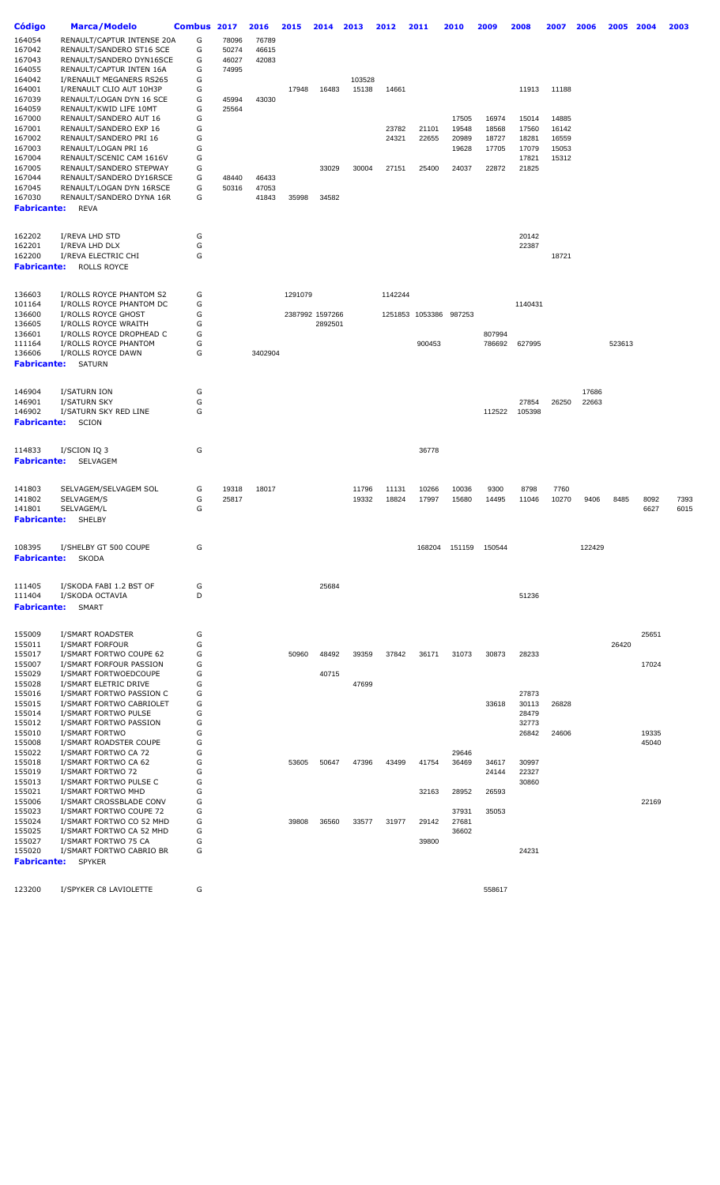| Código           | <b>Marca/Modelo</b>                                 | Combus | 2017  | 2016           | 2015    | 2014            | 2013   | 2012    | 2011                   | 2010           | 2009                 | 2008    | 2007  | 2006   | 2005   | 2004  | 2003 |
|------------------|-----------------------------------------------------|--------|-------|----------------|---------|-----------------|--------|---------|------------------------|----------------|----------------------|---------|-------|--------|--------|-------|------|
| 164054           | RENAULT/CAPTUR INTENSE 20A                          | G      | 78096 | 76789          |         |                 |        |         |                        |                |                      |         |       |        |        |       |      |
| 167042           | RENAULT/SANDERO ST16 SCE                            | G      | 50274 | 46615          |         |                 |        |         |                        |                |                      |         |       |        |        |       |      |
| 167043           | RENAULT/SANDERO DYN16SCE                            | G      | 46027 | 42083          |         |                 |        |         |                        |                |                      |         |       |        |        |       |      |
| 164055           | RENAULT/CAPTUR INTEN 16A                            | G      | 74995 |                |         |                 |        |         |                        |                |                      |         |       |        |        |       |      |
| 164042           | I/RENAULT MEGANERS RS265                            | G      |       |                |         |                 | 103528 |         |                        |                |                      |         |       |        |        |       |      |
| 164001           | I/RENAULT CLIO AUT 10H3P                            | G      |       |                | 17948   | 16483           | 15138  | 14661   |                        |                |                      | 11913   | 11188 |        |        |       |      |
| 167039           | RENAULT/LOGAN DYN 16 SCE                            | G      | 45994 | 43030          |         |                 |        |         |                        |                |                      |         |       |        |        |       |      |
| 164059           | RENAULT/KWID LIFE 10MT                              | G      | 25564 |                |         |                 |        |         |                        |                |                      |         |       |        |        |       |      |
| 167000           | RENAULT/SANDERO AUT 16                              | G      |       |                |         |                 |        |         |                        | 17505          | 16974                | 15014   | 14885 |        |        |       |      |
| 167001           | RENAULT/SANDERO EXP 16                              | G      |       |                |         |                 |        | 23782   | 21101                  | 19548          | 18568                | 17560   | 16142 |        |        |       |      |
| 167002           | RENAULT/SANDERO PRI 16                              | G      |       |                |         |                 |        | 24321   | 22655                  | 20989          | 18727                | 18281   | 16559 |        |        |       |      |
| 167003           | RENAULT/LOGAN PRI 16                                | G      |       |                |         |                 |        |         |                        | 19628          | 17705                | 17079   | 15053 |        |        |       |      |
| 167004           | RENAULT/SCENIC CAM 1616V                            | G      |       |                |         |                 |        |         |                        |                |                      | 17821   | 15312 |        |        |       |      |
| 167005           | RENAULT/SANDERO STEPWAY<br>RENAULT/SANDERO DY16RSCE | G<br>G | 48440 |                |         | 33029           | 30004  | 27151   | 25400                  | 24037          | 22872                | 21825   |       |        |        |       |      |
| 167044<br>167045 |                                                     | G      |       | 46433          |         |                 |        |         |                        |                |                      |         |       |        |        |       |      |
| 167030           | RENAULT/LOGAN DYN 16RSCE                            | G      | 50316 | 47053<br>41843 | 35998   |                 |        |         |                        |                |                      |         |       |        |        |       |      |
| Fabricante:      | RENAULT/SANDERO DYNA 16R<br><b>REVA</b>             |        |       |                |         | 34582           |        |         |                        |                |                      |         |       |        |        |       |      |
|                  |                                                     |        |       |                |         |                 |        |         |                        |                |                      |         |       |        |        |       |      |
|                  |                                                     |        |       |                |         |                 |        |         |                        |                |                      |         |       |        |        |       |      |
| 162202           | I/REVA LHD STD                                      | G      |       |                |         |                 |        |         |                        |                |                      | 20142   |       |        |        |       |      |
| 162201           | I/REVA LHD DLX                                      | G      |       |                |         |                 |        |         |                        |                |                      | 22387   |       |        |        |       |      |
| 162200           | I/REVA ELECTRIC CHI                                 | G      |       |                |         |                 |        |         |                        |                |                      |         | 18721 |        |        |       |      |
| Fabricante:      | <b>ROLLS ROYCE</b>                                  |        |       |                |         |                 |        |         |                        |                |                      |         |       |        |        |       |      |
|                  |                                                     |        |       |                |         |                 |        |         |                        |                |                      |         |       |        |        |       |      |
| 136603           | I/ROLLS ROYCE PHANTOM S2                            | G      |       |                | 1291079 |                 |        | 1142244 |                        |                |                      |         |       |        |        |       |      |
| 101164           | I/ROLLS ROYCE PHANTOM DC                            | G      |       |                |         |                 |        |         |                        |                |                      | 1140431 |       |        |        |       |      |
| 136600           | I/ROLLS ROYCE GHOST                                 | G      |       |                |         | 2387992 1597266 |        |         | 1251853 1053386 987253 |                |                      |         |       |        |        |       |      |
| 136605           | I/ROLLS ROYCE WRAITH                                | G      |       |                |         | 2892501         |        |         |                        |                |                      |         |       |        |        |       |      |
| 136601           | I/ROLLS ROYCE DROPHEAD C                            | G      |       |                |         |                 |        |         |                        |                | 807994               |         |       |        |        |       |      |
| 111164           | I/ROLLS ROYCE PHANTOM                               | G      |       |                |         |                 |        |         | 900453                 |                | 786692               | 627995  |       |        | 523613 |       |      |
| 136606           | I/ROLLS ROYCE DAWN                                  | G      |       | 3402904        |         |                 |        |         |                        |                |                      |         |       |        |        |       |      |
| Fabricante:      | <b>SATURN</b>                                       |        |       |                |         |                 |        |         |                        |                |                      |         |       |        |        |       |      |
|                  |                                                     |        |       |                |         |                 |        |         |                        |                |                      |         |       |        |        |       |      |
| 146904           | I/SATURN ION                                        | G      |       |                |         |                 |        |         |                        |                |                      |         |       | 17686  |        |       |      |
| 146901           | I/SATURN SKY                                        | G      |       |                |         |                 |        |         |                        |                |                      | 27854   | 26250 | 22663  |        |       |      |
| 146902           | I/SATURN SKY RED LINE                               | G      |       |                |         |                 |        |         |                        |                | 112522               | 105398  |       |        |        |       |      |
| Fabricante:      | <b>SCION</b>                                        |        |       |                |         |                 |        |         |                        |                |                      |         |       |        |        |       |      |
|                  |                                                     |        |       |                |         |                 |        |         |                        |                |                      |         |       |        |        |       |      |
| 114833           | I/SCION IQ 3                                        | G      |       |                |         |                 |        |         | 36778                  |                |                      |         |       |        |        |       |      |
| Fabricante:      | SELVAGEM                                            |        |       |                |         |                 |        |         |                        |                |                      |         |       |        |        |       |      |
|                  |                                                     |        |       |                |         |                 |        |         |                        |                |                      |         |       |        |        |       |      |
|                  |                                                     |        |       |                |         |                 |        |         |                        |                |                      |         |       |        |        |       |      |
| 141803           | SELVAGEM/SELVAGEM SOL                               | G      | 19318 | 18017          |         |                 | 11796  | 11131   | 10266                  | 10036          | 9300                 | 8798    | 7760  |        |        |       |      |
| 141802           | SELVAGEM/S                                          | G      | 25817 |                |         |                 | 19332  | 18824   | 17997                  | 15680          | 14495                | 11046   | 10270 | 9406   | 8485   | 8092  | 7393 |
| 141801           | SELVAGEM/L                                          | G      |       |                |         |                 |        |         |                        |                |                      |         |       |        |        | 6627  | 6015 |
| Fabricante:      | <b>SHELBY</b>                                       |        |       |                |         |                 |        |         |                        |                |                      |         |       |        |        |       |      |
|                  |                                                     |        |       |                |         |                 |        |         |                        |                |                      |         |       |        |        |       |      |
| 108395           | I/SHELBY GT 500 COUPE                               | G      |       |                |         |                 |        |         |                        |                | 168204 151159 150544 |         |       | 122429 |        |       |      |
| Fabricante:      | SKODA                                               |        |       |                |         |                 |        |         |                        |                |                      |         |       |        |        |       |      |
|                  |                                                     |        |       |                |         |                 |        |         |                        |                |                      |         |       |        |        |       |      |
| 111405           | I/SKODA FABI 1.2 BST OF                             | G      |       |                |         | 25684           |        |         |                        |                |                      |         |       |        |        |       |      |
| 111404           | I/SKODA OCTAVIA                                     | D      |       |                |         |                 |        |         |                        |                |                      | 51236   |       |        |        |       |      |
| Fabricante:      | SMART                                               |        |       |                |         |                 |        |         |                        |                |                      |         |       |        |        |       |      |
|                  |                                                     |        |       |                |         |                 |        |         |                        |                |                      |         |       |        |        |       |      |
| 155009           | I/SMART ROADSTER                                    | G      |       |                |         |                 |        |         |                        |                |                      |         |       |        |        | 25651 |      |
| 155011           | I/SMART FORFOUR                                     | G      |       |                |         |                 |        |         |                        |                |                      |         |       |        | 26420  |       |      |
| 155017           | I/SMART FORTWO COUPE 62                             | G      |       |                | 50960   | 48492           | 39359  | 37842   | 36171                  | 31073          | 30873                | 28233   |       |        |        |       |      |
| 155007           | I/SMART FORFOUR PASSION                             | G      |       |                |         |                 |        |         |                        |                |                      |         |       |        |        | 17024 |      |
| 155029           | I/SMART FORTWOEDCOUPE                               | G      |       |                |         | 40715           |        |         |                        |                |                      |         |       |        |        |       |      |
| 155028           | I/SMART ELETRIC DRIVE                               | G      |       |                |         |                 | 47699  |         |                        |                |                      |         |       |        |        |       |      |
| 155016           | I/SMART FORTWO PASSION C                            | G      |       |                |         |                 |        |         |                        |                |                      | 27873   |       |        |        |       |      |
| 155015           | I/SMART FORTWO CABRIOLET                            | G      |       |                |         |                 |        |         |                        |                | 33618                | 30113   | 26828 |        |        |       |      |
| 155014           | I/SMART FORTWO PULSE                                | G      |       |                |         |                 |        |         |                        |                |                      | 28479   |       |        |        |       |      |
| 155012           | I/SMART FORTWO PASSION                              | G      |       |                |         |                 |        |         |                        |                |                      | 32773   |       |        |        |       |      |
| 155010           | I/SMART FORTWO                                      | G      |       |                |         |                 |        |         |                        |                |                      | 26842   | 24606 |        |        | 19335 |      |
| 155008           | I/SMART ROADSTER COUPE                              | G      |       |                |         |                 |        |         |                        |                |                      |         |       |        |        | 45040 |      |
| 155022           | I/SMART FORTWO CA 72                                | G      |       |                |         |                 |        |         |                        | 29646          |                      |         |       |        |        |       |      |
| 155018           | I/SMART FORTWO CA 62                                | G      |       |                | 53605   | 50647           | 47396  | 43499   | 41754                  | 36469          | 34617                | 30997   |       |        |        |       |      |
| 155019           | I/SMART FORTWO 72                                   | G      |       |                |         |                 |        |         |                        |                | 24144                | 22327   |       |        |        |       |      |
| 155013           | I/SMART FORTWO PULSE C                              | G      |       |                |         |                 |        |         |                        |                |                      | 30860   |       |        |        |       |      |
| 155021           | I/SMART FORTWO MHD                                  | G      |       |                |         |                 |        |         | 32163                  | 28952          | 26593                |         |       |        |        |       |      |
| 155006           | I/SMART CROSSBLADE CONV                             | G      |       |                |         |                 |        |         |                        |                |                      |         |       |        |        | 22169 |      |
| 155023<br>155024 | I/SMART FORTWO COUPE 72<br>I/SMART FORTWO CO 52 MHD | G<br>G |       |                | 39808   | 36560           | 33577  | 31977   | 29142                  | 37931<br>27681 | 35053                |         |       |        |        |       |      |
| 155025           | I/SMART FORTWO CA 52 MHD                            | G      |       |                |         |                 |        |         |                        | 36602          |                      |         |       |        |        |       |      |
| 155027           | I/SMART FORTWO 75 CA                                | G      |       |                |         |                 |        |         | 39800                  |                |                      |         |       |        |        |       |      |
| 155020           | I/SMART FORTWO CABRIO BR                            | G      |       |                |         |                 |        |         |                        |                |                      | 24231   |       |        |        |       |      |
| Fabricante:      | <b>SPYKER</b>                                       |        |       |                |         |                 |        |         |                        |                |                      |         |       |        |        |       |      |
|                  |                                                     |        |       |                |         |                 |        |         |                        |                |                      |         |       |        |        |       |      |
| 123200           | I/SPYKER C8 LAVIOLETTE                              | G      |       |                |         |                 |        |         |                        |                | 558617               |         |       |        |        |       |      |
|                  |                                                     |        |       |                |         |                 |        |         |                        |                |                      |         |       |        |        |       |      |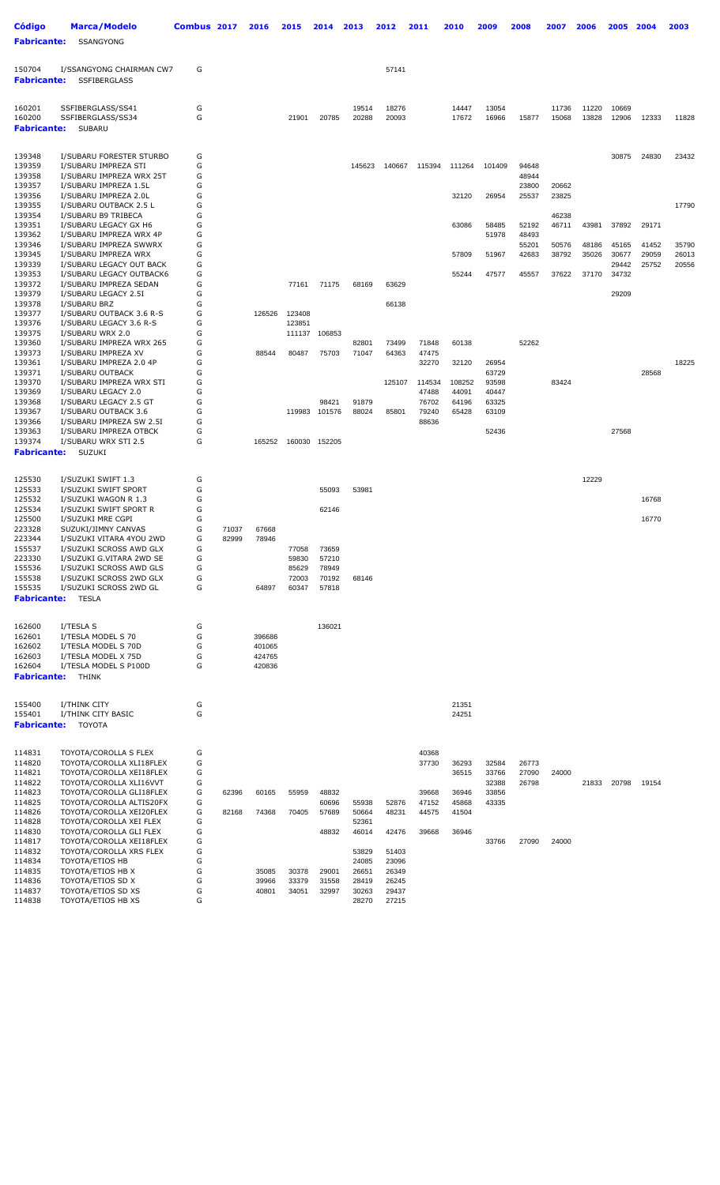| <b>Código</b>                | <b>Marca/Modelo</b>                                 | Combus 2017 |       | 2016             | 2015             | 2014           | 2013           | 2012           | 2011            | 2010           | 2009           | 2008           | 2007           | 2006           | 2005           | 2004           | 2003           |
|------------------------------|-----------------------------------------------------|-------------|-------|------------------|------------------|----------------|----------------|----------------|-----------------|----------------|----------------|----------------|----------------|----------------|----------------|----------------|----------------|
| <b>Fabricante:</b>           | <b>SSANGYONG</b>                                    |             |       |                  |                  |                |                |                |                 |                |                |                |                |                |                |                |                |
| 150704<br><b>Fabricante:</b> | I/SSANGYONG CHAIRMAN CW7<br><b>SSFIBERGLASS</b>     | G           |       |                  |                  |                |                | 57141          |                 |                |                |                |                |                |                |                |                |
| 160201                       | SSFIBERGLASS/SS41                                   | G           |       |                  |                  |                | 19514          | 18276          |                 | 14447          | 13054          |                | 11736          | 11220          | 10669          |                |                |
| 160200<br><b>Fabricante:</b> | SSFIBERGLASS/SS34<br>SUBARU                         | G           |       |                  | 21901            | 20785          | 20288          | 20093          |                 | 17672          | 16966          | 15877          | 15068          | 13828          | 12906          | 12333          | 11828          |
| 139348                       | I/SUBARU FORESTER STURBO                            | G           |       |                  |                  |                |                |                |                 |                |                |                |                |                | 30875          | 24830          | 23432          |
| 139359                       | I/SUBARU IMPREZA STI                                | G           |       |                  |                  |                | 145623         | 140667         | 115394          | 111264         | 101409         | 94648          |                |                |                |                |                |
| 139358<br>139357             | I/SUBARU IMPREZA WRX 25T<br>I/SUBARU IMPREZA 1.5L   | G<br>G      |       |                  |                  |                |                |                |                 |                |                | 48944<br>23800 | 20662          |                |                |                |                |
| 139356                       | I/SUBARU IMPREZA 2.0L                               | G           |       |                  |                  |                |                |                |                 | 32120          | 26954          | 25537          | 23825          |                |                |                |                |
| 139355                       | I/SUBARU OUTBACK 2.5 L                              | G           |       |                  |                  |                |                |                |                 |                |                |                |                |                |                |                | 17790          |
| 139354<br>139351             | I/SUBARU B9 TRIBECA<br>I/SUBARU LEGACY GX H6        | G<br>G      |       |                  |                  |                |                |                |                 | 63086          | 58485          | 52192          | 46238<br>46711 | 43981          | 37892          | 29171          |                |
| 139362                       | I/SUBARU IMPREZA WRX 4P                             | G           |       |                  |                  |                |                |                |                 |                | 51978          | 48493          |                |                |                |                |                |
| 139346<br>139345             | I/SUBARU IMPREZA SWWRX<br>I/SUBARU IMPREZA WRX      | G<br>G      |       |                  |                  |                |                |                |                 | 57809          | 51967          | 55201<br>42683 | 50576<br>38792 | 48186<br>35026 | 45165<br>30677 | 41452<br>29059 | 35790<br>26013 |
| 139339                       | I/SUBARU LEGACY OUT BACK                            | G           |       |                  |                  |                |                |                |                 |                |                |                |                |                | 29442          | 25752          | 20556          |
| 139353                       | I/SUBARU LEGACY OUTBACK6                            | G           |       |                  |                  |                |                |                |                 | 55244          | 47577          | 45557          | 37622          | 37170          | 34732          |                |                |
| 139372<br>139379             | I/SUBARU IMPREZA SEDAN<br>I/SUBARU LEGACY 2.5I      | G<br>G      |       |                  | 77161            | 71175          | 68169          | 63629          |                 |                |                |                |                |                | 29209          |                |                |
| 139378                       | I/SUBARU BRZ                                        | G           |       |                  |                  |                |                | 66138          |                 |                |                |                |                |                |                |                |                |
| 139377<br>139376             | I/SUBARU OUTBACK 3.6 R-S<br>I/SUBARU LEGACY 3.6 R-S | G<br>G      |       | 126526           | 123408<br>123851 |                |                |                |                 |                |                |                |                |                |                |                |                |
| 139375                       | I/SUBARU WRX 2.0                                    | G           |       |                  | 111137           | 106853         |                |                |                 |                |                |                |                |                |                |                |                |
| 139360                       | I/SUBARU IMPREZA WRX 265                            | G           |       |                  |                  |                | 82801          | 73499          | 71848           | 60138          |                | 52262          |                |                |                |                |                |
| 139373<br>139361             | I/SUBARU IMPREZA XV<br>I/SUBARU IMPREZA 2.0 4P      | G<br>G      |       | 88544            | 80487            | 75703          | 71047          | 64363          | 47475<br>32270  | 32120          | 26954          |                |                |                |                |                | 18225          |
| 139371                       | I/SUBARU OUTBACK                                    | G           |       |                  |                  |                |                |                |                 |                | 63729          |                |                |                |                | 28568          |                |
| 139370<br>139369             | I/SUBARU IMPREZA WRX STI                            | G<br>G      |       |                  |                  |                |                | 125107         | 114534<br>47488 | 108252         | 93598<br>40447 |                | 83424          |                |                |                |                |
| 139368                       | I/SUBARU LEGACY 2.0<br>I/SUBARU LEGACY 2.5 GT       | G           |       |                  |                  | 98421          | 91879          |                | 76702           | 44091<br>64196 | 63325          |                |                |                |                |                |                |
| 139367                       | I/SUBARU OUTBACK 3.6                                | G           |       |                  | 119983           | 101576         | 88024          | 85801          | 79240           | 65428          | 63109          |                |                |                |                |                |                |
| 139366<br>139363             | I/SUBARU IMPREZA SW 2.5I<br>I/SUBARU IMPREZA OTBCK  | G<br>G      |       |                  |                  |                |                |                | 88636           |                | 52436          |                |                |                | 27568          |                |                |
| 139374                       | I/SUBARU WRX STI 2.5                                | G           |       | 165252           | 160030           | 152205         |                |                |                 |                |                |                |                |                |                |                |                |
| <b>Fabricante:</b>           | <b>SUZUKI</b>                                       |             |       |                  |                  |                |                |                |                 |                |                |                |                |                |                |                |                |
| 125530                       | I/SUZUKI SWIFT 1.3                                  | G           |       |                  |                  |                |                |                |                 |                |                |                |                | 12229          |                |                |                |
| 125533                       | I/SUZUKI SWIFT SPORT                                | G           |       |                  |                  | 55093          | 53981          |                |                 |                |                |                |                |                |                |                |                |
| 125532                       | I/SUZUKI WAGON R 1.3                                | G           |       |                  |                  |                |                |                |                 |                |                |                |                |                |                | 16768          |                |
| 125534<br>125500             | I/SUZUKI SWIFT SPORT R<br>I/SUZUKI MRE CGPI         | G<br>G      |       |                  |                  | 62146          |                |                |                 |                |                |                |                |                |                | 16770          |                |
| 223328                       | SUZUKI/JIMNY CANVAS                                 | G           | 71037 | 67668            |                  |                |                |                |                 |                |                |                |                |                |                |                |                |
| 223344<br>155537             | I/SUZUKI VITARA 4YOU 2WD<br>I/SUZUKI SCROSS AWD GLX | G<br>G      | 82999 | 78946            | 77058            | 73659          |                |                |                 |                |                |                |                |                |                |                |                |
| 223330                       | I/SUZUKI G.VITARA 2WD SE                            | G           |       |                  | 59830            | 57210          |                |                |                 |                |                |                |                |                |                |                |                |
| 155536                       | I/SUZUKI SCROSS AWD GLS                             | G           |       |                  | 85629            | 78949          |                |                |                 |                |                |                |                |                |                |                |                |
| 155538<br>155535             | I/SUZUKI SCROSS 2WD GLX<br>I/SUZUKI SCROSS 2WD GL   | G<br>G      |       | 64897            | 72003<br>60347   | 70192<br>57818 | 68146          |                |                 |                |                |                |                |                |                |                |                |
| <b>Fabricante:</b>           | TESLA                                               |             |       |                  |                  |                |                |                |                 |                |                |                |                |                |                |                |                |
|                              |                                                     |             |       |                  |                  |                |                |                |                 |                |                |                |                |                |                |                |                |
| 162600<br>162601             | I/TESLA S<br>I/TESLA MODEL S 70                     | G<br>G      |       | 396686           |                  | 136021         |                |                |                 |                |                |                |                |                |                |                |                |
| 162602                       | I/TESLA MODEL S 70D                                 | G           |       | 401065           |                  |                |                |                |                 |                |                |                |                |                |                |                |                |
| 162603<br>162604             | I/TESLA MODEL X 75D<br>I/TESLA MODEL S P100D        | G<br>G      |       | 424765<br>420836 |                  |                |                |                |                 |                |                |                |                |                |                |                |                |
| <b>Fabricante:</b>           | <b>THINK</b>                                        |             |       |                  |                  |                |                |                |                 |                |                |                |                |                |                |                |                |
|                              |                                                     |             |       |                  |                  |                |                |                |                 |                |                |                |                |                |                |                |                |
| 155400<br>155401             | I/THINK CITY<br>I/THINK CITY BASIC                  | G<br>G      |       |                  |                  |                |                |                |                 | 21351<br>24251 |                |                |                |                |                |                |                |
| <b>Fabricante:</b>           | TOYOTA                                              |             |       |                  |                  |                |                |                |                 |                |                |                |                |                |                |                |                |
|                              |                                                     |             |       |                  |                  |                |                |                |                 |                |                |                |                |                |                |                |                |
| 114831<br>114820             | TOYOTA/COROLLA S FLEX<br>TOYOTA/COROLLA XLI18FLEX   | G<br>G      |       |                  |                  |                |                |                | 40368<br>37730  | 36293          | 32584          | 26773          |                |                |                |                |                |
| 114821                       | TOYOTA/COROLLA XEI18FLEX                            | G           |       |                  |                  |                |                |                |                 | 36515          | 33766          | 27090          | 24000          |                |                |                |                |
| 114822<br>114823             | TOYOTA/COROLLA XLI16VVT<br>TOYOTA/COROLLA GLI18FLEX | G<br>G      | 62396 |                  |                  | 48832          |                |                | 39668           |                | 32388          | 26798          |                | 21833          | 20798          | 19154          |                |
| 114825                       | TOYOTA/COROLLA ALTIS20FX                            | G           |       | 60165            | 55959            | 60696          | 55938          | 52876          | 47152           | 36946<br>45868 | 33856<br>43335 |                |                |                |                |                |                |
| 114826                       | TOYOTA/COROLLA XEI20FLEX                            | G           | 82168 | 74368            | 70405            | 57689          | 50664          | 48231          | 44575           | 41504          |                |                |                |                |                |                |                |
| 114828<br>114830             | TOYOTA/COROLLA XEI FLEX<br>TOYOTA/COROLLA GLI FLEX  | G<br>G      |       |                  |                  | 48832          | 52361<br>46014 | 42476          | 39668           | 36946          |                |                |                |                |                |                |                |
| 114817                       | TOYOTA/COROLLA XEI18FLEX                            | G           |       |                  |                  |                |                |                |                 |                | 33766          | 27090          | 24000          |                |                |                |                |
| 114832                       | TOYOTA/COROLLA XRS FLEX                             | G           |       |                  |                  |                | 53829          | 51403          |                 |                |                |                |                |                |                |                |                |
| 114834<br>114835             | TOYOTA/ETIOS HB<br>TOYOTA/ETIOS HB X                | G<br>G      |       | 35085            | 30378            | 29001          | 24085<br>26651 | 23096<br>26349 |                 |                |                |                |                |                |                |                |                |
| 114836                       | TOYOTA/ETIOS SD X                                   | G           |       | 39966            | 33379            | 31558          | 28419          | 26245          |                 |                |                |                |                |                |                |                |                |
| 114837<br>114838             | TOYOTA/ETIOS SD XS<br>TOYOTA/ETIOS HB XS            | G<br>G      |       | 40801            | 34051            | 32997          | 30263<br>28270 | 29437<br>27215 |                 |                |                |                |                |                |                |                |                |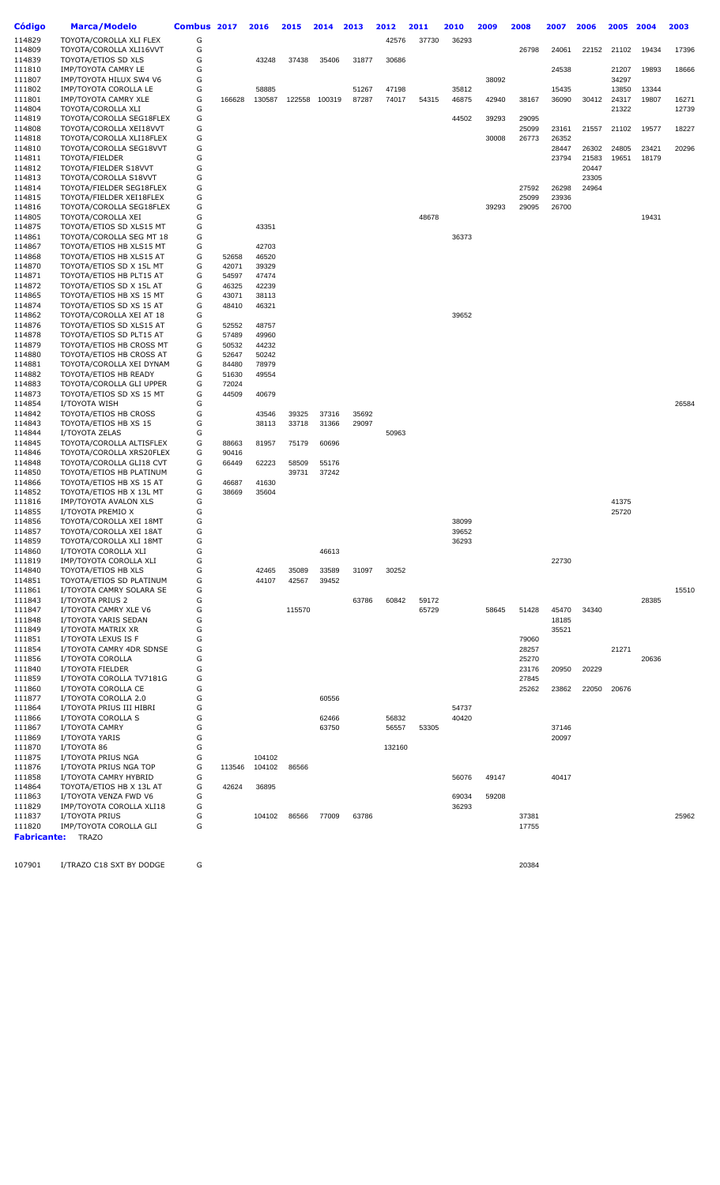| Código             | <b>Marca/Modelo</b>                                  | Combus 2017 |                | 2016           | 2015   | 2014   | 2013  | 2012   | 2011  | 2010  | 2009  | 2008           | 2007           | 2006  | 2005           | 2004  | 2003           |
|--------------------|------------------------------------------------------|-------------|----------------|----------------|--------|--------|-------|--------|-------|-------|-------|----------------|----------------|-------|----------------|-------|----------------|
| 114829             | TOYOTA/COROLLA XLI FLEX                              | G           |                |                |        |        |       | 42576  | 37730 | 36293 |       |                |                |       |                |       |                |
| 114809             | TOYOTA/COROLLA XLI16VVT                              | G           |                |                |        |        |       |        |       |       |       | 26798          | 24061          | 22152 | 21102          | 19434 | 17396          |
| 114839             | TOYOTA/ETIOS SD XLS                                  | G           |                | 43248          | 37438  | 35406  | 31877 | 30686  |       |       |       |                |                |       |                |       |                |
| 111810             | IMP/TOYOTA CAMRY LE                                  | G           |                |                |        |        |       |        |       |       |       |                | 24538          |       | 21207          | 19893 | 18666          |
| 111807             | IMP/TOYOTA HILUX SW4 V6                              | G           |                |                |        |        |       |        |       |       | 38092 |                |                |       | 34297          |       |                |
| 111802             | IMP/TOYOTA COROLLA LE<br>IMP/TOYOTA CAMRY XLE        | G           |                | 58885          |        |        | 51267 | 47198  |       | 35812 |       |                | 15435          |       | 13850          | 13344 |                |
| 111801<br>114804   | TOYOTA/COROLLA XLI                                   | G<br>G      | 166628         | 130587         | 122558 | 100319 | 87287 | 74017  | 54315 | 46875 | 42940 | 38167          | 36090          | 30412 | 24317<br>21322 | 19807 | 16271<br>12739 |
| 114819             | TOYOTA/COROLLA SEG18FLEX                             | G           |                |                |        |        |       |        |       | 44502 | 39293 | 29095          |                |       |                |       |                |
| 114808             | TOYOTA/COROLLA XEI18VVT                              | G           |                |                |        |        |       |        |       |       |       | 25099          | 23161          | 21557 | 21102          | 19577 | 18227          |
| 114818             | TOYOTA/COROLLA XLI18FLEX                             | G           |                |                |        |        |       |        |       |       | 30008 | 26773          | 26352          |       |                |       |                |
| 114810             | TOYOTA/COROLLA SEG18VVT                              | G           |                |                |        |        |       |        |       |       |       |                | 28447          | 26302 | 24805          | 23421 | 20296          |
| 114811             | TOYOTA/FIELDER                                       | G           |                |                |        |        |       |        |       |       |       |                | 23794          | 21583 | 19651          | 18179 |                |
| 114812             | TOYOTA/FIELDER S18VVT                                | G           |                |                |        |        |       |        |       |       |       |                |                | 20447 |                |       |                |
| 114813             | TOYOTA/COROLLA S18VVT                                | G           |                |                |        |        |       |        |       |       |       |                |                | 23305 |                |       |                |
| 114814<br>114815   | TOYOTA/FIELDER SEG18FLEX<br>TOYOTA/FIELDER XEI18FLEX | G<br>G      |                |                |        |        |       |        |       |       |       | 27592<br>25099 | 26298<br>23936 | 24964 |                |       |                |
| 114816             | TOYOTA/COROLLA SEG18FLEX                             | G           |                |                |        |        |       |        |       |       | 39293 | 29095          | 26700          |       |                |       |                |
| 114805             | TOYOTA/COROLLA XEI                                   | G           |                |                |        |        |       |        | 48678 |       |       |                |                |       |                | 19431 |                |
| 114875             | TOYOTA/ETIOS SD XLS15 MT                             | G           |                | 43351          |        |        |       |        |       |       |       |                |                |       |                |       |                |
| 114861             | TOYOTA/COROLLA SEG MT 18                             | G           |                |                |        |        |       |        |       | 36373 |       |                |                |       |                |       |                |
| 114867             | TOYOTA/ETIOS HB XLS15 MT                             | G           |                | 42703          |        |        |       |        |       |       |       |                |                |       |                |       |                |
| 114868             | TOYOTA/ETIOS HB XLS15 AT                             | G           | 52658          | 46520          |        |        |       |        |       |       |       |                |                |       |                |       |                |
| 114870             | TOYOTA/ETIOS SD X 15L MT                             | G           | 42071          | 39329          |        |        |       |        |       |       |       |                |                |       |                |       |                |
| 114871             | TOYOTA/ETIOS HB PLT15 AT                             | G<br>G      | 54597          | 47474          |        |        |       |        |       |       |       |                |                |       |                |       |                |
| 114872<br>114865   | TOYOTA/ETIOS SD X 15L AT<br>TOYOTA/ETIOS HB XS 15 MT | G           | 46325<br>43071 | 42239<br>38113 |        |        |       |        |       |       |       |                |                |       |                |       |                |
| 114874             | TOYOTA/ETIOS SD XS 15 AT                             | G           | 48410          | 46321          |        |        |       |        |       |       |       |                |                |       |                |       |                |
| 114862             | TOYOTA/COROLLA XEI AT 18                             | G           |                |                |        |        |       |        |       | 39652 |       |                |                |       |                |       |                |
| 114876             | TOYOTA/ETIOS SD XLS15 AT                             | G           | 52552          | 48757          |        |        |       |        |       |       |       |                |                |       |                |       |                |
| 114878             | TOYOTA/ETIOS SD PLT15 AT                             | G           | 57489          | 49960          |        |        |       |        |       |       |       |                |                |       |                |       |                |
| 114879             | TOYOTA/ETIOS HB CROSS MT                             | G           | 50532          | 44232          |        |        |       |        |       |       |       |                |                |       |                |       |                |
| 114880             | TOYOTA/ETIOS HB CROSS AT                             | G           | 52647          | 50242          |        |        |       |        |       |       |       |                |                |       |                |       |                |
| 114881             | TOYOTA/COROLLA XEI DYNAM                             | G           | 84480          | 78979          |        |        |       |        |       |       |       |                |                |       |                |       |                |
| 114882<br>114883   | TOYOTA/ETIOS HB READY<br>TOYOTA/COROLLA GLI UPPER    | G<br>G      | 51630<br>72024 | 49554          |        |        |       |        |       |       |       |                |                |       |                |       |                |
| 114873             | TOYOTA/ETIOS SD XS 15 MT                             | G           | 44509          | 40679          |        |        |       |        |       |       |       |                |                |       |                |       |                |
| 114854             | I/TOYOTA WISH                                        | G           |                |                |        |        |       |        |       |       |       |                |                |       |                |       | 26584          |
| 114842             | TOYOTA/ETIOS HB CROSS                                | G           |                | 43546          | 39325  | 37316  | 35692 |        |       |       |       |                |                |       |                |       |                |
| 114843             | TOYOTA/ETIOS HB XS 15                                | G           |                | 38113          | 33718  | 31366  | 29097 |        |       |       |       |                |                |       |                |       |                |
| 114844             | I/TOYOTA ZELAS                                       | G           |                |                |        |        |       | 50963  |       |       |       |                |                |       |                |       |                |
| 114845             | TOYOTA/COROLLA ALTISFLEX                             | G           | 88663          | 81957          | 75179  | 60696  |       |        |       |       |       |                |                |       |                |       |                |
| 114846             | TOYOTA/COROLLA XRS20FLEX                             | G           | 90416          |                |        |        |       |        |       |       |       |                |                |       |                |       |                |
| 114848             | TOYOTA/COROLLA GLI18 CVT                             | G           | 66449          | 62223          | 58509  | 55176  |       |        |       |       |       |                |                |       |                |       |                |
| 114850<br>114866   | TOYOTA/ETIOS HB PLATINUM<br>TOYOTA/ETIOS HB XS 15 AT | G<br>G      | 46687          | 41630          | 39731  | 37242  |       |        |       |       |       |                |                |       |                |       |                |
| 114852             | TOYOTA/ETIOS HB X 13L MT                             | G           | 38669          | 35604          |        |        |       |        |       |       |       |                |                |       |                |       |                |
| 111816             | IMP/TOYOTA AVALON XLS                                | G           |                |                |        |        |       |        |       |       |       |                |                |       | 41375          |       |                |
| 114855             | I/TOYOTA PREMIO X                                    | G           |                |                |        |        |       |        |       |       |       |                |                |       | 25720          |       |                |
| 114856             | TOYOTA/COROLLA XEI 18MT                              | G           |                |                |        |        |       |        |       | 38099 |       |                |                |       |                |       |                |
| 114857             | TOYOTA/COROLLA XEI 18AT                              | G           |                |                |        |        |       |        |       | 39652 |       |                |                |       |                |       |                |
| 114859             | TOYOTA/COROLLA XLI 18MT                              | G           |                |                |        |        |       |        |       | 36293 |       |                |                |       |                |       |                |
| 114860             | I/TOYOTA COROLLA XLI                                 | G           |                |                |        | 46613  |       |        |       |       |       |                |                |       |                |       |                |
| 111819<br>114840   | IMP/TOYOTA COROLLA XLI<br>TOYOTA/ETIOS HB XLS        | G<br>G      |                | 42465          | 35089  | 33589  | 31097 | 30252  |       |       |       |                | 22730          |       |                |       |                |
| 114851             | TOYOTA/ETIOS SD PLATINUM                             | G           |                | 44107          | 42567  | 39452  |       |        |       |       |       |                |                |       |                |       |                |
| 111861             | I/TOYOTA CAMRY SOLARA SE                             | G           |                |                |        |        |       |        |       |       |       |                |                |       |                |       | 15510          |
| 111843             | I/TOYOTA PRIUS 2                                     | G           |                |                |        |        | 63786 | 60842  | 59172 |       |       |                |                |       |                | 28385 |                |
| 111847             | I/TOYOTA CAMRY XLE V6                                | G           |                |                | 115570 |        |       |        | 65729 |       | 58645 | 51428          | 45470          | 34340 |                |       |                |
| 111848             | I/TOYOTA YARIS SEDAN                                 | G           |                |                |        |        |       |        |       |       |       |                | 18185          |       |                |       |                |
| 111849             | I/TOYOTA MATRIX XR                                   | G           |                |                |        |        |       |        |       |       |       |                | 35521          |       |                |       |                |
| 111851             | I/TOYOTA LEXUS IS F                                  | G           |                |                |        |        |       |        |       |       |       | 79060          |                |       |                |       |                |
| 111854             | I/TOYOTA CAMRY 4DR SDNSE<br>I/TOYOTA COROLLA         | G<br>G      |                |                |        |        |       |        |       |       |       | 28257          |                |       | 21271          | 20636 |                |
| 111856<br>111840   | I/TOYOTA FIELDER                                     | G           |                |                |        |        |       |        |       |       |       | 25270<br>23176 | 20950          | 20229 |                |       |                |
| 111859             | I/TOYOTA COROLLA TV7181G                             | G           |                |                |        |        |       |        |       |       |       | 27845          |                |       |                |       |                |
| 111860             | I/TOYOTA COROLLA CE                                  | G           |                |                |        |        |       |        |       |       |       | 25262          | 23862          | 22050 | 20676          |       |                |
| 111877             | I/TOYOTA COROLLA 2.0                                 | G           |                |                |        | 60556  |       |        |       |       |       |                |                |       |                |       |                |
| 111864             | I/TOYOTA PRIUS III HIBRI                             | G           |                |                |        |        |       |        |       | 54737 |       |                |                |       |                |       |                |
| 111866             | I/TOYOTA COROLLA S                                   | G           |                |                |        | 62466  |       | 56832  |       | 40420 |       |                |                |       |                |       |                |
| 111867             | I/TOYOTA CAMRY                                       | G           |                |                |        | 63750  |       | 56557  | 53305 |       |       |                | 37146          |       |                |       |                |
| 111869             | I/TOYOTA YARIS                                       | G           |                |                |        |        |       |        |       |       |       |                | 20097          |       |                |       |                |
| 111870<br>111875   | I/TOYOTA 86<br>I/TOYOTA PRIUS NGA                    | G<br>G      |                | 104102         |        |        |       | 132160 |       |       |       |                |                |       |                |       |                |
| 111876             | I/TOYOTA PRIUS NGA TOP                               | G           | 113546         | 104102         | 86566  |        |       |        |       |       |       |                |                |       |                |       |                |
| 111858             | I/TOYOTA CAMRY HYBRID                                | G           |                |                |        |        |       |        |       | 56076 | 49147 |                | 40417          |       |                |       |                |
| 114864             | TOYOTA/ETIOS HB X 13L AT                             | G           | 42624          | 36895          |        |        |       |        |       |       |       |                |                |       |                |       |                |
| 111863             | I/TOYOTA VENZA FWD V6                                | G           |                |                |        |        |       |        |       | 69034 | 59208 |                |                |       |                |       |                |
| 111829             | IMP/TOYOTA COROLLA XLI18                             | G           |                |                |        |        |       |        |       | 36293 |       |                |                |       |                |       |                |
| 111837             | I/TOYOTA PRIUS                                       | G           |                | 104102         | 86566  | 77009  | 63786 |        |       |       |       | 37381          |                |       |                |       | 25962          |
| 111820             | IMP/TOYOTA COROLLA GLI                               | G           |                |                |        |        |       |        |       |       |       | 17755          |                |       |                |       |                |
| <b>Fabricante:</b> | <b>TRAZO</b>                                         |             |                |                |        |        |       |        |       |       |       |                |                |       |                |       |                |

I/TRAZO C18 SXT BY DODGE G 20384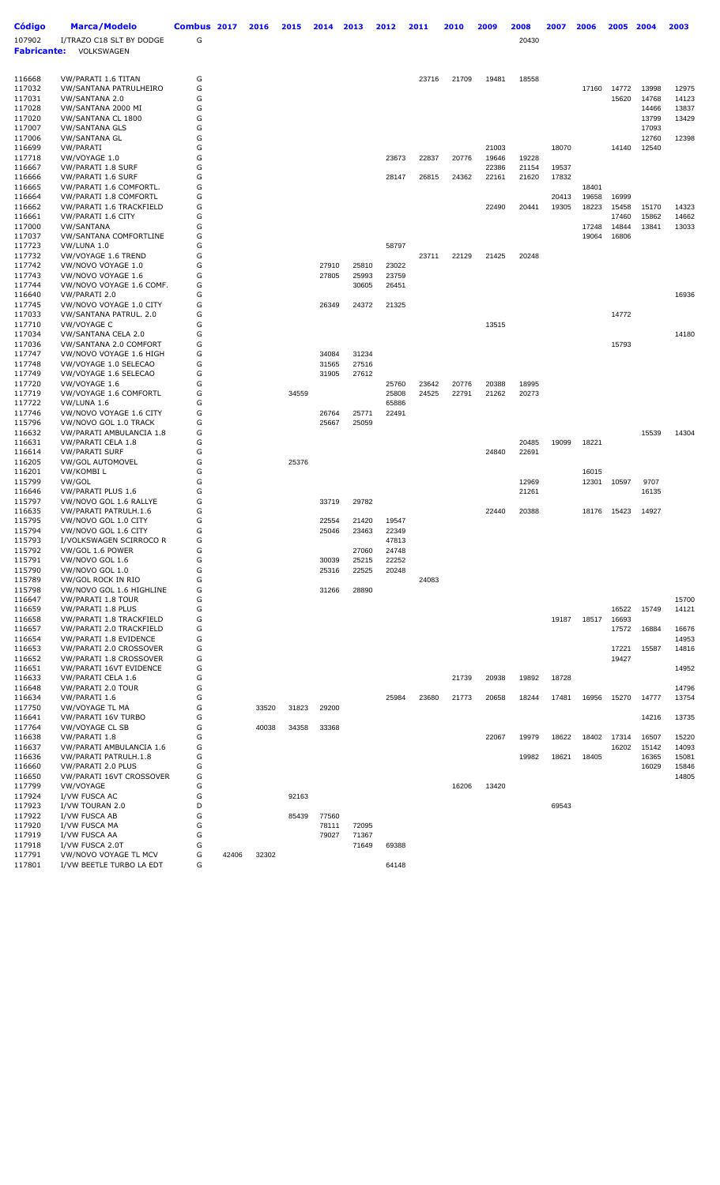| G<br>I/TRAZO C18 SLT BY DODGE<br>20430<br><b>Fabricante:</b><br>VOLKSWAGEN<br>G<br>VW/PARATI 1.6 TITAN<br>23716<br>19481<br>18558<br>21709<br>G<br>VW/SANTANA PATRULHEIRO<br>17160<br>14772<br>13998<br>12975<br>G<br>117031<br>VW/SANTANA 2.0<br>15620<br>14768<br>14123<br>117028<br>VW/SANTANA 2000 MI<br>G<br>14466<br>13837<br>G<br>VW/SANTANA CL 1800<br>13799<br>13429<br>G<br>17093<br><b>VW/SANTANA GLS</b><br>G<br><b>VW/SANTANA GL</b><br>12760<br>12398<br>116699<br>G<br>21003<br>18070<br>14140<br>12540<br>VW/PARATI<br>117718<br>VW/VOYAGE 1.0<br>G<br>19646<br>23673<br>22837<br>20776<br>19228<br>G<br>116667<br>VW/PARATI 1.8 SURF<br>22386<br>21154<br>19537<br>G<br>VW/PARATI 1.6 SURF<br>28147<br>26815<br>24362<br>22161<br>21620<br>17832<br>G<br>VW/PARATI 1.6 COMFORTL.<br>18401<br>G<br>VW/PARATI 1.8 COMFORTL<br>20413<br>19658<br>16999<br>G<br>116662<br>VW/PARATI 1.6 TRACKFIELD<br>22490<br>20441<br>19305<br>18223<br>15458<br>15170<br>14323<br>G<br>116661<br>VW/PARATI 1.6 CITY<br>17460<br>15862<br>14662<br>117000<br>G<br><b>VW/SANTANA</b><br>17248<br>14844<br>13841<br>13033<br>G<br><b>VW/SANTANA COMFORTLINE</b><br>16806<br>19064<br>G<br>58797<br>VW/LUNA 1.0<br>G<br>117732<br>VW/VOYAGE 1.6 TREND<br>23711<br>22129<br>21425<br>20248<br>117742<br>G<br>23022<br>VW/NOVO VOYAGE 1.0<br>27910<br>25810<br>G<br>117743<br>VW/NOVO VOYAGE 1.6<br>27805<br>25993<br>23759<br>G<br>VW/NOVO VOYAGE 1.6 COMF.<br>30605<br>26451<br>G<br>16936<br>VW/PARATI 2.0<br>G<br>VW/NOVO VOYAGE 1.0 CITY<br>26349<br>24372<br>21325<br>G<br>14772<br>117033<br>VW/SANTANA PATRUL. 2.0<br>G<br>117710<br>VW/VOYAGE C<br>13515<br>117034<br>VW/SANTANA CELA 2.0<br>G<br>14180<br>G<br>VW/SANTANA 2.0 COMFORT<br>15793<br>G<br>34084<br>31234<br>VW/NOVO VOYAGE 1.6 HIGH<br>117748<br>G<br>VW/VOYAGE 1.0 SELECAO<br>31565<br>27516<br>G<br>117749<br>VW/VOYAGE 1.6 SELECAO<br>31905<br>27612<br>117720<br>G<br>VW/VOYAGE 1.6<br>25760<br>23642<br>20776<br>20388<br>18995<br>G<br>34559<br>24525<br>22791<br>20273<br>VW/VOYAGE 1.6 COMFORTL<br>25808<br>21262<br>VW/LUNA 1.6<br>G<br>65886<br>G<br>VW/NOVO VOYAGE 1.6 CITY<br>26764<br>25771<br>22491<br>115796<br>G<br>VW/NOVO GOL 1.0 TRACK<br>25667<br>25059<br>116632<br>G<br>VW/PARATI AMBULANCIA 1.8<br>15539<br>14304<br>G<br>VW/PARATI CELA 1.8<br>20485<br>19099<br>18221<br>G<br><b>VW/PARATI SURF</b><br>24840<br>22691<br>G<br><b>VW/GOL AUTOMOVEL</b><br>25376<br>116201<br>VW/KOMBIL<br>G<br>16015<br>G<br>115799<br>VW/GOL<br>12969<br>12301<br>10597<br>9707<br>G<br>116646<br>VW/PARATI PLUS 1.6<br>21261<br>16135<br>G<br>VW/NOVO GOL 1.6 RALLYE<br>33719<br>29782<br>G<br>VW/PARATI PATRULH.1.6<br>14927<br>22440<br>20388<br>18176<br>15423<br>115795<br>VW/NOVO GOL 1.0 CITY<br>G<br>22554<br>21420<br>19547<br>G<br>115794<br>22349<br>VW/NOVO GOL 1.6 CITY<br>25046<br>23463<br>115793<br>I/VOLKSWAGEN SCIRROCO R<br>G<br>47813<br>G<br>VW/GOL 1.6 POWER<br>27060<br>24748<br>VW/NOVO GOL 1.6<br>G<br>25215<br>22252<br>30039<br>115790<br>VW/NOVO GOL 1.0<br>G<br>22525<br>20248<br>25316<br>G<br>115789<br>VW/GOL ROCK IN RIO<br>24083<br>115798<br>VW/NOVO GOL 1.6 HIGHLINE<br>G<br>31266<br>28890<br>G<br>VW/PARATI 1.8 TOUR<br>15700<br>VW/PARATI 1.8 PLUS<br>G<br>16522<br>15749<br>14121<br>G<br>VW/PARATI 1.8 TRACKFIELD<br>19187<br>18517<br>16693<br>116657<br>VW/PARATI 2.0 TRACKFIELD<br>G<br>17572<br>16884<br>16676<br>116654<br>VW/PARATI 1.8 EVIDENCE<br>G<br>14953<br>G<br>116653<br>VW/PARATI 2.0 CROSSOVER<br>17221<br>15587<br>14816<br>VW/PARATI 1.8 CROSSOVER<br>G<br>19427<br>G<br>VW/PARATI 16VT EVIDENCE<br>14952<br>116633<br>VW/PARATI CELA 1.6<br>G<br>18728<br>21739<br>20938<br>19892<br>G<br>116648<br><b>VW/PARATI 2.0 TOUR</b><br>14796<br>G<br>23680<br>14777<br>116634<br>VW/PARATI 1.6<br>25984<br>21773<br>20658<br>18244<br>17481<br>16956<br>15270<br>13754<br>G<br>VW/VOYAGE TL MA<br>33520<br>31823<br>29200<br>G<br>VW/PARATI 16V TURBO<br>14216<br>13735<br>G<br>VW/VOYAGE CL SB<br>40038<br>34358<br>33368<br>G<br>116638<br>VW/PARATI 1.8<br>22067<br>19979<br>18622<br>18402<br>17314<br>16507<br>15220<br>116637<br>VW/PARATI AMBULANCIA 1.6<br>G<br>14093<br>16202<br>15142<br>G<br>116636<br>VW/PARATI PATRULH.1.8<br>19982<br>18621<br>18405<br>16365<br>15081<br>G<br>16029<br>15846<br>VW/PARATI 2.0 PLUS<br>G<br>VW/PARATI 16VT CROSSOVER<br>14805<br>G<br>VW/VOYAGE<br>16206<br>13420<br>117924<br>I/VW FUSCA AC<br>G<br>92163<br>D<br>117923<br>I/VW TOURAN 2.0<br>69543<br>I/VW FUSCA AB<br>G<br>85439<br>77560<br>G<br>I/VW FUSCA MA<br>78111<br>72095<br>G<br>71367<br>I/VW FUSCA AA<br>79027<br>G<br>117918<br>I/VW FUSCA 2.0T<br>71649<br>69388<br>G<br>117791<br>VW/NOVO VOYAGE TL MCV<br>42406<br>32302<br>I/VW BEETLE TURBO LA EDT<br>G<br>64148 | <b>Código</b> | <b>Marca/Modelo</b> | Combus 2017 | 2016 | 2015 | 2014 | 2013 | 2012 | 2011 | 2010 | 2009 | 2008 | 2007 | 2006 | 2005 | 2004 | 2003 |
|---------------------------------------------------------------------------------------------------------------------------------------------------------------------------------------------------------------------------------------------------------------------------------------------------------------------------------------------------------------------------------------------------------------------------------------------------------------------------------------------------------------------------------------------------------------------------------------------------------------------------------------------------------------------------------------------------------------------------------------------------------------------------------------------------------------------------------------------------------------------------------------------------------------------------------------------------------------------------------------------------------------------------------------------------------------------------------------------------------------------------------------------------------------------------------------------------------------------------------------------------------------------------------------------------------------------------------------------------------------------------------------------------------------------------------------------------------------------------------------------------------------------------------------------------------------------------------------------------------------------------------------------------------------------------------------------------------------------------------------------------------------------------------------------------------------------------------------------------------------------------------------------------------------------------------------------------------------------------------------------------------------------------------------------------------------------------------------------------------------------------------------------------------------------------------------------------------------------------------------------------------------------------------------------------------------------------------------------------------------------------------------------------------------------------------------------------------------------------------------------------------------------------------------------------------------------------------------------------------------------------------------------------------------------------------------------------------------------------------------------------------------------------------------------------------------------------------------------------------------------------------------------------------------------------------------------------------------------------------------------------------------------------------------------------------------------------------------------------------------------------------------------------------------------------------------------------------------------------------------------------------------------------------------------------------------------------------------------------------------------------------------------------------------------------------------------------------------------------------------------------------------------------------------------------------------------------------------------------------------------------------------------------------------------------------------------------------------------------------------------------------------------------------------------------------------------------------------------------------------------------------------------------------------------------------------------------------------------------------------------------------------------------------------------------------------------------------------------------------------------------------------------------------------------------------------------------------------------------------------------------------------------------------------------------------------------------------------------------------------------------------------------------------------------------------------------------------------------------------------------------------------------------------------------------------------------------------------------------------------------------------------------------------------------------------------------------------------------------------------------------------------------------------------------------------------------|---------------|---------------------|-------------|------|------|------|------|------|------|------|------|------|------|------|------|------|------|
|                                                                                                                                                                                                                                                                                                                                                                                                                                                                                                                                                                                                                                                                                                                                                                                                                                                                                                                                                                                                                                                                                                                                                                                                                                                                                                                                                                                                                                                                                                                                                                                                                                                                                                                                                                                                                                                                                                                                                                                                                                                                                                                                                                                                                                                                                                                                                                                                                                                                                                                                                                                                                                                                                                                                                                                                                                                                                                                                                                                                                                                                                                                                                                                                                                                                                                                                                                                                                                                                                                                                                                                                                                                                                                                                                                                                                                                                                                                                                                                                                                                                                                                                                                                                                                                                                                                                                                                                                                                                                                                                                                                                                                                                                                                                                                                                                     | 107902        |                     |             |      |      |      |      |      |      |      |      |      |      |      |      |      |      |
|                                                                                                                                                                                                                                                                                                                                                                                                                                                                                                                                                                                                                                                                                                                                                                                                                                                                                                                                                                                                                                                                                                                                                                                                                                                                                                                                                                                                                                                                                                                                                                                                                                                                                                                                                                                                                                                                                                                                                                                                                                                                                                                                                                                                                                                                                                                                                                                                                                                                                                                                                                                                                                                                                                                                                                                                                                                                                                                                                                                                                                                                                                                                                                                                                                                                                                                                                                                                                                                                                                                                                                                                                                                                                                                                                                                                                                                                                                                                                                                                                                                                                                                                                                                                                                                                                                                                                                                                                                                                                                                                                                                                                                                                                                                                                                                                                     |               |                     |             |      |      |      |      |      |      |      |      |      |      |      |      |      |      |
|                                                                                                                                                                                                                                                                                                                                                                                                                                                                                                                                                                                                                                                                                                                                                                                                                                                                                                                                                                                                                                                                                                                                                                                                                                                                                                                                                                                                                                                                                                                                                                                                                                                                                                                                                                                                                                                                                                                                                                                                                                                                                                                                                                                                                                                                                                                                                                                                                                                                                                                                                                                                                                                                                                                                                                                                                                                                                                                                                                                                                                                                                                                                                                                                                                                                                                                                                                                                                                                                                                                                                                                                                                                                                                                                                                                                                                                                                                                                                                                                                                                                                                                                                                                                                                                                                                                                                                                                                                                                                                                                                                                                                                                                                                                                                                                                                     |               |                     |             |      |      |      |      |      |      |      |      |      |      |      |      |      |      |
|                                                                                                                                                                                                                                                                                                                                                                                                                                                                                                                                                                                                                                                                                                                                                                                                                                                                                                                                                                                                                                                                                                                                                                                                                                                                                                                                                                                                                                                                                                                                                                                                                                                                                                                                                                                                                                                                                                                                                                                                                                                                                                                                                                                                                                                                                                                                                                                                                                                                                                                                                                                                                                                                                                                                                                                                                                                                                                                                                                                                                                                                                                                                                                                                                                                                                                                                                                                                                                                                                                                                                                                                                                                                                                                                                                                                                                                                                                                                                                                                                                                                                                                                                                                                                                                                                                                                                                                                                                                                                                                                                                                                                                                                                                                                                                                                                     | 116668        |                     |             |      |      |      |      |      |      |      |      |      |      |      |      |      |      |
|                                                                                                                                                                                                                                                                                                                                                                                                                                                                                                                                                                                                                                                                                                                                                                                                                                                                                                                                                                                                                                                                                                                                                                                                                                                                                                                                                                                                                                                                                                                                                                                                                                                                                                                                                                                                                                                                                                                                                                                                                                                                                                                                                                                                                                                                                                                                                                                                                                                                                                                                                                                                                                                                                                                                                                                                                                                                                                                                                                                                                                                                                                                                                                                                                                                                                                                                                                                                                                                                                                                                                                                                                                                                                                                                                                                                                                                                                                                                                                                                                                                                                                                                                                                                                                                                                                                                                                                                                                                                                                                                                                                                                                                                                                                                                                                                                     | 117032        |                     |             |      |      |      |      |      |      |      |      |      |      |      |      |      |      |
|                                                                                                                                                                                                                                                                                                                                                                                                                                                                                                                                                                                                                                                                                                                                                                                                                                                                                                                                                                                                                                                                                                                                                                                                                                                                                                                                                                                                                                                                                                                                                                                                                                                                                                                                                                                                                                                                                                                                                                                                                                                                                                                                                                                                                                                                                                                                                                                                                                                                                                                                                                                                                                                                                                                                                                                                                                                                                                                                                                                                                                                                                                                                                                                                                                                                                                                                                                                                                                                                                                                                                                                                                                                                                                                                                                                                                                                                                                                                                                                                                                                                                                                                                                                                                                                                                                                                                                                                                                                                                                                                                                                                                                                                                                                                                                                                                     |               |                     |             |      |      |      |      |      |      |      |      |      |      |      |      |      |      |
|                                                                                                                                                                                                                                                                                                                                                                                                                                                                                                                                                                                                                                                                                                                                                                                                                                                                                                                                                                                                                                                                                                                                                                                                                                                                                                                                                                                                                                                                                                                                                                                                                                                                                                                                                                                                                                                                                                                                                                                                                                                                                                                                                                                                                                                                                                                                                                                                                                                                                                                                                                                                                                                                                                                                                                                                                                                                                                                                                                                                                                                                                                                                                                                                                                                                                                                                                                                                                                                                                                                                                                                                                                                                                                                                                                                                                                                                                                                                                                                                                                                                                                                                                                                                                                                                                                                                                                                                                                                                                                                                                                                                                                                                                                                                                                                                                     | 117020        |                     |             |      |      |      |      |      |      |      |      |      |      |      |      |      |      |
|                                                                                                                                                                                                                                                                                                                                                                                                                                                                                                                                                                                                                                                                                                                                                                                                                                                                                                                                                                                                                                                                                                                                                                                                                                                                                                                                                                                                                                                                                                                                                                                                                                                                                                                                                                                                                                                                                                                                                                                                                                                                                                                                                                                                                                                                                                                                                                                                                                                                                                                                                                                                                                                                                                                                                                                                                                                                                                                                                                                                                                                                                                                                                                                                                                                                                                                                                                                                                                                                                                                                                                                                                                                                                                                                                                                                                                                                                                                                                                                                                                                                                                                                                                                                                                                                                                                                                                                                                                                                                                                                                                                                                                                                                                                                                                                                                     | 117007        |                     |             |      |      |      |      |      |      |      |      |      |      |      |      |      |      |
|                                                                                                                                                                                                                                                                                                                                                                                                                                                                                                                                                                                                                                                                                                                                                                                                                                                                                                                                                                                                                                                                                                                                                                                                                                                                                                                                                                                                                                                                                                                                                                                                                                                                                                                                                                                                                                                                                                                                                                                                                                                                                                                                                                                                                                                                                                                                                                                                                                                                                                                                                                                                                                                                                                                                                                                                                                                                                                                                                                                                                                                                                                                                                                                                                                                                                                                                                                                                                                                                                                                                                                                                                                                                                                                                                                                                                                                                                                                                                                                                                                                                                                                                                                                                                                                                                                                                                                                                                                                                                                                                                                                                                                                                                                                                                                                                                     | 117006        |                     |             |      |      |      |      |      |      |      |      |      |      |      |      |      |      |
|                                                                                                                                                                                                                                                                                                                                                                                                                                                                                                                                                                                                                                                                                                                                                                                                                                                                                                                                                                                                                                                                                                                                                                                                                                                                                                                                                                                                                                                                                                                                                                                                                                                                                                                                                                                                                                                                                                                                                                                                                                                                                                                                                                                                                                                                                                                                                                                                                                                                                                                                                                                                                                                                                                                                                                                                                                                                                                                                                                                                                                                                                                                                                                                                                                                                                                                                                                                                                                                                                                                                                                                                                                                                                                                                                                                                                                                                                                                                                                                                                                                                                                                                                                                                                                                                                                                                                                                                                                                                                                                                                                                                                                                                                                                                                                                                                     |               |                     |             |      |      |      |      |      |      |      |      |      |      |      |      |      |      |
|                                                                                                                                                                                                                                                                                                                                                                                                                                                                                                                                                                                                                                                                                                                                                                                                                                                                                                                                                                                                                                                                                                                                                                                                                                                                                                                                                                                                                                                                                                                                                                                                                                                                                                                                                                                                                                                                                                                                                                                                                                                                                                                                                                                                                                                                                                                                                                                                                                                                                                                                                                                                                                                                                                                                                                                                                                                                                                                                                                                                                                                                                                                                                                                                                                                                                                                                                                                                                                                                                                                                                                                                                                                                                                                                                                                                                                                                                                                                                                                                                                                                                                                                                                                                                                                                                                                                                                                                                                                                                                                                                                                                                                                                                                                                                                                                                     |               |                     |             |      |      |      |      |      |      |      |      |      |      |      |      |      |      |
|                                                                                                                                                                                                                                                                                                                                                                                                                                                                                                                                                                                                                                                                                                                                                                                                                                                                                                                                                                                                                                                                                                                                                                                                                                                                                                                                                                                                                                                                                                                                                                                                                                                                                                                                                                                                                                                                                                                                                                                                                                                                                                                                                                                                                                                                                                                                                                                                                                                                                                                                                                                                                                                                                                                                                                                                                                                                                                                                                                                                                                                                                                                                                                                                                                                                                                                                                                                                                                                                                                                                                                                                                                                                                                                                                                                                                                                                                                                                                                                                                                                                                                                                                                                                                                                                                                                                                                                                                                                                                                                                                                                                                                                                                                                                                                                                                     | 116666        |                     |             |      |      |      |      |      |      |      |      |      |      |      |      |      |      |
|                                                                                                                                                                                                                                                                                                                                                                                                                                                                                                                                                                                                                                                                                                                                                                                                                                                                                                                                                                                                                                                                                                                                                                                                                                                                                                                                                                                                                                                                                                                                                                                                                                                                                                                                                                                                                                                                                                                                                                                                                                                                                                                                                                                                                                                                                                                                                                                                                                                                                                                                                                                                                                                                                                                                                                                                                                                                                                                                                                                                                                                                                                                                                                                                                                                                                                                                                                                                                                                                                                                                                                                                                                                                                                                                                                                                                                                                                                                                                                                                                                                                                                                                                                                                                                                                                                                                                                                                                                                                                                                                                                                                                                                                                                                                                                                                                     | 116665        |                     |             |      |      |      |      |      |      |      |      |      |      |      |      |      |      |
|                                                                                                                                                                                                                                                                                                                                                                                                                                                                                                                                                                                                                                                                                                                                                                                                                                                                                                                                                                                                                                                                                                                                                                                                                                                                                                                                                                                                                                                                                                                                                                                                                                                                                                                                                                                                                                                                                                                                                                                                                                                                                                                                                                                                                                                                                                                                                                                                                                                                                                                                                                                                                                                                                                                                                                                                                                                                                                                                                                                                                                                                                                                                                                                                                                                                                                                                                                                                                                                                                                                                                                                                                                                                                                                                                                                                                                                                                                                                                                                                                                                                                                                                                                                                                                                                                                                                                                                                                                                                                                                                                                                                                                                                                                                                                                                                                     | 116664        |                     |             |      |      |      |      |      |      |      |      |      |      |      |      |      |      |
|                                                                                                                                                                                                                                                                                                                                                                                                                                                                                                                                                                                                                                                                                                                                                                                                                                                                                                                                                                                                                                                                                                                                                                                                                                                                                                                                                                                                                                                                                                                                                                                                                                                                                                                                                                                                                                                                                                                                                                                                                                                                                                                                                                                                                                                                                                                                                                                                                                                                                                                                                                                                                                                                                                                                                                                                                                                                                                                                                                                                                                                                                                                                                                                                                                                                                                                                                                                                                                                                                                                                                                                                                                                                                                                                                                                                                                                                                                                                                                                                                                                                                                                                                                                                                                                                                                                                                                                                                                                                                                                                                                                                                                                                                                                                                                                                                     |               |                     |             |      |      |      |      |      |      |      |      |      |      |      |      |      |      |
|                                                                                                                                                                                                                                                                                                                                                                                                                                                                                                                                                                                                                                                                                                                                                                                                                                                                                                                                                                                                                                                                                                                                                                                                                                                                                                                                                                                                                                                                                                                                                                                                                                                                                                                                                                                                                                                                                                                                                                                                                                                                                                                                                                                                                                                                                                                                                                                                                                                                                                                                                                                                                                                                                                                                                                                                                                                                                                                                                                                                                                                                                                                                                                                                                                                                                                                                                                                                                                                                                                                                                                                                                                                                                                                                                                                                                                                                                                                                                                                                                                                                                                                                                                                                                                                                                                                                                                                                                                                                                                                                                                                                                                                                                                                                                                                                                     |               |                     |             |      |      |      |      |      |      |      |      |      |      |      |      |      |      |
|                                                                                                                                                                                                                                                                                                                                                                                                                                                                                                                                                                                                                                                                                                                                                                                                                                                                                                                                                                                                                                                                                                                                                                                                                                                                                                                                                                                                                                                                                                                                                                                                                                                                                                                                                                                                                                                                                                                                                                                                                                                                                                                                                                                                                                                                                                                                                                                                                                                                                                                                                                                                                                                                                                                                                                                                                                                                                                                                                                                                                                                                                                                                                                                                                                                                                                                                                                                                                                                                                                                                                                                                                                                                                                                                                                                                                                                                                                                                                                                                                                                                                                                                                                                                                                                                                                                                                                                                                                                                                                                                                                                                                                                                                                                                                                                                                     | 117037        |                     |             |      |      |      |      |      |      |      |      |      |      |      |      |      |      |
|                                                                                                                                                                                                                                                                                                                                                                                                                                                                                                                                                                                                                                                                                                                                                                                                                                                                                                                                                                                                                                                                                                                                                                                                                                                                                                                                                                                                                                                                                                                                                                                                                                                                                                                                                                                                                                                                                                                                                                                                                                                                                                                                                                                                                                                                                                                                                                                                                                                                                                                                                                                                                                                                                                                                                                                                                                                                                                                                                                                                                                                                                                                                                                                                                                                                                                                                                                                                                                                                                                                                                                                                                                                                                                                                                                                                                                                                                                                                                                                                                                                                                                                                                                                                                                                                                                                                                                                                                                                                                                                                                                                                                                                                                                                                                                                                                     | 117723        |                     |             |      |      |      |      |      |      |      |      |      |      |      |      |      |      |
|                                                                                                                                                                                                                                                                                                                                                                                                                                                                                                                                                                                                                                                                                                                                                                                                                                                                                                                                                                                                                                                                                                                                                                                                                                                                                                                                                                                                                                                                                                                                                                                                                                                                                                                                                                                                                                                                                                                                                                                                                                                                                                                                                                                                                                                                                                                                                                                                                                                                                                                                                                                                                                                                                                                                                                                                                                                                                                                                                                                                                                                                                                                                                                                                                                                                                                                                                                                                                                                                                                                                                                                                                                                                                                                                                                                                                                                                                                                                                                                                                                                                                                                                                                                                                                                                                                                                                                                                                                                                                                                                                                                                                                                                                                                                                                                                                     |               |                     |             |      |      |      |      |      |      |      |      |      |      |      |      |      |      |
|                                                                                                                                                                                                                                                                                                                                                                                                                                                                                                                                                                                                                                                                                                                                                                                                                                                                                                                                                                                                                                                                                                                                                                                                                                                                                                                                                                                                                                                                                                                                                                                                                                                                                                                                                                                                                                                                                                                                                                                                                                                                                                                                                                                                                                                                                                                                                                                                                                                                                                                                                                                                                                                                                                                                                                                                                                                                                                                                                                                                                                                                                                                                                                                                                                                                                                                                                                                                                                                                                                                                                                                                                                                                                                                                                                                                                                                                                                                                                                                                                                                                                                                                                                                                                                                                                                                                                                                                                                                                                                                                                                                                                                                                                                                                                                                                                     |               |                     |             |      |      |      |      |      |      |      |      |      |      |      |      |      |      |
|                                                                                                                                                                                                                                                                                                                                                                                                                                                                                                                                                                                                                                                                                                                                                                                                                                                                                                                                                                                                                                                                                                                                                                                                                                                                                                                                                                                                                                                                                                                                                                                                                                                                                                                                                                                                                                                                                                                                                                                                                                                                                                                                                                                                                                                                                                                                                                                                                                                                                                                                                                                                                                                                                                                                                                                                                                                                                                                                                                                                                                                                                                                                                                                                                                                                                                                                                                                                                                                                                                                                                                                                                                                                                                                                                                                                                                                                                                                                                                                                                                                                                                                                                                                                                                                                                                                                                                                                                                                                                                                                                                                                                                                                                                                                                                                                                     | 117744        |                     |             |      |      |      |      |      |      |      |      |      |      |      |      |      |      |
|                                                                                                                                                                                                                                                                                                                                                                                                                                                                                                                                                                                                                                                                                                                                                                                                                                                                                                                                                                                                                                                                                                                                                                                                                                                                                                                                                                                                                                                                                                                                                                                                                                                                                                                                                                                                                                                                                                                                                                                                                                                                                                                                                                                                                                                                                                                                                                                                                                                                                                                                                                                                                                                                                                                                                                                                                                                                                                                                                                                                                                                                                                                                                                                                                                                                                                                                                                                                                                                                                                                                                                                                                                                                                                                                                                                                                                                                                                                                                                                                                                                                                                                                                                                                                                                                                                                                                                                                                                                                                                                                                                                                                                                                                                                                                                                                                     | 116640        |                     |             |      |      |      |      |      |      |      |      |      |      |      |      |      |      |
|                                                                                                                                                                                                                                                                                                                                                                                                                                                                                                                                                                                                                                                                                                                                                                                                                                                                                                                                                                                                                                                                                                                                                                                                                                                                                                                                                                                                                                                                                                                                                                                                                                                                                                                                                                                                                                                                                                                                                                                                                                                                                                                                                                                                                                                                                                                                                                                                                                                                                                                                                                                                                                                                                                                                                                                                                                                                                                                                                                                                                                                                                                                                                                                                                                                                                                                                                                                                                                                                                                                                                                                                                                                                                                                                                                                                                                                                                                                                                                                                                                                                                                                                                                                                                                                                                                                                                                                                                                                                                                                                                                                                                                                                                                                                                                                                                     | 117745        |                     |             |      |      |      |      |      |      |      |      |      |      |      |      |      |      |
|                                                                                                                                                                                                                                                                                                                                                                                                                                                                                                                                                                                                                                                                                                                                                                                                                                                                                                                                                                                                                                                                                                                                                                                                                                                                                                                                                                                                                                                                                                                                                                                                                                                                                                                                                                                                                                                                                                                                                                                                                                                                                                                                                                                                                                                                                                                                                                                                                                                                                                                                                                                                                                                                                                                                                                                                                                                                                                                                                                                                                                                                                                                                                                                                                                                                                                                                                                                                                                                                                                                                                                                                                                                                                                                                                                                                                                                                                                                                                                                                                                                                                                                                                                                                                                                                                                                                                                                                                                                                                                                                                                                                                                                                                                                                                                                                                     |               |                     |             |      |      |      |      |      |      |      |      |      |      |      |      |      |      |
|                                                                                                                                                                                                                                                                                                                                                                                                                                                                                                                                                                                                                                                                                                                                                                                                                                                                                                                                                                                                                                                                                                                                                                                                                                                                                                                                                                                                                                                                                                                                                                                                                                                                                                                                                                                                                                                                                                                                                                                                                                                                                                                                                                                                                                                                                                                                                                                                                                                                                                                                                                                                                                                                                                                                                                                                                                                                                                                                                                                                                                                                                                                                                                                                                                                                                                                                                                                                                                                                                                                                                                                                                                                                                                                                                                                                                                                                                                                                                                                                                                                                                                                                                                                                                                                                                                                                                                                                                                                                                                                                                                                                                                                                                                                                                                                                                     |               |                     |             |      |      |      |      |      |      |      |      |      |      |      |      |      |      |
|                                                                                                                                                                                                                                                                                                                                                                                                                                                                                                                                                                                                                                                                                                                                                                                                                                                                                                                                                                                                                                                                                                                                                                                                                                                                                                                                                                                                                                                                                                                                                                                                                                                                                                                                                                                                                                                                                                                                                                                                                                                                                                                                                                                                                                                                                                                                                                                                                                                                                                                                                                                                                                                                                                                                                                                                                                                                                                                                                                                                                                                                                                                                                                                                                                                                                                                                                                                                                                                                                                                                                                                                                                                                                                                                                                                                                                                                                                                                                                                                                                                                                                                                                                                                                                                                                                                                                                                                                                                                                                                                                                                                                                                                                                                                                                                                                     | 117036        |                     |             |      |      |      |      |      |      |      |      |      |      |      |      |      |      |
|                                                                                                                                                                                                                                                                                                                                                                                                                                                                                                                                                                                                                                                                                                                                                                                                                                                                                                                                                                                                                                                                                                                                                                                                                                                                                                                                                                                                                                                                                                                                                                                                                                                                                                                                                                                                                                                                                                                                                                                                                                                                                                                                                                                                                                                                                                                                                                                                                                                                                                                                                                                                                                                                                                                                                                                                                                                                                                                                                                                                                                                                                                                                                                                                                                                                                                                                                                                                                                                                                                                                                                                                                                                                                                                                                                                                                                                                                                                                                                                                                                                                                                                                                                                                                                                                                                                                                                                                                                                                                                                                                                                                                                                                                                                                                                                                                     | 117747        |                     |             |      |      |      |      |      |      |      |      |      |      |      |      |      |      |
|                                                                                                                                                                                                                                                                                                                                                                                                                                                                                                                                                                                                                                                                                                                                                                                                                                                                                                                                                                                                                                                                                                                                                                                                                                                                                                                                                                                                                                                                                                                                                                                                                                                                                                                                                                                                                                                                                                                                                                                                                                                                                                                                                                                                                                                                                                                                                                                                                                                                                                                                                                                                                                                                                                                                                                                                                                                                                                                                                                                                                                                                                                                                                                                                                                                                                                                                                                                                                                                                                                                                                                                                                                                                                                                                                                                                                                                                                                                                                                                                                                                                                                                                                                                                                                                                                                                                                                                                                                                                                                                                                                                                                                                                                                                                                                                                                     |               |                     |             |      |      |      |      |      |      |      |      |      |      |      |      |      |      |
|                                                                                                                                                                                                                                                                                                                                                                                                                                                                                                                                                                                                                                                                                                                                                                                                                                                                                                                                                                                                                                                                                                                                                                                                                                                                                                                                                                                                                                                                                                                                                                                                                                                                                                                                                                                                                                                                                                                                                                                                                                                                                                                                                                                                                                                                                                                                                                                                                                                                                                                                                                                                                                                                                                                                                                                                                                                                                                                                                                                                                                                                                                                                                                                                                                                                                                                                                                                                                                                                                                                                                                                                                                                                                                                                                                                                                                                                                                                                                                                                                                                                                                                                                                                                                                                                                                                                                                                                                                                                                                                                                                                                                                                                                                                                                                                                                     |               |                     |             |      |      |      |      |      |      |      |      |      |      |      |      |      |      |
|                                                                                                                                                                                                                                                                                                                                                                                                                                                                                                                                                                                                                                                                                                                                                                                                                                                                                                                                                                                                                                                                                                                                                                                                                                                                                                                                                                                                                                                                                                                                                                                                                                                                                                                                                                                                                                                                                                                                                                                                                                                                                                                                                                                                                                                                                                                                                                                                                                                                                                                                                                                                                                                                                                                                                                                                                                                                                                                                                                                                                                                                                                                                                                                                                                                                                                                                                                                                                                                                                                                                                                                                                                                                                                                                                                                                                                                                                                                                                                                                                                                                                                                                                                                                                                                                                                                                                                                                                                                                                                                                                                                                                                                                                                                                                                                                                     | 117719        |                     |             |      |      |      |      |      |      |      |      |      |      |      |      |      |      |
|                                                                                                                                                                                                                                                                                                                                                                                                                                                                                                                                                                                                                                                                                                                                                                                                                                                                                                                                                                                                                                                                                                                                                                                                                                                                                                                                                                                                                                                                                                                                                                                                                                                                                                                                                                                                                                                                                                                                                                                                                                                                                                                                                                                                                                                                                                                                                                                                                                                                                                                                                                                                                                                                                                                                                                                                                                                                                                                                                                                                                                                                                                                                                                                                                                                                                                                                                                                                                                                                                                                                                                                                                                                                                                                                                                                                                                                                                                                                                                                                                                                                                                                                                                                                                                                                                                                                                                                                                                                                                                                                                                                                                                                                                                                                                                                                                     | 117722        |                     |             |      |      |      |      |      |      |      |      |      |      |      |      |      |      |
|                                                                                                                                                                                                                                                                                                                                                                                                                                                                                                                                                                                                                                                                                                                                                                                                                                                                                                                                                                                                                                                                                                                                                                                                                                                                                                                                                                                                                                                                                                                                                                                                                                                                                                                                                                                                                                                                                                                                                                                                                                                                                                                                                                                                                                                                                                                                                                                                                                                                                                                                                                                                                                                                                                                                                                                                                                                                                                                                                                                                                                                                                                                                                                                                                                                                                                                                                                                                                                                                                                                                                                                                                                                                                                                                                                                                                                                                                                                                                                                                                                                                                                                                                                                                                                                                                                                                                                                                                                                                                                                                                                                                                                                                                                                                                                                                                     | 117746        |                     |             |      |      |      |      |      |      |      |      |      |      |      |      |      |      |
|                                                                                                                                                                                                                                                                                                                                                                                                                                                                                                                                                                                                                                                                                                                                                                                                                                                                                                                                                                                                                                                                                                                                                                                                                                                                                                                                                                                                                                                                                                                                                                                                                                                                                                                                                                                                                                                                                                                                                                                                                                                                                                                                                                                                                                                                                                                                                                                                                                                                                                                                                                                                                                                                                                                                                                                                                                                                                                                                                                                                                                                                                                                                                                                                                                                                                                                                                                                                                                                                                                                                                                                                                                                                                                                                                                                                                                                                                                                                                                                                                                                                                                                                                                                                                                                                                                                                                                                                                                                                                                                                                                                                                                                                                                                                                                                                                     |               |                     |             |      |      |      |      |      |      |      |      |      |      |      |      |      |      |
|                                                                                                                                                                                                                                                                                                                                                                                                                                                                                                                                                                                                                                                                                                                                                                                                                                                                                                                                                                                                                                                                                                                                                                                                                                                                                                                                                                                                                                                                                                                                                                                                                                                                                                                                                                                                                                                                                                                                                                                                                                                                                                                                                                                                                                                                                                                                                                                                                                                                                                                                                                                                                                                                                                                                                                                                                                                                                                                                                                                                                                                                                                                                                                                                                                                                                                                                                                                                                                                                                                                                                                                                                                                                                                                                                                                                                                                                                                                                                                                                                                                                                                                                                                                                                                                                                                                                                                                                                                                                                                                                                                                                                                                                                                                                                                                                                     | 116631        |                     |             |      |      |      |      |      |      |      |      |      |      |      |      |      |      |
|                                                                                                                                                                                                                                                                                                                                                                                                                                                                                                                                                                                                                                                                                                                                                                                                                                                                                                                                                                                                                                                                                                                                                                                                                                                                                                                                                                                                                                                                                                                                                                                                                                                                                                                                                                                                                                                                                                                                                                                                                                                                                                                                                                                                                                                                                                                                                                                                                                                                                                                                                                                                                                                                                                                                                                                                                                                                                                                                                                                                                                                                                                                                                                                                                                                                                                                                                                                                                                                                                                                                                                                                                                                                                                                                                                                                                                                                                                                                                                                                                                                                                                                                                                                                                                                                                                                                                                                                                                                                                                                                                                                                                                                                                                                                                                                                                     | 116614        |                     |             |      |      |      |      |      |      |      |      |      |      |      |      |      |      |
|                                                                                                                                                                                                                                                                                                                                                                                                                                                                                                                                                                                                                                                                                                                                                                                                                                                                                                                                                                                                                                                                                                                                                                                                                                                                                                                                                                                                                                                                                                                                                                                                                                                                                                                                                                                                                                                                                                                                                                                                                                                                                                                                                                                                                                                                                                                                                                                                                                                                                                                                                                                                                                                                                                                                                                                                                                                                                                                                                                                                                                                                                                                                                                                                                                                                                                                                                                                                                                                                                                                                                                                                                                                                                                                                                                                                                                                                                                                                                                                                                                                                                                                                                                                                                                                                                                                                                                                                                                                                                                                                                                                                                                                                                                                                                                                                                     | 116205        |                     |             |      |      |      |      |      |      |      |      |      |      |      |      |      |      |
|                                                                                                                                                                                                                                                                                                                                                                                                                                                                                                                                                                                                                                                                                                                                                                                                                                                                                                                                                                                                                                                                                                                                                                                                                                                                                                                                                                                                                                                                                                                                                                                                                                                                                                                                                                                                                                                                                                                                                                                                                                                                                                                                                                                                                                                                                                                                                                                                                                                                                                                                                                                                                                                                                                                                                                                                                                                                                                                                                                                                                                                                                                                                                                                                                                                                                                                                                                                                                                                                                                                                                                                                                                                                                                                                                                                                                                                                                                                                                                                                                                                                                                                                                                                                                                                                                                                                                                                                                                                                                                                                                                                                                                                                                                                                                                                                                     |               |                     |             |      |      |      |      |      |      |      |      |      |      |      |      |      |      |
|                                                                                                                                                                                                                                                                                                                                                                                                                                                                                                                                                                                                                                                                                                                                                                                                                                                                                                                                                                                                                                                                                                                                                                                                                                                                                                                                                                                                                                                                                                                                                                                                                                                                                                                                                                                                                                                                                                                                                                                                                                                                                                                                                                                                                                                                                                                                                                                                                                                                                                                                                                                                                                                                                                                                                                                                                                                                                                                                                                                                                                                                                                                                                                                                                                                                                                                                                                                                                                                                                                                                                                                                                                                                                                                                                                                                                                                                                                                                                                                                                                                                                                                                                                                                                                                                                                                                                                                                                                                                                                                                                                                                                                                                                                                                                                                                                     |               |                     |             |      |      |      |      |      |      |      |      |      |      |      |      |      |      |
|                                                                                                                                                                                                                                                                                                                                                                                                                                                                                                                                                                                                                                                                                                                                                                                                                                                                                                                                                                                                                                                                                                                                                                                                                                                                                                                                                                                                                                                                                                                                                                                                                                                                                                                                                                                                                                                                                                                                                                                                                                                                                                                                                                                                                                                                                                                                                                                                                                                                                                                                                                                                                                                                                                                                                                                                                                                                                                                                                                                                                                                                                                                                                                                                                                                                                                                                                                                                                                                                                                                                                                                                                                                                                                                                                                                                                                                                                                                                                                                                                                                                                                                                                                                                                                                                                                                                                                                                                                                                                                                                                                                                                                                                                                                                                                                                                     | 115797        |                     |             |      |      |      |      |      |      |      |      |      |      |      |      |      |      |
|                                                                                                                                                                                                                                                                                                                                                                                                                                                                                                                                                                                                                                                                                                                                                                                                                                                                                                                                                                                                                                                                                                                                                                                                                                                                                                                                                                                                                                                                                                                                                                                                                                                                                                                                                                                                                                                                                                                                                                                                                                                                                                                                                                                                                                                                                                                                                                                                                                                                                                                                                                                                                                                                                                                                                                                                                                                                                                                                                                                                                                                                                                                                                                                                                                                                                                                                                                                                                                                                                                                                                                                                                                                                                                                                                                                                                                                                                                                                                                                                                                                                                                                                                                                                                                                                                                                                                                                                                                                                                                                                                                                                                                                                                                                                                                                                                     | 116635        |                     |             |      |      |      |      |      |      |      |      |      |      |      |      |      |      |
|                                                                                                                                                                                                                                                                                                                                                                                                                                                                                                                                                                                                                                                                                                                                                                                                                                                                                                                                                                                                                                                                                                                                                                                                                                                                                                                                                                                                                                                                                                                                                                                                                                                                                                                                                                                                                                                                                                                                                                                                                                                                                                                                                                                                                                                                                                                                                                                                                                                                                                                                                                                                                                                                                                                                                                                                                                                                                                                                                                                                                                                                                                                                                                                                                                                                                                                                                                                                                                                                                                                                                                                                                                                                                                                                                                                                                                                                                                                                                                                                                                                                                                                                                                                                                                                                                                                                                                                                                                                                                                                                                                                                                                                                                                                                                                                                                     |               |                     |             |      |      |      |      |      |      |      |      |      |      |      |      |      |      |
|                                                                                                                                                                                                                                                                                                                                                                                                                                                                                                                                                                                                                                                                                                                                                                                                                                                                                                                                                                                                                                                                                                                                                                                                                                                                                                                                                                                                                                                                                                                                                                                                                                                                                                                                                                                                                                                                                                                                                                                                                                                                                                                                                                                                                                                                                                                                                                                                                                                                                                                                                                                                                                                                                                                                                                                                                                                                                                                                                                                                                                                                                                                                                                                                                                                                                                                                                                                                                                                                                                                                                                                                                                                                                                                                                                                                                                                                                                                                                                                                                                                                                                                                                                                                                                                                                                                                                                                                                                                                                                                                                                                                                                                                                                                                                                                                                     |               |                     |             |      |      |      |      |      |      |      |      |      |      |      |      |      |      |
|                                                                                                                                                                                                                                                                                                                                                                                                                                                                                                                                                                                                                                                                                                                                                                                                                                                                                                                                                                                                                                                                                                                                                                                                                                                                                                                                                                                                                                                                                                                                                                                                                                                                                                                                                                                                                                                                                                                                                                                                                                                                                                                                                                                                                                                                                                                                                                                                                                                                                                                                                                                                                                                                                                                                                                                                                                                                                                                                                                                                                                                                                                                                                                                                                                                                                                                                                                                                                                                                                                                                                                                                                                                                                                                                                                                                                                                                                                                                                                                                                                                                                                                                                                                                                                                                                                                                                                                                                                                                                                                                                                                                                                                                                                                                                                                                                     | 115792        |                     |             |      |      |      |      |      |      |      |      |      |      |      |      |      |      |
|                                                                                                                                                                                                                                                                                                                                                                                                                                                                                                                                                                                                                                                                                                                                                                                                                                                                                                                                                                                                                                                                                                                                                                                                                                                                                                                                                                                                                                                                                                                                                                                                                                                                                                                                                                                                                                                                                                                                                                                                                                                                                                                                                                                                                                                                                                                                                                                                                                                                                                                                                                                                                                                                                                                                                                                                                                                                                                                                                                                                                                                                                                                                                                                                                                                                                                                                                                                                                                                                                                                                                                                                                                                                                                                                                                                                                                                                                                                                                                                                                                                                                                                                                                                                                                                                                                                                                                                                                                                                                                                                                                                                                                                                                                                                                                                                                     | 115791        |                     |             |      |      |      |      |      |      |      |      |      |      |      |      |      |      |
|                                                                                                                                                                                                                                                                                                                                                                                                                                                                                                                                                                                                                                                                                                                                                                                                                                                                                                                                                                                                                                                                                                                                                                                                                                                                                                                                                                                                                                                                                                                                                                                                                                                                                                                                                                                                                                                                                                                                                                                                                                                                                                                                                                                                                                                                                                                                                                                                                                                                                                                                                                                                                                                                                                                                                                                                                                                                                                                                                                                                                                                                                                                                                                                                                                                                                                                                                                                                                                                                                                                                                                                                                                                                                                                                                                                                                                                                                                                                                                                                                                                                                                                                                                                                                                                                                                                                                                                                                                                                                                                                                                                                                                                                                                                                                                                                                     |               |                     |             |      |      |      |      |      |      |      |      |      |      |      |      |      |      |
|                                                                                                                                                                                                                                                                                                                                                                                                                                                                                                                                                                                                                                                                                                                                                                                                                                                                                                                                                                                                                                                                                                                                                                                                                                                                                                                                                                                                                                                                                                                                                                                                                                                                                                                                                                                                                                                                                                                                                                                                                                                                                                                                                                                                                                                                                                                                                                                                                                                                                                                                                                                                                                                                                                                                                                                                                                                                                                                                                                                                                                                                                                                                                                                                                                                                                                                                                                                                                                                                                                                                                                                                                                                                                                                                                                                                                                                                                                                                                                                                                                                                                                                                                                                                                                                                                                                                                                                                                                                                                                                                                                                                                                                                                                                                                                                                                     |               |                     |             |      |      |      |      |      |      |      |      |      |      |      |      |      |      |
|                                                                                                                                                                                                                                                                                                                                                                                                                                                                                                                                                                                                                                                                                                                                                                                                                                                                                                                                                                                                                                                                                                                                                                                                                                                                                                                                                                                                                                                                                                                                                                                                                                                                                                                                                                                                                                                                                                                                                                                                                                                                                                                                                                                                                                                                                                                                                                                                                                                                                                                                                                                                                                                                                                                                                                                                                                                                                                                                                                                                                                                                                                                                                                                                                                                                                                                                                                                                                                                                                                                                                                                                                                                                                                                                                                                                                                                                                                                                                                                                                                                                                                                                                                                                                                                                                                                                                                                                                                                                                                                                                                                                                                                                                                                                                                                                                     | 116647        |                     |             |      |      |      |      |      |      |      |      |      |      |      |      |      |      |
|                                                                                                                                                                                                                                                                                                                                                                                                                                                                                                                                                                                                                                                                                                                                                                                                                                                                                                                                                                                                                                                                                                                                                                                                                                                                                                                                                                                                                                                                                                                                                                                                                                                                                                                                                                                                                                                                                                                                                                                                                                                                                                                                                                                                                                                                                                                                                                                                                                                                                                                                                                                                                                                                                                                                                                                                                                                                                                                                                                                                                                                                                                                                                                                                                                                                                                                                                                                                                                                                                                                                                                                                                                                                                                                                                                                                                                                                                                                                                                                                                                                                                                                                                                                                                                                                                                                                                                                                                                                                                                                                                                                                                                                                                                                                                                                                                     | 116659        |                     |             |      |      |      |      |      |      |      |      |      |      |      |      |      |      |
|                                                                                                                                                                                                                                                                                                                                                                                                                                                                                                                                                                                                                                                                                                                                                                                                                                                                                                                                                                                                                                                                                                                                                                                                                                                                                                                                                                                                                                                                                                                                                                                                                                                                                                                                                                                                                                                                                                                                                                                                                                                                                                                                                                                                                                                                                                                                                                                                                                                                                                                                                                                                                                                                                                                                                                                                                                                                                                                                                                                                                                                                                                                                                                                                                                                                                                                                                                                                                                                                                                                                                                                                                                                                                                                                                                                                                                                                                                                                                                                                                                                                                                                                                                                                                                                                                                                                                                                                                                                                                                                                                                                                                                                                                                                                                                                                                     | 116658        |                     |             |      |      |      |      |      |      |      |      |      |      |      |      |      |      |
|                                                                                                                                                                                                                                                                                                                                                                                                                                                                                                                                                                                                                                                                                                                                                                                                                                                                                                                                                                                                                                                                                                                                                                                                                                                                                                                                                                                                                                                                                                                                                                                                                                                                                                                                                                                                                                                                                                                                                                                                                                                                                                                                                                                                                                                                                                                                                                                                                                                                                                                                                                                                                                                                                                                                                                                                                                                                                                                                                                                                                                                                                                                                                                                                                                                                                                                                                                                                                                                                                                                                                                                                                                                                                                                                                                                                                                                                                                                                                                                                                                                                                                                                                                                                                                                                                                                                                                                                                                                                                                                                                                                                                                                                                                                                                                                                                     |               |                     |             |      |      |      |      |      |      |      |      |      |      |      |      |      |      |
|                                                                                                                                                                                                                                                                                                                                                                                                                                                                                                                                                                                                                                                                                                                                                                                                                                                                                                                                                                                                                                                                                                                                                                                                                                                                                                                                                                                                                                                                                                                                                                                                                                                                                                                                                                                                                                                                                                                                                                                                                                                                                                                                                                                                                                                                                                                                                                                                                                                                                                                                                                                                                                                                                                                                                                                                                                                                                                                                                                                                                                                                                                                                                                                                                                                                                                                                                                                                                                                                                                                                                                                                                                                                                                                                                                                                                                                                                                                                                                                                                                                                                                                                                                                                                                                                                                                                                                                                                                                                                                                                                                                                                                                                                                                                                                                                                     |               |                     |             |      |      |      |      |      |      |      |      |      |      |      |      |      |      |
|                                                                                                                                                                                                                                                                                                                                                                                                                                                                                                                                                                                                                                                                                                                                                                                                                                                                                                                                                                                                                                                                                                                                                                                                                                                                                                                                                                                                                                                                                                                                                                                                                                                                                                                                                                                                                                                                                                                                                                                                                                                                                                                                                                                                                                                                                                                                                                                                                                                                                                                                                                                                                                                                                                                                                                                                                                                                                                                                                                                                                                                                                                                                                                                                                                                                                                                                                                                                                                                                                                                                                                                                                                                                                                                                                                                                                                                                                                                                                                                                                                                                                                                                                                                                                                                                                                                                                                                                                                                                                                                                                                                                                                                                                                                                                                                                                     | 116652        |                     |             |      |      |      |      |      |      |      |      |      |      |      |      |      |      |
|                                                                                                                                                                                                                                                                                                                                                                                                                                                                                                                                                                                                                                                                                                                                                                                                                                                                                                                                                                                                                                                                                                                                                                                                                                                                                                                                                                                                                                                                                                                                                                                                                                                                                                                                                                                                                                                                                                                                                                                                                                                                                                                                                                                                                                                                                                                                                                                                                                                                                                                                                                                                                                                                                                                                                                                                                                                                                                                                                                                                                                                                                                                                                                                                                                                                                                                                                                                                                                                                                                                                                                                                                                                                                                                                                                                                                                                                                                                                                                                                                                                                                                                                                                                                                                                                                                                                                                                                                                                                                                                                                                                                                                                                                                                                                                                                                     | 116651        |                     |             |      |      |      |      |      |      |      |      |      |      |      |      |      |      |
|                                                                                                                                                                                                                                                                                                                                                                                                                                                                                                                                                                                                                                                                                                                                                                                                                                                                                                                                                                                                                                                                                                                                                                                                                                                                                                                                                                                                                                                                                                                                                                                                                                                                                                                                                                                                                                                                                                                                                                                                                                                                                                                                                                                                                                                                                                                                                                                                                                                                                                                                                                                                                                                                                                                                                                                                                                                                                                                                                                                                                                                                                                                                                                                                                                                                                                                                                                                                                                                                                                                                                                                                                                                                                                                                                                                                                                                                                                                                                                                                                                                                                                                                                                                                                                                                                                                                                                                                                                                                                                                                                                                                                                                                                                                                                                                                                     |               |                     |             |      |      |      |      |      |      |      |      |      |      |      |      |      |      |
|                                                                                                                                                                                                                                                                                                                                                                                                                                                                                                                                                                                                                                                                                                                                                                                                                                                                                                                                                                                                                                                                                                                                                                                                                                                                                                                                                                                                                                                                                                                                                                                                                                                                                                                                                                                                                                                                                                                                                                                                                                                                                                                                                                                                                                                                                                                                                                                                                                                                                                                                                                                                                                                                                                                                                                                                                                                                                                                                                                                                                                                                                                                                                                                                                                                                                                                                                                                                                                                                                                                                                                                                                                                                                                                                                                                                                                                                                                                                                                                                                                                                                                                                                                                                                                                                                                                                                                                                                                                                                                                                                                                                                                                                                                                                                                                                                     |               |                     |             |      |      |      |      |      |      |      |      |      |      |      |      |      |      |
|                                                                                                                                                                                                                                                                                                                                                                                                                                                                                                                                                                                                                                                                                                                                                                                                                                                                                                                                                                                                                                                                                                                                                                                                                                                                                                                                                                                                                                                                                                                                                                                                                                                                                                                                                                                                                                                                                                                                                                                                                                                                                                                                                                                                                                                                                                                                                                                                                                                                                                                                                                                                                                                                                                                                                                                                                                                                                                                                                                                                                                                                                                                                                                                                                                                                                                                                                                                                                                                                                                                                                                                                                                                                                                                                                                                                                                                                                                                                                                                                                                                                                                                                                                                                                                                                                                                                                                                                                                                                                                                                                                                                                                                                                                                                                                                                                     | 117750        |                     |             |      |      |      |      |      |      |      |      |      |      |      |      |      |      |
|                                                                                                                                                                                                                                                                                                                                                                                                                                                                                                                                                                                                                                                                                                                                                                                                                                                                                                                                                                                                                                                                                                                                                                                                                                                                                                                                                                                                                                                                                                                                                                                                                                                                                                                                                                                                                                                                                                                                                                                                                                                                                                                                                                                                                                                                                                                                                                                                                                                                                                                                                                                                                                                                                                                                                                                                                                                                                                                                                                                                                                                                                                                                                                                                                                                                                                                                                                                                                                                                                                                                                                                                                                                                                                                                                                                                                                                                                                                                                                                                                                                                                                                                                                                                                                                                                                                                                                                                                                                                                                                                                                                                                                                                                                                                                                                                                     | 116641        |                     |             |      |      |      |      |      |      |      |      |      |      |      |      |      |      |
|                                                                                                                                                                                                                                                                                                                                                                                                                                                                                                                                                                                                                                                                                                                                                                                                                                                                                                                                                                                                                                                                                                                                                                                                                                                                                                                                                                                                                                                                                                                                                                                                                                                                                                                                                                                                                                                                                                                                                                                                                                                                                                                                                                                                                                                                                                                                                                                                                                                                                                                                                                                                                                                                                                                                                                                                                                                                                                                                                                                                                                                                                                                                                                                                                                                                                                                                                                                                                                                                                                                                                                                                                                                                                                                                                                                                                                                                                                                                                                                                                                                                                                                                                                                                                                                                                                                                                                                                                                                                                                                                                                                                                                                                                                                                                                                                                     | 117764        |                     |             |      |      |      |      |      |      |      |      |      |      |      |      |      |      |
|                                                                                                                                                                                                                                                                                                                                                                                                                                                                                                                                                                                                                                                                                                                                                                                                                                                                                                                                                                                                                                                                                                                                                                                                                                                                                                                                                                                                                                                                                                                                                                                                                                                                                                                                                                                                                                                                                                                                                                                                                                                                                                                                                                                                                                                                                                                                                                                                                                                                                                                                                                                                                                                                                                                                                                                                                                                                                                                                                                                                                                                                                                                                                                                                                                                                                                                                                                                                                                                                                                                                                                                                                                                                                                                                                                                                                                                                                                                                                                                                                                                                                                                                                                                                                                                                                                                                                                                                                                                                                                                                                                                                                                                                                                                                                                                                                     |               |                     |             |      |      |      |      |      |      |      |      |      |      |      |      |      |      |
|                                                                                                                                                                                                                                                                                                                                                                                                                                                                                                                                                                                                                                                                                                                                                                                                                                                                                                                                                                                                                                                                                                                                                                                                                                                                                                                                                                                                                                                                                                                                                                                                                                                                                                                                                                                                                                                                                                                                                                                                                                                                                                                                                                                                                                                                                                                                                                                                                                                                                                                                                                                                                                                                                                                                                                                                                                                                                                                                                                                                                                                                                                                                                                                                                                                                                                                                                                                                                                                                                                                                                                                                                                                                                                                                                                                                                                                                                                                                                                                                                                                                                                                                                                                                                                                                                                                                                                                                                                                                                                                                                                                                                                                                                                                                                                                                                     |               |                     |             |      |      |      |      |      |      |      |      |      |      |      |      |      |      |
|                                                                                                                                                                                                                                                                                                                                                                                                                                                                                                                                                                                                                                                                                                                                                                                                                                                                                                                                                                                                                                                                                                                                                                                                                                                                                                                                                                                                                                                                                                                                                                                                                                                                                                                                                                                                                                                                                                                                                                                                                                                                                                                                                                                                                                                                                                                                                                                                                                                                                                                                                                                                                                                                                                                                                                                                                                                                                                                                                                                                                                                                                                                                                                                                                                                                                                                                                                                                                                                                                                                                                                                                                                                                                                                                                                                                                                                                                                                                                                                                                                                                                                                                                                                                                                                                                                                                                                                                                                                                                                                                                                                                                                                                                                                                                                                                                     | 116660        |                     |             |      |      |      |      |      |      |      |      |      |      |      |      |      |      |
|                                                                                                                                                                                                                                                                                                                                                                                                                                                                                                                                                                                                                                                                                                                                                                                                                                                                                                                                                                                                                                                                                                                                                                                                                                                                                                                                                                                                                                                                                                                                                                                                                                                                                                                                                                                                                                                                                                                                                                                                                                                                                                                                                                                                                                                                                                                                                                                                                                                                                                                                                                                                                                                                                                                                                                                                                                                                                                                                                                                                                                                                                                                                                                                                                                                                                                                                                                                                                                                                                                                                                                                                                                                                                                                                                                                                                                                                                                                                                                                                                                                                                                                                                                                                                                                                                                                                                                                                                                                                                                                                                                                                                                                                                                                                                                                                                     | 116650        |                     |             |      |      |      |      |      |      |      |      |      |      |      |      |      |      |
|                                                                                                                                                                                                                                                                                                                                                                                                                                                                                                                                                                                                                                                                                                                                                                                                                                                                                                                                                                                                                                                                                                                                                                                                                                                                                                                                                                                                                                                                                                                                                                                                                                                                                                                                                                                                                                                                                                                                                                                                                                                                                                                                                                                                                                                                                                                                                                                                                                                                                                                                                                                                                                                                                                                                                                                                                                                                                                                                                                                                                                                                                                                                                                                                                                                                                                                                                                                                                                                                                                                                                                                                                                                                                                                                                                                                                                                                                                                                                                                                                                                                                                                                                                                                                                                                                                                                                                                                                                                                                                                                                                                                                                                                                                                                                                                                                     | 117799        |                     |             |      |      |      |      |      |      |      |      |      |      |      |      |      |      |
|                                                                                                                                                                                                                                                                                                                                                                                                                                                                                                                                                                                                                                                                                                                                                                                                                                                                                                                                                                                                                                                                                                                                                                                                                                                                                                                                                                                                                                                                                                                                                                                                                                                                                                                                                                                                                                                                                                                                                                                                                                                                                                                                                                                                                                                                                                                                                                                                                                                                                                                                                                                                                                                                                                                                                                                                                                                                                                                                                                                                                                                                                                                                                                                                                                                                                                                                                                                                                                                                                                                                                                                                                                                                                                                                                                                                                                                                                                                                                                                                                                                                                                                                                                                                                                                                                                                                                                                                                                                                                                                                                                                                                                                                                                                                                                                                                     |               |                     |             |      |      |      |      |      |      |      |      |      |      |      |      |      |      |
|                                                                                                                                                                                                                                                                                                                                                                                                                                                                                                                                                                                                                                                                                                                                                                                                                                                                                                                                                                                                                                                                                                                                                                                                                                                                                                                                                                                                                                                                                                                                                                                                                                                                                                                                                                                                                                                                                                                                                                                                                                                                                                                                                                                                                                                                                                                                                                                                                                                                                                                                                                                                                                                                                                                                                                                                                                                                                                                                                                                                                                                                                                                                                                                                                                                                                                                                                                                                                                                                                                                                                                                                                                                                                                                                                                                                                                                                                                                                                                                                                                                                                                                                                                                                                                                                                                                                                                                                                                                                                                                                                                                                                                                                                                                                                                                                                     | 117922        |                     |             |      |      |      |      |      |      |      |      |      |      |      |      |      |      |
|                                                                                                                                                                                                                                                                                                                                                                                                                                                                                                                                                                                                                                                                                                                                                                                                                                                                                                                                                                                                                                                                                                                                                                                                                                                                                                                                                                                                                                                                                                                                                                                                                                                                                                                                                                                                                                                                                                                                                                                                                                                                                                                                                                                                                                                                                                                                                                                                                                                                                                                                                                                                                                                                                                                                                                                                                                                                                                                                                                                                                                                                                                                                                                                                                                                                                                                                                                                                                                                                                                                                                                                                                                                                                                                                                                                                                                                                                                                                                                                                                                                                                                                                                                                                                                                                                                                                                                                                                                                                                                                                                                                                                                                                                                                                                                                                                     | 117920        |                     |             |      |      |      |      |      |      |      |      |      |      |      |      |      |      |
|                                                                                                                                                                                                                                                                                                                                                                                                                                                                                                                                                                                                                                                                                                                                                                                                                                                                                                                                                                                                                                                                                                                                                                                                                                                                                                                                                                                                                                                                                                                                                                                                                                                                                                                                                                                                                                                                                                                                                                                                                                                                                                                                                                                                                                                                                                                                                                                                                                                                                                                                                                                                                                                                                                                                                                                                                                                                                                                                                                                                                                                                                                                                                                                                                                                                                                                                                                                                                                                                                                                                                                                                                                                                                                                                                                                                                                                                                                                                                                                                                                                                                                                                                                                                                                                                                                                                                                                                                                                                                                                                                                                                                                                                                                                                                                                                                     | 117919        |                     |             |      |      |      |      |      |      |      |      |      |      |      |      |      |      |
|                                                                                                                                                                                                                                                                                                                                                                                                                                                                                                                                                                                                                                                                                                                                                                                                                                                                                                                                                                                                                                                                                                                                                                                                                                                                                                                                                                                                                                                                                                                                                                                                                                                                                                                                                                                                                                                                                                                                                                                                                                                                                                                                                                                                                                                                                                                                                                                                                                                                                                                                                                                                                                                                                                                                                                                                                                                                                                                                                                                                                                                                                                                                                                                                                                                                                                                                                                                                                                                                                                                                                                                                                                                                                                                                                                                                                                                                                                                                                                                                                                                                                                                                                                                                                                                                                                                                                                                                                                                                                                                                                                                                                                                                                                                                                                                                                     |               |                     |             |      |      |      |      |      |      |      |      |      |      |      |      |      |      |
|                                                                                                                                                                                                                                                                                                                                                                                                                                                                                                                                                                                                                                                                                                                                                                                                                                                                                                                                                                                                                                                                                                                                                                                                                                                                                                                                                                                                                                                                                                                                                                                                                                                                                                                                                                                                                                                                                                                                                                                                                                                                                                                                                                                                                                                                                                                                                                                                                                                                                                                                                                                                                                                                                                                                                                                                                                                                                                                                                                                                                                                                                                                                                                                                                                                                                                                                                                                                                                                                                                                                                                                                                                                                                                                                                                                                                                                                                                                                                                                                                                                                                                                                                                                                                                                                                                                                                                                                                                                                                                                                                                                                                                                                                                                                                                                                                     | 117801        |                     |             |      |      |      |      |      |      |      |      |      |      |      |      |      |      |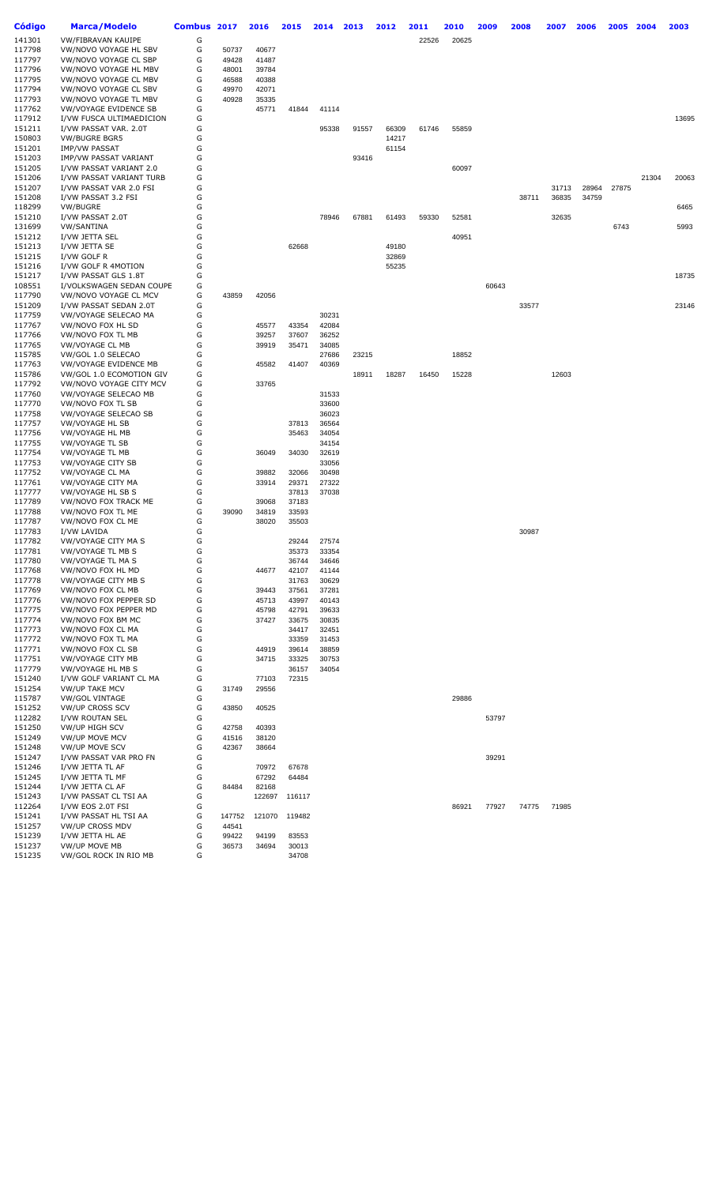| Código           | <b>Marca/Modelo</b>                                 | Combus 2017 |                | 2016           | 2015           | 2014           | 2013  | 2012  | 2011  | 2010  | 2009  | 2008  | 2007  | 2006  | 2005  | 2004  | 2003  |
|------------------|-----------------------------------------------------|-------------|----------------|----------------|----------------|----------------|-------|-------|-------|-------|-------|-------|-------|-------|-------|-------|-------|
| 141301           | <b>VW/FIBRAVAN KAUIPE</b>                           | G           |                |                |                |                |       |       | 22526 | 20625 |       |       |       |       |       |       |       |
| 117798           | VW/NOVO VOYAGE HL SBV                               | G           | 50737          | 40677          |                |                |       |       |       |       |       |       |       |       |       |       |       |
| 117797           | VW/NOVO VOYAGE CL SBP                               | G           | 49428          | 41487          |                |                |       |       |       |       |       |       |       |       |       |       |       |
| 117796           | VW/NOVO VOYAGE HL MBV                               | G           | 48001          | 39784          |                |                |       |       |       |       |       |       |       |       |       |       |       |
| 117795           | VW/NOVO VOYAGE CL MBV                               | G           | 46588          | 40388          |                |                |       |       |       |       |       |       |       |       |       |       |       |
| 117794           | VW/NOVO VOYAGE CL SBV                               | G           | 49970          | 42071          |                |                |       |       |       |       |       |       |       |       |       |       |       |
| 117793           | VW/NOVO VOYAGE TL MBV                               | G           | 40928          | 35335          |                |                |       |       |       |       |       |       |       |       |       |       |       |
| 117762           | VW/VOYAGE EVIDENCE SB                               | G           |                | 45771          | 41844          | 41114          |       |       |       |       |       |       |       |       |       |       |       |
| 117912           | I/VW FUSCA ULTIMAEDICION                            | G           |                |                |                |                |       |       |       |       |       |       |       |       |       |       | 13695 |
| 151211           | I/VW PASSAT VAR. 2.0T                               | G           |                |                |                | 95338          | 91557 | 66309 | 61746 | 55859 |       |       |       |       |       |       |       |
| 150803           | <b>VW/BUGRE BGR5</b>                                | G           |                |                |                |                |       | 14217 |       |       |       |       |       |       |       |       |       |
| 151201           | <b>IMP/VW PASSAT</b>                                | G           |                |                |                |                |       | 61154 |       |       |       |       |       |       |       |       |       |
| 151203           | IMP/VW PASSAT VARIANT                               | G           |                |                |                |                | 93416 |       |       |       |       |       |       |       |       |       |       |
| 151205           | I/VW PASSAT VARIANT 2.0                             | G<br>G      |                |                |                |                |       |       |       | 60097 |       |       |       |       |       |       |       |
| 151206<br>151207 | I/VW PASSAT VARIANT TURB<br>I/VW PASSAT VAR 2.0 FSI | G           |                |                |                |                |       |       |       |       |       |       | 31713 | 28964 | 27875 | 21304 | 20063 |
| 151208           | I/VW PASSAT 3.2 FSI                                 | G           |                |                |                |                |       |       |       |       |       | 38711 | 36835 | 34759 |       |       |       |
| 118299           | VW/BUGRE                                            | G           |                |                |                |                |       |       |       |       |       |       |       |       |       |       | 6465  |
| 151210           | I/VW PASSAT 2.0T                                    | G           |                |                |                | 78946          | 67881 | 61493 | 59330 | 52581 |       |       | 32635 |       |       |       |       |
| 131699           | VW/SANTINA                                          | G           |                |                |                |                |       |       |       |       |       |       |       |       | 6743  |       | 5993  |
| 151212           | I/VW JETTA SEL                                      | G           |                |                |                |                |       |       |       | 40951 |       |       |       |       |       |       |       |
| 151213           | I/VW JETTA SE                                       | G           |                |                | 62668          |                |       | 49180 |       |       |       |       |       |       |       |       |       |
| 151215           | I/VW GOLF R                                         | G           |                |                |                |                |       | 32869 |       |       |       |       |       |       |       |       |       |
| 151216           | I/VW GOLF R 4MOTION                                 | G           |                |                |                |                |       | 55235 |       |       |       |       |       |       |       |       |       |
| 151217           | I/VW PASSAT GLS 1.8T                                | G           |                |                |                |                |       |       |       |       |       |       |       |       |       |       | 18735 |
| 108551           | I/VOLKSWAGEN SEDAN COUPE                            | G           |                |                |                |                |       |       |       |       | 60643 |       |       |       |       |       |       |
| 117790           | VW/NOVO VOYAGE CL MCV                               | G           | 43859          | 42056          |                |                |       |       |       |       |       |       |       |       |       |       |       |
| 151209           | I/VW PASSAT SEDAN 2.0T                              | G           |                |                |                |                |       |       |       |       |       | 33577 |       |       |       |       | 23146 |
| 117759           | VW/VOYAGE SELECAO MA                                | G           |                |                |                | 30231          |       |       |       |       |       |       |       |       |       |       |       |
| 117767           | VW/NOVO FOX HL SD                                   | G           |                | 45577          | 43354          | 42084          |       |       |       |       |       |       |       |       |       |       |       |
| 117766           | VW/NOVO FOX TL MB                                   | G           |                | 39257          | 37607          | 36252          |       |       |       |       |       |       |       |       |       |       |       |
| 117765           | <b>VW/VOYAGE CL MB</b>                              | G<br>G      |                | 39919          | 35471          | 34085          |       |       |       |       |       |       |       |       |       |       |       |
| 115785<br>117763 | VW/GOL 1.0 SELECAO<br>VW/VOYAGE EVIDENCE MB         | G           |                | 45582          | 41407          | 27686<br>40369 | 23215 |       |       | 18852 |       |       |       |       |       |       |       |
| 115786           | VW/GOL 1.0 ECOMOTION GIV                            | G           |                |                |                |                | 18911 | 18287 | 16450 | 15228 |       |       | 12603 |       |       |       |       |
| 117792           | VW/NOVO VOYAGE CITY MCV                             | G           |                | 33765          |                |                |       |       |       |       |       |       |       |       |       |       |       |
| 117760           | VW/VOYAGE SELECAO MB                                | G           |                |                |                | 31533          |       |       |       |       |       |       |       |       |       |       |       |
| 117770           | VW/NOVO FOX TL SB                                   | G           |                |                |                | 33600          |       |       |       |       |       |       |       |       |       |       |       |
| 117758           | VW/VOYAGE SELECAO SB                                | G           |                |                |                | 36023          |       |       |       |       |       |       |       |       |       |       |       |
| 117757           | VW/VOYAGE HL SB                                     | G           |                |                | 37813          | 36564          |       |       |       |       |       |       |       |       |       |       |       |
| 117756           | <b>VW/VOYAGE HL MB</b>                              | G           |                |                | 35463          | 34054          |       |       |       |       |       |       |       |       |       |       |       |
| 117755           | <b>VW/VOYAGE TL SB</b>                              | G           |                |                |                | 34154          |       |       |       |       |       |       |       |       |       |       |       |
| 117754           | <b>VW/VOYAGE TL MB</b>                              | G           |                | 36049          | 34030          | 32619          |       |       |       |       |       |       |       |       |       |       |       |
| 117753           | VW/VOYAGE CITY SB                                   | G           |                |                |                | 33056          |       |       |       |       |       |       |       |       |       |       |       |
| 117752           | <b>VW/VOYAGE CL MA</b>                              | G           |                | 39882          | 32066          | 30498          |       |       |       |       |       |       |       |       |       |       |       |
| 117761           | VW/VOYAGE CITY MA                                   | G           |                | 33914          | 29371          | 27322          |       |       |       |       |       |       |       |       |       |       |       |
| 117777           | VW/VOYAGE HL SB S                                   | G           |                |                | 37813          | 37038          |       |       |       |       |       |       |       |       |       |       |       |
| 117789           | VW/NOVO FOX TRACK ME                                | G           |                | 39068          | 37183          |                |       |       |       |       |       |       |       |       |       |       |       |
| 117788           | VW/NOVO FOX TL ME                                   | G           | 39090          | 34819          | 33593          |                |       |       |       |       |       |       |       |       |       |       |       |
| 117787<br>117783 | VW/NOVO FOX CL ME<br>I/VW LAVIDA                    | G<br>G      |                | 38020          | 35503          |                |       |       |       |       |       | 30987 |       |       |       |       |       |
| 117782           | VW/VOYAGE CITY MA S                                 | G           |                |                | 29244          | 27574          |       |       |       |       |       |       |       |       |       |       |       |
| 117781           | VW/VOYAGE TL MB S                                   | G           |                |                | 35373          | 33354          |       |       |       |       |       |       |       |       |       |       |       |
| 117780           | VW/VOYAGE TL MA S                                   | G           |                |                | 36744          | 34646          |       |       |       |       |       |       |       |       |       |       |       |
| 117768           | VW/NOVO FOX HL MD                                   | G           |                | 44677          | 42107          | 41144          |       |       |       |       |       |       |       |       |       |       |       |
| 117778           | VW/VOYAGE CITY MB S                                 | G           |                |                | 31763          | 30629          |       |       |       |       |       |       |       |       |       |       |       |
| 117769           | VW/NOVO FOX CL MB                                   | G           |                | 39443          | 37561          | 37281          |       |       |       |       |       |       |       |       |       |       |       |
| 117776           | VW/NOVO FOX PEPPER SD                               | G           |                | 45713          | 43997          | 40143          |       |       |       |       |       |       |       |       |       |       |       |
| 117775           | VW/NOVO FOX PEPPER MD                               | G           |                | 45798          | 42791          | 39633          |       |       |       |       |       |       |       |       |       |       |       |
| 117774           | VW/NOVO FOX BM MC                                   | G           |                | 37427          | 33675          | 30835          |       |       |       |       |       |       |       |       |       |       |       |
| 117773           | VW/NOVO FOX CL MA                                   | G           |                |                | 34417          | 32451          |       |       |       |       |       |       |       |       |       |       |       |
| 117772           | VW/NOVO FOX TL MA                                   | G           |                |                | 33359          | 31453          |       |       |       |       |       |       |       |       |       |       |       |
| 117771           | VW/NOVO FOX CL SB                                   | G           |                | 44919          | 39614          | 38859          |       |       |       |       |       |       |       |       |       |       |       |
| 117751           | VW/VOYAGE CITY MB                                   | G           |                | 34715          | 33325          | 30753          |       |       |       |       |       |       |       |       |       |       |       |
| 117779           | VW/VOYAGE HL MB S                                   | G           |                |                | 36157          | 34054          |       |       |       |       |       |       |       |       |       |       |       |
| 151240<br>151254 | I/VW GOLF VARIANT CL MA<br><b>VW/UP TAKE MCV</b>    | G<br>G      | 31749          | 77103          | 72315          |                |       |       |       |       |       |       |       |       |       |       |       |
| 115787           | <b>VW/GOL VINTAGE</b>                               | G           |                | 29556          |                |                |       |       |       | 29886 |       |       |       |       |       |       |       |
| 151252           | <b>VW/UP CROSS SCV</b>                              | G           | 43850          | 40525          |                |                |       |       |       |       |       |       |       |       |       |       |       |
| 112282           | I/VW ROUTAN SEL                                     | G           |                |                |                |                |       |       |       |       | 53797 |       |       |       |       |       |       |
| 151250           | VW/UP HIGH SCV                                      | G           | 42758          | 40393          |                |                |       |       |       |       |       |       |       |       |       |       |       |
| 151249           | <b>VW/UP MOVE MCV</b>                               | G           | 41516          | 38120          |                |                |       |       |       |       |       |       |       |       |       |       |       |
| 151248           | VW/UP MOVE SCV                                      | G           | 42367          | 38664          |                |                |       |       |       |       |       |       |       |       |       |       |       |
| 151247           | I/VW PASSAT VAR PRO FN                              | G           |                |                |                |                |       |       |       |       | 39291 |       |       |       |       |       |       |
| 151246           | I/VW JETTA TL AF                                    | G           |                | 70972          | 67678          |                |       |       |       |       |       |       |       |       |       |       |       |
| 151245           | I/VW JETTA TL MF                                    | G           |                | 67292          | 64484          |                |       |       |       |       |       |       |       |       |       |       |       |
| 151244           | I/VW JETTA CL AF                                    | G           | 84484          | 82168          |                |                |       |       |       |       |       |       |       |       |       |       |       |
| 151243           | I/VW PASSAT CL TSI AA                               | G           |                | 122697         | 116117         |                |       |       |       |       |       |       |       |       |       |       |       |
| 112264           | I/VW EOS 2.0T FSI                                   | G           |                |                |                |                |       |       |       | 86921 | 77927 | 74775 | 71985 |       |       |       |       |
| 151241           | I/VW PASSAT HL TSI AA                               | G           | 147752         | 121070         | 119482         |                |       |       |       |       |       |       |       |       |       |       |       |
| 151257           | <b>VW/UP CROSS MDV</b>                              | G           | 44541          |                |                |                |       |       |       |       |       |       |       |       |       |       |       |
| 151239<br>151237 | I/VW JETTA HL AE<br>VW/UP MOVE MB                   | G<br>G      | 99422<br>36573 | 94199<br>34694 | 83553<br>30013 |                |       |       |       |       |       |       |       |       |       |       |       |
| 151235           | VW/GOL ROCK IN RIO MB                               | G           |                |                | 34708          |                |       |       |       |       |       |       |       |       |       |       |       |
|                  |                                                     |             |                |                |                |                |       |       |       |       |       |       |       |       |       |       |       |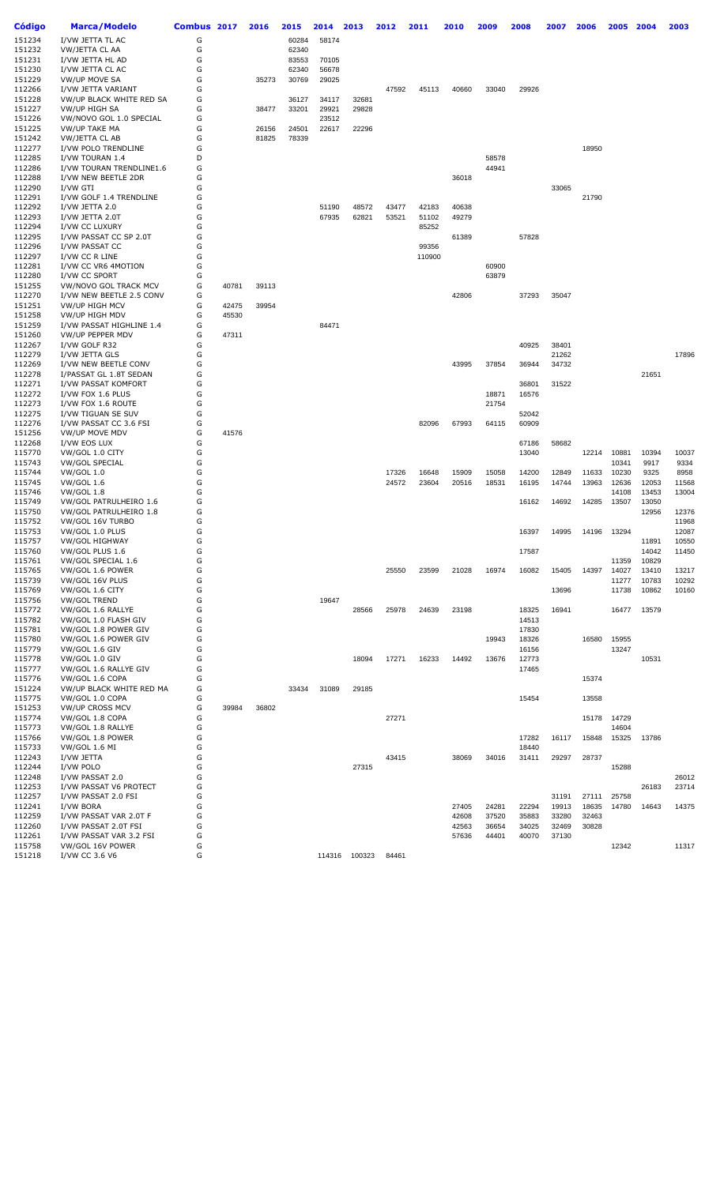| Código | <b>Marca/Modelo</b>      | Combus 2017 |       | 2016  | 2015  | 2014   | 2013   | 2012  | 2011   | 2010  | 2009  | 2008  | 2007  | 2006  | 2005  | 2004  | 2003  |
|--------|--------------------------|-------------|-------|-------|-------|--------|--------|-------|--------|-------|-------|-------|-------|-------|-------|-------|-------|
| 151234 | I/VW JETTA TL AC         | G           |       |       | 60284 | 58174  |        |       |        |       |       |       |       |       |       |       |       |
| 151232 | VW/JETTA CL AA           | G           |       |       | 62340 |        |        |       |        |       |       |       |       |       |       |       |       |
| 151231 | I/VW JETTA HL AD         | G           |       |       | 83553 | 70105  |        |       |        |       |       |       |       |       |       |       |       |
| 151230 | I/VW JETTA CL AC         | G           |       |       | 62340 | 56678  |        |       |        |       |       |       |       |       |       |       |       |
|        |                          |             |       |       |       |        |        |       |        |       |       |       |       |       |       |       |       |
| 151229 | <b>VW/UP MOVE SA</b>     | G           |       | 35273 | 30769 | 29025  |        |       |        |       |       |       |       |       |       |       |       |
| 112266 | I/VW JETTA VARIANT       | G           |       |       |       |        |        | 47592 | 45113  | 40660 | 33040 | 29926 |       |       |       |       |       |
| 151228 | VW/UP BLACK WHITE RED SA | G           |       |       | 36127 | 34117  | 32681  |       |        |       |       |       |       |       |       |       |       |
| 151227 | VW/UP HIGH SA            | G           |       | 38477 | 33201 | 29921  | 29828  |       |        |       |       |       |       |       |       |       |       |
| 151226 | VW/NOVO GOL 1.0 SPECIAL  | G           |       |       |       | 23512  |        |       |        |       |       |       |       |       |       |       |       |
| 151225 | <b>VW/UP TAKE MA</b>     | G           |       | 26156 | 24501 | 22617  | 22296  |       |        |       |       |       |       |       |       |       |       |
| 151242 | VW/JETTA CL AB           | G           |       | 81825 | 78339 |        |        |       |        |       |       |       |       |       |       |       |       |
| 112277 | I/VW POLO TRENDLINE      | G           |       |       |       |        |        |       |        |       |       |       |       | 18950 |       |       |       |
|        |                          |             |       |       |       |        |        |       |        |       |       |       |       |       |       |       |       |
| 112285 | I/VW TOURAN 1.4          | D           |       |       |       |        |        |       |        |       | 58578 |       |       |       |       |       |       |
| 112286 | I/VW TOURAN TRENDLINE1.6 | G           |       |       |       |        |        |       |        |       | 44941 |       |       |       |       |       |       |
| 112288 | I/VW NEW BEETLE 2DR      | G           |       |       |       |        |        |       |        | 36018 |       |       |       |       |       |       |       |
| 112290 | I/VW GTI                 | G           |       |       |       |        |        |       |        |       |       |       | 33065 |       |       |       |       |
| 112291 | I/VW GOLF 1.4 TRENDLINE  | G           |       |       |       |        |        |       |        |       |       |       |       | 21790 |       |       |       |
| 112292 | I/VW JETTA 2.0           | G           |       |       |       | 51190  | 48572  | 43477 | 42183  | 40638 |       |       |       |       |       |       |       |
| 112293 | I/VW JETTA 2.0T          | G           |       |       |       | 67935  | 62821  | 53521 | 51102  | 49279 |       |       |       |       |       |       |       |
| 112294 | I/VW CC LUXURY           | G           |       |       |       |        |        |       | 85252  |       |       |       |       |       |       |       |       |
| 112295 | I/VW PASSAT CC SP 2.0T   | G           |       |       |       |        |        |       |        | 61389 |       | 57828 |       |       |       |       |       |
|        |                          | G           |       |       |       |        |        |       |        |       |       |       |       |       |       |       |       |
| 112296 | I/VW PASSAT CC           |             |       |       |       |        |        |       | 99356  |       |       |       |       |       |       |       |       |
| 112297 | I/VW CC R LINE           | G           |       |       |       |        |        |       | 110900 |       |       |       |       |       |       |       |       |
| 112281 | I/VW CC VR6 4MOTION      | G           |       |       |       |        |        |       |        |       | 60900 |       |       |       |       |       |       |
| 112280 | I/VW CC SPORT            | G           |       |       |       |        |        |       |        |       | 63879 |       |       |       |       |       |       |
| 151255 | VW/NOVO GOL TRACK MCV    | G           | 40781 | 39113 |       |        |        |       |        |       |       |       |       |       |       |       |       |
| 112270 | I/VW NEW BEETLE 2.5 CONV | G           |       |       |       |        |        |       |        | 42806 |       | 37293 | 35047 |       |       |       |       |
| 151251 | VW/UP HIGH MCV           | G           | 42475 | 39954 |       |        |        |       |        |       |       |       |       |       |       |       |       |
| 151258 | <b>VW/UP HIGH MDV</b>    | G           | 45530 |       |       |        |        |       |        |       |       |       |       |       |       |       |       |
|        |                          |             |       |       |       |        |        |       |        |       |       |       |       |       |       |       |       |
| 151259 | I/VW PASSAT HIGHLINE 1.4 | G           |       |       |       | 84471  |        |       |        |       |       |       |       |       |       |       |       |
| 151260 | VW/UP PEPPER MDV         | G           | 47311 |       |       |        |        |       |        |       |       |       |       |       |       |       |       |
| 112267 | I/VW GOLF R32            | G           |       |       |       |        |        |       |        |       |       | 40925 | 38401 |       |       |       |       |
| 112279 | I/VW JETTA GLS           | G           |       |       |       |        |        |       |        |       |       |       | 21262 |       |       |       | 17896 |
| 112269 | I/VW NEW BEETLE CONV     | G           |       |       |       |        |        |       |        | 43995 | 37854 | 36944 | 34732 |       |       |       |       |
| 112278 | I/PASSAT GL 1.8T SEDAN   | G           |       |       |       |        |        |       |        |       |       |       |       |       |       | 21651 |       |
| 112271 | I/VW PASSAT KOMFORT      | G           |       |       |       |        |        |       |        |       |       | 36801 | 31522 |       |       |       |       |
| 112272 | I/VW FOX 1.6 PLUS        | G           |       |       |       |        |        |       |        |       | 18871 | 16576 |       |       |       |       |       |
| 112273 | I/VW FOX 1.6 ROUTE       | G           |       |       |       |        |        |       |        |       | 21754 |       |       |       |       |       |       |
|        |                          | G           |       |       |       |        |        |       |        |       |       |       |       |       |       |       |       |
| 112275 | I/VW TIGUAN SE SUV       |             |       |       |       |        |        |       |        |       |       | 52042 |       |       |       |       |       |
| 112276 | I/VW PASSAT CC 3.6 FSI   | G           |       |       |       |        |        |       | 82096  | 67993 | 64115 | 60909 |       |       |       |       |       |
| 151256 | VW/UP MOVE MDV           | G           | 41576 |       |       |        |        |       |        |       |       |       |       |       |       |       |       |
| 112268 | I/VW EOS LUX             | G           |       |       |       |        |        |       |        |       |       | 67186 | 58682 |       |       |       |       |
| 115770 | VW/GOL 1.0 CITY          | G           |       |       |       |        |        |       |        |       |       | 13040 |       | 12214 | 10881 | 10394 | 10037 |
| 115743 | <b>VW/GOL SPECIAL</b>    | G           |       |       |       |        |        |       |        |       |       |       |       |       | 10341 | 9917  | 9334  |
| 115744 | <b>VW/GOL 1.0</b>        | G           |       |       |       |        |        | 17326 | 16648  | 15909 | 15058 | 14200 | 12849 | 11633 | 10230 | 9325  | 8958  |
| 115745 | <b>VW/GOL 1.6</b>        | G           |       |       |       |        |        | 24572 | 23604  | 20516 | 18531 | 16195 | 14744 | 13963 | 12636 | 12053 | 11568 |
| 115746 | <b>VW/GOL 1.8</b>        | G           |       |       |       |        |        |       |        |       |       |       |       |       | 14108 | 13453 | 13004 |
| 115749 | VW/GOL PATRULHEIRO 1.6   | G           |       |       |       |        |        |       |        |       |       | 16162 | 14692 | 14285 | 13507 | 13050 |       |
|        |                          |             |       |       |       |        |        |       |        |       |       |       |       |       |       |       |       |
| 115750 | VW/GOL PATRULHEIRO 1.8   | G           |       |       |       |        |        |       |        |       |       |       |       |       |       | 12956 | 12376 |
| 115752 | VW/GOL 16V TURBO         | G           |       |       |       |        |        |       |        |       |       |       |       |       |       |       | 11968 |
| 115753 | VW/GOL 1.0 PLUS          | G           |       |       |       |        |        |       |        |       |       | 16397 | 14995 | 14196 | 13294 |       | 12087 |
| 115757 | <b>VW/GOL HIGHWAY</b>    | G           |       |       |       |        |        |       |        |       |       |       |       |       |       | 11891 | 10550 |
| 115760 | VW/GOL PLUS 1.6          | G           |       |       |       |        |        |       |        |       |       | 17587 |       |       |       | 14042 | 11450 |
| 115761 | VW/GOL SPECIAL 1.6       | G           |       |       |       |        |        |       |        |       |       |       |       |       | 11359 | 10829 |       |
| 115765 | VW/GOL 1.6 POWER         | G           |       |       |       |        |        | 25550 | 23599  | 21028 | 16974 | 16082 | 15405 | 14397 | 14027 | 13410 | 13217 |
| 115739 | VW/GOL 16V PLUS          | G           |       |       |       |        |        |       |        |       |       |       |       |       | 11277 | 10783 | 10292 |
| 115769 | VW/GOL 1.6 CITY          | G           |       |       |       |        |        |       |        |       |       |       | 13696 |       | 11738 | 10862 | 10160 |
| 115756 | <b>VW/GOL TREND</b>      | G           |       |       |       | 19647  |        |       |        |       |       |       |       |       |       |       |       |
|        |                          |             |       |       |       |        |        |       |        |       |       |       |       |       |       |       |       |
| 115772 | VW/GOL 1.6 RALLYE        | G           |       |       |       |        | 28566  | 25978 | 24639  | 23198 |       | 18325 | 16941 |       | 16477 | 13579 |       |
| 115782 | VW/GOL 1.0 FLASH GIV     | G           |       |       |       |        |        |       |        |       |       | 14513 |       |       |       |       |       |
| 115781 | VW/GOL 1.8 POWER GIV     | G           |       |       |       |        |        |       |        |       |       | 17830 |       |       |       |       |       |
| 115780 | VW/GOL 1.6 POWER GIV     | G           |       |       |       |        |        |       |        |       | 19943 | 18326 |       | 16580 | 15955 |       |       |
| 115779 | VW/GOL 1.6 GIV           | G           |       |       |       |        |        |       |        |       |       | 16156 |       |       | 13247 |       |       |
| 115778 | VW/GOL 1.0 GIV           | G           |       |       |       |        | 18094  | 17271 | 16233  | 14492 | 13676 | 12773 |       |       |       | 10531 |       |
| 115777 | VW/GOL 1.6 RALLYE GIV    | G           |       |       |       |        |        |       |        |       |       | 17465 |       |       |       |       |       |
| 115776 | VW/GOL 1.6 COPA          | G           |       |       |       |        |        |       |        |       |       |       |       | 15374 |       |       |       |
| 151224 | VW/UP BLACK WHITE RED MA | G           |       |       | 33434 | 31089  | 29185  |       |        |       |       |       |       |       |       |       |       |
|        |                          |             |       |       |       |        |        |       |        |       |       |       |       |       |       |       |       |
| 115775 | VW/GOL 1.0 COPA          | G           |       |       |       |        |        |       |        |       |       | 15454 |       | 13558 |       |       |       |
| 151253 | <b>VW/UP CROSS MCV</b>   | G           | 39984 | 36802 |       |        |        |       |        |       |       |       |       |       |       |       |       |
| 115774 | VW/GOL 1.8 COPA          | G           |       |       |       |        |        | 27271 |        |       |       |       |       | 15178 | 14729 |       |       |
| 115773 | VW/GOL 1.8 RALLYE        | G           |       |       |       |        |        |       |        |       |       |       |       |       | 14604 |       |       |
| 115766 | VW/GOL 1.8 POWER         | G           |       |       |       |        |        |       |        |       |       | 17282 | 16117 | 15848 | 15325 | 13786 |       |
| 115733 | VW/GOL 1.6 MI            | G           |       |       |       |        |        |       |        |       |       | 18440 |       |       |       |       |       |
| 112243 | I/VW JETTA               | G           |       |       |       |        |        | 43415 |        | 38069 | 34016 | 31411 | 29297 | 28737 |       |       |       |
| 112244 | I/VW POLO                | G           |       |       |       |        | 27315  |       |        |       |       |       |       |       | 15288 |       |       |
|        |                          | G           |       |       |       |        |        |       |        |       |       |       |       |       |       |       |       |
| 112248 | I/VW PASSAT 2.0          |             |       |       |       |        |        |       |        |       |       |       |       |       |       |       | 26012 |
| 112253 | I/VW PASSAT V6 PROTECT   | G           |       |       |       |        |        |       |        |       |       |       |       |       |       | 26183 | 23714 |
| 112257 | I/VW PASSAT 2.0 FSI      | G           |       |       |       |        |        |       |        |       |       |       | 31191 | 27111 | 25758 |       |       |
| 112241 | I/VW BORA                | G           |       |       |       |        |        |       |        | 27405 | 24281 | 22294 | 19913 | 18635 | 14780 | 14643 | 14375 |
| 112259 | I/VW PASSAT VAR 2.0T F   | G           |       |       |       |        |        |       |        | 42608 | 37520 | 35883 | 33280 | 32463 |       |       |       |
| 112260 | I/VW PASSAT 2.0T FSI     | G           |       |       |       |        |        |       |        | 42563 | 36654 | 34025 | 32469 | 30828 |       |       |       |
| 112261 | I/VW PASSAT VAR 3.2 FSI  | G           |       |       |       |        |        |       |        | 57636 | 44401 | 40070 | 37130 |       |       |       |       |
| 115758 | VW/GOL 16V POWER         | G           |       |       |       |        |        |       |        |       |       |       |       |       | 12342 |       | 11317 |
| 151218 | I/VW CC 3.6 V6           | G           |       |       |       | 114316 | 100323 | 84461 |        |       |       |       |       |       |       |       |       |
|        |                          |             |       |       |       |        |        |       |        |       |       |       |       |       |       |       |       |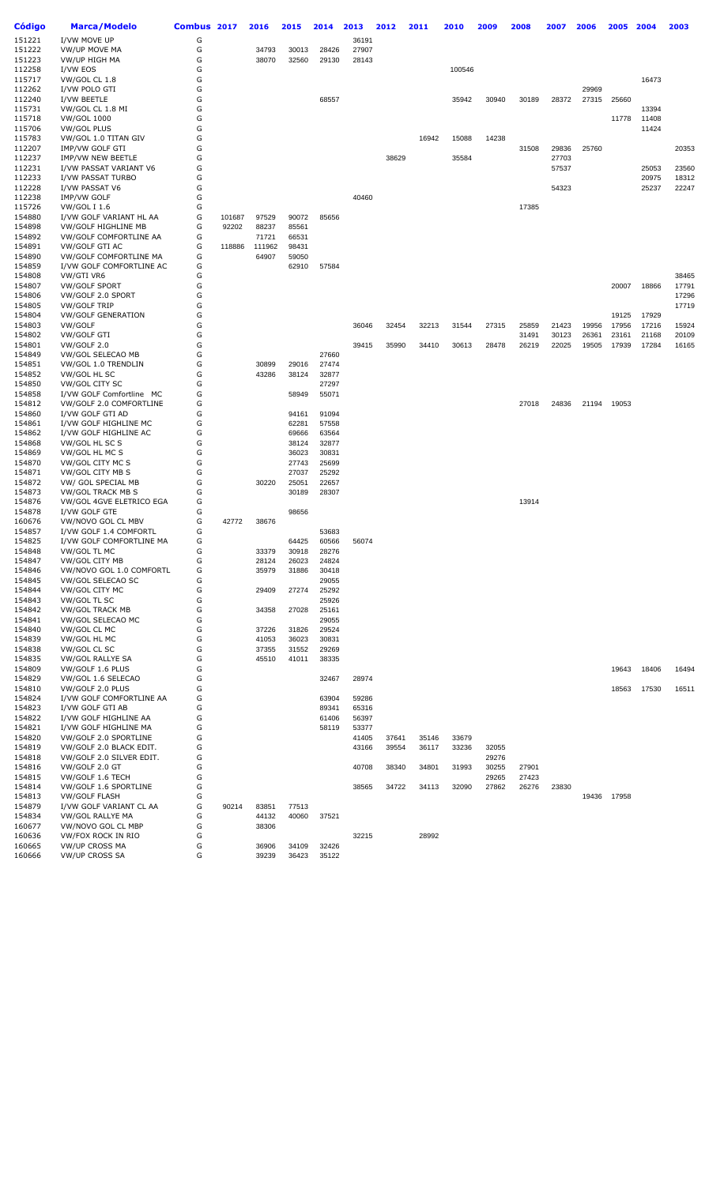| Código           | <b>Marca/Modelo</b>                            | Combus 2017 |        | 2016           | 2015           | 2014           | 2013           | 2012  | 2011  | 2010   | 2009           | 2008  | 2007  | 2006  | 2005  | 2004  | 2003  |
|------------------|------------------------------------------------|-------------|--------|----------------|----------------|----------------|----------------|-------|-------|--------|----------------|-------|-------|-------|-------|-------|-------|
| 151221           | I/VW MOVE UP                                   | G           |        |                |                |                | 36191          |       |       |        |                |       |       |       |       |       |       |
| 151222           | <b>VW/UP MOVE MA</b>                           | G           |        | 34793          | 30013          | 28426          | 27907          |       |       |        |                |       |       |       |       |       |       |
| 151223           | VW/UP HIGH MA                                  | G           |        | 38070          | 32560          | 29130          | 28143          |       |       |        |                |       |       |       |       |       |       |
| 112258           | I/VW EOS                                       | G           |        |                |                |                |                |       |       | 100546 |                |       |       |       |       |       |       |
| 115717           | VW/GOL CL 1.8                                  | G           |        |                |                |                |                |       |       |        |                |       |       |       |       | 16473 |       |
| 112262           | I/VW POLO GTI                                  | G           |        |                |                |                |                |       |       |        |                |       |       | 29969 |       |       |       |
| 112240           | I/VW BEETLE                                    | G           |        |                |                | 68557          |                |       |       | 35942  | 30940          | 30189 | 28372 | 27315 | 25660 |       |       |
| 115731           | VW/GOL CL 1.8 MI                               | G           |        |                |                |                |                |       |       |        |                |       |       |       |       | 13394 |       |
| 115718           | <b>VW/GOL 1000</b>                             | G           |        |                |                |                |                |       |       |        |                |       |       |       | 11778 | 11408 |       |
| 115706           | <b>VW/GOL PLUS</b>                             | G           |        |                |                |                |                |       |       |        |                |       |       |       |       | 11424 |       |
| 115783           | VW/GOL 1.0 TITAN GIV                           | G           |        |                |                |                |                |       | 16942 | 15088  | 14238          |       |       |       |       |       |       |
| 112207           | IMP/VW GOLF GTI                                | G           |        |                |                |                |                |       |       |        |                | 31508 | 29836 | 25760 |       |       | 20353 |
| 112237           | IMP/VW NEW BEETLE                              | G           |        |                |                |                |                | 38629 |       | 35584  |                |       | 27703 |       |       |       |       |
| 112231           | I/VW PASSAT VARIANT V6                         | G           |        |                |                |                |                |       |       |        |                |       | 57537 |       |       | 25053 | 23560 |
| 112233           | I/VW PASSAT TURBO                              | G           |        |                |                |                |                |       |       |        |                |       |       |       |       | 20975 | 18312 |
| 112228           | I/VW PASSAT V6                                 | G           |        |                |                |                |                |       |       |        |                |       | 54323 |       |       | 25237 | 22247 |
| 112238           | IMP/VW GOLF                                    | G           |        |                |                |                | 40460          |       |       |        |                |       |       |       |       |       |       |
| 115726           | <b>VW/GOL I 1.6</b>                            | G           |        |                |                |                |                |       |       |        |                | 17385 |       |       |       |       |       |
| 154880           | I/VW GOLF VARIANT HL AA                        | G           | 101687 | 97529          | 90072          | 85656          |                |       |       |        |                |       |       |       |       |       |       |
| 154898           | <b>VW/GOLF HIGHLINE MB</b>                     | G           | 92202  | 88237          | 85561          |                |                |       |       |        |                |       |       |       |       |       |       |
| 154892           | VW/GOLF COMFORTLINE AA                         | G           |        | 71721          | 66531          |                |                |       |       |        |                |       |       |       |       |       |       |
| 154891           | VW/GOLF GTI AC                                 | G           | 118886 | 111962         | 98431          |                |                |       |       |        |                |       |       |       |       |       |       |
| 154890           | <b>VW/GOLF COMFORTLINE MA</b>                  | G           |        | 64907          | 59050          |                |                |       |       |        |                |       |       |       |       |       |       |
| 154859           | I/VW GOLF COMFORTLINE AC                       | G           |        |                | 62910          | 57584          |                |       |       |        |                |       |       |       |       |       |       |
| 154808           | VW/GTI VR6                                     | G           |        |                |                |                |                |       |       |        |                |       |       |       |       |       | 38465 |
| 154807           | <b>VW/GOLF SPORT</b>                           | G           |        |                |                |                |                |       |       |        |                |       |       |       | 20007 | 18866 | 17791 |
| 154806           | VW/GOLF 2.0 SPORT                              | G           |        |                |                |                |                |       |       |        |                |       |       |       |       |       | 17296 |
| 154805           | <b>VW/GOLF TRIP</b>                            | G           |        |                |                |                |                |       |       |        |                |       |       |       |       |       | 17719 |
| 154804           | <b>VW/GOLF GENERATION</b>                      | G           |        |                |                |                |                |       |       |        |                |       |       |       | 19125 | 17929 |       |
| 154803           | VW/GOLF                                        | G           |        |                |                |                | 36046          | 32454 | 32213 | 31544  | 27315          | 25859 | 21423 | 19956 | 17956 | 17216 | 15924 |
| 154802           | VW/GOLF GTI                                    | G           |        |                |                |                |                |       |       |        |                | 31491 | 30123 | 26361 | 23161 | 21168 | 20109 |
|                  | VW/GOLF 2.0                                    | G           |        |                |                |                |                |       |       |        |                |       |       |       |       |       |       |
| 154801           | VW/GOL SELECAO MB                              | G           |        |                |                | 27660          | 39415          | 35990 | 34410 | 30613  | 28478          | 26219 | 22025 | 19505 | 17939 | 17284 | 16165 |
| 154849           |                                                | G           |        |                |                |                |                |       |       |        |                |       |       |       |       |       |       |
| 154851           | VW/GOL 1.0 TRENDLIN                            | G           |        | 30899          | 29016          | 27474          |                |       |       |        |                |       |       |       |       |       |       |
| 154852           | VW/GOL HL SC                                   |             |        | 43286          | 38124          | 32877          |                |       |       |        |                |       |       |       |       |       |       |
| 154850           | VW/GOL CITY SC                                 | G           |        |                |                | 27297          |                |       |       |        |                |       |       |       |       |       |       |
| 154858           | I/VW GOLF Comfortline MC                       | G           |        |                | 58949          | 55071          |                |       |       |        |                |       |       |       |       |       |       |
| 154812           | VW/GOLF 2.0 COMFORTLINE                        | G           |        |                |                |                |                |       |       |        |                | 27018 | 24836 | 21194 | 19053 |       |       |
| 154860           | I/VW GOLF GTI AD                               | G           |        |                | 94161          | 91094          |                |       |       |        |                |       |       |       |       |       |       |
| 154861           | I/VW GOLF HIGHLINE MC                          | G           |        |                | 62281          | 57558          |                |       |       |        |                |       |       |       |       |       |       |
| 154862           | I/VW GOLF HIGHLINE AC                          | G           |        |                | 69666          | 63564          |                |       |       |        |                |       |       |       |       |       |       |
| 154868           | VW/GOL HL SC S                                 | G           |        |                | 38124          | 32877          |                |       |       |        |                |       |       |       |       |       |       |
| 154869           | VW/GOL HL MC S                                 | G           |        |                | 36023          | 30831          |                |       |       |        |                |       |       |       |       |       |       |
| 154870           | VW/GOL CITY MC S                               | G           |        |                | 27743          | 25699          |                |       |       |        |                |       |       |       |       |       |       |
| 154871           | VW/GOL CITY MB S                               | G           |        |                | 27037          | 25292          |                |       |       |        |                |       |       |       |       |       |       |
| 154872           | VW/ GOL SPECIAL MB                             | G           |        | 30220          | 25051          | 22657          |                |       |       |        |                |       |       |       |       |       |       |
| 154873           | <b>VW/GOL TRACK MB S</b>                       | G           |        |                | 30189          | 28307          |                |       |       |        |                |       |       |       |       |       |       |
| 154876           | VW/GOL 4GVE ELETRICO EGA                       | G           |        |                |                |                |                |       |       |        |                | 13914 |       |       |       |       |       |
| 154878           | I/VW GOLF GTE                                  | G           |        |                | 98656          |                |                |       |       |        |                |       |       |       |       |       |       |
| 160676           | VW/NOVO GOL CL MBV                             | G           | 42772  | 38676          |                |                |                |       |       |        |                |       |       |       |       |       |       |
| 154857           | I/VW GOLF 1.4 COMFORTL                         | G           |        |                |                | 53683          |                |       |       |        |                |       |       |       |       |       |       |
| 154825           | I/VW GOLF COMFORTLINE MA                       | G           |        |                | 64425          | 60566          | 56074          |       |       |        |                |       |       |       |       |       |       |
| 154848           | VW/GOL TL MC                                   | G           |        | 33379          | 30918          | 28276          |                |       |       |        |                |       |       |       |       |       |       |
| 154847           | VW/GOL CITY MB                                 | G           |        | 28124          | 26023          | 24824          |                |       |       |        |                |       |       |       |       |       |       |
| 154846           | VW/NOVO GOL 1.0 COMFORTL                       | G           |        | 35979          | 31886          | 30418          |                |       |       |        |                |       |       |       |       |       |       |
| 154845           | VW/GOL SELECAO SC                              | G           |        |                |                | 29055          |                |       |       |        |                |       |       |       |       |       |       |
| 154844           | VW/GOL CITY MC                                 | G           |        | 29409          | 27274          | 25292          |                |       |       |        |                |       |       |       |       |       |       |
| 154843<br>154842 | VW/GOL TL SC                                   | G<br>G      |        |                |                | 25926          |                |       |       |        |                |       |       |       |       |       |       |
| 154841           | <b>VW/GOL TRACK MB</b><br>VW/GOL SELECAO MC    | G           |        | 34358          | 27028          | 25161          |                |       |       |        |                |       |       |       |       |       |       |
| 154840           | VW/GOL CL MC                                   | G           |        | 37226          |                | 29055<br>29524 |                |       |       |        |                |       |       |       |       |       |       |
| 154839           | VW/GOL HL MC                                   | G           |        |                | 31826<br>36023 |                |                |       |       |        |                |       |       |       |       |       |       |
| 154838           | VW/GOL CL SC                                   | G           |        | 41053<br>37355 | 31552          | 30831<br>29269 |                |       |       |        |                |       |       |       |       |       |       |
| 154835           | <b>VW/GOL RALLYE SA</b>                        | G           |        | 45510          | 41011          | 38335          |                |       |       |        |                |       |       |       |       |       |       |
|                  |                                                |             |        |                |                |                |                |       |       |        |                |       |       |       |       |       |       |
| 154809<br>154829 | VW/GOLF 1.6 PLUS                               | G<br>G      |        |                |                |                |                |       |       |        |                |       |       |       | 19643 | 18406 | 16494 |
| 154810           | VW/GOL 1.6 SELECAO<br>VW/GOLF 2.0 PLUS         | G           |        |                |                | 32467          | 28974          |       |       |        |                |       |       |       |       |       |       |
|                  |                                                | G           |        |                |                |                |                |       |       |        |                |       |       |       | 18563 | 17530 | 16511 |
| 154824<br>154823 | I/VW GOLF COMFORTLINE AA<br>I/VW GOLF GTI AB   | G           |        |                |                | 63904          | 59286<br>65316 |       |       |        |                |       |       |       |       |       |       |
|                  |                                                | G           |        |                |                | 89341          |                |       |       |        |                |       |       |       |       |       |       |
| 154822<br>154821 | I/VW GOLF HIGHLINE AA<br>I/VW GOLF HIGHLINE MA | G           |        |                |                | 61406<br>58119 | 56397<br>53377 |       |       |        |                |       |       |       |       |       |       |
|                  |                                                |             |        |                |                |                |                |       |       |        |                |       |       |       |       |       |       |
| 154820<br>154819 | VW/GOLF 2.0 SPORTLINE                          | G<br>G      |        |                |                |                | 41405          | 37641 | 35146 | 33679  |                |       |       |       |       |       |       |
| 154818           | VW/GOLF 2.0 BLACK EDIT.                        | G           |        |                |                |                | 43166          | 39554 | 36117 | 33236  | 32055          |       |       |       |       |       |       |
| 154816           | VW/GOLF 2.0 SILVER EDIT.<br>VW/GOLF 2.0 GT     | G           |        |                |                |                | 40708          | 38340 |       |        | 29276<br>30255 | 27901 |       |       |       |       |       |
|                  |                                                | G           |        |                |                |                |                |       | 34801 | 31993  |                |       |       |       |       |       |       |
| 154815           | VW/GOLF 1.6 TECH                               | G           |        |                |                |                |                |       |       |        | 29265          | 27423 |       |       |       |       |       |
| 154814           | VW/GOLF 1.6 SPORTLINE                          |             |        |                |                |                | 38565          | 34722 | 34113 | 32090  | 27862          | 26276 | 23830 |       |       |       |       |
| 154813           | <b>VW/GOLF FLASH</b>                           | G           |        |                |                |                |                |       |       |        |                |       |       | 19436 | 17958 |       |       |
| 154879           | I/VW GOLF VARIANT CL AA                        | G<br>G      | 90214  | 83851          | 77513          |                |                |       |       |        |                |       |       |       |       |       |       |
| 154834           | VW/GOL RALLYE MA                               | G           |        | 44132          | 40060          | 37521          |                |       |       |        |                |       |       |       |       |       |       |
| 160677           | VW/NOVO GOL CL MBP                             | G           |        | 38306          |                |                |                |       | 28992 |        |                |       |       |       |       |       |       |
| 160636           | VW/FOX ROCK IN RIO<br><b>VW/UP CROSS MA</b>    | G           |        |                |                |                | 32215          |       |       |        |                |       |       |       |       |       |       |
| 160665<br>160666 | <b>VW/UP CROSS SA</b>                          | G           |        | 36906<br>39239 | 34109<br>36423 | 32426<br>35122 |                |       |       |        |                |       |       |       |       |       |       |
|                  |                                                |             |        |                |                |                |                |       |       |        |                |       |       |       |       |       |       |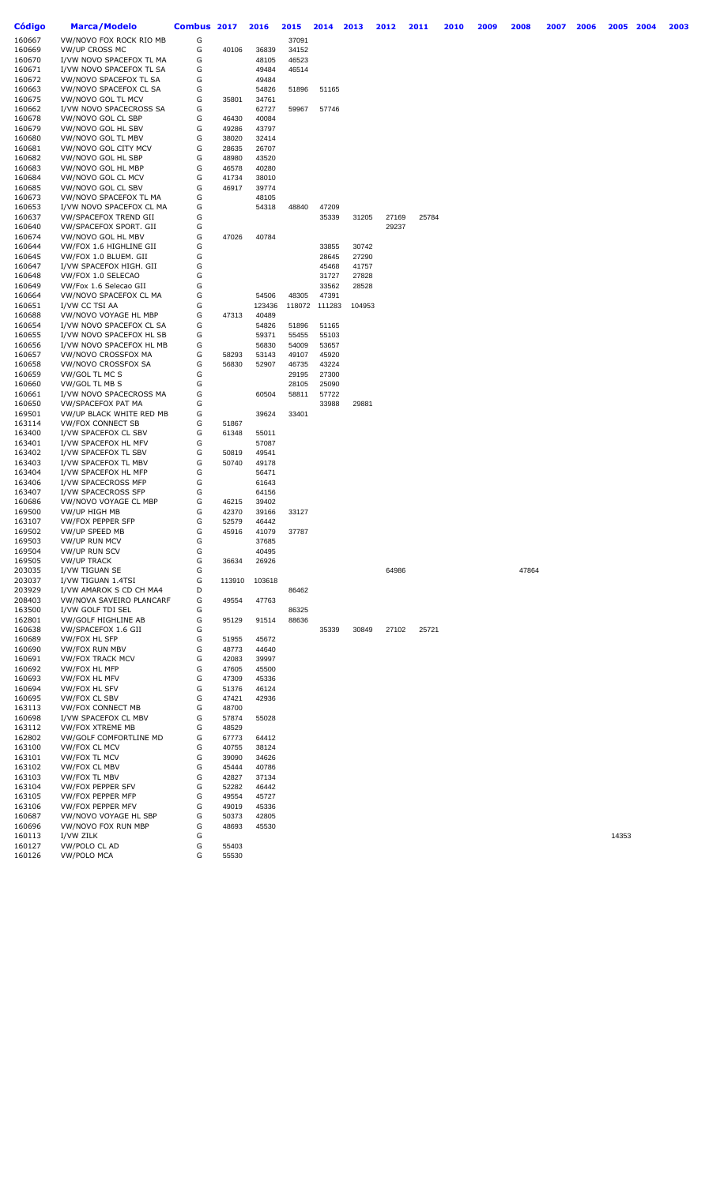| Código | Marca/Modelo              | <b>Combus</b> | 2017   | 2016   | 2015   | 2014   | 2013   | 2012  | 2011  | 2010 | 2009 | 2008  | 2007 | 2006 | 2005  | 2004 | 2003 |
|--------|---------------------------|---------------|--------|--------|--------|--------|--------|-------|-------|------|------|-------|------|------|-------|------|------|
| 160667 | VW/NOVO FOX ROCK RIO MB   | G             |        |        | 37091  |        |        |       |       |      |      |       |      |      |       |      |      |
| 160669 | <b>VW/UP CROSS MC</b>     | G             | 40106  | 36839  | 34152  |        |        |       |       |      |      |       |      |      |       |      |      |
| 160670 | I/VW NOVO SPACEFOX TL MA  | G             |        | 48105  | 46523  |        |        |       |       |      |      |       |      |      |       |      |      |
| 160671 | I/VW NOVO SPACEFOX TL SA  | G             |        | 49484  | 46514  |        |        |       |       |      |      |       |      |      |       |      |      |
| 160672 | VW/NOVO SPACEFOX TL SA    | G             |        | 49484  |        |        |        |       |       |      |      |       |      |      |       |      |      |
|        |                           |               |        |        |        |        |        |       |       |      |      |       |      |      |       |      |      |
| 160663 | VW/NOVO SPACEFOX CL SA    | G             |        | 54826  | 51896  | 51165  |        |       |       |      |      |       |      |      |       |      |      |
| 160675 | VW/NOVO GOL TL MCV        | G             | 35801  | 34761  |        |        |        |       |       |      |      |       |      |      |       |      |      |
| 160662 | I/VW NOVO SPACECROSS SA   | G             |        | 62727  | 59967  | 57746  |        |       |       |      |      |       |      |      |       |      |      |
| 160678 | VW/NOVO GOL CL SBP        | G             | 46430  | 40084  |        |        |        |       |       |      |      |       |      |      |       |      |      |
| 160679 | VW/NOVO GOL HL SBV        | G             | 49286  | 43797  |        |        |        |       |       |      |      |       |      |      |       |      |      |
| 160680 | VW/NOVO GOL TL MBV        | G             | 38020  | 32414  |        |        |        |       |       |      |      |       |      |      |       |      |      |
| 160681 | VW/NOVO GOL CITY MCV      | G             | 28635  | 26707  |        |        |        |       |       |      |      |       |      |      |       |      |      |
| 160682 | VW/NOVO GOL HL SBP        | G             | 48980  | 43520  |        |        |        |       |       |      |      |       |      |      |       |      |      |
| 160683 | VW/NOVO GOL HL MBP        | G             | 46578  | 40280  |        |        |        |       |       |      |      |       |      |      |       |      |      |
| 160684 | VW/NOVO GOL CL MCV        | G             | 41734  | 38010  |        |        |        |       |       |      |      |       |      |      |       |      |      |
| 160685 | VW/NOVO GOL CL SBV        | G             | 46917  | 39774  |        |        |        |       |       |      |      |       |      |      |       |      |      |
| 160673 | VW/NOVO SPACEFOX TL MA    | G             |        | 48105  |        |        |        |       |       |      |      |       |      |      |       |      |      |
| 160653 | I/VW NOVO SPACEFOX CL MA  | G             |        | 54318  | 48840  | 47209  |        |       |       |      |      |       |      |      |       |      |      |
| 160637 | VW/SPACEFOX TREND GII     | G             |        |        |        | 35339  | 31205  | 27169 | 25784 |      |      |       |      |      |       |      |      |
|        |                           |               |        |        |        |        |        |       |       |      |      |       |      |      |       |      |      |
| 160640 | VW/SPACEFOX SPORT. GII    | G             |        |        |        |        |        | 29237 |       |      |      |       |      |      |       |      |      |
| 160674 | VW/NOVO GOL HL MBV        | G             | 47026  | 40784  |        |        |        |       |       |      |      |       |      |      |       |      |      |
| 160644 | VW/FOX 1.6 HIGHLINE GII   | G             |        |        |        | 33855  | 30742  |       |       |      |      |       |      |      |       |      |      |
| 160645 | VW/FOX 1.0 BLUEM. GII     | G             |        |        |        | 28645  | 27290  |       |       |      |      |       |      |      |       |      |      |
| 160647 | I/VW SPACEFOX HIGH. GII   | G             |        |        |        | 45468  | 41757  |       |       |      |      |       |      |      |       |      |      |
| 160648 | VW/FOX 1.0 SELECAO        | G             |        |        |        | 31727  | 27828  |       |       |      |      |       |      |      |       |      |      |
| 160649 | VW/Fox 1.6 Selecao GII    | G             |        |        |        | 33562  | 28528  |       |       |      |      |       |      |      |       |      |      |
| 160664 | VW/NOVO SPACEFOX CL MA    | G             |        | 54506  | 48305  | 47391  |        |       |       |      |      |       |      |      |       |      |      |
| 160651 | I/VW CC TSI AA            | G             |        | 123436 | 118072 | 111283 | 104953 |       |       |      |      |       |      |      |       |      |      |
| 160688 | VW/NOVO VOYAGE HL MBP     | G             | 47313  | 40489  |        |        |        |       |       |      |      |       |      |      |       |      |      |
| 160654 | I/VW NOVO SPACEFOX CL SA  | G             |        | 54826  | 51896  | 51165  |        |       |       |      |      |       |      |      |       |      |      |
| 160655 | I/VW NOVO SPACEFOX HL SB  | G             |        | 59371  | 55455  | 55103  |        |       |       |      |      |       |      |      |       |      |      |
|        | I/VW NOVO SPACEFOX HL MB  |               |        |        |        |        |        |       |       |      |      |       |      |      |       |      |      |
| 160656 |                           | G             |        | 56830  | 54009  | 53657  |        |       |       |      |      |       |      |      |       |      |      |
| 160657 | VW/NOVO CROSSFOX MA       | G             | 58293  | 53143  | 49107  | 45920  |        |       |       |      |      |       |      |      |       |      |      |
| 160658 | VW/NOVO CROSSFOX SA       | G             | 56830  | 52907  | 46735  | 43224  |        |       |       |      |      |       |      |      |       |      |      |
| 160659 | VW/GOL TL MC S            | G             |        |        | 29195  | 27300  |        |       |       |      |      |       |      |      |       |      |      |
| 160660 | VW/GOL TL MB S            | G             |        |        | 28105  | 25090  |        |       |       |      |      |       |      |      |       |      |      |
| 160661 | I/VW NOVO SPACECROSS MA   | G             |        | 60504  | 58811  | 57722  |        |       |       |      |      |       |      |      |       |      |      |
| 160650 | <b>VW/SPACEFOX PAT MA</b> | G             |        |        |        | 33988  | 29881  |       |       |      |      |       |      |      |       |      |      |
| 169501 | VW/UP BLACK WHITE RED MB  | G             |        | 39624  | 33401  |        |        |       |       |      |      |       |      |      |       |      |      |
| 163114 | <b>VW/FOX CONNECT SB</b>  | G             | 51867  |        |        |        |        |       |       |      |      |       |      |      |       |      |      |
| 163400 | I/VW SPACEFOX CL SBV      | G             | 61348  | 55011  |        |        |        |       |       |      |      |       |      |      |       |      |      |
| 163401 | I/VW SPACEFOX HL MFV      | G             |        | 57087  |        |        |        |       |       |      |      |       |      |      |       |      |      |
| 163402 | I/VW SPACEFOX TL SBV      | G             | 50819  | 49541  |        |        |        |       |       |      |      |       |      |      |       |      |      |
|        |                           | G             | 50740  |        |        |        |        |       |       |      |      |       |      |      |       |      |      |
| 163403 | I/VW SPACEFOX TL MBV      |               |        | 49178  |        |        |        |       |       |      |      |       |      |      |       |      |      |
| 163404 | I/VW SPACEFOX HL MFP      | G             |        | 56471  |        |        |        |       |       |      |      |       |      |      |       |      |      |
| 163406 | I/VW SPACECROSS MFP       | G             |        | 61643  |        |        |        |       |       |      |      |       |      |      |       |      |      |
| 163407 | I/VW SPACECROSS SFP       | G             |        | 64156  |        |        |        |       |       |      |      |       |      |      |       |      |      |
| 160686 | VW/NOVO VOYAGE CL MBP     | G             | 46215  | 39402  |        |        |        |       |       |      |      |       |      |      |       |      |      |
| 169500 | VW/UP HIGH MB             | G             | 42370  | 39166  | 33127  |        |        |       |       |      |      |       |      |      |       |      |      |
| 163107 | VW/FOX PEPPER SFP         | G             | 52579  | 46442  |        |        |        |       |       |      |      |       |      |      |       |      |      |
| 169502 | VW/UP SPEED MB            | G             | 45916  | 41079  | 37787  |        |        |       |       |      |      |       |      |      |       |      |      |
| 169503 | VW/UP RUN MCV             | G             |        | 37685  |        |        |        |       |       |      |      |       |      |      |       |      |      |
| 169504 | VW/UP RUN SCV             | G             |        | 40495  |        |        |        |       |       |      |      |       |      |      |       |      |      |
| 169505 | <b>VW/UP TRACK</b>        | G             | 36634  | 26926  |        |        |        |       |       |      |      |       |      |      |       |      |      |
| 203035 | I/VW TIGUAN SE            | G             |        |        |        |        |        | 64986 |       |      |      | 47864 |      |      |       |      |      |
| 203037 | I/VW TIGUAN 1.4TSI        | G             | 113910 | 103618 |        |        |        |       |       |      |      |       |      |      |       |      |      |
| 203929 | I/VW AMAROK S CD CH MA4   | D             |        |        | 86462  |        |        |       |       |      |      |       |      |      |       |      |      |
|        |                           |               |        |        |        |        |        |       |       |      |      |       |      |      |       |      |      |
| 208403 | VW/NOVA SAVEIRO PLANCARF  | G             | 49554  | 47763  |        |        |        |       |       |      |      |       |      |      |       |      |      |
| 163500 | I/VW GOLF TDI SEL         | G             |        |        | 86325  |        |        |       |       |      |      |       |      |      |       |      |      |
| 162801 | VW/GOLF HIGHLINE AB       | G             | 95129  | 91514  | 88636  |        |        |       |       |      |      |       |      |      |       |      |      |
| 160638 | VW/SPACEFOX 1.6 GII       | G             |        |        |        | 35339  | 30849  | 27102 | 25721 |      |      |       |      |      |       |      |      |
| 160689 | <b>VW/FOX HL SFP</b>      | G             | 51955  | 45672  |        |        |        |       |       |      |      |       |      |      |       |      |      |
| 160690 | <b>VW/FOX RUN MBV</b>     | G             | 48773  | 44640  |        |        |        |       |       |      |      |       |      |      |       |      |      |
| 160691 | <b>VW/FOX TRACK MCV</b>   | G             | 42083  | 39997  |        |        |        |       |       |      |      |       |      |      |       |      |      |
| 160692 | VW/FOX HL MFP             | G             | 47605  | 45500  |        |        |        |       |       |      |      |       |      |      |       |      |      |
| 160693 | <b>VW/FOX HL MFV</b>      | G             | 47309  | 45336  |        |        |        |       |       |      |      |       |      |      |       |      |      |
| 160694 | <b>VW/FOX HL SFV</b>      | G             | 51376  | 46124  |        |        |        |       |       |      |      |       |      |      |       |      |      |
| 160695 | VW/FOX CL SBV             | G             | 47421  | 42936  |        |        |        |       |       |      |      |       |      |      |       |      |      |
| 163113 | <b>VW/FOX CONNECT MB</b>  | G             | 48700  |        |        |        |        |       |       |      |      |       |      |      |       |      |      |
| 160698 | I/VW SPACEFOX CL MBV      | G             | 57874  | 55028  |        |        |        |       |       |      |      |       |      |      |       |      |      |
| 163112 | VW/FOX XTREME MB          | G             | 48529  |        |        |        |        |       |       |      |      |       |      |      |       |      |      |
|        |                           |               |        |        |        |        |        |       |       |      |      |       |      |      |       |      |      |
| 162802 | VW/GOLF COMFORTLINE MD    | G             | 67773  | 64412  |        |        |        |       |       |      |      |       |      |      |       |      |      |
| 163100 | <b>VW/FOX CL MCV</b>      | G             | 40755  | 38124  |        |        |        |       |       |      |      |       |      |      |       |      |      |
| 163101 | <b>VW/FOX TL MCV</b>      | G             | 39090  | 34626  |        |        |        |       |       |      |      |       |      |      |       |      |      |
| 163102 | VW/FOX CL MBV             | G             | 45444  | 40786  |        |        |        |       |       |      |      |       |      |      |       |      |      |
| 163103 | VW/FOX TL MBV             | G             | 42827  | 37134  |        |        |        |       |       |      |      |       |      |      |       |      |      |
| 163104 | VW/FOX PEPPER SFV         | G             | 52282  | 46442  |        |        |        |       |       |      |      |       |      |      |       |      |      |
| 163105 | VW/FOX PEPPER MFP         | G             | 49554  | 45727  |        |        |        |       |       |      |      |       |      |      |       |      |      |
| 163106 | VW/FOX PEPPER MFV         | G             | 49019  | 45336  |        |        |        |       |       |      |      |       |      |      |       |      |      |
| 160687 | VW/NOVO VOYAGE HL SBP     | G             | 50373  | 42805  |        |        |        |       |       |      |      |       |      |      |       |      |      |
| 160696 | VW/NOVO FOX RUN MBP       | G             | 48693  | 45530  |        |        |        |       |       |      |      |       |      |      |       |      |      |
| 160113 | I/VW ZILK                 | G             |        |        |        |        |        |       |       |      |      |       |      |      | 14353 |      |      |
| 160127 | VW/POLO CL AD             | G             | 55403  |        |        |        |        |       |       |      |      |       |      |      |       |      |      |
| 160126 | <b>VW/POLO MCA</b>        | G             | 55530  |        |        |        |        |       |       |      |      |       |      |      |       |      |      |
|        |                           |               |        |        |        |        |        |       |       |      |      |       |      |      |       |      |      |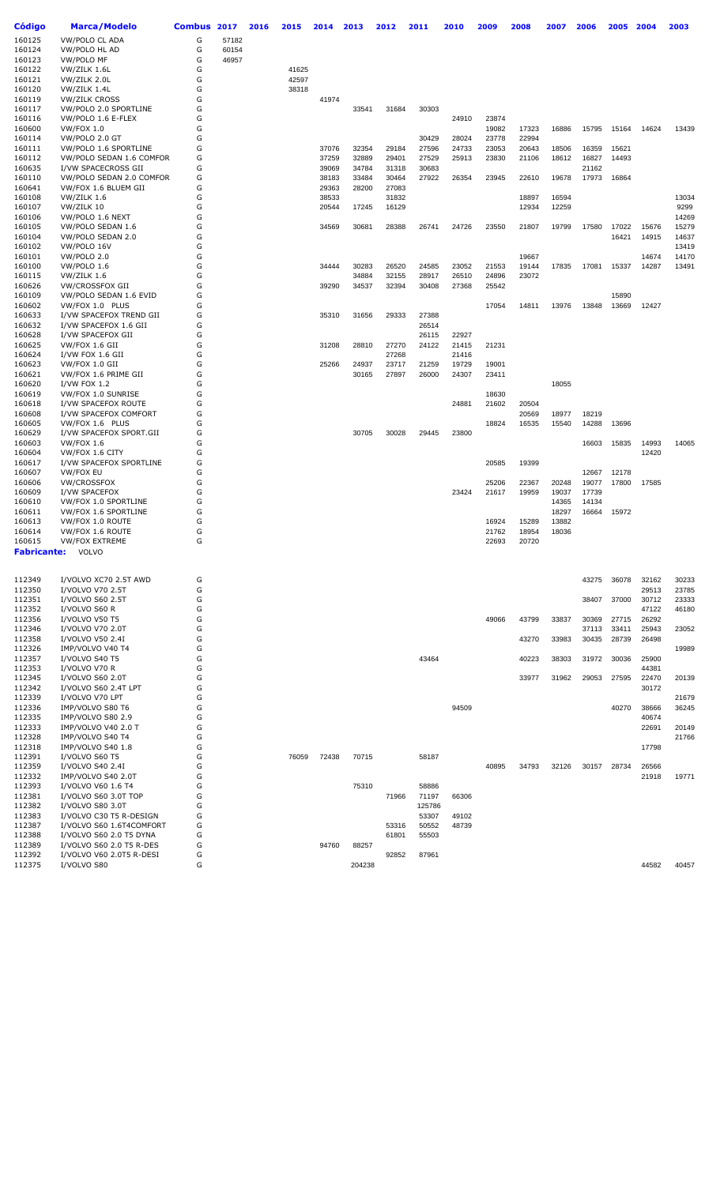| Código           | <b>Marca/Modelo</b>        | Combus | 2017  | 2016 | 2015  | 2014  | 2013   | 2012  | 2011   | 2010  | 2009           | 2008  | 2007           | 2006  | 2005  | 2004  | 2003  |
|------------------|----------------------------|--------|-------|------|-------|-------|--------|-------|--------|-------|----------------|-------|----------------|-------|-------|-------|-------|
| 160125           | <b>VW/POLO CL ADA</b>      | G      | 57182 |      |       |       |        |       |        |       |                |       |                |       |       |       |       |
| 160124           | VW/POLO HL AD              | G      | 60154 |      |       |       |        |       |        |       |                |       |                |       |       |       |       |
| 160123           | VW/POLO MF                 | G      | 46957 |      |       |       |        |       |        |       |                |       |                |       |       |       |       |
| 160122           | VW/ZILK 1.6L               | G      |       |      | 41625 |       |        |       |        |       |                |       |                |       |       |       |       |
| 160121           | VW/ZILK 2.0L               | G      |       |      | 42597 |       |        |       |        |       |                |       |                |       |       |       |       |
| 160120           | VW/ZILK 1.4L               | G      |       |      | 38318 |       |        |       |        |       |                |       |                |       |       |       |       |
| 160119           | <b>VW/ZILK CROSS</b>       | G      |       |      |       | 41974 |        |       |        |       |                |       |                |       |       |       |       |
| 160117           | VW/POLO 2.0 SPORTLINE      | G      |       |      |       |       | 33541  | 31684 | 30303  |       |                |       |                |       |       |       |       |
| 160116           | VW/POLO 1.6 E-FLEX         | G      |       |      |       |       |        |       |        | 24910 | 23874          |       |                |       |       |       |       |
| 160600           | VW/FOX 1.0                 | G      |       |      |       |       |        |       |        |       | 19082          | 17323 | 16886          | 15795 | 15164 | 14624 | 13439 |
| 160114           | VW/POLO 2.0 GT             | G      |       |      |       |       |        |       | 30429  | 28024 | 23778          | 22994 |                |       |       |       |       |
| 160111           | VW/POLO 1.6 SPORTLINE      | G      |       |      |       | 37076 | 32354  | 29184 | 27596  | 24733 | 23053          | 20643 | 18506          | 16359 | 15621 |       |       |
| 160112           | VW/POLO SEDAN 1.6 COMFOR   | G      |       |      |       | 37259 | 32889  | 29401 | 27529  | 25913 | 23830          | 21106 | 18612          | 16827 | 14493 |       |       |
|                  |                            |        |       |      |       |       |        |       |        |       |                |       |                |       |       |       |       |
| 160635           | I/VW SPACECROSS GII        | G      |       |      |       | 39069 | 34784  | 31318 | 30683  |       |                |       |                | 21162 |       |       |       |
| 160110           | VW/POLO SEDAN 2.0 COMFOR   | G      |       |      |       | 38183 | 33484  | 30464 | 27922  | 26354 | 23945          | 22610 | 19678          | 17973 | 16864 |       |       |
| 160641           | VW/FOX 1.6 BLUEM GII       | G      |       |      |       | 29363 | 28200  | 27083 |        |       |                |       |                |       |       |       |       |
| 160108           | VW/ZILK 1.6                | G      |       |      |       | 38533 |        | 31832 |        |       |                | 18897 | 16594          |       |       |       | 13034 |
| 160107           | VW/ZILK 10                 | G      |       |      |       | 20544 | 17245  | 16129 |        |       |                | 12934 | 12259          |       |       |       | 9299  |
| 160106           | VW/POLO 1.6 NEXT           | G      |       |      |       |       |        |       |        |       |                |       |                |       |       |       | 14269 |
| 160105           | VW/POLO SEDAN 1.6          | G      |       |      |       | 34569 | 30681  | 28388 | 26741  | 24726 | 23550          | 21807 | 19799          | 17580 | 17022 | 15676 | 15279 |
| 160104           | VW/POLO SEDAN 2.0          | G      |       |      |       |       |        |       |        |       |                |       |                |       | 16421 | 14915 | 14637 |
| 160102           | VW/POLO 16V                | G      |       |      |       |       |        |       |        |       |                |       |                |       |       |       | 13419 |
| 160101           | VW/POLO 2.0                | G      |       |      |       |       |        |       |        |       |                | 19667 |                |       |       | 14674 | 14170 |
| 160100           | VW/POLO 1.6                | G      |       |      |       | 34444 | 30283  | 26520 | 24585  | 23052 | 21553          | 19144 | 17835          | 17081 | 15337 | 14287 | 13491 |
| 160115           | VW/ZILK 1.6                | G      |       |      |       |       | 34884  | 32155 | 28917  | 26510 | 24896          | 23072 |                |       |       |       |       |
| 160626           | <b>VW/CROSSFOX GII</b>     | G      |       |      |       | 39290 | 34537  | 32394 | 30408  | 27368 | 25542          |       |                |       |       |       |       |
| 160109           | VW/POLO SEDAN 1.6 EVID     | G      |       |      |       |       |        |       |        |       |                |       |                |       | 15890 |       |       |
| 160602           | VW/FOX 1.0 PLUS            | G      |       |      |       |       |        |       |        |       | 17054          | 14811 | 13976          | 13848 | 13669 | 12427 |       |
| 160633           | I/VW SPACEFOX TREND GII    | G      |       |      |       | 35310 | 31656  | 29333 | 27388  |       |                |       |                |       |       |       |       |
| 160632           | I/VW SPACEFOX 1.6 GII      | G      |       |      |       |       |        |       | 26514  |       |                |       |                |       |       |       |       |
| 160628           | I/VW SPACEFOX GII          | G      |       |      |       |       |        |       | 26115  | 22927 |                |       |                |       |       |       |       |
| 160625           | VW/FOX 1.6 GII             | G      |       |      |       | 31208 | 28810  | 27270 | 24122  | 21415 | 21231          |       |                |       |       |       |       |
| 160624           | I/VW FOX 1.6 GII           | G      |       |      |       |       |        | 27268 |        | 21416 |                |       |                |       |       |       |       |
| 160623           | VW/FOX 1.0 GII             | G      |       |      |       | 25266 | 24937  | 23717 | 21259  | 19729 | 19001          |       |                |       |       |       |       |
| 160621           | VW/FOX 1.6 PRIME GII       | G      |       |      |       |       | 30165  | 27897 | 26000  | 24307 | 23411          |       |                |       |       |       |       |
| 160620           | <b>I/VW FOX 1.2</b>        | G      |       |      |       |       |        |       |        |       |                |       | 18055          |       |       |       |       |
| 160619           | VW/FOX 1.0 SUNRISE         | G      |       |      |       |       |        |       |        |       | 18630          |       |                |       |       |       |       |
| 160618           | I/VW SPACEFOX ROUTE        | G      |       |      |       |       |        |       |        | 24881 | 21602          | 20504 |                |       |       |       |       |
| 160608           | I/VW SPACEFOX COMFORT      | G      |       |      |       |       |        |       |        |       |                | 20569 | 18977          | 18219 |       |       |       |
| 160605           | VW/FOX 1.6 PLUS            | G      |       |      |       |       |        |       |        |       | 18824          | 16535 | 15540          | 14288 | 13696 |       |       |
| 160629           | I/VW SPACEFOX SPORT.GII    | G      |       |      |       |       | 30705  | 30028 | 29445  | 23800 |                |       |                |       |       |       |       |
| 160603           | <b>VW/FOX 1.6</b>          | G      |       |      |       |       |        |       |        |       |                |       |                | 16603 | 15835 | 14993 | 14065 |
| 160604           | VW/FOX 1.6 CITY            | G      |       |      |       |       |        |       |        |       |                |       |                |       |       | 12420 |       |
| 160617           | I/VW SPACEFOX SPORTLINE    | G      |       |      |       |       |        |       |        |       | 20585          | 19399 |                |       |       |       |       |
| 160607           | VW/FOX EU                  | G      |       |      |       |       |        |       |        |       |                |       |                | 12667 | 12178 |       |       |
| 160606           | VW/CROSSFOX                | G      |       |      |       |       |        |       |        |       | 25206          | 22367 | 20248          | 19077 | 17800 | 17585 |       |
| 160609           | I/VW SPACEFOX              | G      |       |      |       |       |        |       |        | 23424 | 21617          | 19959 | 19037          | 17739 |       |       |       |
| 160610           | VW/FOX 1.0 SPORTLINE       | G      |       |      |       |       |        |       |        |       |                |       | 14365          | 14134 |       |       |       |
| 160611           | VW/FOX 1.6 SPORTLINE       | G      |       |      |       |       |        |       |        |       |                |       | 18297          | 16664 | 15972 |       |       |
|                  |                            | G      |       |      |       |       |        |       |        |       |                |       |                |       |       |       |       |
| 160613           | VW/FOX 1.0 ROUTE           | G      |       |      |       |       |        |       |        |       | 16924          | 15289 | 13882<br>18036 |       |       |       |       |
| 160614<br>160615 | VW/FOX 1.6 ROUTE           | G      |       |      |       |       |        |       |        |       | 21762<br>22693 | 18954 |                |       |       |       |       |
|                  | <b>VW/FOX EXTREME</b>      |        |       |      |       |       |        |       |        |       |                | 20720 |                |       |       |       |       |
| Fabricante:      | <b>VOLVO</b>               |        |       |      |       |       |        |       |        |       |                |       |                |       |       |       |       |
| 112349           | I/VOLVO XC70 2.5T AWD      | G      |       |      |       |       |        |       |        |       |                |       |                | 43275 | 36078 | 32162 | 30233 |
| 112350           | I/VOLVO V70 2.5T           | G      |       |      |       |       |        |       |        |       |                |       |                |       |       | 29513 | 23785 |
| 112351           | I/VOLVO S60 2.5T           | G      |       |      |       |       |        |       |        |       |                |       |                | 38407 | 37000 | 30712 | 23333 |
| 112352           | I/VOLVO S60 R              | G      |       |      |       |       |        |       |        |       |                |       |                |       |       | 47122 | 46180 |
| 112356           | I/VOLVO V50 T5             | G      |       |      |       |       |        |       |        |       | 49066          | 43799 | 33837          | 30369 | 27715 | 26292 |       |
| 112346           | I/VOLVO V70 2.0T           | G      |       |      |       |       |        |       |        |       |                |       |                | 37113 | 33411 | 25943 | 23052 |
| 112358           | I/VOLVO V50 2.4I           | G      |       |      |       |       |        |       |        |       |                | 43270 | 33983          | 30435 | 28739 | 26498 |       |
| 112326           | IMP/VOLVO V40 T4           | G      |       |      |       |       |        |       |        |       |                |       |                |       |       |       | 19989 |
| 112357           | I/VOLVO S40 T5             | G      |       |      |       |       |        |       | 43464  |       |                | 40223 | 38303          | 31972 | 30036 | 25900 |       |
| 112353           | I/VOLVO V70 R              | G      |       |      |       |       |        |       |        |       |                |       |                |       |       | 44381 |       |
| 112345           | I/VOLVO S60 2.0T           | G      |       |      |       |       |        |       |        |       |                | 33977 | 31962          | 29053 | 27595 | 22470 | 20139 |
| 112342           | I/VOLVO S60 2.4T LPT       | G      |       |      |       |       |        |       |        |       |                |       |                |       |       | 30172 |       |
| 112339           | I/VOLVO V70 LPT            | G      |       |      |       |       |        |       |        |       |                |       |                |       |       |       | 21679 |
| 112336           | IMP/VOLVO S80 T6           | G      |       |      |       |       |        |       |        | 94509 |                |       |                |       | 40270 | 38666 | 36245 |
| 112335           | IMP/VOLVO S80 2.9          | G      |       |      |       |       |        |       |        |       |                |       |                |       |       | 40674 |       |
| 112333           | <b>IMP/VOLVO V40 2.0 T</b> | G      |       |      |       |       |        |       |        |       |                |       |                |       |       | 22691 | 20149 |
| 112328           | IMP/VOLVO S40 T4           | G      |       |      |       |       |        |       |        |       |                |       |                |       |       |       | 21766 |
|                  |                            |        |       |      |       |       |        |       |        |       |                |       |                |       |       |       |       |
| 112318           | IMP/VOLVO S40 1.8          | G<br>G |       |      |       |       |        |       |        |       |                |       |                |       |       | 17798 |       |
| 112391           | I/VOLVO S60 T5             |        |       |      | 76059 | 72438 | 70715  |       | 58187  |       |                |       |                |       |       |       |       |
| 112359           | I/VOLVO S40 2.4I           | G      |       |      |       |       |        |       |        |       | 40895          | 34793 | 32126          | 30157 | 28734 | 26566 |       |
| 112332           | IMP/VOLVO S40 2.0T         | G      |       |      |       |       |        |       |        |       |                |       |                |       |       | 21918 | 19771 |
| 112393           | I/VOLVO V60 1.6 T4         | G      |       |      |       |       | 75310  |       | 58886  |       |                |       |                |       |       |       |       |
| 112381           | I/VOLVO S60 3.0T TOP       | G      |       |      |       |       |        | 71966 | 71197  | 66306 |                |       |                |       |       |       |       |
| 112382           | I/VOLVO S80 3.0T           | G      |       |      |       |       |        |       | 125786 |       |                |       |                |       |       |       |       |
| 112383           | I/VOLVO C30 T5 R-DESIGN    | G      |       |      |       |       |        |       | 53307  | 49102 |                |       |                |       |       |       |       |
| 112387           | I/VOLVO S60 1.6T4COMFORT   | G      |       |      |       |       |        | 53316 | 50552  | 48739 |                |       |                |       |       |       |       |
| 112388           | I/VOLVO S60 2.0 T5 DYNA    | G      |       |      |       |       |        | 61801 | 55503  |       |                |       |                |       |       |       |       |
| 112389           | I/VOLVO S60 2.0 T5 R-DES   | G      |       |      |       | 94760 | 88257  |       |        |       |                |       |                |       |       |       |       |
| 112392           | I/VOLVO V60 2.0T5 R-DESI   | G      |       |      |       |       |        | 92852 | 87961  |       |                |       |                |       |       |       |       |
| 112375           | I/VOLVO S80                | G      |       |      |       |       | 204238 |       |        |       |                |       |                |       |       | 44582 | 40457 |